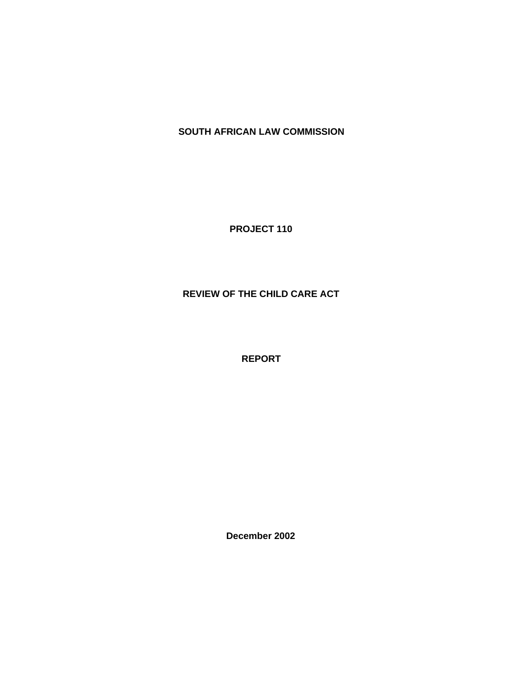# **SOUTH AFRICAN LAW COMMISSION**

**PROJECT 110**

# **REVIEW OF THE CHILD CARE ACT**

**REPORT**

**December 2002**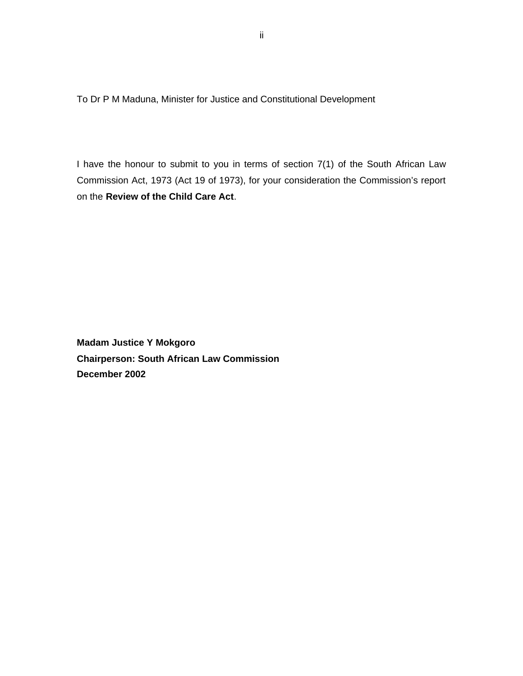To Dr P M Maduna, Minister for Justice and Constitutional Development

I have the honour to submit to you in terms of section 7(1) of the South African Law Commission Act, 1973 (Act 19 of 1973), for your consideration the Commission's report on the **Review of the Child Care Act**.

**Madam Justice Y Mokgoro Chairperson: South African Law Commission December 2002**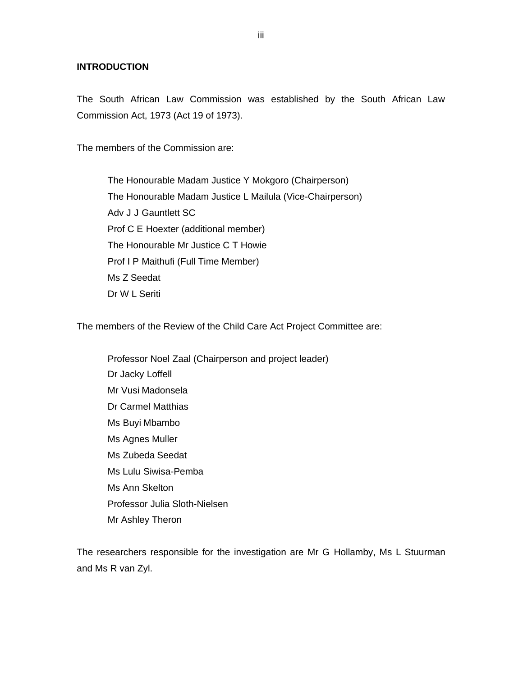#### **INTRODUCTION**

The South African Law Commission was established by the South African Law Commission Act, 1973 (Act 19 of 1973).

The members of the Commission are:

The Honourable Madam Justice Y Mokgoro (Chairperson) The Honourable Madam Justice L Mailula (Vice-Chairperson) Adv J J Gauntlett SC Prof C E Hoexter (additional member) The Honourable Mr Justice C T Howie Prof I P Maithufi (Full Time Member) Ms Z Seedat Dr W L Seriti

The members of the Review of the Child Care Act Project Committee are:

Professor Noel Zaal (Chairperson and project leader) Dr Jacky Loffell Mr Vusi Madonsela Dr Carmel Matthias Ms Buyi Mbambo Ms Agnes Muller Ms Zubeda Seedat Ms Lulu Siwisa-Pemba Ms Ann Skelton Professor Julia Sloth-Nielsen Mr Ashley Theron

The researchers responsible for the investigation are Mr G Hollamby, Ms L Stuurman and Ms R van Zyl.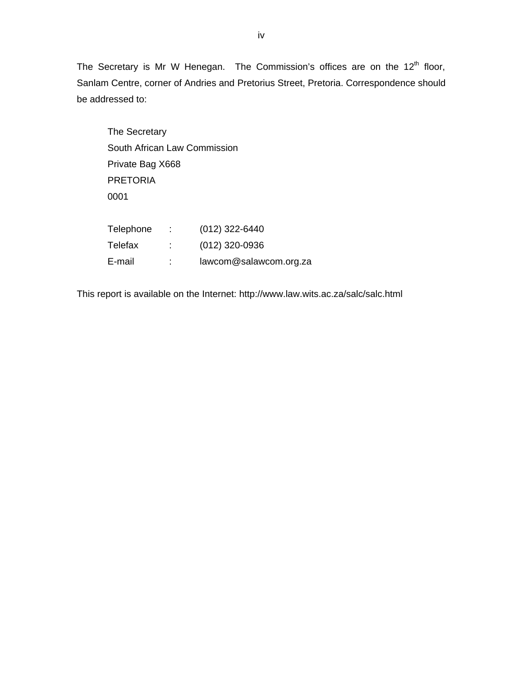The Secretary is Mr W Henegan. The Commission's offices are on the  $12<sup>th</sup>$  floor, Sanlam Centre, corner of Andries and Pretorius Street, Pretoria. Correspondence should be addressed to:

The Secretary South African Law Commission Private Bag X668 PRETORIA 0001 Telephone : (012) 322-6440 Telefax : (012) 320-0936 E-mail : [lawcom@salawcom.org.za](mailto:lawcom@salawcom.org.za)

This report is available on the Internet:<http://www.law.wits.ac.za/salc/salc.html>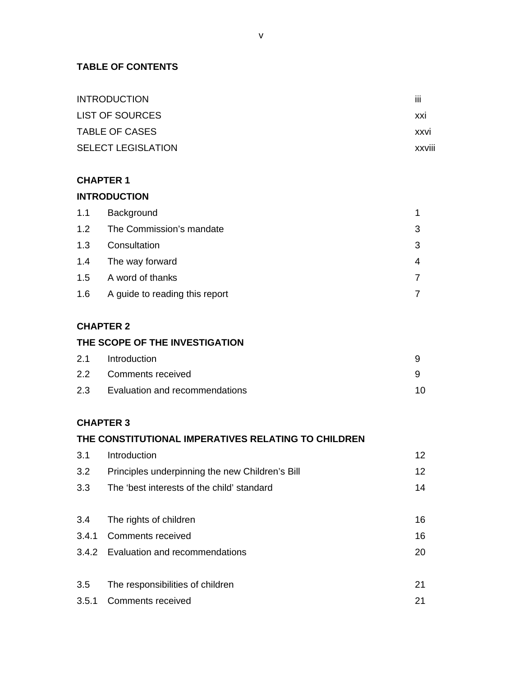## **TABLE OF CONTENTS**

| <b>INTRODUCTION</b>       | Ш             |
|---------------------------|---------------|
| <b>LIST OF SOURCES</b>    | XXI           |
| <b>TABLE OF CASES</b>     | <b>XXVI</b>   |
| <b>SELECT LEGISLATION</b> | <b>XXVIII</b> |

### **CHAPTER 1**

## **INTRODUCTION**

| 1.1 | Background                     |  |
|-----|--------------------------------|--|
| 1.2 | The Commission's mandate       |  |
| 1.3 | Consultation                   |  |
| 1.4 | The way forward                |  |
| 1.5 | A word of thanks               |  |
| 1.6 | A guide to reading this report |  |

## **CHAPTER 2**

### **THE SCOPE OF THE INVESTIGATION**

| 2.1 Introduction                   |     |
|------------------------------------|-----|
| 2.2 Comments received              |     |
| 2.3 Evaluation and recommendations | 10. |

### **CHAPTER 3**

# **THE CONSTITUTIONAL IMPERATIVES RELATING TO CHILDREN**

| 3.1   | Introduction                                    | 12 |
|-------|-------------------------------------------------|----|
| 3.2   | Principles underpinning the new Children's Bill | 12 |
| 3.3   | The 'best interests of the child' standard      | 14 |
|       |                                                 |    |
| 3.4   | The rights of children                          | 16 |
| 3.4.1 | <b>Comments received</b>                        | 16 |
|       | 3.4.2 Evaluation and recommendations            | 20 |
|       |                                                 |    |
| 3.5   | The responsibilities of children                | 21 |
| 3.5.1 | <b>Comments received</b>                        | 21 |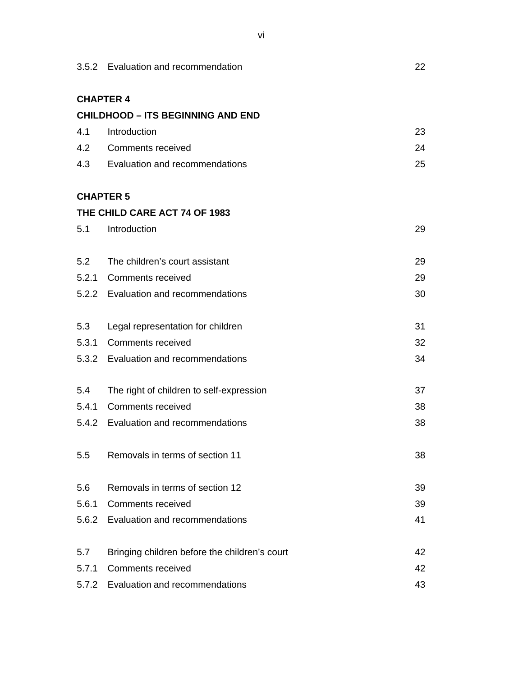|       | 3.5.2 Evaluation and recommendation           |    |  |  |
|-------|-----------------------------------------------|----|--|--|
|       | <b>CHAPTER 4</b>                              |    |  |  |
|       | <b>CHILDHOOD - ITS BEGINNING AND END</b>      |    |  |  |
| 4.1   | Introduction                                  | 23 |  |  |
|       | 4.2 Comments received                         | 24 |  |  |
|       | 4.3 Evaluation and recommendations            | 25 |  |  |
|       | <b>CHAPTER 5</b>                              |    |  |  |
|       | THE CHILD CARE ACT 74 OF 1983                 |    |  |  |
| 5.1   | Introduction                                  | 29 |  |  |
| 5.2   | The children's court assistant                | 29 |  |  |
|       | 5.2.1 Comments received                       | 29 |  |  |
|       | 5.2.2 Evaluation and recommendations          | 30 |  |  |
| 5.3   | Legal representation for children             | 31 |  |  |
|       | 5.3.1 Comments received                       | 32 |  |  |
|       | 5.3.2 Evaluation and recommendations          | 34 |  |  |
| 5.4   | The right of children to self-expression      | 37 |  |  |
|       | 5.4.1 Comments received                       | 38 |  |  |
|       | 5.4.2 Evaluation and recommendations          | 38 |  |  |
| 5.5   | Removals in terms of section 11               | 38 |  |  |
| 5.6   | Removals in terms of section 12               | 39 |  |  |
| 5.6.1 | <b>Comments received</b>                      | 39 |  |  |
|       | 5.6.2 Evaluation and recommendations          | 41 |  |  |
| 5.7   | Bringing children before the children's court | 42 |  |  |
| 5.7.1 | <b>Comments received</b>                      | 42 |  |  |
|       | 5.7.2 Evaluation and recommendations          | 43 |  |  |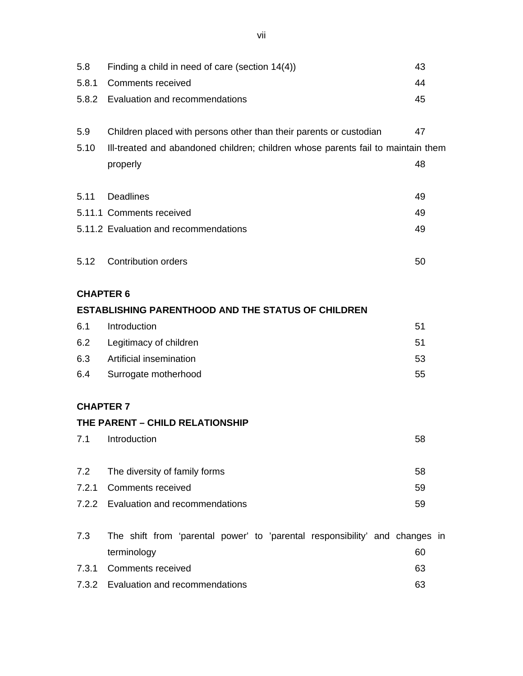| 5.8              | Finding a child in need of care (section $14(4)$ )                                         |    |  |  |  |  |
|------------------|--------------------------------------------------------------------------------------------|----|--|--|--|--|
| 5.8.1            | <b>Comments received</b>                                                                   |    |  |  |  |  |
|                  | 5.8.2 Evaluation and recommendations                                                       |    |  |  |  |  |
| 5.9              | Children placed with persons other than their parents or custodian                         | 47 |  |  |  |  |
| 5.10             | III-treated and abandoned children; children whose parents fail to maintain them           |    |  |  |  |  |
|                  | properly                                                                                   | 48 |  |  |  |  |
| 5.11             | <b>Deadlines</b>                                                                           | 49 |  |  |  |  |
|                  | 5.11.1 Comments received                                                                   | 49 |  |  |  |  |
|                  | 5.11.2 Evaluation and recommendations                                                      | 49 |  |  |  |  |
| 5.12             | <b>Contribution orders</b>                                                                 | 50 |  |  |  |  |
| <b>CHAPTER 6</b> |                                                                                            |    |  |  |  |  |
|                  | <b>ESTABLISHING PARENTHOOD AND THE STATUS OF CHILDREN</b>                                  |    |  |  |  |  |
| 6.1              | Introduction                                                                               | 51 |  |  |  |  |
| 6.2              | Legitimacy of children                                                                     | 51 |  |  |  |  |
| 6.3              | Artificial insemination                                                                    | 53 |  |  |  |  |
| 6.4              | Surrogate motherhood                                                                       |    |  |  |  |  |
| <b>CHAPTER 7</b> |                                                                                            |    |  |  |  |  |
|                  | THE PARENT - CHILD RELATIONSHIP                                                            |    |  |  |  |  |
|                  | 7.1 Introduction                                                                           | 58 |  |  |  |  |
| 7.2              | The diversity of family forms                                                              | 58 |  |  |  |  |
| 7.2.1            | <b>Comments received</b>                                                                   | 59 |  |  |  |  |
|                  | 7.2.2 Evaluation and recommendations                                                       | 59 |  |  |  |  |
| 7.3              | The shift from 'parental power' to 'parental responsibility' and changes in<br>terminology | 60 |  |  |  |  |
| 7.3.1            | <b>Comments received</b>                                                                   | 63 |  |  |  |  |
|                  | 7.3.2 Evaluation and recommendations                                                       | 63 |  |  |  |  |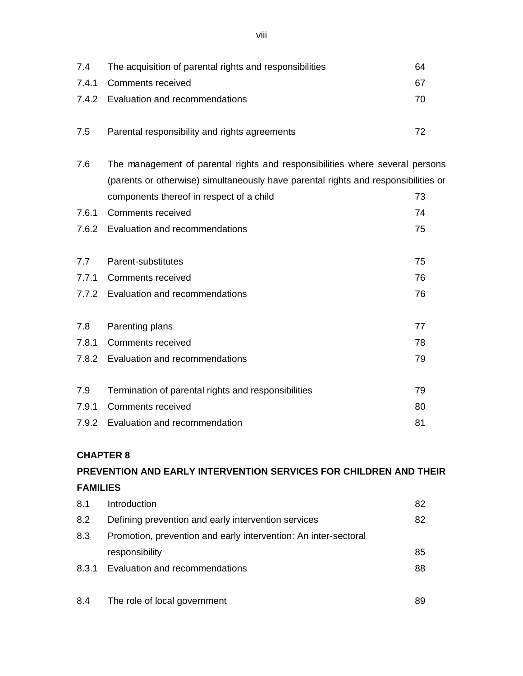| 7.4   | The acquisition of parental rights and responsibilities | 64                                                                                                                                                                                                                                                                                                                             |
|-------|---------------------------------------------------------|--------------------------------------------------------------------------------------------------------------------------------------------------------------------------------------------------------------------------------------------------------------------------------------------------------------------------------|
| 7.4.1 | <b>Comments received</b>                                | 67                                                                                                                                                                                                                                                                                                                             |
| 7.4.2 | Evaluation and recommendations                          | 70                                                                                                                                                                                                                                                                                                                             |
| 7.5   | Parental responsibility and rights agreements           | 72                                                                                                                                                                                                                                                                                                                             |
| 7.6   |                                                         |                                                                                                                                                                                                                                                                                                                                |
|       |                                                         |                                                                                                                                                                                                                                                                                                                                |
|       | components thereof in respect of a child                | 73                                                                                                                                                                                                                                                                                                                             |
| 7.6.1 | <b>Comments received</b>                                | 74                                                                                                                                                                                                                                                                                                                             |
| 7.6.2 | Evaluation and recommendations                          | 75                                                                                                                                                                                                                                                                                                                             |
| 7.7   | Parent-substitutes                                      | 75                                                                                                                                                                                                                                                                                                                             |
| 7.7.1 | <b>Comments received</b>                                | 76                                                                                                                                                                                                                                                                                                                             |
|       | Evaluation and recommendations                          | 76                                                                                                                                                                                                                                                                                                                             |
|       |                                                         | 77                                                                                                                                                                                                                                                                                                                             |
| 7.8.1 | <b>Comments received</b>                                | 78                                                                                                                                                                                                                                                                                                                             |
|       |                                                         | 79                                                                                                                                                                                                                                                                                                                             |
| 7.9   |                                                         | 79                                                                                                                                                                                                                                                                                                                             |
| 7.9.1 | <b>Comments received</b>                                | 80                                                                                                                                                                                                                                                                                                                             |
| 7.9.2 |                                                         | 81                                                                                                                                                                                                                                                                                                                             |
|       | 7.8                                                     | The management of parental rights and responsibilities where several persons<br>(parents or otherwise) simultaneously have parental rights and responsibilities or<br>7.7.2<br>Parenting plans<br>7.8.2 Evaluation and recommendations<br>Termination of parental rights and responsibilities<br>Evaluation and recommendation |

# **CHAPTER 8**

# **PREVENTION AND EARLY INTERVENTION SERVICES FOR CHILDREN AND THEIR FAMILIES**

| 8.1   | Introduction                                                    | 82 |
|-------|-----------------------------------------------------------------|----|
| 8.2   | Defining prevention and early intervention services             | 82 |
| 8.3   | Promotion, prevention and early intervention: An inter-sectoral |    |
|       | responsibility                                                  | 85 |
| 8.3.1 | Evaluation and recommendations                                  | 88 |
|       |                                                                 |    |
| 8.4   | The role of local government                                    | 89 |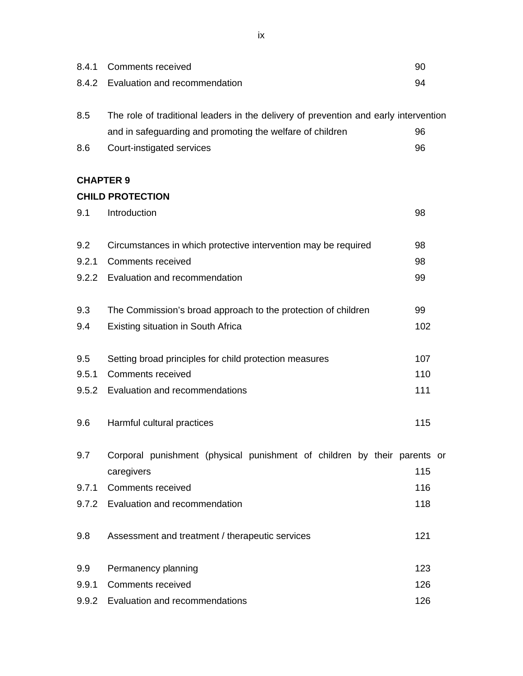| 8.4.1 | <b>Comments received</b>                                                             | 90  |  |  |  |  |
|-------|--------------------------------------------------------------------------------------|-----|--|--|--|--|
|       |                                                                                      |     |  |  |  |  |
| 8.4.2 | Evaluation and recommendation                                                        |     |  |  |  |  |
| 8.5   | The role of traditional leaders in the delivery of prevention and early intervention |     |  |  |  |  |
|       | and in safeguarding and promoting the welfare of children                            | 96  |  |  |  |  |
| 8.6   | Court-instigated services                                                            | 96  |  |  |  |  |
|       | <b>CHAPTER 9</b>                                                                     |     |  |  |  |  |
|       | <b>CHILD PROTECTION</b>                                                              |     |  |  |  |  |
| 9.1   | Introduction                                                                         | 98  |  |  |  |  |
| 9.2   | Circumstances in which protective intervention may be required                       | 98  |  |  |  |  |
| 9.2.1 | <b>Comments received</b>                                                             | 98  |  |  |  |  |
| 9.2.2 | Evaluation and recommendation                                                        | 99  |  |  |  |  |
| 9.3   | The Commission's broad approach to the protection of children                        | 99  |  |  |  |  |
| 9.4   | <b>Existing situation in South Africa</b>                                            | 102 |  |  |  |  |
| 9.5   | Setting broad principles for child protection measures                               | 107 |  |  |  |  |
| 9.5.1 | <b>Comments received</b>                                                             | 110 |  |  |  |  |
| 9.5.2 | Evaluation and recommendations                                                       | 111 |  |  |  |  |
|       |                                                                                      |     |  |  |  |  |
| 9.6   | Harmful cultural practices                                                           | 115 |  |  |  |  |
| 9.7   | Corporal punishment (physical punishment of children by their parents or             |     |  |  |  |  |
|       | caregivers                                                                           | 115 |  |  |  |  |
| 9.7.1 | <b>Comments received</b>                                                             | 116 |  |  |  |  |
|       | 9.7.2 Evaluation and recommendation                                                  | 118 |  |  |  |  |
| 9.8   | Assessment and treatment / therapeutic services                                      | 121 |  |  |  |  |
| 9.9   | Permanency planning                                                                  | 123 |  |  |  |  |
| 9.9.1 | <b>Comments received</b>                                                             | 126 |  |  |  |  |
|       | 9.9.2 Evaluation and recommendations                                                 | 126 |  |  |  |  |

ix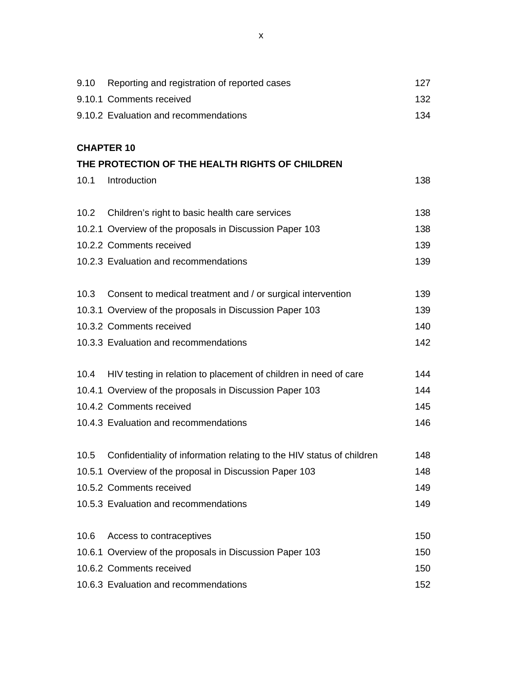| 9.10 | Reporting and registration of reported cases                               | 127 |
|------|----------------------------------------------------------------------------|-----|
|      | 9.10.1 Comments received                                                   | 132 |
|      | 9.10.2 Evaluation and recommendations                                      | 134 |
|      |                                                                            |     |
|      | <b>CHAPTER 10</b>                                                          |     |
|      | THE PROTECTION OF THE HEALTH RIGHTS OF CHILDREN                            |     |
| 10.1 | Introduction                                                               | 138 |
|      |                                                                            |     |
| 10.2 | Children's right to basic health care services                             | 138 |
|      | 10.2.1 Overview of the proposals in Discussion Paper 103                   | 138 |
|      | 10.2.2 Comments received                                                   | 139 |
|      | 10.2.3 Evaluation and recommendations                                      | 139 |
|      |                                                                            |     |
| 10.3 | Consent to medical treatment and / or surgical intervention                | 139 |
|      | 10.3.1 Overview of the proposals in Discussion Paper 103                   | 139 |
|      | 10.3.2 Comments received                                                   | 140 |
|      | 10.3.3 Evaluation and recommendations                                      | 142 |
|      |                                                                            |     |
| 10.4 | HIV testing in relation to placement of children in need of care           | 144 |
|      | 10.4.1 Overview of the proposals in Discussion Paper 103                   | 144 |
|      | 10.4.2 Comments received                                                   | 145 |
|      | 10.4.3 Evaluation and recommendations                                      | 146 |
|      |                                                                            |     |
|      | 10.5 Confidentiality of information relating to the HIV status of children | 148 |
|      | 10.5.1 Overview of the proposal in Discussion Paper 103                    | 148 |
|      | 10.5.2 Comments received                                                   | 149 |
|      | 10.5.3 Evaluation and recommendations                                      | 149 |
|      |                                                                            |     |
| 10.6 | Access to contraceptives                                                   | 150 |
|      | 10.6.1 Overview of the proposals in Discussion Paper 103                   | 150 |
|      | 10.6.2 Comments received                                                   | 150 |
|      | 10.6.3 Evaluation and recommendations                                      | 152 |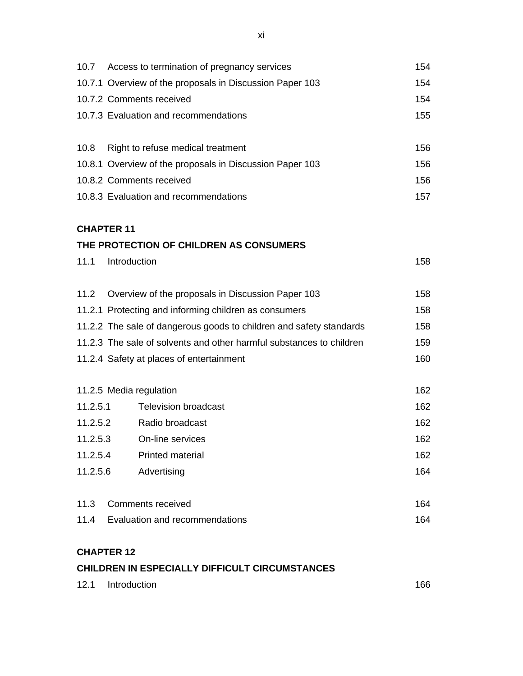| 10.7                                                                 | Access to termination of pregnancy services                         |     |  |
|----------------------------------------------------------------------|---------------------------------------------------------------------|-----|--|
|                                                                      | 10.7.1 Overview of the proposals in Discussion Paper 103            |     |  |
|                                                                      | 10.7.2 Comments received                                            | 154 |  |
|                                                                      | 10.7.3 Evaluation and recommendations                               | 155 |  |
|                                                                      |                                                                     |     |  |
| 10.8                                                                 | Right to refuse medical treatment                                   | 156 |  |
|                                                                      | 10.8.1 Overview of the proposals in Discussion Paper 103            | 156 |  |
|                                                                      | 10.8.2 Comments received                                            | 156 |  |
|                                                                      | 10.8.3 Evaluation and recommendations                               | 157 |  |
|                                                                      |                                                                     |     |  |
| <b>CHAPTER 11</b>                                                    |                                                                     |     |  |
|                                                                      | THE PROTECTION OF CHILDREN AS CONSUMERS                             |     |  |
| 11.1                                                                 | Introduction                                                        | 158 |  |
|                                                                      |                                                                     |     |  |
| 11.2                                                                 | Overview of the proposals in Discussion Paper 103                   |     |  |
|                                                                      | 11.2.1 Protecting and informing children as consumers               | 158 |  |
|                                                                      | 11.2.2 The sale of dangerous goods to children and safety standards |     |  |
| 11.2.3 The sale of solvents and other harmful substances to children |                                                                     |     |  |
|                                                                      | 11.2.4 Safety at places of entertainment                            | 160 |  |
|                                                                      |                                                                     |     |  |
|                                                                      | 11.2.5 Media regulation                                             | 162 |  |
| 11.2.5.1                                                             | <b>Television broadcast</b>                                         | 162 |  |
| 11.2.5.2                                                             | Radio broadcast                                                     | 162 |  |
| 11.2.5.3                                                             | On-line services                                                    | 162 |  |
| 11.2.5.4                                                             | <b>Printed material</b>                                             | 162 |  |

| 11.3 Comments received |  | 164 |
|------------------------|--|-----|

11.2.5.6 Advertising 164

# 11.4 Evaluation and recommendations 164

# **CHAPTER 12**

## **CHILDREN IN ESPECIALLY DIFFICULT CIRCUMSTANCES**

|  | 12.1 Introduction | 166 |  |
|--|-------------------|-----|--|
|--|-------------------|-----|--|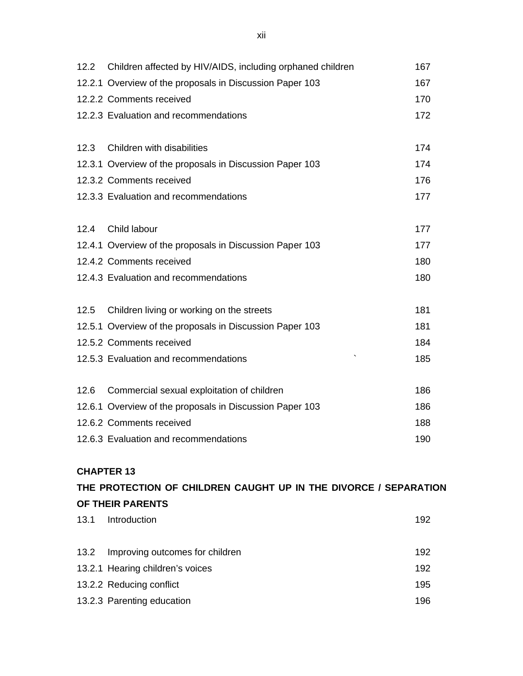|      | 12.2 Children affected by HIV/AIDS, including orphaned children | 167 |
|------|-----------------------------------------------------------------|-----|
|      | 12.2.1 Overview of the proposals in Discussion Paper 103        | 167 |
|      | 12.2.2 Comments received                                        | 170 |
|      | 12.2.3 Evaluation and recommendations                           | 172 |
| 12.3 | Children with disabilities                                      | 174 |
|      | 12.3.1 Overview of the proposals in Discussion Paper 103        | 174 |
|      | 12.3.2 Comments received                                        | 176 |
|      | 12.3.3 Evaluation and recommendations                           | 177 |
| 12.4 | Child labour                                                    | 177 |
|      | 12.4.1 Overview of the proposals in Discussion Paper 103        | 177 |
|      | 12.4.2 Comments received                                        | 180 |
|      | 12.4.3 Evaluation and recommendations                           | 180 |
| 12.5 | Children living or working on the streets                       | 181 |
|      | 12.5.1 Overview of the proposals in Discussion Paper 103        | 181 |
|      | 12.5.2 Comments received                                        | 184 |
|      | 12.5.3 Evaluation and recommendations                           | 185 |
| 12.6 | Commercial sexual exploitation of children                      | 186 |
|      | 12.6.1 Overview of the proposals in Discussion Paper 103        | 186 |
|      | 12.6.2 Comments received                                        | 188 |
|      | 12.6.3 Evaluation and recommendations                           | 190 |
|      |                                                                 |     |

## **CHAPTER 13**

# **THE PROTECTION OF CHILDREN CAUGHT UP IN THE DIVORCE / SEPARATION OF THEIR PARENTS**

| 13.1 | Introduction                         | 192 |
|------|--------------------------------------|-----|
|      |                                      |     |
|      | 13.2 Improving outcomes for children | 192 |
|      | 13.2.1 Hearing children's voices     | 192 |
|      | 13.2.2 Reducing conflict             | 195 |
|      | 13.2.3 Parenting education           | 196 |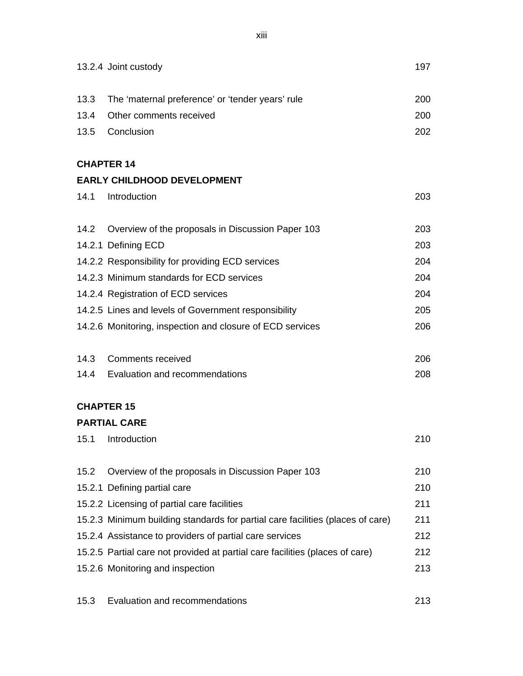|      | 13.2.4 Joint custody                                                           | 197 |
|------|--------------------------------------------------------------------------------|-----|
| 13.3 | The 'maternal preference' or 'tender years' rule                               | 200 |
| 13.4 | Other comments received                                                        | 200 |
| 13.5 | Conclusion                                                                     | 202 |
|      | <b>CHAPTER 14</b>                                                              |     |
|      | <b>EARLY CHILDHOOD DEVELOPMENT</b>                                             |     |
| 14.1 | Introduction                                                                   | 203 |
| 14.2 | Overview of the proposals in Discussion Paper 103                              | 203 |
|      | 14.2.1 Defining ECD                                                            | 203 |
|      | 14.2.2 Responsibility for providing ECD services                               | 204 |
|      | 14.2.3 Minimum standards for ECD services                                      | 204 |
|      | 14.2.4 Registration of ECD services                                            | 204 |
|      | 14.2.5 Lines and levels of Government responsibility                           | 205 |
|      | 14.2.6 Monitoring, inspection and closure of ECD services                      | 206 |
|      | 14.3 Comments received                                                         | 206 |
|      | 14.4 Evaluation and recommendations                                            | 208 |
|      | <b>CHAPTER 15</b>                                                              |     |
|      | <b>PARTIAL CARE</b>                                                            |     |
| 15.1 | Introduction                                                                   | 210 |
| 15.2 | Overview of the proposals in Discussion Paper 103                              | 210 |
|      | 15.2.1 Defining partial care                                                   | 210 |
|      | 15.2.2 Licensing of partial care facilities                                    | 211 |
|      | 15.2.3 Minimum building standards for partial care facilities (places of care) | 211 |
|      | 15.2.4 Assistance to providers of partial care services                        | 212 |
|      | 15.2.5 Partial care not provided at partial care facilities (places of care)   | 212 |
|      | 15.2.6 Monitoring and inspection                                               | 213 |
| 15.3 | Evaluation and recommendations                                                 | 213 |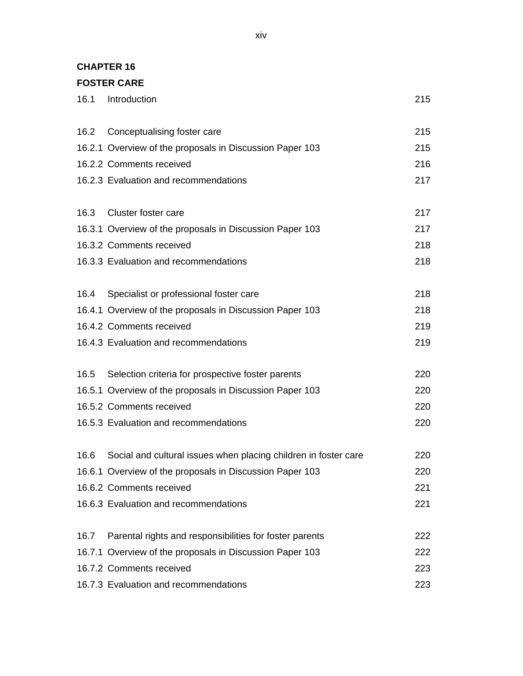#### **CHAPTER 16**

## **FOSTER CARE**

| 16.1 | Introduction                                                    | 215 |
|------|-----------------------------------------------------------------|-----|
|      | 16.2 Conceptualising foster care                                | 215 |
|      | 16.2.1 Overview of the proposals in Discussion Paper 103        | 215 |
|      | 16.2.2 Comments received                                        | 216 |
|      | 16.2.3 Evaluation and recommendations                           | 217 |
| 16.3 | Cluster foster care                                             | 217 |
|      | 16.3.1 Overview of the proposals in Discussion Paper 103        | 217 |
|      | 16.3.2 Comments received                                        | 218 |
|      | 16.3.3 Evaluation and recommendations                           | 218 |
|      | 16.4 Specialist or professional foster care                     | 218 |
|      | 16.4.1 Overview of the proposals in Discussion Paper 103        | 218 |
|      | 16.4.2 Comments received                                        | 219 |
|      | 16.4.3 Evaluation and recommendations                           | 219 |
| 16.5 | Selection criteria for prospective foster parents               | 220 |
|      | 16.5.1 Overview of the proposals in Discussion Paper 103        | 220 |
|      | 16.5.2 Comments received                                        | 220 |
|      | 16.5.3 Evaluation and recommendations                           | 220 |
| 16.6 | Social and cultural issues when placing children in foster care | 220 |
|      | 16.6.1 Overview of the proposals in Discussion Paper 103        | 220 |
|      | 16.6.2 Comments received                                        | 221 |
|      | 16.6.3 Evaluation and recommendations                           | 221 |
| 16.7 | Parental rights and responsibilities for foster parents         | 222 |
|      | 16.7.1 Overview of the proposals in Discussion Paper 103        | 222 |
|      | 16.7.2 Comments received                                        | 223 |
|      | 16.7.3 Evaluation and recommendations                           | 223 |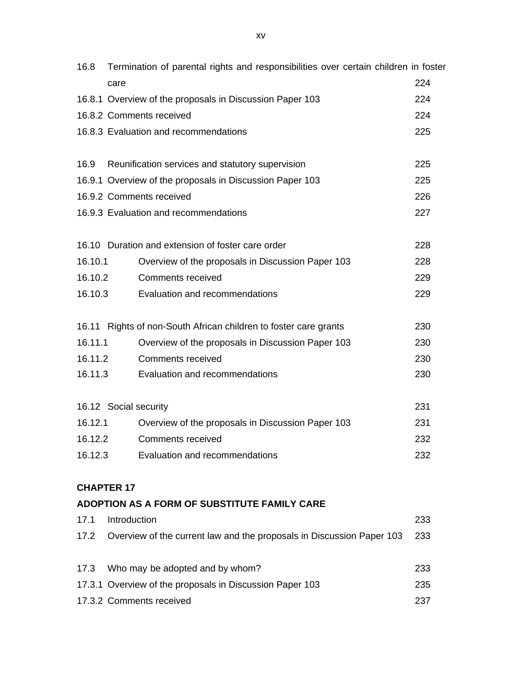| 16.8    | Termination of parental rights and responsibilities over certain children in foster |     |  |
|---------|-------------------------------------------------------------------------------------|-----|--|
|         | care                                                                                | 224 |  |
|         | 16.8.1 Overview of the proposals in Discussion Paper 103                            |     |  |
|         | 16.8.2 Comments received                                                            | 224 |  |
|         | 16.8.3 Evaluation and recommendations                                               | 225 |  |
| 16.9    | Reunification services and statutory supervision                                    | 225 |  |
|         | 16.9.1 Overview of the proposals in Discussion Paper 103                            | 225 |  |
|         | 16.9.2 Comments received                                                            | 226 |  |
|         | 16.9.3 Evaluation and recommendations                                               | 227 |  |
|         | 16.10 Duration and extension of foster care order                                   | 228 |  |
| 16.10.1 | Overview of the proposals in Discussion Paper 103                                   | 228 |  |
| 16.10.2 | <b>Comments received</b>                                                            | 229 |  |
| 16.10.3 | Evaluation and recommendations                                                      | 229 |  |
|         | 16.11 Rights of non-South African children to foster care grants                    | 230 |  |
| 16.11.1 | Overview of the proposals in Discussion Paper 103                                   | 230 |  |
| 16.11.2 | <b>Comments received</b>                                                            | 230 |  |
| 16.11.3 | Evaluation and recommendations                                                      | 230 |  |
|         | 16.12 Social security                                                               | 231 |  |
| 16.12.1 | Overview of the proposals in Discussion Paper 103                                   | 231 |  |
| 16.12.2 | <b>Comments received</b>                                                            | 232 |  |
|         | 16.12.3 Evaluation and recommendations                                              | 232 |  |
|         | <b>CHAPTER 17</b>                                                                   |     |  |
|         | ADOPTION AS A FORM OF SUBSTITUTE FAMILY CARE                                        |     |  |
| 17.1    | Introduction                                                                        | 233 |  |
|         | 17.2 Overview of the current law and the proposals in Discussion Paper 103          | 233 |  |
| 17.3    | Who may be adopted and by whom?                                                     | 233 |  |
|         | 17.3.1 Overview of the proposals in Discussion Paper 103                            | 235 |  |
|         | 17.3.2 Comments received                                                            | 237 |  |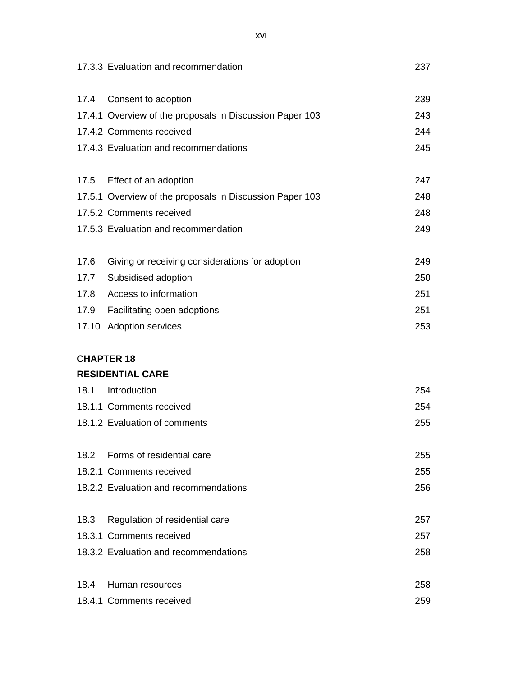|      | 17.3.3 Evaluation and recommendation                     | 237 |
|------|----------------------------------------------------------|-----|
| 17.4 | Consent to adoption                                      | 239 |
|      | 17.4.1 Overview of the proposals in Discussion Paper 103 | 243 |
|      | 17.4.2 Comments received                                 | 244 |
|      | 17.4.3 Evaluation and recommendations                    | 245 |
| 17.5 | Effect of an adoption                                    | 247 |
|      | 17.5.1 Overview of the proposals in Discussion Paper 103 | 248 |
|      | 17.5.2 Comments received                                 | 248 |
|      | 17.5.3 Evaluation and recommendation                     | 249 |
| 17.6 | Giving or receiving considerations for adoption          | 249 |
|      | 17.7 Subsidised adoption                                 | 250 |
|      | 17.8 Access to information                               | 251 |
|      | 17.9 Facilitating open adoptions                         | 251 |
|      | 17.10 Adoption services                                  | 253 |
|      | <b>CHAPTER 18</b>                                        |     |
|      | <b>RESIDENTIAL CARE</b>                                  |     |
| 18.1 | Introduction                                             | 254 |
|      | 18.1.1 Comments received                                 | 254 |
|      | 18.1.2 Evaluation of comments                            | 255 |
| 18.2 | Forms of residential care                                | 255 |
|      | 18.2.1 Comments received                                 | 255 |
|      | 18.2.2 Evaluation and recommendations                    | 256 |
| 18.3 | Regulation of residential care                           | 257 |
|      | 18.3.1 Comments received                                 | 257 |
|      | 18.3.2 Evaluation and recommendations                    | 258 |
| 18.4 | Human resources                                          | 258 |
|      | 18.4.1 Comments received                                 | 259 |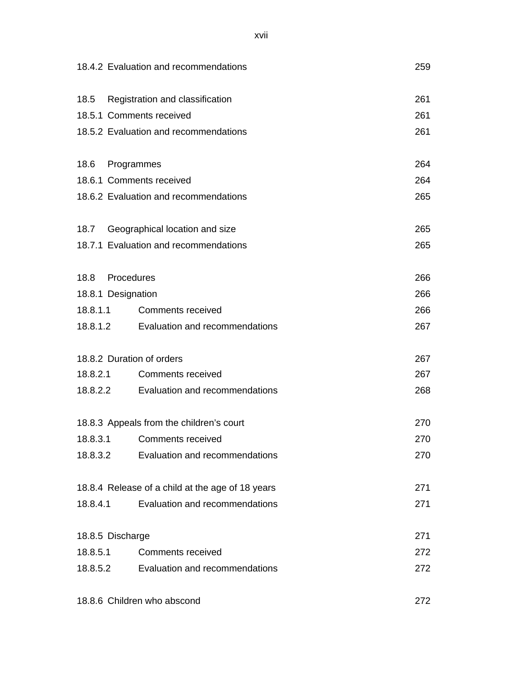|          | 18.4.2 Evaluation and recommendations            | 259 |
|----------|--------------------------------------------------|-----|
| 18.5     | Registration and classification                  | 261 |
|          | 18.5.1 Comments received                         | 261 |
|          | 18.5.2 Evaluation and recommendations            | 261 |
| 18.6     | Programmes                                       | 264 |
|          | 18.6.1 Comments received                         | 264 |
|          | 18.6.2 Evaluation and recommendations            | 265 |
|          | 18.7 Geographical location and size              | 265 |
|          | 18.7.1 Evaluation and recommendations            | 265 |
|          | 18.8 Procedures                                  | 266 |
|          | 18.8.1 Designation                               | 266 |
| 18.8.1.1 | <b>Comments received</b>                         | 266 |
|          | 18.8.1.2 Evaluation and recommendations          | 267 |
|          | 18.8.2 Duration of orders                        | 267 |
| 18.8.2.1 | <b>Comments received</b>                         | 267 |
|          | 18.8.2.2 Evaluation and recommendations          | 268 |
|          | 18.8.3 Appeals from the children's court         | 270 |
|          | 18.8.3.1 Comments received                       | 270 |
|          | 18.8.3.2 Evaluation and recommendations          | 270 |
|          | 18.8.4 Release of a child at the age of 18 years | 271 |
| 18.8.4.1 | Evaluation and recommendations                   | 271 |
|          | 18.8.5 Discharge                                 | 271 |
| 18.8.5.1 | <b>Comments received</b>                         | 272 |
|          | 18.8.5.2 Evaluation and recommendations          | 272 |
|          |                                                  |     |

18.8.6 Children who abscond 272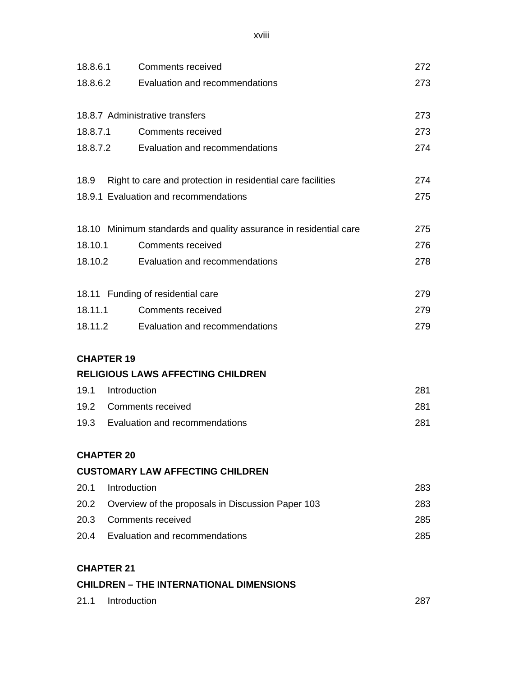xviii

|          |                   | <b>CHILDREN - THE INTERNATIONAL DIMENSIONS</b>                    |     |
|----------|-------------------|-------------------------------------------------------------------|-----|
|          | <b>CHAPTER 21</b> |                                                                   |     |
|          |                   | 20.4 Evaluation and recommendations                               | 285 |
|          |                   | 20.3 Comments received                                            | 285 |
| 20.2     |                   | Overview of the proposals in Discussion Paper 103                 | 283 |
| 20.1     | Introduction      |                                                                   | 283 |
|          |                   | <b>CUSTOMARY LAW AFFECTING CHILDREN</b>                           |     |
|          | <b>CHAPTER 20</b> |                                                                   |     |
|          |                   |                                                                   |     |
|          |                   | 19.3 Evaluation and recommendations                               | 281 |
|          |                   | 19.2 Comments received                                            | 281 |
| 19.1     | Introduction      |                                                                   | 281 |
|          | <b>CHAPTER 19</b> | <b>RELIGIOUS LAWS AFFECTING CHILDREN</b>                          |     |
|          |                   |                                                                   |     |
|          |                   | 18.11.2 Evaluation and recommendations                            | 279 |
|          | 18.11.1           | <b>Comments received</b>                                          | 279 |
|          |                   | 18.11 Funding of residential care                                 | 279 |
|          |                   |                                                                   |     |
|          |                   | 18.10.2 Evaluation and recommendations                            | 278 |
| 18.10.1  |                   | <b>Comments received</b>                                          | 276 |
|          |                   | 18.10 Minimum standards and quality assurance in residential care | 275 |
|          |                   | 18.9.1 Evaluation and recommendations                             | 275 |
| 18.9     |                   | Right to care and protection in residential care facilities       | 274 |
|          |                   | 18.8.7.2 Evaluation and recommendations                           | 274 |
|          | 18.8.7.1          | Comments received                                                 | 273 |
|          |                   | 18.8.7 Administrative transfers                                   | 273 |
|          |                   |                                                                   |     |
|          |                   | 18.8.6.2 Evaluation and recommendations                           | 273 |
| 18.8.6.1 |                   | <b>Comments received</b>                                          | 272 |

| 21.1 Introduction |  |
|-------------------|--|
|                   |  |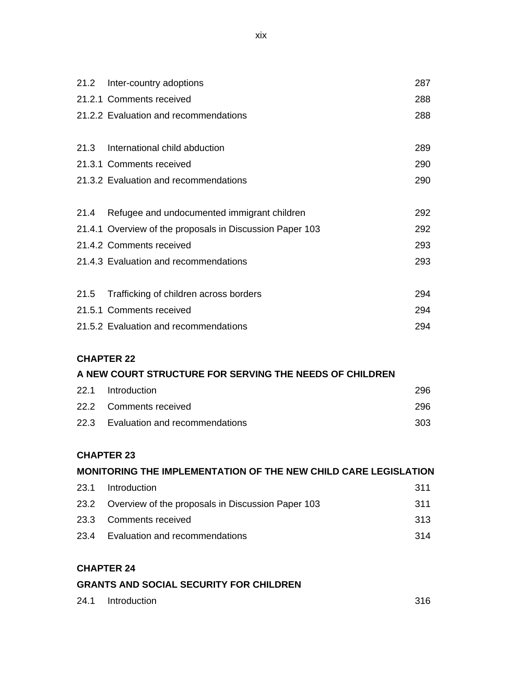|      | 21.2 Inter-country adoptions                             | 287 |
|------|----------------------------------------------------------|-----|
|      | 21.2.1 Comments received                                 | 288 |
|      | 21.2.2 Evaluation and recommendations                    | 288 |
|      |                                                          |     |
|      | 21.3 International child abduction                       | 289 |
|      | 21.3.1 Comments received                                 | 290 |
|      | 21.3.2 Evaluation and recommendations                    | 290 |
|      |                                                          |     |
|      | 21.4 Refugee and undocumented immigrant children         | 292 |
|      | 21.4.1 Overview of the proposals in Discussion Paper 103 | 292 |
|      | 21.4.2 Comments received                                 | 293 |
|      | 21.4.3 Evaluation and recommendations                    | 293 |
|      |                                                          |     |
| 21.5 | Trafficking of children across borders                   | 294 |
|      | 21.5.1 Comments received                                 | 294 |
|      | 21.5.2 Evaluation and recommendations                    | 294 |

## **CHAPTER 22**

#### **A NEW COURT STRUCTURE FOR SERVING THE NEEDS OF CHILDREN**

| 22.1 Introduction                   | 296 |
|-------------------------------------|-----|
| 22.2 Comments received              | 296 |
| 22.3 Evaluation and recommendations | 303 |

## **CHAPTER 23**

# **MONITORING THE IMPLEMENTATION OF THE NEW CHILD CARE LEGISLATION**

| 23.1 Introduction                                      | 311 |
|--------------------------------------------------------|-----|
| 23.2 Overview of the proposals in Discussion Paper 103 | 311 |
| 23.3 Comments received                                 | 313 |
| 23.4 Evaluation and recommendations                    | 314 |

#### **CHAPTER 24**

### **GRANTS AND SOCIAL SECURITY FOR CHILDREN**

| 24.1<br>Introduction | 316 |
|----------------------|-----|
|----------------------|-----|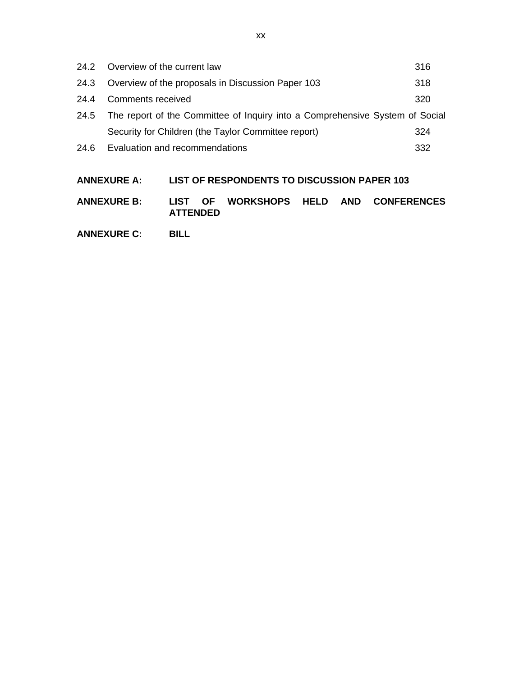| 24.2 | Overview of the current law                                                  | 316 |
|------|------------------------------------------------------------------------------|-----|
| 24.3 | Overview of the proposals in Discussion Paper 103                            | 318 |
| 24.4 | Comments received                                                            | 320 |
| 24.5 | The report of the Committee of Inquiry into a Comprehensive System of Social |     |
|      | Security for Children (the Taylor Committee report)                          | 324 |
| 24.6 | Evaluation and recommendations                                               | 332 |
|      |                                                                              |     |

# **ANNEXURE A: LIST OF RESPONDENTS TO DISCUSSION PAPER 103**

**ANNEXURE B: LIST OF WORKSHOPS HELD AND CONFERENCES ATTENDED**

**ANNEXURE C: BILL**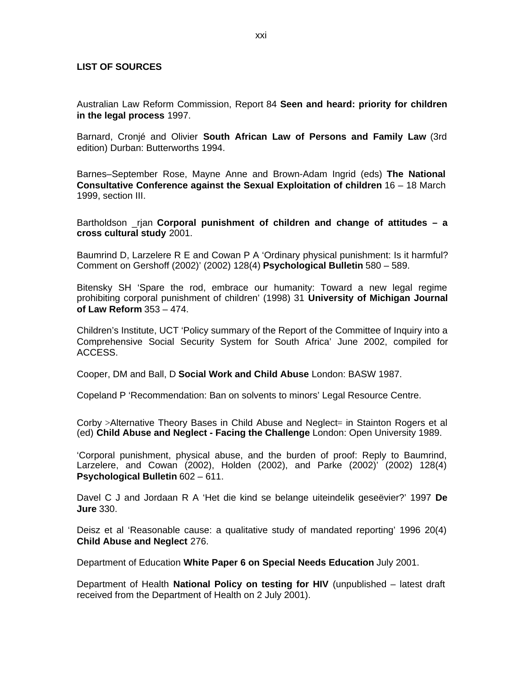#### **LIST OF SOURCES**

Australian Law Reform Commission, Report 84 **Seen and heard: priority for children in the legal process** 1997.

Barnard, Cronjé and Olivier **South African Law of Persons and Family Law** (3rd edition) Durban: Butterworths 1994.

Barnes–September Rose, Mayne Anne and Brown-Adam Ingrid (eds) **The National Consultative Conference against the Sexual Exploitation of children** 16 – 18 March 1999, section III.

Bartholdson \_rjan **Corporal punishment of children and change of attitudes – a cross cultural study** 2001.

Baumrind D, Larzelere R E and Cowan P A 'Ordinary physical punishment: Is it harmful? Comment on Gershoff (2002)' (2002) 128(4) **Psychological Bulletin** 580 – 589.

Bitensky SH 'Spare the rod, embrace our humanity: Toward a new legal regime prohibiting corporal punishment of children' (1998) 31 **University of Michigan Journal of Law Reform** 353 – 474.

Children's Institute, UCT 'Policy summary of the Report of the Committee of Inquiry into a Comprehensive Social Security System for South Africa' June 2002, compiled for ACCESS.

Cooper, DM and Ball, D **Social Work and Child Abuse** London: BASW 1987.

Copeland P 'Recommendation: Ban on solvents to minors' Legal Resource Centre.

Corby >Alternative Theory Bases in Child Abuse and Neglect= in Stainton Rogers et al (ed) **Child Abuse and Neglect - Facing the Challenge** London: Open University 1989.

'Corporal punishment, physical abuse, and the burden of proof: Reply to Baumrind, Larzelere, and Cowan (2002), Holden (2002), and Parke (2002)' (2002) 128(4) **Psychological Bulletin** 602 – 611.

Davel C J and Jordaan R A 'Het die kind se belange uiteindelik geseëvier?' 1997 **De Jure** 330.

Deisz et al 'Reasonable cause: a qualitative study of mandated reporting' 1996 20(4) **Child Abuse and Neglect** 276.

Department of Education **White Paper 6 on Special Needs Education** July 2001.

Department of Health **National Policy on testing for HIV** (unpublished – latest draft received from the Department of Health on 2 July 2001).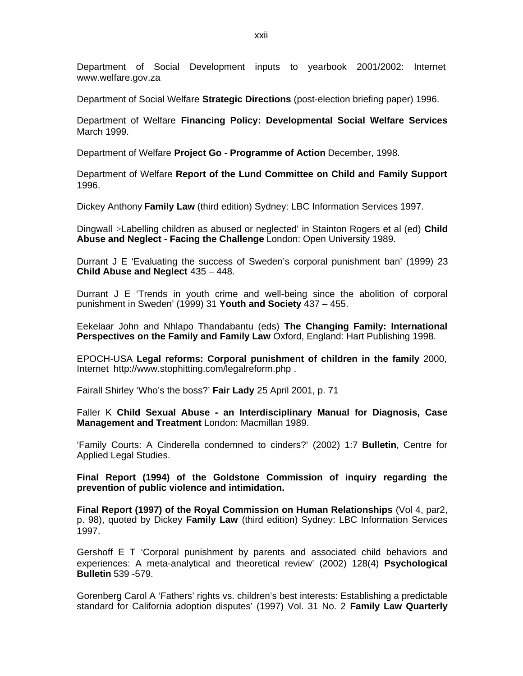Department of Social Development inputs to yearbook 2001/2002: Internet www.welfare.gov.za

Department of Social Welfare **Strategic Directions** (post-election briefing paper) 1996.

Department of Welfare **Financing Policy: Developmental Social Welfare Services** March 1999.

Department of Welfare **Project Go - Programme of Action** December, 1998.

Department of Welfare **Report of the Lund Committee on Child and Family Support** 1996.

Dickey Anthony **Family Law** (third edition) Sydney: LBC Information Services 1997.

Dingwall >Labelling children as abused or neglected' in Stainton Rogers et al (ed) **Child Abuse and Neglect - Facing the Challenge** London: Open University 1989.

Durrant J E 'Evaluating the success of Sweden's corporal punishment ban' (1999) 23 **Child Abuse and Neglect** 435 – 448.

Durrant J E 'Trends in youth crime and well-being since the abolition of corporal punishment in Sweden' (1999) 31 **Youth and Society** 437 – 455.

Eekelaar John and Nhlapo Thandabantu (eds) **The Changing Family: International Perspectives on the Family and Family Law** Oxford, England: Hart Publishing 1998.

EPOCH-USA **Legal reforms: Corporal punishment of children in the family** 2000, Internet <http://www.stophitting.com/legalreform.php> .

Fairall Shirley 'Who's the boss?' **Fair Lady** 25 April 2001, p. 71

Faller K **Child Sexual Abuse - an Interdisciplinary Manual for Diagnosis, Case Management and Treatment** London: Macmillan 1989.

'Family Courts: A Cinderella condemned to cinders?' (2002) 1:7 **Bulletin**, Centre for Applied Legal Studies.

**Final Report (1994) of the Goldstone Commission of inquiry regarding the prevention of public violence and intimidation.**

**Final Report (1997) of the Royal Commission on Human Relationships** (Vol 4, par2, p. 98), quoted by Dickey **Family Law** (third edition) Sydney: LBC Information Services 1997.

Gershoff E T 'Corporal punishment by parents and associated child behaviors and experiences: A meta-analytical and theoretical review' (2002) 128(4) **Psychological Bulletin** 539 -579.

Gorenberg Carol A 'Fathers' rights vs. children's best interests: Establishing a predictable standard for California adoption disputes' (1997) Vol. 31 No. 2 **Family Law Quarterly**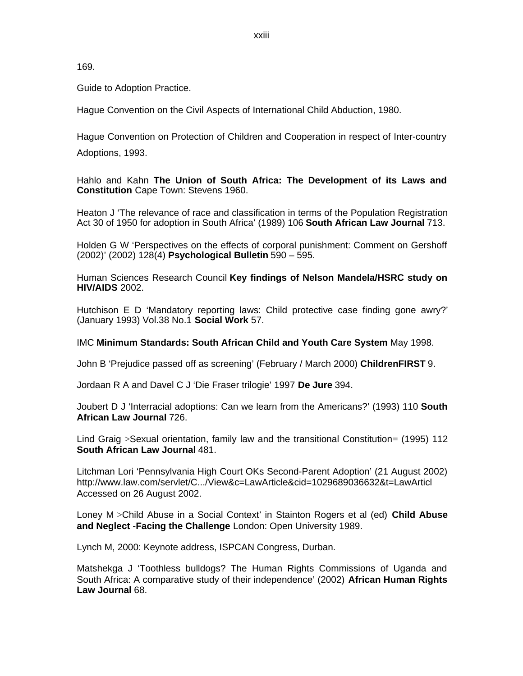169.

Guide to Adoption Practice.

Hague Convention on the Civil Aspects of International Child Abduction, 1980.

Hague Convention on Protection of Children and Cooperation in respect of Inter-country Adoptions, 1993.

Hahlo and Kahn **The Union of South Africa: The Development of its Laws and Constitution** Cape Town: Stevens 1960.

Heaton J 'The relevance of race and classification in terms of the Population Registration Act 30 of 1950 for adoption in South Africa' (1989) 106 **South African Law Journal** 713.

Holden G W 'Perspectives on the effects of corporal punishment: Comment on Gershoff (2002)' (2002) 128(4) **Psychological Bulletin** 590 – 595.

Human Sciences Research Council **Key findings of Nelson Mandela/HSRC study on HIV/AIDS** 2002.

Hutchison E D 'Mandatory reporting laws: Child protective case finding gone awry?' (January 1993) Vol.38 No.1 **Social Work** 57.

IMC **Minimum Standards: South African Child and Youth Care System** May 1998.

John B 'Prejudice passed off as screening' (February / March 2000) **ChildrenFIRST** 9.

Jordaan R A and Davel C J 'Die Fraser trilogie' 1997 **De Jure** 394.

Joubert D J 'Interracial adoptions: Can we learn from the Americans?' (1993) 110 **South African Law Journal** 726.

Lind Graig >Sexual orientation, family law and the transitional Constitution= (1995) 112 **South African Law Journal** 481.

Litchman Lori 'Pennsylvania High Court OKs Second-Parent Adoption' (21 August 2002) <http://www.law.com/servlet/C.../View&c=LawArticle&cid=1029689036632&t=LawArticl> Accessed on 26 August 2002.

Loney M >Child Abuse in a Social Context' in Stainton Rogers et al (ed) **Child Abuse and Neglect -Facing the Challenge** London: Open University 1989.

Lynch M, 2000: Keynote address, ISPCAN Congress, Durban.

Matshekga J 'Toothless bulldogs? The Human Rights Commissions of Uganda and South Africa: A comparative study of their independence' (2002) **African Human Rights Law Journal** 68.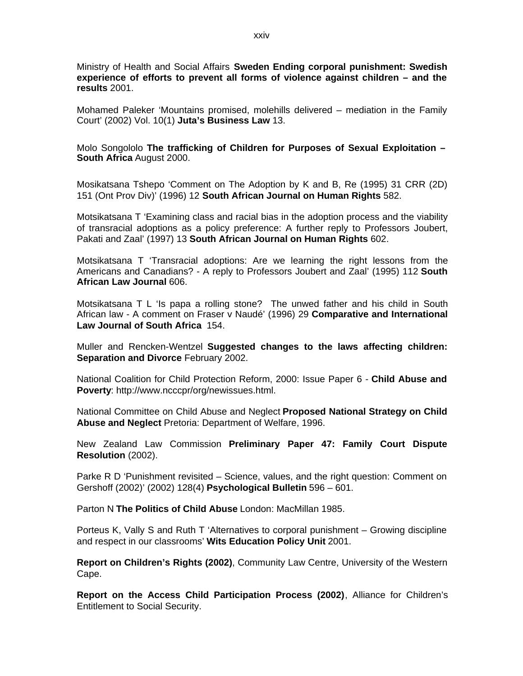Ministry of Health and Social Affairs **Sweden Ending corporal punishment: Swedish experience of efforts to prevent all forms of violence against children – and the results** 2001.

Mohamed Paleker 'Mountains promised, molehills delivered – mediation in the Family Court' (2002) Vol. 10(1) **Juta's Business Law** 13.

Molo Songololo **The trafficking of Children for Purposes of Sexual Exploitation – South Africa** August 2000.

Mosikatsana Tshepo 'Comment on The Adoption by K and B, Re (1995) 31 CRR (2D) 151 (Ont Prov Div)' (1996) 12 **South African Journal on Human Rights** 582.

Motsikatsana T 'Examining class and racial bias in the adoption process and the viability of transracial adoptions as a policy preference: A further reply to Professors Joubert, Pakati and Zaal' (1997) 13 **South African Journal on Human Rights** 602.

Motsikatsana T 'Transracial adoptions: Are we learning the right lessons from the Americans and Canadians? - A reply to Professors Joubert and Zaal' (1995) 112 **South African Law Journal** 606.

Motsikatsana T L 'Is papa a rolling stone? The unwed father and his child in South African law - A comment on Fraser v Naudé' (1996) 29 **Comparative and International Law Journal of South Africa** 154.

Muller and Rencken-Wentzel **Suggested changes to the laws affecting children: Separation and Divorce** February 2002.

National Coalition for Child Protection Reform, 2000: Issue Paper 6 - **Child Abuse and Poverty**: [http://www.ncccpr/org/newissues.html.](http://www.ncccpr/org/newissues.html)

National Committee on Child Abuse and Neglect **Proposed National Strategy on Child Abuse and Neglect** Pretoria: Department of Welfare, 1996.

New Zealand Law Commission **Preliminary Paper 47: Family Court Dispute Resolution** (2002).

Parke R D 'Punishment revisited – Science, values, and the right question: Comment on Gershoff (2002)' (2002) 128(4) **Psychological Bulletin** 596 – 601.

Parton N **The Politics of Child Abuse** London: MacMillan 1985.

Porteus K, Vally S and Ruth T 'Alternatives to corporal punishment – Growing discipline and respect in our classrooms' **Wits Education Policy Unit** 2001.

**Report on Children's Rights (2002)**, Community Law Centre, University of the Western Cape.

**Report on the Access Child Participation Process (2002)**, Alliance for Children's Entitlement to Social Security.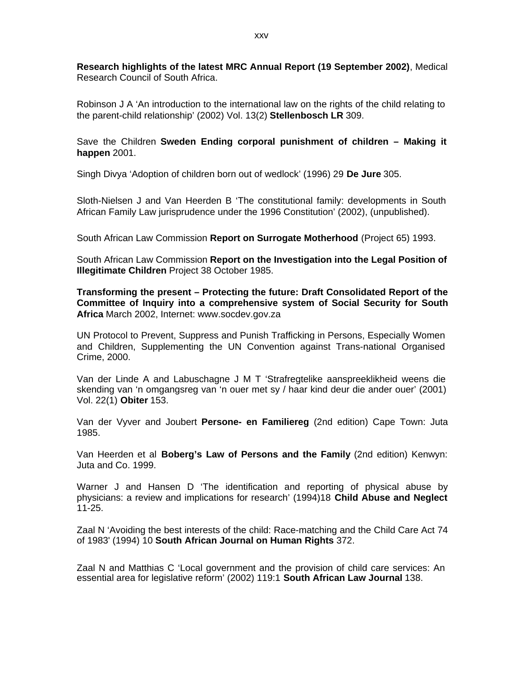**Research highlights of the latest MRC Annual Report (19 September 2002)**, Medical Research Council of South Africa.

Robinson J A 'An introduction to the international law on the rights of the child relating to the parent-child relationship' (2002) Vol. 13(2) **Stellenbosch LR** 309.

Save the Children **Sweden Ending corporal punishment of children – Making it happen** 2001.

Singh Divya 'Adoption of children born out of wedlock' (1996) 29 **De Jure** 305.

Sloth-Nielsen J and Van Heerden B 'The constitutional family: developments in South African Family Law jurisprudence under the 1996 Constitution' (2002), (unpublished).

South African Law Commission **Report on Surrogate Motherhood** (Project 65) 1993.

South African Law Commission **Report on the Investigation into the Legal Position of Illegitimate Children** Project 38 October 1985.

**Transforming the present – Protecting the future: Draft Consolidated Report of the Committee of Inquiry into a comprehensive system of Social Security for South Africa** March 2002, Internet: www.socdev.gov.za

UN Protocol to Prevent, Suppress and Punish Trafficking in Persons, Especially Women and Children, Supplementing the UN Convention against Trans-national Organised Crime, 2000.

Van der Linde A and Labuschagne J M T 'Strafregtelike aanspreeklikheid weens die skending van 'n omgangsreg van 'n ouer met sy / haar kind deur die ander ouer' (2001) Vol. 22(1) **Obiter** 153.

Van der Vyver and Joubert **Persone- en Familiereg** (2nd edition) Cape Town: Juta 1985.

Van Heerden et al **Boberg's Law of Persons and the Family** (2nd edition) Kenwyn: Juta and Co. 1999.

Warner J and Hansen D 'The identification and reporting of physical abuse by physicians: a review and implications for research' (1994)18 **Child Abuse and Neglect** 11-25.

Zaal N 'Avoiding the best interests of the child: Race-matching and the Child Care Act 74 of 1983' (1994) 10 **South African Journal on Human Rights** 372.

Zaal N and Matthias C 'Local government and the provision of child care services: An essential area for legislative reform' (2002) 119:1 **South African Law Journal** 138.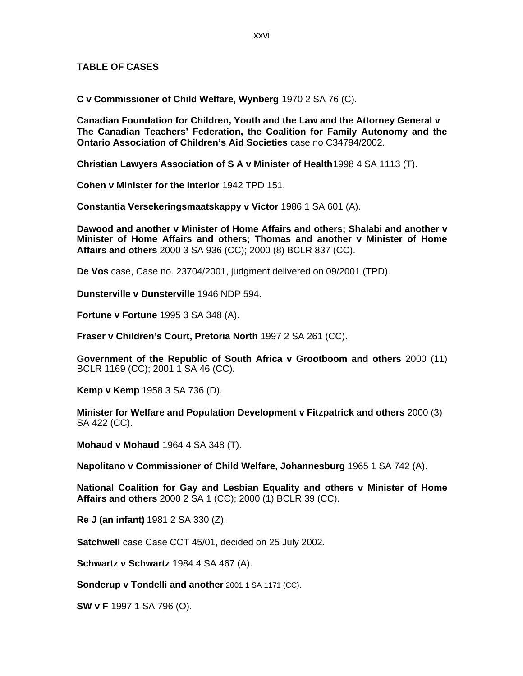#### **TABLE OF CASES**

**C v Commissioner of Child Welfare, Wynberg** 1970 2 SA 76 (C).

**Canadian Foundation for Children, Youth and the Law and the Attorney General v The Canadian Teachers' Federation, the Coalition for Family Autonomy and the Ontario Association of Children's Aid Societies** case no C34794/2002.

**Christian Lawyers Association of S A v Minister of Health**1998 4 SA 1113 (T).

**Cohen v Minister for the Interior** 1942 TPD 151.

**Constantia Versekeringsmaatskappy v Victor** 1986 1 SA 601 (A).

**Dawood and another v Minister of Home Affairs and others; Shalabi and another v Minister of Home Affairs and others; Thomas and another v Minister of Home Affairs and others** 2000 3 SA 936 (CC); 2000 (8) BCLR 837 (CC).

**De Vos** case, Case no. 23704/2001, judgment delivered on 09/2001 (TPD).

**Dunsterville v Dunsterville** 1946 NDP 594.

**Fortune v Fortune** 1995 3 SA 348 (A).

**Fraser v Children's Court, Pretoria North** 1997 2 SA 261 (CC).

**Government of the Republic of South Africa v Grootboom and others** 2000 (11) BCLR 1169 (CC); 2001 1 SA 46 (CC).

**Kemp v Kemp** 1958 3 SA 736 (D).

**Minister for Welfare and Population Development v Fitzpatrick and others** 2000 (3) SA 422 (CC).

**Mohaud v Mohaud** 1964 4 SA 348 (T).

**Napolitano v Commissioner of Child Welfare, Johannesburg** 1965 1 SA 742 (A).

**National Coalition for Gay and Lesbian Equality and others v Minister of Home Affairs and others** 2000 2 SA 1 (CC); 2000 (1) BCLR 39 (CC).

**Re J (an infant)** 1981 2 SA 330 (Z).

**Satchwell** case Case CCT 45/01, decided on 25 July 2002.

**Schwartz v Schwartz** 1984 4 SA 467 (A).

**Sonderup v Tondelli and another** 2001 1 SA 1171 (CC).

**SW v F** 1997 1 SA 796 (O).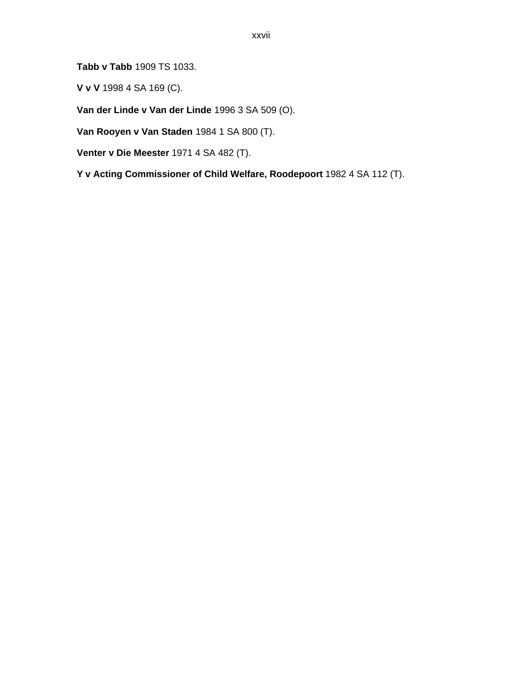**Tabb v Tabb** 1909 TS 1033.

**V v V** 1998 4 SA 169 (C).

**Van der Linde v Van der Linde** 1996 3 SA 509 (O).

**Van Rooyen v Van Staden** 1984 1 SA 800 (T).

**Venter v Die Meester** 1971 4 SA 482 (T).

**Y v Acting Commissioner of Child Welfare, Roodepoort** 1982 4 SA 112 (T).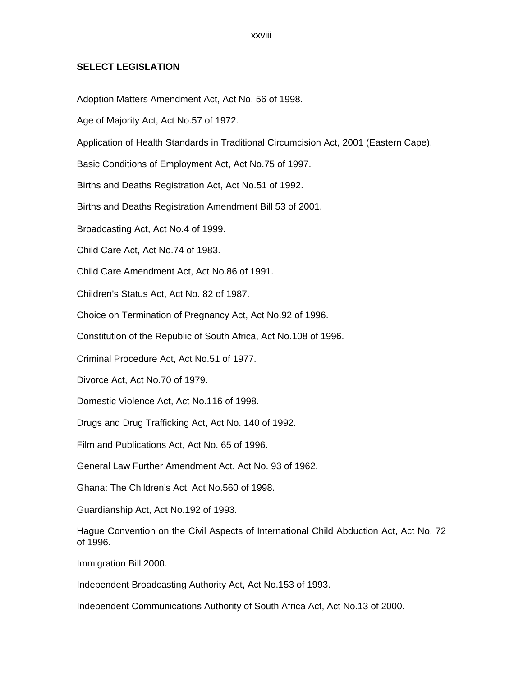xxviii

#### **SELECT LEGISLATION**

Adoption Matters Amendment Act, Act No. 56 of 1998.

Age of Majority Act, Act No.57 of 1972.

Application of Health Standards in Traditional Circumcision Act, 2001 (Eastern Cape).

Basic Conditions of Employment Act, Act No.75 of 1997.

Births and Deaths Registration Act, Act No.51 of 1992.

Births and Deaths Registration Amendment Bill 53 of 2001.

Broadcasting Act, Act No.4 of 1999.

Child Care Act, Act No.74 of 1983.

Child Care Amendment Act, Act No.86 of 1991.

Children's Status Act, Act No. 82 of 1987.

Choice on Termination of Pregnancy Act, Act No.92 of 1996.

Constitution of the Republic of South Africa, Act No.108 of 1996.

Criminal Procedure Act, Act No.51 of 1977.

Divorce Act, Act No.70 of 1979.

Domestic Violence Act, Act No.116 of 1998.

Drugs and Drug Trafficking Act, Act No. 140 of 1992.

Film and Publications Act, Act No. 65 of 1996.

General Law Further Amendment Act, Act No. 93 of 1962.

Ghana: The Children's Act, Act No.560 of 1998.

Guardianship Act, Act No.192 of 1993.

Hague Convention on the Civil Aspects of International Child Abduction Act, Act No. 72 of 1996.

Immigration Bill 2000.

Independent Broadcasting Authority Act, Act No.153 of 1993.

Independent Communications Authority of South Africa Act, Act No.13 of 2000.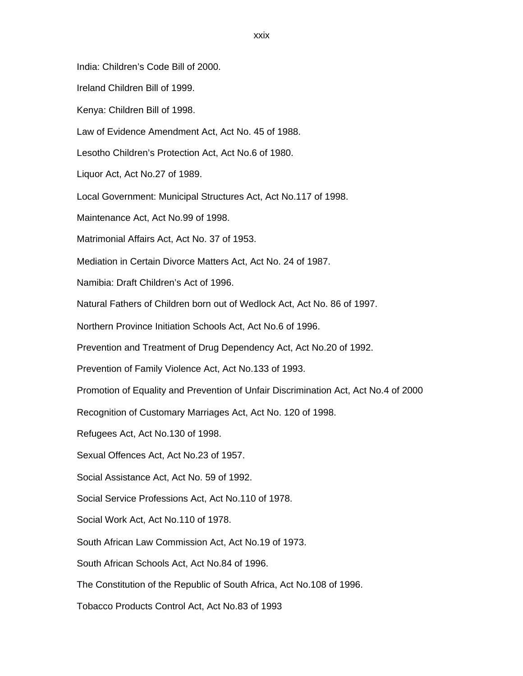India: Children's Code Bill of 2000.

Ireland Children Bill of 1999.

Kenya: Children Bill of 1998.

Law of Evidence Amendment Act, Act No. 45 of 1988.

Lesotho Children's Protection Act, Act No.6 of 1980.

Liquor Act, Act No.27 of 1989.

Local Government: Municipal Structures Act, Act No.117 of 1998.

Maintenance Act, Act No.99 of 1998.

Matrimonial Affairs Act, Act No. 37 of 1953.

Mediation in Certain Divorce Matters Act, Act No. 24 of 1987.

Namibia: Draft Children's Act of 1996.

Natural Fathers of Children born out of Wedlock Act, Act No. 86 of 1997.

Northern Province Initiation Schools Act, Act No.6 of 1996.

Prevention and Treatment of Drug Dependency Act, Act No.20 of 1992.

Prevention of Family Violence Act, Act No.133 of 1993.

Promotion of Equality and Prevention of Unfair Discrimination Act, Act No.4 of 2000

Recognition of Customary Marriages Act, Act No. 120 of 1998.

Refugees Act, Act No.130 of 1998.

Sexual Offences Act, Act No.23 of 1957.

Social Assistance Act, Act No. 59 of 1992.

Social Service Professions Act, Act No.110 of 1978.

Social Work Act, Act No.110 of 1978.

South African Law Commission Act, Act No.19 of 1973.

South African Schools Act, Act No.84 of 1996.

The Constitution of the Republic of South Africa, Act No.108 of 1996.

Tobacco Products Control Act, Act No.83 of 1993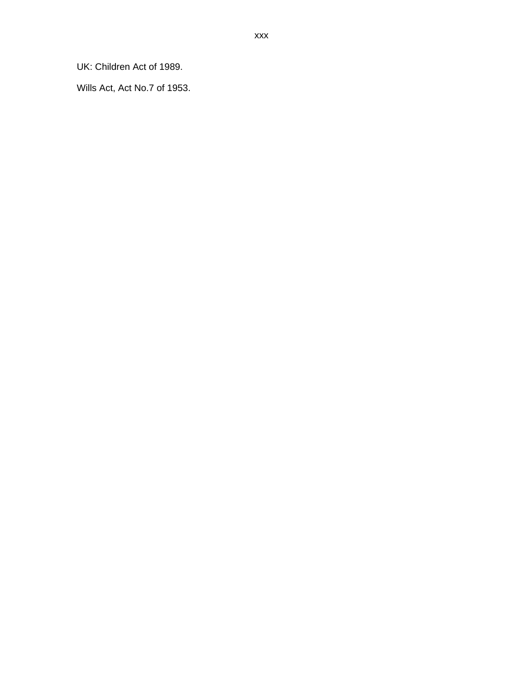UK: Children Act of 1989.

Wills Act, Act No.7 of 1953.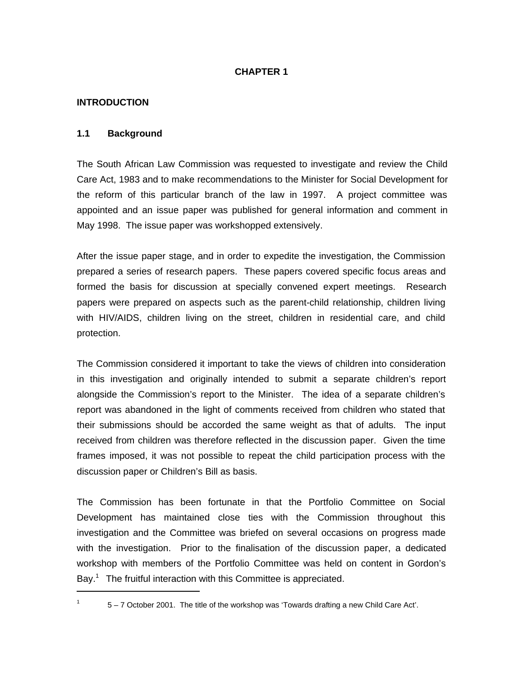#### **CHAPTER 1**

#### **INTRODUCTION**

#### **1.1 Background**

The South African Law Commission was requested to investigate and review the Child Care Act, 1983 and to make recommendations to the Minister for Social Development for the reform of this particular branch of the law in 1997. A project committee was appointed and an issue paper was published for general information and comment in May 1998. The issue paper was workshopped extensively.

After the issue paper stage, and in order to expedite the investigation, the Commission prepared a series of research papers. These papers covered specific focus areas and formed the basis for discussion at specially convened expert meetings. Research papers were prepared on aspects such as the parent-child relationship, children living with HIV/AIDS, children living on the street, children in residential care, and child protection.

The Commission considered it important to take the views of children into consideration in this investigation and originally intended to submit a separate children's report alongside the Commission's report to the Minister. The idea of a separate children's report was abandoned in the light of comments received from children who stated that their submissions should be accorded the same weight as that of adults. The input received from children was therefore reflected in the discussion paper. Given the time frames imposed, it was not possible to repeat the child participation process with the discussion paper or Children's Bill as basis.

The Commission has been fortunate in that the Portfolio Committee on Social Development has maintained close ties with the Commission throughout this investigation and the Committee was briefed on several occasions on progress made with the investigation. Prior to the finalisation of the discussion paper, a dedicated workshop with members of the Portfolio Committee was held on content in Gordon's Bay.<sup>1</sup> The fruitful interaction with this Committee is appreciated.

1 1

<sup>5 – 7</sup> October 2001. The title of the workshop was 'Towards drafting a new Child Care Act'.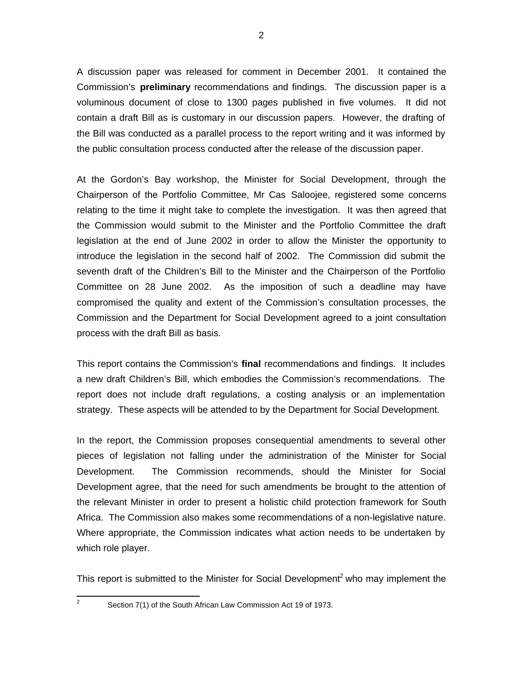A discussion paper was released for comment in December 2001. It contained the Commission's **preliminary** recommendations and findings. The discussion paper is a voluminous document of close to 1300 pages published in five volumes. It did not contain a draft Bill as is customary in our discussion papers. However, the drafting of the Bill was conducted as a parallel process to the report writing and it was informed by the public consultation process conducted after the release of the discussion paper.

At the Gordon's Bay workshop, the Minister for Social Development, through the Chairperson of the Portfolio Committee, Mr Cas Saloojee, registered some concerns relating to the time it might take to complete the investigation. It was then agreed that the Commission would submit to the Minister and the Portfolio Committee the draft legislation at the end of June 2002 in order to allow the Minister the opportunity to introduce the legislation in the second half of 2002. The Commission did submit the seventh draft of the Children's Bill to the Minister and the Chairperson of the Portfolio Committee on 28 June 2002. As the imposition of such a deadline may have compromised the quality and extent of the Commission's consultation processes, the Commission and the Department for Social Development agreed to a joint consultation process with the draft Bill as basis.

This report contains the Commission's **final** recommendations and findings. It includes a new draft Children's Bill, which embodies the Commission's recommendations. The report does not include draft regulations, a costing analysis or an implementation strategy. These aspects will be attended to by the Department for Social Development.

In the report, the Commission proposes consequential amendments to several other pieces of legislation not falling under the administration of the Minister for Social Development. The Commission recommends, should the Minister for Social Development agree, that the need for such amendments be brought to the attention of the relevant Minister in order to present a holistic child protection framework for South Africa. The Commission also makes some recommendations of a non-legislative nature. Where appropriate, the Commission indicates what action needs to be undertaken by which role player.

This report is submitted to the Minister for Social Development<sup>2</sup> who may implement the

Section 7(1) of the South African Law Commission Act 19 of 1973.

<sup>2</sup>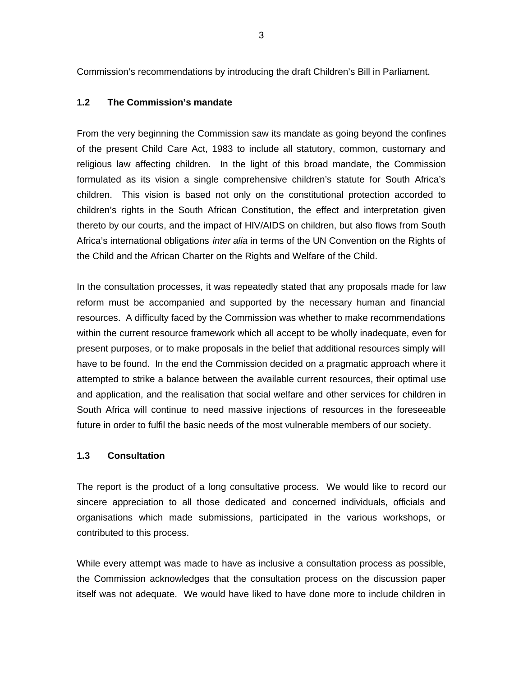Commission's recommendations by introducing the draft Children's Bill in Parliament.

#### **1.2 The Commission's mandate**

From the very beginning the Commission saw its mandate as going beyond the confines of the present Child Care Act, 1983 to include all statutory, common, customary and religious law affecting children. In the light of this broad mandate, the Commission formulated as its vision a single comprehensive children's statute for South Africa's children. This vision is based not only on the constitutional protection accorded to children's rights in the South African Constitution, the effect and interpretation given thereto by our courts, and the impact of HIV/AIDS on children, but also flows from South Africa's international obligations *inter alia* in terms of the UN Convention on the Rights of the Child and the African Charter on the Rights and Welfare of the Child.

In the consultation processes, it was repeatedly stated that any proposals made for law reform must be accompanied and supported by the necessary human and financial resources. A difficulty faced by the Commission was whether to make recommendations within the current resource framework which all accept to be wholly inadequate, even for present purposes, or to make proposals in the belief that additional resources simply will have to be found. In the end the Commission decided on a pragmatic approach where it attempted to strike a balance between the available current resources, their optimal use and application, and the realisation that social welfare and other services for children in South Africa will continue to need massive injections of resources in the foreseeable future in order to fulfil the basic needs of the most vulnerable members of our society.

#### **1.3 Consultation**

The report is the product of a long consultative process. We would like to record our sincere appreciation to all those dedicated and concerned individuals, officials and organisations which made submissions, participated in the various workshops, or contributed to this process.

While every attempt was made to have as inclusive a consultation process as possible, the Commission acknowledges that the consultation process on the discussion paper itself was not adequate. We would have liked to have done more to include children in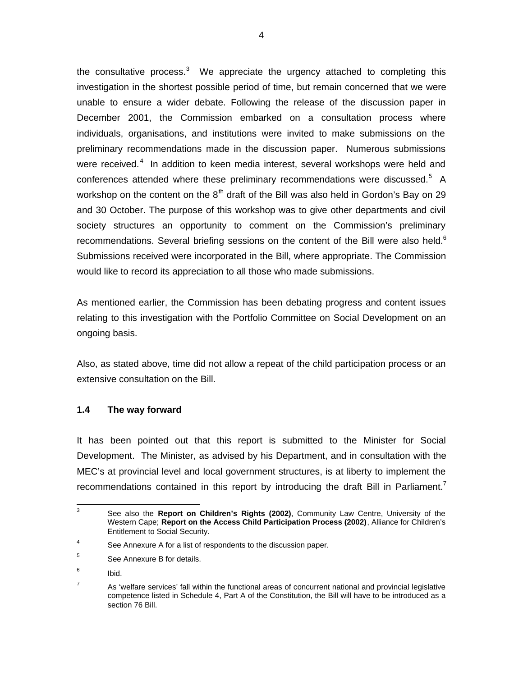the consultative process.<sup>3</sup> We appreciate the urgency attached to completing this investigation in the shortest possible period of time, but remain concerned that we were unable to ensure a wider debate. Following the release of the discussion paper in December 2001, the Commission embarked on a consultation process where individuals, organisations, and institutions were invited to make submissions on the preliminary recommendations made in the discussion paper. Numerous submissions were received.<sup>4</sup> In addition to keen media interest, several workshops were held and conferences attended where these preliminary recommendations were discussed.<sup>5</sup> A workshop on the content on the  $8<sup>th</sup>$  draft of the Bill was also held in Gordon's Bay on 29 and 30 October. The purpose of this workshop was to give other departments and civil society structures an opportunity to comment on the Commission's preliminary recommendations. Several briefing sessions on the content of the Bill were also held. $6$ Submissions received were incorporated in the Bill, where appropriate. The Commission would like to record its appreciation to all those who made submissions.

As mentioned earlier, the Commission has been debating progress and content issues relating to this investigation with the Portfolio Committee on Social Development on an ongoing basis.

Also, as stated above, time did not allow a repeat of the child participation process or an extensive consultation on the Bill.

#### **1.4 The way forward**

It has been pointed out that this report is submitted to the Minister for Social Development. The Minister, as advised by his Department, and in consultation with the MEC's at provincial level and local government structures, is at liberty to implement the recommendations contained in this report by introducing the draft Bill in Parliament.<sup>7</sup>

<sup>-&</sup>lt;br>3 See also the **Report on Children's Rights (2002)**, Community Law Centre, University of the Western Cape; **Report on the Access Child Participation Process (2002)**, Alliance for Children's Entitlement to Social Security.

<sup>4</sup> See Annexure A for a list of respondents to the discussion paper.

<sup>5</sup> See Annexure B for details.

<sup>6</sup> Ibid.

<sup>7</sup> As 'welfare services' fall within the functional areas of concurrent national and provincial legislative competence listed in Schedule 4, Part A of the Constitution, the Bill will have to be introduced as a section 76 Bill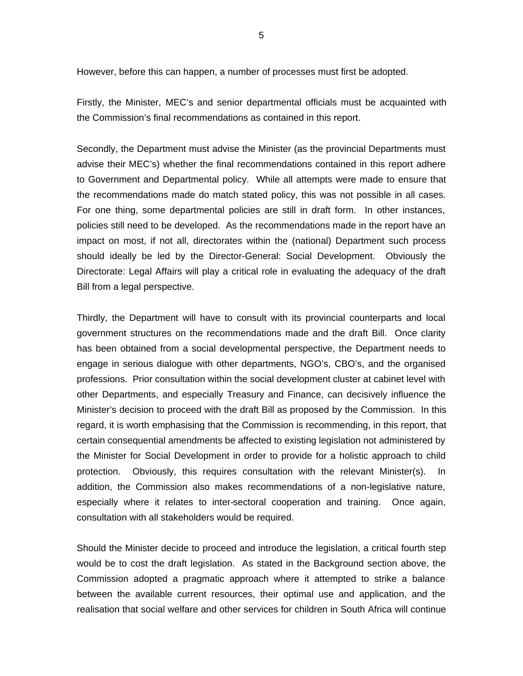However, before this can happen, a number of processes must first be adopted.

Firstly, the Minister, MEC's and senior departmental officials must be acquainted with the Commission's final recommendations as contained in this report.

Secondly, the Department must advise the Minister (as the provincial Departments must advise their MEC's) whether the final recommendations contained in this report adhere to Government and Departmental policy. While all attempts were made to ensure that the recommendations made do match stated policy, this was not possible in all cases. For one thing, some departmental policies are still in draft form. In other instances, policies still need to be developed. As the recommendations made in the report have an impact on most, if not all, directorates within the (national) Department such process should ideally be led by the Director-General: Social Development. Obviously the Directorate: Legal Affairs will play a critical role in evaluating the adequacy of the draft Bill from a legal perspective.

Thirdly, the Department will have to consult with its provincial counterparts and local government structures on the recommendations made and the draft Bill. Once clarity has been obtained from a social developmental perspective, the Department needs to engage in serious dialogue with other departments, NGO's, CBO's, and the organised professions. Prior consultation within the social development cluster at cabinet level with other Departments, and especially Treasury and Finance, can decisively influence the Minister's decision to proceed with the draft Bill as proposed by the Commission. In this regard, it is worth emphasising that the Commission is recommending, in this report, that certain consequential amendments be affected to existing legislation not administered by the Minister for Social Development in order to provide for a holistic approach to child protection. Obviously, this requires consultation with the relevant Minister(s). In addition, the Commission also makes recommendations of a non-legislative nature, especially where it relates to inter-sectoral cooperation and training. Once again, consultation with all stakeholders would be required.

Should the Minister decide to proceed and introduce the legislation, a critical fourth step would be to cost the draft legislation. As stated in the Background section above, the Commission adopted a pragmatic approach where it attempted to strike a balance between the available current resources, their optimal use and application, and the realisation that social welfare and other services for children in South Africa will continue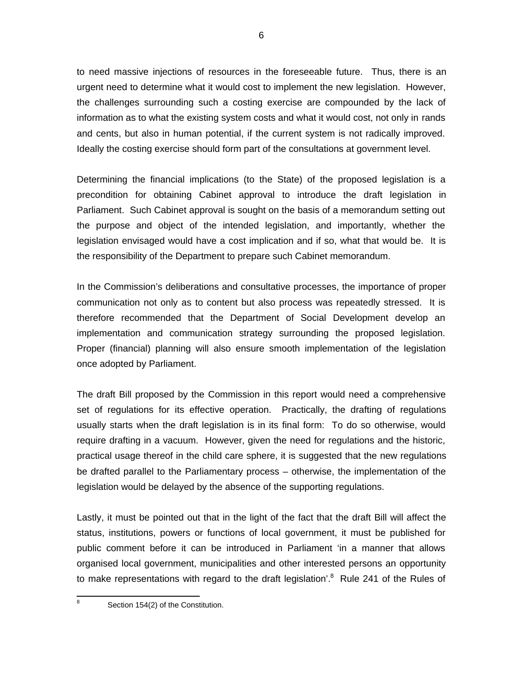to need massive injections of resources in the foreseeable future. Thus, there is an urgent need to determine what it would cost to implement the new legislation. However, the challenges surrounding such a costing exercise are compounded by the lack of information as to what the existing system costs and what it would cost, not only in rands and cents, but also in human potential, if the current system is not radically improved. Ideally the costing exercise should form part of the consultations at government level.

Determining the financial implications (to the State) of the proposed legislation is a precondition for obtaining Cabinet approval to introduce the draft legislation in Parliament. Such Cabinet approval is sought on the basis of a memorandum setting out the purpose and object of the intended legislation, and importantly, whether the legislation envisaged would have a cost implication and if so, what that would be. It is the responsibility of the Department to prepare such Cabinet memorandum.

In the Commission's deliberations and consultative processes, the importance of proper communication not only as to content but also process was repeatedly stressed. It is therefore recommended that the Department of Social Development develop an implementation and communication strategy surrounding the proposed legislation. Proper (financial) planning will also ensure smooth implementation of the legislation once adopted by Parliament.

The draft Bill proposed by the Commission in this report would need a comprehensive set of regulations for its effective operation. Practically, the drafting of regulations usually starts when the draft legislation is in its final form: To do so otherwise, would require drafting in a vacuum. However, given the need for regulations and the historic, practical usage thereof in the child care sphere, it is suggested that the new regulations be drafted parallel to the Parliamentary process – otherwise, the implementation of the legislation would be delayed by the absence of the supporting regulations.

Lastly, it must be pointed out that in the light of the fact that the draft Bill will affect the status, institutions, powers or functions of local government, it must be published for public comment before it can be introduced in Parliament 'in a manner that allows organised local government, municipalities and other interested persons an opportunity to make representations with regard to the draft legislation'.<sup>8</sup> Rule 241 of the Rules of

8

Section 154(2) of the Constitution.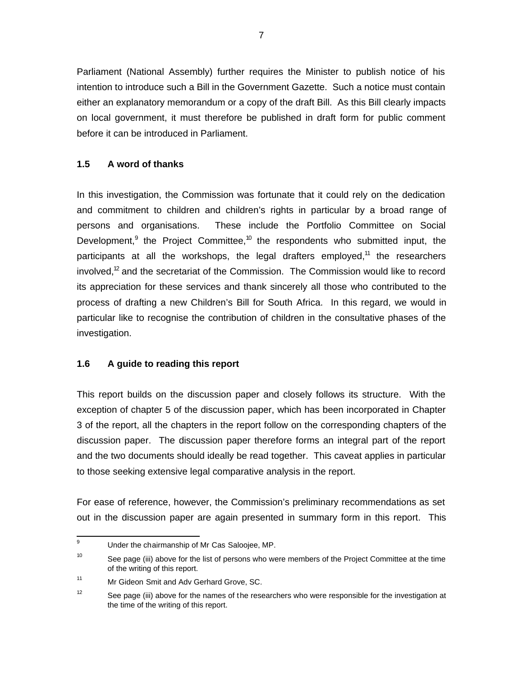Parliament (National Assembly) further requires the Minister to publish notice of his intention to introduce such a Bill in the Government Gazette. Such a notice must contain either an explanatory memorandum or a copy of the draft Bill. As this Bill clearly impacts on local government, it must therefore be published in draft form for public comment before it can be introduced in Parliament.

# **1.5 A word of thanks**

In this investigation, the Commission was fortunate that it could rely on the dedication and commitment to children and children's rights in particular by a broad range of persons and organisations. These include the Portfolio Committee on Social Development,<sup>9</sup> the Project Committee,<sup>10</sup> the respondents who submitted input, the participants at all the workshops, the legal drafters employed,<sup>11</sup> the researchers involved,<sup>12</sup> and the secretariat of the Commission. The Commission would like to record its appreciation for these services and thank sincerely all those who contributed to the process of drafting a new Children's Bill for South Africa. In this regard, we would in particular like to recognise the contribution of children in the consultative phases of the investigation.

# **1.6 A guide to reading this report**

This report builds on the discussion paper and closely follows its structure. With the exception of chapter 5 of the discussion paper, which has been incorporated in Chapter 3 of the report, all the chapters in the report follow on the corresponding chapters of the discussion paper. The discussion paper therefore forms an integral part of the report and the two documents should ideally be read together. This caveat applies in particular to those seeking extensive legal comparative analysis in the report.

For ease of reference, however, the Commission's preliminary recommendations as set out in the discussion paper are again presented in summary form in this report. This

 9 Under the chairmanship of Mr Cas Saloojee, MP.

<sup>10</sup> See page (iii) above for the list of persons who were members of the Project Committee at the time of the writing of this report.

<sup>11</sup> Mr Gideon Smit and Adv Gerhard Grove, SC.

<sup>12</sup> See page (iii) above for the names of the researchers who were responsible for the investigation at the time of the writing of this report.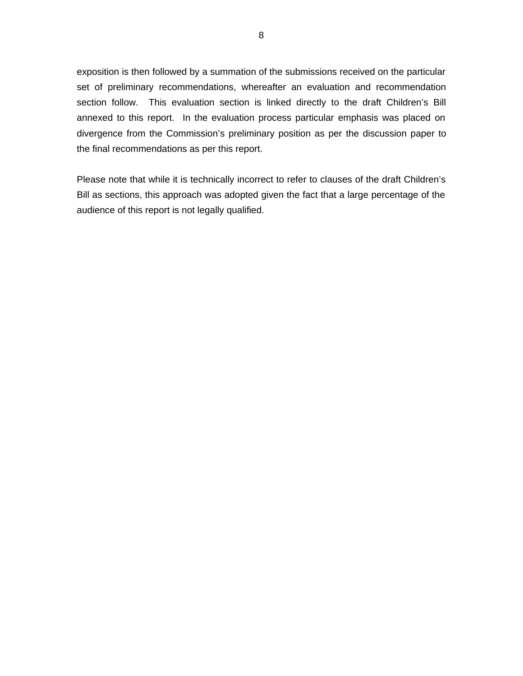exposition is then followed by a summation of the submissions received on the particular set of preliminary recommendations, whereafter an evaluation and recommendation section follow. This evaluation section is linked directly to the draft Children's Bill annexed to this report. In the evaluation process particular emphasis was placed on divergence from the Commission's preliminary position as per the discussion paper to the final recommendations as per this report.

Please note that while it is technically incorrect to refer to clauses of the draft Children's Bill as sections, this approach was adopted given the fact that a large percentage of the audience of this report is not legally qualified.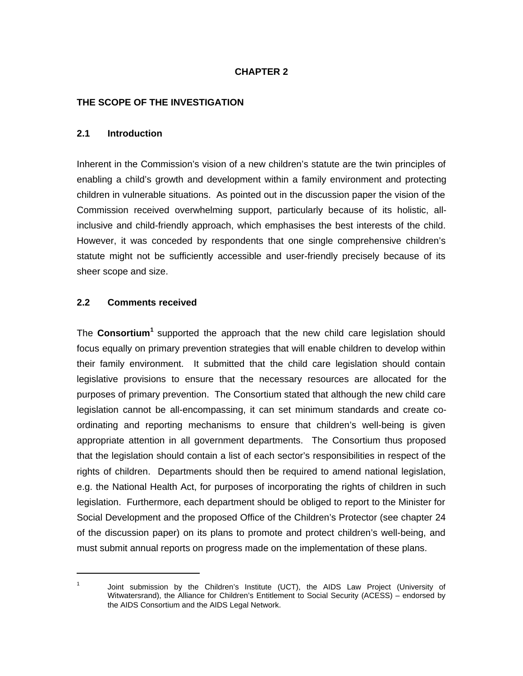### **CHAPTER 2**

### **THE SCOPE OF THE INVESTIGATION**

#### **2.1 Introduction**

Inherent in the Commission's vision of a new children's statute are the twin principles of enabling a child's growth and development within a family environment and protecting children in vulnerable situations. As pointed out in the discussion paper the vision of the Commission received overwhelming support, particularly because of its holistic, allinclusive and child-friendly approach, which emphasises the best interests of the child. However, it was conceded by respondents that one single comprehensive children's statute might not be sufficiently accessible and user-friendly precisely because of its sheer scope and size.

### **2.2 Comments received**

1

The Consortium<sup>1</sup> supported the approach that the new child care legislation should focus equally on primary prevention strategies that will enable children to develop within their family environment. It submitted that the child care legislation should contain legislative provisions to ensure that the necessary resources are allocated for the purposes of primary prevention. The Consortium stated that although the new child care legislation cannot be all-encompassing, it can set minimum standards and create coordinating and reporting mechanisms to ensure that children's well-being is given appropriate attention in all government departments. The Consortium thus proposed that the legislation should contain a list of each sector's responsibilities in respect of the rights of children. Departments should then be required to amend national legislation, e.g. the National Health Act, for purposes of incorporating the rights of children in such legislation. Furthermore, each department should be obliged to report to the Minister for Social Development and the proposed Office of the Children's Protector (see chapter 24 of the discussion paper) on its plans to promote and protect children's well-being, and must submit annual reports on progress made on the implementation of these plans.

<sup>1</sup> Joint submission by the Children's Institute (UCT), the AIDS Law Project (University of Witwatersrand), the Alliance for Children's Entitlement to Social Security (ACESS) – endorsed by the AIDS Consortium and the AIDS Legal Network.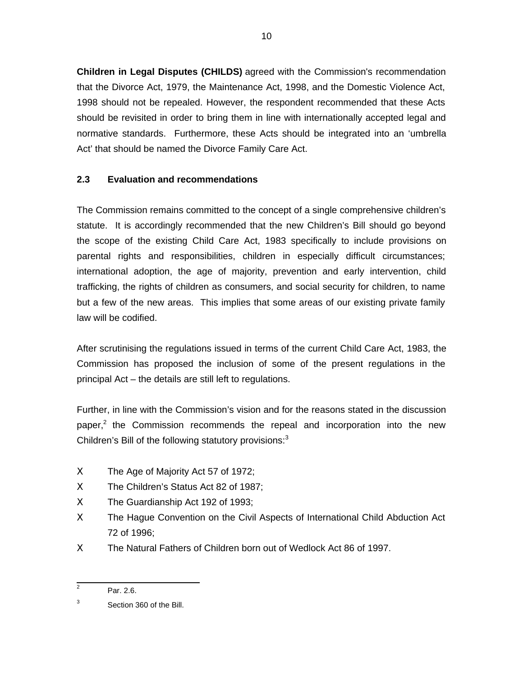**Children in Legal Disputes (CHILDS)** agreed with the Commission's recommendation that the Divorce Act, 1979, the Maintenance Act, 1998, and the Domestic Violence Act, 1998 should not be repealed. However, the respondent recommended that these Acts should be revisited in order to bring them in line with internationally accepted legal and normative standards. Furthermore, these Acts should be integrated into an 'umbrella Act' that should be named the Divorce Family Care Act.

# **2.3 Evaluation and recommendations**

The Commission remains committed to the concept of a single comprehensive children's statute. It is accordingly recommended that the new Children's Bill should go beyond the scope of the existing Child Care Act, 1983 specifically to include provisions on parental rights and responsibilities, children in especially difficult circumstances; international adoption, the age of majority, prevention and early intervention, child trafficking, the rights of children as consumers, and social security for children, to name but a few of the new areas. This implies that some areas of our existing private family law will be codified.

After scrutinising the regulations issued in terms of the current Child Care Act, 1983, the Commission has proposed the inclusion of some of the present regulations in the principal Act – the details are still left to regulations.

Further, in line with the Commission's vision and for the reasons stated in the discussion paper,<sup>2</sup> the Commission recommends the repeal and incorporation into the new Children's Bill of the following statutory provisions: $3$ 

- Χ The Age of Majority Act 57 of 1972;
- Χ The Children's Status Act 82 of 1987;
- Χ The Guardianship Act 192 of 1993;
- Χ The Hague Convention on the Civil Aspects of International Child Abduction Act 72 of 1996;
- Χ The Natural Fathers of Children born out of Wedlock Act 86 of 1997.

<sup>&</sup>lt;sup>2</sup> Par. 2.6.

<sup>3</sup> Section 360 of the Bill.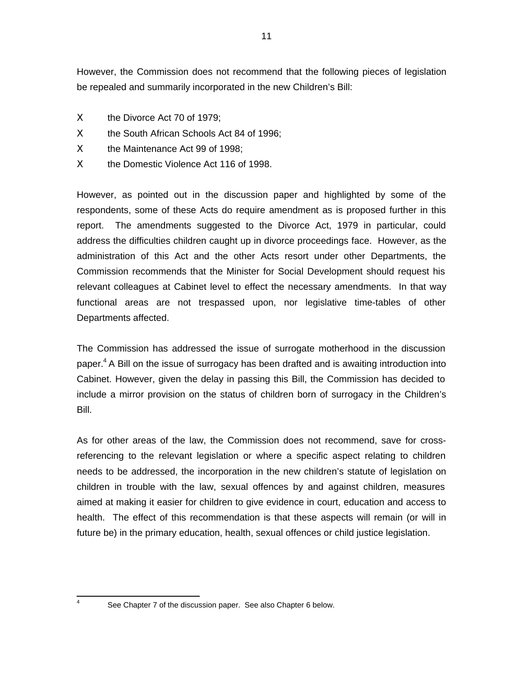However, the Commission does not recommend that the following pieces of legislation be repealed and summarily incorporated in the new Children's Bill:

- Χ the Divorce Act 70 of 1979;
- Χ the South African Schools Act 84 of 1996;
- Χ the Maintenance Act 99 of 1998;
- Χ the Domestic Violence Act 116 of 1998.

However, as pointed out in the discussion paper and highlighted by some of the respondents, some of these Acts do require amendment as is proposed further in this report. The amendments suggested to the Divorce Act, 1979 in particular, could address the difficulties children caught up in divorce proceedings face. However, as the administration of this Act and the other Acts resort under other Departments, the Commission recommends that the Minister for Social Development should request his relevant colleagues at Cabinet level to effect the necessary amendments. In that way functional areas are not trespassed upon, nor legislative time-tables of other Departments affected.

The Commission has addressed the issue of surrogate motherhood in the discussion paper.<sup>4</sup> A Bill on the issue of surrogacy has been drafted and is awaiting introduction into Cabinet. However, given the delay in passing this Bill, the Commission has decided to include a mirror provision on the status of children born of surrogacy in the Children's Bill.

As for other areas of the law, the Commission does not recommend, save for crossreferencing to the relevant legislation or where a specific aspect relating to children needs to be addressed, the incorporation in the new children's statute of legislation on children in trouble with the law, sexual offences by and against children, measures aimed at making it easier for children to give evidence in court, education and access to health. The effect of this recommendation is that these aspects will remain (or will in future be) in the primary education, health, sexual offences or child justice legislation.

 4

See Chapter 7 of the discussion paper. See also Chapter 6 below.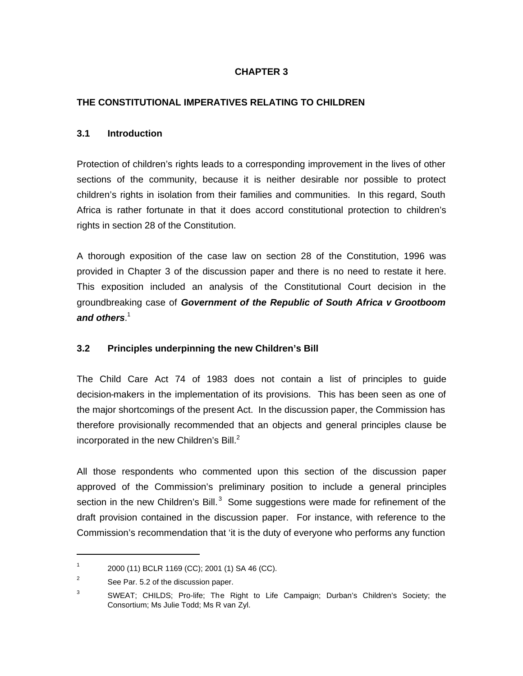### **CHAPTER 3**

### **THE CONSTITUTIONAL IMPERATIVES RELATING TO CHILDREN**

#### **3.1 Introduction**

Protection of children's rights leads to a corresponding improvement in the lives of other sections of the community, because it is neither desirable nor possible to protect children's rights in isolation from their families and communities. In this regard, South Africa is rather fortunate in that it does accord constitutional protection to children's rights in section 28 of the Constitution.

A thorough exposition of the case law on section 28 of the Constitution, 1996 was provided in Chapter 3 of the discussion paper and there is no need to restate it here. This exposition included an analysis of the Constitutional Court decision in the groundbreaking case of **Government of the Republic of South Africa v Grootboom and others**. 1

### **3.2 Principles underpinning the new Children's Bill**

The Child Care Act 74 of 1983 does not contain a list of principles to guide decision-makers in the implementation of its provisions. This has been seen as one of the major shortcomings of the present Act. In the discussion paper, the Commission has therefore provisionally recommended that an objects and general principles clause be incorporated in the new Children's Bill. $<sup>2</sup>$ </sup>

All those respondents who commented upon this section of the discussion paper approved of the Commission's preliminary position to include a general principles section in the new Children's Bill.<sup>3</sup> Some suggestions were made for refinement of the draft provision contained in the discussion paper. For instance, with reference to the Commission's recommendation that 'it is the duty of everyone who performs any function

1

<sup>1</sup> 2000 (11) BCLR 1169 (CC); 2001 (1) SA 46 (CC).

<sup>2</sup> See Par. 5.2 of the discussion paper.

<sup>3</sup> SWEAT; CHILDS; Pro-life; The Right to Life Campaign; Durban's Children's Society; the Consortium; Ms Julie Todd; Ms R van Zyl.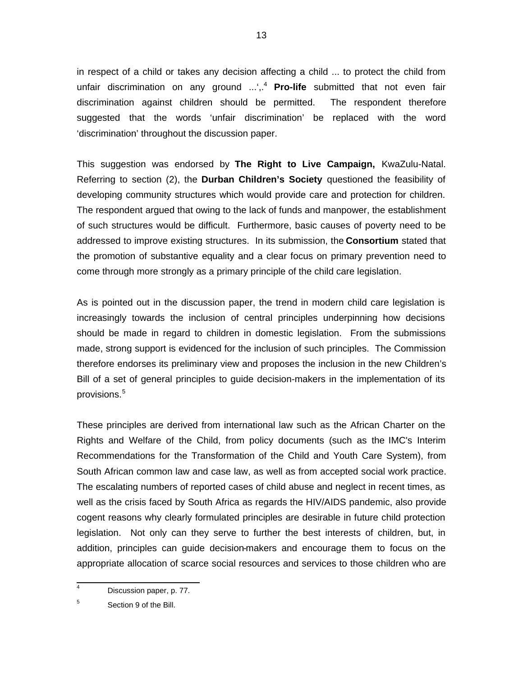in respect of a child or takes any decision affecting a child ... to protect the child from unfair discrimination on any ground ...',.<sup>4</sup> **Pro-life** submitted that not even fair discrimination against children should be permitted. The respondent therefore suggested that the words 'unfair discrimination' be replaced with the word 'discrimination' throughout the discussion paper.

This suggestion was endorsed by **The Right to Live Campaign,** KwaZulu-Natal. Referring to section (2), the **Durban Children's Society** questioned the feasibility of developing community structures which would provide care and protection for children. The respondent argued that owing to the lack of funds and manpower, the establishment of such structures would be difficult. Furthermore, basic causes of poverty need to be addressed to improve existing structures. In its submission, the **Consortium** stated that the promotion of substantive equality and a clear focus on primary prevention need to come through more strongly as a primary principle of the child care legislation.

As is pointed out in the discussion paper, the trend in modern child care legislation is increasingly towards the inclusion of central principles underpinning how decisions should be made in regard to children in domestic legislation. From the submissions made, strong support is evidenced for the inclusion of such principles. The Commission therefore endorses its preliminary view and proposes the inclusion in the new Children's Bill of a set of general principles to guide decision-makers in the implementation of its provisions.<sup>5</sup>

These principles are derived from international law such as the African Charter on the Rights and Welfare of the Child, from policy documents (such as the IMC's Interim Recommendations for the Transformation of the Child and Youth Care System), from South African common law and case law, as well as from accepted social work practice. The escalating numbers of reported cases of child abuse and neglect in recent times, as well as the crisis faced by South Africa as regards the HIV/AIDS pandemic, also provide cogent reasons why clearly formulated principles are desirable in future child protection legislation. Not only can they serve to further the best interests of children, but, in addition, principles can guide decision-makers and encourage them to focus on the appropriate allocation of scarce social resources and services to those children who are

<sup>-&</sup>lt;br>4 Discussion paper, p. 77.

<sup>5</sup> Section 9 of the Bill.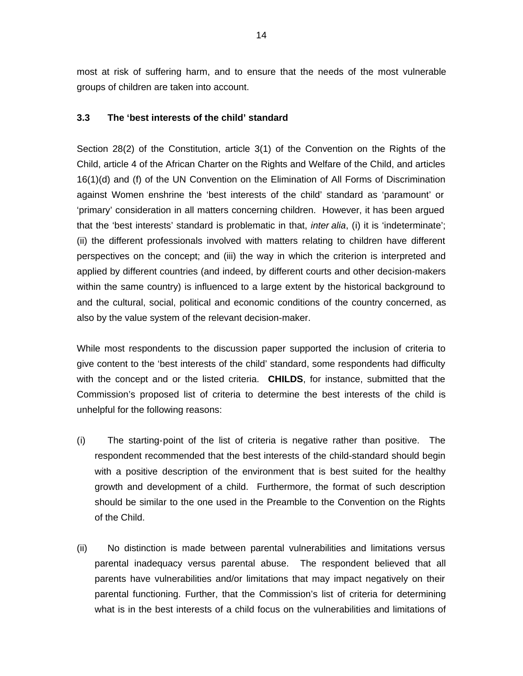most at risk of suffering harm, and to ensure that the needs of the most vulnerable groups of children are taken into account.

#### **3.3 The 'best interests of the child' standard**

Section 28(2) of the Constitution, article 3(1) of the Convention on the Rights of the Child, article 4 of the African Charter on the Rights and Welfare of the Child, and articles 16(1)(d) and (f) of the UN Convention on the Elimination of All Forms of Discrimination against Women enshrine the 'best interests of the child' standard as 'paramount' or 'primary' consideration in all matters concerning children. However, it has been argued that the 'best interests' standard is problematic in that, *inter alia*, (i) it is 'indeterminate'; (ii) the different professionals involved with matters relating to children have different perspectives on the concept; and (iii) the way in which the criterion is interpreted and applied by different countries (and indeed, by different courts and other decision-makers within the same country) is influenced to a large extent by the historical background to and the cultural, social, political and economic conditions of the country concerned, as also by the value system of the relevant decision-maker.

While most respondents to the discussion paper supported the inclusion of criteria to give content to the 'best interests of the child' standard, some respondents had difficulty with the concept and or the listed criteria. **CHILDS**, for instance, submitted that the Commission's proposed list of criteria to determine the best interests of the child is unhelpful for the following reasons:

- (i) The starting-point of the list of criteria is negative rather than positive. The respondent recommended that the best interests of the child-standard should begin with a positive description of the environment that is best suited for the healthy growth and development of a child. Furthermore, the format of such description should be similar to the one used in the Preamble to the Convention on the Rights of the Child.
- (ii) No distinction is made between parental vulnerabilities and limitations versus parental inadequacy versus parental abuse. The respondent believed that all parents have vulnerabilities and/or limitations that may impact negatively on their parental functioning. Further, that the Commission's list of criteria for determining what is in the best interests of a child focus on the vulnerabilities and limitations of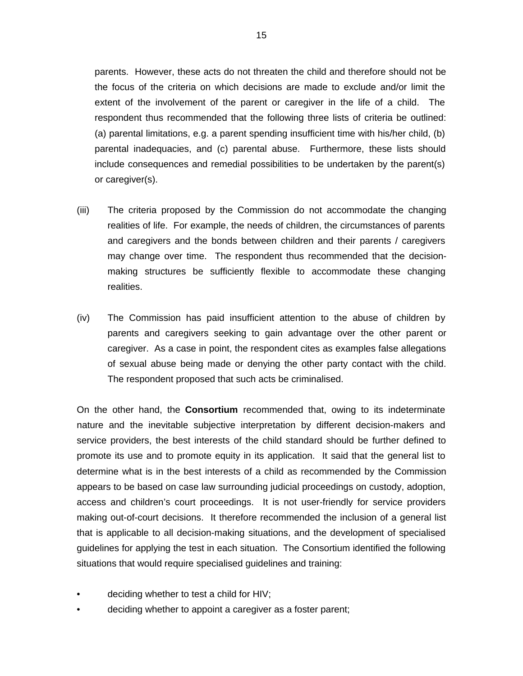parents. However, these acts do not threaten the child and therefore should not be the focus of the criteria on which decisions are made to exclude and/or limit the extent of the involvement of the parent or caregiver in the life of a child. The respondent thus recommended that the following three lists of criteria be outlined: (a) parental limitations, e.g. a parent spending insufficient time with his/her child, (b) parental inadequacies, and (c) parental abuse. Furthermore, these lists should include consequences and remedial possibilities to be undertaken by the parent(s) or caregiver(s).

- (iii) The criteria proposed by the Commission do not accommodate the changing realities of life. For example, the needs of children, the circumstances of parents and caregivers and the bonds between children and their parents / caregivers may change over time. The respondent thus recommended that the decisionmaking structures be sufficiently flexible to accommodate these changing realities.
- (iv) The Commission has paid insufficient attention to the abuse of children by parents and caregivers seeking to gain advantage over the other parent or caregiver. As a case in point, the respondent cites as examples false allegations of sexual abuse being made or denying the other party contact with the child. The respondent proposed that such acts be criminalised.

On the other hand, the **Consortium** recommended that, owing to its indeterminate nature and the inevitable subjective interpretation by different decision-makers and service providers, the best interests of the child standard should be further defined to promote its use and to promote equity in its application. It said that the general list to determine what is in the best interests of a child as recommended by the Commission appears to be based on case law surrounding judicial proceedings on custody, adoption, access and children's court proceedings. It is not user-friendly for service providers making out-of-court decisions. It therefore recommended the inclusion of a general list that is applicable to all decision-making situations, and the development of specialised guidelines for applying the test in each situation. The Consortium identified the following situations that would require specialised guidelines and training:

- deciding whether to test a child for HIV;
- deciding whether to appoint a caregiver as a foster parent;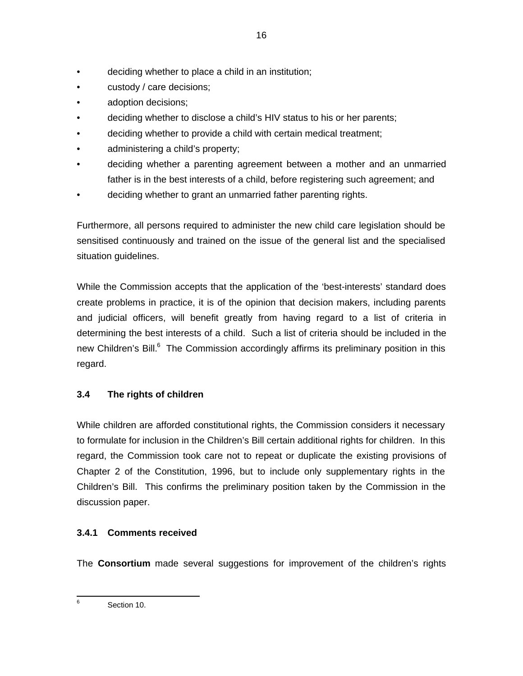- deciding whether to place a child in an institution;
- custody / care decisions;
- adoption decisions;
- deciding whether to disclose a child's HIV status to his or her parents;
- deciding whether to provide a child with certain medical treatment;
- administering a child's property;
- deciding whether a parenting agreement between a mother and an unmarried father is in the best interests of a child, before registering such agreement; and
- deciding whether to grant an unmarried father parenting rights.

Furthermore, all persons required to administer the new child care legislation should be sensitised continuously and trained on the issue of the general list and the specialised situation guidelines.

While the Commission accepts that the application of the 'best-interests' standard does create problems in practice, it is of the opinion that decision makers, including parents and judicial officers, will benefit greatly from having regard to a list of criteria in determining the best interests of a child. Such a list of criteria should be included in the new Children's Bill.<sup>6</sup> The Commission accordingly affirms its preliminary position in this regard.

# **3.4 The rights of children**

While children are afforded constitutional rights, the Commission considers it necessary to formulate for inclusion in the Children's Bill certain additional rights for children. In this regard, the Commission took care not to repeat or duplicate the existing provisions of Chapter 2 of the Constitution, 1996, but to include only supplementary rights in the Children's Bill. This confirms the preliminary position taken by the Commission in the discussion paper.

# **3.4.1 Comments received**

The **Consortium** made several suggestions for improvement of the children's rights

 6 Section 10.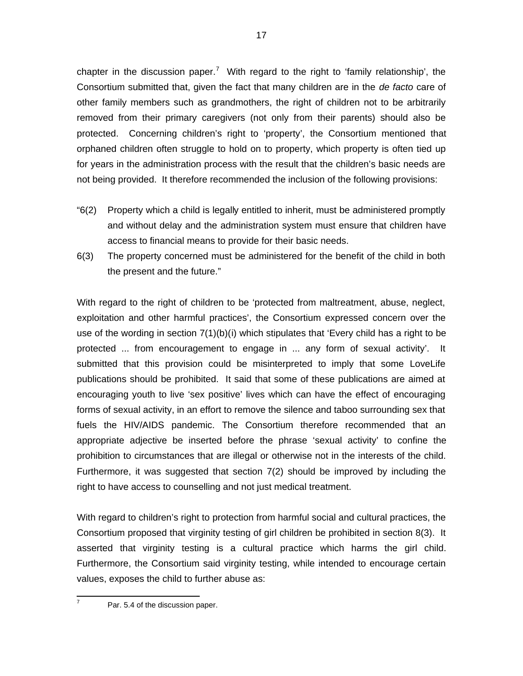chapter in the discussion paper.<sup>7</sup> With regard to the right to 'family relationship', the Consortium submitted that, given the fact that many children are in the de facto care of other family members such as grandmothers, the right of children not to be arbitrarily removed from their primary caregivers (not only from their parents) should also be protected. Concerning children's right to 'property', the Consortium mentioned that orphaned children often struggle to hold on to property, which property is often tied up for years in the administration process with the result that the children's basic needs are not being provided. It therefore recommended the inclusion of the following provisions:

- "6(2) Property which a child is legally entitled to inherit, must be administered promptly and without delay and the administration system must ensure that children have access to financial means to provide for their basic needs.
- 6(3) The property concerned must be administered for the benefit of the child in both the present and the future."

With regard to the right of children to be 'protected from maltreatment, abuse, neglect, exploitation and other harmful practices', the Consortium expressed concern over the use of the wording in section 7(1)(b)(i) which stipulates that 'Every child has a right to be protected ... from encouragement to engage in ... any form of sexual activity'. It submitted that this provision could be misinterpreted to imply that some LoveLife publications should be prohibited. It said that some of these publications are aimed at encouraging youth to live 'sex positive' lives which can have the effect of encouraging forms of sexual activity, in an effort to remove the silence and taboo surrounding sex that fuels the HIV/AIDS pandemic. The Consortium therefore recommended that an appropriate adjective be inserted before the phrase 'sexual activity' to confine the prohibition to circumstances that are illegal or otherwise not in the interests of the child. Furthermore, it was suggested that section 7(2) should be improved by including the right to have access to counselling and not just medical treatment.

With regard to children's right to protection from harmful social and cultural practices, the Consortium proposed that virginity testing of girl children be prohibited in section 8(3). It asserted that virginity testing is a cultural practice which harms the girl child. Furthermore, the Consortium said virginity testing, while intended to encourage certain values, exposes the child to further abuse as:

7

Par. 5.4 of the discussion paper.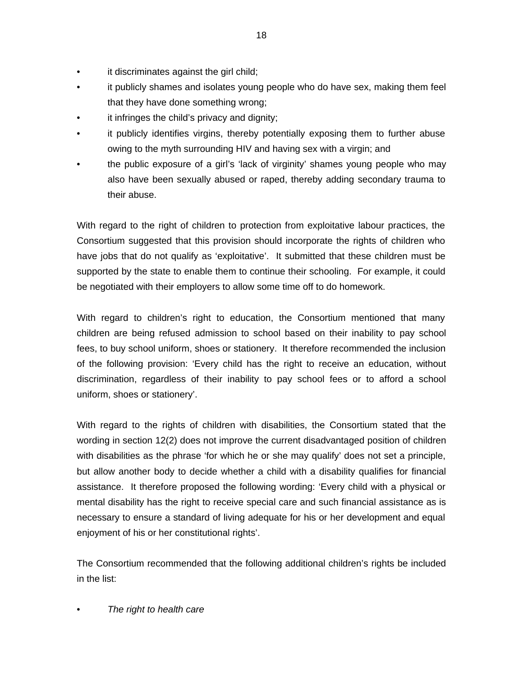- it discriminates against the girl child;
- it publicly shames and isolates young people who do have sex, making them feel that they have done something wrong;
- it infringes the child's privacy and dignity;
- it publicly identifies virgins, thereby potentially exposing them to further abuse owing to the myth surrounding HIV and having sex with a virgin; and
- the public exposure of a girl's 'lack of virginity' shames young people who may also have been sexually abused or raped, thereby adding secondary trauma to their abuse.

With regard to the right of children to protection from exploitative labour practices, the Consortium suggested that this provision should incorporate the rights of children who have jobs that do not qualify as 'exploitative'. It submitted that these children must be supported by the state to enable them to continue their schooling. For example, it could be negotiated with their employers to allow some time off to do homework.

With regard to children's right to education, the Consortium mentioned that many children are being refused admission to school based on their inability to pay school fees, to buy school uniform, shoes or stationery. It therefore recommended the inclusion of the following provision: 'Every child has the right to receive an education, without discrimination, regardless of their inability to pay school fees or to afford a school uniform, shoes or stationery'.

With regard to the rights of children with disabilities, the Consortium stated that the wording in section 12(2) does not improve the current disadvantaged position of children with disabilities as the phrase 'for which he or she may qualify' does not set a principle, but allow another body to decide whether a child with a disability qualifies for financial assistance. It therefore proposed the following wording: 'Every child with a physical or mental disability has the right to receive special care and such financial assistance as is necessary to ensure a standard of living adequate for his or her development and equal enjoyment of his or her constitutional rights'.

The Consortium recommended that the following additional children's rights be included in the list:

### The right to health care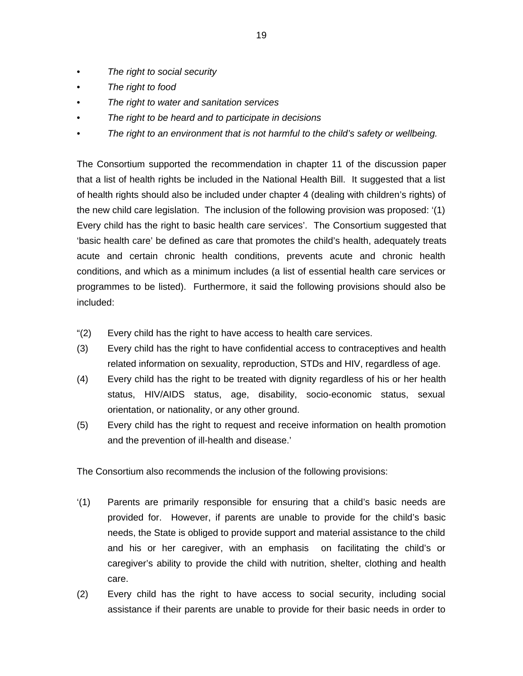- The right to social security
- The right to food
- The right to water and sanitation services
- The right to be heard and to participate in decisions
- The right to an environment that is not harmful to the child's safety or wellbeing.

The Consortium supported the recommendation in chapter 11 of the discussion paper that a list of health rights be included in the National Health Bill. It suggested that a list of health rights should also be included under chapter 4 (dealing with children's rights) of the new child care legislation. The inclusion of the following provision was proposed: '(1) Every child has the right to basic health care services'. The Consortium suggested that 'basic health care' be defined as care that promotes the child's health, adequately treats acute and certain chronic health conditions, prevents acute and chronic health conditions, and which as a minimum includes (a list of essential health care services or programmes to be listed). Furthermore, it said the following provisions should also be included:

- "(2) Every child has the right to have access to health care services.
- (3) Every child has the right to have confidential access to contraceptives and health related information on sexuality, reproduction, STDs and HIV, regardless of age.
- (4) Every child has the right to be treated with dignity regardless of his or her health status, HIV/AIDS status, age, disability, socio-economic status, sexual orientation, or nationality, or any other ground.
- (5) Every child has the right to request and receive information on health promotion and the prevention of ill-health and disease.'

The Consortium also recommends the inclusion of the following provisions:

- '(1) Parents are primarily responsible for ensuring that a child's basic needs are provided for. However, if parents are unable to provide for the child's basic needs, the State is obliged to provide support and material assistance to the child and his or her caregiver, with an emphasis on facilitating the child's or caregiver's ability to provide the child with nutrition, shelter, clothing and health care.
- (2) Every child has the right to have access to social security, including social assistance if their parents are unable to provide for their basic needs in order to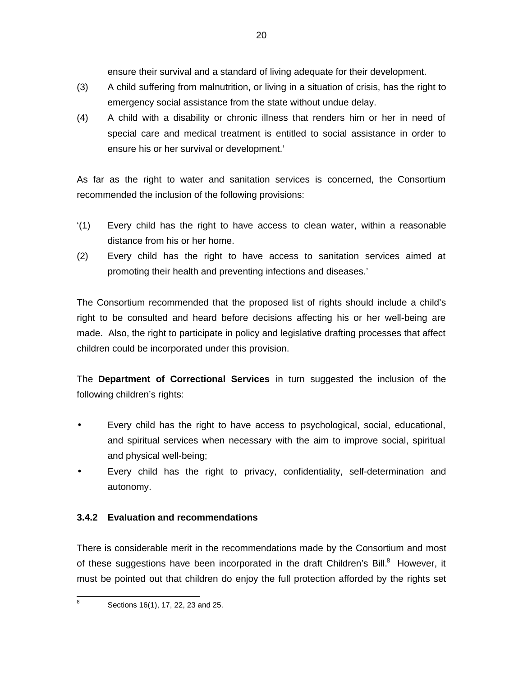ensure their survival and a standard of living adequate for their development.

- (3) A child suffering from malnutrition, or living in a situation of crisis, has the right to emergency social assistance from the state without undue delay.
- (4) A child with a disability or chronic illness that renders him or her in need of special care and medical treatment is entitled to social assistance in order to ensure his or her survival or development.'

As far as the right to water and sanitation services is concerned, the Consortium recommended the inclusion of the following provisions:

- '(1) Every child has the right to have access to clean water, within a reasonable distance from his or her home.
- (2) Every child has the right to have access to sanitation services aimed at promoting their health and preventing infections and diseases.'

The Consortium recommended that the proposed list of rights should include a child's right to be consulted and heard before decisions affecting his or her well-being are made. Also, the right to participate in policy and legislative drafting processes that affect children could be incorporated under this provision.

The **Department of Correctional Services** in turn suggested the inclusion of the following children's rights:

- Every child has the right to have access to psychological, social, educational, and spiritual services when necessary with the aim to improve social, spiritual and physical well-being;
- Every child has the right to privacy, confidentiality, self-determination and autonomy.

# **3.4.2 Evaluation and recommendations**

There is considerable merit in the recommendations made by the Consortium and most of these suggestions have been incorporated in the draft Children's Bill.<sup>8</sup> However, it must be pointed out that children do enjoy the full protection afforded by the rights set

Sections 16(1), 17, 22, 23 and 25.

8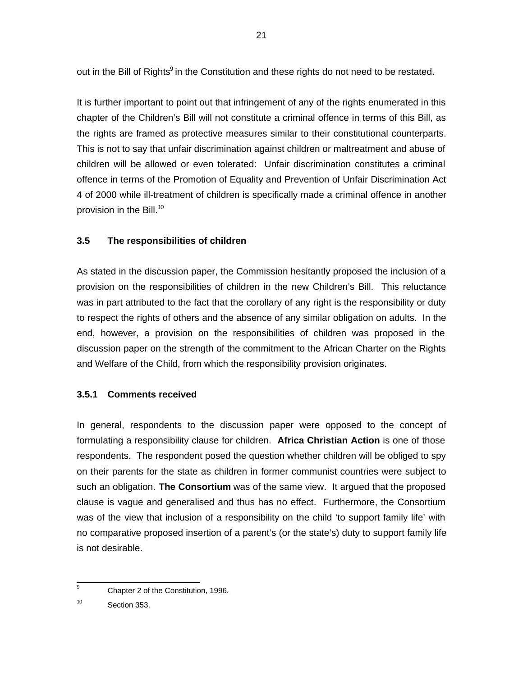out in the Bill of Rights<sup>9</sup> in the Constitution and these rights do not need to be restated.

It is further important to point out that infringement of any of the rights enumerated in this chapter of the Children's Bill will not constitute a criminal offence in terms of this Bill, as the rights are framed as protective measures similar to their constitutional counterparts. This is not to say that unfair discrimination against children or maltreatment and abuse of children will be allowed or even tolerated: Unfair discrimination constitutes a criminal offence in terms of the Promotion of Equality and Prevention of Unfair Discrimination Act 4 of 2000 while ill-treatment of children is specifically made a criminal offence in another provision in the Bill.<sup>10</sup>

### **3.5 The responsibilities of children**

As stated in the discussion paper, the Commission hesitantly proposed the inclusion of a provision on the responsibilities of children in the new Children's Bill. This reluctance was in part attributed to the fact that the corollary of any right is the responsibility or duty to respect the rights of others and the absence of any similar obligation on adults. In the end, however, a provision on the responsibilities of children was proposed in the discussion paper on the strength of the commitment to the African Charter on the Rights and Welfare of the Child, from which the responsibility provision originates.

# **3.5.1 Comments received**

In general, respondents to the discussion paper were opposed to the concept of formulating a responsibility clause for children. **Africa Christian Action** is one of those respondents. The respondent posed the question whether children will be obliged to spy on their parents for the state as children in former communist countries were subject to such an obligation. **The Consortium** was of the same view. It argued that the proposed clause is vague and generalised and thus has no effect. Furthermore, the Consortium was of the view that inclusion of a responsibility on the child 'to support family life' with no comparative proposed insertion of a parent's (or the state's) duty to support family life is not desirable.

<sup>—&</sup>lt;br>9 Chapter 2 of the Constitution, 1996.

<sup>10</sup> Section 353.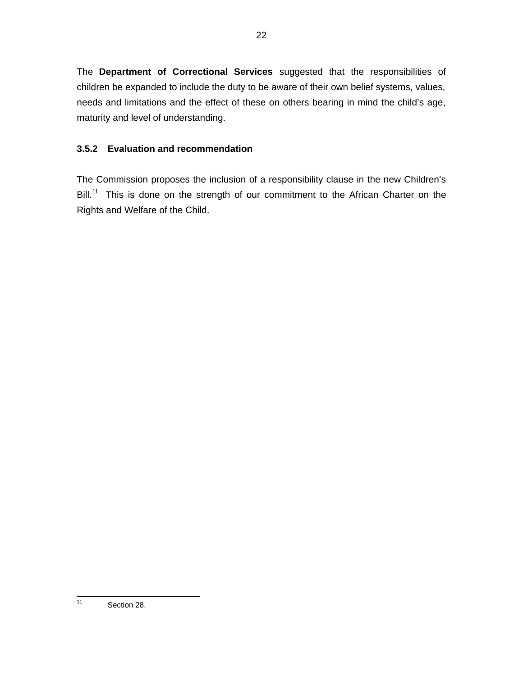The **Department of Correctional Services** suggested that the responsibilities of children be expanded to include the duty to be aware of their own belief systems, values, needs and limitations and the effect of these on others bearing in mind the child's age, maturity and level of understanding.

# **3.5.2 Evaluation and recommendation**

The Commission proposes the inclusion of a responsibility clause in the new Children's Bill.<sup>11</sup> This is done on the strength of our commitment to the African Charter on the Rights and Welfare of the Child.

<sup>22</sup>

 $\frac{1}{11}$ Section 28.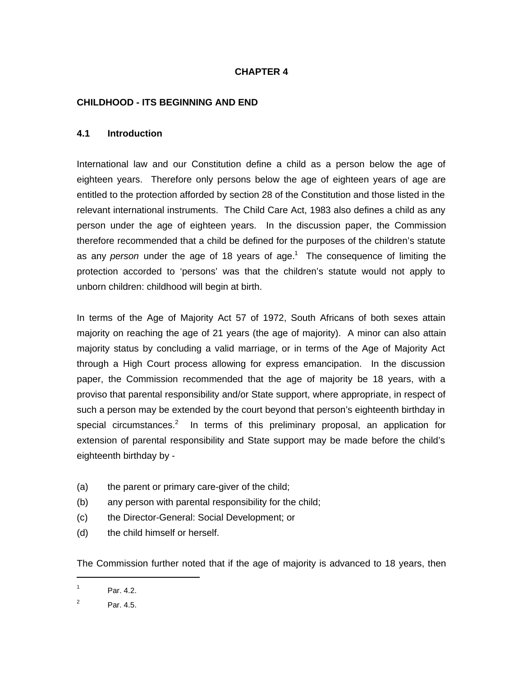### **CHAPTER 4**

### **CHILDHOOD - ITS BEGINNING AND END**

#### **4.1 Introduction**

International law and our Constitution define a child as a person below the age of eighteen years. Therefore only persons below the age of eighteen years of age are entitled to the protection afforded by section 28 of the Constitution and those listed in the relevant international instruments. The Child Care Act, 1983 also defines a child as any person under the age of eighteen years. In the discussion paper, the Commission therefore recommended that a child be defined for the purposes of the children's statute as any person under the age of 18 years of age.<sup>1</sup> The consequence of limiting the protection accorded to 'persons' was that the children's statute would not apply to unborn children: childhood will begin at birth.

In terms of the Age of Majority Act 57 of 1972, South Africans of both sexes attain majority on reaching the age of 21 years (the age of majority). A minor can also attain majority status by concluding a valid marriage, or in terms of the Age of Majority Act through a High Court process allowing for express emancipation. In the discussion paper, the Commission recommended that the age of majority be 18 years, with a proviso that parental responsibility and/or State support, where appropriate, in respect of such a person may be extended by the court beyond that person's eighteenth birthday in special circumstances.<sup>2</sup> In terms of this preliminary proposal, an application for extension of parental responsibility and State support may be made before the child's eighteenth birthday by -

- (a) the parent or primary care-giver of the child;
- (b) any person with parental responsibility for the child;
- (c) the Director-General: Social Development; or
- (d) the child himself or herself.

The Commission further noted that if the age of majority is advanced to 18 years, then

1

<sup>1</sup> Par. 4.2.

<sup>2</sup> Par. 4.5.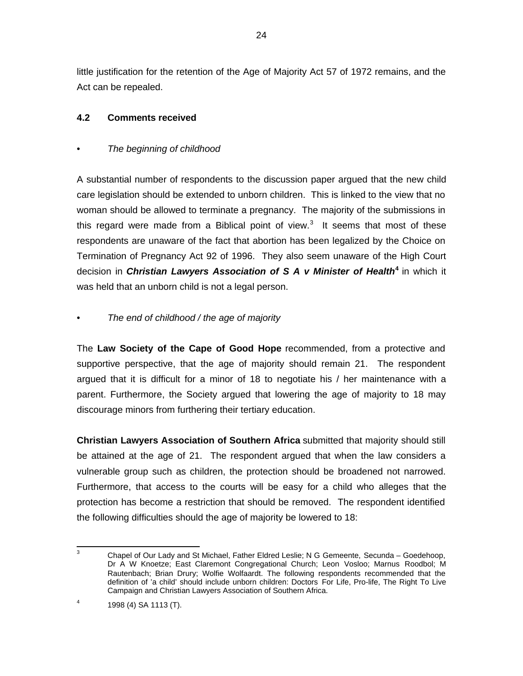little justification for the retention of the Age of Majority Act 57 of 1972 remains, and the Act can be repealed.

### **4.2 Comments received**

### The beginning of childhood

A substantial number of respondents to the discussion paper argued that the new child care legislation should be extended to unborn children. This is linked to the view that no woman should be allowed to terminate a pregnancy. The majority of the submissions in this regard were made from a Biblical point of view.<sup>3</sup> It seems that most of these respondents are unaware of the fact that abortion has been legalized by the Choice on Termination of Pregnancy Act 92 of 1996. They also seem unaware of the High Court decision in **Christian Lawyers Association of S A v Minister of Health<sup>4</sup>** in which it was held that an unborn child is not a legal person.

### The end of childhood / the age of majority

The **Law Society of the Cape of Good Hope** recommended, from a protective and supportive perspective, that the age of majority should remain 21. The respondent argued that it is difficult for a minor of 18 to negotiate his / her maintenance with a parent. Furthermore, the Society argued that lowering the age of majority to 18 may discourage minors from furthering their tertiary education.

**Christian Lawyers Association of Southern Africa** submitted that majority should still be attained at the age of 21. The respondent argued that when the law considers a vulnerable group such as children, the protection should be broadened not narrowed. Furthermore, that access to the courts will be easy for a child who alleges that the protection has become a restriction that should be removed. The respondent identified the following difficulties should the age of majority be lowered to 18:

<sup>-&</sup>lt;br>3 Chapel of Our Lady and St Michael, Father Eldred Leslie; N G Gemeente, Secunda – Goedehoop, Dr A W Knoetze; East Claremont Congregational Church; Leon Vosloo; Marnus Roodbol; M Rautenbach; Brian Drury; Wolfie Wolfaardt. The following respondents recommended that the definition of 'a child' should include unborn children: Doctors For Life, Pro-life, The Right To Live Campaign and Christian Lawyers Association of Southern Africa.

<sup>4</sup> 1998 (4) SA 1113 (T).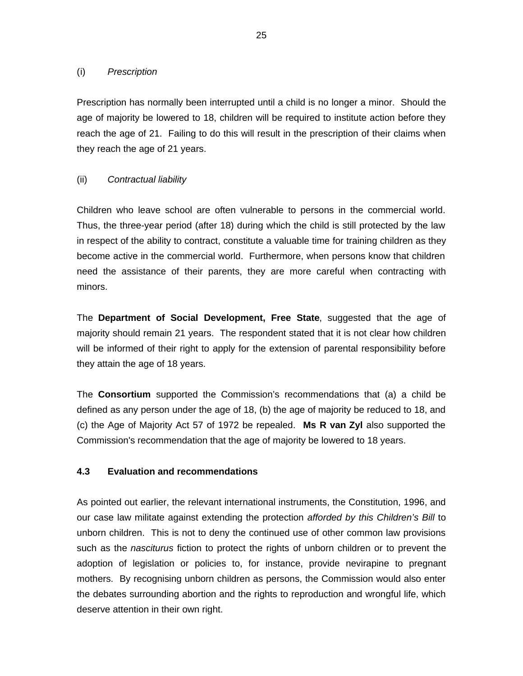#### (i) Prescription

Prescription has normally been interrupted until a child is no longer a minor. Should the age of majority be lowered to 18, children will be required to institute action before they reach the age of 21. Failing to do this will result in the prescription of their claims when they reach the age of 21 years.

### (ii) Contractual liability

Children who leave school are often vulnerable to persons in the commercial world. Thus, the three-year period (after 18) during which the child is still protected by the law in respect of the ability to contract, constitute a valuable time for training children as they become active in the commercial world. Furthermore, when persons know that children need the assistance of their parents, they are more careful when contracting with minors.

The **Department of Social Development, Free State**, suggested that the age of majority should remain 21 years. The respondent stated that it is not clear how children will be informed of their right to apply for the extension of parental responsibility before they attain the age of 18 years.

The **Consortium** supported the Commission's recommendations that (a) a child be defined as any person under the age of 18, (b) the age of majority be reduced to 18, and (c) the Age of Majority Act 57 of 1972 be repealed. **Ms R van Zyl** also supported the Commission's recommendation that the age of majority be lowered to 18 years.

### **4.3 Evaluation and recommendations**

As pointed out earlier, the relevant international instruments, the Constitution, 1996, and our case law militate against extending the protection afforded by this Children's Bill to unborn children. This is not to deny the continued use of other common law provisions such as the *nasciturus* fiction to protect the rights of unborn children or to prevent the adoption of legislation or policies to, for instance, provide nevirapine to pregnant mothers. By recognising unborn children as persons, the Commission would also enter the debates surrounding abortion and the rights to reproduction and wrongful life, which deserve attention in their own right.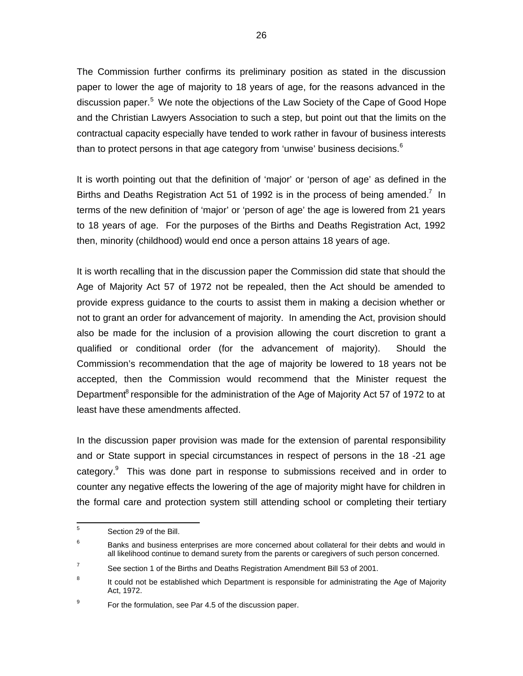The Commission further confirms its preliminary position as stated in the discussion paper to lower the age of majority to 18 years of age, for the reasons advanced in the discussion paper.<sup>5</sup> We note the objections of the Law Society of the Cape of Good Hope and the Christian Lawyers Association to such a step, but point out that the limits on the contractual capacity especially have tended to work rather in favour of business interests than to protect persons in that age category from 'unwise' business decisions. $6\%$ 

It is worth pointing out that the definition of 'major' or 'person of age' as defined in the Births and Deaths Registration Act 51 of 1992 is in the process of being amended.<sup>7</sup> In terms of the new definition of 'major' or 'person of age' the age is lowered from 21 years to 18 years of age. For the purposes of the Births and Deaths Registration Act, 1992 then, minority (childhood) would end once a person attains 18 years of age.

It is worth recalling that in the discussion paper the Commission did state that should the Age of Majority Act 57 of 1972 not be repealed, then the Act should be amended to provide express guidance to the courts to assist them in making a decision whether or not to grant an order for advancement of majority. In amending the Act, provision should also be made for the inclusion of a provision allowing the court discretion to grant a qualified or conditional order (for the advancement of majority). Should the Commission's recommendation that the age of majority be lowered to 18 years not be accepted, then the Commission would recommend that the Minister request the Department<sup>8</sup> responsible for the administration of the Age of Majority Act 57 of 1972 to at least have these amendments affected.

In the discussion paper provision was made for the extension of parental responsibility and or State support in special circumstances in respect of persons in the 18 -21 age category.<sup>9</sup> This was done part in response to submissions received and in order to counter any negative effects the lowering of the age of majority might have for children in the formal care and protection system still attending school or completing their tertiary

 5 Section 29 of the Bill.

<sup>6</sup> Banks and business enterprises are more concerned about collateral for their debts and would in all likelihood continue to demand surety from the parents or caregivers of such person concerned.

<sup>7</sup> See section 1 of the Births and Deaths Registration Amendment Bill 53 of 2001.

<sup>8</sup> It could not be established which Department is responsible for administrating the Age of Majority Act, 1972.

<sup>9</sup> For the formulation, see Par 4.5 of the discussion paper.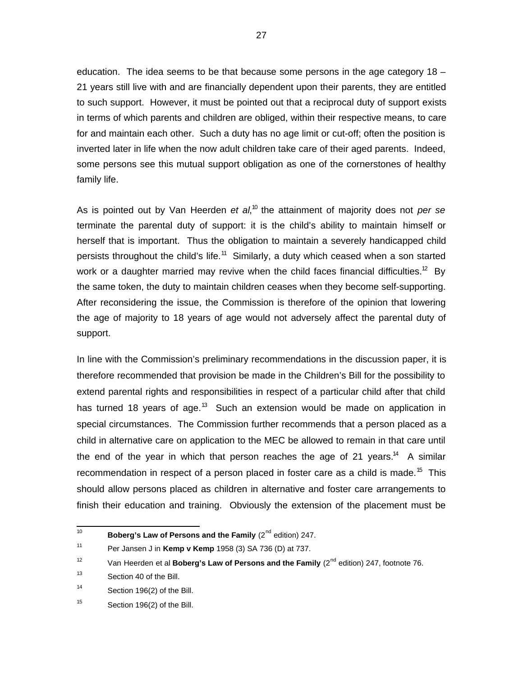education. The idea seems to be that because some persons in the age category 18 – 21 years still live with and are financially dependent upon their parents, they are entitled to such support. However, it must be pointed out that a reciprocal duty of support exists in terms of which parents and children are obliged, within their respective means, to care for and maintain each other. Such a duty has no age limit or cut-off; often the position is inverted later in life when the now adult children take care of their aged parents. Indeed, some persons see this mutual support obligation as one of the cornerstones of healthy family life.

As is pointed out by Van Heerden et al,<sup>10</sup> the attainment of majority does not *per se* terminate the parental duty of support: it is the child's ability to maintain himself or herself that is important. Thus the obligation to maintain a severely handicapped child persists throughout the child's life.<sup>11</sup> Similarly, a duty which ceased when a son started work or a daughter married may revive when the child faces financial difficulties.<sup>12</sup> By the same token, the duty to maintain children ceases when they become self-supporting. After reconsidering the issue, the Commission is therefore of the opinion that lowering the age of majority to 18 years of age would not adversely affect the parental duty of support.

In line with the Commission's preliminary recommendations in the discussion paper, it is therefore recommended that provision be made in the Children's Bill for the possibility to extend parental rights and responsibilities in respect of a particular child after that child has turned 18 years of age.<sup>13</sup> Such an extension would be made on application in special circumstances. The Commission further recommends that a person placed as a child in alternative care on application to the MEC be allowed to remain in that care until the end of the year in which that person reaches the age of 21 years.<sup>14</sup> A similar recommendation in respect of a person placed in foster care as a child is made.<sup>15</sup> This should allow persons placed as children in alternative and foster care arrangements to finish their education and training. Obviously the extension of the placement must be

 $\frac{1}{10}$ **Boberg's Law of Persons and the Family** (2<sup>nd</sup> edition) 247.

<sup>11</sup> Per Jansen J in **Kemp v Kemp** 1958 (3) SA 736 (D) at 737.

<sup>12</sup> Van Heerden et al **Boberg's Law of Persons and the Family** (2<sup>nd</sup> edition) 247, footnote 76.

<sup>13</sup> Section 40 of the Bill.

<sup>14</sup> Section 196(2) of the Bill.

<sup>15</sup> Section 196(2) of the Bill.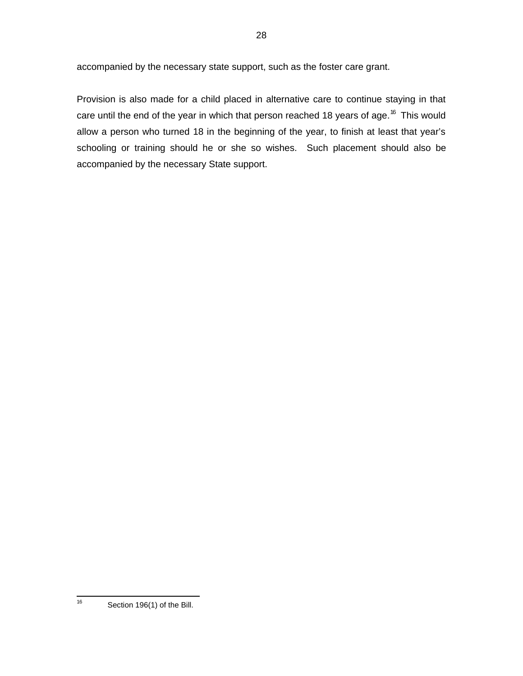accompanied by the necessary state support, such as the foster care grant.

Provision is also made for a child placed in alternative care to continue staying in that care until the end of the year in which that person reached 18 years of age.<sup>16</sup> This would allow a person who turned 18 in the beginning of the year, to finish at least that year's schooling or training should he or she so wishes. Such placement should also be accompanied by the necessary State support.

28

—<br>16

Section 196(1) of the Bill.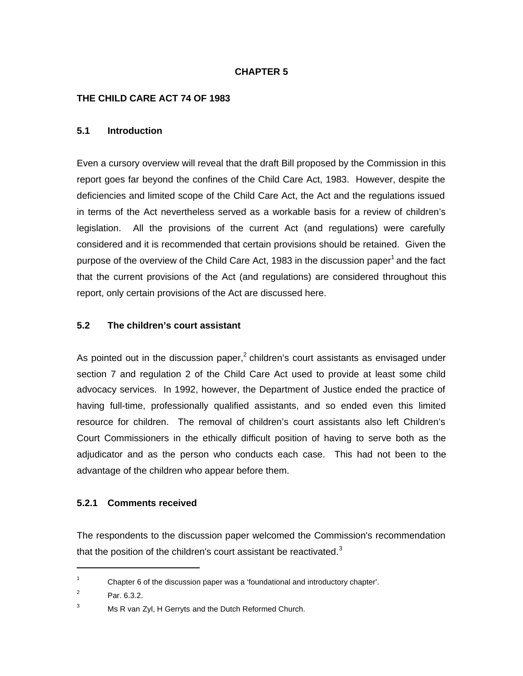### **CHAPTER 5**

### **THE CHILD CARE ACT 74 OF 1983**

#### **5.1 Introduction**

Even a cursory overview will reveal that the draft Bill proposed by the Commission in this report goes far beyond the confines of the Child Care Act, 1983. However, despite the deficiencies and limited scope of the Child Care Act, the Act and the regulations issued in terms of the Act nevertheless served as a workable basis for a review of children's legislation. All the provisions of the current Act (and regulations) were carefully considered and it is recommended that certain provisions should be retained. Given the purpose of the overview of the Child Care Act, 1983 in the discussion paper<sup>1</sup> and the fact that the current provisions of the Act (and regulations) are considered throughout this report, only certain provisions of the Act are discussed here.

### **5.2 The children's court assistant**

As pointed out in the discussion paper,<sup>2</sup> children's court assistants as envisaged under section 7 and regulation 2 of the Child Care Act used to provide at least some child advocacy services. In 1992, however, the Department of Justice ended the practice of having full-time, professionally qualified assistants, and so ended even this limited resource for children. The removal of children's court assistants also left Children's Court Commissioners in the ethically difficult position of having to serve both as the adjudicator and as the person who conducts each case. This had not been to the advantage of the children who appear before them.

### **5.2.1 Comments received**

The respondents to the discussion paper welcomed the Commission's recommendation that the position of the children's court assistant be reactivated. $3$ 

1

<sup>1</sup> Chapter 6 of the discussion paper was a 'foundational and introductory chapter'.

<sup>2</sup> Par. 6.3.2.

 $3$  Ms R van Zyl, H Gerryts and the Dutch Reformed Church.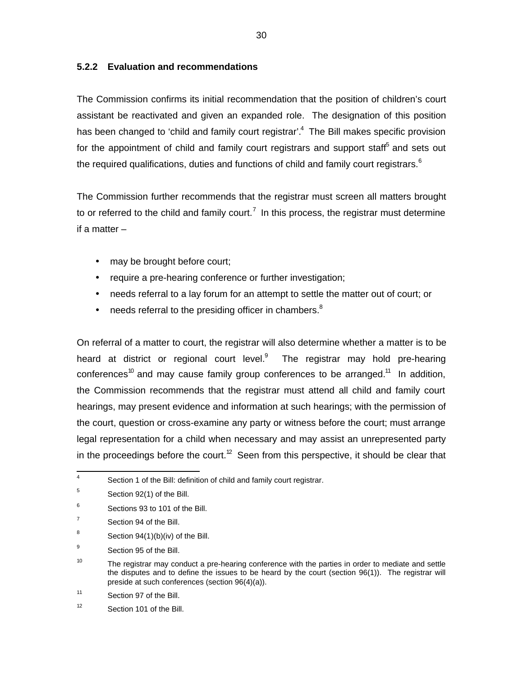### **5.2.2 Evaluation and recommendations**

The Commission confirms its initial recommendation that the position of children's court assistant be reactivated and given an expanded role. The designation of this position has been changed to 'child and family court registrar'.<sup>4</sup> The Bill makes specific provision for the appointment of child and family court registrars and support staff<sup>5</sup> and sets out the required qualifications, duties and functions of child and family court registrars. $6$ 

The Commission further recommends that the registrar must screen all matters brought to or referred to the child and family court.<sup>7</sup> In this process, the registrar must determine if a matter –

- may be brought before court;
- require a pre-hearing conference or further investigation;
- needs referral to a lay forum for an attempt to settle the matter out of court; or
- needs referral to the presiding officer in chambers. $8$

On referral of a matter to court, the registrar will also determine whether a matter is to be heard at district or regional court level. $9$  The registrar may hold pre-hearing conferences<sup>10</sup> and may cause family group conferences to be arranged.<sup>11</sup> In addition, the Commission recommends that the registrar must attend all child and family court hearings, may present evidence and information at such hearings; with the permission of the court, question or cross-examine any party or witness before the court; must arrange legal representation for a child when necessary and may assist an unrepresented party in the proceedings before the court.<sup>12</sup> Seen from this perspective, it should be clear that

 4 Section 1 of the Bill: definition of child and family court registrar.

<sup>5</sup> Section 92(1) of the Bill.

<sup>6</sup> Sections 93 to 101 of the Bill.

<sup>7</sup> Section 94 of the Bill.

<sup>8</sup> Section 94(1)(b)(iv) of the Bill.

<sup>9</sup> Section 95 of the Bill.

<sup>10</sup> The registrar may conduct a pre-hearing conference with the parties in order to mediate and settle the disputes and to define the issues to be heard by the court (section 96(1)). The registrar will preside at such conferences (section 96(4)(a)).

<sup>11</sup> Section 97 of the Bill.

<sup>12</sup> Section 101 of the Bill.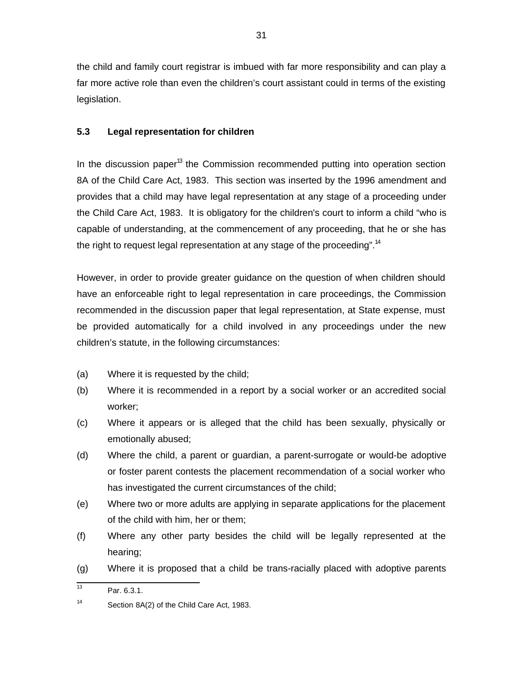the child and family court registrar is imbued with far more responsibility and can play a far more active role than even the children's court assistant could in terms of the existing legislation.

# **5.3 Legal representation for children**

In the discussion paper<sup>13</sup> the Commission recommended putting into operation section 8A of the Child Care Act, 1983. This section was inserted by the 1996 amendment and provides that a child may have legal representation at any stage of a proceeding under the Child Care Act, 1983. It is obligatory for the children's court to inform a child "who is capable of understanding, at the commencement of any proceeding, that he or she has the right to request legal representation at any stage of the proceeding".<sup>14</sup>

However, in order to provide greater guidance on the question of when children should have an enforceable right to legal representation in care proceedings, the Commission recommended in the discussion paper that legal representation, at State expense, must be provided automatically for a child involved in any proceedings under the new children's statute, in the following circumstances:

- (a) Where it is requested by the child;
- (b) Where it is recommended in a report by a social worker or an accredited social worker;
- (c) Where it appears or is alleged that the child has been sexually, physically or emotionally abused;
- (d) Where the child, a parent or guardian, a parent-surrogate or would-be adoptive or foster parent contests the placement recommendation of a social worker who has investigated the current circumstances of the child;
- (e) Where two or more adults are applying in separate applications for the placement of the child with him, her or them;
- (f) Where any other party besides the child will be legally represented at the hearing;
- (g) Where it is proposed that a child be trans-racially placed with adoptive parents

<sup>|&</sup>lt;br>13 Par. 6.3.1.

<sup>14</sup> Section 8A(2) of the Child Care Act, 1983.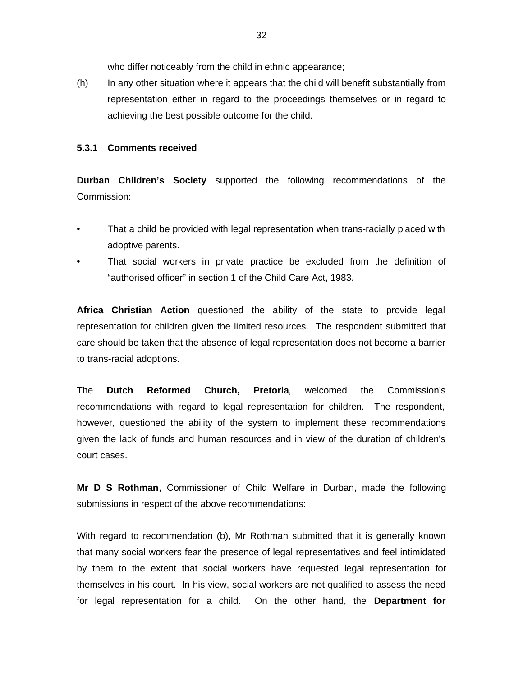who differ noticeably from the child in ethnic appearance;

(h) In any other situation where it appears that the child will benefit substantially from representation either in regard to the proceedings themselves or in regard to achieving the best possible outcome for the child.

#### **5.3.1 Comments received**

**Durban Children's Society** supported the following recommendations of the Commission:

- That a child be provided with legal representation when trans-racially placed with adoptive parents.
- That social workers in private practice be excluded from the definition of "authorised officer" in section 1 of the Child Care Act, 1983.

**Africa Christian Action** questioned the ability of the state to provide legal representation for children given the limited resources. The respondent submitted that care should be taken that the absence of legal representation does not become a barrier to trans-racial adoptions.

The **Dutch Reformed Church, Pretoria**, welcomed the Commission's recommendations with regard to legal representation for children. The respondent, however, questioned the ability of the system to implement these recommendations given the lack of funds and human resources and in view of the duration of children's court cases.

**Mr D S Rothman**, Commissioner of Child Welfare in Durban, made the following submissions in respect of the above recommendations:

With regard to recommendation (b), Mr Rothman submitted that it is generally known that many social workers fear the presence of legal representatives and feel intimidated by them to the extent that social workers have requested legal representation for themselves in his court. In his view, social workers are not qualified to assess the need for legal representation for a child. On the other hand, the **Department for**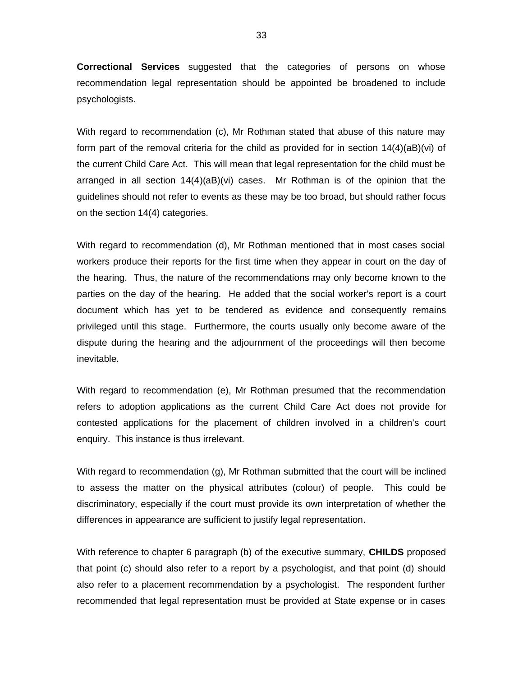**Correctional Services** suggested that the categories of persons on whose recommendation legal representation should be appointed be broadened to include psychologists.

With regard to recommendation (c), Mr Rothman stated that abuse of this nature may form part of the removal criteria for the child as provided for in section 14(4)(aB)(vi) of the current Child Care Act. This will mean that legal representation for the child must be arranged in all section 14(4)(aB)(vi) cases. Mr Rothman is of the opinion that the guidelines should not refer to events as these may be too broad, but should rather focus on the section 14(4) categories.

With regard to recommendation (d), Mr Rothman mentioned that in most cases social workers produce their reports for the first time when they appear in court on the day of the hearing. Thus, the nature of the recommendations may only become known to the parties on the day of the hearing. He added that the social worker's report is a court document which has yet to be tendered as evidence and consequently remains privileged until this stage. Furthermore, the courts usually only become aware of the dispute during the hearing and the adjournment of the proceedings will then become inevitable.

With regard to recommendation (e), Mr Rothman presumed that the recommendation refers to adoption applications as the current Child Care Act does not provide for contested applications for the placement of children involved in a children's court enquiry. This instance is thus irrelevant.

With regard to recommendation (g), Mr Rothman submitted that the court will be inclined to assess the matter on the physical attributes (colour) of people. This could be discriminatory, especially if the court must provide its own interpretation of whether the differences in appearance are sufficient to justify legal representation.

With reference to chapter 6 paragraph (b) of the executive summary, **CHILDS** proposed that point (c) should also refer to a report by a psychologist, and that point (d) should also refer to a placement recommendation by a psychologist. The respondent further recommended that legal representation must be provided at State expense or in cases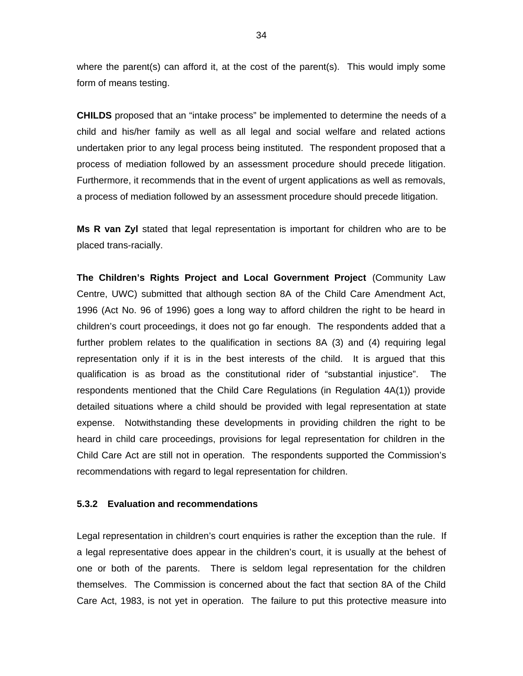where the parent(s) can afford it, at the cost of the parent(s). This would imply some form of means testing.

**CHILDS** proposed that an "intake process" be implemented to determine the needs of a child and his/her family as well as all legal and social welfare and related actions undertaken prior to any legal process being instituted. The respondent proposed that a process of mediation followed by an assessment procedure should precede litigation. Furthermore, it recommends that in the event of urgent applications as well as removals, a process of mediation followed by an assessment procedure should precede litigation.

**Ms R van Zyl** stated that legal representation is important for children who are to be placed trans-racially.

**The Children's Rights Project and Local Government Project** (Community Law Centre, UWC) submitted that although section 8A of the Child Care Amendment Act, 1996 (Act No. 96 of 1996) goes a long way to afford children the right to be heard in children's court proceedings, it does not go far enough. The respondents added that a further problem relates to the qualification in sections 8A (3) and (4) requiring legal representation only if it is in the best interests of the child. It is argued that this qualification is as broad as the constitutional rider of "substantial injustice". The respondents mentioned that the Child Care Regulations (in Regulation 4A(1)) provide detailed situations where a child should be provided with legal representation at state expense. Notwithstanding these developments in providing children the right to be heard in child care proceedings, provisions for legal representation for children in the Child Care Act are still not in operation. The respondents supported the Commission's recommendations with regard to legal representation for children.

#### **5.3.2 Evaluation and recommendations**

Legal representation in children's court enquiries is rather the exception than the rule. If a legal representative does appear in the children's court, it is usually at the behest of one or both of the parents. There is seldom legal representation for the children themselves. The Commission is concerned about the fact that section 8A of the Child Care Act, 1983, is not yet in operation. The failure to put this protective measure into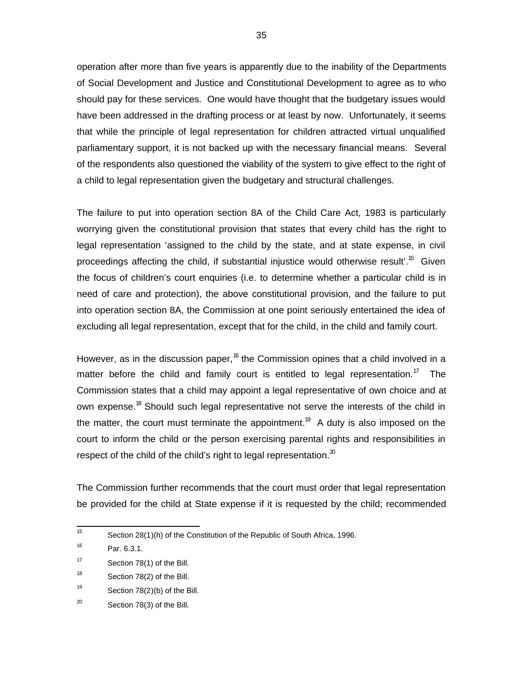operation after more than five years is apparently due to the inability of the Departments of Social Development and Justice and Constitutional Development to agree as to who should pay for these services. One would have thought that the budgetary issues would have been addressed in the drafting process or at least by now. Unfortunately, it seems that while the principle of legal representation for children attracted virtual unqualified parliamentary support, it is not backed up with the necessary financial means. Several of the respondents also questioned the viability of the system to give effect to the right of a child to legal representation given the budgetary and structural challenges.

The failure to put into operation section 8A of the Child Care Act, 1983 is particularly worrying given the constitutional provision that states that every child has the right to legal representation 'assigned to the child by the state, and at state expense, in civil proceedings affecting the child, if substantial injustice would otherwise result'.<sup>15</sup> Given the focus of children's court enquiries (i.e. to determine whether a particular child is in need of care and protection), the above constitutional provision, and the failure to put into operation section 8A, the Commission at one point seriously entertained the idea of excluding all legal representation, except that for the child, in the child and family court.

However, as in the discussion paper,<sup>16</sup> the Commission opines that a child involved in a matter before the child and family court is entitled to legal representation.<sup>17</sup> The Commission states that a child may appoint a legal representative of own choice and at own expense.<sup>18</sup> Should such legal representative not serve the interests of the child in the matter, the court must terminate the appointment.<sup>19</sup> A duty is also imposed on the court to inform the child or the person exercising parental rights and responsibilities in respect of the child of the child's right to legal representation. $^{20}$ 

The Commission further recommends that the court must order that legal representation be provided for the child at State expense if it is requested by the child; recommended

 $\frac{1}{15}$ Section 28(1)(h) of the Constitution of the Republic of South Africa, 1996.

<sup>16</sup> Par. 6.3.1.

<sup>17</sup> Section 78(1) of the Bill.

<sup>18</sup> Section 78(2) of the Bill.

<sup>19</sup> Section 78(2)(b) of the Bill.

<sup>20</sup> Section 78(3) of the Bill.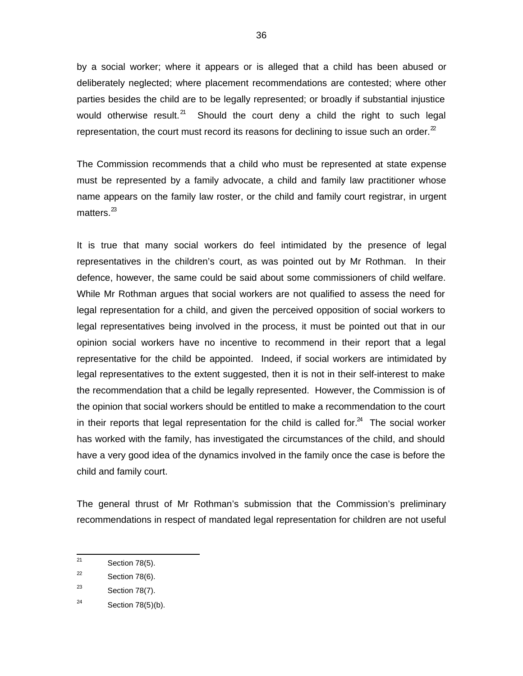by a social worker; where it appears or is alleged that a child has been abused or deliberately neglected; where placement recommendations are contested; where other parties besides the child are to be legally represented; or broadly if substantial injustice would otherwise result.<sup>21</sup> Should the court deny a child the right to such legal representation, the court must record its reasons for declining to issue such an order. $2^2$ 

The Commission recommends that a child who must be represented at state expense must be represented by a family advocate, a child and family law practitioner whose name appears on the family law roster, or the child and family court registrar, in urgent matters. $^{23}$ 

It is true that many social workers do feel intimidated by the presence of legal representatives in the children's court, as was pointed out by Mr Rothman. In their defence, however, the same could be said about some commissioners of child welfare. While Mr Rothman argues that social workers are not qualified to assess the need for legal representation for a child, and given the perceived opposition of social workers to legal representatives being involved in the process, it must be pointed out that in our opinion social workers have no incentive to recommend in their report that a legal representative for the child be appointed. Indeed, if social workers are intimidated by legal representatives to the extent suggested, then it is not in their self-interest to make the recommendation that a child be legally represented. However, the Commission is of the opinion that social workers should be entitled to make a recommendation to the court in their reports that legal representation for the child is called for. $^{24}$  The social worker has worked with the family, has investigated the circumstances of the child, and should have a very good idea of the dynamics involved in the family once the case is before the child and family court.

The general thrust of Mr Rothman's submission that the Commission's preliminary recommendations in respect of mandated legal representation for children are not useful

 $\overline{21}$ Section 78(5).

<sup>22</sup> Section 78(6).

<sup>23</sup> Section 78(7).

<sup>24</sup> Section 78(5)(b).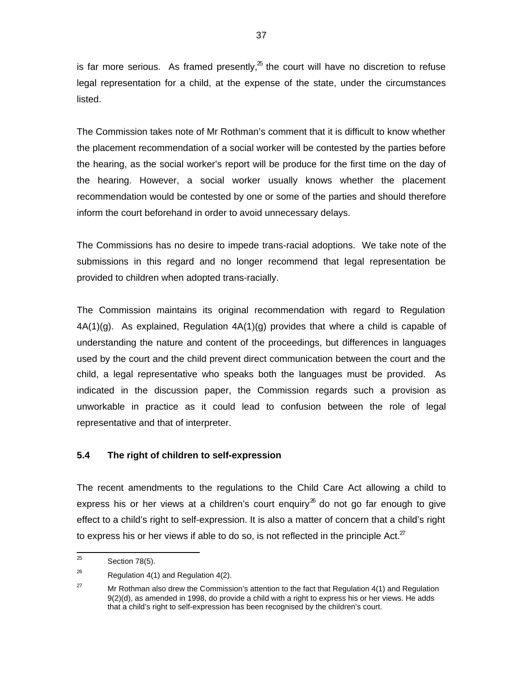is far more serious. As framed presently, ${}^{z}$  the court will have no discretion to refuse legal representation for a child, at the expense of the state, under the circumstances listed.

The Commission takes note of Mr Rothman's comment that it is difficult to know whether the placement recommendation of a social worker will be contested by the parties before the hearing, as the social worker's report will be produce for the first time on the day of the hearing. However, a social worker usually knows whether the placement recommendation would be contested by one or some of the parties and should therefore inform the court beforehand in order to avoid unnecessary delays.

The Commissions has no desire to impede trans-racial adoptions. We take note of the submissions in this regard and no longer recommend that legal representation be provided to children when adopted trans-racially.

The Commission maintains its original recommendation with regard to Regulation  $4A(1)(g)$ . As explained, Regulation  $4A(1)(g)$  provides that where a child is capable of understanding the nature and content of the proceedings, but differences in languages used by the court and the child prevent direct communication between the court and the child, a legal representative who speaks both the languages must be provided. As indicated in the discussion paper, the Commission regards such a provision as unworkable in practice as it could lead to confusion between the role of legal representative and that of interpreter.

### **5.4 The right of children to self-expression**

The recent amendments to the regulations to the Child Care Act allowing a child to express his or her views at a children's court enquiry<sup>26</sup> do not go far enough to give effect to a child's right to self-expression. It is also a matter of concern that a child's right to express his or her views if able to do so, is not reflected in the principle Act. $Z$ 

 25 Section 78(5).

<sup>26</sup> Regulation 4(1) and Regulation 4(2).

<sup>&</sup>lt;sup>27</sup> Mr Rothman also drew the Commission's attention to the fact that Regulation 4(1) and Regulation 9(2)(d), as amended in 1998, do provide a child with a right to express his or her views. He adds that a child's right to self-expression has been recognised by the children's court.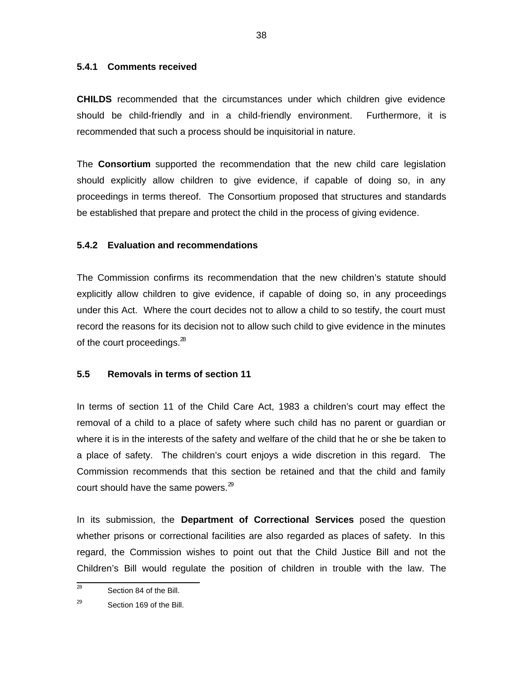#### **5.4.1 Comments received**

**CHILDS** recommended that the circumstances under which children give evidence should be child-friendly and in a child-friendly environment. Furthermore, it is recommended that such a process should be inquisitorial in nature.

The **Consortium** supported the recommendation that the new child care legislation should explicitly allow children to give evidence, if capable of doing so, in any proceedings in terms thereof. The Consortium proposed that structures and standards be established that prepare and protect the child in the process of giving evidence.

### **5.4.2 Evaluation and recommendations**

The Commission confirms its recommendation that the new children's statute should explicitly allow children to give evidence, if capable of doing so, in any proceedings under this Act. Where the court decides not to allow a child to so testify, the court must record the reasons for its decision not to allow such child to give evidence in the minutes of the court proceedings.<sup>28</sup>

### **5.5 Removals in terms of section 11**

In terms of section 11 of the Child Care Act, 1983 a children's court may effect the removal of a child to a place of safety where such child has no parent or guardian or where it is in the interests of the safety and welfare of the child that he or she be taken to a place of safety. The children's court enjoys a wide discretion in this regard. The Commission recommends that this section be retained and that the child and family court should have the same powers. $^{29}$ 

In its submission, the **Department of Correctional Services** posed the question whether prisons or correctional facilities are also regarded as places of safety. In this regard, the Commission wishes to point out that the Child Justice Bill and not the Children's Bill would regulate the position of children in trouble with the law. The

<sup>—&</sup>lt;br>28 Section 84 of the Bill.

<sup>29</sup> Section 169 of the Bill.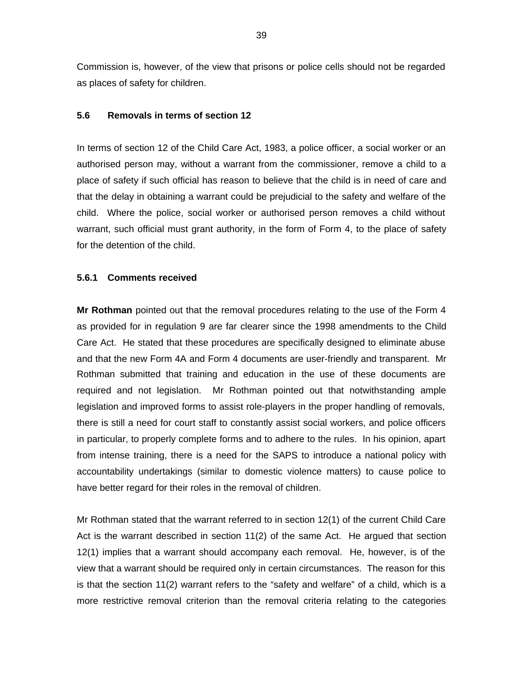Commission is, however, of the view that prisons or police cells should not be regarded as places of safety for children.

#### **5.6 Removals in terms of section 12**

In terms of section 12 of the Child Care Act, 1983, a police officer, a social worker or an authorised person may, without a warrant from the commissioner, remove a child to a place of safety if such official has reason to believe that the child is in need of care and that the delay in obtaining a warrant could be prejudicial to the safety and welfare of the child. Where the police, social worker or authorised person removes a child without warrant, such official must grant authority, in the form of Form 4, to the place of safety for the detention of the child.

#### **5.6.1 Comments received**

**Mr Rothman** pointed out that the removal procedures relating to the use of the Form 4 as provided for in regulation 9 are far clearer since the 1998 amendments to the Child Care Act. He stated that these procedures are specifically designed to eliminate abuse and that the new Form 4A and Form 4 documents are user-friendly and transparent. Mr Rothman submitted that training and education in the use of these documents are required and not legislation. Mr Rothman pointed out that notwithstanding ample legislation and improved forms to assist role-players in the proper handling of removals, there is still a need for court staff to constantly assist social workers, and police officers in particular, to properly complete forms and to adhere to the rules. In his opinion, apart from intense training, there is a need for the SAPS to introduce a national policy with accountability undertakings (similar to domestic violence matters) to cause police to have better regard for their roles in the removal of children.

Mr Rothman stated that the warrant referred to in section 12(1) of the current Child Care Act is the warrant described in section 11(2) of the same Act. He argued that section 12(1) implies that a warrant should accompany each removal. He, however, is of the view that a warrant should be required only in certain circumstances. The reason for this is that the section 11(2) warrant refers to the "safety and welfare" of a child, which is a more restrictive removal criterion than the removal criteria relating to the categories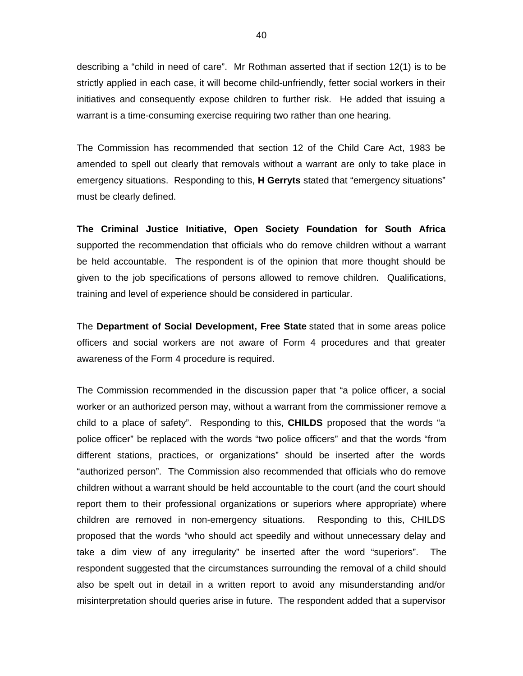describing a "child in need of care". Mr Rothman asserted that if section 12(1) is to be strictly applied in each case, it will become child-unfriendly, fetter social workers in their initiatives and consequently expose children to further risk. He added that issuing a warrant is a time-consuming exercise requiring two rather than one hearing.

The Commission has recommended that section 12 of the Child Care Act, 1983 be amended to spell out clearly that removals without a warrant are only to take place in emergency situations. Responding to this, **H Gerryts** stated that "emergency situations" must be clearly defined.

**The Criminal Justice Initiative, Open Society Foundation for South Africa** supported the recommendation that officials who do remove children without a warrant be held accountable. The respondent is of the opinion that more thought should be given to the job specifications of persons allowed to remove children. Qualifications, training and level of experience should be considered in particular.

The **Department of Social Development, Free State** stated that in some areas police officers and social workers are not aware of Form 4 procedures and that greater awareness of the Form 4 procedure is required.

The Commission recommended in the discussion paper that "a police officer, a social worker or an authorized person may, without a warrant from the commissioner remove a child to a place of safety". Responding to this, **CHILDS** proposed that the words "a police officer" be replaced with the words "two police officers" and that the words "from different stations, practices, or organizations" should be inserted after the words "authorized person". The Commission also recommended that officials who do remove children without a warrant should be held accountable to the court (and the court should report them to their professional organizations or superiors where appropriate) where children are removed in non-emergency situations. Responding to this, CHILDS proposed that the words "who should act speedily and without unnecessary delay and take a dim view of any irregularity" be inserted after the word "superiors". The respondent suggested that the circumstances surrounding the removal of a child should also be spelt out in detail in a written report to avoid any misunderstanding and/or misinterpretation should queries arise in future. The respondent added that a supervisor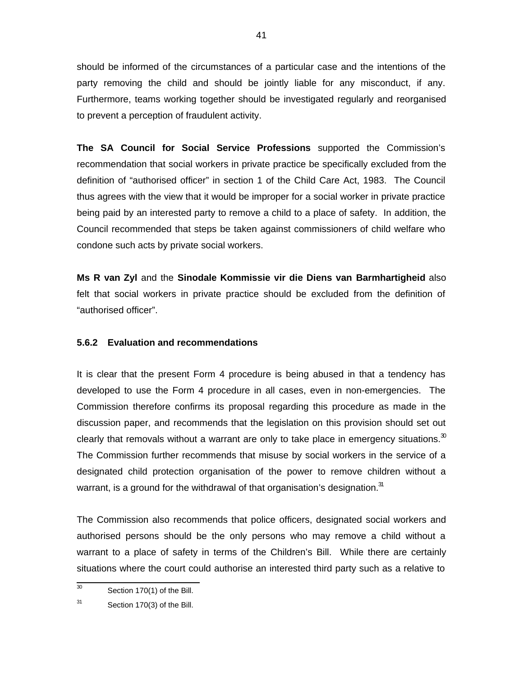should be informed of the circumstances of a particular case and the intentions of the party removing the child and should be jointly liable for any misconduct, if any. Furthermore, teams working together should be investigated regularly and reorganised to prevent a perception of fraudulent activity.

**The SA Council for Social Service Professions** supported the Commission's recommendation that social workers in private practice be specifically excluded from the definition of "authorised officer" in section 1 of the Child Care Act, 1983. The Council thus agrees with the view that it would be improper for a social worker in private practice being paid by an interested party to remove a child to a place of safety. In addition, the Council recommended that steps be taken against commissioners of child welfare who condone such acts by private social workers.

**Ms R van Zyl** and the **Sinodale Kommissie vir die Diens van Barmhartigheid** also felt that social workers in private practice should be excluded from the definition of "authorised officer".

### **5.6.2 Evaluation and recommendations**

It is clear that the present Form 4 procedure is being abused in that a tendency has developed to use the Form 4 procedure in all cases, even in non-emergencies. The Commission therefore confirms its proposal regarding this procedure as made in the discussion paper, and recommends that the legislation on this provision should set out clearly that removals without a warrant are only to take place in emergency situations. $30$ The Commission further recommends that misuse by social workers in the service of a designated child protection organisation of the power to remove children without a warrant, is a ground for the withdrawal of that organisation's designation.<sup>31</sup>

The Commission also recommends that police officers, designated social workers and authorised persons should be the only persons who may remove a child without a warrant to a place of safety in terms of the Children's Bill. While there are certainly situations where the court could authorise an interested third party such as a relative to

 30 Section 170(1) of the Bill.

<sup>31</sup> Section 170(3) of the Bill.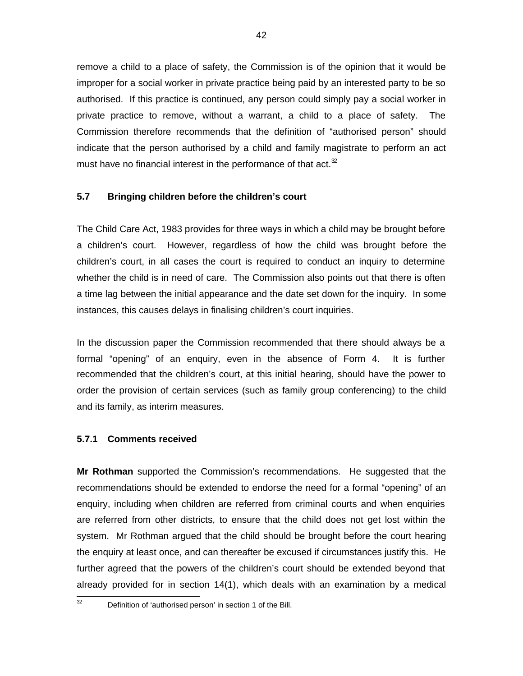remove a child to a place of safety, the Commission is of the opinion that it would be improper for a social worker in private practice being paid by an interested party to be so authorised. If this practice is continued, any person could simply pay a social worker in private practice to remove, without a warrant, a child to a place of safety. The Commission therefore recommends that the definition of "authorised person" should indicate that the person authorised by a child and family magistrate to perform an act must have no financial interest in the performance of that act. $32$ 

### **5.7 Bringing children before the children's court**

The Child Care Act, 1983 provides for three ways in which a child may be brought before a children's court. However, regardless of how the child was brought before the children's court, in all cases the court is required to conduct an inquiry to determine whether the child is in need of care. The Commission also points out that there is often a time lag between the initial appearance and the date set down for the inquiry. In some instances, this causes delays in finalising children's court inquiries.

In the discussion paper the Commission recommended that there should always be a formal "opening" of an enquiry, even in the absence of Form 4. It is further recommended that the children's court, at this initial hearing, should have the power to order the provision of certain services (such as family group conferencing) to the child and its family, as interim measures.

#### **5.7.1 Comments received**

**Mr Rothman** supported the Commission's recommendations. He suggested that the recommendations should be extended to endorse the need for a formal "opening" of an enquiry, including when children are referred from criminal courts and when enquiries are referred from other districts, to ensure that the child does not get lost within the system. Mr Rothman argued that the child should be brought before the court hearing the enquiry at least once, and can thereafter be excused if circumstances justify this. He further agreed that the powers of the children's court should be extended beyond that already provided for in section 14(1), which deals with an examination by a medical

32

Definition of 'authorised person' in section 1 of the Bill.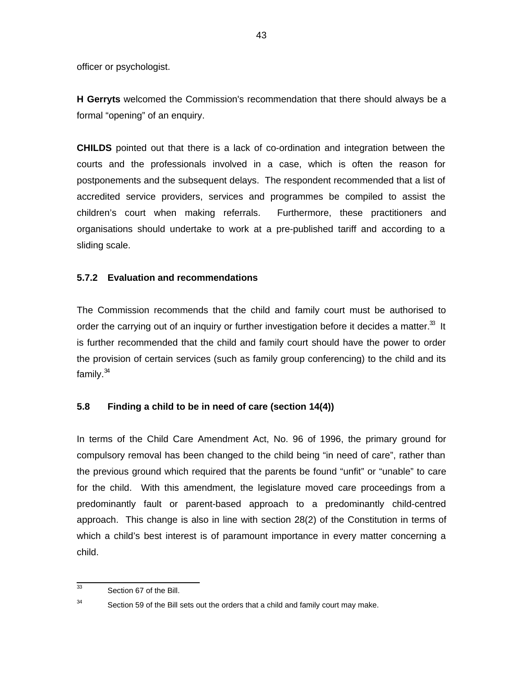officer or psychologist.

**H Gerryts** welcomed the Commission's recommendation that there should always be a formal "opening" of an enquiry.

**CHILDS** pointed out that there is a lack of co-ordination and integration between the courts and the professionals involved in a case, which is often the reason for postponements and the subsequent delays. The respondent recommended that a list of accredited service providers, services and programmes be compiled to assist the children's court when making referrals. Furthermore, these practitioners and organisations should undertake to work at a pre-published tariff and according to a sliding scale.

### **5.7.2 Evaluation and recommendations**

The Commission recommends that the child and family court must be authorised to order the carrying out of an inquiry or further investigation before it decides a matter.<sup>33</sup> It is further recommended that the child and family court should have the power to order the provision of certain services (such as family group conferencing) to the child and its family. $34$ 

#### **5.8 Finding a child to be in need of care (section 14(4))**

In terms of the Child Care Amendment Act, No. 96 of 1996, the primary ground for compulsory removal has been changed to the child being "in need of care", rather than the previous ground which required that the parents be found "unfit" or "unable" to care for the child. With this amendment, the legislature moved care proceedings from a predominantly fault or parent-based approach to a predominantly child-centred approach. This change is also in line with section 28(2) of the Constitution in terms of which a child's best interest is of paramount importance in every matter concerning a child.

 33 Section 67 of the Bill.

<sup>34</sup> Section 59 of the Bill sets out the orders that a child and family court may make.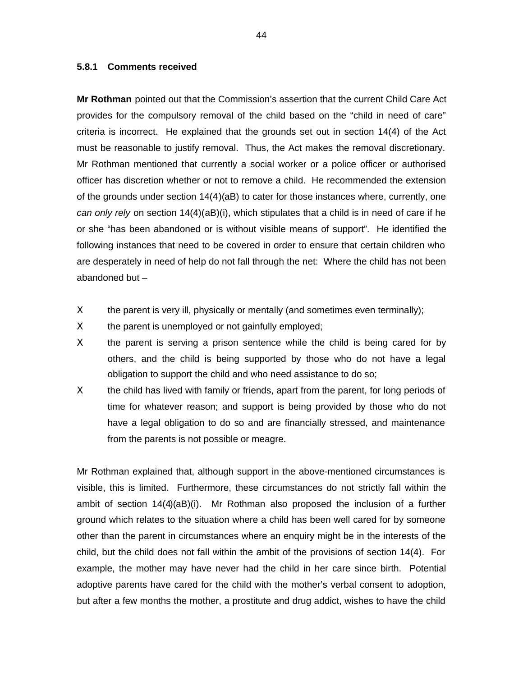#### **5.8.1 Comments received**

**Mr Rothman** pointed out that the Commission's assertion that the current Child Care Act provides for the compulsory removal of the child based on the "child in need of care" criteria is incorrect. He explained that the grounds set out in section 14(4) of the Act must be reasonable to justify removal. Thus, the Act makes the removal discretionary. Mr Rothman mentioned that currently a social worker or a police officer or authorised officer has discretion whether or not to remove a child. He recommended the extension of the grounds under section 14(4)(aB) to cater for those instances where, currently, one can only rely on section  $14(4)(aB)(i)$ , which stipulates that a child is in need of care if he or she "has been abandoned or is without visible means of support". He identified the following instances that need to be covered in order to ensure that certain children who are desperately in need of help do not fall through the net: Where the child has not been abandoned but –

- $X$  the parent is very ill, physically or mentally (and sometimes even terminally);
- $X$  the parent is unemployed or not gainfully employed;
- X the parent is serving a prison sentence while the child is being cared for by others, and the child is being supported by those who do not have a legal obligation to support the child and who need assistance to do so;
- Χ the child has lived with family or friends, apart from the parent, for long periods of time for whatever reason; and support is being provided by those who do not have a legal obligation to do so and are financially stressed, and maintenance from the parents is not possible or meagre.

Mr Rothman explained that, although support in the above-mentioned circumstances is visible, this is limited. Furthermore, these circumstances do not strictly fall within the ambit of section 14(4)(aB)(i). Mr Rothman also proposed the inclusion of a further ground which relates to the situation where a child has been well cared for by someone other than the parent in circumstances where an enquiry might be in the interests of the child, but the child does not fall within the ambit of the provisions of section 14(4). For example, the mother may have never had the child in her care since birth. Potential adoptive parents have cared for the child with the mother's verbal consent to adoption, but after a few months the mother, a prostitute and drug addict, wishes to have the child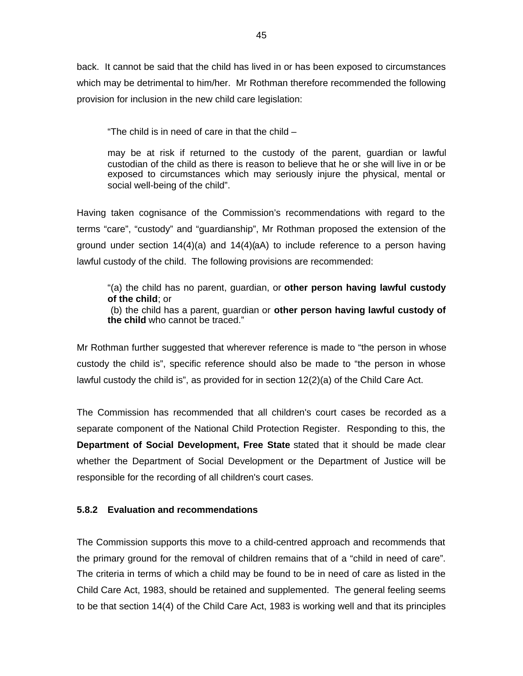back. It cannot be said that the child has lived in or has been exposed to circumstances which may be detrimental to him/her. Mr Rothman therefore recommended the following provision for inclusion in the new child care legislation:

"The child is in need of care in that the child –

may be at risk if returned to the custody of the parent, guardian or lawful custodian of the child as there is reason to believe that he or she will live in or be exposed to circumstances which may seriously injure the physical, mental or social well-being of the child".

Having taken cognisance of the Commission's recommendations with regard to the terms "care", "custody" and "guardianship", Mr Rothman proposed the extension of the ground under section  $14(4)(a)$  and  $14(4)(a)$  to include reference to a person having lawful custody of the child. The following provisions are recommended:

"(a) the child has no parent, guardian, or **other person having lawful custody of the child**; or (b) the child has a parent, guardian or **other person having lawful custody of the child** who cannot be traced."

Mr Rothman further suggested that wherever reference is made to "the person in whose custody the child is", specific reference should also be made to "the person in whose lawful custody the child is", as provided for in section 12(2)(a) of the Child Care Act.

The Commission has recommended that all children's court cases be recorded as a separate component of the National Child Protection Register. Responding to this, the **Department of Social Development, Free State** stated that it should be made clear whether the Department of Social Development or the Department of Justice will be responsible for the recording of all children's court cases.

#### **5.8.2 Evaluation and recommendations**

The Commission supports this move to a child-centred approach and recommends that the primary ground for the removal of children remains that of a "child in need of care". The criteria in terms of which a child may be found to be in need of care as listed in the Child Care Act, 1983, should be retained and supplemented. The general feeling seems to be that section 14(4) of the Child Care Act, 1983 is working well and that its principles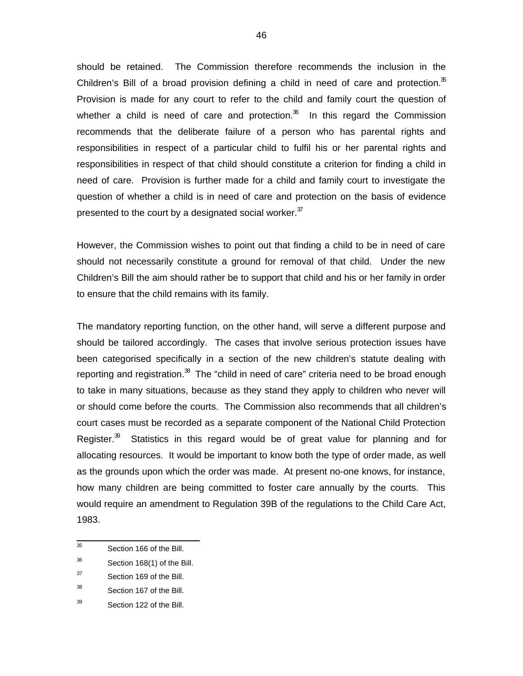should be retained. The Commission therefore recommends the inclusion in the Children's Bill of a broad provision defining a child in need of care and protection. $35$ Provision is made for any court to refer to the child and family court the question of whether a child is need of care and protection. $36$  In this regard the Commission recommends that the deliberate failure of a person who has parental rights and responsibilities in respect of a particular child to fulfil his or her parental rights and responsibilities in respect of that child should constitute a criterion for finding a child in need of care. Provision is further made for a child and family court to investigate the question of whether a child is in need of care and protection on the basis of evidence presented to the court by a designated social worker.  $37$ 

However, the Commission wishes to point out that finding a child to be in need of care should not necessarily constitute a ground for removal of that child. Under the new Children's Bill the aim should rather be to support that child and his or her family in order to ensure that the child remains with its family.

The mandatory reporting function, on the other hand, will serve a different purpose and should be tailored accordingly. The cases that involve serious protection issues have been categorised specifically in a section of the new children's statute dealing with reporting and registration.<sup>38</sup> The "child in need of care" criteria need to be broad enough to take in many situations, because as they stand they apply to children who never will or should come before the courts. The Commission also recommends that all children's court cases must be recorded as a separate component of the National Child Protection Register. $39$  Statistics in this regard would be of great value for planning and for allocating resources. It would be important to know both the type of order made, as well as the grounds upon which the order was made. At present no-one knows, for instance, how many children are being committed to foster care annually by the courts. This would require an amendment to Regulation 39B of the regulations to the Child Care Act, 1983.

<sup>-&</sup>lt;br>35 Section 166 of the Bill.

<sup>36</sup> Section 168(1) of the Bill.

<sup>37</sup> Section 169 of the Bill.

<sup>38</sup> Section 167 of the Bill.

<sup>39</sup> Section 122 of the Bill.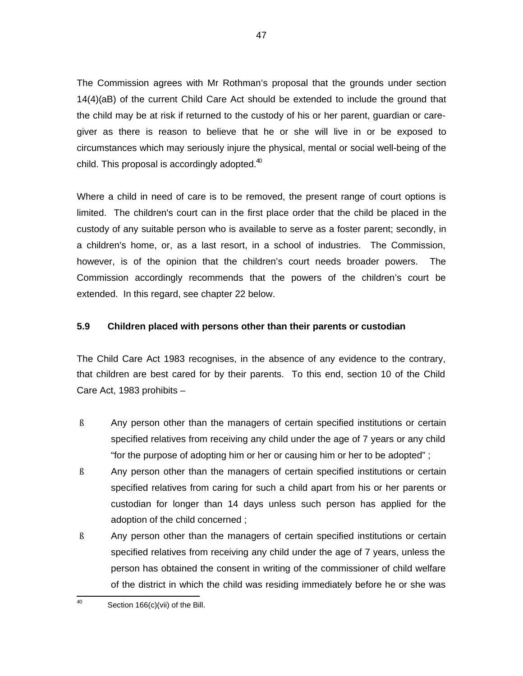The Commission agrees with Mr Rothman's proposal that the grounds under section 14(4)(aB) of the current Child Care Act should be extended to include the ground that the child may be at risk if returned to the custody of his or her parent, guardian or caregiver as there is reason to believe that he or she will live in or be exposed to circumstances which may seriously injure the physical, mental or social well-being of the child. This proposal is accordingly adopted. $40$ 

Where a child in need of care is to be removed, the present range of court options is limited. The children's court can in the first place order that the child be placed in the custody of any suitable person who is available to serve as a foster parent; secondly, in a children's home, or, as a last resort, in a school of industries. The Commission, however, is of the opinion that the children's court needs broader powers. The Commission accordingly recommends that the powers of the children's court be extended. In this regard, see chapter 22 below.

#### **5.9 Children placed with persons other than their parents or custodian**

The Child Care Act 1983 recognises, in the absence of any evidence to the contrary, that children are best cared for by their parents. To this end, section 10 of the Child Care Act, 1983 prohibits –

- ß Any person other than the managers of certain specified institutions or certain specified relatives from receiving any child under the age of 7 years or any child "for the purpose of adopting him or her or causing him or her to be adopted" ;
- ß Any person other than the managers of certain specified institutions or certain specified relatives from caring for such a child apart from his or her parents or custodian for longer than 14 days unless such person has applied for the adoption of the child concerned ;
- ß Any person other than the managers of certain specified institutions or certain specified relatives from receiving any child under the age of 7 years, unless the person has obtained the consent in writing of the commissioner of child welfare of the district in which the child was residing immediately before he or she was

 $\frac{1}{40}$ Section 166(c)(vii) of the Bill.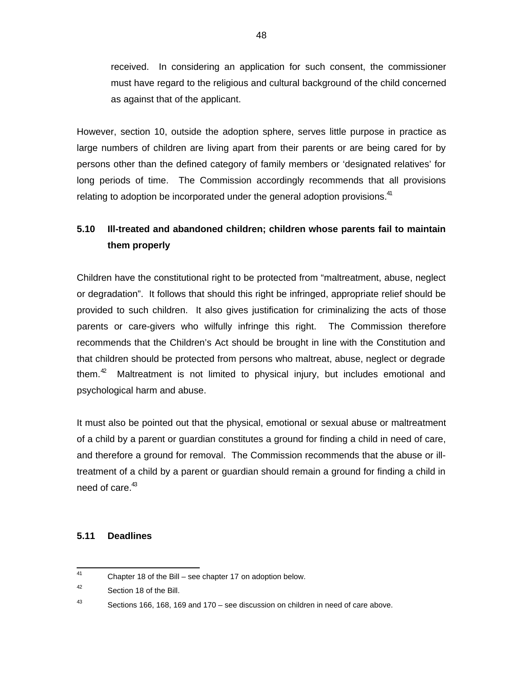received. In considering an application for such consent, the commissioner must have regard to the religious and cultural background of the child concerned as against that of the applicant.

However, section 10, outside the adoption sphere, serves little purpose in practice as large numbers of children are living apart from their parents or are being cared for by persons other than the defined category of family members or 'designated relatives' for long periods of time. The Commission accordingly recommends that all provisions relating to adoption be incorporated under the general adoption provisions.<sup>41</sup>

# **5.10 Ill-treated and abandoned children; children whose parents fail to maintain them properly**

Children have the constitutional right to be protected from "maltreatment, abuse, neglect or degradation". It follows that should this right be infringed, appropriate relief should be provided to such children. It also gives justification for criminalizing the acts of those parents or care-givers who wilfully infringe this right. The Commission therefore recommends that the Children's Act should be brought in line with the Constitution and that children should be protected from persons who maltreat, abuse, neglect or degrade them.<sup>42</sup> Maltreatment is not limited to physical injury, but includes emotional and psychological harm and abuse.

It must also be pointed out that the physical, emotional or sexual abuse or maltreatment of a child by a parent or guardian constitutes a ground for finding a child in need of care, and therefore a ground for removal. The Commission recommends that the abuse or illtreatment of a child by a parent or guardian should remain a ground for finding a child in need of care.<sup>43</sup>

#### **5.11 Deadlines**

 41 Chapter 18 of the Bill – see chapter 17 on adoption below.

<sup>42</sup> Section 18 of the Bill.

<sup>43</sup> Sections 166, 168, 169 and 170 – see discussion on children in need of care above.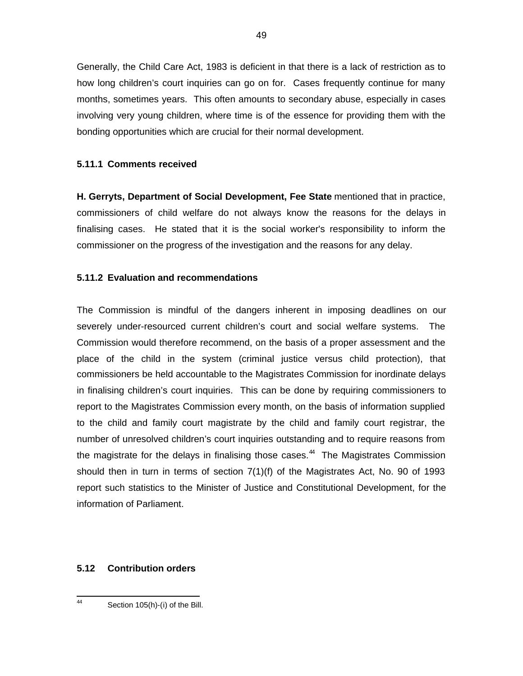Generally, the Child Care Act, 1983 is deficient in that there is a lack of restriction as to how long children's court inquiries can go on for. Cases frequently continue for many months, sometimes years. This often amounts to secondary abuse, especially in cases involving very young children, where time is of the essence for providing them with the bonding opportunities which are crucial for their normal development.

#### **5.11.1 Comments received**

**H. Gerryts, Department of Social Development, Fee State** mentioned that in practice, commissioners of child welfare do not always know the reasons for the delays in finalising cases. He stated that it is the social worker's responsibility to inform the commissioner on the progress of the investigation and the reasons for any delay.

### **5.11.2 Evaluation and recommendations**

The Commission is mindful of the dangers inherent in imposing deadlines on our severely under-resourced current children's court and social welfare systems. The Commission would therefore recommend, on the basis of a proper assessment and the place of the child in the system (criminal justice versus child protection), that commissioners be held accountable to the Magistrates Commission for inordinate delays in finalising children's court inquiries. This can be done by requiring commissioners to report to the Magistrates Commission every month, on the basis of information supplied to the child and family court magistrate by the child and family court registrar, the number of unresolved children's court inquiries outstanding and to require reasons from the magistrate for the delays in finalising those cases.<sup>44</sup> The Magistrates Commission should then in turn in terms of section 7(1)(f) of the Magistrates Act, No. 90 of 1993 report such statistics to the Minister of Justice and Constitutional Development, for the information of Parliament.

#### **5.12 Contribution orders**

Section 105(h)-(i) of the Bill.

 44

<sup>49</sup>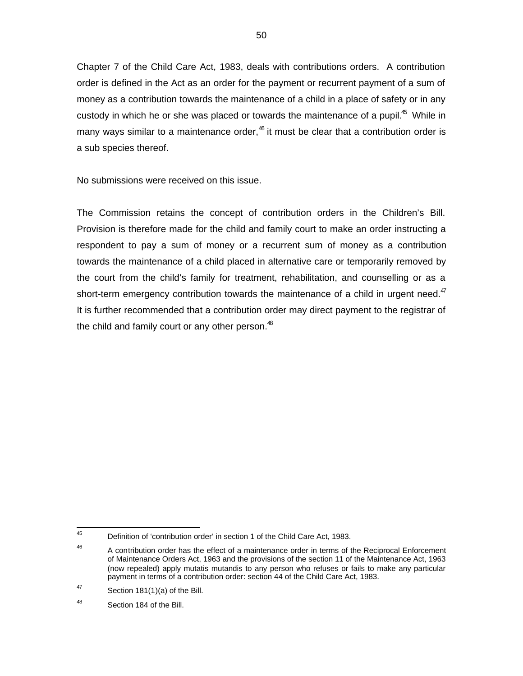Chapter 7 of the Child Care Act, 1983, deals with contributions orders. A contribution order is defined in the Act as an order for the payment or recurrent payment of a sum of money as a contribution towards the maintenance of a child in a place of safety or in any custody in which he or she was placed or towards the maintenance of a pupil.<sup>45</sup> While in many ways similar to a maintenance order,<sup>46</sup> it must be clear that a contribution order is a sub species thereof.

No submissions were received on this issue.

The Commission retains the concept of contribution orders in the Children's Bill. Provision is therefore made for the child and family court to make an order instructing a respondent to pay a sum of money or a recurrent sum of money as a contribution towards the maintenance of a child placed in alternative care or temporarily removed by the court from the child's family for treatment, rehabilitation, and counselling or as a short-term emergency contribution towards the maintenance of a child in urgent need. $47$ It is further recommended that a contribution order may direct payment to the registrar of the child and family court or any other person. $48$ 

<sup>—&</sup>lt;br>45 Definition of 'contribution order' in section 1 of the Child Care Act, 1983.

<sup>46</sup> A contribution order has the effect of a maintenance order in terms of the Reciprocal Enforcement of Maintenance Orders Act, 1963 and the provisions of the section 11 of the Maintenance Act, 1963 (now repealed) apply mutatis mutandis to any person who refuses or fails to make any particular payment in terms of a contribution order: section 44 of the Child Care Act, 1983.

<sup>47</sup> Section 181(1)(a) of the Bill.

<sup>48</sup> Section 184 of the Bill.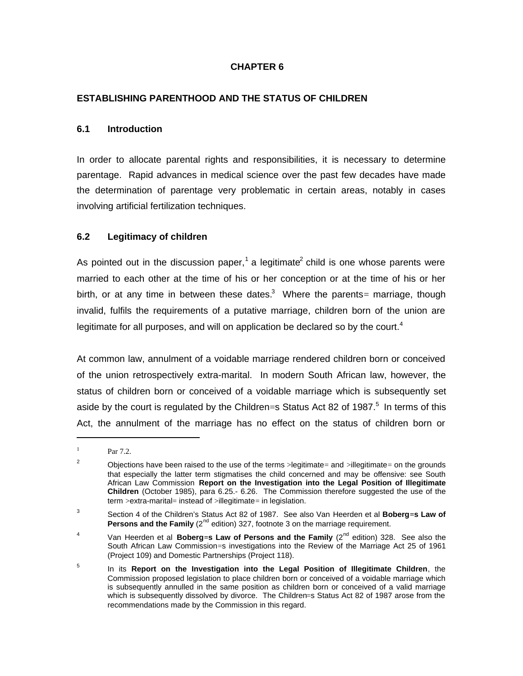#### **CHAPTER 6**

#### **ESTABLISHING PARENTHOOD AND THE STATUS OF CHILDREN**

#### **6.1 Introduction**

In order to allocate parental rights and responsibilities, it is necessary to determine parentage. Rapid advances in medical science over the past few decades have made the determination of parentage very problematic in certain areas, notably in cases involving artificial fertilization techniques.

#### **6.2 Legitimacy of children**

As pointed out in the discussion paper,<sup>1</sup> a legitimate<sup>2</sup> child is one whose parents were married to each other at the time of his or her conception or at the time of his or her birth, or at any time in between these dates.<sup>3</sup> Where the parents= marriage, though invalid, fulfils the requirements of a putative marriage, children born of the union are legitimate for all purposes, and will on application be declared so by the court.<sup>4</sup>

At common law, annulment of a voidable marriage rendered children born or conceived of the union retrospectively extra-marital. In modern South African law, however, the status of children born or conceived of a voidable marriage which is subsequently set aside by the court is regulated by the Children=s Status Act 82 of 1987. $^5$  In terms of this Act, the annulment of the marriage has no effect on the status of children born or

1 1

Par 7.2.

<sup>&</sup>lt;sup>2</sup> Objections have been raised to the use of the terms >legitimate= and >illegitimate= on the grounds that especially the latter term stigmatises the child concerned and may be offensive: see South African Law Commission **Report on the Investigation into the Legal Position of Illegitimate Children** (October 1985), para 6.25.- 6.26. The Commission therefore suggested the use of the term > extra-marital= instead of >illegitimate= in legislation.

<sup>3</sup> Section 4 of the Children's Status Act 82 of 1987. See also Van Heerden et al **Boberg=s Law of Persons and the Family** ( $2^{nd}$  edition) 327, footnote 3 on the marriage requirement.

<sup>4</sup> Van Heerden et al **Boberg=s Law of Persons and the Family** (2nd edition) 328. See also the South African Law Commission=s investigations into the Review of the Marriage Act 25 of 1961 (Project 109) and Domestic Partnerships (Project 118).

<sup>5</sup> In its **Report on the Investigation into the Legal Position of Illegitimate Children**, the Commission proposed legislation to place children born or conceived of a voidable marriage which is subsequently annulled in the same position as children born or conceived of a valid marriage which is subsequently dissolved by divorce. The Children=s Status Act 82 of 1987 arose from the recommendations made by the Commission in this regard.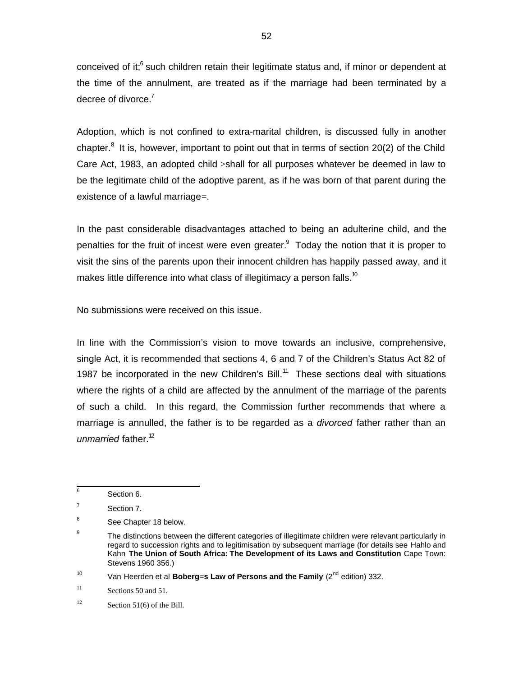conceived of it;<sup>6</sup> such children retain their legitimate status and, if minor or dependent at the time of the annulment, are treated as if the marriage had been terminated by a decree of divorce.<sup>7</sup>

Adoption, which is not confined to extra-marital children, is discussed fully in another chapter.<sup>8</sup> It is, however, important to point out that in terms of section 20(2) of the Child Care Act, 1983, an adopted child >shall for all purposes whatever be deemed in law to be the legitimate child of the adoptive parent, as if he was born of that parent during the existence of a lawful marriage=.

In the past considerable disadvantages attached to being an adulterine child, and the penalties for the fruit of incest were even greater.<sup>9</sup> Today the notion that it is proper to visit the sins of the parents upon their innocent children has happily passed away, and it makes little difference into what class of illegitimacy a person falls.<sup>10</sup>

No submissions were received on this issue.

In line with the Commission's vision to move towards an inclusive, comprehensive, single Act, it is recommended that sections 4, 6 and 7 of the Children's Status Act 82 of 1987 be incorporated in the new Children's Bill.<sup>11</sup> These sections deal with situations where the rights of a child are affected by the annulment of the marriage of the parents of such a child. In this regard, the Commission further recommends that where a marriage is annulled, the father is to be regarded as a *divorced* father rather than an unmarried father.<sup>12</sup>

 6 Section 6.

<sup>7</sup> Section 7.

<sup>8</sup> See Chapter 18 below.

<sup>9</sup> The distinctions between the different categories of illegitimate children were relevant particularly in regard to succession rights and to legitimisation by subsequent marriage (for details see Hahlo and Kahn **The Union of South Africa: The Development of its Laws and Constitution** Cape Town: Stevens 1960 356.)

<sup>10</sup> Van Heerden et al **Boberg=s Law of Persons and the Family** (2nd edition) 332.

<sup>11</sup> Sections 50 and 51.

<sup>12</sup> Section 51(6) of the Bill.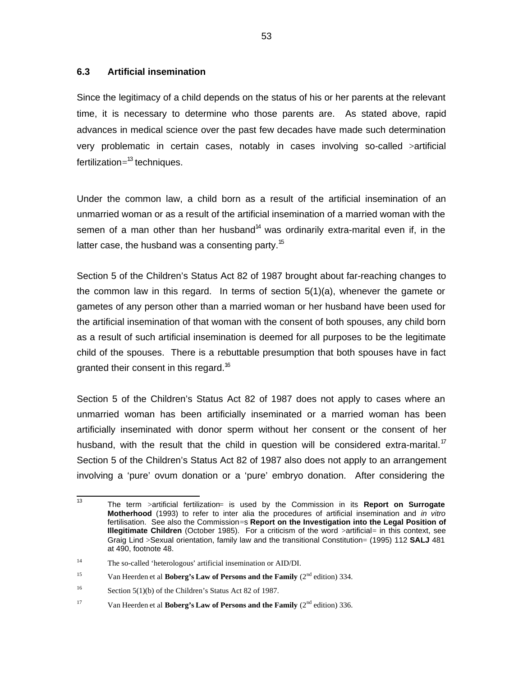#### **6.3 Artificial insemination**

Since the legitimacy of a child depends on the status of his or her parents at the relevant time, it is necessary to determine who those parents are. As stated above, rapid advances in medical science over the past few decades have made such determination very problematic in certain cases, notably in cases involving so-called >artificial fertilization=<sup>13</sup> techniques.

Under the common law, a child born as a result of the artificial insemination of an unmarried woman or as a result of the artificial insemination of a married woman with the semen of a man other than her husband<sup>14</sup> was ordinarily extra-marital even if, in the latter case, the husband was a consenting party.<sup>15</sup>

Section 5 of the Children's Status Act 82 of 1987 brought about far-reaching changes to the common law in this regard. In terms of section 5(1)(a), whenever the gamete or gametes of any person other than a married woman or her husband have been used for the artificial insemination of that woman with the consent of both spouses, any child born as a result of such artificial insemination is deemed for all purposes to be the legitimate child of the spouses. There is a rebuttable presumption that both spouses have in fact granted their consent in this regard.<sup>16</sup>

Section 5 of the Children's Status Act 82 of 1987 does not apply to cases where an unmarried woman has been artificially inseminated or a married woman has been artificially inseminated with donor sperm without her consent or the consent of her husband, with the result that the child in question will be considered extra-marital.<sup>17</sup> Section 5 of the Children's Status Act 82 of 1987 also does not apply to an arrangement involving a 'pure' ovum donation or a 'pure' embryo donation. After considering the

<sup>-&</sup>lt;br>13 The term >artificial fertilization= is used by the Commission in its **Report on Surrogate Motherhood** (1993) to refer to inter alia the procedures of artificial insemination and in vitro fertilisation. See also the Commission=s **Report on the Investigation into the Legal Position of Illegitimate Children** (October 1985). For a criticism of the word >artificial= in this context, see Graig Lind >Sexual orientation, family law and the transitional Constitution= (1995) 112 **SALJ** 481 at 490, footnote 48.

<sup>14</sup> The so-called 'heterologous' artificial insemination or AID/DI.

<sup>&</sup>lt;sup>15</sup> Van Heerden et al **Boberg's Law of Persons and the Family**  $(2^{nd}$  edition) 334.

<sup>16</sup> Section 5(1)(b) of the Children's Status Act 82 of 1987.

<sup>&</sup>lt;sup>17</sup> Van Heerden et al **Boberg's Law of Persons and the Family** (2<sup>nd</sup> edition) 336.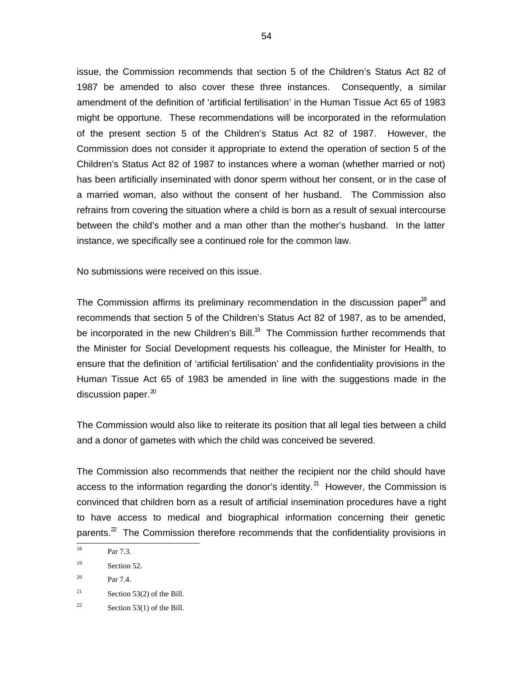issue, the Commission recommends that section 5 of the Children's Status Act 82 of 1987 be amended to also cover these three instances. Consequently, a similar amendment of the definition of 'artificial fertilisation' in the Human Tissue Act 65 of 1983 might be opportune. These recommendations will be incorporated in the reformulation of the present section 5 of the Children's Status Act 82 of 1987. However, the Commission does not consider it appropriate to extend the operation of section 5 of the Children's Status Act 82 of 1987 to instances where a woman (whether married or not) has been artificially inseminated with donor sperm without her consent, or in the case of a married woman, also without the consent of her husband. The Commission also refrains from covering the situation where a child is born as a result of sexual intercourse between the child's mother and a man other than the mother's husband. In the latter instance, we specifically see a continued role for the common law.

No submissions were received on this issue.

The Commission affirms its preliminary recommendation in the discussion paper<sup>18</sup> and recommends that section 5 of the Children's Status Act 82 of 1987, as to be amended, be incorporated in the new Children's Bill.<sup>19</sup> The Commission further recommends that the Minister for Social Development requests his colleague, the Minister for Health, to ensure that the definition of 'artificial fertilisation' and the confidentiality provisions in the Human Tissue Act 65 of 1983 be amended in line with the suggestions made in the discussion paper. $^{20}$ 

The Commission would also like to reiterate its position that all legal ties between a child and a donor of gametes with which the child was conceived be severed.

The Commission also recommends that neither the recipient nor the child should have access to the information regarding the donor's identity.<sup>21</sup> However, the Commission is convinced that children born as a result of artificial insemination procedures have a right to have access to medical and biographical information concerning their genetic parents.<sup>22</sup> The Commission therefore recommends that the confidentiality provisions in

20 Par 7.4.

 18 Par 7.3.

<sup>19</sup> Section 52.

<sup>21</sup> Section 53(2) of the Bill.

<sup>22</sup> Section 53(1) of the Bill.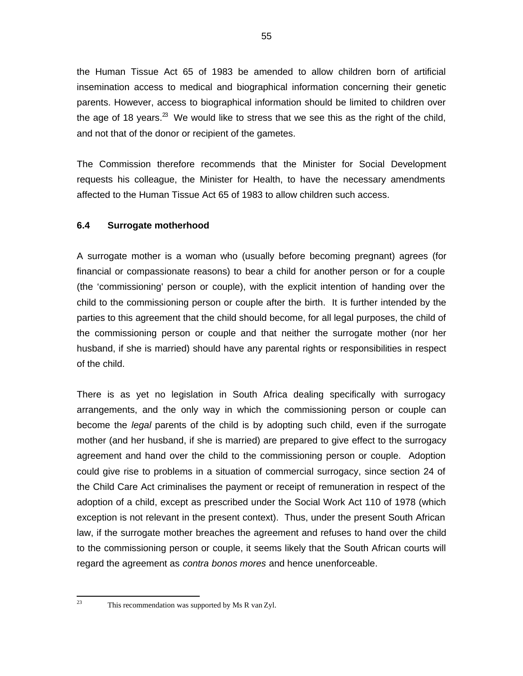the Human Tissue Act 65 of 1983 be amended to allow children born of artificial insemination access to medical and biographical information concerning their genetic parents. However, access to biographical information should be limited to children over the age of 18 years.<sup>23</sup> We would like to stress that we see this as the right of the child, and not that of the donor or recipient of the gametes.

The Commission therefore recommends that the Minister for Social Development requests his colleague, the Minister for Health, to have the necessary amendments affected to the Human Tissue Act 65 of 1983 to allow children such access.

### **6.4 Surrogate motherhood**

A surrogate mother is a woman who (usually before becoming pregnant) agrees (for financial or compassionate reasons) to bear a child for another person or for a couple (the 'commissioning' person or couple), with the explicit intention of handing over the child to the commissioning person or couple after the birth. It is further intended by the parties to this agreement that the child should become, for all legal purposes, the child of the commissioning person or couple and that neither the surrogate mother (nor her husband, if she is married) should have any parental rights or responsibilities in respect of the child.

There is as yet no legislation in South Africa dealing specifically with surrogacy arrangements, and the only way in which the commissioning person or couple can become the legal parents of the child is by adopting such child, even if the surrogate mother (and her husband, if she is married) are prepared to give effect to the surrogacy agreement and hand over the child to the commissioning person or couple. Adoption could give rise to problems in a situation of commercial surrogacy, since section 24 of the Child Care Act criminalises the payment or receipt of remuneration in respect of the adoption of a child, except as prescribed under the Social Work Act 110 of 1978 (which exception is not relevant in the present context). Thus, under the present South African law, if the surrogate mother breaches the agreement and refuses to hand over the child to the commissioning person or couple, it seems likely that the South African courts will regard the agreement as contra bonos mores and hence unenforceable.

 $23$ 

This recommendation was supported by Ms R van Zyl.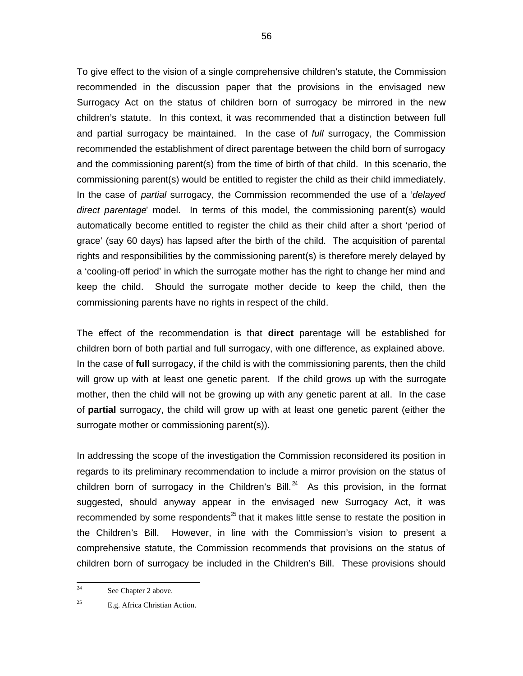To give effect to the vision of a single comprehensive children's statute, the Commission recommended in the discussion paper that the provisions in the envisaged new Surrogacy Act on the status of children born of surrogacy be mirrored in the new children's statute. In this context, it was recommended that a distinction between full and partial surrogacy be maintained. In the case of full surrogacy, the Commission recommended the establishment of direct parentage between the child born of surrogacy and the commissioning parent(s) from the time of birth of that child. In this scenario, the commissioning parent(s) would be entitled to register the child as their child immediately. In the case of partial surrogacy, the Commission recommended the use of a 'delayed direct parentage' model. In terms of this model, the commissioning parent(s) would automatically become entitled to register the child as their child after a short 'period of grace' (say 60 days) has lapsed after the birth of the child. The acquisition of parental rights and responsibilities by the commissioning parent(s) is therefore merely delayed by a 'cooling-off period' in which the surrogate mother has the right to change her mind and keep the child. Should the surrogate mother decide to keep the child, then the commissioning parents have no rights in respect of the child.

The effect of the recommendation is that **direct** parentage will be established for children born of both partial and full surrogacy, with one difference, as explained above. In the case of **full** surrogacy, if the child is with the commissioning parents, then the child will grow up with at least one genetic parent. If the child grows up with the surrogate mother, then the child will not be growing up with any genetic parent at all. In the case of **partial** surrogacy, the child will grow up with at least one genetic parent (either the surrogate mother or commissioning parent(s)).

In addressing the scope of the investigation the Commission reconsidered its position in regards to its preliminary recommendation to include a mirror provision on the status of children born of surrogacy in the Children's Bill. $^{24}$  As this provision, in the format suggested, should anyway appear in the envisaged new Surrogacy Act, it was recommended by some respondents<sup> $25$ </sup> that it makes little sense to restate the position in the Children's Bill. However, in line with the Commission's vision to present a comprehensive statute, the Commission recommends that provisions on the status of children born of surrogacy be included in the Children's Bill. These provisions should

 $\frac{1}{24}$ See Chapter 2 above.

<sup>25</sup> E.g. Africa Christian Action.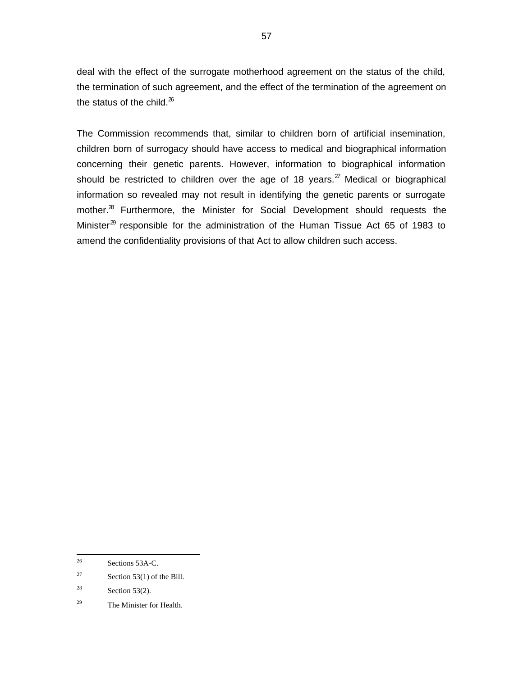deal with the effect of the surrogate motherhood agreement on the status of the child, the termination of such agreement, and the effect of the termination of the agreement on the status of the child. $^{26}$ 

The Commission recommends that, similar to children born of artificial insemination, children born of surrogacy should have access to medical and biographical information concerning their genetic parents. However, information to biographical information should be restricted to children over the age of 18 years.<sup>27</sup> Medical or biographical information so revealed may not result in identifying the genetic parents or surrogate mother.<sup>28</sup> Furthermore, the Minister for Social Development should requests the Minister $^{\text{29}}$  responsible for the administration of the Human Tissue Act 65 of 1983 to amend the confidentiality provisions of that Act to allow children such access.

 26 Sections 53A-C.

<sup>27</sup> Section 53(1) of the Bill.

<sup>28</sup> Section 53(2).

<sup>29</sup> The Minister for Health.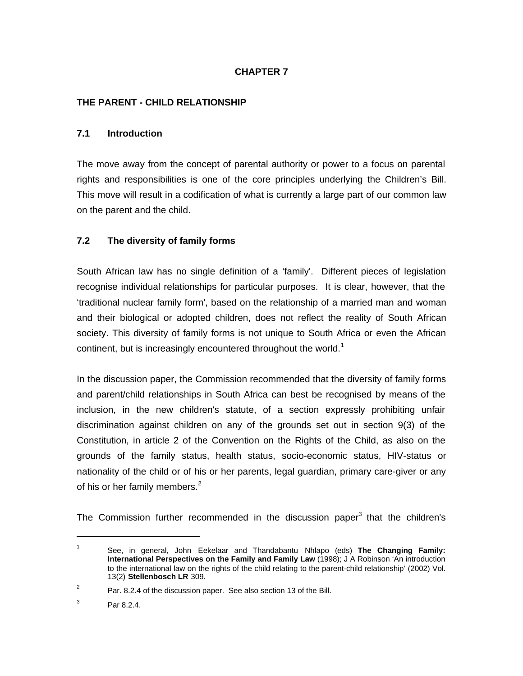# **CHAPTER 7**

#### **THE PARENT - CHILD RELATIONSHIP**

#### **7.1 Introduction**

The move away from the concept of parental authority or power to a focus on parental rights and responsibilities is one of the core principles underlying the Children's Bill. This move will result in a codification of what is currently a large part of our common law on the parent and the child.

#### **7.2 The diversity of family forms**

South African law has no single definition of a 'family'. Different pieces of legislation recognise individual relationships for particular purposes. It is clear, however, that the 'traditional nuclear family form', based on the relationship of a married man and woman and their biological or adopted children, does not reflect the reality of South African society. This diversity of family forms is not unique to South Africa or even the African continent, but is increasingly encountered throughout the world.<sup>1</sup>

In the discussion paper, the Commission recommended that the diversity of family forms and parent/child relationships in South Africa can best be recognised by means of the inclusion, in the new children's statute, of a section expressly prohibiting unfair discrimination against children on any of the grounds set out in section 9(3) of the Constitution, in article 2 of the Convention on the Rights of the Child, as also on the grounds of the family status, health status, socio-economic status, HIV-status or nationality of the child or of his or her parents, legal guardian, primary care-giver or any of his or her family members. $2$ 

The Commission further recommended in the discussion paper<sup>3</sup> that the children's

1

<sup>1</sup> See, in general, John Eekelaar and Thandabantu Nhlapo (eds) **The Changing Family: International Perspectives on the Family and Family Law** (1998); J A Robinson 'An introduction to the international law on the rights of the child relating to the parent-child relationship' (2002) Vol. 13(2) **Stellenbosch LR** 309.

<sup>2</sup> Par. 8.2.4 of the discussion paper. See also section 13 of the Bill.

<sup>3</sup> Par 8.2.4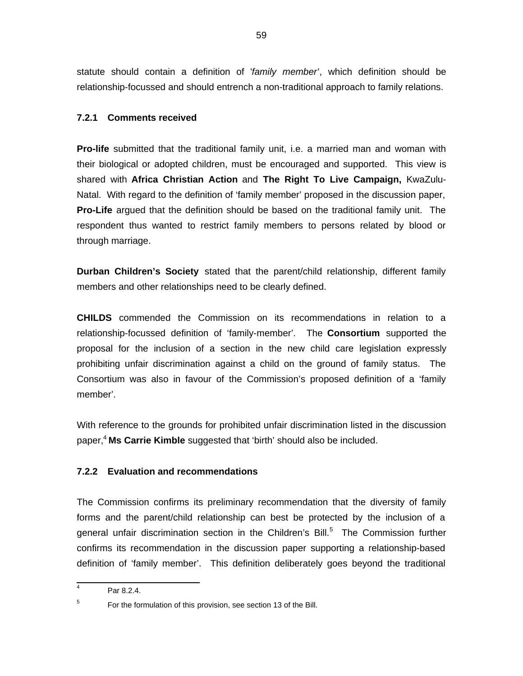statute should contain a definition of 'family member', which definition should be relationship-focussed and should entrench a non-traditional approach to family relations.

#### **7.2.1 Comments received**

**Pro-life** submitted that the traditional family unit, i.e. a married man and woman with their biological or adopted children, must be encouraged and supported. This view is shared with **Africa Christian Action** and **The Right To Live Campaign,** KwaZulu-Natal. With regard to the definition of 'family member' proposed in the discussion paper, **Pro-Life** argued that the definition should be based on the traditional family unit. The respondent thus wanted to restrict family members to persons related by blood or through marriage.

**Durban Children's Society** stated that the parent/child relationship, different family members and other relationships need to be clearly defined.

**CHILDS** commended the Commission on its recommendations in relation to a relationship-focussed definition of 'family-member'. The **Consortium** supported the proposal for the inclusion of a section in the new child care legislation expressly prohibiting unfair discrimination against a child on the ground of family status. The Consortium was also in favour of the Commission's proposed definition of a 'family member'.

With reference to the grounds for prohibited unfair discrimination listed in the discussion paper,<sup>4</sup> **Ms Carrie Kimble** suggested that 'birth' should also be included.

#### **7.2.2 Evaluation and recommendations**

The Commission confirms its preliminary recommendation that the diversity of family forms and the parent/child relationship can best be protected by the inclusion of a general unfair discrimination section in the Children's Bill.<sup>5</sup> The Commission further confirms its recommendation in the discussion paper supporting a relationship-based definition of 'family member'. This definition deliberately goes beyond the traditional

<sup>-&</sup>lt;br>4 Par 8.2.4.

<sup>5</sup> For the formulation of this provision, see section 13 of the Bill.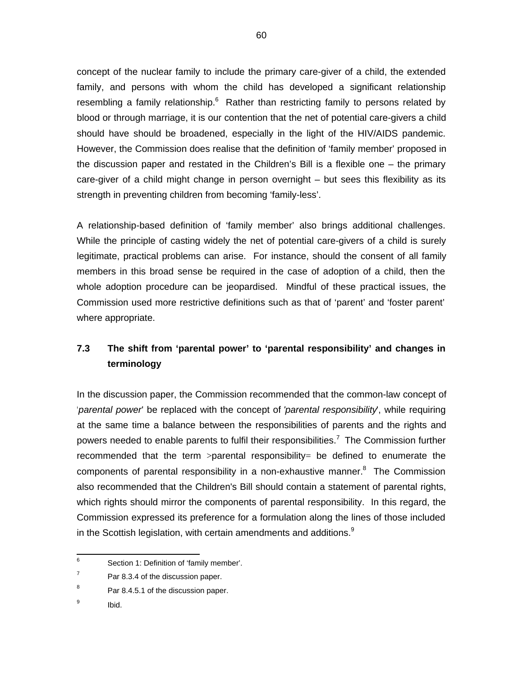concept of the nuclear family to include the primary care-giver of a child, the extended family, and persons with whom the child has developed a significant relationship resembling a family relationship.<sup>6</sup> Rather than restricting family to persons related by blood or through marriage, it is our contention that the net of potential care-givers a child should have should be broadened, especially in the light of the HIV/AIDS pandemic. However, the Commission does realise that the definition of 'family member' proposed in the discussion paper and restated in the Children's Bill is a flexible one – the primary care-giver of a child might change in person overnight – but sees this flexibility as its strength in preventing children from becoming 'family-less'.

A relationship-based definition of 'family member' also brings additional challenges. While the principle of casting widely the net of potential care-givers of a child is surely legitimate, practical problems can arise. For instance, should the consent of all family members in this broad sense be required in the case of adoption of a child, then the whole adoption procedure can be jeopardised. Mindful of these practical issues, the Commission used more restrictive definitions such as that of 'parent' and 'foster parent' where appropriate.

# **7.3 The shift from 'parental power' to 'parental responsibility' and changes in terminology**

In the discussion paper, the Commission recommended that the common-law concept of 'parental power' be replaced with the concept of 'parental responsibility', while requiring at the same time a balance between the responsibilities of parents and the rights and powers needed to enable parents to fulfil their responsibilities.<sup>7</sup> The Commission further recommended that the term  $\ge$ parental responsibility= be defined to enumerate the components of parental responsibility in a non-exhaustive manner.<sup>8</sup> The Commission also recommended that the Children's Bill should contain a statement of parental rights, which rights should mirror the components of parental responsibility. In this regard, the Commission expressed its preference for a formulation along the lines of those included in the Scottish legislation, with certain amendments and additions. $9$ 

 6 Section 1: Definition of 'family member'.

<sup>7</sup> Par 8.3.4 of the discussion paper.

<sup>8</sup> Par 8.4.5.1 of the discussion paper.

<sup>9</sup> Ibid.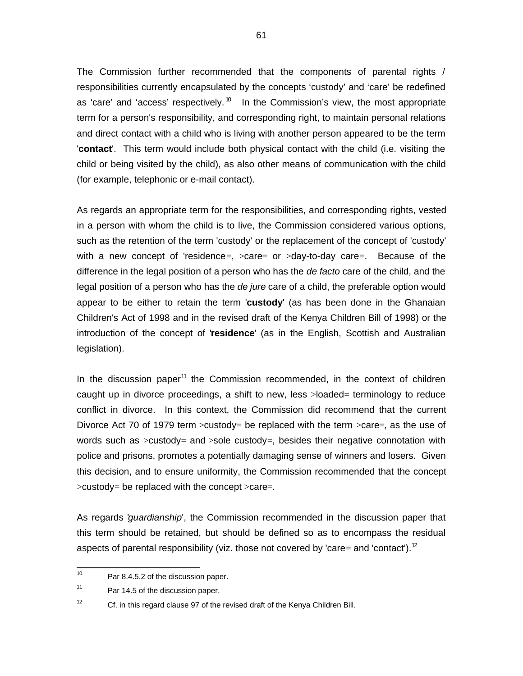The Commission further recommended that the components of parental rights / responsibilities currently encapsulated by the concepts 'custody' and 'care' be redefined as 'care' and 'access' respectively.<sup>10</sup> In the Commission's view, the most appropriate term for a person's responsibility, and corresponding right, to maintain personal relations and direct contact with a child who is living with another person appeared to be the term '**contact**'. This term would include both physical contact with the child (i.e. visiting the child or being visited by the child), as also other means of communication with the child (for example, telephonic or e-mail contact).

As regards an appropriate term for the responsibilities, and corresponding rights, vested in a person with whom the child is to live, the Commission considered various options, such as the retention of the term 'custody' or the replacement of the concept of 'custody' with a new concept of 'residence=,  $>$ care= or  $>$ day-to-day care=. Because of the difference in the legal position of a person who has the *de facto* care of the child, and the legal position of a person who has the *de jure* care of a child, the preferable option would appear to be either to retain the term '**custody**' (as has been done in the Ghanaian Children's Act of 1998 and in the revised draft of the Kenya Children Bill of 1998) or the introduction of the concept of '**residence**' (as in the English, Scottish and Australian legislation).

In the discussion paper<sup>11</sup> the Commission recommended, in the context of children caught up in divorce proceedings, a shift to new, less >loaded= terminology to reduce conflict in divorce. In this context, the Commission did recommend that the current Divorce Act 70 of 1979 term  $>$ custody= be replaced with the term  $>$ care=, as the use of words such as  $>c$ ustody= and  $>$ sole custody=, besides their negative connotation with police and prisons, promotes a potentially damaging sense of winners and losers. Given this decision, and to ensure uniformity, the Commission recommended that the concept  $>c$ ustody= be replaced with the concept  $>c$ are=.

As regards 'guardianship', the Commission recommended in the discussion paper that this term should be retained, but should be defined so as to encompass the residual aspects of parental responsibility (viz. those not covered by 'care= and 'contact').<sup>12</sup>

 $\frac{1}{10}$ Par 8.4.5.2 of the discussion paper.

<sup>11</sup> Par 14.5 of the discussion paper.

<sup>12</sup> Cf. in this regard clause 97 of the revised draft of the Kenya Children Bill.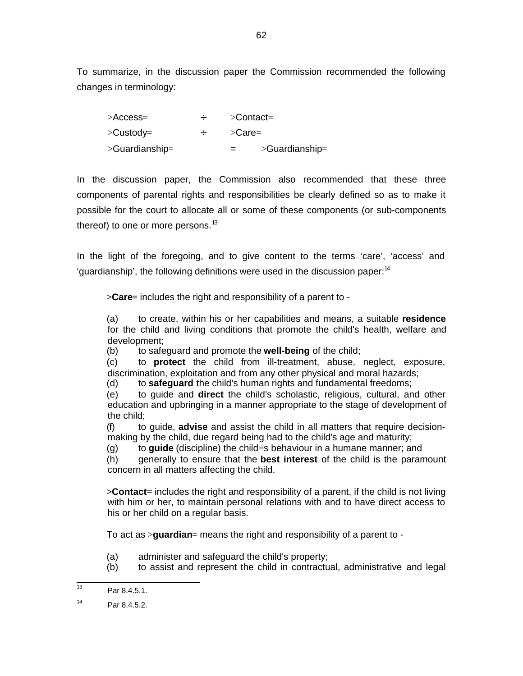To summarize, in the discussion paper the Commission recommended the following changes in terminology:

| >Access=       | $\geq$ Contact=              |  |  |  |
|----------------|------------------------------|--|--|--|
| >Custody=      | $\mathsf{C}$ are=            |  |  |  |
| >Guardianship= | $>\!\!$ Guardianship=<br>$=$ |  |  |  |

In the discussion paper, the Commission also recommended that these three components of parental rights and responsibilities be clearly defined so as to make it possible for the court to allocate all or some of these components (or sub-components thereof) to one or more persons. $^{13}$ 

In the light of the foregoing, and to give content to the terms 'care', 'access' and 'quardianship', the following definitions were used in the discussion paper: $14$ 

**>Care=** includes the right and responsibility of a parent to -

(a) to create, within his or her capabilities and means, a suitable **residence** for the child and living conditions that promote the child's health, welfare and development;

(b) to safeguard and promote the **well-being** of the child;

(c) to **protect** the child from ill-treatment, abuse, neglect, exposure, discrimination, exploitation and from any other physical and moral hazards;

(d) to **safeguard** the child's human rights and fundamental freedoms;

(e) to guide and **direct** the child's scholastic, religious, cultural, and other education and upbringing in a manner appropriate to the stage of development of the child;

(f) to guide, **advise** and assist the child in all matters that require decisionmaking by the child, due regard being had to the child's age and maturity;

(g) to **guide** (discipline) the child=s behaviour in a humane manner; and

(h) generally to ensure that the **best interest** of the child is the paramount concern in all matters affecting the child.

**>Contact=** includes the right and responsibility of a parent, if the child is not living with him or her, to maintain personal relations with and to have direct access to his or her child on a regular basis.

To act as >**guardian**= means the right and responsibility of a parent to -

- (a) administer and safeguard the child's property;
- (b) to assist and represent the child in contractual, administrative and legal

<sup>|&</sup>lt;br>13 Par 8.4.5.1.

<sup>14</sup> Par 8.4.5.2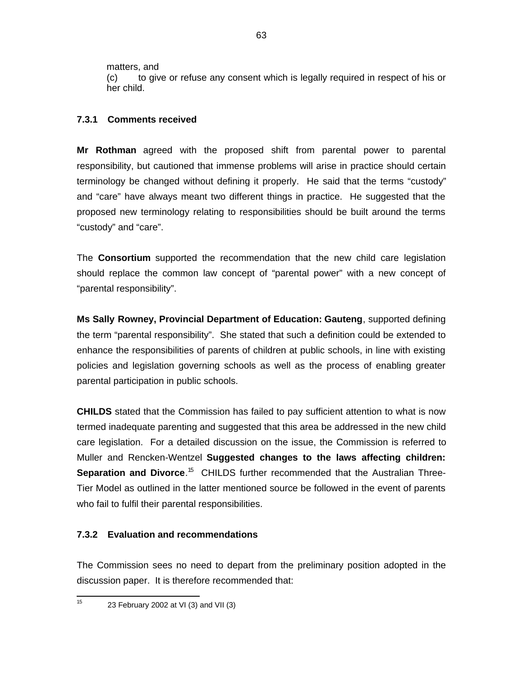matters, and

(c) to give or refuse any consent which is legally required in respect of his or her child.

# **7.3.1 Comments received**

**Mr Rothman** agreed with the proposed shift from parental power to parental responsibility, but cautioned that immense problems will arise in practice should certain terminology be changed without defining it properly. He said that the terms "custody" and "care" have always meant two different things in practice. He suggested that the proposed new terminology relating to responsibilities should be built around the terms "custody" and "care".

The **Consortium** supported the recommendation that the new child care legislation should replace the common law concept of "parental power" with a new concept of "parental responsibility".

**Ms Sally Rowney, Provincial Department of Education: Gauteng**, supported defining the term "parental responsibility". She stated that such a definition could be extended to enhance the responsibilities of parents of children at public schools, in line with existing policies and legislation governing schools as well as the process of enabling greater parental participation in public schools.

**CHILDS** stated that the Commission has failed to pay sufficient attention to what is now termed inadequate parenting and suggested that this area be addressed in the new child care legislation. For a detailed discussion on the issue, the Commission is referred to Muller and Rencken-Wentzel **Suggested changes to the laws affecting children:** Separation and Divorce.<sup>15</sup> CHILDS further recommended that the Australian Three-Tier Model as outlined in the latter mentioned source be followed in the event of parents who fail to fulfil their parental responsibilities.

# **7.3.2 Evaluation and recommendations**

The Commission sees no need to depart from the preliminary position adopted in the discussion paper. It is therefore recommended that:

 $\frac{1}{15}$ 23 February 2002 at VI (3) and VII (3)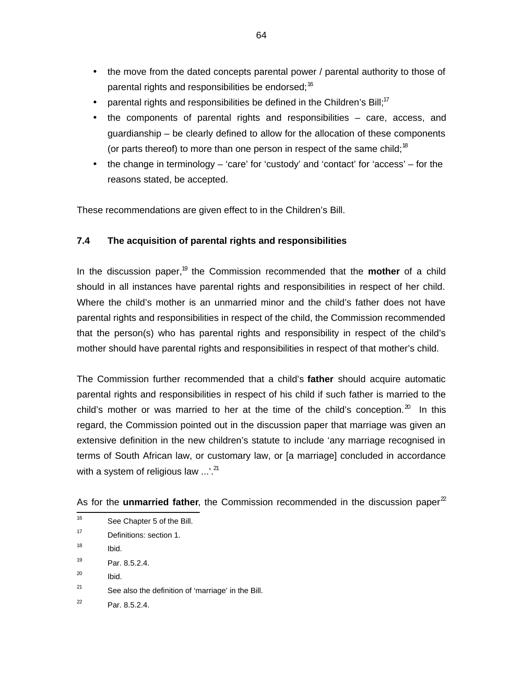- the move from the dated concepts parental power / parental authority to those of parental rights and responsibilities be endorsed;<sup>16</sup>
- parental rights and responsibilities be defined in the Children's Bill;<sup>17</sup>
- the components of parental rights and responsibilities care, access, and guardianship – be clearly defined to allow for the allocation of these components (or parts thereof) to more than one person in respect of the same child;<sup>18</sup>
- the change in terminology 'care' for 'custody' and 'contact' for 'access' for the reasons stated, be accepted.

These recommendations are given effect to in the Children's Bill.

### **7.4 The acquisition of parental rights and responsibilities**

In the discussion paper,<sup>19</sup> the Commission recommended that the **mother** of a child should in all instances have parental rights and responsibilities in respect of her child. Where the child's mother is an unmarried minor and the child's father does not have parental rights and responsibilities in respect of the child, the Commission recommended that the person(s) who has parental rights and responsibility in respect of the child's mother should have parental rights and responsibilities in respect of that mother's child.

The Commission further recommended that a child's **father** should acquire automatic parental rights and responsibilities in respect of his child if such father is married to the child's mother or was married to her at the time of the child's conception. $20$  In this regard, the Commission pointed out in the discussion paper that marriage was given an extensive definition in the new children's statute to include 'any marriage recognised in terms of South African law, or customary law, or [a marriage] concluded in accordance with a system of religious law  $\ldots$ <sup>21</sup>

|  |  |  |  |  |  | As for the unmarried father, the Commission recommended in the discussion paper $^2$ |  |  |  |  |
|--|--|--|--|--|--|--------------------------------------------------------------------------------------|--|--|--|--|
|--|--|--|--|--|--|--------------------------------------------------------------------------------------|--|--|--|--|

- —<br>16 See Chapter 5 of the Bill.
- 17 Definitions: section 1.
- 18 Ibid.
- 19 Par. 8.5.2.4.
- 20 Ibid.
- 21 See also the definition of 'marriage' in the Bill.
- 22 Par. 8.5.2.4.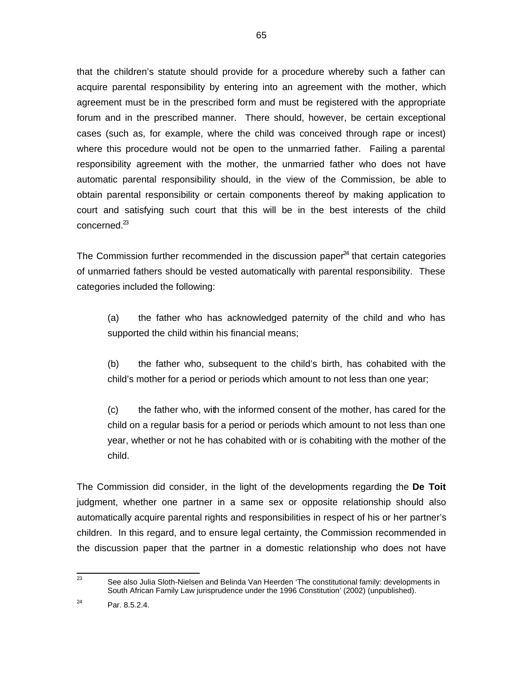that the children's statute should provide for a procedure whereby such a father can acquire parental responsibility by entering into an agreement with the mother, which agreement must be in the prescribed form and must be registered with the appropriate forum and in the prescribed manner. There should, however, be certain exceptional cases (such as, for example, where the child was conceived through rape or incest) where this procedure would not be open to the unmarried father. Failing a parental responsibility agreement with the mother, the unmarried father who does not have automatic parental responsibility should, in the view of the Commission, be able to obtain parental responsibility or certain components thereof by making application to court and satisfying such court that this will be in the best interests of the child concerned.<sup>23</sup>

The Commission further recommended in the discussion paper $^{24}$  that certain categories of unmarried fathers should be vested automatically with parental responsibility. These categories included the following:

(a) the father who has acknowledged paternity of the child and who has supported the child within his financial means;

(b) the father who, subsequent to the child's birth, has cohabited with the child's mother for a period or periods which amount to not less than one year;

(c) the father who, with the informed consent of the mother, has cared for the child on a regular basis for a period or periods which amount to not less than one year, whether or not he has cohabited with or is cohabiting with the mother of the child.

The Commission did consider, in the light of the developments regarding the **De Toit** judgment, whether one partner in a same sex or opposite relationship should also automatically acquire parental rights and responsibilities in respect of his or her partner's children. In this regard, and to ensure legal certainty, the Commission recommended in the discussion paper that the partner in a domestic relationship who does not have

<sup>—&</sup>lt;br>23 See also Julia Sloth-Nielsen and Belinda Van Heerden 'The constitutional family: developments in South African Family Law jurisprudence under the 1996 Constitution' (2002) (unpublished).

<sup>24</sup> Par. 8.5.2.4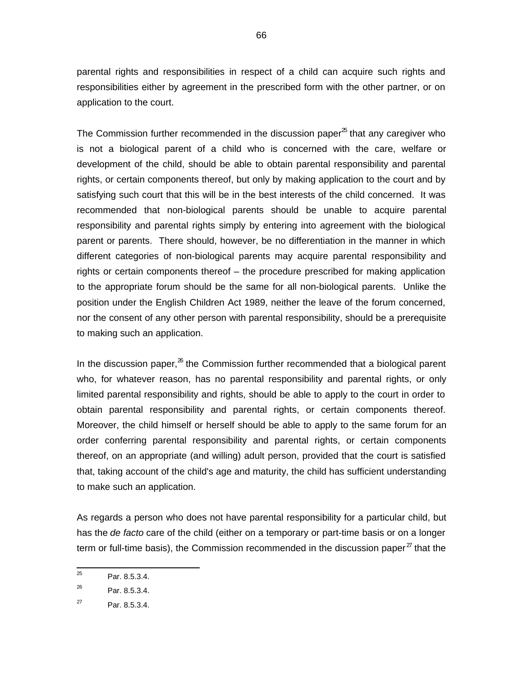parental rights and responsibilities in respect of a child can acquire such rights and responsibilities either by agreement in the prescribed form with the other partner, or on application to the court.

The Commission further recommended in the discussion paper<sup> $x$ </sup> that any caregiver who is not a biological parent of a child who is concerned with the care, welfare or development of the child, should be able to obtain parental responsibility and parental rights, or certain components thereof, but only by making application to the court and by satisfying such court that this will be in the best interests of the child concerned. It was recommended that non-biological parents should be unable to acquire parental responsibility and parental rights simply by entering into agreement with the biological parent or parents. There should, however, be no differentiation in the manner in which different categories of non-biological parents may acquire parental responsibility and rights or certain components thereof – the procedure prescribed for making application to the appropriate forum should be the same for all non-biological parents. Unlike the position under the English Children Act 1989, neither the leave of the forum concerned, nor the consent of any other person with parental responsibility, should be a prerequisite to making such an application.

In the discussion paper, $^{26}$  the Commission further recommended that a biological parent who, for whatever reason, has no parental responsibility and parental rights, or only limited parental responsibility and rights, should be able to apply to the court in order to obtain parental responsibility and parental rights, or certain components thereof. Moreover, the child himself or herself should be able to apply to the same forum for an order conferring parental responsibility and parental rights, or certain components thereof, on an appropriate (and willing) adult person, provided that the court is satisfied that, taking account of the child's age and maturity, the child has sufficient understanding to make such an application.

As regards a person who does not have parental responsibility for a particular child, but has the de facto care of the child (either on a temporary or part-time basis or on a longer term or full-time basis), the Commission recommended in the discussion paper ${}^{27}$  that the

 25 Par. 8.5.3.4.

<sup>26</sup> Par. 8.5.3.4.

<sup>27</sup> Par. 8.5.3.4.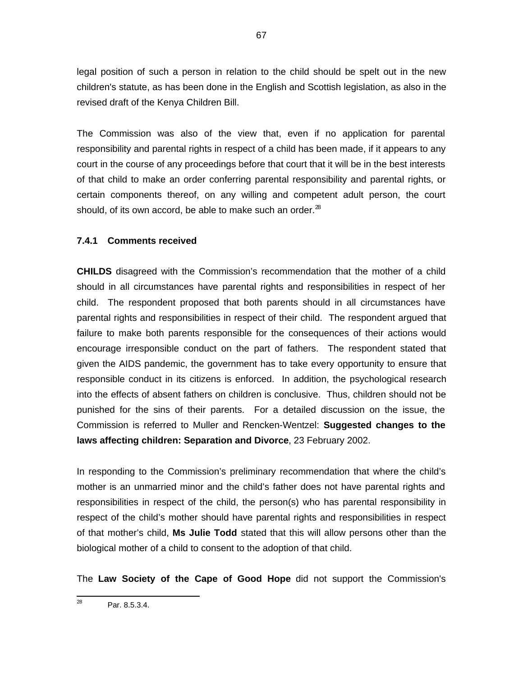legal position of such a person in relation to the child should be spelt out in the new children's statute, as has been done in the English and Scottish legislation, as also in the revised draft of the Kenya Children Bill.

The Commission was also of the view that, even if no application for parental responsibility and parental rights in respect of a child has been made, if it appears to any court in the course of any proceedings before that court that it will be in the best interests of that child to make an order conferring parental responsibility and parental rights, or certain components thereof, on any willing and competent adult person, the court should, of its own accord, be able to make such an order. $^{28}$ 

### **7.4.1 Comments received**

**CHILDS** disagreed with the Commission's recommendation that the mother of a child should in all circumstances have parental rights and responsibilities in respect of her child. The respondent proposed that both parents should in all circumstances have parental rights and responsibilities in respect of their child. The respondent argued that failure to make both parents responsible for the consequences of their actions would encourage irresponsible conduct on the part of fathers. The respondent stated that given the AIDS pandemic, the government has to take every opportunity to ensure that responsible conduct in its citizens is enforced. In addition, the psychological research into the effects of absent fathers on children is conclusive. Thus, children should not be punished for the sins of their parents. For a detailed discussion on the issue, the Commission is referred to Muller and Rencken-Wentzel: **Suggested changes to the laws affecting children: Separation and Divorce**, 23 February 2002.

In responding to the Commission's preliminary recommendation that where the child's mother is an unmarried minor and the child's father does not have parental rights and responsibilities in respect of the child, the person(s) who has parental responsibility in respect of the child's mother should have parental rights and responsibilities in respect of that mother's child, **Ms Julie Todd** stated that this will allow persons other than the biological mother of a child to consent to the adoption of that child.

The **Law Society of the Cape of Good Hope** did not support the Commission's

<sup>—&</sup>lt;br>28 Par. 8.5.3.4.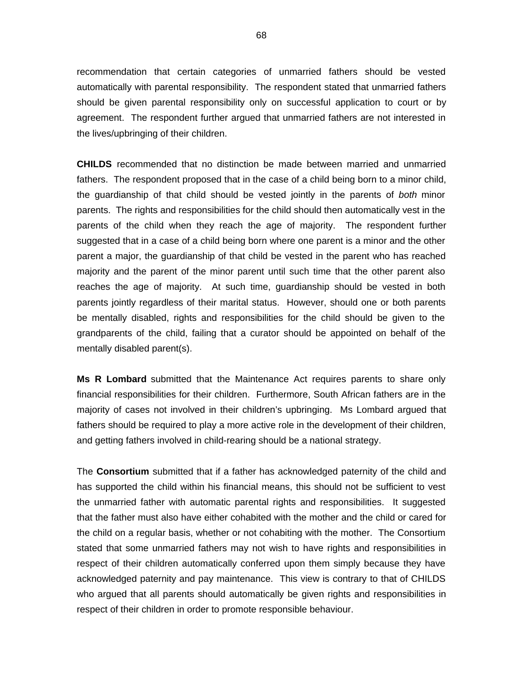recommendation that certain categories of unmarried fathers should be vested automatically with parental responsibility. The respondent stated that unmarried fathers should be given parental responsibility only on successful application to court or by agreement. The respondent further argued that unmarried fathers are not interested in the lives/upbringing of their children.

**CHILDS** recommended that no distinction be made between married and unmarried fathers. The respondent proposed that in the case of a child being born to a minor child, the quardianship of that child should be vested jointly in the parents of both minor parents. The rights and responsibilities for the child should then automatically vest in the parents of the child when they reach the age of majority. The respondent further suggested that in a case of a child being born where one parent is a minor and the other parent a major, the guardianship of that child be vested in the parent who has reached majority and the parent of the minor parent until such time that the other parent also reaches the age of majority. At such time, guardianship should be vested in both parents jointly regardless of their marital status. However, should one or both parents be mentally disabled, rights and responsibilities for the child should be given to the grandparents of the child, failing that a curator should be appointed on behalf of the mentally disabled parent(s).

**Ms R Lombard** submitted that the Maintenance Act requires parents to share only financial responsibilities for their children. Furthermore, South African fathers are in the majority of cases not involved in their children's upbringing. Ms Lombard argued that fathers should be required to play a more active role in the development of their children, and getting fathers involved in child-rearing should be a national strategy.

The **Consortium** submitted that if a father has acknowledged paternity of the child and has supported the child within his financial means, this should not be sufficient to vest the unmarried father with automatic parental rights and responsibilities. It suggested that the father must also have either cohabited with the mother and the child or cared for the child on a regular basis, whether or not cohabiting with the mother. The Consortium stated that some unmarried fathers may not wish to have rights and responsibilities in respect of their children automatically conferred upon them simply because they have acknowledged paternity and pay maintenance. This view is contrary to that of CHILDS who argued that all parents should automatically be given rights and responsibilities in respect of their children in order to promote responsible behaviour.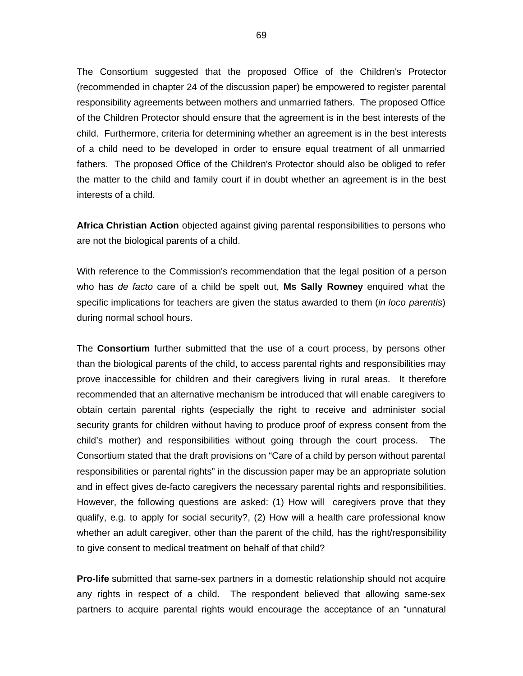The Consortium suggested that the proposed Office of the Children's Protector (recommended in chapter 24 of the discussion paper) be empowered to register parental responsibility agreements between mothers and unmarried fathers. The proposed Office of the Children Protector should ensure that the agreement is in the best interests of the child. Furthermore, criteria for determining whether an agreement is in the best interests of a child need to be developed in order to ensure equal treatment of all unmarried fathers. The proposed Office of the Children's Protector should also be obliged to refer the matter to the child and family court if in doubt whether an agreement is in the best interests of a child.

**Africa Christian Action** objected against giving parental responsibilities to persons who are not the biological parents of a child.

With reference to the Commission's recommendation that the legal position of a person who has de facto care of a child be spelt out, **Ms Sally Rowney** enquired what the specific implications for teachers are given the status awarded to them *(in loco parentis)* during normal school hours.

The **Consortium** further submitted that the use of a court process, by persons other than the biological parents of the child, to access parental rights and responsibilities may prove inaccessible for children and their caregivers living in rural areas. It therefore recommended that an alternative mechanism be introduced that will enable caregivers to obtain certain parental rights (especially the right to receive and administer social security grants for children without having to produce proof of express consent from the child's mother) and responsibilities without going through the court process. The Consortium stated that the draft provisions on "Care of a child by person without parental responsibilities or parental rights" in the discussion paper may be an appropriate solution and in effect gives de-facto caregivers the necessary parental rights and responsibilities. However, the following questions are asked: (1) How will caregivers prove that they qualify, e.g. to apply for social security?, (2) How will a health care professional know whether an adult caregiver, other than the parent of the child, has the right/responsibility to give consent to medical treatment on behalf of that child?

**Pro-life** submitted that same-sex partners in a domestic relationship should not acquire any rights in respect of a child. The respondent believed that allowing same-sex partners to acquire parental rights would encourage the acceptance of an "unnatural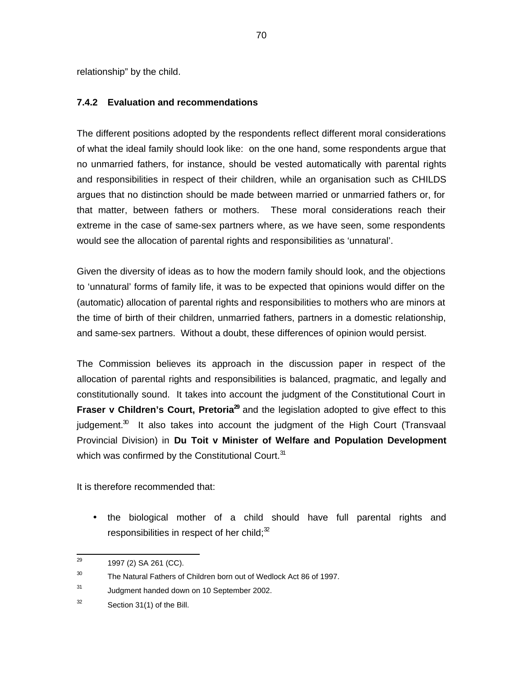relationship" by the child.

#### **7.4.2 Evaluation and recommendations**

The different positions adopted by the respondents reflect different moral considerations of what the ideal family should look like: on the one hand, some respondents argue that no unmarried fathers, for instance, should be vested automatically with parental rights and responsibilities in respect of their children, while an organisation such as CHILDS argues that no distinction should be made between married or unmarried fathers or, for that matter, between fathers or mothers. These moral considerations reach their extreme in the case of same-sex partners where, as we have seen, some respondents would see the allocation of parental rights and responsibilities as 'unnatural'.

Given the diversity of ideas as to how the modern family should look, and the objections to 'unnatural' forms of family life, it was to be expected that opinions would differ on the (automatic) allocation of parental rights and responsibilities to mothers who are minors at the time of birth of their children, unmarried fathers, partners in a domestic relationship, and same-sex partners. Without a doubt, these differences of opinion would persist.

The Commission believes its approach in the discussion paper in respect of the allocation of parental rights and responsibilities is balanced, pragmatic, and legally and constitutionally sound. It takes into account the judgment of the Constitutional Court in Fraser v Children's Court, Pretoria<sup>29</sup> and the legislation adopted to give effect to this judgement. $^{30}$  It also takes into account the judgment of the High Court (Transvaal Provincial Division) in **Du Toit v Minister of Welfare and Population Development** which was confirmed by the Constitutional Court.<sup>31</sup>

It is therefore recommended that:

• the biological mother of a child should have full parental rights and responsibilities in respect of her child; $32$ 

<sup>—&</sup>lt;br>29 1997 (2) SA 261 (CC).

<sup>30</sup> The Natural Fathers of Children born out of Wedlock Act 86 of 1997.

<sup>31</sup> Judgment handed down on 10 September 2002.

<sup>32</sup> Section 31(1) of the Bill.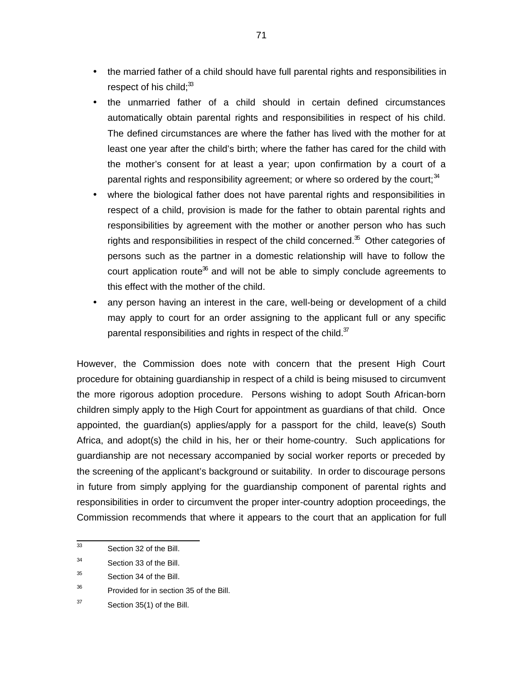- the married father of a child should have full parental rights and responsibilities in respect of his child; $33$
- the unmarried father of a child should in certain defined circumstances automatically obtain parental rights and responsibilities in respect of his child. The defined circumstances are where the father has lived with the mother for at least one year after the child's birth; where the father has cared for the child with the mother's consent for at least a year; upon confirmation by a court of a parental rights and responsibility agreement; or where so ordered by the court; $34$
- where the biological father does not have parental rights and responsibilities in respect of a child, provision is made for the father to obtain parental rights and responsibilities by agreement with the mother or another person who has such rights and responsibilities in respect of the child concerned. $35$  Other categories of persons such as the partner in a domestic relationship will have to follow the court application route<sup>36</sup> and will not be able to simply conclude agreements to this effect with the mother of the child.
- any person having an interest in the care, well-being or development of a child may apply to court for an order assigning to the applicant full or any specific parental responsibilities and rights in respect of the child. $37$

However, the Commission does note with concern that the present High Court procedure for obtaining guardianship in respect of a child is being misused to circumvent the more rigorous adoption procedure. Persons wishing to adopt South African-born children simply apply to the High Court for appointment as guardians of that child. Once appointed, the guardian(s) applies/apply for a passport for the child, leave(s) South Africa, and adopt(s) the child in his, her or their home-country. Such applications for guardianship are not necessary accompanied by social worker reports or preceded by the screening of the applicant's background or suitability. In order to discourage persons in future from simply applying for the guardianship component of parental rights and responsibilities in order to circumvent the proper inter-country adoption proceedings, the Commission recommends that where it appears to the court that an application for full

<sup>-&</sup>lt;br>33 Section 32 of the Bill.

<sup>34</sup> Section 33 of the Bill.

<sup>35</sup> Section 34 of the Bill.

<sup>36</sup> Provided for in section 35 of the Bill.

<sup>37</sup> Section 35(1) of the Bill.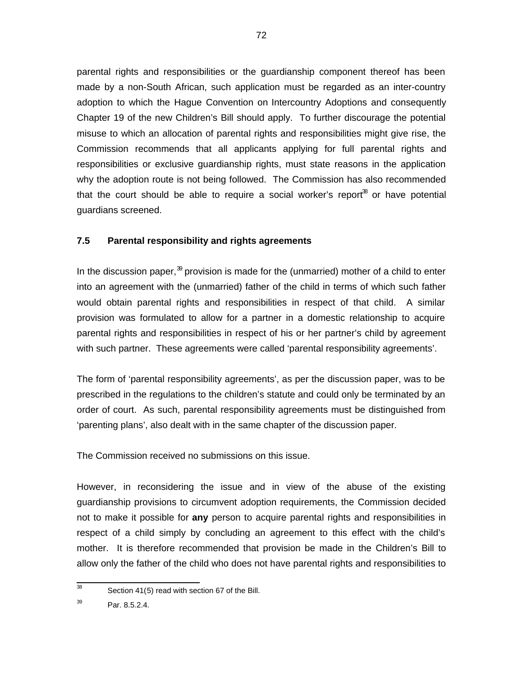parental rights and responsibilities or the guardianship component thereof has been made by a non-South African, such application must be regarded as an inter-country adoption to which the Hague Convention on Intercountry Adoptions and consequently Chapter 19 of the new Children's Bill should apply. To further discourage the potential misuse to which an allocation of parental rights and responsibilities might give rise, the Commission recommends that all applicants applying for full parental rights and responsibilities or exclusive guardianship rights, must state reasons in the application why the adoption route is not being followed. The Commission has also recommended that the court should be able to require a social worker's report $^{38}$  or have potential guardians screened.

#### **7.5 Parental responsibility and rights agreements**

In the discussion paper,<sup>39</sup> provision is made for the (unmarried) mother of a child to enter into an agreement with the (unmarried) father of the child in terms of which such father would obtain parental rights and responsibilities in respect of that child. A similar provision was formulated to allow for a partner in a domestic relationship to acquire parental rights and responsibilities in respect of his or her partner's child by agreement with such partner. These agreements were called 'parental responsibility agreements'.

The form of 'parental responsibility agreements', as per the discussion paper, was to be prescribed in the regulations to the children's statute and could only be terminated by an order of court. As such, parental responsibility agreements must be distinguished from 'parenting plans', also dealt with in the same chapter of the discussion paper.

The Commission received no submissions on this issue.

However, in reconsidering the issue and in view of the abuse of the existing guardianship provisions to circumvent adoption requirements, the Commission decided not to make it possible for **any** person to acquire parental rights and responsibilities in respect of a child simply by concluding an agreement to this effect with the child's mother. It is therefore recommended that provision be made in the Children's Bill to allow only the father of the child who does not have parental rights and responsibilities to

<sup>-&</sup>lt;br>38 Section 41(5) read with section 67 of the Bill.

<sup>39</sup> Par. 8.5.2.4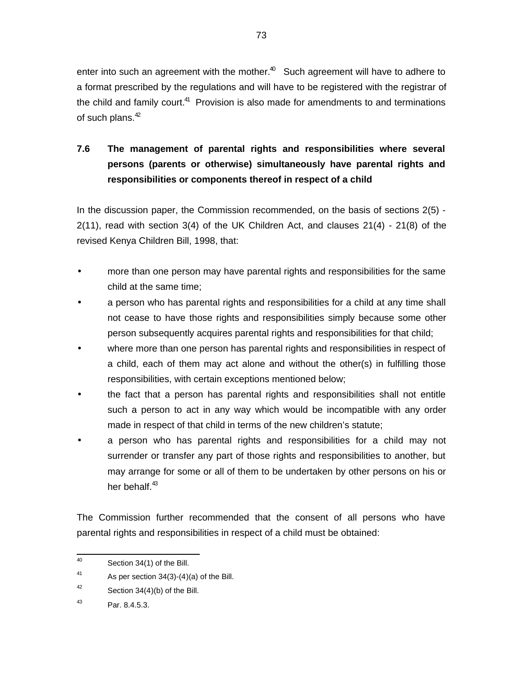enter into such an agreement with the mother. $40$  Such agreement will have to adhere to a format prescribed by the regulations and will have to be registered with the registrar of the child and family court.<sup>41</sup> Provision is also made for amendments to and terminations of such plans. $42$ 

# **7.6 The management of parental rights and responsibilities where several persons (parents or otherwise) simultaneously have parental rights and responsibilities or components thereof in respect of a child**

In the discussion paper, the Commission recommended, on the basis of sections 2(5) - 2(11), read with section 3(4) of the UK Children Act, and clauses 21(4) - 21(8) of the revised Kenya Children Bill, 1998, that:

- more than one person may have parental rights and responsibilities for the same child at the same time;
- a person who has parental rights and responsibilities for a child at any time shall not cease to have those rights and responsibilities simply because some other person subsequently acquires parental rights and responsibilities for that child;
- where more than one person has parental rights and responsibilities in respect of a child, each of them may act alone and without the other(s) in fulfilling those responsibilities, with certain exceptions mentioned below;
- the fact that a person has parental rights and responsibilities shall not entitle such a person to act in any way which would be incompatible with any order made in respect of that child in terms of the new children's statute;
- a person who has parental rights and responsibilities for a child may not surrender or transfer any part of those rights and responsibilities to another, but may arrange for some or all of them to be undertaken by other persons on his or her behalf.<sup>43</sup>

The Commission further recommended that the consent of all persons who have parental rights and responsibilities in respect of a child must be obtained:

 $\frac{1}{40}$ Section 34(1) of the Bill.

<sup>41</sup> As per section 34(3)-(4)(a) of the Bill.

<sup>42</sup> Section 34(4)(b) of the Bill.

<sup>43</sup> Par. 8.4.5.3.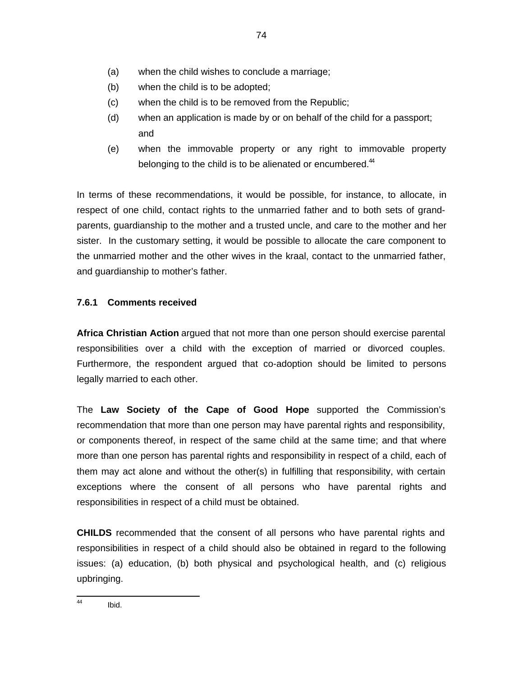- (a) when the child wishes to conclude a marriage;
- (b) when the child is to be adopted;
- (c) when the child is to be removed from the Republic;
- (d) when an application is made by or on behalf of the child for a passport; and
- (e) when the immovable property or any right to immovable property belonging to the child is to be alienated or encumbered.<sup>44</sup>

In terms of these recommendations, it would be possible, for instance, to allocate, in respect of one child, contact rights to the unmarried father and to both sets of grandparents, guardianship to the mother and a trusted uncle, and care to the mother and her sister. In the customary setting, it would be possible to allocate the care component to the unmarried mother and the other wives in the kraal, contact to the unmarried father, and guardianship to mother's father.

# **7.6.1 Comments received**

**Africa Christian Action** argued that not more than one person should exercise parental responsibilities over a child with the exception of married or divorced couples. Furthermore, the respondent argued that co-adoption should be limited to persons legally married to each other.

The **Law Society of the Cape of Good Hope** supported the Commission's recommendation that more than one person may have parental rights and responsibility, or components thereof, in respect of the same child at the same time; and that where more than one person has parental rights and responsibility in respect of a child, each of them may act alone and without the other(s) in fulfilling that responsibility, with certain exceptions where the consent of all persons who have parental rights and responsibilities in respect of a child must be obtained.

**CHILDS** recommended that the consent of all persons who have parental rights and responsibilities in respect of a child should also be obtained in regard to the following issues: (a) education, (b) both physical and psychological health, and (c) religious upbringing.

 44 Ibid.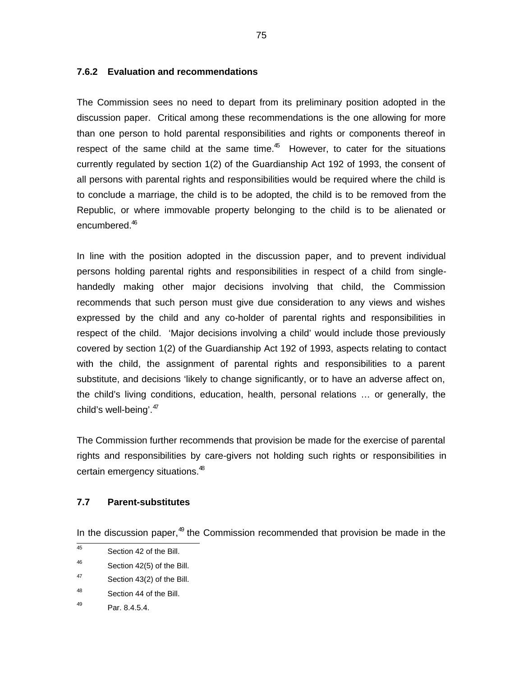#### **7.6.2 Evaluation and recommendations**

The Commission sees no need to depart from its preliminary position adopted in the discussion paper. Critical among these recommendations is the one allowing for more than one person to hold parental responsibilities and rights or components thereof in respect of the same child at the same time. $45$  However, to cater for the situations currently regulated by section 1(2) of the Guardianship Act 192 of 1993, the consent of all persons with parental rights and responsibilities would be required where the child is to conclude a marriage, the child is to be adopted, the child is to be removed from the Republic, or where immovable property belonging to the child is to be alienated or encumbered.<sup>46</sup>

In line with the position adopted in the discussion paper, and to prevent individual persons holding parental rights and responsibilities in respect of a child from singlehandedly making other major decisions involving that child, the Commission recommends that such person must give due consideration to any views and wishes expressed by the child and any co-holder of parental rights and responsibilities in respect of the child. 'Major decisions involving a child' would include those previously covered by section 1(2) of the Guardianship Act 192 of 1993, aspects relating to contact with the child, the assignment of parental rights and responsibilities to a parent substitute, and decisions 'likely to change significantly, or to have an adverse affect on, the child's living conditions, education, health, personal relations … or generally, the child's well-being'.<sup>47</sup>

The Commission further recommends that provision be made for the exercise of parental rights and responsibilities by care-givers not holding such rights or responsibilities in certain emergency situations.<sup>48</sup>

#### **7.7 Parent-substitutes**

In the discussion paper, $49$  the Commission recommended that provision be made in the

 45 Section 42 of the Bill.

<sup>46</sup> Section 42(5) of the Bill.

<sup>47</sup> Section 43(2) of the Bill.

<sup>48</sup> Section 44 of the Bill.

<sup>49</sup> Par. 8.4.5.4.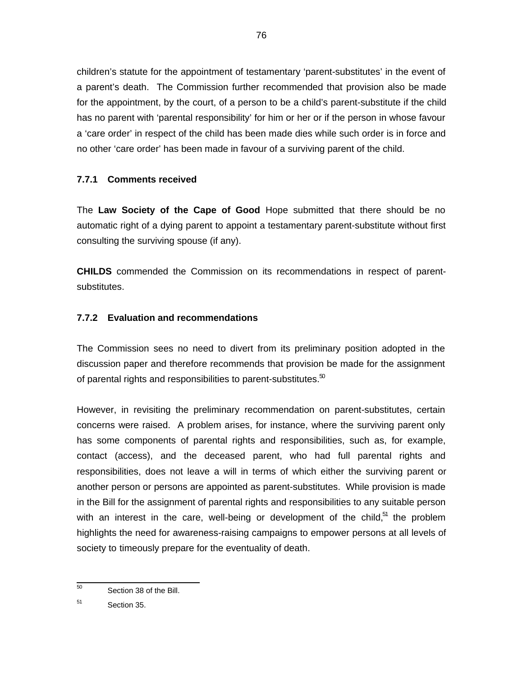children's statute for the appointment of testamentary 'parent-substitutes' in the event of a parent's death. The Commission further recommended that provision also be made for the appointment, by the court, of a person to be a child's parent-substitute if the child has no parent with 'parental responsibility' for him or her or if the person in whose favour a 'care order' in respect of the child has been made dies while such order is in force and no other 'care order' has been made in favour of a surviving parent of the child.

### **7.7.1 Comments received**

The **Law Society of the Cape of Good** Hope submitted that there should be no automatic right of a dying parent to appoint a testamentary parent-substitute without first consulting the surviving spouse (if any).

**CHILDS** commended the Commission on its recommendations in respect of parentsubstitutes.

### **7.7.2 Evaluation and recommendations**

The Commission sees no need to divert from its preliminary position adopted in the discussion paper and therefore recommends that provision be made for the assignment of parental rights and responsibilities to parent-substitutes. $50$ 

However, in revisiting the preliminary recommendation on parent-substitutes, certain concerns were raised. A problem arises, for instance, where the surviving parent only has some components of parental rights and responsibilities, such as, for example, contact (access), and the deceased parent, who had full parental rights and responsibilities, does not leave a will in terms of which either the surviving parent or another person or persons are appointed as parent-substitutes. While provision is made in the Bill for the assignment of parental rights and responsibilities to any suitable person with an interest in the care, well-being or development of the child, $51$  the problem highlights the need for awareness-raising campaigns to empower persons at all levels of society to timeously prepare for the eventuality of death.

 50 Section 38 of the Bill.

<sup>51</sup> Section 35.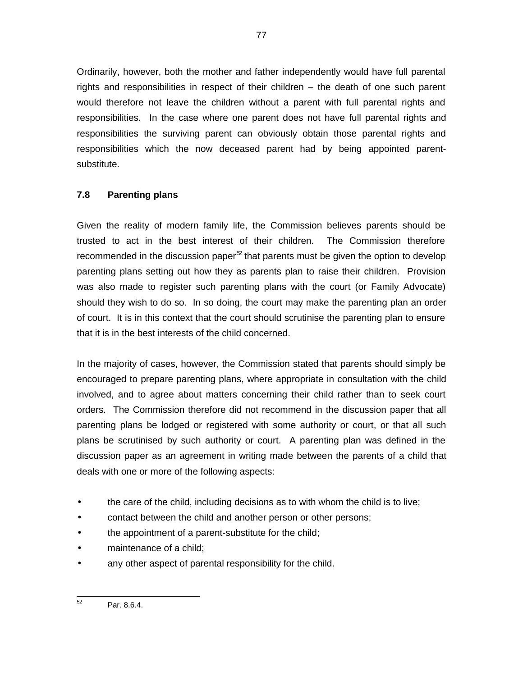Ordinarily, however, both the mother and father independently would have full parental rights and responsibilities in respect of their children – the death of one such parent would therefore not leave the children without a parent with full parental rights and responsibilities. In the case where one parent does not have full parental rights and responsibilities the surviving parent can obviously obtain those parental rights and responsibilities which the now deceased parent had by being appointed parentsubstitute.

77

### **7.8 Parenting plans**

Given the reality of modern family life, the Commission believes parents should be trusted to act in the best interest of their children. The Commission therefore recommended in the discussion paper $^\infty$  that parents must be given the option to develop parenting plans setting out how they as parents plan to raise their children. Provision was also made to register such parenting plans with the court (or Family Advocate) should they wish to do so. In so doing, the court may make the parenting plan an order of court. It is in this context that the court should scrutinise the parenting plan to ensure that it is in the best interests of the child concerned.

In the majority of cases, however, the Commission stated that parents should simply be encouraged to prepare parenting plans, where appropriate in consultation with the child involved, and to agree about matters concerning their child rather than to seek court orders. The Commission therefore did not recommend in the discussion paper that all parenting plans be lodged or registered with some authority or court, or that all such plans be scrutinised by such authority or court. A parenting plan was defined in the discussion paper as an agreement in writing made between the parents of a child that deals with one or more of the following aspects:

- the care of the child, including decisions as to with whom the child is to live;
- contact between the child and another person or other persons;
- the appointment of a parent-substitute for the child;
- maintenance of a child;
- any other aspect of parental responsibility for the child.

<sup>—&</sup>lt;br>52 Par. 8.6.4.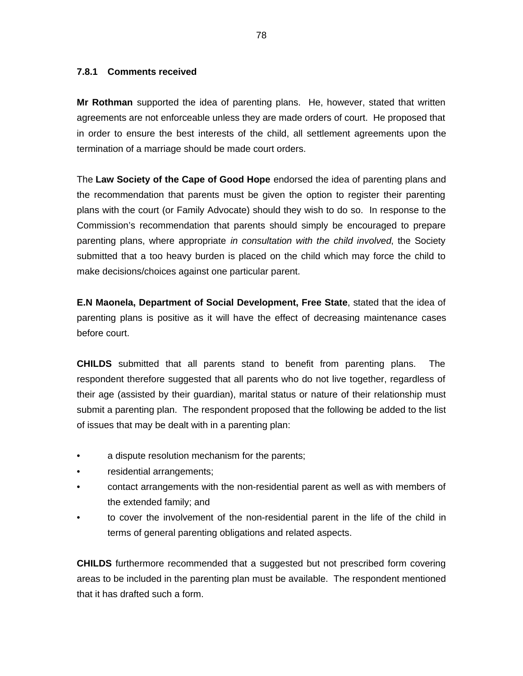#### **7.8.1 Comments received**

**Mr Rothman** supported the idea of parenting plans. He, however, stated that written agreements are not enforceable unless they are made orders of court. He proposed that in order to ensure the best interests of the child, all settlement agreements upon the termination of a marriage should be made court orders.

The **Law Society of the Cape of Good Hope** endorsed the idea of parenting plans and the recommendation that parents must be given the option to register their parenting plans with the court (or Family Advocate) should they wish to do so. In response to the Commission's recommendation that parents should simply be encouraged to prepare parenting plans, where appropriate in consultation with the child involved, the Society submitted that a too heavy burden is placed on the child which may force the child to make decisions/choices against one particular parent.

**E.N Maonela, Department of Social Development, Free State**, stated that the idea of parenting plans is positive as it will have the effect of decreasing maintenance cases before court.

**CHILDS** submitted that all parents stand to benefit from parenting plans. The respondent therefore suggested that all parents who do not live together, regardless of their age (assisted by their guardian), marital status or nature of their relationship must submit a parenting plan. The respondent proposed that the following be added to the list of issues that may be dealt with in a parenting plan:

- a dispute resolution mechanism for the parents;
- residential arrangements;
- contact arrangements with the non-residential parent as well as with members of the extended family; and
- to cover the involvement of the non-residential parent in the life of the child in terms of general parenting obligations and related aspects.

**CHILDS** furthermore recommended that a suggested but not prescribed form covering areas to be included in the parenting plan must be available. The respondent mentioned that it has drafted such a form.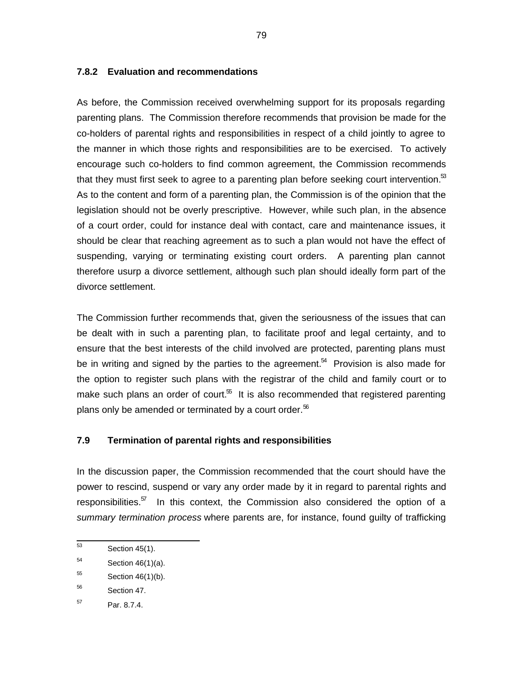### **7.8.2 Evaluation and recommendations**

As before, the Commission received overwhelming support for its proposals regarding parenting plans. The Commission therefore recommends that provision be made for the co-holders of parental rights and responsibilities in respect of a child jointly to agree to the manner in which those rights and responsibilities are to be exercised. To actively encourage such co-holders to find common agreement, the Commission recommends that they must first seek to agree to a parenting plan before seeking court intervention.<sup>53</sup> As to the content and form of a parenting plan, the Commission is of the opinion that the legislation should not be overly prescriptive. However, while such plan, in the absence of a court order, could for instance deal with contact, care and maintenance issues, it should be clear that reaching agreement as to such a plan would not have the effect of suspending, varying or terminating existing court orders. A parenting plan cannot therefore usurp a divorce settlement, although such plan should ideally form part of the divorce settlement.

The Commission further recommends that, given the seriousness of the issues that can be dealt with in such a parenting plan, to facilitate proof and legal certainty, and to ensure that the best interests of the child involved are protected, parenting plans must be in writing and signed by the parties to the agreement.<sup>54</sup> Provision is also made for the option to register such plans with the registrar of the child and family court or to make such plans an order of court. $55$  It is also recommended that registered parenting plans only be amended or terminated by a court order. $56$ 

### **7.9 Termination of parental rights and responsibilities**

In the discussion paper, the Commission recommended that the court should have the power to rescind, suspend or vary any order made by it in regard to parental rights and responsibilities. $57$  In this context, the Commission also considered the option of a summary termination process where parents are, for instance, found quilty of trafficking

 53 Section 45(1).

<sup>54</sup> Section 46(1)(a).

<sup>55</sup> Section 46(1)(b).

<sup>56</sup> Section 47.

<sup>57</sup> Par. 8.7.4.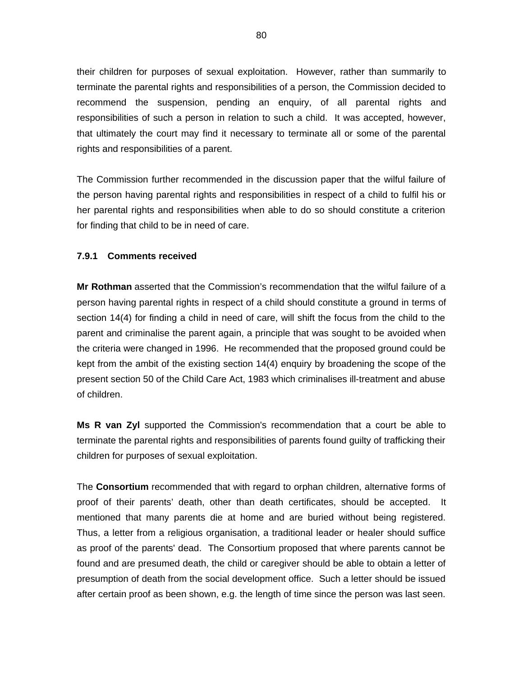their children for purposes of sexual exploitation. However, rather than summarily to terminate the parental rights and responsibilities of a person, the Commission decided to recommend the suspension, pending an enquiry, of all parental rights and responsibilities of such a person in relation to such a child. It was accepted, however, that ultimately the court may find it necessary to terminate all or some of the parental rights and responsibilities of a parent.

The Commission further recommended in the discussion paper that the wilful failure of the person having parental rights and responsibilities in respect of a child to fulfil his or her parental rights and responsibilities when able to do so should constitute a criterion for finding that child to be in need of care.

### **7.9.1 Comments received**

**Mr Rothman** asserted that the Commission's recommendation that the wilful failure of a person having parental rights in respect of a child should constitute a ground in terms of section 14(4) for finding a child in need of care, will shift the focus from the child to the parent and criminalise the parent again, a principle that was sought to be avoided when the criteria were changed in 1996. He recommended that the proposed ground could be kept from the ambit of the existing section 14(4) enquiry by broadening the scope of the present section 50 of the Child Care Act, 1983 which criminalises ill-treatment and abuse of children.

**Ms R van Zyl** supported the Commission's recommendation that a court be able to terminate the parental rights and responsibilities of parents found guilty of trafficking their children for purposes of sexual exploitation.

The **Consortium** recommended that with regard to orphan children, alternative forms of proof of their parents' death, other than death certificates, should be accepted. It mentioned that many parents die at home and are buried without being registered. Thus, a letter from a religious organisation, a traditional leader or healer should suffice as proof of the parents' dead. The Consortium proposed that where parents cannot be found and are presumed death, the child or caregiver should be able to obtain a letter of presumption of death from the social development office. Such a letter should be issued after certain proof as been shown, e.g. the length of time since the person was last seen.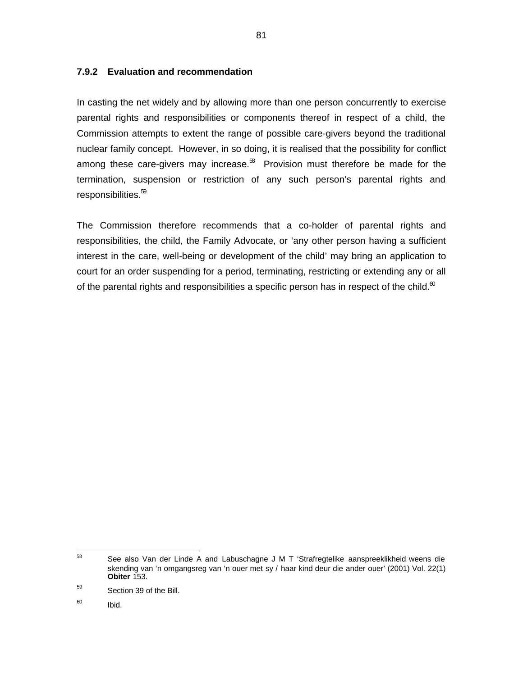### **7.9.2 Evaluation and recommendation**

In casting the net widely and by allowing more than one person concurrently to exercise parental rights and responsibilities or components thereof in respect of a child, the Commission attempts to extent the range of possible care-givers beyond the traditional nuclear family concept. However, in so doing, it is realised that the possibility for conflict among these care-givers may increase. ${}^{58}$  Provision must therefore be made for the termination, suspension or restriction of any such person's parental rights and responsibilities.<sup>59</sup>

The Commission therefore recommends that a co-holder of parental rights and responsibilities, the child, the Family Advocate, or 'any other person having a sufficient interest in the care, well-being or development of the child' may bring an application to court for an order suspending for a period, terminating, restricting or extending any or all of the parental rights and responsibilities a specific person has in respect of the child.<sup>60</sup>

<sup>58</sup> See also Van der Linde A and Labuschagne J M T 'Strafregtelike aanspreeklikheid weens die skending van 'n omgangsreg van 'n ouer met sy / haar kind deur die ander ouer' (2001) Vol. 22(1) **Obiter** 153.

<sup>59</sup> Section 39 of the Bill.

<sup>60</sup> Ibid.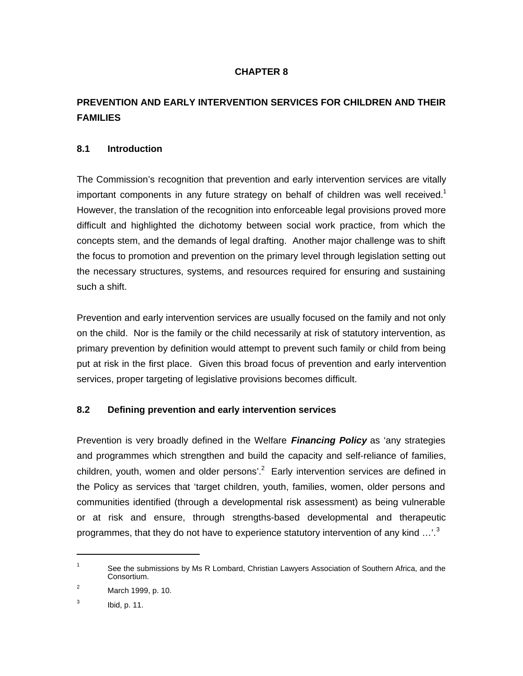# **CHAPTER 8**

# **PREVENTION AND EARLY INTERVENTION SERVICES FOR CHILDREN AND THEIR FAMILIES**

### **8.1 Introduction**

The Commission's recognition that prevention and early intervention services are vitally important components in any future strategy on behalf of children was well received.<sup>1</sup> However, the translation of the recognition into enforceable legal provisions proved more difficult and highlighted the dichotomy between social work practice, from which the concepts stem, and the demands of legal drafting. Another major challenge was to shift the focus to promotion and prevention on the primary level through legislation setting out the necessary structures, systems, and resources required for ensuring and sustaining such a shift.

Prevention and early intervention services are usually focused on the family and not only on the child. Nor is the family or the child necessarily at risk of statutory intervention, as primary prevention by definition would attempt to prevent such family or child from being put at risk in the first place. Given this broad focus of prevention and early intervention services, proper targeting of legislative provisions becomes difficult.

### **8.2 Defining prevention and early intervention services**

Prevention is very broadly defined in the Welfare **Financing Policy** as 'any strategies and programmes which strengthen and build the capacity and self-reliance of families, children, youth, women and older persons'.<sup>2</sup> Early intervention services are defined in the Policy as services that 'target children, youth, families, women, older persons and communities identified (through a developmental risk assessment) as being vulnerable or at risk and ensure, through strengths-based developmental and therapeutic programmes, that they do not have to experience statutory intervention of any kind  $\ldots$ <sup>3</sup>

1

<sup>1</sup> See the submissions by Ms R Lombard, Christian Lawyers Association of Southern Africa, and the Consortium.

 $^{2}$  March 1999, p. 10.

<sup>3</sup> Ibid, p. 11.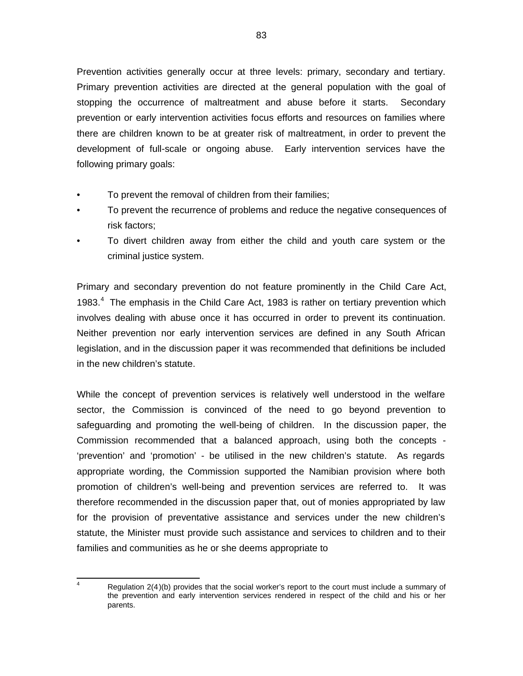Prevention activities generally occur at three levels: primary, secondary and tertiary. Primary prevention activities are directed at the general population with the goal of stopping the occurrence of maltreatment and abuse before it starts. Secondary prevention or early intervention activities focus efforts and resources on families where there are children known to be at greater risk of maltreatment, in order to prevent the development of full-scale or ongoing abuse. Early intervention services have the following primary goals:

- To prevent the removal of children from their families;
- To prevent the recurrence of problems and reduce the negative consequences of risk factors;
- To divert children away from either the child and youth care system or the criminal justice system.

Primary and secondary prevention do not feature prominently in the Child Care Act, 1983. $<sup>4</sup>$  The emphasis in the Child Care Act, 1983 is rather on tertiary prevention which</sup> involves dealing with abuse once it has occurred in order to prevent its continuation. Neither prevention nor early intervention services are defined in any South African legislation, and in the discussion paper it was recommended that definitions be included in the new children's statute.

While the concept of prevention services is relatively well understood in the welfare sector, the Commission is convinced of the need to go beyond prevention to safeguarding and promoting the well-being of children. In the discussion paper, the Commission recommended that a balanced approach, using both the concepts - 'prevention' and 'promotion' - be utilised in the new children's statute. As regards appropriate wording, the Commission supported the Namibian provision where both promotion of children's well-being and prevention services are referred to. It was therefore recommended in the discussion paper that, out of monies appropriated by law for the provision of preventative assistance and services under the new children's statute, the Minister must provide such assistance and services to children and to their families and communities as he or she deems appropriate to

4

Regulation 2(4)(b) provides that the social worker's report to the court must include a summary of the prevention and early intervention services rendered in respect of the child and his or her parents.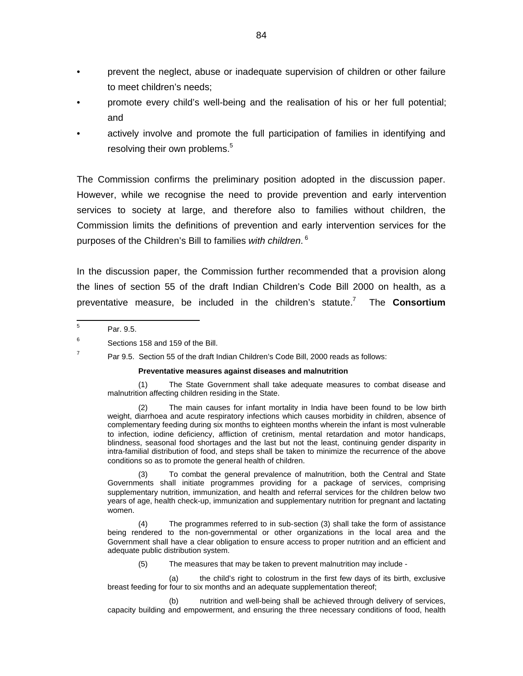- prevent the neglect, abuse or inadequate supervision of children or other failure to meet children's needs;
- promote every child's well-being and the realisation of his or her full potential; and
- actively involve and promote the full participation of families in identifying and resolving their own problems.<sup>5</sup>

The Commission confirms the preliminary position adopted in the discussion paper. However, while we recognise the need to provide prevention and early intervention services to society at large, and therefore also to families without children, the Commission limits the definitions of prevention and early intervention services for the purposes of the Children's Bill to families *with children*. <sup>6</sup>

In the discussion paper, the Commission further recommended that a provision along the lines of section 55 of the draft Indian Children's Code Bill 2000 on health, as a preventative measure, be included in the children's statute. $\prime$ The **Consortium**

7

#### **Preventative measures against diseases and malnutrition**

(1) The State Government shall take adequate measures to combat disease and malnutrition affecting children residing in the State.

The main causes for infant mortality in India have been found to be low birth weight, diarrhoea and acute respiratory infections which causes morbidity in children, absence of complementary feeding during six months to eighteen months wherein the infant is most vulnerable to infection, iodine deficiency, affliction of cretinism, mental retardation and motor handicaps, blindness, seasonal food shortages and the last but not the least, continuing gender disparity in intra-familial distribution of food, and steps shall be taken to minimize the recurrence of the above conditions so as to promote the general health of children.

(3) To combat the general prevalence of malnutrition, both the Central and State Governments shall initiate programmes providing for a package of services, comprising supplementary nutrition, immunization, and health and referral services for the children below two years of age, health check-up, immunization and supplementary nutrition for pregnant and lactating women.

(4) The programmes referred to in sub-section (3) shall take the form of assistance being rendered to the non-governmental or other organizations in the local area and the Government shall have a clear obligation to ensure access to proper nutrition and an efficient and adequate public distribution system.

(5) The measures that may be taken to prevent malnutrition may include -

(a) the child's right to colostrum in the first few days of its birth, exclusive breast feeding for four to six months and an adequate supplementation thereof;

(b) nutrition and well-being shall be achieved through delivery of services, capacity building and empowerment, and ensuring the three necessary conditions of food, health

 5 Par. 9.5.

<sup>6</sup> Sections 158 and 159 of the Bill.

Par 9.5. Section 55 of the draft Indian Children's Code Bill, 2000 reads as follows: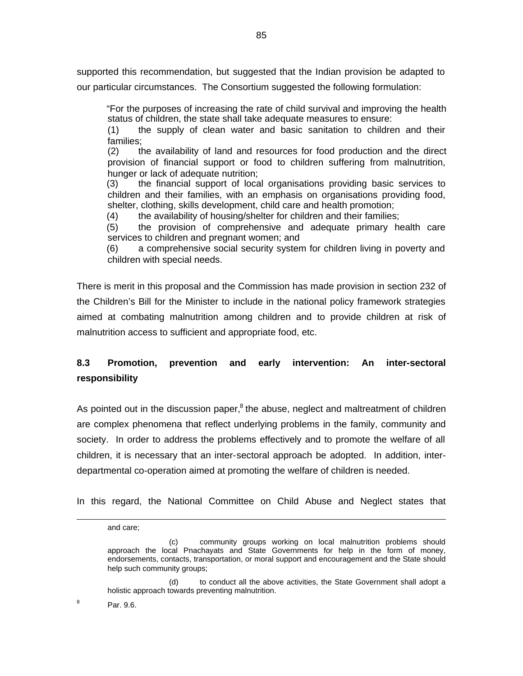supported this recommendation, but suggested that the Indian provision be adapted to our particular circumstances. The Consortium suggested the following formulation:

"For the purposes of increasing the rate of child survival and improving the health status of children, the state shall take adequate measures to ensure:

(1) the supply of clean water and basic sanitation to children and their families;

(2) the availability of land and resources for food production and the direct provision of financial support or food to children suffering from malnutrition, hunger or lack of adequate nutrition;

(3) the financial support of local organisations providing basic services to children and their families, with an emphasis on organisations providing food, shelter, clothing, skills development, child care and health promotion;

(4) the availability of housing/shelter for children and their families;

(5) the provision of comprehensive and adequate primary health care services to children and pregnant women; and

(6) a comprehensive social security system for children living in poverty and children with special needs.

There is merit in this proposal and the Commission has made provision in section 232 of the Children's Bill for the Minister to include in the national policy framework strategies aimed at combating malnutrition among children and to provide children at risk of malnutrition access to sufficient and appropriate food, etc.

# **8.3 Promotion, prevention and early intervention: An inter-sectoral responsibility**

As pointed out in the discussion paper,<sup>8</sup> the abuse, neglect and maltreatment of children are complex phenomena that reflect underlying problems in the family, community and society. In order to address the problems effectively and to promote the welfare of all children, it is necessary that an inter-sectoral approach be adopted. In addition, interdepartmental co-operation aimed at promoting the welfare of children is needed.

In this regard, the National Committee on Child Abuse and Neglect states that

1

and care;

<sup>(</sup>c) community groups working on local malnutrition problems should approach the local Pnachayats and State Governments for help in the form of money, endorsements, contacts, transportation, or moral support and encouragement and the State should help such community groups;

<sup>(</sup>d) to conduct all the above activities, the State Government shall adopt a holistic approach towards preventing malnutrition.

<sup>8</sup> Par. 9.6.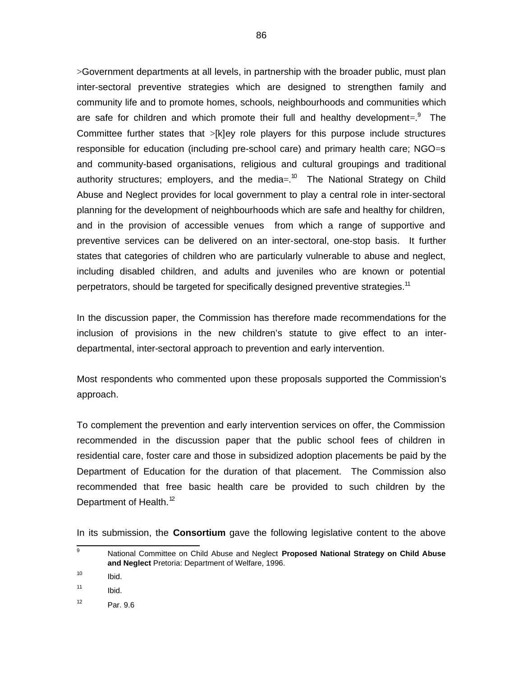>Government departments at all levels, in partnership with the broader public, must plan inter-sectoral preventive strategies which are designed to strengthen family and community life and to promote homes, schools, neighbourhoods and communities which are safe for children and which promote their full and healthy development=. $^9$  The Committee further states that >[k]ey role players for this purpose include structures responsible for education (including pre-school care) and primary health care; NGO=s and community-based organisations, religious and cultural groupings and traditional authority structures; employers, and the media=.<sup>10</sup> The National Strategy on Child Abuse and Neglect provides for local government to play a central role in inter-sectoral planning for the development of neighbourhoods which are safe and healthy for children, and in the provision of accessible venues from which a range of supportive and preventive services can be delivered on an inter-sectoral, one-stop basis. It further states that categories of children who are particularly vulnerable to abuse and neglect, including disabled children, and adults and juveniles who are known or potential perpetrators, should be targeted for specifically designed preventive strategies.<sup>11</sup>

In the discussion paper, the Commission has therefore made recommendations for the inclusion of provisions in the new children's statute to give effect to an interdepartmental, inter-sectoral approach to prevention and early intervention.

Most respondents who commented upon these proposals supported the Commission's approach.

To complement the prevention and early intervention services on offer, the Commission recommended in the discussion paper that the public school fees of children in residential care, foster care and those in subsidized adoption placements be paid by the Department of Education for the duration of that placement. The Commission also recommended that free basic health care be provided to such children by the Department of Health.<sup>12</sup>

In its submission, the **Consortium** gave the following legislative content to the above

 9 National Committee on Child Abuse and Neglect **Proposed National Strategy on Child Abuse and Neglect** Pretoria: Department of Welfare, 1996.

<sup>10</sup> Ibid.

<sup>11</sup> Ibid.

<sup>12</sup> Par. 9.6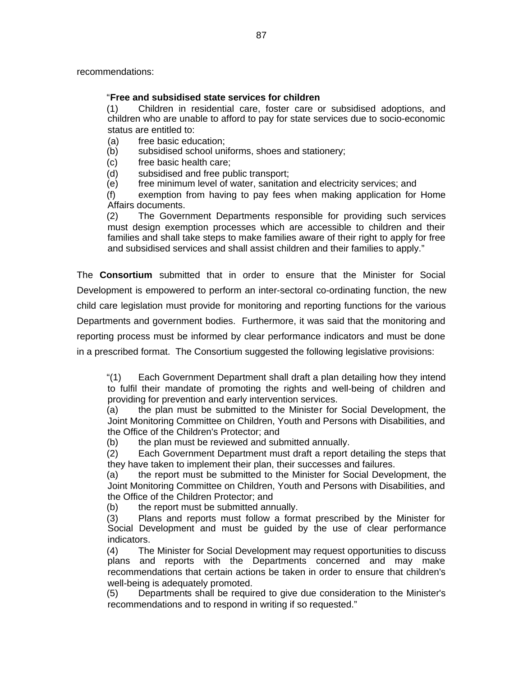recommendations:

### "**Free and subsidised state services for children**

(1) Children in residential care, foster care or subsidised adoptions, and children who are unable to afford to pay for state services due to socio-economic status are entitled to:

- (a) free basic education;
- (b) subsidised school uniforms, shoes and stationery;
- (c) free basic health care;
- (d) subsidised and free public transport;
- (e) free minimum level of water, sanitation and electricity services; and

(f) exemption from having to pay fees when making application for Home Affairs documents.

(2) The Government Departments responsible for providing such services must design exemption processes which are accessible to children and their families and shall take steps to make families aware of their right to apply for free and subsidised services and shall assist children and their families to apply."

The **Consortium** submitted that in order to ensure that the Minister for Social Development is empowered to perform an inter-sectoral co-ordinating function, the new child care legislation must provide for monitoring and reporting functions for the various Departments and government bodies. Furthermore, it was said that the monitoring and reporting process must be informed by clear performance indicators and must be done in a prescribed format. The Consortium suggested the following legislative provisions:

"(1) Each Government Department shall draft a plan detailing how they intend to fulfil their mandate of promoting the rights and well-being of children and providing for prevention and early intervention services.

(a) the plan must be submitted to the Minister for Social Development, the Joint Monitoring Committee on Children, Youth and Persons with Disabilities, and the Office of the Children's Protector; and

(b) the plan must be reviewed and submitted annually.

(2) Each Government Department must draft a report detailing the steps that they have taken to implement their plan, their successes and failures.

(a) the report must be submitted to the Minister for Social Development, the Joint Monitoring Committee on Children, Youth and Persons with Disabilities, and the Office of the Children Protector; and

(b) the report must be submitted annually.

(3) Plans and reports must follow a format prescribed by the Minister for Social Development and must be guided by the use of clear performance indicators.

(4) The Minister for Social Development may request opportunities to discuss plans and reports with the Departments concerned and may make recommendations that certain actions be taken in order to ensure that children's well-being is adequately promoted.

(5) Departments shall be required to give due consideration to the Minister's recommendations and to respond in writing if so requested."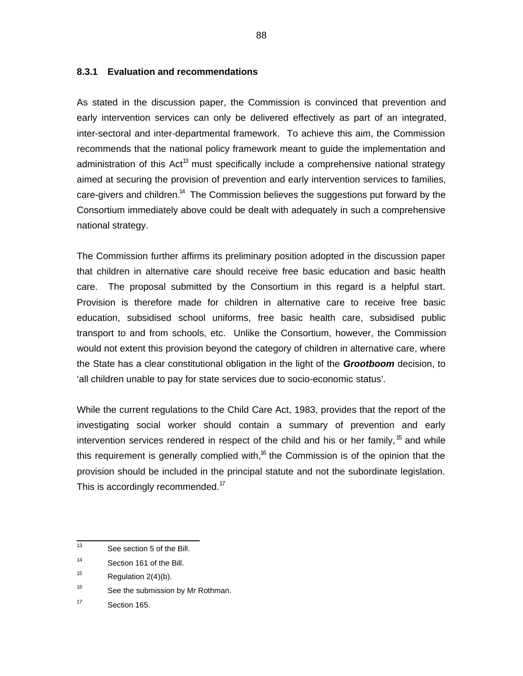### **8.3.1 Evaluation and recommendations**

As stated in the discussion paper, the Commission is convinced that prevention and early intervention services can only be delivered effectively as part of an integrated, inter-sectoral and inter-departmental framework. To achieve this aim, the Commission recommends that the national policy framework meant to guide the implementation and administration of this Act<sup>13</sup> must specifically include a comprehensive national strategy aimed at securing the provision of prevention and early intervention services to families, care-givers and children. $^{14}$  The Commission believes the suggestions put forward by the Consortium immediately above could be dealt with adequately in such a comprehensive national strategy.

The Commission further affirms its preliminary position adopted in the discussion paper that children in alternative care should receive free basic education and basic health care. The proposal submitted by the Consortium in this regard is a helpful start. Provision is therefore made for children in alternative care to receive free basic education, subsidised school uniforms, free basic health care, subsidised public transport to and from schools, etc. Unlike the Consortium, however, the Commission would not extent this provision beyond the category of children in alternative care, where the State has a clear constitutional obligation in the light of the **Grootboom** decision, to 'all children unable to pay for state services due to socio-economic status'.

While the current regulations to the Child Care Act, 1983, provides that the report of the investigating social worker should contain a summary of prevention and early intervention services rendered in respect of the child and his or her family,  $^{15}$  and while this requirement is generally complied with,<sup>16</sup> the Commission is of the opinion that the provision should be included in the principal statute and not the subordinate legislation. This is accordingly recommended.<sup>17</sup>

<sup>-&</sup>lt;br>13 See section 5 of the Bill.

<sup>14</sup> Section 161 of the Bill.

<sup>15</sup> Regulation 2(4)(b).

<sup>16</sup> See the submission by Mr Rothman.

<sup>17</sup> Section 165.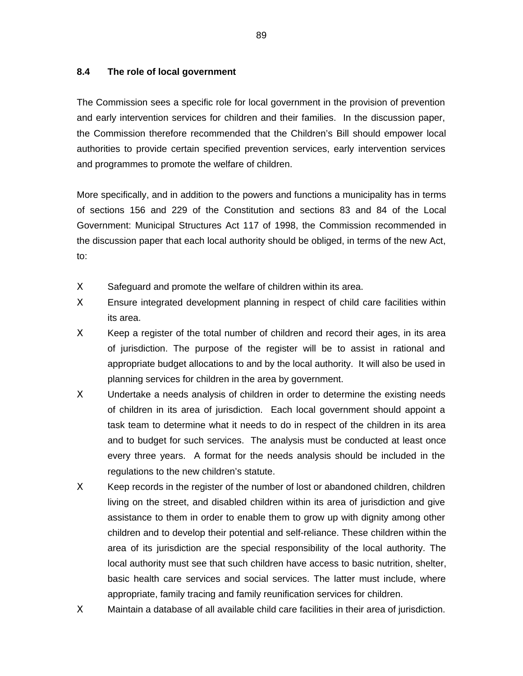### **8.4 The role of local government**

The Commission sees a specific role for local government in the provision of prevention and early intervention services for children and their families. In the discussion paper, the Commission therefore recommended that the Children's Bill should empower local authorities to provide certain specified prevention services, early intervention services and programmes to promote the welfare of children.

More specifically, and in addition to the powers and functions a municipality has in terms of sections 156 and 229 of the Constitution and sections 83 and 84 of the Local Government: Municipal Structures Act 117 of 1998, the Commission recommended in the discussion paper that each local authority should be obliged, in terms of the new Act, to:

- X Safeguard and promote the welfare of children within its area.
- Χ Ensure integrated development planning in respect of child care facilities within its area.
- Χ Keep a register of the total number of children and record their ages, in its area of jurisdiction. The purpose of the register will be to assist in rational and appropriate budget allocations to and by the local authority. It will also be used in planning services for children in the area by government.
- X Undertake a needs analysis of children in order to determine the existing needs of children in its area of jurisdiction. Each local government should appoint a task team to determine what it needs to do in respect of the children in its area and to budget for such services. The analysis must be conducted at least once every three years. A format for the needs analysis should be included in the regulations to the new children's statute.
- Χ Keep records in the register of the number of lost or abandoned children, children living on the street, and disabled children within its area of jurisdiction and give assistance to them in order to enable them to grow up with dignity among other children and to develop their potential and self-reliance. These children within the area of its jurisdiction are the special responsibility of the local authority. The local authority must see that such children have access to basic nutrition, shelter, basic health care services and social services. The latter must include, where appropriate, family tracing and family reunification services for children.
- Χ Maintain a database of all available child care facilities in their area of jurisdiction.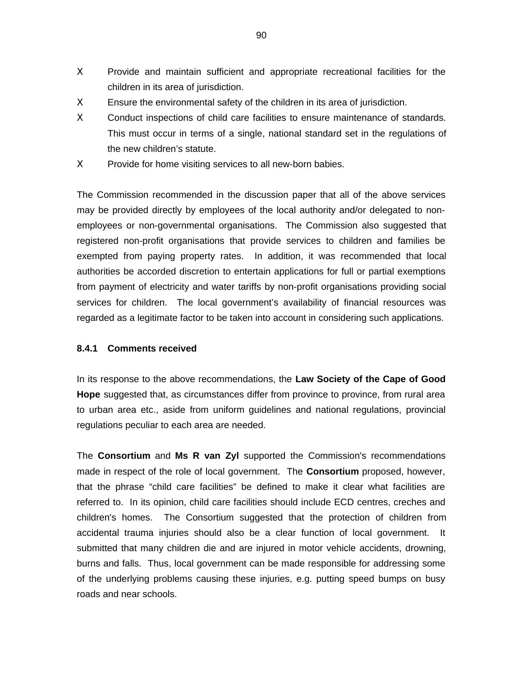- Χ Provide and maintain sufficient and appropriate recreational facilities for the children in its area of jurisdiction.
- Χ Ensure the environmental safety of the children in its area of jurisdiction.
- X Conduct inspections of child care facilities to ensure maintenance of standards. This must occur in terms of a single, national standard set in the regulations of the new children's statute.
- X Provide for home visiting services to all new-born babies.

The Commission recommended in the discussion paper that all of the above services may be provided directly by employees of the local authority and/or delegated to nonemployees or non-governmental organisations. The Commission also suggested that registered non-profit organisations that provide services to children and families be exempted from paying property rates. In addition, it was recommended that local authorities be accorded discretion to entertain applications for full or partial exemptions from payment of electricity and water tariffs by non-profit organisations providing social services for children. The local government's availability of financial resources was regarded as a legitimate factor to be taken into account in considering such applications.

### **8.4.1 Comments received**

In its response to the above recommendations, the **Law Society of the Cape of Good Hope** suggested that, as circumstances differ from province to province, from rural area to urban area etc., aside from uniform guidelines and national regulations, provincial regulations peculiar to each area are needed.

The **Consortium** and **Ms R van Zyl** supported the Commission's recommendations made in respect of the role of local government. The **Consortium** proposed, however, that the phrase "child care facilities" be defined to make it clear what facilities are referred to. In its opinion, child care facilities should include ECD centres, creches and children's homes. The Consortium suggested that the protection of children from accidental trauma injuries should also be a clear function of local government. It submitted that many children die and are injured in motor vehicle accidents, drowning, burns and falls. Thus, local government can be made responsible for addressing some of the underlying problems causing these injuries, e.g. putting speed bumps on busy roads and near schools.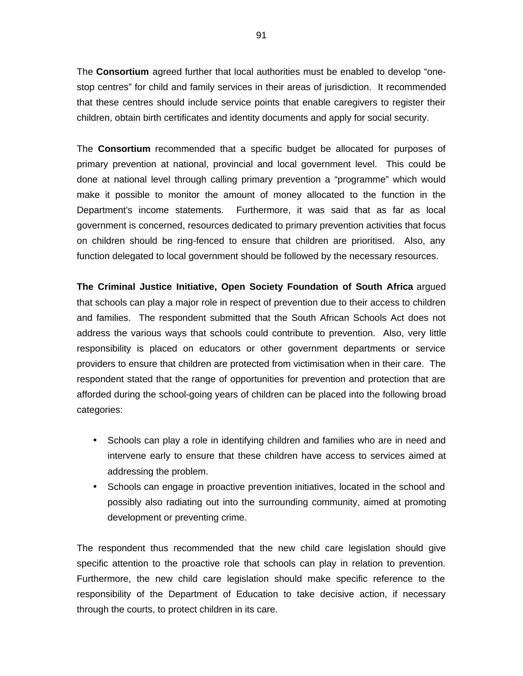The **Consortium** agreed further that local authorities must be enabled to develop "onestop centres" for child and family services in their areas of jurisdiction. It recommended that these centres should include service points that enable caregivers to register their children, obtain birth certificates and identity documents and apply for social security.

The **Consortium** recommended that a specific budget be allocated for purposes of primary prevention at national, provincial and local government level. This could be done at national level through calling primary prevention a "programme" which would make it possible to monitor the amount of money allocated to the function in the Department's income statements. Furthermore, it was said that as far as local government is concerned, resources dedicated to primary prevention activities that focus on children should be ring-fenced to ensure that children are prioritised. Also, any function delegated to local government should be followed by the necessary resources.

**The Criminal Justice Initiative, Open Society Foundation of South Africa** argued that schools can play a major role in respect of prevention due to their access to children and families. The respondent submitted that the South African Schools Act does not address the various ways that schools could contribute to prevention. Also, very little responsibility is placed on educators or other government departments or service providers to ensure that children are protected from victimisation when in their care. The respondent stated that the range of opportunities for prevention and protection that are afforded during the school-going years of children can be placed into the following broad categories:

- Schools can play a role in identifying children and families who are in need and intervene early to ensure that these children have access to services aimed at addressing the problem.
- Schools can engage in proactive prevention initiatives, located in the school and possibly also radiating out into the surrounding community, aimed at promoting development or preventing crime.

The respondent thus recommended that the new child care legislation should give specific attention to the proactive role that schools can play in relation to prevention. Furthermore, the new child care legislation should make specific reference to the responsibility of the Department of Education to take decisive action, if necessary through the courts, to protect children in its care.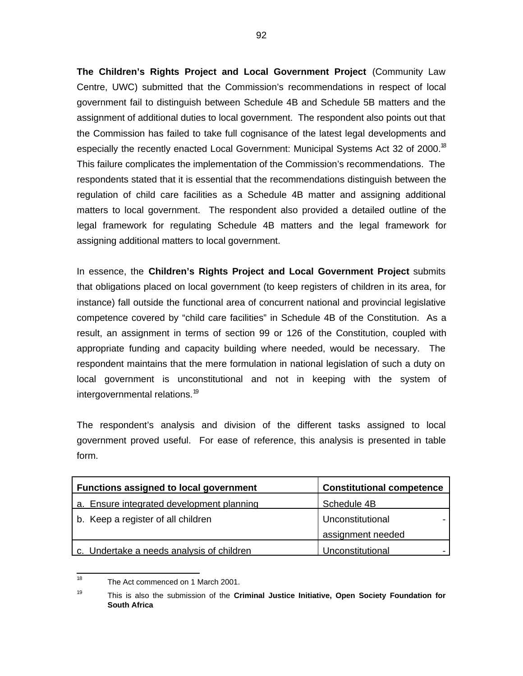**The Children's Rights Project and Local Government Project** (Community Law Centre, UWC) submitted that the Commission's recommendations in respect of local government fail to distinguish between Schedule 4B and Schedule 5B matters and the assignment of additional duties to local government. The respondent also points out that the Commission has failed to take full cognisance of the latest legal developments and especially the recently enacted Local Government: Municipal Systems Act 32 of 2000.<sup>18</sup> This failure complicates the implementation of the Commission's recommendations. The respondents stated that it is essential that the recommendations distinguish between the regulation of child care facilities as a Schedule 4B matter and assigning additional matters to local government. The respondent also provided a detailed outline of the legal framework for regulating Schedule 4B matters and the legal framework for assigning additional matters to local government.

In essence, the **Children's Rights Project and Local Government Project** submits that obligations placed on local government (to keep registers of children in its area, for instance) fall outside the functional area of concurrent national and provincial legislative competence covered by "child care facilities" in Schedule 4B of the Constitution. As a result, an assignment in terms of section 99 or 126 of the Constitution, coupled with appropriate funding and capacity building where needed, would be necessary. The respondent maintains that the mere formulation in national legislation of such a duty on local government is unconstitutional and not in keeping with the system of intergovernmental relations.<sup>19</sup>

The respondent's analysis and division of the different tasks assigned to local government proved useful. For ease of reference, this analysis is presented in table form.

| <b>Functions assigned to local government</b> | <b>Constitutional competence</b> |
|-----------------------------------------------|----------------------------------|
| a. Ensure integrated development planning     | Schedule 4B                      |
| b. Keep a register of all children            | Unconstitutional                 |
|                                               | assignment needed                |
| c. Undertake a needs analysis of children     | Unconstitutional                 |

 $\frac{1}{18}$ The Act commenced on 1 March 2001.

<sup>19</sup> This is also the submission of the **Criminal Justice Initiative, Open Society Foundation for South Africa**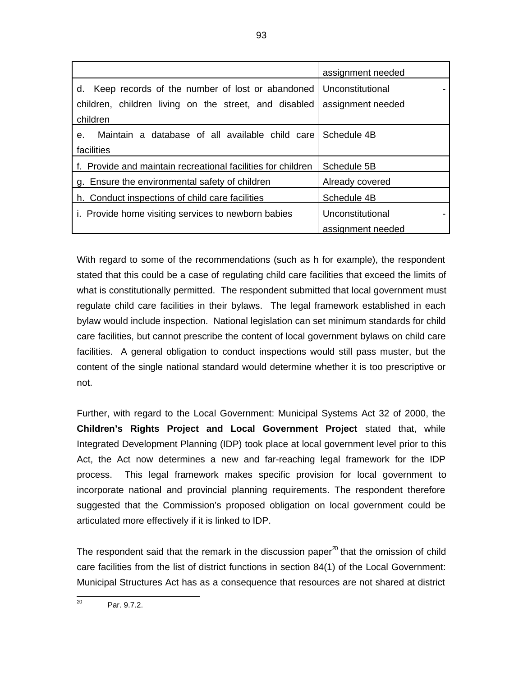|                                                                | assignment needed |
|----------------------------------------------------------------|-------------------|
| d. Keep records of the number of lost or abandoned             | Unconstitutional  |
| children, children living on the street, and disabled          | assignment needed |
| children                                                       |                   |
| Maintain a database of all available child care<br>$e_{\cdot}$ | Schedule 4B       |
| facilities                                                     |                   |
| f. Provide and maintain recreational facilities for children   | Schedule 5B       |
| g. Ensure the environmental safety of children                 | Already covered   |
| h. Conduct inspections of child care facilities                | Schedule 4B       |
| i. Provide home visiting services to newborn babies            | Unconstitutional  |
|                                                                | assignment needed |

With regard to some of the recommendations (such as h for example), the respondent stated that this could be a case of regulating child care facilities that exceed the limits of what is constitutionally permitted. The respondent submitted that local government must regulate child care facilities in their bylaws. The legal framework established in each bylaw would include inspection. National legislation can set minimum standards for child care facilities, but cannot prescribe the content of local government bylaws on child care facilities. A general obligation to conduct inspections would still pass muster, but the content of the single national standard would determine whether it is too prescriptive or not.

Further, with regard to the Local Government: Municipal Systems Act 32 of 2000, the **Children's Rights Project and Local Government Project** stated that, while Integrated Development Planning (IDP) took place at local government level prior to this Act, the Act now determines a new and far-reaching legal framework for the IDP process. This legal framework makes specific provision for local government to incorporate national and provincial planning requirements. The respondent therefore suggested that the Commission's proposed obligation on local government could be articulated more effectively if it is linked to IDP.

The respondent said that the remark in the discussion paper<sup>20</sup> that the omission of child care facilities from the list of district functions in section 84(1) of the Local Government: Municipal Structures Act has as a consequence that resources are not shared at district

 $\frac{1}{20}$ Par. 9.7.2.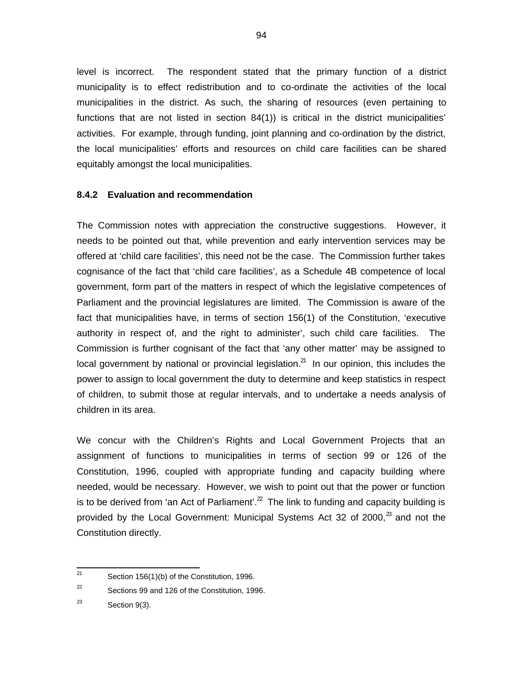level is incorrect. The respondent stated that the primary function of a district municipality is to effect redistribution and to co-ordinate the activities of the local municipalities in the district. As such, the sharing of resources (even pertaining to functions that are not listed in section 84(1)) is critical in the district municipalities' activities. For example, through funding, joint planning and co-ordination by the district, the local municipalities' efforts and resources on child care facilities can be shared equitably amongst the local municipalities.

### **8.4.2 Evaluation and recommendation**

The Commission notes with appreciation the constructive suggestions. However, it needs to be pointed out that, while prevention and early intervention services may be offered at 'child care facilities', this need not be the case. The Commission further takes cognisance of the fact that 'child care facilities', as a Schedule 4B competence of local government, form part of the matters in respect of which the legislative competences of Parliament and the provincial legislatures are limited. The Commission is aware of the fact that municipalities have, in terms of section 156(1) of the Constitution, 'executive authority in respect of, and the right to administer', such child care facilities. The Commission is further cognisant of the fact that 'any other matter' may be assigned to local government by national or provincial legislation.<sup>21</sup> In our opinion, this includes the power to assign to local government the duty to determine and keep statistics in respect of children, to submit those at regular intervals, and to undertake a needs analysis of children in its area.

We concur with the Children's Rights and Local Government Projects that an assignment of functions to municipalities in terms of section 99 or 126 of the Constitution, 1996, coupled with appropriate funding and capacity building where needed, would be necessary. However, we wish to point out that the power or function is to be derived from 'an Act of Parliament'.<sup>22</sup> The link to funding and capacity building is provided by the Local Government: Municipal Systems Act 32 of 2000, $^{\text{2}}$  and not the Constitution directly.

 $\overline{21}$ Section 156(1)(b) of the Constitution, 1996.

<sup>22</sup> Sections 99 and 126 of the Constitution, 1996.

<sup>23</sup> Section 9(3).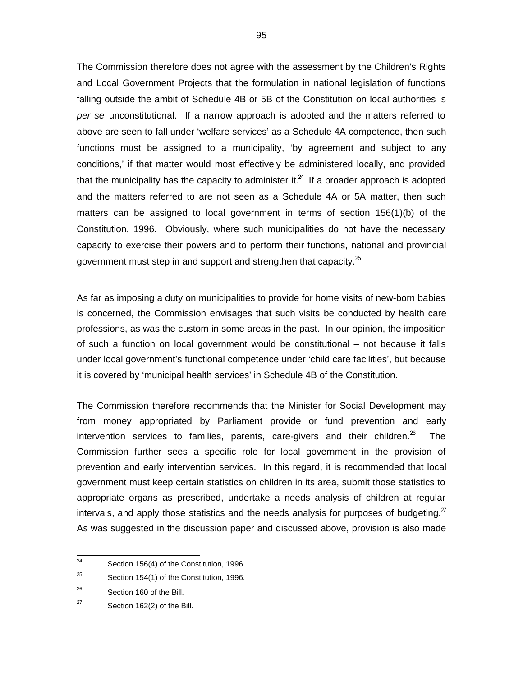The Commission therefore does not agree with the assessment by the Children's Rights and Local Government Projects that the formulation in national legislation of functions falling outside the ambit of Schedule 4B or 5B of the Constitution on local authorities is per se unconstitutional. If a narrow approach is adopted and the matters referred to above are seen to fall under 'welfare services' as a Schedule 4A competence, then such functions must be assigned to a municipality, 'by agreement and subject to any conditions,' if that matter would most effectively be administered locally, and provided that the municipality has the capacity to administer it. $^{24}$  If a broader approach is adopted and the matters referred to are not seen as a Schedule 4A or 5A matter, then such matters can be assigned to local government in terms of section 156(1)(b) of the Constitution, 1996. Obviously, where such municipalities do not have the necessary capacity to exercise their powers and to perform their functions, national and provincial government must step in and support and strengthen that capacity. $25$ 

As far as imposing a duty on municipalities to provide for home visits of new-born babies is concerned, the Commission envisages that such visits be conducted by health care professions, as was the custom in some areas in the past. In our opinion, the imposition of such a function on local government would be constitutional – not because it falls under local government's functional competence under 'child care facilities', but because it is covered by 'municipal health services' in Schedule 4B of the Constitution.

The Commission therefore recommends that the Minister for Social Development may from money appropriated by Parliament provide or fund prevention and early intervention services to families, parents, care-givers and their children. $^{26}$  The Commission further sees a specific role for local government in the provision of prevention and early intervention services. In this regard, it is recommended that local government must keep certain statistics on children in its area, submit those statistics to appropriate organs as prescribed, undertake a needs analysis of children at regular intervals, and apply those statistics and the needs analysis for purposes of budgeting.<sup>27</sup> As was suggested in the discussion paper and discussed above, provision is also made

 $\frac{1}{24}$ Section 156(4) of the Constitution, 1996.

<sup>25</sup> Section 154(1) of the Constitution, 1996.

<sup>26</sup> Section 160 of the Bill.

<sup>27</sup> Section 162(2) of the Bill.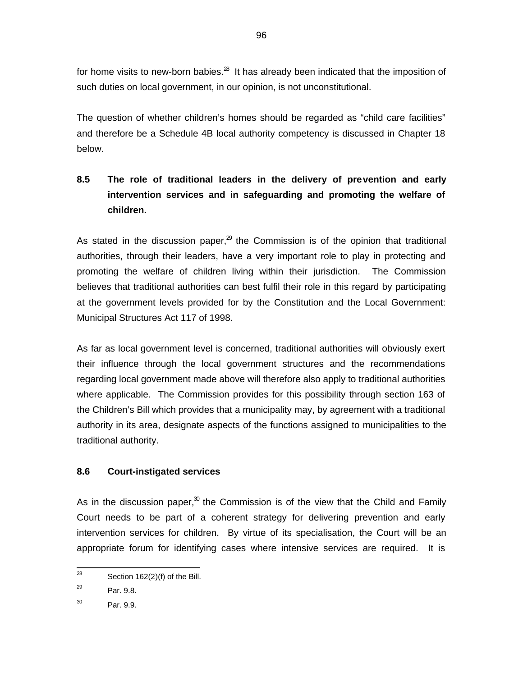for home visits to new-born babies. $^{28}$  It has already been indicated that the imposition of such duties on local government, in our opinion, is not unconstitutional.

The question of whether children's homes should be regarded as "child care facilities" and therefore be a Schedule 4B local authority competency is discussed in Chapter 18 below.

# **8.5 The role of traditional leaders in the delivery of prevention and early intervention services and in safeguarding and promoting the welfare of children.**

As stated in the discussion paper, $^{29}$  the Commission is of the opinion that traditional authorities, through their leaders, have a very important role to play in protecting and promoting the welfare of children living within their jurisdiction. The Commission believes that traditional authorities can best fulfil their role in this regard by participating at the government levels provided for by the Constitution and the Local Government: Municipal Structures Act 117 of 1998.

As far as local government level is concerned, traditional authorities will obviously exert their influence through the local government structures and the recommendations regarding local government made above will therefore also apply to traditional authorities where applicable. The Commission provides for this possibility through section 163 of the Children's Bill which provides that a municipality may, by agreement with a traditional authority in its area, designate aspects of the functions assigned to municipalities to the traditional authority.

# **8.6 Court-instigated services**

As in the discussion paper, $30$  the Commission is of the view that the Child and Family Court needs to be part of a coherent strategy for delivering prevention and early intervention services for children. By virtue of its specialisation, the Court will be an appropriate forum for identifying cases where intensive services are required. It is

<sup>—&</sup>lt;br>28 Section 162(2)(f) of the Bill.

<sup>29</sup> Par. 9.8.

<sup>30</sup> Par. 9.9.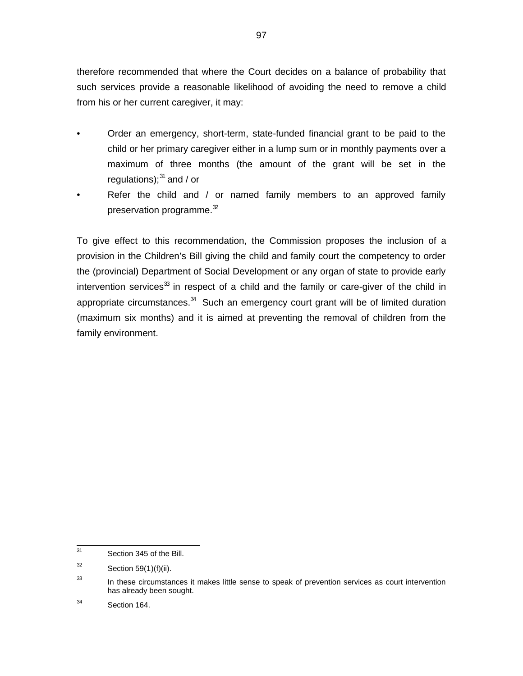therefore recommended that where the Court decides on a balance of probability that such services provide a reasonable likelihood of avoiding the need to remove a child from his or her current caregiver, it may:

- Order an emergency, short-term, state-funded financial grant to be paid to the child or her primary caregiver either in a lump sum or in monthly payments over a maximum of three months (the amount of the grant will be set in the regulations);<sup>31</sup> and / or
- Refer the child and / or named family members to an approved family preservation programme. $32$

To give effect to this recommendation, the Commission proposes the inclusion of a provision in the Children's Bill giving the child and family court the competency to order the (provincial) Department of Social Development or any organ of state to provide early intervention services<sup>33</sup> in respect of a child and the family or care-giver of the child in appropriate circumstances. $34$  Such an emergency court grant will be of limited duration (maximum six months) and it is aimed at preventing the removal of children from the family environment.

<sup>-&</sup>lt;br>31 Section 345 of the Bill.

<sup>32</sup> Section 59(1)(f)(ii).

<sup>33</sup> In these circumstances it makes little sense to speak of prevention services as court intervention has already been sought.

<sup>34</sup> Section 164.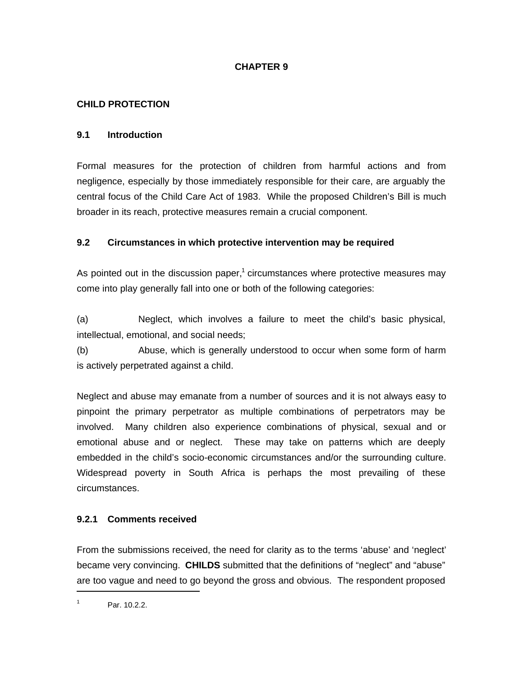# **CHAPTER 9**

## **CHILD PROTECTION**

### **9.1 Introduction**

Formal measures for the protection of children from harmful actions and from negligence, especially by those immediately responsible for their care, are arguably the central focus of the Child Care Act of 1983. While the proposed Children's Bill is much broader in its reach, protective measures remain a crucial component.

### **9.2 Circumstances in which protective intervention may be required**

As pointed out in the discussion paper, $1$  circumstances where protective measures may come into play generally fall into one or both of the following categories:

(a) Neglect, which involves a failure to meet the child's basic physical, intellectual, emotional, and social needs;

(b) Abuse, which is generally understood to occur when some form of harm is actively perpetrated against a child.

Neglect and abuse may emanate from a number of sources and it is not always easy to pinpoint the primary perpetrator as multiple combinations of perpetrators may be involved. Many children also experience combinations of physical, sexual and or emotional abuse and or neglect. These may take on patterns which are deeply embedded in the child's socio-economic circumstances and/or the surrounding culture. Widespread poverty in South Africa is perhaps the most prevailing of these circumstances.

# **9.2.1 Comments received**

From the submissions received, the need for clarity as to the terms 'abuse' and 'neglect' became very convincing. **CHILDS** submitted that the definitions of "neglect" and "abuse" are too vague and need to go beyond the gross and obvious. The respondent proposed

1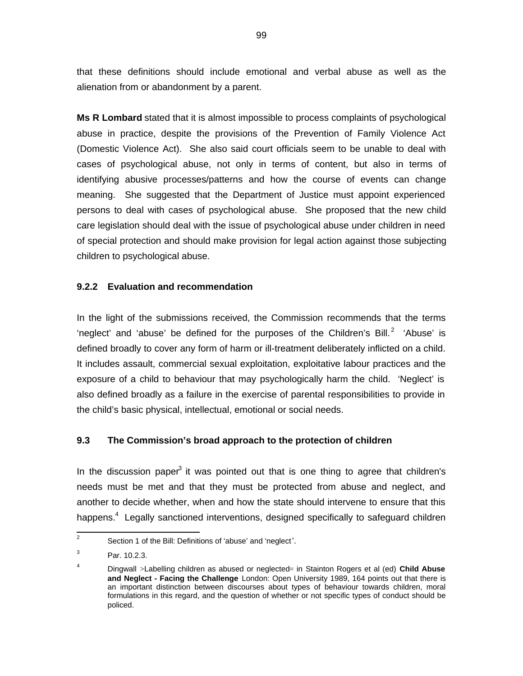that these definitions should include emotional and verbal abuse as well as the alienation from or abandonment by a parent.

**Ms R Lombard** stated that it is almost impossible to process complaints of psychological abuse in practice, despite the provisions of the Prevention of Family Violence Act (Domestic Violence Act). She also said court officials seem to be unable to deal with cases of psychological abuse, not only in terms of content, but also in terms of identifying abusive processes/patterns and how the course of events can change meaning. She suggested that the Department of Justice must appoint experienced persons to deal with cases of psychological abuse. She proposed that the new child care legislation should deal with the issue of psychological abuse under children in need of special protection and should make provision for legal action against those subjecting children to psychological abuse.

### **9.2.2 Evaluation and recommendation**

In the light of the submissions received, the Commission recommends that the terms 'neglect' and 'abuse' be defined for the purposes of the Children's Bill.<sup>2</sup> 'Abuse' is defined broadly to cover any form of harm or ill-treatment deliberately inflicted on a child. It includes assault, commercial sexual exploitation, exploitative labour practices and the exposure of a child to behaviour that may psychologically harm the child. 'Neglect' is also defined broadly as a failure in the exercise of parental responsibilities to provide in the child's basic physical, intellectual, emotional or social needs.

### **9.3 The Commission's broad approach to the protection of children**

In the discussion paper<sup>3</sup> it was pointed out that is one thing to agree that children's needs must be met and that they must be protected from abuse and neglect, and another to decide whether, when and how the state should intervene to ensure that this happens.<sup>4</sup> Legally sanctioned interventions, designed specifically to safeguard children

<sup>&</sup>lt;sup>2</sup> Section 1 of the Bill: Definitions of 'abuse' and 'neglect'.

<sup>3</sup> Par. 10.2.3.

<sup>4</sup> Dingwall >Labelling children as abused or neglected= in Stainton Rogers et al (ed) **Child Abuse and Neglect - Facing the Challenge** London: Open University 1989, 164 points out that there is an important distinction between discourses about types of behaviour towards children, moral formulations in this regard, and the question of whether or not specific types of conduct should be policed.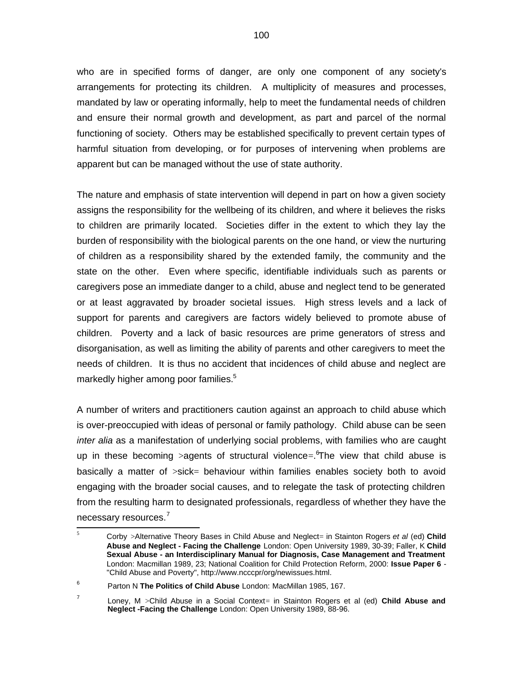who are in specified forms of danger, are only one component of any society's arrangements for protecting its children. A multiplicity of measures and processes, mandated by law or operating informally, help to meet the fundamental needs of children and ensure their normal growth and development, as part and parcel of the normal functioning of society. Others may be established specifically to prevent certain types of harmful situation from developing, or for purposes of intervening when problems are apparent but can be managed without the use of state authority.

The nature and emphasis of state intervention will depend in part on how a given society assigns the responsibility for the wellbeing of its children, and where it believes the risks to children are primarily located. Societies differ in the extent to which they lay the burden of responsibility with the biological parents on the one hand, or view the nurturing of children as a responsibility shared by the extended family, the community and the state on the other. Even where specific, identifiable individuals such as parents or caregivers pose an immediate danger to a child, abuse and neglect tend to be generated or at least aggravated by broader societal issues. High stress levels and a lack of support for parents and caregivers are factors widely believed to promote abuse of children. Poverty and a lack of basic resources are prime generators of stress and disorganisation, as well as limiting the ability of parents and other caregivers to meet the needs of children. It is thus no accident that incidences of child abuse and neglect are markedly higher among poor families.<sup>5</sup>

A number of writers and practitioners caution against an approach to child abuse which is over-preoccupied with ideas of personal or family pathology. Child abuse can be seen inter alia as a manifestation of underlying social problems, with families who are caught up in these becoming >agents of structural violence=. The view that child abuse is basically a matter of >sick= behaviour within families enables society both to avoid engaging with the broader social causes, and to relegate the task of protecting children from the resulting harm to designated professionals, regardless of whether they have the necessary resources.<sup>7</sup>

 5 Corby >Alternative Theory Bases in Child Abuse and Neglect= in Stainton Rogers et al (ed) **Child Abuse and Neglect - Facing the Challenge** London: Open University 1989, 30-39; Faller, K **Child Sexual Abuse - an Interdisciplinary Manual for Diagnosis, Case Management and Treatment** London: Macmillan 1989, 23; National Coalition for Child Protection Reform, 2000: **Issue Paper 6** - "Child Abuse and Poverty", [http://www.ncccpr/org/newissues.html.](http://www.ncccpr/org/newissues.html)

<sup>6</sup> Parton N **The Politics of Child Abuse** London: MacMillan 1985, 167.

<sup>7</sup> Loney, M >Child Abuse in a Social Context= in Stainton Rogers et al (ed) **Child Abuse and Neglect -Facing the Challenge** London: Open University 1989, 88-96.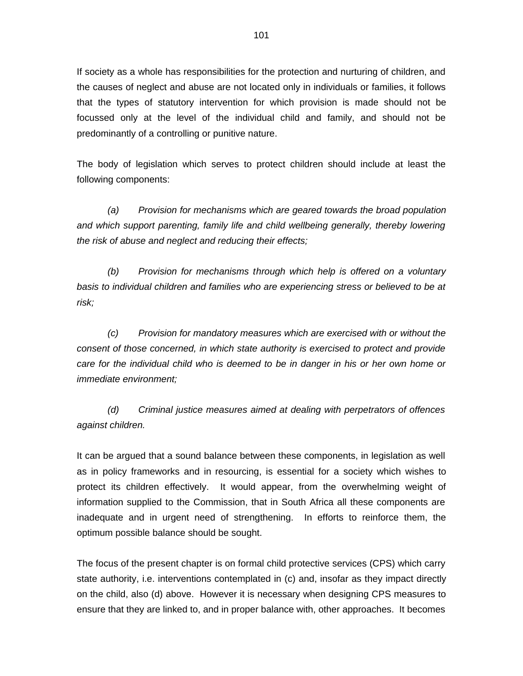If society as a whole has responsibilities for the protection and nurturing of children, and the causes of neglect and abuse are not located only in individuals or families, it follows that the types of statutory intervention for which provision is made should not be focussed only at the level of the individual child and family, and should not be predominantly of a controlling or punitive nature.

The body of legislation which serves to protect children should include at least the following components:

(a) Provision for mechanisms which are geared towards the broad population and which support parenting, family life and child wellbeing generally, thereby lowering the risk of abuse and neglect and reducing their effects;

(b) Provision for mechanisms through which help is offered on a voluntary basis to individual children and families who are experiencing stress or believed to be at risk;

(c) Provision for mandatory measures which are exercised with or without the consent of those concerned, in which state authority is exercised to protect and provide care for the individual child who is deemed to be in danger in his or her own home or immediate environment;

(d) Criminal justice measures aimed at dealing with perpetrators of offences against children.

It can be argued that a sound balance between these components, in legislation as well as in policy frameworks and in resourcing, is essential for a society which wishes to protect its children effectively. It would appear, from the overwhelming weight of information supplied to the Commission, that in South Africa all these components are inadequate and in urgent need of strengthening. In efforts to reinforce them, the optimum possible balance should be sought.

The focus of the present chapter is on formal child protective services (CPS) which carry state authority, i.e. interventions contemplated in (c) and, insofar as they impact directly on the child, also (d) above. However it is necessary when designing CPS measures to ensure that they are linked to, and in proper balance with, other approaches. It becomes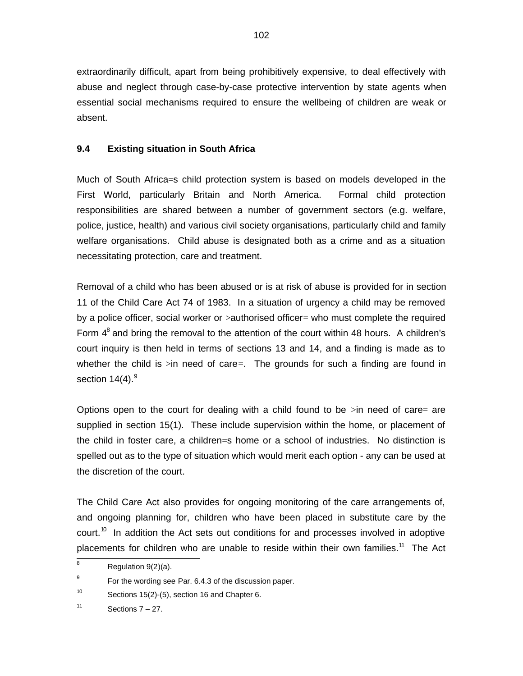extraordinarily difficult, apart from being prohibitively expensive, to deal effectively with abuse and neglect through case-by-case protective intervention by state agents when essential social mechanisms required to ensure the wellbeing of children are weak or absent.

### **9.4 Existing situation in South Africa**

Much of South Africa=s child protection system is based on models developed in the First World, particularly Britain and North America. Formal child protection responsibilities are shared between a number of government sectors (e.g. welfare, police, justice, health) and various civil society organisations, particularly child and family welfare organisations. Child abuse is designated both as a crime and as a situation necessitating protection, care and treatment.

Removal of a child who has been abused or is at risk of abuse is provided for in section 11 of the Child Care Act 74 of 1983. In a situation of urgency a child may be removed by a police officer, social worker or >authorised officer= who must complete the required Form  $4<sup>8</sup>$  and bring the removal to the attention of the court within 48 hours. A children's court inquiry is then held in terms of sections 13 and 14, and a finding is made as to whether the child is  $\sin$  need of care=. The grounds for such a finding are found in section  $14(4).<sup>9</sup>$ 

Options open to the court for dealing with a child found to be  $\sin$  need of care= are supplied in section 15(1). These include supervision within the home, or placement of the child in foster care, a children=s home or a school of industries. No distinction is spelled out as to the type of situation which would merit each option - any can be used at the discretion of the court.

The Child Care Act also provides for ongoing monitoring of the care arrangements of, and ongoing planning for, children who have been placed in substitute care by the court.<sup>10</sup> In addition the Act sets out conditions for and processes involved in adoptive placements for children who are unable to reside within their own families.<sup>11</sup> The Act

 8 Regulation 9(2)(a).

<sup>9</sup> For the wording see Par. 6.4.3 of the discussion paper.

<sup>10</sup> Sections 15(2)-(5), section 16 and Chapter 6.

<sup>11</sup> Sections 7 – 27.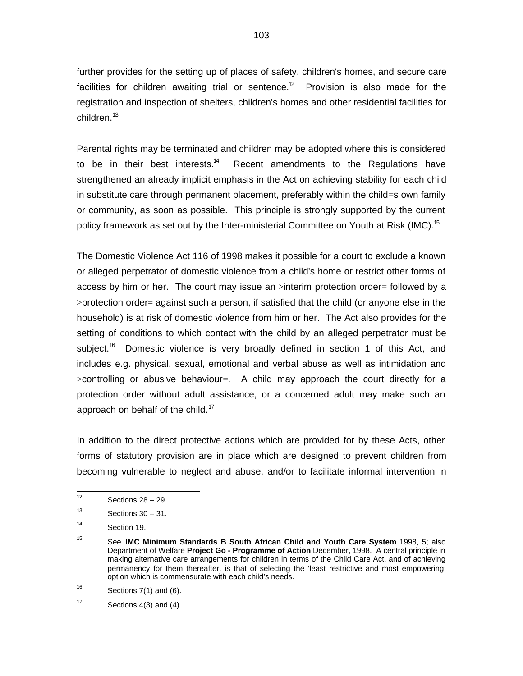further provides for the setting up of places of safety, children's homes, and secure care facilities for children awaiting trial or sentence.<sup>12</sup> Provision is also made for the registration and inspection of shelters, children's homes and other residential facilities for children.<sup>13</sup>

Parental rights may be terminated and children may be adopted where this is considered to be in their best interests.<sup>14</sup> Recent amendments to the Regulations have strengthened an already implicit emphasis in the Act on achieving stability for each child in substitute care through permanent placement, preferably within the child=s own family or community, as soon as possible. This principle is strongly supported by the current policy framework as set out by the Inter-ministerial Committee on Youth at Risk (IMC).<sup>15</sup>

The Domestic Violence Act 116 of 1998 makes it possible for a court to exclude a known or alleged perpetrator of domestic violence from a child's home or restrict other forms of access by him or her. The court may issue an >interim protection order= followed by a >protection order= against such a person, if satisfied that the child (or anyone else in the household) is at risk of domestic violence from him or her. The Act also provides for the setting of conditions to which contact with the child by an alleged perpetrator must be subject.<sup>16</sup> Domestic violence is very broadly defined in section 1 of this Act, and includes e.g. physical, sexual, emotional and verbal abuse as well as intimidation and >controlling or abusive behaviour=. A child may approach the court directly for a protection order without adult assistance, or a concerned adult may make such an approach on behalf of the child.<sup>17</sup>

In addition to the direct protective actions which are provided for by these Acts, other forms of statutory provision are in place which are designed to prevent children from becoming vulnerable to neglect and abuse, and/or to facilitate informal intervention in

 $\frac{1}{12}$ Sections 28 – 29.

<sup>13</sup> Sections  $30 - 31$ .

<sup>14</sup> Section 19.

<sup>15</sup> See **IMC Minimum Standards B South African Child and Youth Care System** 1998, 5; also Department of Welfare **Project Go - Programme of Action** December, 1998. A central principle in making alternative care arrangements for children in terms of the Child Care Act, and of achieving permanency for them thereafter, is that of selecting the 'least restrictive and most empowering' option which is commensurate with each child's needs.

<sup>16</sup> Sections 7(1) and (6).

<sup>17</sup> Sections 4(3) and (4).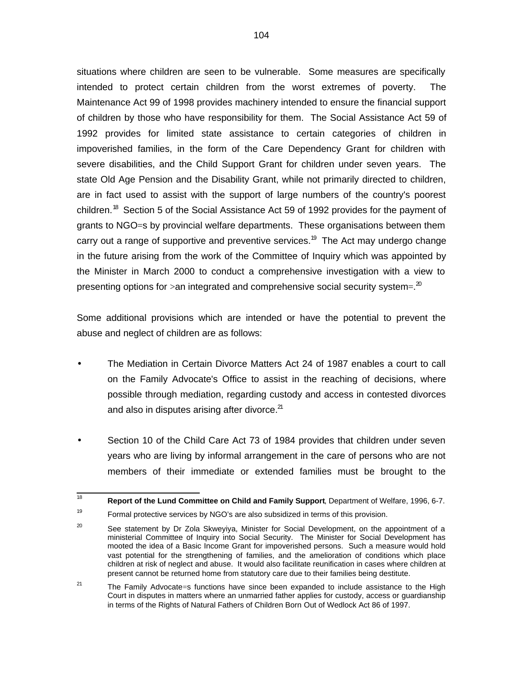situations where children are seen to be vulnerable. Some measures are specifically intended to protect certain children from the worst extremes of poverty. The Maintenance Act 99 of 1998 provides machinery intended to ensure the financial support of children by those who have responsibility for them. The Social Assistance Act 59 of 1992 provides for limited state assistance to certain categories of children in impoverished families, in the form of the Care Dependency Grant for children with severe disabilities, and the Child Support Grant for children under seven years. The state Old Age Pension and the Disability Grant, while not primarily directed to children, are in fact used to assist with the support of large numbers of the country's poorest children.<sup>18</sup> Section 5 of the Social Assistance Act 59 of 1992 provides for the payment of grants to NGO=s by provincial welfare departments. These organisations between them carry out a range of supportive and preventive services.<sup>19</sup> The Act may undergo change in the future arising from the work of the Committee of Inquiry which was appointed by the Minister in March 2000 to conduct a comprehensive investigation with a view to presenting options for >an integrated and comprehensive social security system=. $^{20}$ 

Some additional provisions which are intended or have the potential to prevent the abuse and neglect of children are as follows:

- The Mediation in Certain Divorce Matters Act 24 of 1987 enables a court to call on the Family Advocate's Office to assist in the reaching of decisions, where possible through mediation, regarding custody and access in contested divorces and also in disputes arising after divorce. $21$
- Section 10 of the Child Care Act 73 of 1984 provides that children under seven years who are living by informal arrangement in the care of persons who are not members of their immediate or extended families must be brought to the

<sup>|&</sup>lt;br>18 **Report of the Lund Committee on Child and Family Support**, Department of Welfare, 1996, 6-7.

<sup>19</sup> Formal protective services by NGO's are also subsidized in terms of this provision.

<sup>20</sup> See statement by Dr Zola Skweyiya, Minister for Social Development, on the appointment of a ministerial Committee of Inquiry into Social Security. The Minister for Social Development has mooted the idea of a Basic Income Grant for impoverished persons. Such a measure would hold vast potential for the strengthening of families, and the amelioration of conditions which place children at risk of neglect and abuse. It would also facilitate reunification in cases where children at present cannot be returned home from statutory care due to their families being destitute.

<sup>21</sup> The Family Advocate=s functions have since been expanded to include assistance to the High Court in disputes in matters where an unmarried father applies for custody, access or guardianship in terms of the Rights of Natural Fathers of Children Born Out of Wedlock Act 86 of 1997.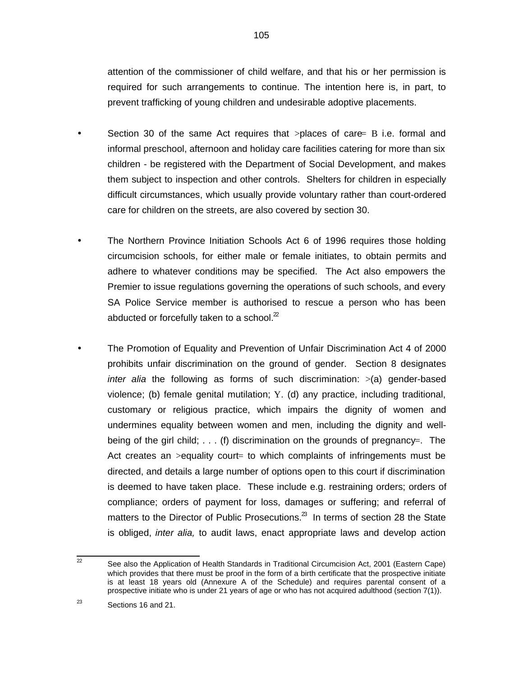attention of the commissioner of child welfare, and that his or her permission is required for such arrangements to continue. The intention here is, in part, to prevent trafficking of young children and undesirable adoptive placements.

- Section 30 of the same Act requires that  $>$ places of care B i.e. formal and informal preschool, afternoon and holiday care facilities catering for more than six children - be registered with the Department of Social Development, and makes them subject to inspection and other controls. Shelters for children in especially difficult circumstances, which usually provide voluntary rather than court-ordered care for children on the streets, are also covered by section 30.
- The Northern Province Initiation Schools Act 6 of 1996 requires those holding circumcision schools, for either male or female initiates, to obtain permits and adhere to whatever conditions may be specified. The Act also empowers the Premier to issue regulations governing the operations of such schools, and every SA Police Service member is authorised to rescue a person who has been abducted or forcefully taken to a school. $2^2$
- The Promotion of Equality and Prevention of Unfair Discrimination Act 4 of 2000 prohibits unfair discrimination on the ground of gender. Section 8 designates inter alia the following as forms of such discrimination:  $>(a)$  gender-based violence; (b) female genital mutilation; Y. (d) any practice, including traditional, customary or religious practice, which impairs the dignity of women and undermines equality between women and men, including the dignity and wellbeing of the girl child; . . . (f) discrimination on the grounds of pregnancy=. The Act creates an  $>$ equality court= to which complaints of infringements must be directed, and details a large number of options open to this court if discrimination is deemed to have taken place. These include e.g. restraining orders; orders of compliance; orders of payment for loss, damages or suffering; and referral of matters to the Director of Public Prosecutions. $^{23}$  In terms of section 28 the State is obliged, *inter alia*, to audit laws, enact appropriate laws and develop action

<sup>22&</sup>lt;br>22 See also the Application of Health Standards in Traditional Circumcision Act, 2001 (Eastern Cape) which provides that there must be proof in the form of a birth certificate that the prospective initiate is at least 18 years old (Annexure A of the Schedule) and requires parental consent of a prospective initiate who is under 21 years of age or who has not acquired adulthood (section 7(1)).

<sup>23</sup> Sections 16 and 21.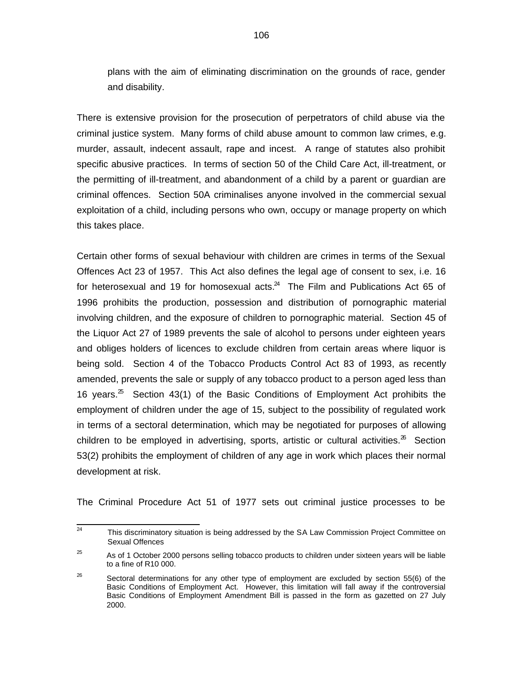plans with the aim of eliminating discrimination on the grounds of race, gender and disability.

There is extensive provision for the prosecution of perpetrators of child abuse via the criminal justice system. Many forms of child abuse amount to common law crimes, e.g. murder, assault, indecent assault, rape and incest. A range of statutes also prohibit specific abusive practices. In terms of section 50 of the Child Care Act, ill-treatment, or the permitting of ill-treatment, and abandonment of a child by a parent or guardian are criminal offences. Section 50A criminalises anyone involved in the commercial sexual exploitation of a child, including persons who own, occupy or manage property on which this takes place.

Certain other forms of sexual behaviour with children are crimes in terms of the Sexual Offences Act 23 of 1957. This Act also defines the legal age of consent to sex, i.e. 16 for heterosexual and 19 for homosexual acts. $^{24}$  The Film and Publications Act 65 of 1996 prohibits the production, possession and distribution of pornographic material involving children, and the exposure of children to pornographic material. Section 45 of the Liquor Act 27 of 1989 prevents the sale of alcohol to persons under eighteen years and obliges holders of licences to exclude children from certain areas where liquor is being sold. Section 4 of the Tobacco Products Control Act 83 of 1993, as recently amended, prevents the sale or supply of any tobacco product to a person aged less than 16 years.<sup>25</sup> Section 43(1) of the Basic Conditions of Employment Act prohibits the employment of children under the age of 15, subject to the possibility of regulated work in terms of a sectoral determination, which may be negotiated for purposes of allowing children to be employed in advertising, sports, artistic or cultural activities. $26$  Section 53(2) prohibits the employment of children of any age in work which places their normal development at risk.

The Criminal Procedure Act 51 of 1977 sets out criminal justice processes to be

<sup>-&</sup>lt;br>24 This discriminatory situation is being addressed by the SA Law Commission Project Committee on Sexual Offences

<sup>25</sup> As of 1 October 2000 persons selling tobacco products to children under sixteen years will be liable to a fine of R10 000.

<sup>26</sup> Sectoral determinations for any other type of employment are excluded by section 55(6) of the Basic Conditions of Employment Act. However, this limitation will fall away if the controversial Basic Conditions of Employment Amendment Bill is passed in the form as gazetted on 27 July 2000.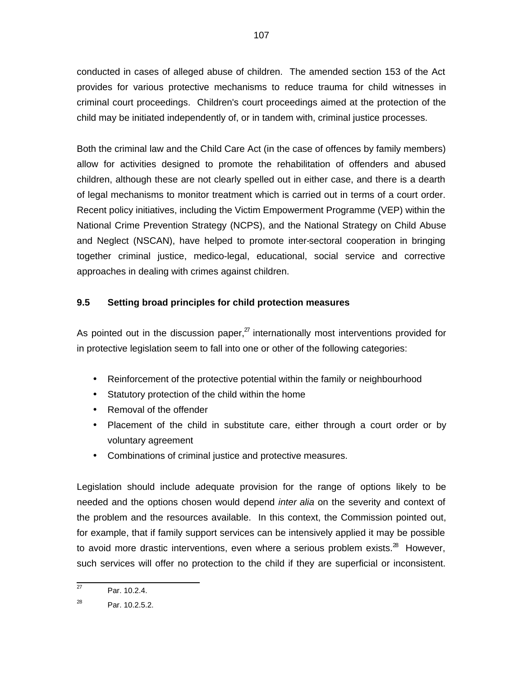conducted in cases of alleged abuse of children. The amended section 153 of the Act provides for various protective mechanisms to reduce trauma for child witnesses in criminal court proceedings. Children's court proceedings aimed at the protection of the child may be initiated independently of, or in tandem with, criminal justice processes.

Both the criminal law and the Child Care Act (in the case of offences by family members) allow for activities designed to promote the rehabilitation of offenders and abused children, although these are not clearly spelled out in either case, and there is a dearth of legal mechanisms to monitor treatment which is carried out in terms of a court order. Recent policy initiatives, including the Victim Empowerment Programme (VEP) within the National Crime Prevention Strategy (NCPS), and the National Strategy on Child Abuse and Neglect (NSCAN), have helped to promote inter-sectoral cooperation in bringing together criminal justice, medico-legal, educational, social service and corrective approaches in dealing with crimes against children.

### **9.5 Setting broad principles for child protection measures**

As pointed out in the discussion paper, $^{27}$  internationally most interventions provided for in protective legislation seem to fall into one or other of the following categories:

- Reinforcement of the protective potential within the family or neighbourhood
- Statutory protection of the child within the home
- Removal of the offender
- Placement of the child in substitute care, either through a court order or by voluntary agreement
- Combinations of criminal justice and protective measures.

Legislation should include adequate provision for the range of options likely to be needed and the options chosen would depend *inter alia* on the severity and context of the problem and the resources available. In this context, the Commission pointed out, for example, that if family support services can be intensively applied it may be possible to avoid more drastic interventions, even where a serious problem exists. $^{28}$  However, such services will offer no protection to the child if they are superficial or inconsistent.

 27 Par. 10.2.4.

<sup>28</sup> Par. 10.2.5.2.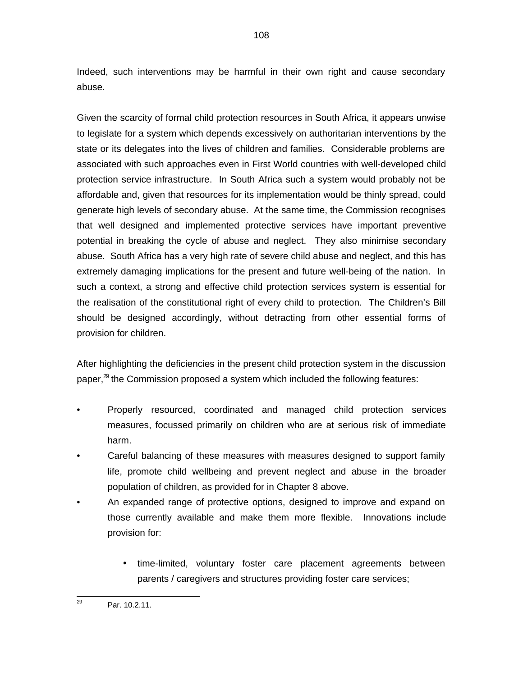Indeed, such interventions may be harmful in their own right and cause secondary abuse.

Given the scarcity of formal child protection resources in South Africa, it appears unwise to legislate for a system which depends excessively on authoritarian interventions by the state or its delegates into the lives of children and families. Considerable problems are associated with such approaches even in First World countries with well-developed child protection service infrastructure. In South Africa such a system would probably not be affordable and, given that resources for its implementation would be thinly spread, could generate high levels of secondary abuse. At the same time, the Commission recognises that well designed and implemented protective services have important preventive potential in breaking the cycle of abuse and neglect. They also minimise secondary abuse. South Africa has a very high rate of severe child abuse and neglect, and this has extremely damaging implications for the present and future well-being of the nation. In such a context, a strong and effective child protection services system is essential for the realisation of the constitutional right of every child to protection. The Children's Bill should be designed accordingly, without detracting from other essential forms of provision for children.

After highlighting the deficiencies in the present child protection system in the discussion paper, $^{29}$  the Commission proposed a system which included the following features:

- Properly resourced, coordinated and managed child protection services measures, focussed primarily on children who are at serious risk of immediate harm.
- Careful balancing of these measures with measures designed to support family life, promote child wellbeing and prevent neglect and abuse in the broader population of children, as provided for in Chapter 8 above.
- An expanded range of protective options, designed to improve and expand on those currently available and make them more flexible. Innovations include provision for:
	- time-limited, voluntary foster care placement agreements between parents / caregivers and structures providing foster care services;

<sup>—&</sup>lt;br>29 Par. 10.2.11.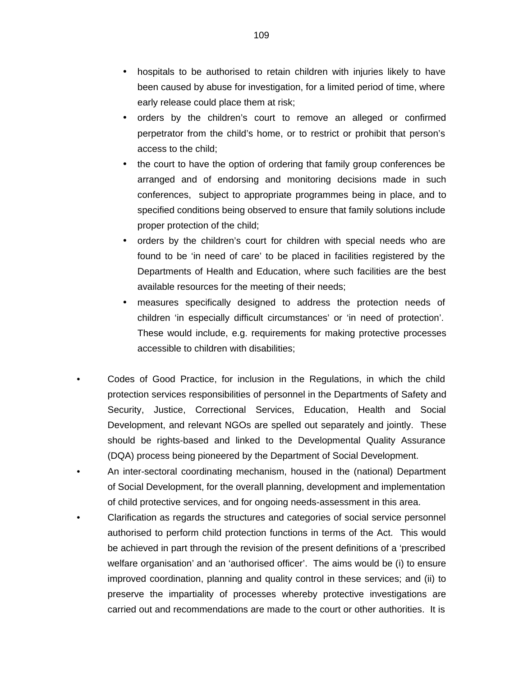- hospitals to be authorised to retain children with injuries likely to have been caused by abuse for investigation, for a limited period of time, where early release could place them at risk;
- orders by the children's court to remove an alleged or confirmed perpetrator from the child's home, or to restrict or prohibit that person's access to the child;
- the court to have the option of ordering that family group conferences be arranged and of endorsing and monitoring decisions made in such conferences, subject to appropriate programmes being in place, and to specified conditions being observed to ensure that family solutions include proper protection of the child;
- orders by the children's court for children with special needs who are found to be 'in need of care' to be placed in facilities registered by the Departments of Health and Education, where such facilities are the best available resources for the meeting of their needs;
- measures specifically designed to address the protection needs of children 'in especially difficult circumstances' or 'in need of protection'. These would include, e.g. requirements for making protective processes accessible to children with disabilities;
- Codes of Good Practice, for inclusion in the Regulations, in which the child protection services responsibilities of personnel in the Departments of Safety and Security, Justice, Correctional Services, Education, Health and Social Development, and relevant NGOs are spelled out separately and jointly. These should be rights-based and linked to the Developmental Quality Assurance (DQA) process being pioneered by the Department of Social Development.
- An inter-sectoral coordinating mechanism, housed in the (national) Department of Social Development, for the overall planning, development and implementation of child protective services, and for ongoing needs-assessment in this area.
- Clarification as regards the structures and categories of social service personnel authorised to perform child protection functions in terms of the Act. This would be achieved in part through the revision of the present definitions of a 'prescribed welfare organisation' and an 'authorised officer'. The aims would be (i) to ensure improved coordination, planning and quality control in these services; and (ii) to preserve the impartiality of processes whereby protective investigations are carried out and recommendations are made to the court or other authorities. It is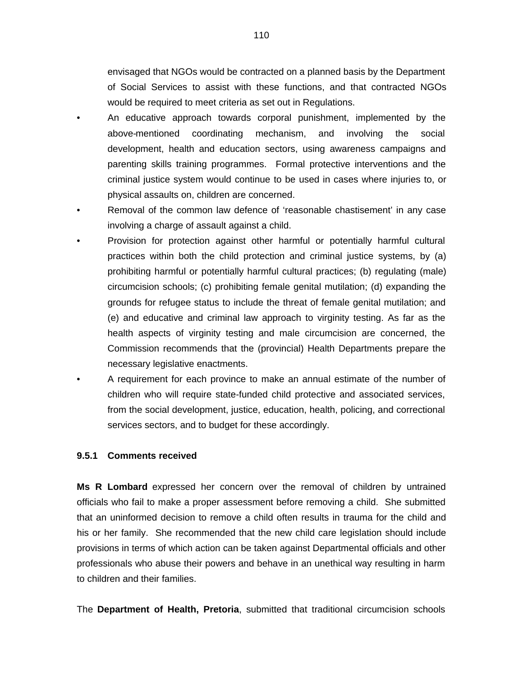envisaged that NGOs would be contracted on a planned basis by the Department of Social Services to assist with these functions, and that contracted NGOs would be required to meet criteria as set out in Regulations.

- An educative approach towards corporal punishment, implemented by the above-mentioned coordinating mechanism, and involving the social development, health and education sectors, using awareness campaigns and parenting skills training programmes. Formal protective interventions and the criminal justice system would continue to be used in cases where injuries to, or physical assaults on, children are concerned.
- Removal of the common law defence of 'reasonable chastisement' in any case involving a charge of assault against a child.
- Provision for protection against other harmful or potentially harmful cultural practices within both the child protection and criminal justice systems, by (a) prohibiting harmful or potentially harmful cultural practices; (b) regulating (male) circumcision schools; (c) prohibiting female genital mutilation; (d) expanding the grounds for refugee status to include the threat of female genital mutilation; and (e) and educative and criminal law approach to virginity testing. As far as the health aspects of virginity testing and male circumcision are concerned, the Commission recommends that the (provincial) Health Departments prepare the necessary legislative enactments.
- A requirement for each province to make an annual estimate of the number of children who will require state-funded child protective and associated services, from the social development, justice, education, health, policing, and correctional services sectors, and to budget for these accordingly.

#### **9.5.1 Comments received**

**Ms R Lombard** expressed her concern over the removal of children by untrained officials who fail to make a proper assessment before removing a child. She submitted that an uninformed decision to remove a child often results in trauma for the child and his or her family. She recommended that the new child care legislation should include provisions in terms of which action can be taken against Departmental officials and other professionals who abuse their powers and behave in an unethical way resulting in harm to children and their families.

The **Department of Health, Pretoria**, submitted that traditional circumcision schools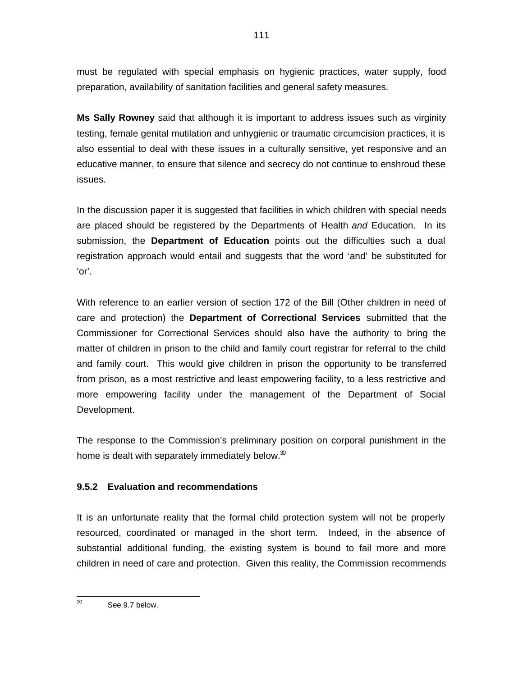must be regulated with special emphasis on hygienic practices, water supply, food preparation, availability of sanitation facilities and general safety measures.

**Ms Sally Rowney** said that although it is important to address issues such as virginity testing, female genital mutilation and unhygienic or traumatic circumcision practices, it is also essential to deal with these issues in a culturally sensitive, yet responsive and an educative manner, to ensure that silence and secrecy do not continue to enshroud these issues.

In the discussion paper it is suggested that facilities in which children with special needs are placed should be registered by the Departments of Health and Education. In its submission, the **Department of Education** points out the difficulties such a dual registration approach would entail and suggests that the word 'and' be substituted for 'or'.

With reference to an earlier version of section 172 of the Bill (Other children in need of care and protection) the **Department of Correctional Services** submitted that the Commissioner for Correctional Services should also have the authority to bring the matter of children in prison to the child and family court registrar for referral to the child and family court. This would give children in prison the opportunity to be transferred from prison, as a most restrictive and least empowering facility, to a less restrictive and more empowering facility under the management of the Department of Social Development.

The response to the Commission's preliminary position on corporal punishment in the home is dealt with separately immediately below. $30$ 

# **9.5.2 Evaluation and recommendations**

It is an unfortunate reality that the formal child protection system will not be properly resourced, coordinated or managed in the short term. Indeed, in the absence of substantial additional funding, the existing system is bound to fail more and more children in need of care and protection. Given this reality, the Commission recommends

 30 See 9.7 below.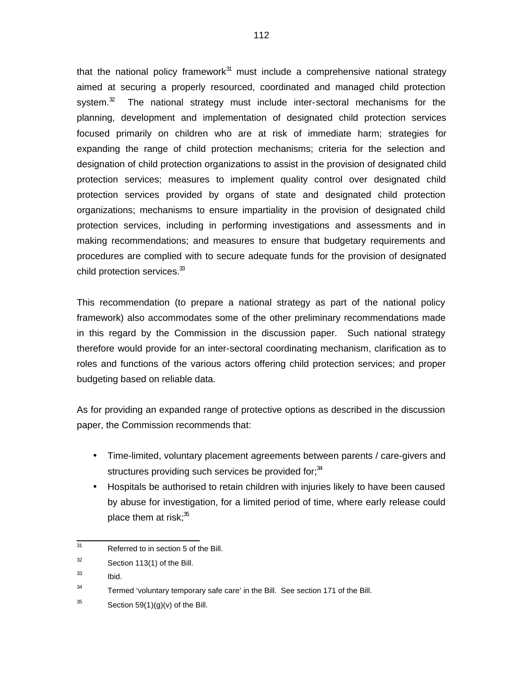that the national policy framework $^{31}$  must include a comprehensive national strategy aimed at securing a properly resourced, coordinated and managed child protection system. $32$  The national strategy must include inter-sectoral mechanisms for the planning, development and implementation of designated child protection services focused primarily on children who are at risk of immediate harm; strategies for expanding the range of child protection mechanisms; criteria for the selection and designation of child protection organizations to assist in the provision of designated child protection services; measures to implement quality control over designated child protection services provided by organs of state and designated child protection organizations; mechanisms to ensure impartiality in the provision of designated child protection services, including in performing investigations and assessments and in making recommendations; and measures to ensure that budgetary requirements and procedures are complied with to secure adequate funds for the provision of designated child protection services.<sup>33</sup>

This recommendation (to prepare a national strategy as part of the national policy framework) also accommodates some of the other preliminary recommendations made in this regard by the Commission in the discussion paper. Such national strategy therefore would provide for an inter-sectoral coordinating mechanism, clarification as to roles and functions of the various actors offering child protection services; and proper budgeting based on reliable data.

As for providing an expanded range of protective options as described in the discussion paper, the Commission recommends that:

- Time-limited, voluntary placement agreements between parents / care-givers and structures providing such services be provided for; $34$
- Hospitals be authorised to retain children with injuries likely to have been caused by abuse for investigation, for a limited period of time, where early release could place them at risk; $35$

33 Ibid.

34 Termed 'voluntary temporary safe care' in the Bill. See section 171 of the Bill.

35 Section  $59(1)(g)(v)$  of the Bill.

<sup>-&</sup>lt;br>31 Referred to in section 5 of the Bill.

<sup>32</sup> Section 113(1) of the Bill.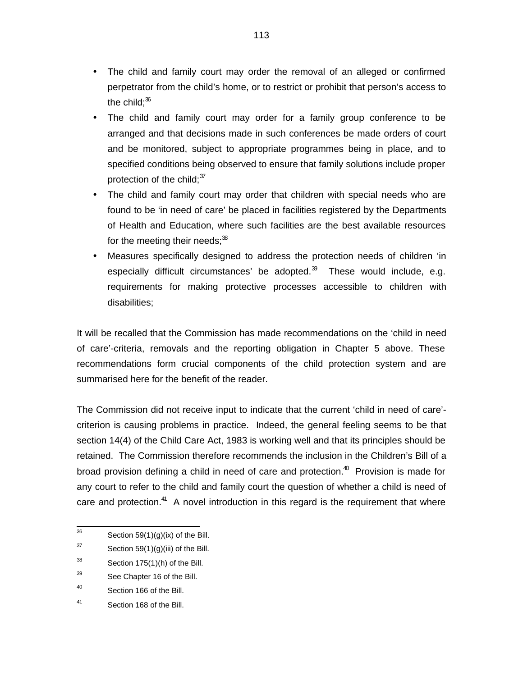- The child and family court may order the removal of an alleged or confirmed perpetrator from the child's home, or to restrict or prohibit that person's access to the child: $36$
- The child and family court may order for a family group conference to be arranged and that decisions made in such conferences be made orders of court and be monitored, subject to appropriate programmes being in place, and to specified conditions being observed to ensure that family solutions include proper protection of the child;  $37$
- The child and family court may order that children with special needs who are found to be 'in need of care' be placed in facilities registered by the Departments of Health and Education, where such facilities are the best available resources for the meeting their needs: $38$
- Measures specifically designed to address the protection needs of children 'in especially difficult circumstances' be adopted. $\mathbb{S}^3$  These would include, e.g. requirements for making protective processes accessible to children with disabilities;

It will be recalled that the Commission has made recommendations on the 'child in need of care'-criteria, removals and the reporting obligation in Chapter 5 above. These recommendations form crucial components of the child protection system and are summarised here for the benefit of the reader.

The Commission did not receive input to indicate that the current 'child in need of care' criterion is causing problems in practice. Indeed, the general feeling seems to be that section 14(4) of the Child Care Act, 1983 is working well and that its principles should be retained. The Commission therefore recommends the inclusion in the Children's Bill of a broad provision defining a child in need of care and protection.<sup>40</sup> Provision is made for any court to refer to the child and family court the question of whether a child is need of care and protection.<sup>41</sup> A novel introduction in this regard is the requirement that where

<sup>—&</sup>lt;br>36 Section 59(1)(g)(ix) of the Bill.

<sup>37</sup> Section  $59(1)(g)(iii)$  of the Bill.

<sup>38</sup> Section 175(1)(h) of the Bill.

<sup>39</sup> See Chapter 16 of the Bill.

<sup>40</sup> Section 166 of the Bill.

<sup>41</sup> Section 168 of the Bill.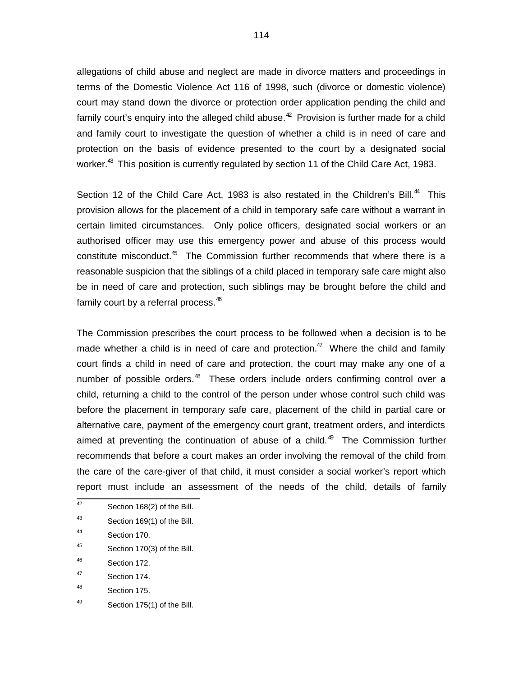allegations of child abuse and neglect are made in divorce matters and proceedings in terms of the Domestic Violence Act 116 of 1998, such (divorce or domestic violence) court may stand down the divorce or protection order application pending the child and family court's enquiry into the alleged child abuse. $42$  Provision is further made for a child and family court to investigate the question of whether a child is in need of care and protection on the basis of evidence presented to the court by a designated social worker.<sup>43</sup> This position is currently regulated by section 11 of the Child Care Act, 1983.

Section 12 of the Child Care Act, 1983 is also restated in the Children's Bill.<sup>44</sup> This provision allows for the placement of a child in temporary safe care without a warrant in certain limited circumstances. Only police officers, designated social workers or an authorised officer may use this emergency power and abuse of this process would constitute misconduct.<sup>45</sup> The Commission further recommends that where there is a reasonable suspicion that the siblings of a child placed in temporary safe care might also be in need of care and protection, such siblings may be brought before the child and family court by a referral process.<sup>46</sup>

The Commission prescribes the court process to be followed when a decision is to be made whether a child is in need of care and protection. $47$  Where the child and family court finds a child in need of care and protection, the court may make any one of a number of possible orders.<sup>48</sup> These orders include orders confirming control over a child, returning a child to the control of the person under whose control such child was before the placement in temporary safe care, placement of the child in partial care or alternative care, payment of the emergency court grant, treatment orders, and interdicts aimed at preventing the continuation of abuse of a child.<sup>49</sup> The Commission further recommends that before a court makes an order involving the removal of the child from the care of the care-giver of that child, it must consider a social worker's report which report must include an assessment of the needs of the child, details of family

- 45 Section 170(3) of the Bill.
- 46 Section 172.
- 47 Section 174.
- 48 Section 175.
- 49 Section 175(1) of the Bill.

 42 Section 168(2) of the Bill.

<sup>43</sup> Section 169(1) of the Bill.

<sup>44</sup> Section 170.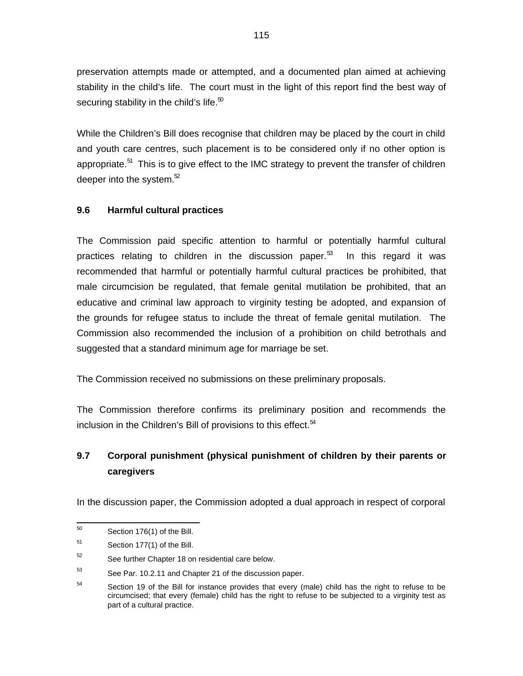preservation attempts made or attempted, and a documented plan aimed at achieving stability in the child's life. The court must in the light of this report find the best way of securing stability in the child's life. $50$ 

While the Children's Bill does recognise that children may be placed by the court in child and youth care centres, such placement is to be considered only if no other option is appropriate.<sup>51</sup> This is to give effect to the IMC strategy to prevent the transfer of children deeper into the system. $52$ 

# **9.6 Harmful cultural practices**

The Commission paid specific attention to harmful or potentially harmful cultural practices relating to children in the discussion paper.<sup>53</sup> In this regard it was recommended that harmful or potentially harmful cultural practices be prohibited, that male circumcision be regulated, that female genital mutilation be prohibited, that an educative and criminal law approach to virginity testing be adopted, and expansion of the grounds for refugee status to include the threat of female genital mutilation. The Commission also recommended the inclusion of a prohibition on child betrothals and suggested that a standard minimum age for marriage be set.

The Commission received no submissions on these preliminary proposals.

The Commission therefore confirms its preliminary position and recommends the inclusion in the Children's Bill of provisions to this effect.  $54$ 

# **9.7 Corporal punishment (physical punishment of children by their parents or caregivers**

In the discussion paper, the Commission adopted a dual approach in respect of corporal

 50 Section 176(1) of the Bill.

<sup>51</sup> Section 177(1) of the Bill.

<sup>52</sup> See further Chapter 18 on residential care below.

<sup>53</sup> See Par. 10.2.11 and Chapter 21 of the discussion paper.

<sup>54</sup> Section 19 of the Bill for instance provides that every (male) child has the right to refuse to be circumcised; that every (female) child has the right to refuse to be subjected to a virginity test as part of a cultural practice.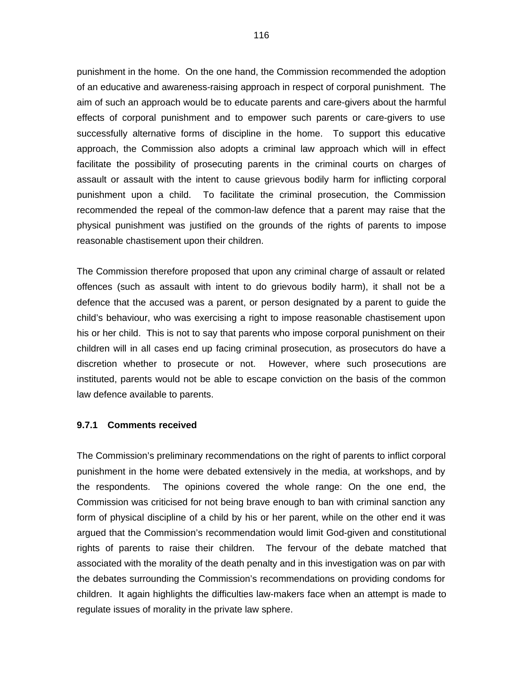punishment in the home. On the one hand, the Commission recommended the adoption of an educative and awareness-raising approach in respect of corporal punishment. The aim of such an approach would be to educate parents and care-givers about the harmful effects of corporal punishment and to empower such parents or care-givers to use successfully alternative forms of discipline in the home. To support this educative approach, the Commission also adopts a criminal law approach which will in effect facilitate the possibility of prosecuting parents in the criminal courts on charges of assault or assault with the intent to cause grievous bodily harm for inflicting corporal punishment upon a child. To facilitate the criminal prosecution, the Commission recommended the repeal of the common-law defence that a parent may raise that the physical punishment was justified on the grounds of the rights of parents to impose reasonable chastisement upon their children.

The Commission therefore proposed that upon any criminal charge of assault or related offences (such as assault with intent to do grievous bodily harm), it shall not be a defence that the accused was a parent, or person designated by a parent to guide the child's behaviour, who was exercising a right to impose reasonable chastisement upon his or her child. This is not to say that parents who impose corporal punishment on their children will in all cases end up facing criminal prosecution, as prosecutors do have a discretion whether to prosecute or not. However, where such prosecutions are instituted, parents would not be able to escape conviction on the basis of the common law defence available to parents.

#### **9.7.1 Comments received**

The Commission's preliminary recommendations on the right of parents to inflict corporal punishment in the home were debated extensively in the media, at workshops, and by the respondents. The opinions covered the whole range: On the one end, the Commission was criticised for not being brave enough to ban with criminal sanction any form of physical discipline of a child by his or her parent, while on the other end it was argued that the Commission's recommendation would limit God-given and constitutional rights of parents to raise their children. The fervour of the debate matched that associated with the morality of the death penalty and in this investigation was on par with the debates surrounding the Commission's recommendations on providing condoms for children. It again highlights the difficulties law-makers face when an attempt is made to regulate issues of morality in the private law sphere.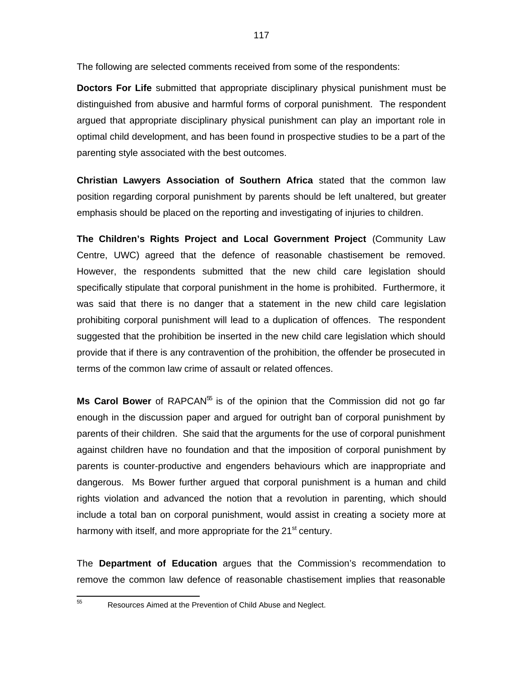The following are selected comments received from some of the respondents:

**Doctors For Life** submitted that appropriate disciplinary physical punishment must be distinguished from abusive and harmful forms of corporal punishment. The respondent argued that appropriate disciplinary physical punishment can play an important role in optimal child development, and has been found in prospective studies to be a part of the parenting style associated with the best outcomes.

**Christian Lawyers Association of Southern Africa** stated that the common law position regarding corporal punishment by parents should be left unaltered, but greater emphasis should be placed on the reporting and investigating of injuries to children.

**The Children's Rights Project and Local Government Project** (Community Law Centre, UWC) agreed that the defence of reasonable chastisement be removed. However, the respondents submitted that the new child care legislation should specifically stipulate that corporal punishment in the home is prohibited. Furthermore, it was said that there is no danger that a statement in the new child care legislation prohibiting corporal punishment will lead to a duplication of offences. The respondent suggested that the prohibition be inserted in the new child care legislation which should provide that if there is any contravention of the prohibition, the offender be prosecuted in terms of the common law crime of assault or related offences.

Ms Carol Bower of RAPCAN<sup>55</sup> is of the opinion that the Commission did not go far enough in the discussion paper and argued for outright ban of corporal punishment by parents of their children. She said that the arguments for the use of corporal punishment against children have no foundation and that the imposition of corporal punishment by parents is counter-productive and engenders behaviours which are inappropriate and dangerous. Ms Bower further argued that corporal punishment is a human and child rights violation and advanced the notion that a revolution in parenting, which should include a total ban on corporal punishment, would assist in creating a society more at harmony with itself, and more appropriate for the 21<sup>st</sup> century.

The **Department of Education** argues that the Commission's recommendation to remove the common law defence of reasonable chastisement implies that reasonable

55

Resources Aimed at the Prevention of Child Abuse and Neglect.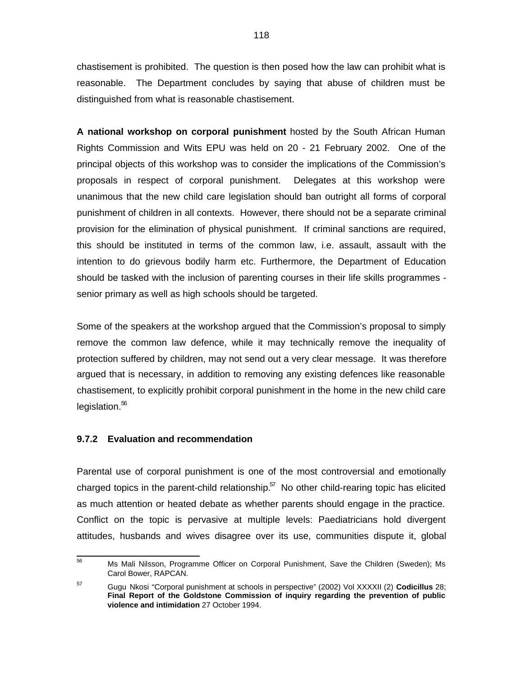chastisement is prohibited. The question is then posed how the law can prohibit what is reasonable. The Department concludes by saying that abuse of children must be distinguished from what is reasonable chastisement.

**A national workshop on corporal punishment** hosted by the South African Human Rights Commission and Wits EPU was held on 20 - 21 February 2002. One of the principal objects of this workshop was to consider the implications of the Commission's proposals in respect of corporal punishment. Delegates at this workshop were unanimous that the new child care legislation should ban outright all forms of corporal punishment of children in all contexts. However, there should not be a separate criminal provision for the elimination of physical punishment. If criminal sanctions are required, this should be instituted in terms of the common law, i.e. assault, assault with the intention to do grievous bodily harm etc. Furthermore, the Department of Education should be tasked with the inclusion of parenting courses in their life skills programmes senior primary as well as high schools should be targeted.

Some of the speakers at the workshop argued that the Commission's proposal to simply remove the common law defence, while it may technically remove the inequality of protection suffered by children, may not send out a very clear message. It was therefore argued that is necessary, in addition to removing any existing defences like reasonable chastisement, to explicitly prohibit corporal punishment in the home in the new child care legislation.<sup>56</sup>

# **9.7.2 Evaluation and recommendation**

Parental use of corporal punishment is one of the most controversial and emotionally charged topics in the parent-child relationship. $\mathbf{5}^{7}$  No other child-rearing topic has elicited as much attention or heated debate as whether parents should engage in the practice. Conflict on the topic is pervasive at multiple levels: Paediatricians hold divergent attitudes, husbands and wives disagree over its use, communities dispute it, global

 $\overline{56}$ Ms Mali Nilsson, Programme Officer on Corporal Punishment, Save the Children (Sweden); Ms Carol Bower, RAPCAN.

<sup>57</sup> Gugu Nkosi "Corporal punishment at schools in perspective" (2002) Vol XXXXII (2) **Codicillus** 28; **Final Report of the Goldstone Commission of inquiry regarding the prevention of public violence and intimidation** 27 October 1994.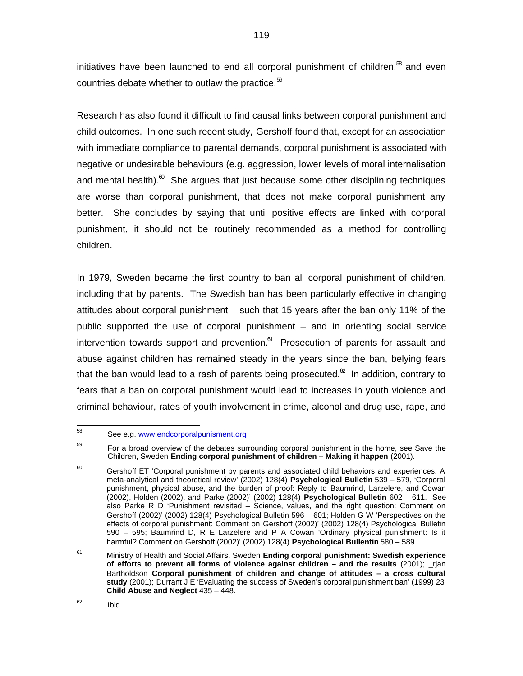initiatives have been launched to end all corporal punishment of children, $^{58}$  and even countries debate whether to outlaw the practice. $59$ 

Research has also found it difficult to find causal links between corporal punishment and child outcomes. In one such recent study, Gershoff found that, except for an association with immediate compliance to parental demands, corporal punishment is associated with negative or undesirable behaviours (e.g. aggression, lower levels of moral internalisation and mental health). ${}^{\text{\tiny{\textregistered}}}$  She argues that just because some other disciplining techniques are worse than corporal punishment, that does not make corporal punishment any better. She concludes by saying that until positive effects are linked with corporal punishment, it should not be routinely recommended as a method for controlling children.

In 1979, Sweden became the first country to ban all corporal punishment of children, including that by parents. The Swedish ban has been particularly effective in changing attitudes about corporal punishment – such that 15 years after the ban only 11% of the public supported the use of corporal punishment – and in orienting social service intervention towards support and prevention.<sup>61</sup> Prosecution of parents for assault and abuse against children has remained steady in the years since the ban, belying fears that the ban would lead to a rash of parents being prosecuted. ${}^{\infty}$  In addition, contrary to fears that a ban on corporal punishment would lead to increases in youth violence and criminal behaviour, rates of youth involvement in crime, alcohol and drug use, rape, and

Ibid.

 58 See e.g. www.endcorporalpunisment.org

<sup>59</sup> For a broad overview of the debates surrounding corporal punishment in the home, see Save the Children, Sweden **Ending corporal punishment of children – Making it happen** (2001).

 $60$  Gershoff ET 'Corporal punishment by parents and associated child behaviors and experiences: A meta-analytical and theoretical review' (2002) 128(4) **Psychological Bulletin** 539 – 579, 'Corporal punishment, physical abuse, and the burden of proof: Reply to Baumrind, Larzelere, and Cowan (2002), Holden (2002), and Parke (2002)' (2002) 128(4) **Psychological Bulletin** 602 – 611. See also Parke R D 'Punishment revisited – Science, values, and the right question: Comment on Gershoff (2002)' (2002) 128(4) Psychological Bulletin 596 – 601; Holden G W 'Perspectives on the effects of corporal punishment: Comment on Gershoff (2002)' (2002) 128(4) Psychological Bulletin 590 – 595; Baumrind D, R E Larzelere and P A Cowan 'Ordinary physical punishment: Is it harmful? Comment on Gershoff (2002)' (2002) 128(4) **Psychological Bullentin** 580 – 589.

<sup>61</sup> Ministry of Health and Social Affairs, Sweden **Ending corporal punishment: Swedish experience of efforts to prevent all forms of violence against children – and the results** (2001); \_rjan Bartholdson **Corporal punishment of children and change of attitudes – a cross cultural study** (2001); Durrant J E 'Evaluating the success of Sweden's corporal punishment ban' (1999) 23 **Child Abuse and Neglect** 435 – 448.

<sup>62</sup>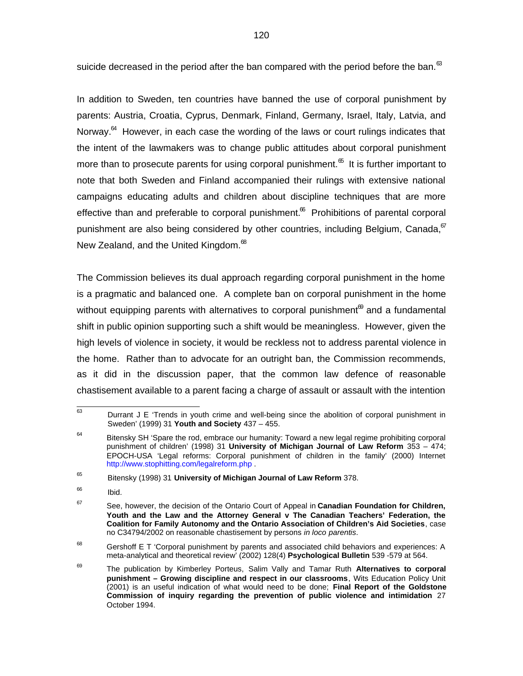suicide decreased in the period after the ban compared with the period before the ban.  $^{\text{63}}$ 

In addition to Sweden, ten countries have banned the use of corporal punishment by parents: Austria, Croatia, Cyprus, Denmark, Finland, Germany, Israel, Italy, Latvia, and Norway.<sup>64</sup> However, in each case the wording of the laws or court rulings indicates that the intent of the lawmakers was to change public attitudes about corporal punishment more than to prosecute parents for using corporal punishment. $^{\text{6}}$  It is further important to note that both Sweden and Finland accompanied their rulings with extensive national campaigns educating adults and children about discipline techniques that are more effective than and preferable to corporal punishment. $^{\infty}$  Prohibitions of parental corporal punishment are also being considered by other countries, including Belgium, Canada,  $\sigma$ New Zealand, and the United Kingdom.<sup>68</sup>

The Commission believes its dual approach regarding corporal punishment in the home is a pragmatic and balanced one. A complete ban on corporal punishment in the home without equipping parents with alternatives to corporal punishment $^{\text{\textregistered}}$  and a fundamental shift in public opinion supporting such a shift would be meaningless. However, given the high levels of violence in society, it would be reckless not to address parental violence in the home. Rather than to advocate for an outright ban, the Commission recommends, as it did in the discussion paper, that the common law defence of reasonable chastisement available to a parent facing a charge of assault or assault with the intention

 $68$  Gershoff E T 'Corporal punishment by parents and associated child behaviors and experiences: A meta-analytical and theoretical review' (2002) 128(4) **Psychological Bulletin** 539 -579 at 564.

<sup>—&</sup>lt;br>63 Durrant J E 'Trends in youth crime and well-being since the abolition of corporal punishment in Sweden' (1999) 31 **Youth and Society** 437 – 455.

<sup>64</sup> Bitensky SH 'Spare the rod, embrace our humanity: Toward a new legal regime prohibiting corporal punishment of children' (1998) 31 **University of Michigan Journal of Law Reform** 353 – 474; EPOCH-USA 'Legal reforms: Corporal punishment of children in the family' (2000) Internet <http://www.stophitting.com/legalreform.php> .

<sup>65</sup> Bitensky (1998) 31 **University of Michigan Journal of Law Reform** 378.

<sup>66</sup> Ibid.

<sup>67</sup> See, however, the decision of the Ontario Court of Appeal in **Canadian Foundation for Children, Youth and the Law and the Attorney General v The Canadian Teachers' Federation, the Coalition for Family Autonomy and the Ontario Association of Children's Aid Societies**, case no C34794/2002 on reasonable chastisement by persons in loco parentis.

<sup>69</sup> The publication by Kimberley Porteus, Salim Vally and Tamar Ruth **Alternatives to corporal punishment – Growing discipline and respect in our classrooms**, Wits Education Policy Unit (2001) is an useful indication of what would need to be done; **Final Report of the Goldstone Commission of inquiry regarding the prevention of public violence and intimidation** 27 October 1994.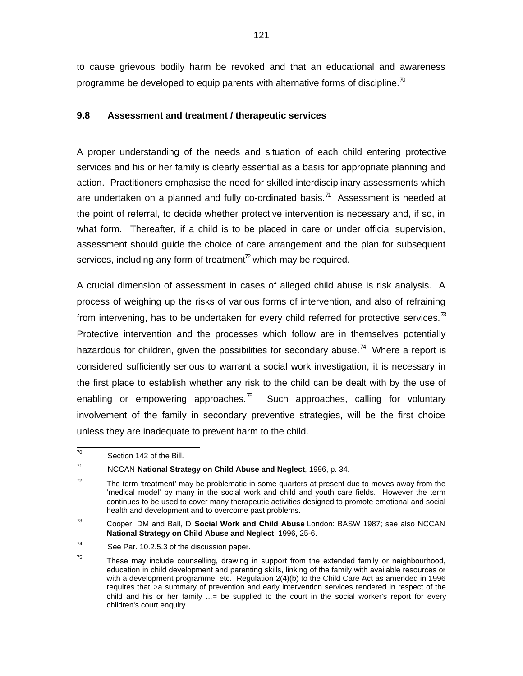to cause grievous bodily harm be revoked and that an educational and awareness programme be developed to equip parents with alternative forms of discipline.<sup>70</sup>

# **9.8 Assessment and treatment / therapeutic services**

A proper understanding of the needs and situation of each child entering protective services and his or her family is clearly essential as a basis for appropriate planning and action. Practitioners emphasise the need for skilled interdisciplinary assessments which are undertaken on a planned and fully co-ordinated basis.<sup>71</sup> Assessment is needed at the point of referral, to decide whether protective intervention is necessary and, if so, in what form. Thereafter, if a child is to be placed in care or under official supervision, assessment should guide the choice of care arrangement and the plan for subsequent services, including any form of treatment<sup> $z$ </sup> which may be required.

A crucial dimension of assessment in cases of alleged child abuse is risk analysis. A process of weighing up the risks of various forms of intervention, and also of refraining from intervening, has to be undertaken for every child referred for protective services.<sup> $3$ </sup> Protective intervention and the processes which follow are in themselves potentially hazardous for children, given the possibilities for secondary abuse.<sup>74</sup> Where a report is considered sufficiently serious to warrant a social work investigation, it is necessary in the first place to establish whether any risk to the child can be dealt with by the use of enabling or empowering approaches. $\frac{75}{6}$  Such approaches, calling for voluntary involvement of the family in secondary preventive strategies, will be the first choice unless they are inadequate to prevent harm to the child.

 70 Section 142 of the Bill.

<sup>71</sup> NCCAN **National Strategy on Child Abuse and Neglect**, 1996, p. 34.

<sup>72</sup> The term 'treatment' may be problematic in some quarters at present due to moves away from the 'medical model' by many in the social work and child and youth care fields. However the term continues to be used to cover many therapeutic activities designed to promote emotional and social health and development and to overcome past problems.

<sup>73</sup> Cooper, DM and Ball, D **Social Work and Child Abuse** London: BASW 1987; see also NCCAN **National Strategy on Child Abuse and Neglect**, 1996, 25-6.

<sup>74</sup> See Par. 10.2.5.3 of the discussion paper.

<sup>75</sup> These may include counselling, drawing in support from the extended family or neighbourhood, education in child development and parenting skills, linking of the family with available resources or with a development programme, etc. Regulation 2(4)(b) to the Child Care Act as amended in 1996 requires that >a summary of prevention and early intervention services rendered in respect of the child and his or her family ...= be supplied to the court in the social worker's report for every children's court enquiry.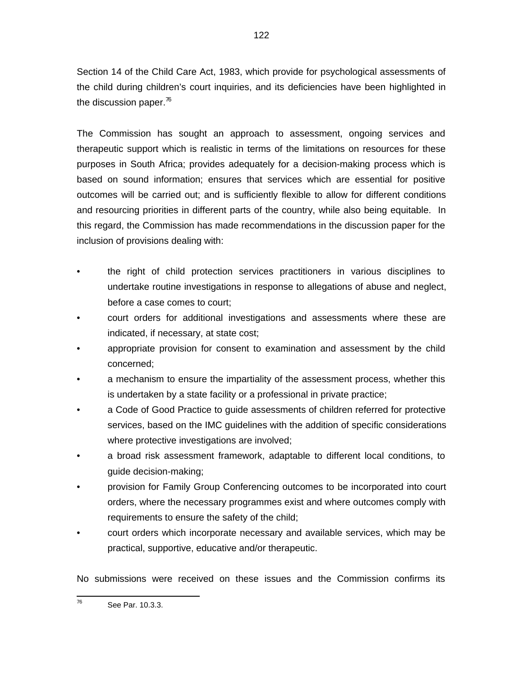Section 14 of the Child Care Act, 1983, which provide for psychological assessments of the child during children's court inquiries, and its deficiencies have been highlighted in the discussion paper. $^{76}$ 

The Commission has sought an approach to assessment, ongoing services and therapeutic support which is realistic in terms of the limitations on resources for these purposes in South Africa; provides adequately for a decision-making process which is based on sound information; ensures that services which are essential for positive outcomes will be carried out; and is sufficiently flexible to allow for different conditions and resourcing priorities in different parts of the country, while also being equitable. In this regard, the Commission has made recommendations in the discussion paper for the inclusion of provisions dealing with:

- the right of child protection services practitioners in various disciplines to undertake routine investigations in response to allegations of abuse and neglect, before a case comes to court;
- court orders for additional investigations and assessments where these are indicated, if necessary, at state cost;
- appropriate provision for consent to examination and assessment by the child concerned;
- a mechanism to ensure the impartiality of the assessment process, whether this is undertaken by a state facility or a professional in private practice;
- a Code of Good Practice to quide assessments of children referred for protective services, based on the IMC guidelines with the addition of specific considerations where protective investigations are involved;
- a broad risk assessment framework, adaptable to different local conditions, to guide decision-making;
- provision for Family Group Conferencing outcomes to be incorporated into court orders, where the necessary programmes exist and where outcomes comply with requirements to ensure the safety of the child;
- court orders which incorporate necessary and available services, which may be practical, supportive, educative and/or therapeutic.

No submissions were received on these issues and the Commission confirms its

<sup>—&</sup>lt;br>76 See Par. 10.3.3.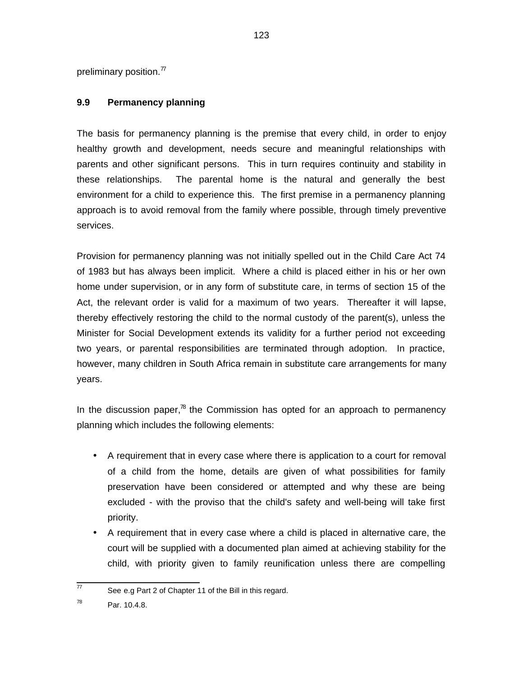preliminary position. $\frac{7}{7}$ 

# **9.9 Permanency planning**

The basis for permanency planning is the premise that every child, in order to enjoy healthy growth and development, needs secure and meaningful relationships with parents and other significant persons. This in turn requires continuity and stability in these relationships. The parental home is the natural and generally the best environment for a child to experience this. The first premise in a permanency planning approach is to avoid removal from the family where possible, through timely preventive services.

Provision for permanency planning was not initially spelled out in the Child Care Act 74 of 1983 but has always been implicit. Where a child is placed either in his or her own home under supervision, or in any form of substitute care, in terms of section 15 of the Act, the relevant order is valid for a maximum of two years. Thereafter it will lapse, thereby effectively restoring the child to the normal custody of the parent(s), unless the Minister for Social Development extends its validity for a further period not exceeding two years, or parental responsibilities are terminated through adoption. In practice, however, many children in South Africa remain in substitute care arrangements for many years.

In the discussion paper, $\frac{1}{8}$  the Commission has opted for an approach to permanency planning which includes the following elements:

- A requirement that in every case where there is application to a court for removal of a child from the home, details are given of what possibilities for family preservation have been considered or attempted and why these are being excluded - with the proviso that the child's safety and well-being will take first priority.
- A requirement that in every case where a child is placed in alternative care, the court will be supplied with a documented plan aimed at achieving stability for the child, with priority given to family reunification unless there are compelling

 77 See e.g Part 2 of Chapter 11 of the Bill in this regard.

<sup>78</sup> Par. 10.4.8.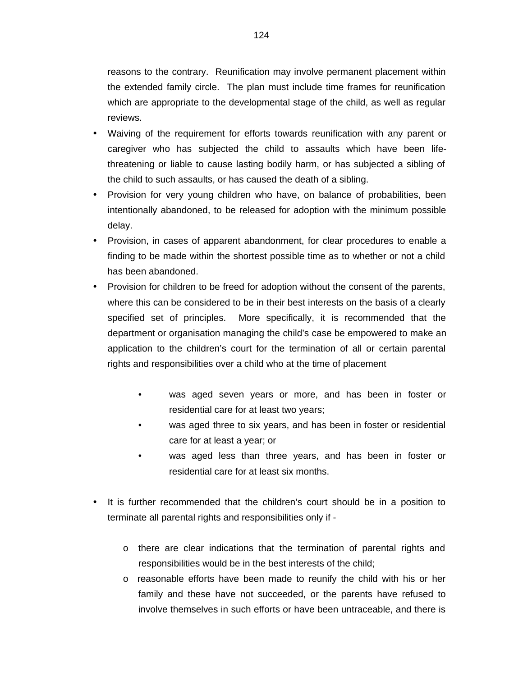reasons to the contrary. Reunification may involve permanent placement within the extended family circle. The plan must include time frames for reunification which are appropriate to the developmental stage of the child, as well as regular reviews.

- Waiving of the requirement for efforts towards reunification with any parent or caregiver who has subjected the child to assaults which have been lifethreatening or liable to cause lasting bodily harm, or has subjected a sibling of the child to such assaults, or has caused the death of a sibling.
- Provision for very young children who have, on balance of probabilities, been intentionally abandoned, to be released for adoption with the minimum possible delay.
- Provision, in cases of apparent abandonment, for clear procedures to enable a finding to be made within the shortest possible time as to whether or not a child has been abandoned.
- Provision for children to be freed for adoption without the consent of the parents, where this can be considered to be in their best interests on the basis of a clearly specified set of principles. More specifically, it is recommended that the department or organisation managing the child's case be empowered to make an application to the children's court for the termination of all or certain parental rights and responsibilities over a child who at the time of placement
	- was aged seven years or more, and has been in foster or residential care for at least two years;
	- was aged three to six years, and has been in foster or residential care for at least a year; or
	- was aged less than three years, and has been in foster or residential care for at least six months.
- It is further recommended that the children's court should be in a position to terminate all parental rights and responsibilities only if
	- o there are clear indications that the termination of parental rights and responsibilities would be in the best interests of the child;
	- o reasonable efforts have been made to reunify the child with his or her family and these have not succeeded, or the parents have refused to involve themselves in such efforts or have been untraceable, and there is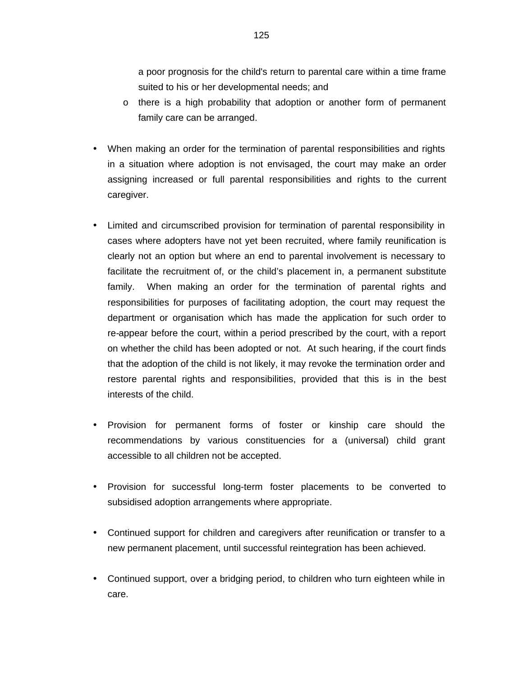a poor prognosis for the child's return to parental care within a time frame suited to his or her developmental needs; and

- o there is a high probability that adoption or another form of permanent family care can be arranged.
- When making an order for the termination of parental responsibilities and rights in a situation where adoption is not envisaged, the court may make an order assigning increased or full parental responsibilities and rights to the current caregiver.
- Limited and circumscribed provision for termination of parental responsibility in cases where adopters have not yet been recruited, where family reunification is clearly not an option but where an end to parental involvement is necessary to facilitate the recruitment of, or the child's placement in, a permanent substitute family. When making an order for the termination of parental rights and responsibilities for purposes of facilitating adoption, the court may request the department or organisation which has made the application for such order to re-appear before the court, within a period prescribed by the court, with a report on whether the child has been adopted or not. At such hearing, if the court finds that the adoption of the child is not likely, it may revoke the termination order and restore parental rights and responsibilities, provided that this is in the best interests of the child.
- Provision for permanent forms of foster or kinship care should the recommendations by various constituencies for a (universal) child grant accessible to all children not be accepted.
- Provision for successful long-term foster placements to be converted to subsidised adoption arrangements where appropriate.
- Continued support for children and caregivers after reunification or transfer to a new permanent placement, until successful reintegration has been achieved.
- Continued support, over a bridging period, to children who turn eighteen while in care.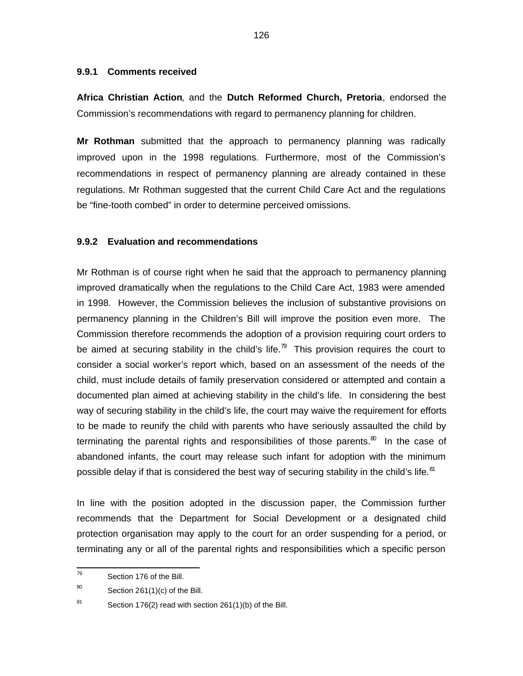#### **9.9.1 Comments received**

**Africa Christian Action**, and the **Dutch Reformed Church, Pretoria**, endorsed the Commission's recommendations with regard to permanency planning for children.

**Mr Rothman** submitted that the approach to permanency planning was radically improved upon in the 1998 regulations. Furthermore, most of the Commission's recommendations in respect of permanency planning are already contained in these regulations. Mr Rothman suggested that the current Child Care Act and the regulations be "fine-tooth combed" in order to determine perceived omissions.

# **9.9.2 Evaluation and recommendations**

Mr Rothman is of course right when he said that the approach to permanency planning improved dramatically when the regulations to the Child Care Act, 1983 were amended in 1998. However, the Commission believes the inclusion of substantive provisions on permanency planning in the Children's Bill will improve the position even more. The Commission therefore recommends the adoption of a provision requiring court orders to be aimed at securing stability in the child's life.<sup>79</sup> This provision requires the court to consider a social worker's report which, based on an assessment of the needs of the child, must include details of family preservation considered or attempted and contain a documented plan aimed at achieving stability in the child's life. In considering the best way of securing stability in the child's life, the court may waive the requirement for efforts to be made to reunify the child with parents who have seriously assaulted the child by terminating the parental rights and responsibilities of those parents. $^{\text{30}}$  In the case of abandoned infants, the court may release such infant for adoption with the minimum possible delay if that is considered the best way of securing stability in the child's life.<sup>81</sup>

In line with the position adopted in the discussion paper, the Commission further recommends that the Department for Social Development or a designated child protection organisation may apply to the court for an order suspending for a period, or terminating any or all of the parental rights and responsibilities which a specific person

<sup>—&</sup>lt;br>79 Section 176 of the Bill.

<sup>80</sup> Section 261(1)(c) of the Bill.

<sup>81</sup> Section 176(2) read with section 261(1)(b) of the Bill.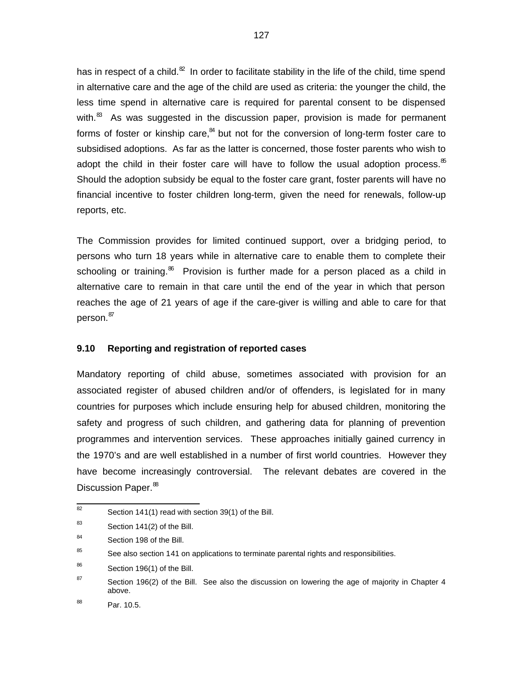has in respect of a child. $^{\text{22}}$  In order to facilitate stability in the life of the child, time spend in alternative care and the age of the child are used as criteria: the younger the child, the less time spend in alternative care is required for parental consent to be dispensed with.<sup>83</sup> As was suggested in the discussion paper, provision is made for permanent forms of foster or kinship care,<sup>84</sup> but not for the conversion of long-term foster care to subsidised adoptions. As far as the latter is concerned, those foster parents who wish to adopt the child in their foster care will have to follow the usual adoption process. $\delta$ <sup>55</sup> Should the adoption subsidy be equal to the foster care grant, foster parents will have no financial incentive to foster children long-term, given the need for renewals, follow-up reports, etc.

The Commission provides for limited continued support, over a bridging period, to persons who turn 18 years while in alternative care to enable them to complete their schooling or training.<sup>86</sup> Provision is further made for a person placed as a child in alternative care to remain in that care until the end of the year in which that person reaches the age of 21 years of age if the care-giver is willing and able to care for that person.<sup>87</sup>

# **9.10 Reporting and registration of reported cases**

Mandatory reporting of child abuse, sometimes associated with provision for an associated register of abused children and/or of offenders, is legislated for in many countries for purposes which include ensuring help for abused children, monitoring the safety and progress of such children, and gathering data for planning of prevention programmes and intervention services. These approaches initially gained currency in the 1970's and are well established in a number of first world countries. However they have become increasingly controversial. The relevant debates are covered in the Discussion Paper.<sup>88</sup>

 82 Section 141(1) read with section 39(1) of the Bill.

<sup>83</sup> Section 141(2) of the Bill.

<sup>84</sup> Section 198 of the Bill.

<sup>85</sup> See also section 141 on applications to terminate parental rights and responsibilities.

<sup>86</sup> Section 196(1) of the Bill.

<sup>87</sup> Section 196(2) of the Bill. See also the discussion on lowering the age of majority in Chapter 4 above.

<sup>88</sup> Par. 10.5.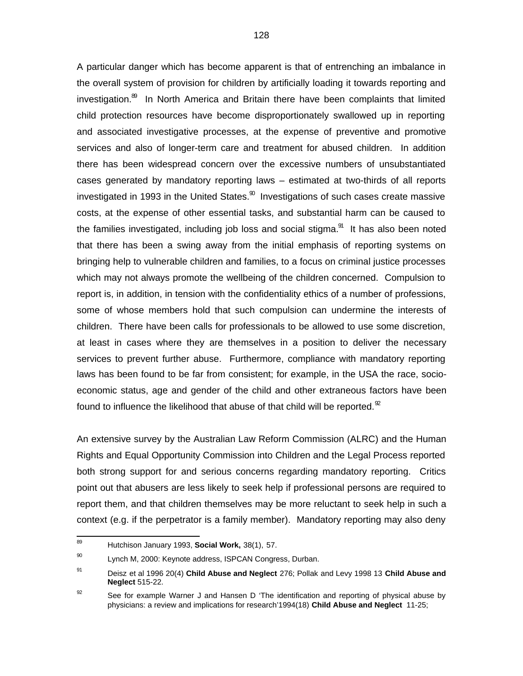A particular danger which has become apparent is that of entrenching an imbalance in the overall system of provision for children by artificially loading it towards reporting and investigation.<sup>89</sup> In North America and Britain there have been complaints that limited child protection resources have become disproportionately swallowed up in reporting and associated investigative processes, at the expense of preventive and promotive services and also of longer-term care and treatment for abused children. In addition there has been widespread concern over the excessive numbers of unsubstantiated cases generated by mandatory reporting laws – estimated at two-thirds of all reports investigated in 1993 in the United States. $^{\circledR}$  Investigations of such cases create massive costs, at the expense of other essential tasks, and substantial harm can be caused to the families investigated, including job loss and social stigma.<sup>91</sup> It has also been noted that there has been a swing away from the initial emphasis of reporting systems on bringing help to vulnerable children and families, to a focus on criminal justice processes which may not always promote the wellbeing of the children concerned. Compulsion to report is, in addition, in tension with the confidentiality ethics of a number of professions, some of whose members hold that such compulsion can undermine the interests of children. There have been calls for professionals to be allowed to use some discretion, at least in cases where they are themselves in a position to deliver the necessary services to prevent further abuse. Furthermore, compliance with mandatory reporting laws has been found to be far from consistent; for example, in the USA the race, socioeconomic status, age and gender of the child and other extraneous factors have been found to influence the likelihood that abuse of that child will be reported. $\mathcal{L}$ 

An extensive survey by the Australian Law Reform Commission (ALRC) and the Human Rights and Equal Opportunity Commission into Children and the Legal Process reported both strong support for and serious concerns regarding mandatory reporting. Critics point out that abusers are less likely to seek help if professional persons are required to report them, and that children themselves may be more reluctant to seek help in such a context (e.g. if the perpetrator is a family member). Mandatory reporting may also deny

<sup>—&</sup>lt;br>89 Hutchison January 1993, **Social Work,** 38(1), 57.

<sup>90</sup> Lynch M, 2000: Keynote address, ISPCAN Congress, Durban.

<sup>91</sup> Deisz et al 1996 20(4) **Child Abuse and Neglect** 276; Pollak and Levy 1998 13 **Child Abuse and Neglect** 515-22.

<sup>92</sup> See for example Warner J and Hansen D 'The identification and reporting of physical abuse by physicians: a review and implications for research'1994(18) **Child Abuse and Neglect** 11-25;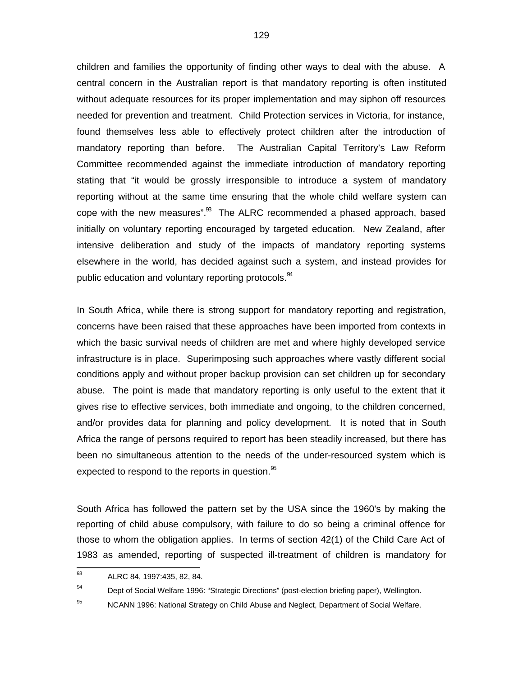children and families the opportunity of finding other ways to deal with the abuse. A central concern in the Australian report is that mandatory reporting is often instituted without adequate resources for its proper implementation and may siphon off resources needed for prevention and treatment. Child Protection services in Victoria, for instance, found themselves less able to effectively protect children after the introduction of mandatory reporting than before. The Australian Capital Territory's Law Reform Committee recommended against the immediate introduction of mandatory reporting stating that "it would be grossly irresponsible to introduce a system of mandatory reporting without at the same time ensuring that the whole child welfare system can cope with the new measures". $83$  The ALRC recommended a phased approach, based initially on voluntary reporting encouraged by targeted education. New Zealand, after intensive deliberation and study of the impacts of mandatory reporting systems elsewhere in the world, has decided against such a system, and instead provides for public education and voluntary reporting protocols.<sup>94</sup>

In South Africa, while there is strong support for mandatory reporting and registration, concerns have been raised that these approaches have been imported from contexts in which the basic survival needs of children are met and where highly developed service infrastructure is in place. Superimposing such approaches where vastly different social conditions apply and without proper backup provision can set children up for secondary abuse. The point is made that mandatory reporting is only useful to the extent that it gives rise to effective services, both immediate and ongoing, to the children concerned, and/or provides data for planning and policy development. It is noted that in South Africa the range of persons required to report has been steadily increased, but there has been no simultaneous attention to the needs of the under-resourced system which is expected to respond to the reports in question.  $\frac{35}{5}$ 

South Africa has followed the pattern set by the USA since the 1960's by making the reporting of child abuse compulsory, with failure to do so being a criminal offence for those to whom the obligation applies. In terms of section 42(1) of the Child Care Act of 1983 as amended, reporting of suspected ill-treatment of children is mandatory for

 93 ALRC 84, 1997:435, 82, 84.

<sup>94</sup> Dept of Social Welfare 1996: "Strategic Directions" (post-election briefing paper), Wellington.

<sup>95</sup> NCANN 1996: National Strategy on Child Abuse and Neglect, Department of Social Welfare.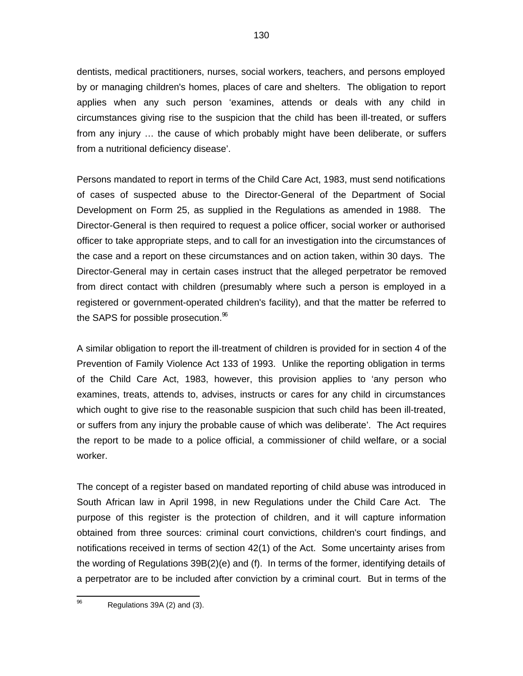dentists, medical practitioners, nurses, social workers, teachers, and persons employed by or managing children's homes, places of care and shelters. The obligation to report applies when any such person 'examines, attends or deals with any child in circumstances giving rise to the suspicion that the child has been ill-treated, or suffers from any injury … the cause of which probably might have been deliberate, or suffers from a nutritional deficiency disease'.

Persons mandated to report in terms of the Child Care Act, 1983, must send notifications of cases of suspected abuse to the Director-General of the Department of Social Development on Form 25, as supplied in the Regulations as amended in 1988. The Director-General is then required to request a police officer, social worker or authorised officer to take appropriate steps, and to call for an investigation into the circumstances of the case and a report on these circumstances and on action taken, within 30 days. The Director-General may in certain cases instruct that the alleged perpetrator be removed from direct contact with children (presumably where such a person is employed in a registered or government-operated children's facility), and that the matter be referred to the SAPS for possible prosecution.<sup>96</sup>

A similar obligation to report the ill-treatment of children is provided for in section 4 of the Prevention of Family Violence Act 133 of 1993. Unlike the reporting obligation in terms of the Child Care Act, 1983, however, this provision applies to 'any person who examines, treats, attends to, advises, instructs or cares for any child in circumstances which ought to give rise to the reasonable suspicion that such child has been ill-treated, or suffers from any injury the probable cause of which was deliberate'. The Act requires the report to be made to a police official, a commissioner of child welfare, or a social worker.

The concept of a register based on mandated reporting of child abuse was introduced in South African law in April 1998, in new Regulations under the Child Care Act. The purpose of this register is the protection of children, and it will capture information obtained from three sources: criminal court convictions, children's court findings, and notifications received in terms of section 42(1) of the Act. Some uncertainty arises from the wording of Regulations 39B(2)(e) and (f). In terms of the former, identifying details of a perpetrator are to be included after conviction by a criminal court. But in terms of the

 96 Regulations 39A (2) and (3).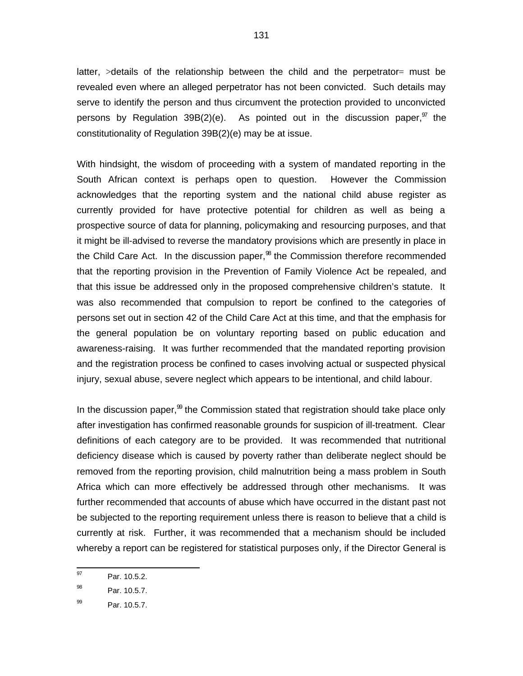latter,  $>$ details of the relationship between the child and the perpetrator  $=$  must be revealed even where an alleged perpetrator has not been convicted. Such details may serve to identify the person and thus circumvent the protection provided to unconvicted persons by Regulation 39B(2)(e). As pointed out in the discussion paper, $\frac{97}{1}$  the constitutionality of Regulation 39B(2)(e) may be at issue.

With hindsight, the wisdom of proceeding with a system of mandated reporting in the South African context is perhaps open to question. However the Commission acknowledges that the reporting system and the national child abuse register as currently provided for have protective potential for children as well as being a prospective source of data for planning, policymaking and resourcing purposes, and that it might be ill-advised to reverse the mandatory provisions which are presently in place in the Child Care Act. In the discussion paper,<sup>38</sup> the Commission therefore recommended that the reporting provision in the Prevention of Family Violence Act be repealed, and that this issue be addressed only in the proposed comprehensive children's statute. It was also recommended that compulsion to report be confined to the categories of persons set out in section 42 of the Child Care Act at this time, and that the emphasis for the general population be on voluntary reporting based on public education and awareness-raising. It was further recommended that the mandated reporting provision and the registration process be confined to cases involving actual or suspected physical injury, sexual abuse, severe neglect which appears to be intentional, and child labour.

In the discussion paper,<sup>99</sup> the Commission stated that registration should take place only after investigation has confirmed reasonable grounds for suspicion of ill-treatment. Clear definitions of each category are to be provided. It was recommended that nutritional deficiency disease which is caused by poverty rather than deliberate neglect should be removed from the reporting provision, child malnutrition being a mass problem in South Africa which can more effectively be addressed through other mechanisms. It was further recommended that accounts of abuse which have occurred in the distant past not be subjected to the reporting requirement unless there is reason to believe that a child is currently at risk. Further, it was recommended that a mechanism should be included whereby a report can be registered for statistical purposes only, if the Director General is

<sup>97</sup> Par. 10.5.2.

<sup>98</sup> Par. 10.5.7.

<sup>99</sup> Par. 10.5.7.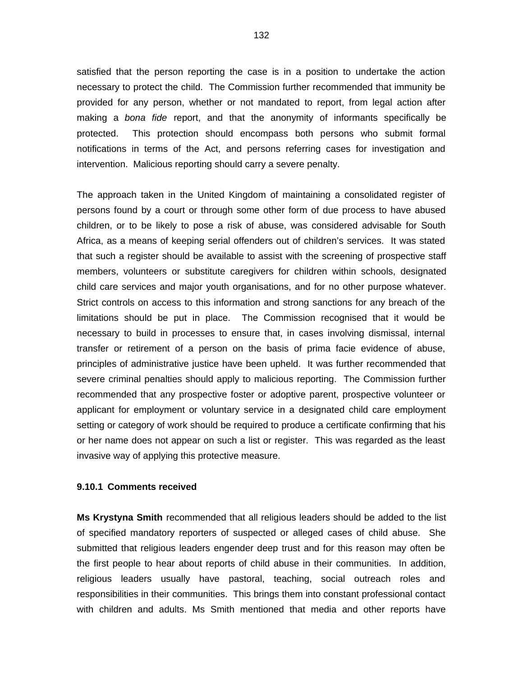satisfied that the person reporting the case is in a position to undertake the action necessary to protect the child. The Commission further recommended that immunity be provided for any person, whether or not mandated to report, from legal action after making a bona fide report, and that the anonymity of informants specifically be protected. This protection should encompass both persons who submit formal notifications in terms of the Act, and persons referring cases for investigation and intervention. Malicious reporting should carry a severe penalty.

The approach taken in the United Kingdom of maintaining a consolidated register of persons found by a court or through some other form of due process to have abused children, or to be likely to pose a risk of abuse, was considered advisable for South Africa, as a means of keeping serial offenders out of children's services. It was stated that such a register should be available to assist with the screening of prospective staff members, volunteers or substitute caregivers for children within schools, designated child care services and major youth organisations, and for no other purpose whatever. Strict controls on access to this information and strong sanctions for any breach of the limitations should be put in place. The Commission recognised that it would be necessary to build in processes to ensure that, in cases involving dismissal, internal transfer or retirement of a person on the basis of prima facie evidence of abuse, principles of administrative justice have been upheld. It was further recommended that severe criminal penalties should apply to malicious reporting. The Commission further recommended that any prospective foster or adoptive parent, prospective volunteer or applicant for employment or voluntary service in a designated child care employment setting or category of work should be required to produce a certificate confirming that his or her name does not appear on such a list or register. This was regarded as the least invasive way of applying this protective measure.

#### **9.10.1 Comments received**

**Ms Krystyna Smith** recommended that all religious leaders should be added to the list of specified mandatory reporters of suspected or alleged cases of child abuse. She submitted that religious leaders engender deep trust and for this reason may often be the first people to hear about reports of child abuse in their communities. In addition, religious leaders usually have pastoral, teaching, social outreach roles and responsibilities in their communities. This brings them into constant professional contact with children and adults. Ms Smith mentioned that media and other reports have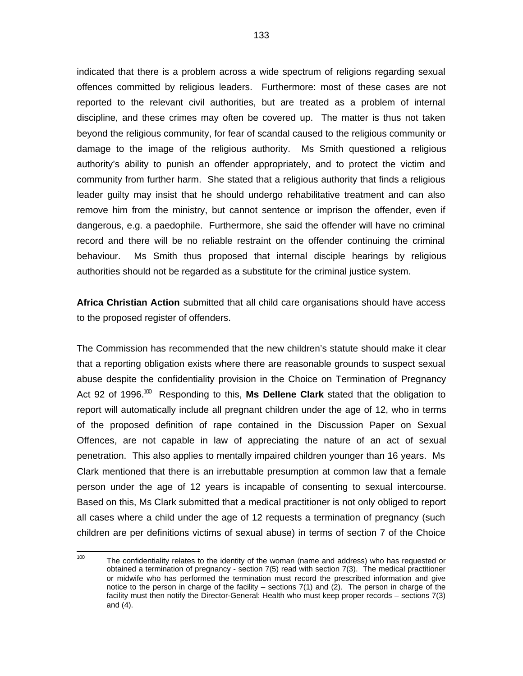indicated that there is a problem across a wide spectrum of religions regarding sexual offences committed by religious leaders. Furthermore: most of these cases are not reported to the relevant civil authorities, but are treated as a problem of internal discipline, and these crimes may often be covered up. The matter is thus not taken beyond the religious community, for fear of scandal caused to the religious community or damage to the image of the religious authority. Ms Smith questioned a religious authority's ability to punish an offender appropriately, and to protect the victim and community from further harm. She stated that a religious authority that finds a religious leader guilty may insist that he should undergo rehabilitative treatment and can also remove him from the ministry, but cannot sentence or imprison the offender, even if dangerous, e.g. a paedophile. Furthermore, she said the offender will have no criminal record and there will be no reliable restraint on the offender continuing the criminal behaviour. Ms Smith thus proposed that internal disciple hearings by religious authorities should not be regarded as a substitute for the criminal justice system.

**Africa Christian Action** submitted that all child care organisations should have access to the proposed register of offenders.

The Commission has recommended that the new children's statute should make it clear that a reporting obligation exists where there are reasonable grounds to suspect sexual abuse despite the confidentiality provision in the Choice on Termination of Pregnancy Act 92 of 1996.<sup>100</sup> Responding to this, Ms Dellene Clark stated that the obligation to report will automatically include all pregnant children under the age of 12, who in terms of the proposed definition of rape contained in the Discussion Paper on Sexual Offences, are not capable in law of appreciating the nature of an act of sexual penetration. This also applies to mentally impaired children younger than 16 years. Ms Clark mentioned that there is an irrebuttable presumption at common law that a female person under the age of 12 years is incapable of consenting to sexual intercourse. Based on this, Ms Clark submitted that a medical practitioner is not only obliged to report all cases where a child under the age of 12 requests a termination of pregnancy (such children are per definitions victims of sexual abuse) in terms of section 7 of the Choice

 $\frac{1}{100}$ The confidentiality relates to the identity of the woman (name and address) who has requested or obtained a termination of pregnancy - section 7(5) read with section 7(3). The medical practitioner or midwife who has performed the termination must record the prescribed information and give notice to the person in charge of the facility – sections 7(1) and (2). The person in charge of the facility must then notify the Director-General: Health who must keep proper records – sections 7(3) and (4).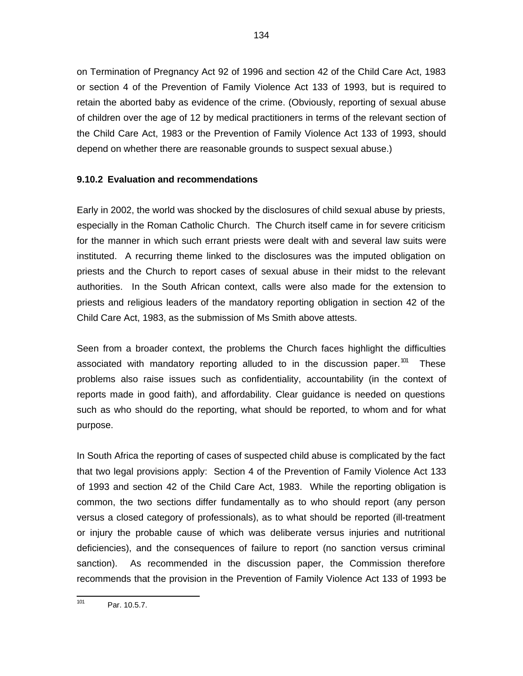on Termination of Pregnancy Act 92 of 1996 and section 42 of the Child Care Act, 1983 or section 4 of the Prevention of Family Violence Act 133 of 1993, but is required to retain the aborted baby as evidence of the crime. (Obviously, reporting of sexual abuse of children over the age of 12 by medical practitioners in terms of the relevant section of the Child Care Act, 1983 or the Prevention of Family Violence Act 133 of 1993, should depend on whether there are reasonable grounds to suspect sexual abuse.)

# **9.10.2 Evaluation and recommendations**

Early in 2002, the world was shocked by the disclosures of child sexual abuse by priests, especially in the Roman Catholic Church. The Church itself came in for severe criticism for the manner in which such errant priests were dealt with and several law suits were instituted. A recurring theme linked to the disclosures was the imputed obligation on priests and the Church to report cases of sexual abuse in their midst to the relevant authorities. In the South African context, calls were also made for the extension to priests and religious leaders of the mandatory reporting obligation in section 42 of the Child Care Act, 1983, as the submission of Ms Smith above attests.

Seen from a broader context, the problems the Church faces highlight the difficulties associated with mandatory reporting alluded to in the discussion paper.<sup>101</sup> These problems also raise issues such as confidentiality, accountability (in the context of reports made in good faith), and affordability. Clear guidance is needed on questions such as who should do the reporting, what should be reported, to whom and for what purpose.

In South Africa the reporting of cases of suspected child abuse is complicated by the fact that two legal provisions apply: Section 4 of the Prevention of Family Violence Act 133 of 1993 and section 42 of the Child Care Act, 1983. While the reporting obligation is common, the two sections differ fundamentally as to who should report (any person versus a closed category of professionals), as to what should be reported (ill-treatment or injury the probable cause of which was deliberate versus injuries and nutritional deficiencies), and the consequences of failure to report (no sanction versus criminal sanction). As recommended in the discussion paper, the Commission therefore recommends that the provision in the Prevention of Family Violence Act 133 of 1993 be

 101 Par. 10.5.7.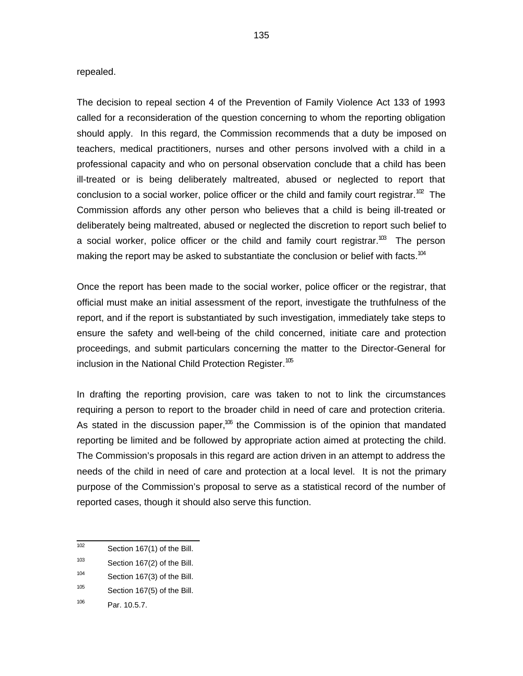#### repealed.

The decision to repeal section 4 of the Prevention of Family Violence Act 133 of 1993 called for a reconsideration of the question concerning to whom the reporting obligation should apply. In this regard, the Commission recommends that a duty be imposed on teachers, medical practitioners, nurses and other persons involved with a child in a professional capacity and who on personal observation conclude that a child has been ill-treated or is being deliberately maltreated, abused or neglected to report that conclusion to a social worker, police officer or the child and family court registrar.<sup>102</sup> The Commission affords any other person who believes that a child is being ill-treated or deliberately being maltreated, abused or neglected the discretion to report such belief to a social worker, police officer or the child and family court registrar.<sup>103</sup> The person making the report may be asked to substantiate the conclusion or belief with facts.<sup>104</sup>

Once the report has been made to the social worker, police officer or the registrar, that official must make an initial assessment of the report, investigate the truthfulness of the report, and if the report is substantiated by such investigation, immediately take steps to ensure the safety and well-being of the child concerned, initiate care and protection proceedings, and submit particulars concerning the matter to the Director-General for inclusion in the National Child Protection Register.<sup>105</sup>

In drafting the reporting provision, care was taken to not to link the circumstances requiring a person to report to the broader child in need of care and protection criteria. As stated in the discussion paper,<sup>106</sup> the Commission is of the opinion that mandated reporting be limited and be followed by appropriate action aimed at protecting the child. The Commission's proposals in this regard are action driven in an attempt to address the needs of the child in need of care and protection at a local level. It is not the primary purpose of the Commission's proposal to serve as a statistical record of the number of reported cases, though it should also serve this function.

 $\frac{1}{102}$ Section 167(1) of the Bill.

<sup>103</sup> Section 167(2) of the Bill.

<sup>104</sup> Section 167(3) of the Bill.

<sup>105</sup> Section 167(5) of the Bill.

<sup>106</sup> Par. 10.5.7.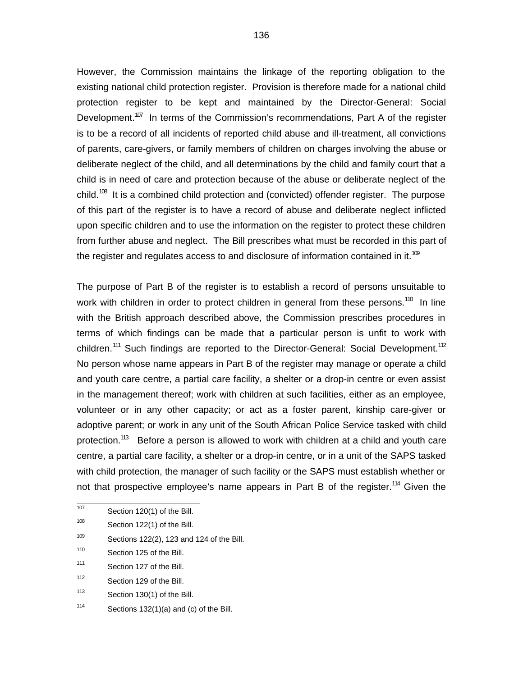However, the Commission maintains the linkage of the reporting obligation to the existing national child protection register. Provision is therefore made for a national child protection register to be kept and maintained by the Director-General: Social Development.<sup>107</sup> In terms of the Commission's recommendations, Part A of the register is to be a record of all incidents of reported child abuse and ill-treatment, all convictions of parents, care-givers, or family members of children on charges involving the abuse or deliberate neglect of the child, and all determinations by the child and family court that a child is in need of care and protection because of the abuse or deliberate neglect of the child.<sup>108</sup> It is a combined child protection and (convicted) offender register. The purpose of this part of the register is to have a record of abuse and deliberate neglect inflicted upon specific children and to use the information on the register to protect these children from further abuse and neglect. The Bill prescribes what must be recorded in this part of the register and regulates access to and disclosure of information contained in it.<sup>109</sup>

The purpose of Part B of the register is to establish a record of persons unsuitable to work with children in order to protect children in general from these persons.<sup>110</sup> In line with the British approach described above, the Commission prescribes procedures in terms of which findings can be made that a particular person is unfit to work with children.<sup>111</sup> Such findings are reported to the Director-General: Social Development.<sup>112</sup> No person whose name appears in Part B of the register may manage or operate a child and youth care centre, a partial care facility, a shelter or a drop-in centre or even assist in the management thereof; work with children at such facilities, either as an employee, volunteer or in any other capacity; or act as a foster parent, kinship care-giver or adoptive parent; or work in any unit of the South African Police Service tasked with child protection.<sup>113</sup> Before a person is allowed to work with children at a child and youth care centre, a partial care facility, a shelter or a drop-in centre, or in a unit of the SAPS tasked with child protection, the manager of such facility or the SAPS must establish whether or not that prospective employee's name appears in Part B of the register.<sup>114</sup> Given the

 107 Section 120(1) of the Bill.

<sup>108</sup> Section 122(1) of the Bill.

<sup>109</sup> Sections 122(2), 123 and 124 of the Bill.

<sup>110</sup> Section 125 of the Bill.

<sup>111</sup> Section 127 of the Bill.

<sup>112</sup> Section 129 of the Bill.

<sup>113</sup> Section 130(1) of the Bill.

<sup>114</sup> Sections 132(1)(a) and (c) of the Bill.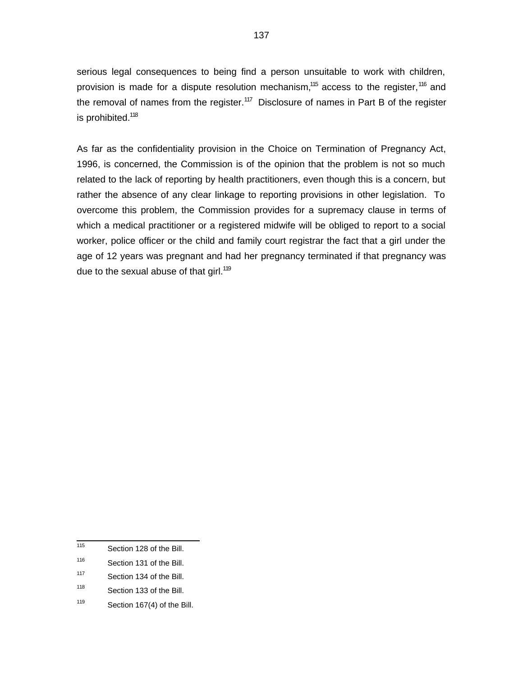serious legal consequences to being find a person unsuitable to work with children, provision is made for a dispute resolution mechanism,<sup>115</sup> access to the register,<sup>116</sup> and the removal of names from the register.<sup>117</sup> Disclosure of names in Part B of the register is prohibited.<sup>118</sup>

As far as the confidentiality provision in the Choice on Termination of Pregnancy Act, 1996, is concerned, the Commission is of the opinion that the problem is not so much related to the lack of reporting by health practitioners, even though this is a concern, but rather the absence of any clear linkage to reporting provisions in other legislation. To overcome this problem, the Commission provides for a supremacy clause in terms of which a medical practitioner or a registered midwife will be obliged to report to a social worker, police officer or the child and family court registrar the fact that a girl under the age of 12 years was pregnant and had her pregnancy terminated if that pregnancy was due to the sexual abuse of that girl.<sup>119</sup>

 115 Section 128 of the Bill.

<sup>116</sup> Section 131 of the Bill.

<sup>117</sup> Section 134 of the Bill.

<sup>118</sup> Section 133 of the Bill.

<sup>119</sup> Section 167(4) of the Bill.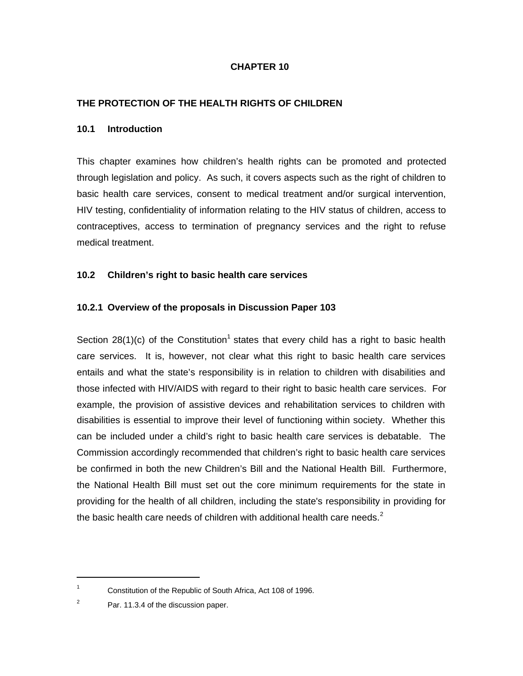# **CHAPTER 10**

# **THE PROTECTION OF THE HEALTH RIGHTS OF CHILDREN**

#### **10.1 Introduction**

This chapter examines how children's health rights can be promoted and protected through legislation and policy. As such, it covers aspects such as the right of children to basic health care services, consent to medical treatment and/or surgical intervention, HIV testing, confidentiality of information relating to the HIV status of children, access to contraceptives, access to termination of pregnancy services and the right to refuse medical treatment.

#### **10.2 Children's right to basic health care services**

#### **10.2.1 Overview of the proposals in Discussion Paper 103**

Section 28(1)(c) of the Constitution<sup>1</sup> states that every child has a right to basic health care services. It is, however, not clear what this right to basic health care services entails and what the state's responsibility is in relation to children with disabilities and those infected with HIV/AIDS with regard to their right to basic health care services. For example, the provision of assistive devices and rehabilitation services to children with disabilities is essential to improve their level of functioning within society. Whether this can be included under a child's right to basic health care services is debatable. The Commission accordingly recommended that children's right to basic health care services be confirmed in both the new Children's Bill and the National Health Bill. Furthermore, the National Health Bill must set out the core minimum requirements for the state in providing for the health of all children, including the state's responsibility in providing for the basic health care needs of children with additional health care needs.<sup>2</sup>

1

<sup>1</sup> Constitution of the Republic of South Africa, Act 108 of 1996.

<sup>2</sup> Par. 11.3.4 of the discussion paper.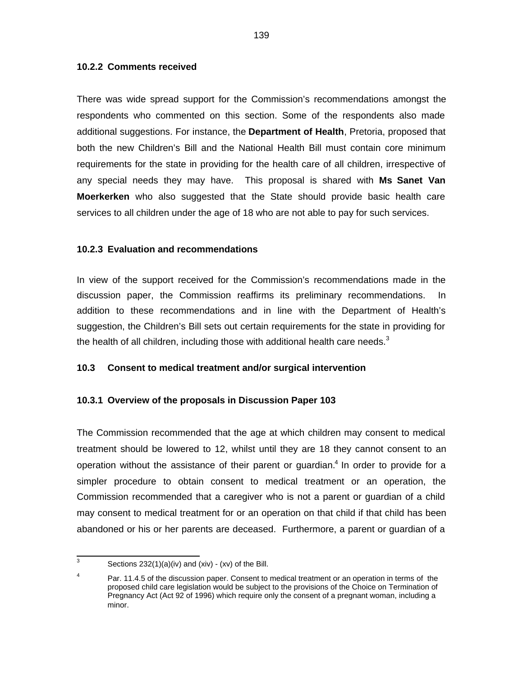#### **10.2.2 Comments received**

There was wide spread support for the Commission's recommendations amongst the respondents who commented on this section. Some of the respondents also made additional suggestions. For instance, the **Department of Health**, Pretoria, proposed that both the new Children's Bill and the National Health Bill must contain core minimum requirements for the state in providing for the health care of all children, irrespective of any special needs they may have. This proposal is shared with **Ms Sanet Van Moerkerken** who also suggested that the State should provide basic health care services to all children under the age of 18 who are not able to pay for such services.

# **10.2.3 Evaluation and recommendations**

In view of the support received for the Commission's recommendations made in the discussion paper, the Commission reaffirms its preliminary recommendations. In addition to these recommendations and in line with the Department of Health's suggestion, the Children's Bill sets out certain requirements for the state in providing for the health of all children, including those with additional health care needs. $3$ 

# **10.3 Consent to medical treatment and/or surgical intervention**

# **10.3.1 Overview of the proposals in Discussion Paper 103**

The Commission recommended that the age at which children may consent to medical treatment should be lowered to 12, whilst until they are 18 they cannot consent to an operation without the assistance of their parent or guardian.<sup>4</sup> In order to provide for a simpler procedure to obtain consent to medical treatment or an operation, the Commission recommended that a caregiver who is not a parent or guardian of a child may consent to medical treatment for or an operation on that child if that child has been abandoned or his or her parents are deceased. Furthermore, a parent or guardian of a

 3 Sections 232(1)(a)(iv) and (xiv) - (xv) of the Bill.

<sup>4</sup> Par. 11.4.5 of the discussion paper. Consent to medical treatment or an operation in terms of the proposed child care legislation would be subject to the provisions of the Choice on Termination of Pregnancy Act (Act 92 of 1996) which require only the consent of a pregnant woman, including a minor.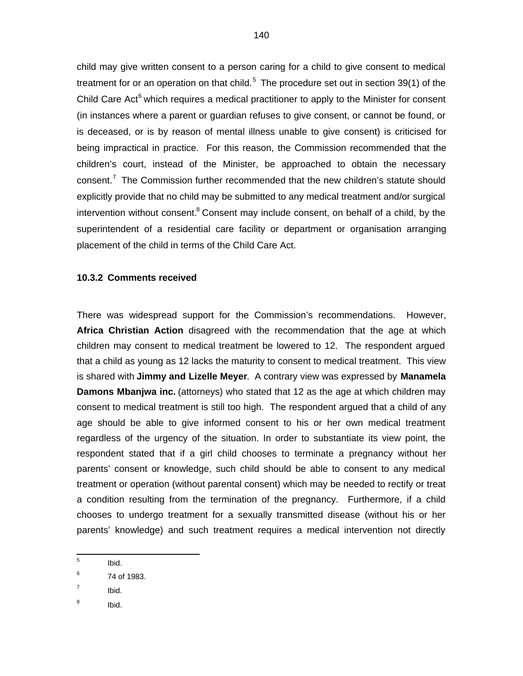child may give written consent to a person caring for a child to give consent to medical treatment for or an operation on that child.<sup>5</sup> The procedure set out in section 39(1) of the Child Care Act<sup>6</sup> which requires a medical practitioner to apply to the Minister for consent (in instances where a parent or guardian refuses to give consent, or cannot be found, or is deceased, or is by reason of mental illness unable to give consent) is criticised for being impractical in practice. For this reason, the Commission recommended that the children's court, instead of the Minister, be approached to obtain the necessary consent.<sup>7</sup> The Commission further recommended that the new children's statute should explicitly provide that no child may be submitted to any medical treatment and/or surgical intervention without consent.<sup>8</sup> Consent may include consent, on behalf of a child, by the superintendent of a residential care facility or department or organisation arranging placement of the child in terms of the Child Care Act.

#### **10.3.2 Comments received**

There was widespread support for the Commission's recommendations. However, **Africa Christian Action** disagreed with the recommendation that the age at which children may consent to medical treatment be lowered to 12. The respondent argued that a child as young as 12 lacks the maturity to consent to medical treatment. This view is shared with **Jimmy and Lizelle Meyer**. A contrary view was expressed by **Manamela Damons Mbanjwa inc.** (attorneys) who stated that 12 as the age at which children may consent to medical treatment is still too high. The respondent argued that a child of any age should be able to give informed consent to his or her own medical treatment regardless of the urgency of the situation. In order to substantiate its view point, the respondent stated that if a girl child chooses to terminate a pregnancy without her parents' consent or knowledge, such child should be able to consent to any medical treatment or operation (without parental consent) which may be needed to rectify or treat a condition resulting from the termination of the pregnancy. Furthermore, if a child chooses to undergo treatment for a sexually transmitted disease (without his or her parents' knowledge) and such treatment requires a medical intervention not directly

- 7 Ibid.
- 8 Ibid.

 5 Ibid.

<sup>6</sup> 74 of 1983.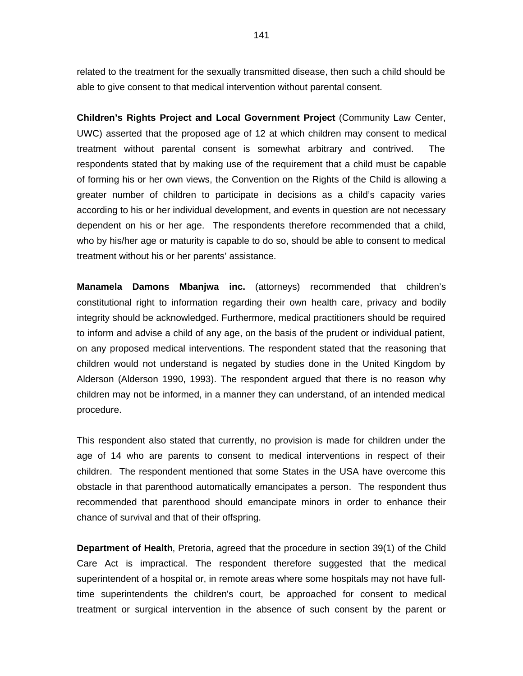related to the treatment for the sexually transmitted disease, then such a child should be able to give consent to that medical intervention without parental consent.

**Children's Rights Project and Local Government Project** (Community Law Center, UWC) asserted that the proposed age of 12 at which children may consent to medical treatment without parental consent is somewhat arbitrary and contrived. The respondents stated that by making use of the requirement that a child must be capable of forming his or her own views, the Convention on the Rights of the Child is allowing a greater number of children to participate in decisions as a child's capacity varies according to his or her individual development, and events in question are not necessary dependent on his or her age. The respondents therefore recommended that a child, who by his/her age or maturity is capable to do so, should be able to consent to medical treatment without his or her parents' assistance.

**Manamela Damons Mbanjwa inc.** (attorneys) recommended that children's constitutional right to information regarding their own health care, privacy and bodily integrity should be acknowledged. Furthermore, medical practitioners should be required to inform and advise a child of any age, on the basis of the prudent or individual patient, on any proposed medical interventions. The respondent stated that the reasoning that children would not understand is negated by studies done in the United Kingdom by Alderson (Alderson 1990, 1993). The respondent argued that there is no reason why children may not be informed, in a manner they can understand, of an intended medical procedure.

This respondent also stated that currently, no provision is made for children under the age of 14 who are parents to consent to medical interventions in respect of their children. The respondent mentioned that some States in the USA have overcome this obstacle in that parenthood automatically emancipates a person. The respondent thus recommended that parenthood should emancipate minors in order to enhance their chance of survival and that of their offspring.

**Department of Health**, Pretoria, agreed that the procedure in section 39(1) of the Child Care Act is impractical. The respondent therefore suggested that the medical superintendent of a hospital or, in remote areas where some hospitals may not have fulltime superintendents the children's court, be approached for consent to medical treatment or surgical intervention in the absence of such consent by the parent or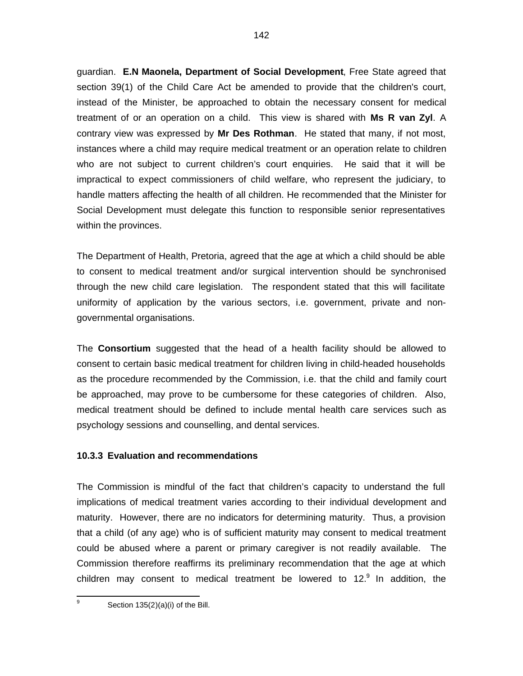guardian. **E.N Maonela, Department of Social Development**, Free State agreed that section 39(1) of the Child Care Act be amended to provide that the children's court, instead of the Minister, be approached to obtain the necessary consent for medical treatment of or an operation on a child. This view is shared with **Ms R van Zyl**. A contrary view was expressed by **Mr Des Rothman**. He stated that many, if not most, instances where a child may require medical treatment or an operation relate to children who are not subject to current children's court enquiries. He said that it will be impractical to expect commissioners of child welfare, who represent the judiciary, to handle matters affecting the health of all children. He recommended that the Minister for Social Development must delegate this function to responsible senior representatives within the provinces.

The Department of Health, Pretoria, agreed that the age at which a child should be able to consent to medical treatment and/or surgical intervention should be synchronised through the new child care legislation. The respondent stated that this will facilitate uniformity of application by the various sectors, i.e. government, private and nongovernmental organisations.

The **Consortium** suggested that the head of a health facility should be allowed to consent to certain basic medical treatment for children living in child-headed households as the procedure recommended by the Commission, i.e. that the child and family court be approached, may prove to be cumbersome for these categories of children. Also, medical treatment should be defined to include mental health care services such as psychology sessions and counselling, and dental services.

# **10.3.3 Evaluation and recommendations**

The Commission is mindful of the fact that children's capacity to understand the full implications of medical treatment varies according to their individual development and maturity. However, there are no indicators for determining maturity. Thus, a provision that a child (of any age) who is of sufficient maturity may consent to medical treatment could be abused where a parent or primary caregiver is not readily available. The Commission therefore reaffirms its preliminary recommendation that the age at which children may consent to medical treatment be lowered to 12. $9$  In addition, the

—<br>9 Section 135(2)(a)(i) of the Bill.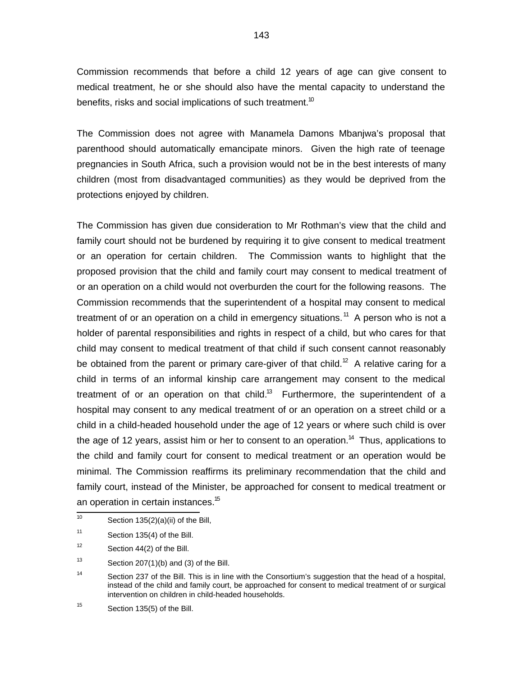Commission recommends that before a child 12 years of age can give consent to medical treatment, he or she should also have the mental capacity to understand the benefits, risks and social implications of such treatment.<sup>10</sup>

The Commission does not agree with Manamela Damons Mbanjwa's proposal that parenthood should automatically emancipate minors. Given the high rate of teenage pregnancies in South Africa, such a provision would not be in the best interests of many children (most from disadvantaged communities) as they would be deprived from the protections enjoyed by children.

The Commission has given due consideration to Mr Rothman's view that the child and family court should not be burdened by requiring it to give consent to medical treatment or an operation for certain children. The Commission wants to highlight that the proposed provision that the child and family court may consent to medical treatment of or an operation on a child would not overburden the court for the following reasons. The Commission recommends that the superintendent of a hospital may consent to medical treatment of or an operation on a child in emergency situations.<sup>11</sup> A person who is not a holder of parental responsibilities and rights in respect of a child, but who cares for that child may consent to medical treatment of that child if such consent cannot reasonably be obtained from the parent or primary care-giver of that child.<sup>12</sup> A relative caring for a child in terms of an informal kinship care arrangement may consent to the medical treatment of or an operation on that child. $^{13}$  Furthermore, the superintendent of a hospital may consent to any medical treatment of or an operation on a street child or a child in a child-headed household under the age of 12 years or where such child is over the age of 12 years, assist him or her to consent to an operation.<sup>14</sup> Thus, applications to the child and family court for consent to medical treatment or an operation would be minimal. The Commission reaffirms its preliminary recommendation that the child and family court, instead of the Minister, be approached for consent to medical treatment or an operation in certain instances.<sup>15</sup>

 $\frac{1}{10}$ Section 135(2)(a)(ii) of the Bill,

<sup>11</sup> Section 135(4) of the Bill.

<sup>12</sup> Section 44(2) of the Bill.

<sup>13</sup> Section 207(1)(b) and (3) of the Bill.

<sup>14</sup> Section 237 of the Bill. This is in line with the Consortium's suggestion that the head of a hospital, instead of the child and family court, be approached for consent to medical treatment of or surgical intervention on children in child-headed households.

<sup>15</sup> Section 135(5) of the Bill.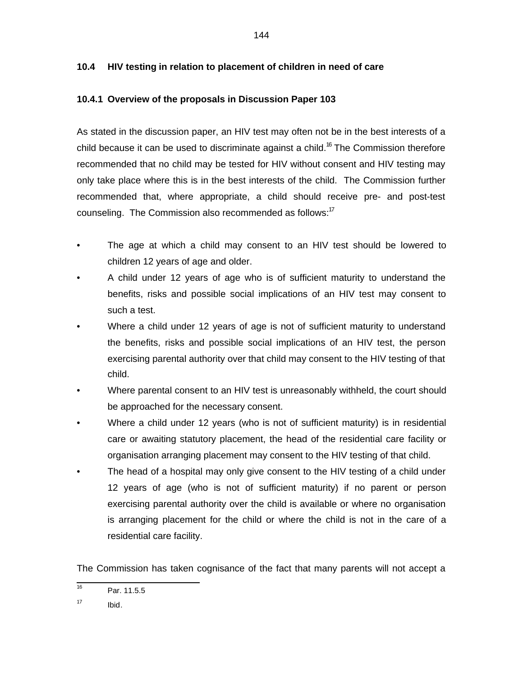# **10.4 HIV testing in relation to placement of children in need of care**

# **10.4.1 Overview of the proposals in Discussion Paper 103**

As stated in the discussion paper, an HIV test may often not be in the best interests of a child because it can be used to discriminate against a child.<sup>16</sup> The Commission therefore recommended that no child may be tested for HIV without consent and HIV testing may only take place where this is in the best interests of the child. The Commission further recommended that, where appropriate, a child should receive pre- and post-test counseling. The Commission also recommended as follows:<sup>17</sup>

- The age at which a child may consent to an HIV test should be lowered to children 12 years of age and older.
- A child under 12 years of age who is of sufficient maturity to understand the benefits, risks and possible social implications of an HIV test may consent to such a test.
- Where a child under 12 years of age is not of sufficient maturity to understand the benefits, risks and possible social implications of an HIV test, the person exercising parental authority over that child may consent to the HIV testing of that child.
- Where parental consent to an HIV test is unreasonably withheld, the court should be approached for the necessary consent.
- Where a child under 12 years (who is not of sufficient maturity) is in residential care or awaiting statutory placement, the head of the residential care facility or organisation arranging placement may consent to the HIV testing of that child.
- The head of a hospital may only give consent to the HIV testing of a child under 12 years of age (who is not of sufficient maturity) if no parent or person exercising parental authority over the child is available or where no organisation is arranging placement for the child or where the child is not in the care of a residential care facility.

The Commission has taken cognisance of the fact that many parents will not accept a

 16 Par. 11.5.5

<sup>17</sup> Ibid.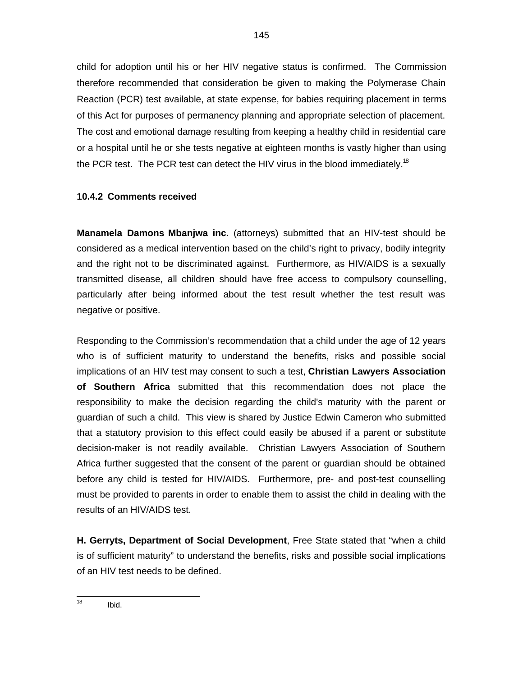child for adoption until his or her HIV negative status is confirmed. The Commission therefore recommended that consideration be given to making the Polymerase Chain Reaction (PCR) test available, at state expense, for babies requiring placement in terms of this Act for purposes of permanency planning and appropriate selection of placement. The cost and emotional damage resulting from keeping a healthy child in residential care or a hospital until he or she tests negative at eighteen months is vastly higher than using the PCR test. The PCR test can detect the HIV virus in the blood immediately.<sup>18</sup>

# **10.4.2 Comments received**

**Manamela Damons Mbanjwa inc.** (attorneys) submitted that an HIV-test should be considered as a medical intervention based on the child's right to privacy, bodily integrity and the right not to be discriminated against. Furthermore, as HIV/AIDS is a sexually transmitted disease, all children should have free access to compulsory counselling, particularly after being informed about the test result whether the test result was negative or positive.

Responding to the Commission's recommendation that a child under the age of 12 years who is of sufficient maturity to understand the benefits, risks and possible social implications of an HIV test may consent to such a test, **Christian Lawyers Association of Southern Africa** submitted that this recommendation does not place the responsibility to make the decision regarding the child's maturity with the parent or guardian of such a child. This view is shared by Justice Edwin Cameron who submitted that a statutory provision to this effect could easily be abused if a parent or substitute decision-maker is not readily available. Christian Lawyers Association of Southern Africa further suggested that the consent of the parent or guardian should be obtained before any child is tested for HIV/AIDS. Furthermore, pre- and post-test counselling must be provided to parents in order to enable them to assist the child in dealing with the results of an HIV/AIDS test.

**H. Gerryts, Department of Social Development**, Free State stated that "when a child is of sufficient maturity" to understand the benefits, risks and possible social implications of an HIV test needs to be defined.

 $\frac{1}{18}$ Ibid.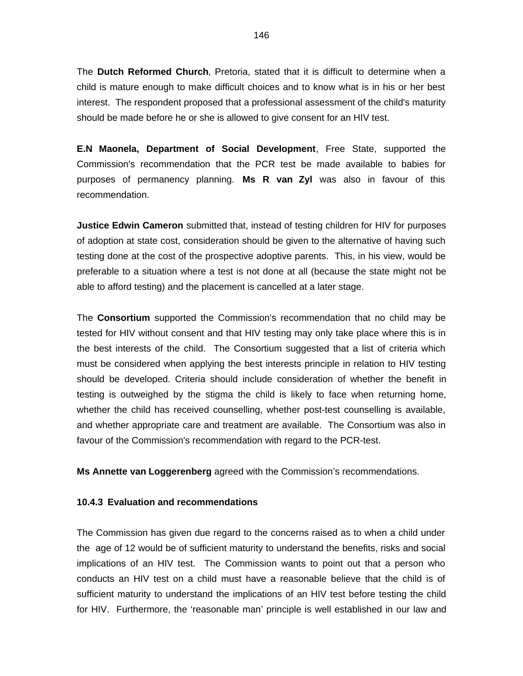The **Dutch Reformed Church**, Pretoria, stated that it is difficult to determine when a child is mature enough to make difficult choices and to know what is in his or her best interest. The respondent proposed that a professional assessment of the child's maturity should be made before he or she is allowed to give consent for an HIV test.

**E.N Maonela, Department of Social Development**, Free State, supported the Commission's recommendation that the PCR test be made available to babies for purposes of permanency planning. **Ms R van Zyl** was also in favour of this recommendation.

**Justice Edwin Cameron** submitted that, instead of testing children for HIV for purposes of adoption at state cost, consideration should be given to the alternative of having such testing done at the cost of the prospective adoptive parents. This, in his view, would be preferable to a situation where a test is not done at all (because the state might not be able to afford testing) and the placement is cancelled at a later stage.

The **Consortium** supported the Commission's recommendation that no child may be tested for HIV without consent and that HIV testing may only take place where this is in the best interests of the child. The Consortium suggested that a list of criteria which must be considered when applying the best interests principle in relation to HIV testing should be developed. Criteria should include consideration of whether the benefit in testing is outweighed by the stigma the child is likely to face when returning home, whether the child has received counselling, whether post-test counselling is available, and whether appropriate care and treatment are available. The Consortium was also in favour of the Commission's recommendation with regard to the PCR-test.

**Ms Annette van Loggerenberg** agreed with the Commission's recommendations.

#### **10.4.3 Evaluation and recommendations**

The Commission has given due regard to the concerns raised as to when a child under the age of 12 would be of sufficient maturity to understand the benefits, risks and social implications of an HIV test. The Commission wants to point out that a person who conducts an HIV test on a child must have a reasonable believe that the child is of sufficient maturity to understand the implications of an HIV test before testing the child for HIV. Furthermore, the 'reasonable man' principle is well established in our law and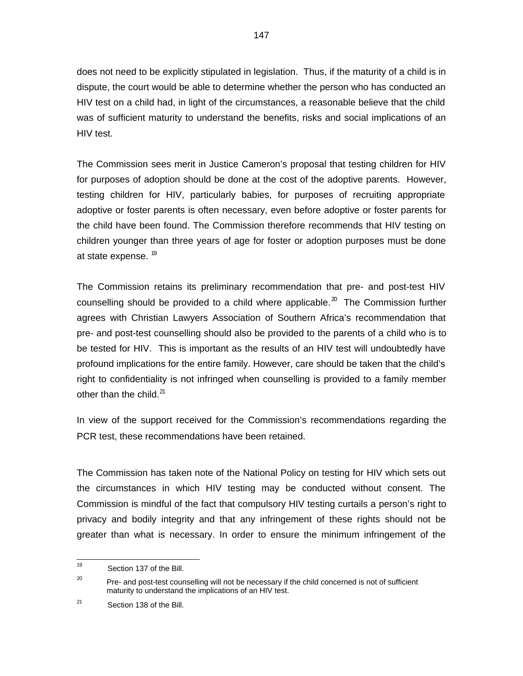does not need to be explicitly stipulated in legislation. Thus, if the maturity of a child is in dispute, the court would be able to determine whether the person who has conducted an HIV test on a child had, in light of the circumstances, a reasonable believe that the child was of sufficient maturity to understand the benefits, risks and social implications of an HIV test.

The Commission sees merit in Justice Cameron's proposal that testing children for HIV for purposes of adoption should be done at the cost of the adoptive parents. However, testing children for HIV, particularly babies, for purposes of recruiting appropriate adoptive or foster parents is often necessary, even before adoptive or foster parents for the child have been found. The Commission therefore recommends that HIV testing on children younger than three years of age for foster or adoption purposes must be done at state expense. <sup>19</sup>

The Commission retains its preliminary recommendation that pre- and post-test HIV counselling should be provided to a child where applicable.<sup>20</sup> The Commission further agrees with Christian Lawyers Association of Southern Africa's recommendation that pre- and post-test counselling should also be provided to the parents of a child who is to be tested for HIV. This is important as the results of an HIV test will undoubtedly have profound implications for the entire family. However, care should be taken that the child's right to confidentiality is not infringed when counselling is provided to a family member other than the child.<sup>21</sup>

In view of the support received for the Commission's recommendations regarding the PCR test, these recommendations have been retained.

The Commission has taken note of the National Policy on testing for HIV which sets out the circumstances in which HIV testing may be conducted without consent. The Commission is mindful of the fact that compulsory HIV testing curtails a person's right to privacy and bodily integrity and that any infringement of these rights should not be greater than what is necessary. In order to ensure the minimum infringement of the

 $\frac{1}{19}$ Section 137 of the Bill.

<sup>20</sup> Pre- and post-test counselling will not be necessary if the child concerned is not of sufficient maturity to understand the implications of an HIV test.

<sup>21</sup> Section 138 of the Bill.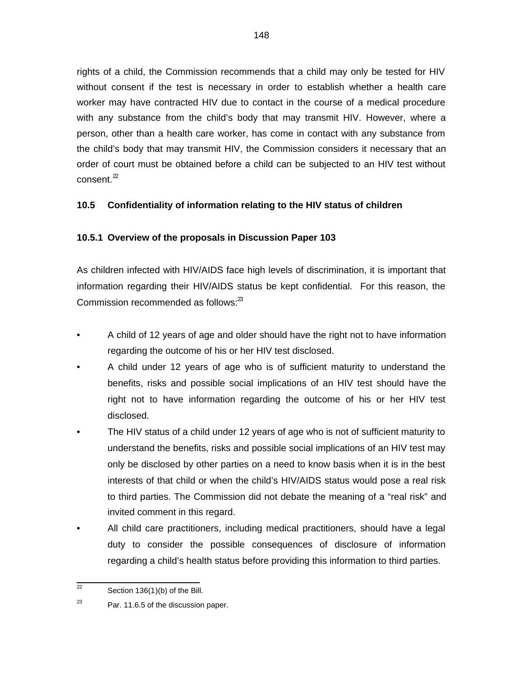rights of a child, the Commission recommends that a child may only be tested for HIV without consent if the test is necessary in order to establish whether a health care worker may have contracted HIV due to contact in the course of a medical procedure with any substance from the child's body that may transmit HIV. However, where a person, other than a health care worker, has come in contact with any substance from the child's body that may transmit HIV, the Commission considers it necessary that an order of court must be obtained before a child can be subjected to an HIV test without consent. $2^2$ 

# **10.5 Confidentiality of information relating to the HIV status of children**

# **10.5.1 Overview of the proposals in Discussion Paper 103**

As children infected with HIV/AIDS face high levels of discrimination, it is important that information regarding their HIV/AIDS status be kept confidential. For this reason, the Commission recommended as follows: $^{23}$ 

- A child of 12 years of age and older should have the right not to have information regarding the outcome of his or her HIV test disclosed.
- A child under 12 years of age who is of sufficient maturity to understand the benefits, risks and possible social implications of an HIV test should have the right not to have information regarding the outcome of his or her HIV test disclosed.
- The HIV status of a child under 12 years of age who is not of sufficient maturity to understand the benefits, risks and possible social implications of an HIV test may only be disclosed by other parties on a need to know basis when it is in the best interests of that child or when the child's HIV/AIDS status would pose a real risk to third parties. The Commission did not debate the meaning of a "real risk" and invited comment in this regard.
- All child care practitioners, including medical practitioners, should have a legal duty to consider the possible consequences of disclosure of information regarding a child's health status before providing this information to third parties.

 $\overline{22}$ Section 136(1)(b) of the Bill.

<sup>23</sup> Par. 11.6.5 of the discussion paper.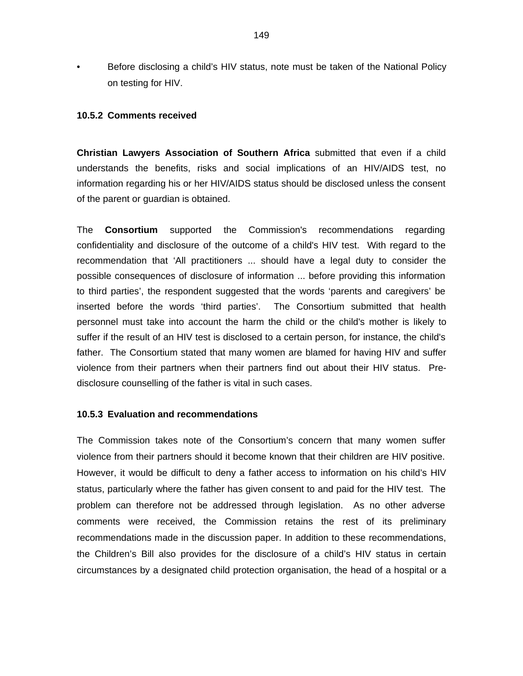• Before disclosing a child's HIV status, note must be taken of the National Policy on testing for HIV.

### **10.5.2 Comments received**

**Christian Lawyers Association of Southern Africa** submitted that even if a child understands the benefits, risks and social implications of an HIV/AIDS test, no information regarding his or her HIV/AIDS status should be disclosed unless the consent of the parent or guardian is obtained.

The **Consortium** supported the Commission's recommendations regarding confidentiality and disclosure of the outcome of a child's HIV test. With regard to the recommendation that 'All practitioners ... should have a legal duty to consider the possible consequences of disclosure of information ... before providing this information to third parties', the respondent suggested that the words 'parents and caregivers' be inserted before the words 'third parties'. The Consortium submitted that health personnel must take into account the harm the child or the child's mother is likely to suffer if the result of an HIV test is disclosed to a certain person, for instance, the child's father. The Consortium stated that many women are blamed for having HIV and suffer violence from their partners when their partners find out about their HIV status. Predisclosure counselling of the father is vital in such cases.

#### **10.5.3 Evaluation and recommendations**

The Commission takes note of the Consortium's concern that many women suffer violence from their partners should it become known that their children are HIV positive. However, it would be difficult to deny a father access to information on his child's HIV status, particularly where the father has given consent to and paid for the HIV test. The problem can therefore not be addressed through legislation. As no other adverse comments were received, the Commission retains the rest of its preliminary recommendations made in the discussion paper. In addition to these recommendations, the Children's Bill also provides for the disclosure of a child's HIV status in certain circumstances by a designated child protection organisation, the head of a hospital or a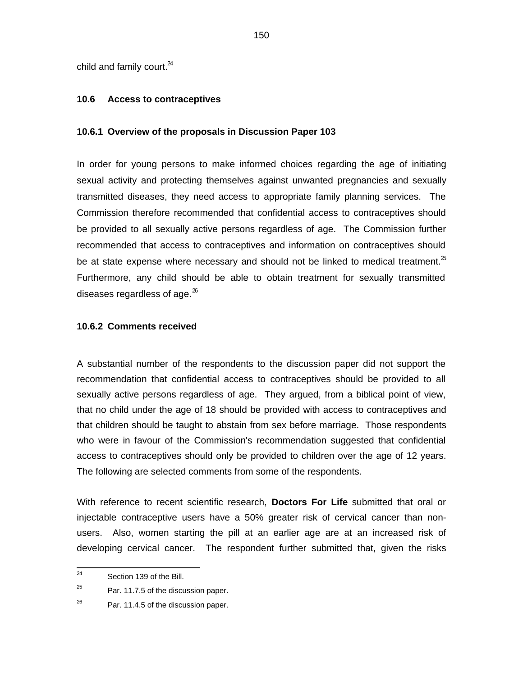child and family court.<sup>24</sup>

#### **10.6 Access to contraceptives**

#### **10.6.1 Overview of the proposals in Discussion Paper 103**

In order for young persons to make informed choices regarding the age of initiating sexual activity and protecting themselves against unwanted pregnancies and sexually transmitted diseases, they need access to appropriate family planning services. The Commission therefore recommended that confidential access to contraceptives should be provided to all sexually active persons regardless of age. The Commission further recommended that access to contraceptives and information on contraceptives should be at state expense where necessary and should not be linked to medical treatment. $2^5$ Furthermore, any child should be able to obtain treatment for sexually transmitted diseases regardless of age. $^{26}$ 

#### **10.6.2 Comments received**

A substantial number of the respondents to the discussion paper did not support the recommendation that confidential access to contraceptives should be provided to all sexually active persons regardless of age. They argued, from a biblical point of view, that no child under the age of 18 should be provided with access to contraceptives and that children should be taught to abstain from sex before marriage. Those respondents who were in favour of the Commission's recommendation suggested that confidential access to contraceptives should only be provided to children over the age of 12 years. The following are selected comments from some of the respondents.

With reference to recent scientific research, **Doctors For Life** submitted that oral or injectable contraceptive users have a 50% greater risk of cervical cancer than nonusers. Also, women starting the pill at an earlier age are at an increased risk of developing cervical cancer. The respondent further submitted that, given the risks

 $\frac{1}{24}$ Section 139 of the Bill.

<sup>25</sup> Par. 11.7.5 of the discussion paper.

<sup>26</sup> Par. 11.4.5 of the discussion paper.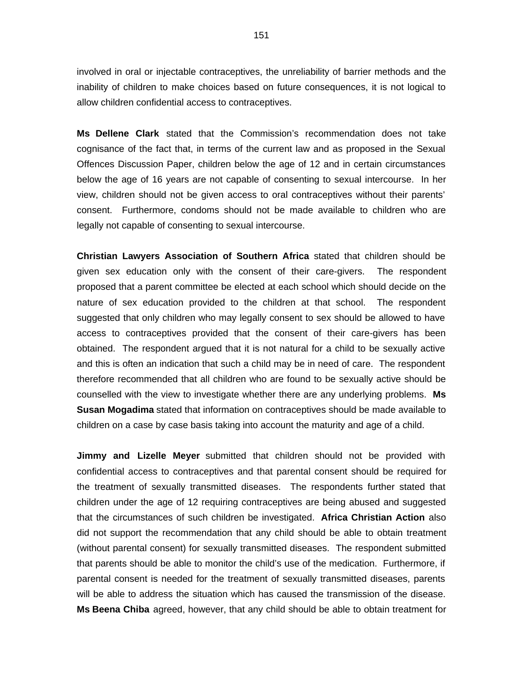involved in oral or injectable contraceptives, the unreliability of barrier methods and the inability of children to make choices based on future consequences, it is not logical to allow children confidential access to contraceptives.

**Ms Dellene Clark** stated that the Commission's recommendation does not take cognisance of the fact that, in terms of the current law and as proposed in the Sexual Offences Discussion Paper, children below the age of 12 and in certain circumstances below the age of 16 years are not capable of consenting to sexual intercourse. In her view, children should not be given access to oral contraceptives without their parents' consent. Furthermore, condoms should not be made available to children who are legally not capable of consenting to sexual intercourse.

**Christian Lawyers Association of Southern Africa** stated that children should be given sex education only with the consent of their care-givers. The respondent proposed that a parent committee be elected at each school which should decide on the nature of sex education provided to the children at that school. The respondent suggested that only children who may legally consent to sex should be allowed to have access to contraceptives provided that the consent of their care-givers has been obtained. The respondent argued that it is not natural for a child to be sexually active and this is often an indication that such a child may be in need of care. The respondent therefore recommended that all children who are found to be sexually active should be counselled with the view to investigate whether there are any underlying problems. **Ms Susan Mogadima** stated that information on contraceptives should be made available to children on a case by case basis taking into account the maturity and age of a child.

**Jimmy and Lizelle Meyer** submitted that children should not be provided with confidential access to contraceptives and that parental consent should be required for the treatment of sexually transmitted diseases. The respondents further stated that children under the age of 12 requiring contraceptives are being abused and suggested that the circumstances of such children be investigated. **Africa Christian Action** also did not support the recommendation that any child should be able to obtain treatment (without parental consent) for sexually transmitted diseases. The respondent submitted that parents should be able to monitor the child's use of the medication. Furthermore, if parental consent is needed for the treatment of sexually transmitted diseases, parents will be able to address the situation which has caused the transmission of the disease. **Ms Beena Chiba** agreed, however, that any child should be able to obtain treatment for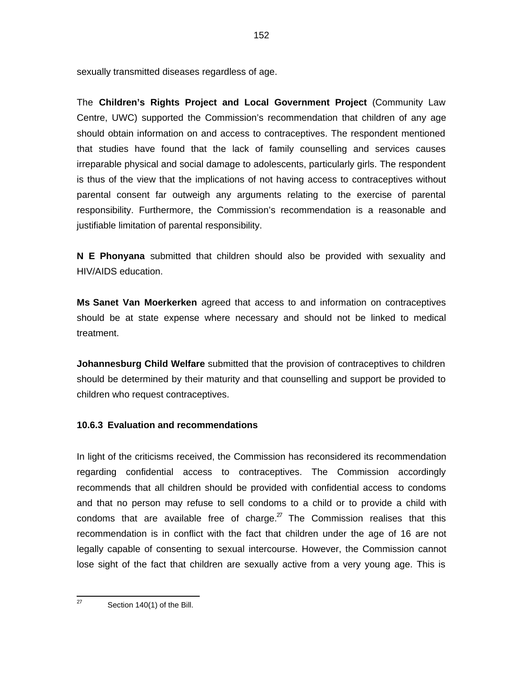sexually transmitted diseases regardless of age.

The **Children's Rights Project and Local Government Project** (Community Law Centre, UWC) supported the Commission's recommendation that children of any age should obtain information on and access to contraceptives. The respondent mentioned that studies have found that the lack of family counselling and services causes irreparable physical and social damage to adolescents, particularly girls. The respondent is thus of the view that the implications of not having access to contraceptives without parental consent far outweigh any arguments relating to the exercise of parental responsibility. Furthermore, the Commission's recommendation is a reasonable and justifiable limitation of parental responsibility.

**N E Phonyana** submitted that children should also be provided with sexuality and HIV/AIDS education.

**Ms Sanet Van Moerkerken** agreed that access to and information on contraceptives should be at state expense where necessary and should not be linked to medical treatment.

**Johannesburg Child Welfare** submitted that the provision of contraceptives to children should be determined by their maturity and that counselling and support be provided to children who request contraceptives.

## **10.6.3 Evaluation and recommendations**

In light of the criticisms received, the Commission has reconsidered its recommendation regarding confidential access to contraceptives. The Commission accordingly recommends that all children should be provided with confidential access to condoms and that no person may refuse to sell condoms to a child or to provide a child with condoms that are available free of charge. $Z<sup>Z</sup>$  The Commission realises that this recommendation is in conflict with the fact that children under the age of 16 are not legally capable of consenting to sexual intercourse. However, the Commission cannot lose sight of the fact that children are sexually active from a very young age. This is

—<br>27

Section 140(1) of the Bill.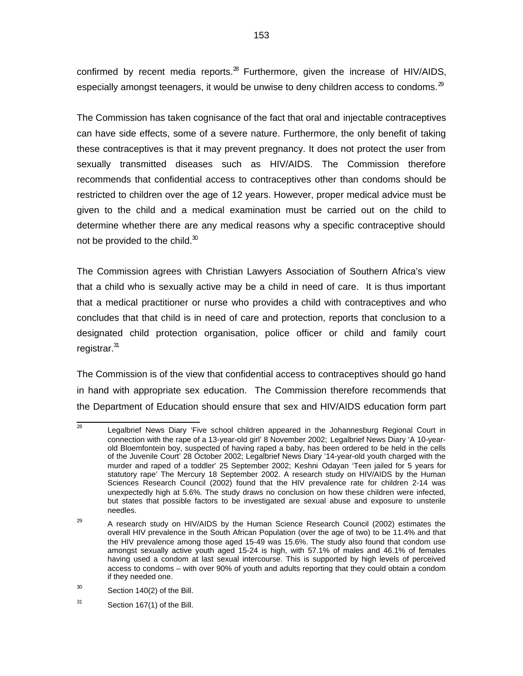confirmed by recent media reports. $28$  Furthermore, given the increase of HIV/AIDS, especially amongst teenagers, it would be unwise to deny children access to condoms. $^{29}$ 

The Commission has taken cognisance of the fact that oral and injectable contraceptives can have side effects, some of a severe nature. Furthermore, the only benefit of taking these contraceptives is that it may prevent pregnancy. It does not protect the user from sexually transmitted diseases such as HIV/AIDS. The Commission therefore recommends that confidential access to contraceptives other than condoms should be restricted to children over the age of 12 years. However, proper medical advice must be given to the child and a medical examination must be carried out on the child to determine whether there are any medical reasons why a specific contraceptive should not be provided to the child. $30$ 

The Commission agrees with Christian Lawyers Association of Southern Africa's view that a child who is sexually active may be a child in need of care. It is thus important that a medical practitioner or nurse who provides a child with contraceptives and who concludes that that child is in need of care and protection, reports that conclusion to a designated child protection organisation, police officer or child and family court registrar.<sup>31</sup>

The Commission is of the view that confidential access to contraceptives should go hand in hand with appropriate sex education. The Commission therefore recommends that the Department of Education should ensure that sex and HIV/AIDS education form part

<sup>-&</sup>lt;br>28 Legalbrief News Diary 'Five school children appeared in the Johannesburg Regional Court in connection with the rape of a 13-year-old girl' 8 November 2002; Legalbrief News Diary 'A 10-yearold Bloemfontein boy, suspected of having raped a baby, has been ordered to be held in the cells of the Juvenile Court' 28 October 2002; Legalbrief News Diary '14-year-old youth charged with the murder and raped of a toddler' 25 September 2002; Keshni Odayan 'Teen jailed for 5 years for statutory rape' The Mercury 18 September 2002. A research study on HIV/AIDS by the Human Sciences Research Council (2002) found that the HIV prevalence rate for children 2-14 was unexpectedly high at 5.6%. The study draws no conclusion on how these children were infected, but states that possible factors to be investigated are sexual abuse and exposure to unsterile needles.

<sup>29</sup> A research study on HIV/AIDS by the Human Science Research Council (2002) estimates the overall HIV prevalence in the South African Population (over the age of two) to be 11.4% and that the HIV prevalence among those aged 15-49 was 15.6%. The study also found that condom use amongst sexually active youth aged 15-24 is high, with 57.1% of males and 46.1% of females having used a condom at last sexual intercourse. This is supported by high levels of perceived access to condoms – with over 90% of youth and adults reporting that they could obtain a condom if they needed one.

<sup>30</sup> Section 140(2) of the Bill.

<sup>31</sup> Section 167(1) of the Bill.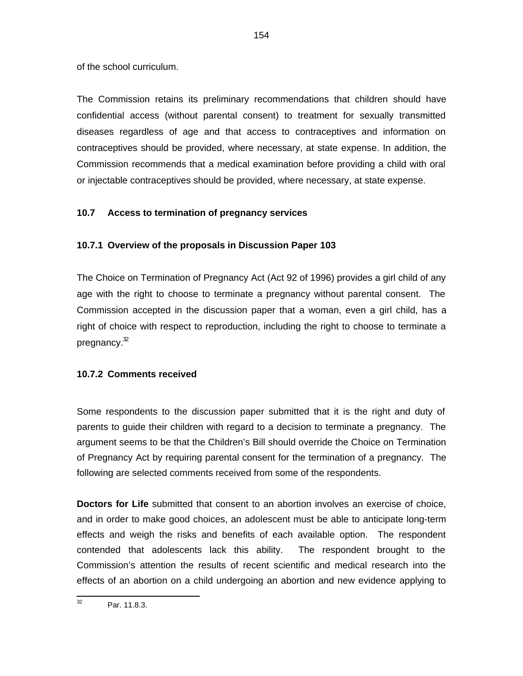of the school curriculum.

The Commission retains its preliminary recommendations that children should have confidential access (without parental consent) to treatment for sexually transmitted diseases regardless of age and that access to contraceptives and information on contraceptives should be provided, where necessary, at state expense. In addition, the Commission recommends that a medical examination before providing a child with oral or injectable contraceptives should be provided, where necessary, at state expense.

# **10.7 Access to termination of pregnancy services**

# **10.7.1 Overview of the proposals in Discussion Paper 103**

The Choice on Termination of Pregnancy Act (Act 92 of 1996) provides a girl child of any age with the right to choose to terminate a pregnancy without parental consent. The Commission accepted in the discussion paper that a woman, even a girl child, has a right of choice with respect to reproduction, including the right to choose to terminate a pregnancy. $^{\mathfrak{D}}$ 

# **10.7.2 Comments received**

Some respondents to the discussion paper submitted that it is the right and duty of parents to guide their children with regard to a decision to terminate a pregnancy. The argument seems to be that the Children's Bill should override the Choice on Termination of Pregnancy Act by requiring parental consent for the termination of a pregnancy. The following are selected comments received from some of the respondents.

**Doctors for Life** submitted that consent to an abortion involves an exercise of choice, and in order to make good choices, an adolescent must be able to anticipate long-term effects and weigh the risks and benefits of each available option. The respondent contended that adolescents lack this ability. The respondent brought to the Commission's attention the results of recent scientific and medical research into the effects of an abortion on a child undergoing an abortion and new evidence applying to

 32 Par. 11.8.3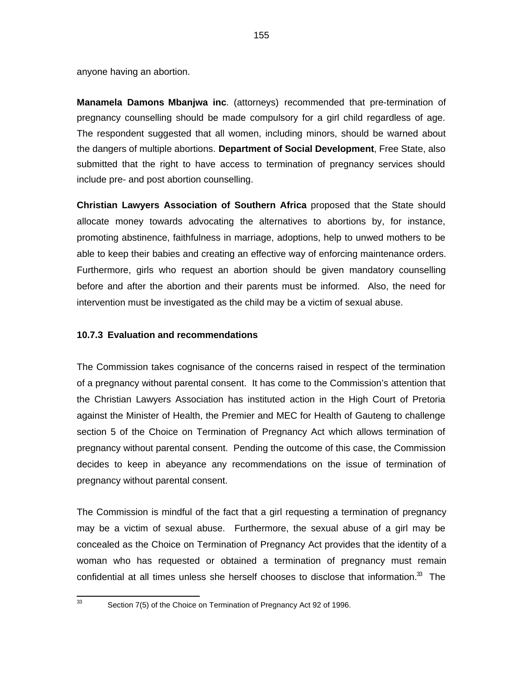anyone having an abortion.

**Manamela Damons Mbanjwa inc**. (attorneys) recommended that pre-termination of pregnancy counselling should be made compulsory for a girl child regardless of age. The respondent suggested that all women, including minors, should be warned about the dangers of multiple abortions. **Department of Social Development**, Free State, also submitted that the right to have access to termination of pregnancy services should include pre- and post abortion counselling.

**Christian Lawyers Association of Southern Africa** proposed that the State should allocate money towards advocating the alternatives to abortions by, for instance, promoting abstinence, faithfulness in marriage, adoptions, help to unwed mothers to be able to keep their babies and creating an effective way of enforcing maintenance orders. Furthermore, girls who request an abortion should be given mandatory counselling before and after the abortion and their parents must be informed. Also, the need for intervention must be investigated as the child may be a victim of sexual abuse.

#### **10.7.3 Evaluation and recommendations**

The Commission takes cognisance of the concerns raised in respect of the termination of a pregnancy without parental consent. It has come to the Commission's attention that the Christian Lawyers Association has instituted action in the High Court of Pretoria against the Minister of Health, the Premier and MEC for Health of Gauteng to challenge section 5 of the Choice on Termination of Pregnancy Act which allows termination of pregnancy without parental consent. Pending the outcome of this case, the Commission decides to keep in abeyance any recommendations on the issue of termination of pregnancy without parental consent.

The Commission is mindful of the fact that a girl requesting a termination of pregnancy may be a victim of sexual abuse. Furthermore, the sexual abuse of a girl may be concealed as the Choice on Termination of Pregnancy Act provides that the identity of a woman who has requested or obtained a termination of pregnancy must remain confidential at all times unless she herself chooses to disclose that information. $33$  The

33

Section 7(5) of the Choice on Termination of Pregnancy Act 92 of 1996.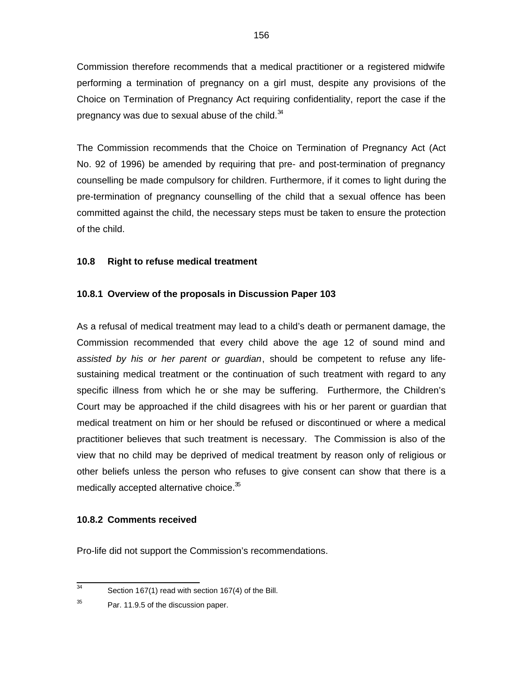Commission therefore recommends that a medical practitioner or a registered midwife performing a termination of pregnancy on a girl must, despite any provisions of the Choice on Termination of Pregnancy Act requiring confidentiality, report the case if the pregnancy was due to sexual abuse of the child. $34$ 

The Commission recommends that the Choice on Termination of Pregnancy Act (Act No. 92 of 1996) be amended by requiring that pre- and post-termination of pregnancy counselling be made compulsory for children. Furthermore, if it comes to light during the pre-termination of pregnancy counselling of the child that a sexual offence has been committed against the child, the necessary steps must be taken to ensure the protection of the child.

# **10.8 Right to refuse medical treatment**

# **10.8.1 Overview of the proposals in Discussion Paper 103**

As a refusal of medical treatment may lead to a child's death or permanent damage, the Commission recommended that every child above the age 12 of sound mind and assisted by his or her parent or guardian, should be competent to refuse any lifesustaining medical treatment or the continuation of such treatment with regard to any specific illness from which he or she may be suffering. Furthermore, the Children's Court may be approached if the child disagrees with his or her parent or guardian that medical treatment on him or her should be refused or discontinued or where a medical practitioner believes that such treatment is necessary. The Commission is also of the view that no child may be deprived of medical treatment by reason only of religious or other beliefs unless the person who refuses to give consent can show that there is a medically accepted alternative choice.<sup>35</sup>

## **10.8.2 Comments received**

Pro-life did not support the Commission's recommendations.

<sup>-&</sup>lt;br>34 Section 167(1) read with section 167(4) of the Bill.

<sup>35</sup> Par. 11.9.5 of the discussion paper.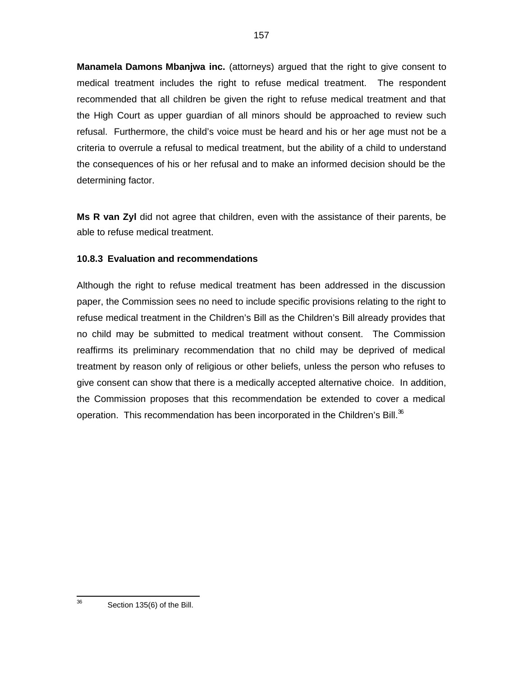**Manamela Damons Mbanjwa inc.** (attorneys) argued that the right to give consent to medical treatment includes the right to refuse medical treatment. The respondent recommended that all children be given the right to refuse medical treatment and that the High Court as upper guardian of all minors should be approached to review such refusal. Furthermore, the child's voice must be heard and his or her age must not be a criteria to overrule a refusal to medical treatment, but the ability of a child to understand the consequences of his or her refusal and to make an informed decision should be the determining factor.

**Ms R van Zyl** did not agree that children, even with the assistance of their parents, be able to refuse medical treatment.

# **10.8.3 Evaluation and recommendations**

Although the right to refuse medical treatment has been addressed in the discussion paper, the Commission sees no need to include specific provisions relating to the right to refuse medical treatment in the Children's Bill as the Children's Bill already provides that no child may be submitted to medical treatment without consent. The Commission reaffirms its preliminary recommendation that no child may be deprived of medical treatment by reason only of religious or other beliefs, unless the person who refuses to give consent can show that there is a medically accepted alternative choice. In addition, the Commission proposes that this recommendation be extended to cover a medical operation. This recommendation has been incorporated in the Children's Bill. $36$ 

<sup>—&</sup>lt;br>36 Section 135(6) of the Bill.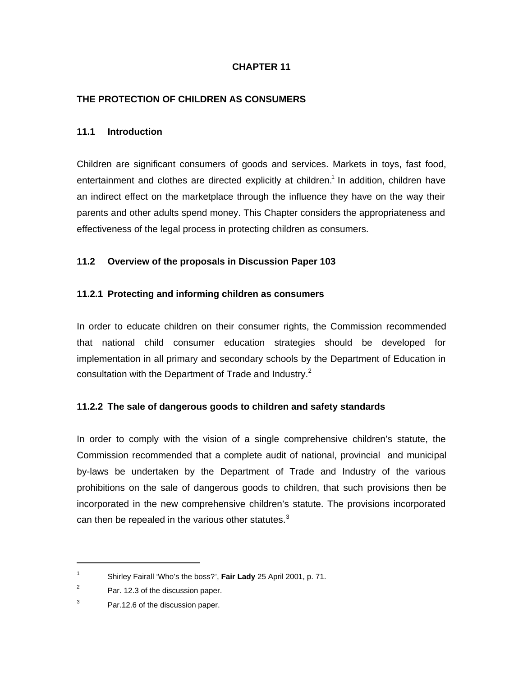# **CHAPTER 11**

## **THE PROTECTION OF CHILDREN AS CONSUMERS**

### **11.1 Introduction**

Children are significant consumers of goods and services. Markets in toys, fast food, entertainment and clothes are directed explicitly at children.<sup>1</sup> In addition, children have an indirect effect on the marketplace through the influence they have on the way their parents and other adults spend money. This Chapter considers the appropriateness and effectiveness of the legal process in protecting children as consumers.

## **11.2 Overview of the proposals in Discussion Paper 103**

### **11.2.1 Protecting and informing children as consumers**

In order to educate children on their consumer rights, the Commission recommended that national child consumer education strategies should be developed for implementation in all primary and secondary schools by the Department of Education in consultation with the Department of Trade and Industry.<sup>2</sup>

## **11.2.2 The sale of dangerous goods to children and safety standards**

In order to comply with the vision of a single comprehensive children's statute, the Commission recommended that a complete audit of national, provincial and municipal by-laws be undertaken by the Department of Trade and Industry of the various prohibitions on the sale of dangerous goods to children, that such provisions then be incorporated in the new comprehensive children's statute. The provisions incorporated can then be repealed in the various other statutes. $3$ 

1

<sup>1</sup> Shirley Fairall 'Who's the boss?', **Fair Lady** 25 April 2001, p. 71.

<sup>2</sup> Par. 12.3 of the discussion paper.

<sup>3</sup> Par.12.6 of the discussion paper.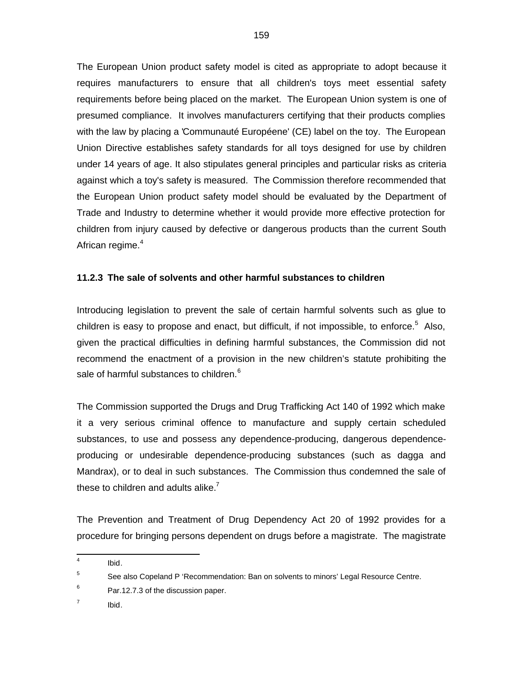The European Union product safety model is cited as appropriate to adopt because it requires manufacturers to ensure that all children's toys meet essential safety requirements before being placed on the market. The European Union system is one of presumed compliance. It involves manufacturers certifying that their products complies with the law by placing a 'Communauté Européene' (CE) label on the toy. The European Union Directive establishes safety standards for all toys designed for use by children under 14 years of age. It also stipulates general principles and particular risks as criteria against which a toy's safety is measured. The Commission therefore recommended that the European Union product safety model should be evaluated by the Department of Trade and Industry to determine whether it would provide more effective protection for children from injury caused by defective or dangerous products than the current South African regime.<sup>4</sup>

# **11.2.3 The sale of solvents and other harmful substances to children**

Introducing legislation to prevent the sale of certain harmful solvents such as glue to children is easy to propose and enact, but difficult, if not impossible, to enforce.<sup>5</sup> Also, given the practical difficulties in defining harmful substances, the Commission did not recommend the enactment of a provision in the new children's statute prohibiting the sale of harmful substances to children.<sup>6</sup>

The Commission supported the Drugs and Drug Trafficking Act 140 of 1992 which make it a very serious criminal offence to manufacture and supply certain scheduled substances, to use and possess any dependence-producing, dangerous dependenceproducing or undesirable dependence-producing substances (such as dagga and Mandrax), or to deal in such substances. The Commission thus condemned the sale of these to children and adults alike. $<sup>7</sup>$ </sup>

The Prevention and Treatment of Drug Dependency Act 20 of 1992 provides for a procedure for bringing persons dependent on drugs before a magistrate. The magistrate

6 Par.12.7.3 of the discussion paper.

7 Ibid.

 4 Ibid.

<sup>5</sup> See also Copeland P 'Recommendation: Ban on solvents to minors' Legal Resource Centre.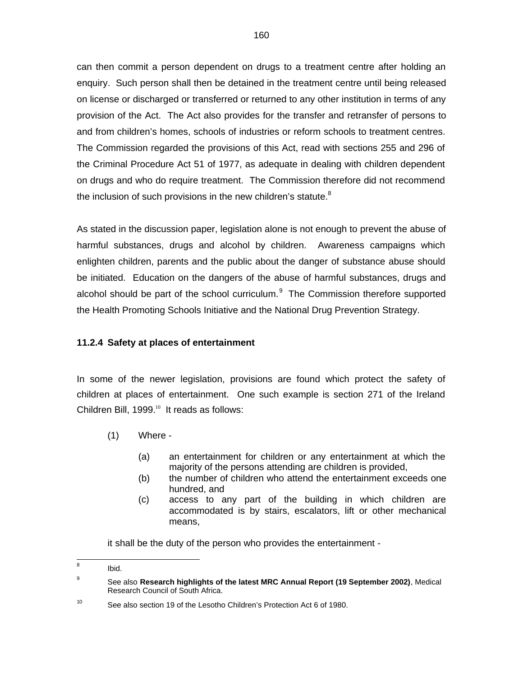can then commit a person dependent on drugs to a treatment centre after holding an enquiry. Such person shall then be detained in the treatment centre until being released on license or discharged or transferred or returned to any other institution in terms of any provision of the Act. The Act also provides for the transfer and retransfer of persons to and from children's homes, schools of industries or reform schools to treatment centres. The Commission regarded the provisions of this Act, read with sections 255 and 296 of the Criminal Procedure Act 51 of 1977, as adequate in dealing with children dependent on drugs and who do require treatment. The Commission therefore did not recommend the inclusion of such provisions in the new children's statute.<sup>8</sup>

As stated in the discussion paper, legislation alone is not enough to prevent the abuse of harmful substances, drugs and alcohol by children. Awareness campaigns which enlighten children, parents and the public about the danger of substance abuse should be initiated. Education on the dangers of the abuse of harmful substances, drugs and alcohol should be part of the school curriculum.<sup>9</sup> The Commission therefore supported the Health Promoting Schools Initiative and the National Drug Prevention Strategy.

## **11.2.4 Safety at places of entertainment**

In some of the newer legislation, provisions are found which protect the safety of children at places of entertainment. One such example is section 271 of the Ireland Children Bill,  $1999.^{^{10}}$  It reads as follows:

- (1) Where
	- (a) an entertainment for children or any entertainment at which the majority of the persons attending are children is provided,
	- (b) the number of children who attend the entertainment exceeds one hundred, and
	- (c) access to any part of the building in which children are accommodated is by stairs, escalators, lift or other mechanical means,

it shall be the duty of the person who provides the entertainment -

 8 Ibid.

<sup>9</sup> See also **Research highlights of the latest MRC Annual Report (19 September 2002)**, Medical Research Council of South Africa.

<sup>10</sup> See also section 19 of the Lesotho Children's Protection Act 6 of 1980.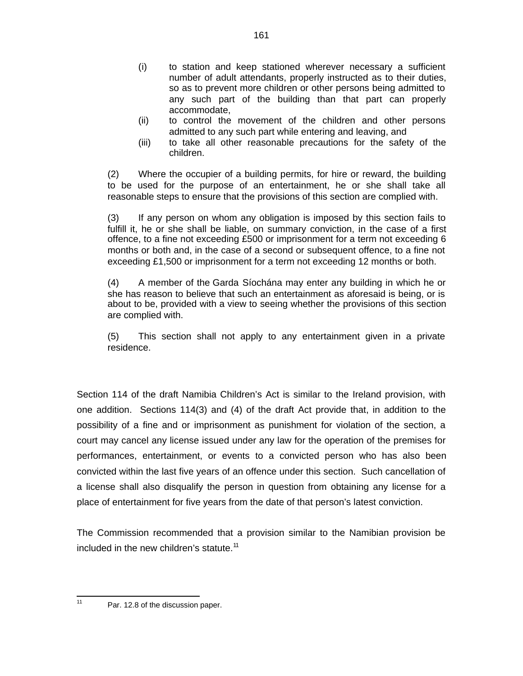- (i) to station and keep stationed wherever necessary a sufficient number of adult attendants, properly instructed as to their duties, so as to prevent more children or other persons being admitted to any such part of the building than that part can properly accommodate,
- (ii) to control the movement of the children and other persons admitted to any such part while entering and leaving, and
- (iii) to take all other reasonable precautions for the safety of the children.

(2) Where the occupier of a building permits, for hire or reward, the building to be used for the purpose of an entertainment, he or she shall take all reasonable steps to ensure that the provisions of this section are complied with.

(3) If any person on whom any obligation is imposed by this section fails to fulfill it, he or she shall be liable, on summary conviction, in the case of a first offence, to a fine not exceeding £500 or imprisonment for a term not exceeding 6 months or both and, in the case of a second or subsequent offence, to a fine not exceeding £1,500 or imprisonment for a term not exceeding 12 months or both.

(4) A member of the Garda Síochána may enter any building in which he or she has reason to believe that such an entertainment as aforesaid is being, or is about to be, provided with a view to seeing whether the provisions of this section are complied with.

(5) This section shall not apply to any entertainment given in a private residence.

Section 114 of the draft Namibia Children's Act is similar to the Ireland provision, with one addition. Sections 114(3) and (4) of the draft Act provide that, in addition to the possibility of a fine and or imprisonment as punishment for violation of the section, a court may cancel any license issued under any law for the operation of the premises for performances, entertainment, or events to a convicted person who has also been convicted within the last five years of an offence under this section. Such cancellation of a license shall also disqualify the person in question from obtaining any license for a place of entertainment for five years from the date of that person's latest conviction.

The Commission recommended that a provision similar to the Namibian provision be included in the new children's statute.<sup>11</sup>

 $\frac{1}{11}$ 

Par. 12.8 of the discussion paper.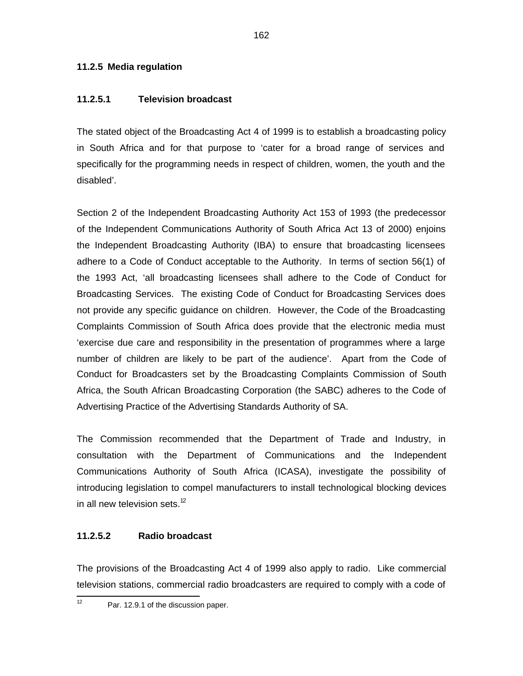## **11.2.5 Media regulation**

## **11.2.5.1 Television broadcast**

The stated object of the Broadcasting Act 4 of 1999 is to establish a broadcasting policy in South Africa and for that purpose to 'cater for a broad range of services and specifically for the programming needs in respect of children, women, the youth and the disabled'.

Section 2 of the Independent Broadcasting Authority Act 153 of 1993 (the predecessor of the Independent Communications Authority of South Africa Act 13 of 2000) enjoins the Independent Broadcasting Authority (IBA) to ensure that broadcasting licensees adhere to a Code of Conduct acceptable to the Authority. In terms of section 56(1) of the 1993 Act, 'all broadcasting licensees shall adhere to the Code of Conduct for Broadcasting Services. The existing Code of Conduct for Broadcasting Services does not provide any specific guidance on children. However, the Code of the Broadcasting Complaints Commission of South Africa does provide that the electronic media must 'exercise due care and responsibility in the presentation of programmes where a large number of children are likely to be part of the audience'. Apart from the Code of Conduct for Broadcasters set by the Broadcasting Complaints Commission of South Africa, the South African Broadcasting Corporation (the SABC) adheres to the Code of Advertising Practice of the Advertising Standards Authority of SA.

The Commission recommended that the Department of Trade and Industry, in consultation with the Department of Communications and the Independent Communications Authority of South Africa (ICASA), investigate the possibility of introducing legislation to compel manufacturers to install technological blocking devices in all new television sets. $12$ 

## **11.2.5.2 Radio broadcast**

The provisions of the Broadcasting Act 4 of 1999 also apply to radio. Like commercial television stations, commercial radio broadcasters are required to comply with a code of

 $\frac{1}{12}$ 

Par. 12.9.1 of the discussion paper.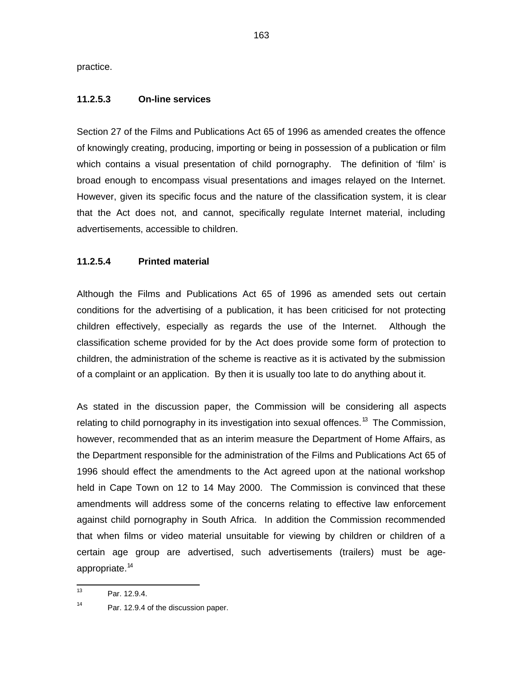practice.

## **11.2.5.3 On-line services**

Section 27 of the Films and Publications Act 65 of 1996 as amended creates the offence of knowingly creating, producing, importing or being in possession of a publication or film which contains a visual presentation of child pornography. The definition of 'film' is broad enough to encompass visual presentations and images relayed on the Internet. However, given its specific focus and the nature of the classification system, it is clear that the Act does not, and cannot, specifically regulate Internet material, including advertisements, accessible to children.

# **11.2.5.4 Printed material**

Although the Films and Publications Act 65 of 1996 as amended sets out certain conditions for the advertising of a publication, it has been criticised for not protecting children effectively, especially as regards the use of the Internet. Although the classification scheme provided for by the Act does provide some form of protection to children, the administration of the scheme is reactive as it is activated by the submission of a complaint or an application. By then it is usually too late to do anything about it.

As stated in the discussion paper, the Commission will be considering all aspects relating to child pornography in its investigation into sexual offences.<sup>13</sup> The Commission, however, recommended that as an interim measure the Department of Home Affairs, as the Department responsible for the administration of the Films and Publications Act 65 of 1996 should effect the amendments to the Act agreed upon at the national workshop held in Cape Town on 12 to 14 May 2000. The Commission is convinced that these amendments will address some of the concerns relating to effective law enforcement against child pornography in South Africa. In addition the Commission recommended that when films or video material unsuitable for viewing by children or children of a certain age group are advertised, such advertisements (trailers) must be ageappropriate.<sup>14</sup>

 $\frac{1}{13}$ Par. 12.9.4.

<sup>14</sup> Par. 12.9.4 of the discussion paper.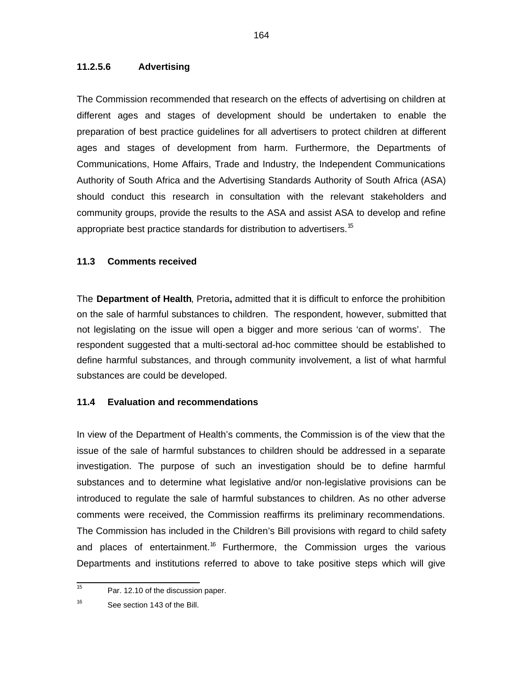### **11.2.5.6 Advertising**

The Commission recommended that research on the effects of advertising on children at different ages and stages of development should be undertaken to enable the preparation of best practice guidelines for all advertisers to protect children at different ages and stages of development from harm. Furthermore, the Departments of Communications, Home Affairs, Trade and Industry, the Independent Communications Authority of South Africa and the Advertising Standards Authority of South Africa (ASA) should conduct this research in consultation with the relevant stakeholders and community groups, provide the results to the ASA and assist ASA to develop and refine appropriate best practice standards for distribution to advertisers.<sup>15</sup>

## **11.3 Comments received**

The **Department of Health**, Pretoria**,** admitted that it is difficult to enforce the prohibition on the sale of harmful substances to children. The respondent, however, submitted that not legislating on the issue will open a bigger and more serious 'can of worms'. The respondent suggested that a multi-sectoral ad-hoc committee should be established to define harmful substances, and through community involvement, a list of what harmful substances are could be developed.

## **11.4 Evaluation and recommendations**

In view of the Department of Health's comments, the Commission is of the view that the issue of the sale of harmful substances to children should be addressed in a separate investigation. The purpose of such an investigation should be to define harmful substances and to determine what legislative and/or non-legislative provisions can be introduced to regulate the sale of harmful substances to children. As no other adverse comments were received, the Commission reaffirms its preliminary recommendations. The Commission has included in the Children's Bill provisions with regard to child safety and places of entertainment.<sup>16</sup> Furthermore, the Commission urges the various Departments and institutions referred to above to take positive steps which will give

 15 Par. 12.10 of the discussion paper.

<sup>16</sup> See section 143 of the Bill.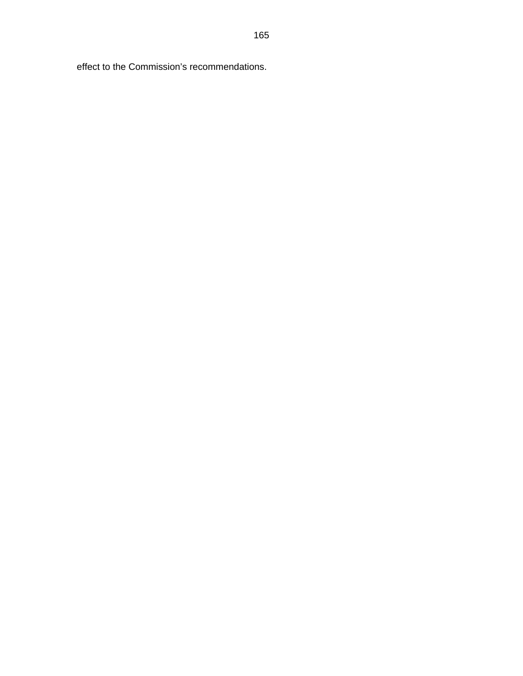effect to the Commission's recommendations.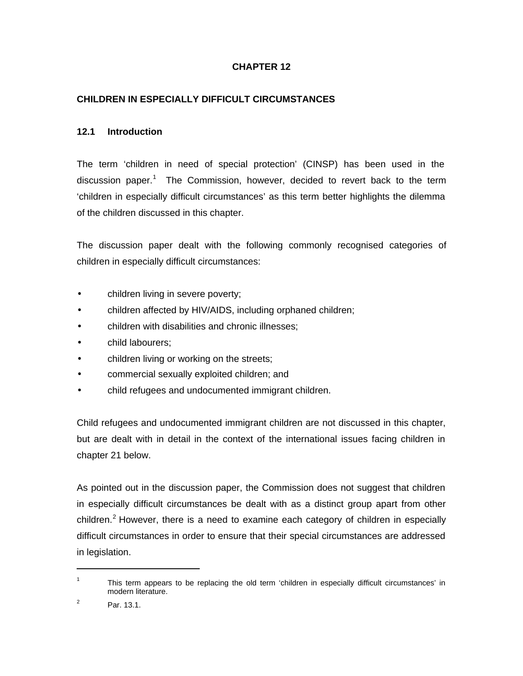# **CHAPTER 12**

## **CHILDREN IN ESPECIALLY DIFFICULT CIRCUMSTANCES**

### **12.1 Introduction**

The term 'children in need of special protection' (CINSP) has been used in the discussion paper.<sup>1</sup> The Commission, however, decided to revert back to the term 'children in especially difficult circumstances' as this term better highlights the dilemma of the children discussed in this chapter.

The discussion paper dealt with the following commonly recognised categories of children in especially difficult circumstances:

- children living in severe poverty;
- children affected by HIV/AIDS, including orphaned children;
- children with disabilities and chronic illnesses;
- child labourers;
- children living or working on the streets;
- commercial sexually exploited children; and
- child refugees and undocumented immigrant children.

Child refugees and undocumented immigrant children are not discussed in this chapter, but are dealt with in detail in the context of the international issues facing children in chapter 21 below.

As pointed out in the discussion paper, the Commission does not suggest that children in especially difficult circumstances be dealt with as a distinct group apart from other children.<sup>2</sup> However, there is a need to examine each category of children in especially difficult circumstances in order to ensure that their special circumstances are addressed in legislation.

1

<sup>1</sup> This term appears to be replacing the old term 'children in especially difficult circumstances' in modern literature.

<sup>2</sup> Par. 13.1.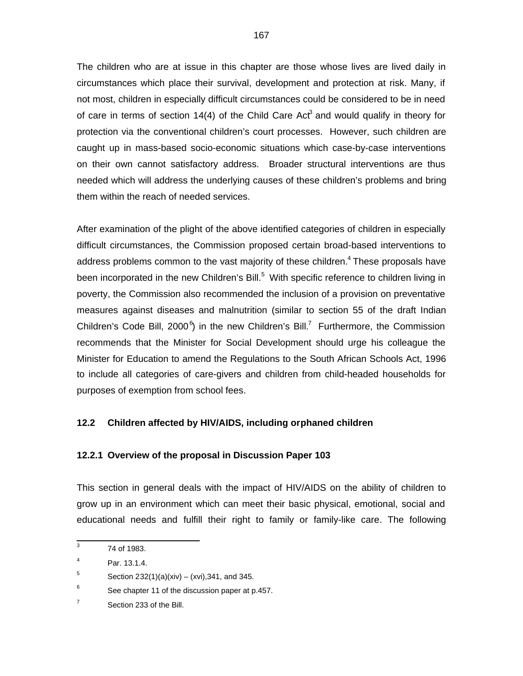The children who are at issue in this chapter are those whose lives are lived daily in circumstances which place their survival, development and protection at risk. Many, if not most, children in especially difficult circumstances could be considered to be in need of care in terms of section 14(4) of the Child Care Act<sup>3</sup> and would qualify in theory for protection via the conventional children's court processes. However, such children are caught up in mass-based socio-economic situations which case-by-case interventions on their own cannot satisfactory address. Broader structural interventions are thus needed which will address the underlying causes of these children's problems and bring them within the reach of needed services.

After examination of the plight of the above identified categories of children in especially difficult circumstances, the Commission proposed certain broad-based interventions to address problems common to the vast majority of these children.<sup>4</sup> These proposals have been incorporated in the new Children's Bill.<sup>5</sup> With specific reference to children living in poverty, the Commission also recommended the inclusion of a provision on preventative measures against diseases and malnutrition (similar to section 55 of the draft Indian Children's Code Bill, 2000 $^6$ ) in the new Children's Bill.<sup>7</sup> Furthermore, the Commission recommends that the Minister for Social Development should urge his colleague the Minister for Education to amend the Regulations to the South African Schools Act, 1996 to include all categories of care-givers and children from child-headed households for purposes of exemption from school fees.

## **12.2 Children affected by HIV/AIDS, including orphaned children**

## **12.2.1 Overview of the proposal in Discussion Paper 103**

This section in general deals with the impact of HIV/AIDS on the ability of children to grow up in an environment which can meet their basic physical, emotional, social and educational needs and fulfill their right to family or family-like care. The following

 3 74 of 1983.

<sup>4</sup> Par. 13.1.4.

<sup>5</sup> Section  $232(1)(a)(xiv) - (xvi), 341$ , and 345.

<sup>6</sup> See chapter 11 of the discussion paper at p.457.

<sup>7</sup> Section 233 of the Bill.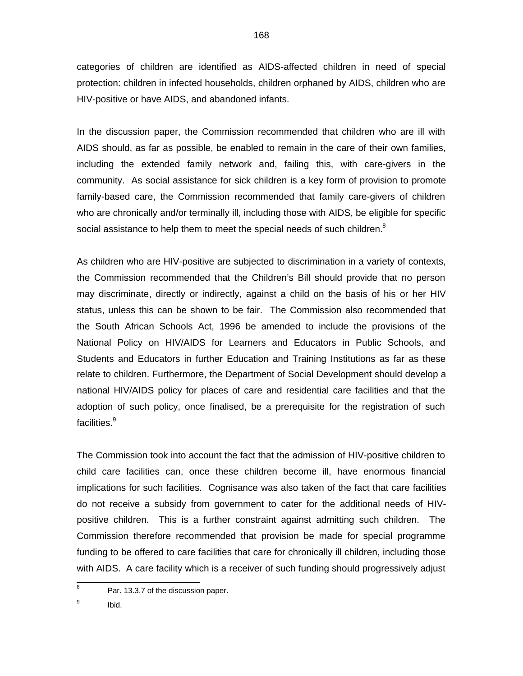categories of children are identified as AIDS-affected children in need of special protection: children in infected households, children orphaned by AIDS, children who are HIV-positive or have AIDS, and abandoned infants.

In the discussion paper, the Commission recommended that children who are ill with AIDS should, as far as possible, be enabled to remain in the care of their own families, including the extended family network and, failing this, with care-givers in the community. As social assistance for sick children is a key form of provision to promote family-based care, the Commission recommended that family care-givers of children who are chronically and/or terminally ill, including those with AIDS, be eligible for specific social assistance to help them to meet the special needs of such children. $8$ 

As children who are HIV-positive are subjected to discrimination in a variety of contexts, the Commission recommended that the Children's Bill should provide that no person may discriminate, directly or indirectly, against a child on the basis of his or her HIV status, unless this can be shown to be fair. The Commission also recommended that the South African Schools Act, 1996 be amended to include the provisions of the National Policy on HIV/AIDS for Learners and Educators in Public Schools, and Students and Educators in further Education and Training Institutions as far as these relate to children. Furthermore, the Department of Social Development should develop a national HIV/AIDS policy for places of care and residential care facilities and that the adoption of such policy, once finalised, be a prerequisite for the registration of such facilities.<sup>9</sup>

The Commission took into account the fact that the admission of HIV-positive children to child care facilities can, once these children become ill, have enormous financial implications for such facilities. Cognisance was also taken of the fact that care facilities do not receive a subsidy from government to cater for the additional needs of HIVpositive children. This is a further constraint against admitting such children. The Commission therefore recommended that provision be made for special programme funding to be offered to care facilities that care for chronically ill children, including those with AIDS. A care facility which is a receiver of such funding should progressively adjust

 8 Par. 13.3.7 of the discussion paper.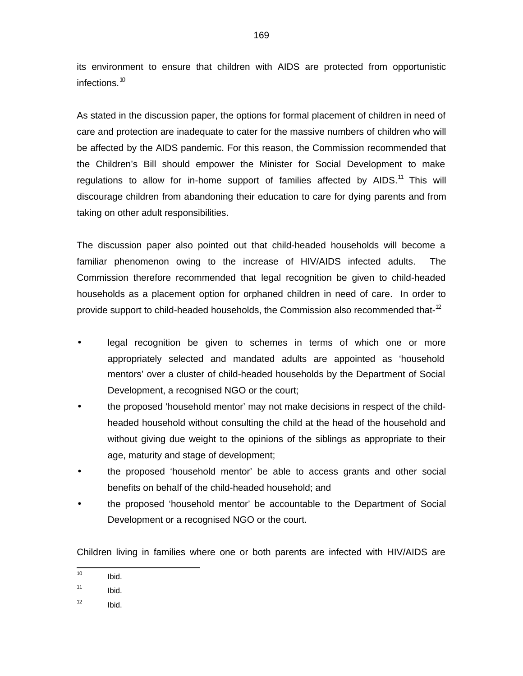its environment to ensure that children with AIDS are protected from opportunistic infections.<sup>10</sup>

As stated in the discussion paper, the options for formal placement of children in need of care and protection are inadequate to cater for the massive numbers of children who will be affected by the AIDS pandemic. For this reason, the Commission recommended that the Children's Bill should empower the Minister for Social Development to make regulations to allow for in-home support of families affected by AIDS. $11$  This will discourage children from abandoning their education to care for dying parents and from taking on other adult responsibilities.

The discussion paper also pointed out that child-headed households will become a familiar phenomenon owing to the increase of HIV/AIDS infected adults. The Commission therefore recommended that legal recognition be given to child-headed households as a placement option for orphaned children in need of care. In order to provide support to child-headed households, the Commission also recommended that-<sup>12</sup>

- legal recognition be given to schemes in terms of which one or more appropriately selected and mandated adults are appointed as 'household mentors' over a cluster of child-headed households by the Department of Social Development, a recognised NGO or the court;
- the proposed 'household mentor' may not make decisions in respect of the childheaded household without consulting the child at the head of the household and without giving due weight to the opinions of the siblings as appropriate to their age, maturity and stage of development;
- the proposed 'household mentor' be able to access grants and other social benefits on behalf of the child-headed household; and
- the proposed 'household mentor' be accountable to the Department of Social Development or a recognised NGO or the court.

Children living in families where one or both parents are infected with HIV/AIDS are

 $\frac{1}{10}$ Ibid.

<sup>11</sup> Ibid.

<sup>12</sup> Ibid.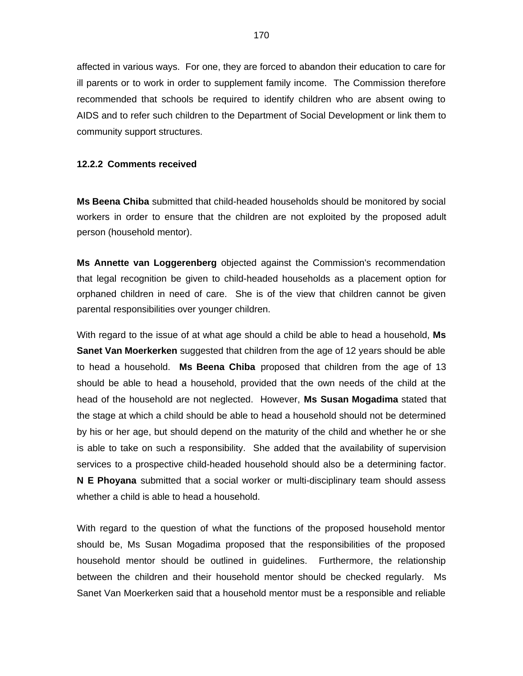affected in various ways. For one, they are forced to abandon their education to care for ill parents or to work in order to supplement family income. The Commission therefore recommended that schools be required to identify children who are absent owing to AIDS and to refer such children to the Department of Social Development or link them to community support structures.

#### **12.2.2 Comments received**

**Ms Beena Chiba** submitted that child-headed households should be monitored by social workers in order to ensure that the children are not exploited by the proposed adult person (household mentor).

**Ms Annette van Loggerenberg** objected against the Commission's recommendation that legal recognition be given to child-headed households as a placement option for orphaned children in need of care. She is of the view that children cannot be given parental responsibilities over younger children.

With regard to the issue of at what age should a child be able to head a household, **Ms Sanet Van Moerkerken** suggested that children from the age of 12 years should be able to head a household. **Ms Beena Chiba** proposed that children from the age of 13 should be able to head a household, provided that the own needs of the child at the head of the household are not neglected. However, **Ms Susan Mogadima** stated that the stage at which a child should be able to head a household should not be determined by his or her age, but should depend on the maturity of the child and whether he or she is able to take on such a responsibility. She added that the availability of supervision services to a prospective child-headed household should also be a determining factor. **N E Phoyana** submitted that a social worker or multi-disciplinary team should assess whether a child is able to head a household.

With regard to the question of what the functions of the proposed household mentor should be, Ms Susan Mogadima proposed that the responsibilities of the proposed household mentor should be outlined in guidelines. Furthermore, the relationship between the children and their household mentor should be checked regularly. Ms Sanet Van Moerkerken said that a household mentor must be a responsible and reliable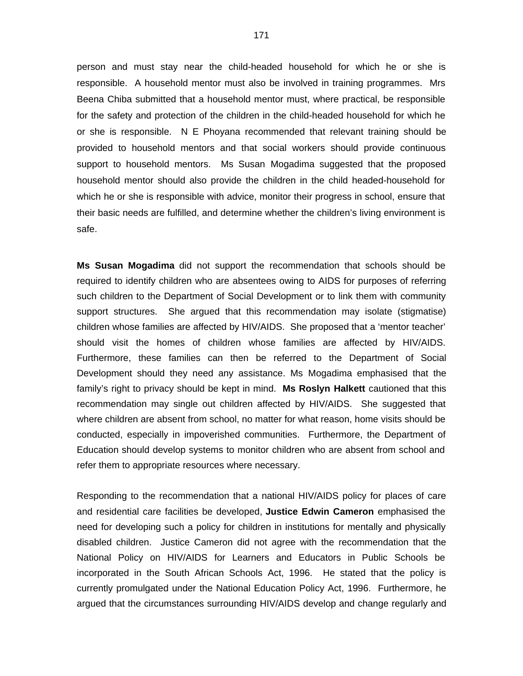person and must stay near the child-headed household for which he or she is responsible. A household mentor must also be involved in training programmes. Mrs Beena Chiba submitted that a household mentor must, where practical, be responsible for the safety and protection of the children in the child-headed household for which he or she is responsible. N E Phoyana recommended that relevant training should be provided to household mentors and that social workers should provide continuous support to household mentors. Ms Susan Mogadima suggested that the proposed household mentor should also provide the children in the child headed-household for which he or she is responsible with advice, monitor their progress in school, ensure that their basic needs are fulfilled, and determine whether the children's living environment is safe.

**Ms Susan Mogadima** did not support the recommendation that schools should be required to identify children who are absentees owing to AIDS for purposes of referring such children to the Department of Social Development or to link them with community support structures. She argued that this recommendation may isolate (stigmatise) children whose families are affected by HIV/AIDS. She proposed that a 'mentor teacher' should visit the homes of children whose families are affected by HIV/AIDS. Furthermore, these families can then be referred to the Department of Social Development should they need any assistance. Ms Mogadima emphasised that the family's right to privacy should be kept in mind. **Ms Roslyn Halkett** cautioned that this recommendation may single out children affected by HIV/AIDS. She suggested that where children are absent from school, no matter for what reason, home visits should be conducted, especially in impoverished communities. Furthermore, the Department of Education should develop systems to monitor children who are absent from school and refer them to appropriate resources where necessary.

Responding to the recommendation that a national HIV/AIDS policy for places of care and residential care facilities be developed, **Justice Edwin Cameron** emphasised the need for developing such a policy for children in institutions for mentally and physically disabled children. Justice Cameron did not agree with the recommendation that the National Policy on HIV/AIDS for Learners and Educators in Public Schools be incorporated in the South African Schools Act, 1996. He stated that the policy is currently promulgated under the National Education Policy Act, 1996. Furthermore, he argued that the circumstances surrounding HIV/AIDS develop and change regularly and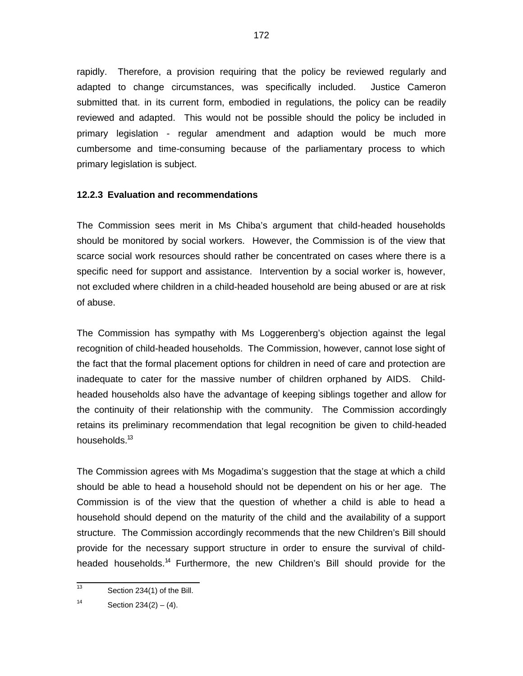rapidly. Therefore, a provision requiring that the policy be reviewed regularly and adapted to change circumstances, was specifically included. Justice Cameron submitted that. in its current form, embodied in regulations, the policy can be readily reviewed and adapted. This would not be possible should the policy be included in primary legislation - regular amendment and adaption would be much more cumbersome and time-consuming because of the parliamentary process to which primary legislation is subject.

### **12.2.3 Evaluation and recommendations**

The Commission sees merit in Ms Chiba's argument that child-headed households should be monitored by social workers. However, the Commission is of the view that scarce social work resources should rather be concentrated on cases where there is a specific need for support and assistance. Intervention by a social worker is, however, not excluded where children in a child-headed household are being abused or are at risk of abuse.

The Commission has sympathy with Ms Loggerenberg's objection against the legal recognition of child-headed households. The Commission, however, cannot lose sight of the fact that the formal placement options for children in need of care and protection are inadequate to cater for the massive number of children orphaned by AIDS. Childheaded households also have the advantage of keeping siblings together and allow for the continuity of their relationship with the community. The Commission accordingly retains its preliminary recommendation that legal recognition be given to child-headed households.<sup>13</sup>

The Commission agrees with Ms Mogadima's suggestion that the stage at which a child should be able to head a household should not be dependent on his or her age. The Commission is of the view that the question of whether a child is able to head a household should depend on the maturity of the child and the availability of a support structure. The Commission accordingly recommends that the new Children's Bill should provide for the necessary support structure in order to ensure the survival of childheaded households.<sup>14</sup> Furthermore, the new Children's Bill should provide for the

<sup>|&</sup>lt;br>13 Section 234(1) of the Bill.

<sup>14</sup> Section  $234(2) - (4)$ .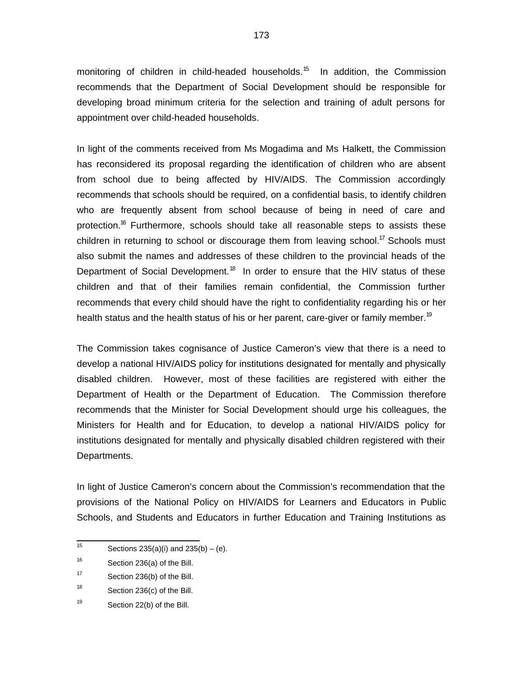monitoring of children in child-headed households.<sup>15</sup> In addition, the Commission recommends that the Department of Social Development should be responsible for developing broad minimum criteria for the selection and training of adult persons for appointment over child-headed households.

In light of the comments received from Ms Mogadima and Ms Halkett, the Commission has reconsidered its proposal regarding the identification of children who are absent from school due to being affected by HIV/AIDS. The Commission accordingly recommends that schools should be required, on a confidential basis, to identify children who are frequently absent from school because of being in need of care and protection.<sup>16</sup> Furthermore, schools should take all reasonable steps to assists these children in returning to school or discourage them from leaving school.<sup>17</sup> Schools must also submit the names and addresses of these children to the provincial heads of the Department of Social Development.<sup>18</sup> In order to ensure that the HIV status of these children and that of their families remain confidential, the Commission further recommends that every child should have the right to confidentiality regarding his or her health status and the health status of his or her parent, care-giver or family member.<sup>19</sup>

The Commission takes cognisance of Justice Cameron's view that there is a need to develop a national HIV/AIDS policy for institutions designated for mentally and physically disabled children. However, most of these facilities are registered with either the Department of Health or the Department of Education. The Commission therefore recommends that the Minister for Social Development should urge his colleagues, the Ministers for Health and for Education, to develop a national HIV/AIDS policy for institutions designated for mentally and physically disabled children registered with their Departments.

In light of Justice Cameron's concern about the Commission's recommendation that the provisions of the National Policy on HIV/AIDS for Learners and Educators in Public Schools, and Students and Educators in further Education and Training Institutions as

 15 Sections  $235(a)(i)$  and  $235(b) - (e)$ .

<sup>16</sup> Section 236(a) of the Bill.

<sup>17</sup> Section 236(b) of the Bill.

<sup>18</sup> Section 236(c) of the Bill.

<sup>19</sup> Section 22(b) of the Bill.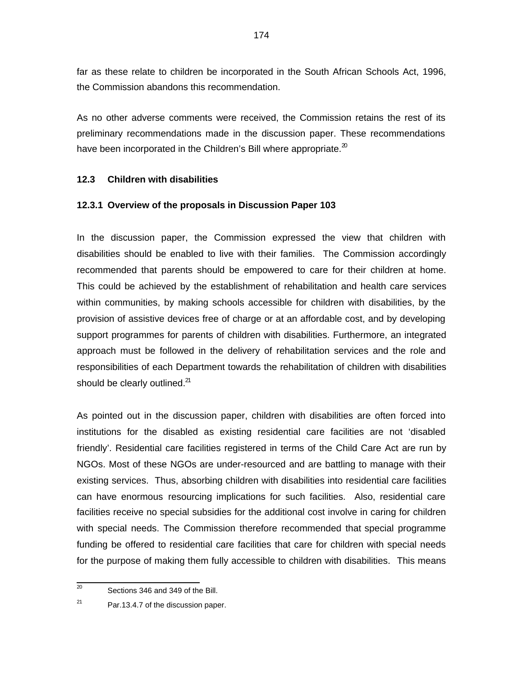far as these relate to children be incorporated in the South African Schools Act, 1996, the Commission abandons this recommendation.

As no other adverse comments were received, the Commission retains the rest of its preliminary recommendations made in the discussion paper. These recommendations have been incorporated in the Children's Bill where appropriate. $2^{\circ}$ 

## **12.3 Children with disabilities**

## **12.3.1 Overview of the proposals in Discussion Paper 103**

In the discussion paper, the Commission expressed the view that children with disabilities should be enabled to live with their families. The Commission accordingly recommended that parents should be empowered to care for their children at home. This could be achieved by the establishment of rehabilitation and health care services within communities, by making schools accessible for children with disabilities, by the provision of assistive devices free of charge or at an affordable cost, and by developing support programmes for parents of children with disabilities. Furthermore, an integrated approach must be followed in the delivery of rehabilitation services and the role and responsibilities of each Department towards the rehabilitation of children with disabilities should be clearly outlined.<sup>21</sup>

As pointed out in the discussion paper, children with disabilities are often forced into institutions for the disabled as existing residential care facilities are not 'disabled friendly'. Residential care facilities registered in terms of the Child Care Act are run by NGOs. Most of these NGOs are under-resourced and are battling to manage with their existing services. Thus, absorbing children with disabilities into residential care facilities can have enormous resourcing implications for such facilities. Also, residential care facilities receive no special subsidies for the additional cost involve in caring for children with special needs. The Commission therefore recommended that special programme funding be offered to residential care facilities that care for children with special needs for the purpose of making them fully accessible to children with disabilities. This means

 20 Sections 346 and 349 of the Bill.

<sup>21</sup> Par.13.4.7 of the discussion paper.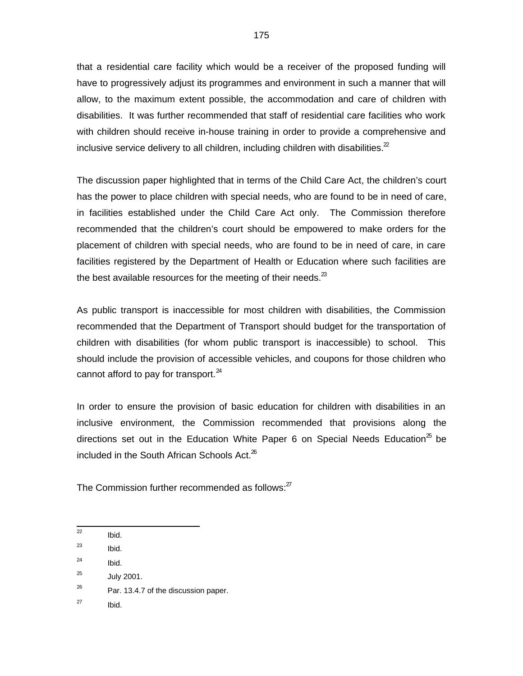that a residential care facility which would be a receiver of the proposed funding will have to progressively adjust its programmes and environment in such a manner that will allow, to the maximum extent possible, the accommodation and care of children with disabilities. It was further recommended that staff of residential care facilities who work with children should receive in-house training in order to provide a comprehensive and inclusive service delivery to all children, including children with disabilities. $2^2$ 

The discussion paper highlighted that in terms of the Child Care Act, the children's court has the power to place children with special needs, who are found to be in need of care, in facilities established under the Child Care Act only. The Commission therefore recommended that the children's court should be empowered to make orders for the placement of children with special needs, who are found to be in need of care, in care facilities registered by the Department of Health or Education where such facilities are the best available resources for the meeting of their needs. $^{23}$ 

As public transport is inaccessible for most children with disabilities, the Commission recommended that the Department of Transport should budget for the transportation of children with disabilities (for whom public transport is inaccessible) to school. This should include the provision of accessible vehicles, and coupons for those children who cannot afford to pay for transport. $^{24}$ 

In order to ensure the provision of basic education for children with disabilities in an inclusive environment, the Commission recommended that provisions along the directions set out in the Education White Paper 6 on Special Needs Education<sup>25</sup> be included in the South African Schools Act. $26$ 

The Commission further recommended as follows: $Z<sup>7</sup>$ 

27 Ibid.

 $\frac{1}{22}$ Ibid.

<sup>23</sup> Ibid.

<sup>24</sup> Ibid.

<sup>25</sup> July 2001.

<sup>26</sup> Par. 13.4.7 of the discussion paper.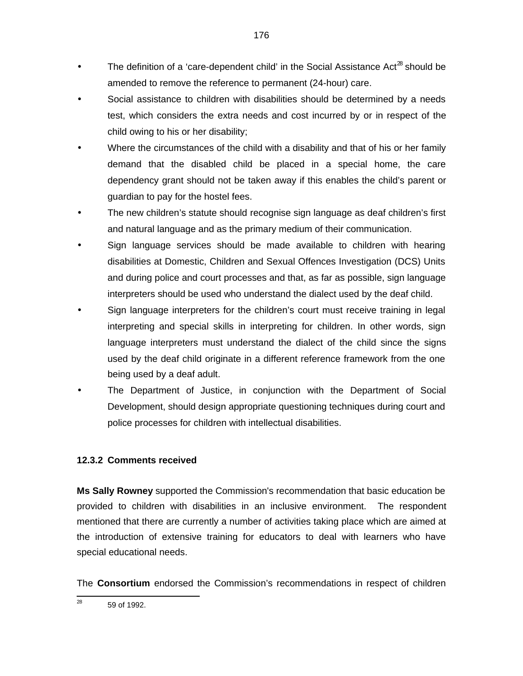- The definition of a 'care-dependent child' in the Social Assistance Act<sup>28</sup> should be amended to remove the reference to permanent (24-hour) care.
- Social assistance to children with disabilities should be determined by a needs test, which considers the extra needs and cost incurred by or in respect of the child owing to his or her disability;
- Where the circumstances of the child with a disability and that of his or her family demand that the disabled child be placed in a special home, the care dependency grant should not be taken away if this enables the child's parent or guardian to pay for the hostel fees.
- The new children's statute should recognise sign language as deaf children's first and natural language and as the primary medium of their communication.
- Sign language services should be made available to children with hearing disabilities at Domestic, Children and Sexual Offences Investigation (DCS) Units and during police and court processes and that, as far as possible, sign language interpreters should be used who understand the dialect used by the deaf child.
- Sign language interpreters for the children's court must receive training in legal interpreting and special skills in interpreting for children. In other words, sign language interpreters must understand the dialect of the child since the signs used by the deaf child originate in a different reference framework from the one being used by a deaf adult.
- The Department of Justice, in conjunction with the Department of Social Development, should design appropriate questioning techniques during court and police processes for children with intellectual disabilities.

# **12.3.2 Comments received**

**Ms Sally Rowney** supported the Commission's recommendation that basic education be provided to children with disabilities in an inclusive environment. The respondent mentioned that there are currently a number of activities taking place which are aimed at the introduction of extensive training for educators to deal with learners who have special educational needs.

The **Consortium** endorsed the Commission's recommendations in respect of children

<sup>—&</sup>lt;br>28 59 of 1992.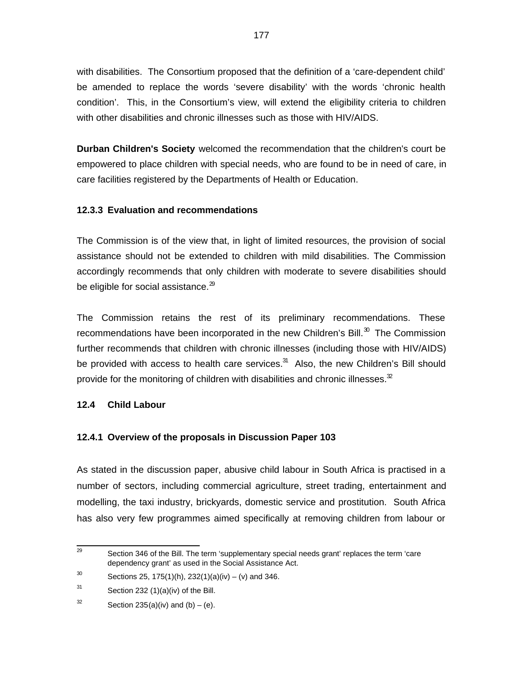with disabilities. The Consortium proposed that the definition of a 'care-dependent child' be amended to replace the words 'severe disability' with the words 'chronic health condition'. This, in the Consortium's view, will extend the eligibility criteria to children with other disabilities and chronic illnesses such as those with HIV/AIDS.

**Durban Children's Society** welcomed the recommendation that the children's court be empowered to place children with special needs, who are found to be in need of care, in care facilities registered by the Departments of Health or Education.

## **12.3.3 Evaluation and recommendations**

The Commission is of the view that, in light of limited resources, the provision of social assistance should not be extended to children with mild disabilities. The Commission accordingly recommends that only children with moderate to severe disabilities should be eligible for social assistance. $^{29}$ 

The Commission retains the rest of its preliminary recommendations. These recommendations have been incorporated in the new Children's Bill. $^{30}$  The Commission further recommends that children with chronic illnesses (including those with HIV/AIDS) be provided with access to health care services.<sup>31</sup> Also, the new Children's Bill should provide for the monitoring of children with disabilities and chronic illnesses.  $2^{\circ}$ 

#### **12.4 Child Labour**

## **12.4.1 Overview of the proposals in Discussion Paper 103**

As stated in the discussion paper, abusive child labour in South Africa is practised in a number of sectors, including commercial agriculture, street trading, entertainment and modelling, the taxi industry, brickyards, domestic service and prostitution. South Africa has also very few programmes aimed specifically at removing children from labour or

<sup>-&</sup>lt;br>29 Section 346 of the Bill. The term 'supplementary special needs grant' replaces the term 'care dependency grant' as used in the Social Assistance Act.

<sup>30</sup> Sections 25, 175(1)(h), 232(1)(a)(iv) – (v) and 346.

<sup>31</sup> Section 232 (1)(a)(iv) of the Bill.

<sup>32</sup> Section  $235(a)(iv)$  and  $(b) - (e)$ .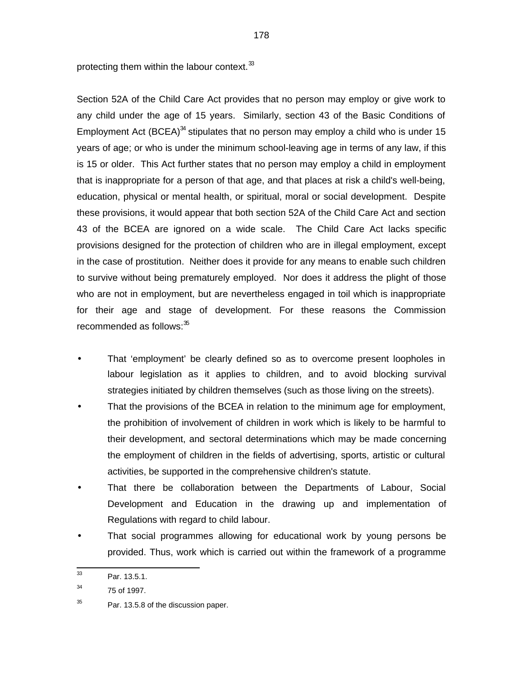protecting them within the labour context. $33$ 

Section 52A of the Child Care Act provides that no person may employ or give work to any child under the age of 15 years. Similarly, section 43 of the Basic Conditions of Employment Act (BCEA) $^{34}$  stipulates that no person may employ a child who is under 15 years of age; or who is under the minimum school-leaving age in terms of any law, if this is 15 or older. This Act further states that no person may employ a child in employment that is inappropriate for a person of that age, and that places at risk a child's well-being, education, physical or mental health, or spiritual, moral or social development. Despite these provisions, it would appear that both section 52A of the Child Care Act and section 43 of the BCEA are ignored on a wide scale. The Child Care Act lacks specific provisions designed for the protection of children who are in illegal employment, except in the case of prostitution. Neither does it provide for any means to enable such children to survive without being prematurely employed. Nor does it address the plight of those who are not in employment, but are nevertheless engaged in toil which is inappropriate for their age and stage of development. For these reasons the Commission recommended as follows: $35$ 

- That 'employment' be clearly defined so as to overcome present loopholes in labour legislation as it applies to children, and to avoid blocking survival strategies initiated by children themselves (such as those living on the streets).
- That the provisions of the BCEA in relation to the minimum age for employment, the prohibition of involvement of children in work which is likely to be harmful to their development, and sectoral determinations which may be made concerning the employment of children in the fields of advertising, sports, artistic or cultural activities, be supported in the comprehensive children's statute.
- That there be collaboration between the Departments of Labour, Social Development and Education in the drawing up and implementation of Regulations with regard to child labour.
- That social programmes allowing for educational work by young persons be provided. Thus, work which is carried out within the framework of a programme

 33 Par. 13.5.1.

<sup>34</sup> 75 of 1997.

<sup>35</sup> Par. 13.5.8 of the discussion paper.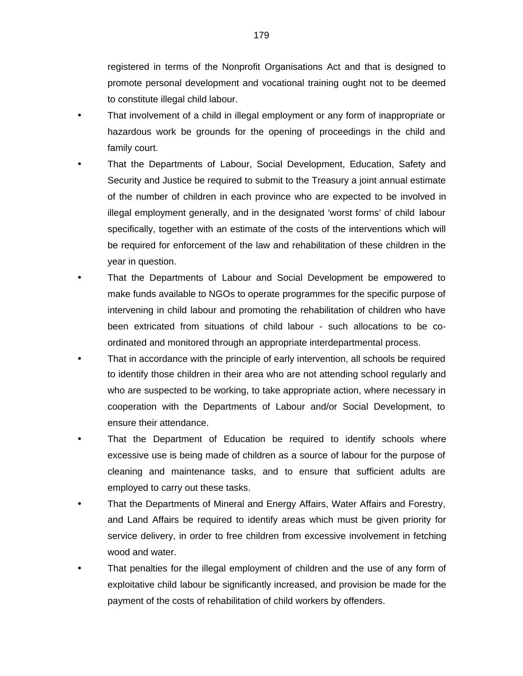registered in terms of the Nonprofit Organisations Act and that is designed to promote personal development and vocational training ought not to be deemed to constitute illegal child labour.

- That involvement of a child in illegal employment or any form of inappropriate or hazardous work be grounds for the opening of proceedings in the child and family court.
- That the Departments of Labour, Social Development, Education, Safety and Security and Justice be required to submit to the Treasury a joint annual estimate of the number of children in each province who are expected to be involved in illegal employment generally, and in the designated 'worst forms' of child labour specifically, together with an estimate of the costs of the interventions which will be required for enforcement of the law and rehabilitation of these children in the year in question.
- That the Departments of Labour and Social Development be empowered to make funds available to NGOs to operate programmes for the specific purpose of intervening in child labour and promoting the rehabilitation of children who have been extricated from situations of child labour - such allocations to be coordinated and monitored through an appropriate interdepartmental process.
- That in accordance with the principle of early intervention, all schools be required to identify those children in their area who are not attending school regularly and who are suspected to be working, to take appropriate action, where necessary in cooperation with the Departments of Labour and/or Social Development, to ensure their attendance.
- That the Department of Education be required to identify schools where excessive use is being made of children as a source of labour for the purpose of cleaning and maintenance tasks, and to ensure that sufficient adults are employed to carry out these tasks.
- That the Departments of Mineral and Energy Affairs, Water Affairs and Forestry, and Land Affairs be required to identify areas which must be given priority for service delivery, in order to free children from excessive involvement in fetching wood and water.
- That penalties for the illegal employment of children and the use of any form of exploitative child labour be significantly increased, and provision be made for the payment of the costs of rehabilitation of child workers by offenders.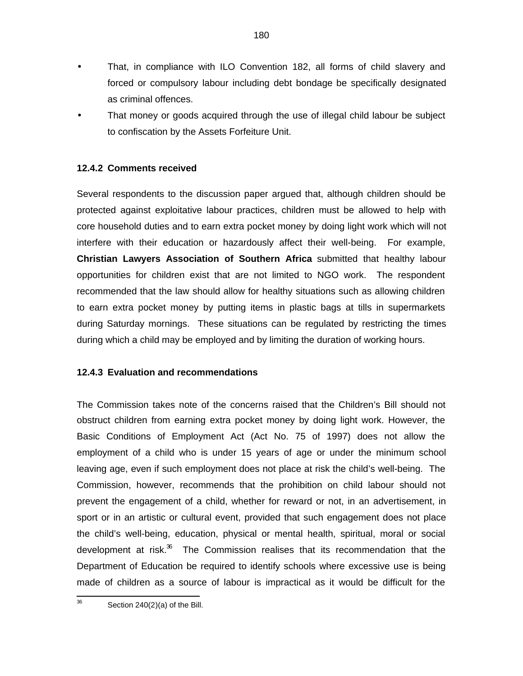- That, in compliance with ILO Convention 182, all forms of child slavery and forced or compulsory labour including debt bondage be specifically designated as criminal offences.
- That money or goods acquired through the use of illegal child labour be subject to confiscation by the Assets Forfeiture Unit.

# **12.4.2 Comments received**

Several respondents to the discussion paper argued that, although children should be protected against exploitative labour practices, children must be allowed to help with core household duties and to earn extra pocket money by doing light work which will not interfere with their education or hazardously affect their well-being. For example, **Christian Lawyers Association of Southern Africa** submitted that healthy labour opportunities for children exist that are not limited to NGO work. The respondent recommended that the law should allow for healthy situations such as allowing children to earn extra pocket money by putting items in plastic bags at tills in supermarkets during Saturday mornings. These situations can be regulated by restricting the times during which a child may be employed and by limiting the duration of working hours.

## **12.4.3 Evaluation and recommendations**

The Commission takes note of the concerns raised that the Children's Bill should not obstruct children from earning extra pocket money by doing light work. However, the Basic Conditions of Employment Act (Act No. 75 of 1997) does not allow the employment of a child who is under 15 years of age or under the minimum school leaving age, even if such employment does not place at risk the child's well-being. The Commission, however, recommends that the prohibition on child labour should not prevent the engagement of a child, whether for reward or not, in an advertisement, in sport or in an artistic or cultural event, provided that such engagement does not place the child's well-being, education, physical or mental health, spiritual, moral or social development at risk. $36$  The Commission realises that its recommendation that the Department of Education be required to identify schools where excessive use is being made of children as a source of labour is impractical as it would be difficult for the

—<br>36 Section 240(2)(a) of the Bill.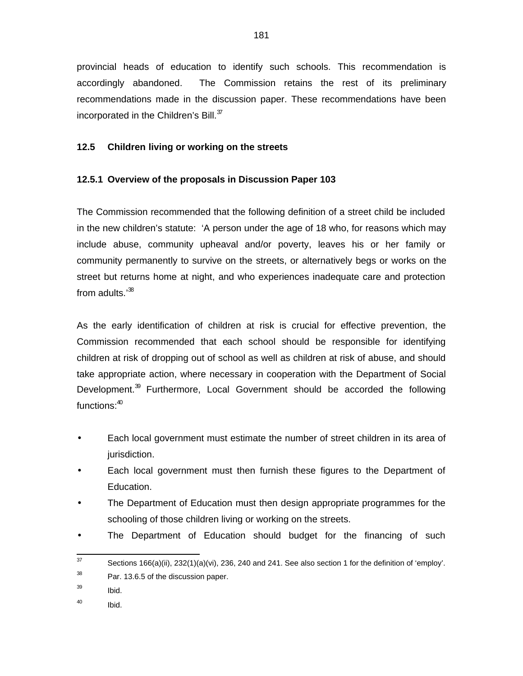provincial heads of education to identify such schools. This recommendation is accordingly abandoned. The Commission retains the rest of its preliminary recommendations made in the discussion paper. These recommendations have been incorporated in the Children's Bill. $37$ 

# **12.5 Children living or working on the streets**

# **12.5.1 Overview of the proposals in Discussion Paper 103**

The Commission recommended that the following definition of a street child be included in the new children's statute: 'A person under the age of 18 who, for reasons which may include abuse, community upheaval and/or poverty, leaves his or her family or community permanently to survive on the streets, or alternatively begs or works on the street but returns home at night, and who experiences inadequate care and protection from adults.<sup>'38</sup>

As the early identification of children at risk is crucial for effective prevention, the Commission recommended that each school should be responsible for identifying children at risk of dropping out of school as well as children at risk of abuse, and should take appropriate action, where necessary in cooperation with the Department of Social Development.<sup>39</sup> Furthermore, Local Government should be accorded the following functions:<sup>40</sup>

- Each local government must estimate the number of street children in its area of jurisdiction.
- Each local government must then furnish these figures to the Department of Education.
- The Department of Education must then design appropriate programmes for the schooling of those children living or working on the streets.
- The Department of Education should budget for the financing of such

<sup>—&</sup>lt;br>37 Sections 166(a)(ii), 232(1)(a)(vi), 236, 240 and 241. See also section 1 for the definition of 'employ'. 38 Par. 13.6.5 of the discussion paper.

<sup>39</sup> Ibid.

<sup>40</sup> Ibid.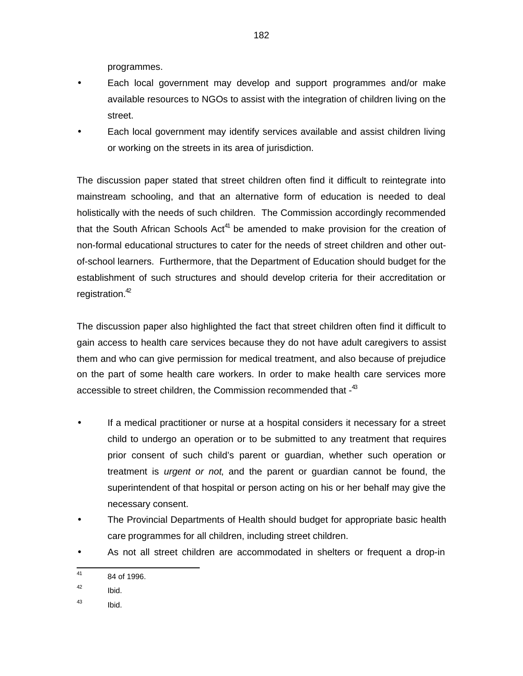programmes.

- Each local government may develop and support programmes and/or make available resources to NGOs to assist with the integration of children living on the street.
- Each local government may identify services available and assist children living or working on the streets in its area of jurisdiction.

The discussion paper stated that street children often find it difficult to reintegrate into mainstream schooling, and that an alternative form of education is needed to deal holistically with the needs of such children. The Commission accordingly recommended that the South African Schools Act<sup>41</sup> be amended to make provision for the creation of non-formal educational structures to cater for the needs of street children and other outof-school learners. Furthermore, that the Department of Education should budget for the establishment of such structures and should develop criteria for their accreditation or registration.<sup>42</sup>

The discussion paper also highlighted the fact that street children often find it difficult to gain access to health care services because they do not have adult caregivers to assist them and who can give permission for medical treatment, and also because of prejudice on the part of some health care workers. In order to make health care services more accessible to street children, the Commission recommended that -43

- If a medical practitioner or nurse at a hospital considers it necessary for a street child to undergo an operation or to be submitted to any treatment that requires prior consent of such child's parent or guardian, whether such operation or treatment is urgent or not, and the parent or guardian cannot be found, the superintendent of that hospital or person acting on his or her behalf may give the necessary consent.
- The Provincial Departments of Health should budget for appropriate basic health care programmes for all children, including street children.
- As not all street children are accommodated in shelters or frequent a drop-in

 41 84 of 1996.

<sup>42</sup> Ibid.

<sup>43</sup> Ibid.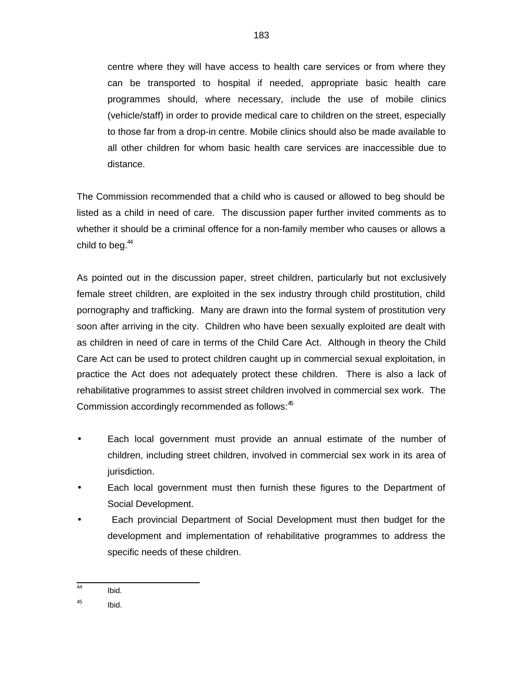centre where they will have access to health care services or from where they can be transported to hospital if needed, appropriate basic health care programmes should, where necessary, include the use of mobile clinics (vehicle/staff) in order to provide medical care to children on the street, especially to those far from a drop-in centre. Mobile clinics should also be made available to all other children for whom basic health care services are inaccessible due to distance.

The Commission recommended that a child who is caused or allowed to beg should be listed as a child in need of care. The discussion paper further invited comments as to whether it should be a criminal offence for a non-family member who causes or allows a child to beg. $44$ 

As pointed out in the discussion paper, street children, particularly but not exclusively female street children, are exploited in the sex industry through child prostitution, child pornography and trafficking. Many are drawn into the formal system of prostitution very soon after arriving in the city. Children who have been sexually exploited are dealt with as children in need of care in terms of the Child Care Act. Although in theory the Child Care Act can be used to protect children caught up in commercial sexual exploitation, in practice the Act does not adequately protect these children. There is also a lack of rehabilitative programmes to assist street children involved in commercial sex work. The Commission accordingly recommended as follows:<sup>45</sup>

- Each local government must provide an annual estimate of the number of children, including street children, involved in commercial sex work in its area of jurisdiction.
- Each local government must then furnish these figures to the Department of Social Development.
- Each provincial Department of Social Development must then budget for the development and implementation of rehabilitative programmes to address the specific needs of these children.

 44 Ibid.

<sup>45</sup> Ibid.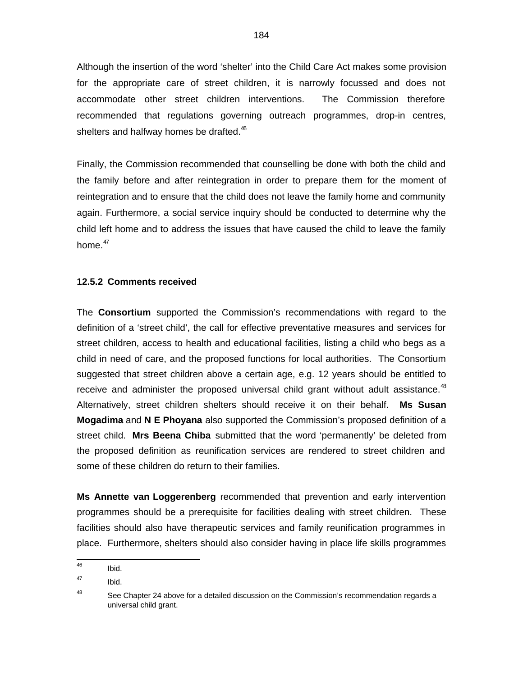Although the insertion of the word 'shelter' into the Child Care Act makes some provision for the appropriate care of street children, it is narrowly focussed and does not accommodate other street children interventions. The Commission therefore recommended that regulations governing outreach programmes, drop-in centres, shelters and halfway homes be drafted.<sup>46</sup>

Finally, the Commission recommended that counselling be done with both the child and the family before and after reintegration in order to prepare them for the moment of reintegration and to ensure that the child does not leave the family home and community again. Furthermore, a social service inquiry should be conducted to determine why the child left home and to address the issues that have caused the child to leave the family home. $47$ 

## **12.5.2 Comments received**

The **Consortium** supported the Commission's recommendations with regard to the definition of a 'street child', the call for effective preventative measures and services for street children, access to health and educational facilities, listing a child who begs as a child in need of care, and the proposed functions for local authorities. The Consortium suggested that street children above a certain age, e.g. 12 years should be entitled to receive and administer the proposed universal child grant without adult assistance. $48$ Alternatively, street children shelters should receive it on their behalf. **Ms Susan Mogadima** and **N E Phoyana** also supported the Commission's proposed definition of a street child. **Mrs Beena Chiba** submitted that the word 'permanently' be deleted from the proposed definition as reunification services are rendered to street children and some of these children do return to their families.

**Ms Annette van Loggerenberg** recommended that prevention and early intervention programmes should be a prerequisite for facilities dealing with street children. These facilities should also have therapeutic services and family reunification programmes in place. Furthermore, shelters should also consider having in place life skills programmes

<sup>—&</sup>lt;br>46 Ibid.

<sup>47</sup> Ibid.

<sup>48</sup> See Chapter 24 above for a detailed discussion on the Commission's recommendation regards a universal child grant.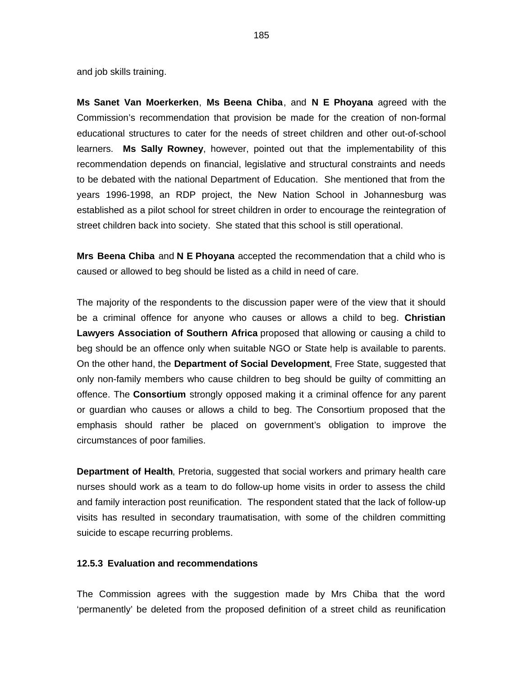and job skills training.

**Ms Sanet Van Moerkerken**, **Ms Beena Chiba**, and **N E Phoyana** agreed with the Commission's recommendation that provision be made for the creation of non-formal educational structures to cater for the needs of street children and other out-of-school learners. **Ms Sally Rowney**, however, pointed out that the implementability of this recommendation depends on financial, legislative and structural constraints and needs to be debated with the national Department of Education. She mentioned that from the years 1996-1998, an RDP project, the New Nation School in Johannesburg was established as a pilot school for street children in order to encourage the reintegration of street children back into society. She stated that this school is still operational.

**Mrs Beena Chiba** and **N E Phoyana** accepted the recommendation that a child who is caused or allowed to beg should be listed as a child in need of care.

The majority of the respondents to the discussion paper were of the view that it should be a criminal offence for anyone who causes or allows a child to beg. **Christian Lawyers Association of Southern Africa** proposed that allowing or causing a child to beg should be an offence only when suitable NGO or State help is available to parents. On the other hand, the **Department of Social Development**, Free State, suggested that only non-family members who cause children to beg should be guilty of committing an offence. The **Consortium** strongly opposed making it a criminal offence for any parent or guardian who causes or allows a child to beg. The Consortium proposed that the emphasis should rather be placed on government's obligation to improve the circumstances of poor families.

**Department of Health**, Pretoria, suggested that social workers and primary health care nurses should work as a team to do follow-up home visits in order to assess the child and family interaction post reunification. The respondent stated that the lack of follow-up visits has resulted in secondary traumatisation, with some of the children committing suicide to escape recurring problems.

# **12.5.3 Evaluation and recommendations**

The Commission agrees with the suggestion made by Mrs Chiba that the word 'permanently' be deleted from the proposed definition of a street child as reunification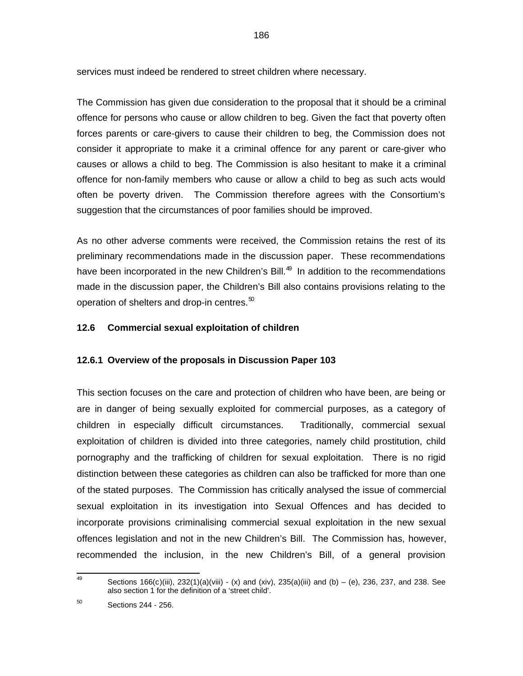services must indeed be rendered to street children where necessary.

The Commission has given due consideration to the proposal that it should be a criminal offence for persons who cause or allow children to beg. Given the fact that poverty often forces parents or care-givers to cause their children to beg, the Commission does not consider it appropriate to make it a criminal offence for any parent or care-giver who causes or allows a child to beg. The Commission is also hesitant to make it a criminal offence for non-family members who cause or allow a child to beg as such acts would often be poverty driven. The Commission therefore agrees with the Consortium's suggestion that the circumstances of poor families should be improved.

As no other adverse comments were received, the Commission retains the rest of its preliminary recommendations made in the discussion paper. These recommendations have been incorporated in the new Children's Bill.<sup>49</sup> In addition to the recommendations made in the discussion paper, the Children's Bill also contains provisions relating to the operation of shelters and drop-in centres. $50$ 

# **12.6 Commercial sexual exploitation of children**

## **12.6.1 Overview of the proposals in Discussion Paper 103**

This section focuses on the care and protection of children who have been, are being or are in danger of being sexually exploited for commercial purposes, as a category of children in especially difficult circumstances. Traditionally, commercial sexual exploitation of children is divided into three categories, namely child prostitution, child pornography and the trafficking of children for sexual exploitation. There is no rigid distinction between these categories as children can also be trafficked for more than one of the stated purposes. The Commission has critically analysed the issue of commercial sexual exploitation in its investigation into Sexual Offences and has decided to incorporate provisions criminalising commercial sexual exploitation in the new sexual offences legislation and not in the new Children's Bill. The Commission has, however, recommended the inclusion, in the new Children's Bill, of a general provision

<sup>—&</sup>lt;br>49 Sections 166(c)(iii), 232(1)(a)(viii) - (x) and (xiv), 235(a)(iii) and (b) – (e), 236, 237, and 238. See also section 1 for the definition of a 'street child'.

<sup>50</sup> Sections 244 - 256.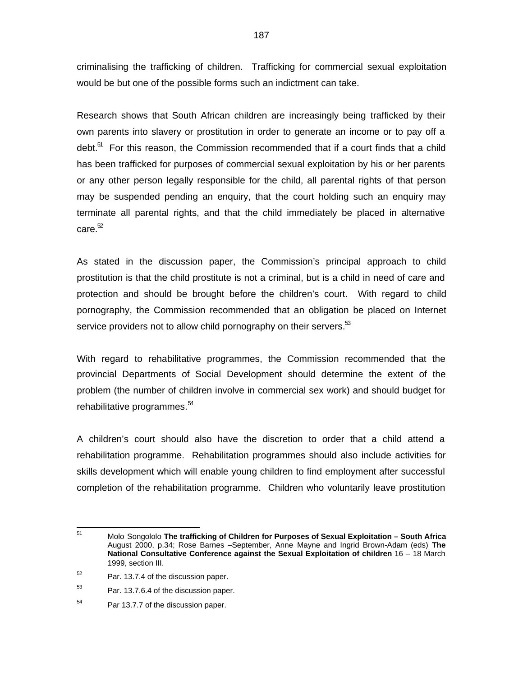criminalising the trafficking of children. Trafficking for commercial sexual exploitation would be but one of the possible forms such an indictment can take.

Research shows that South African children are increasingly being trafficked by their own parents into slavery or prostitution in order to generate an income or to pay off a debt.<sup>51</sup> For this reason, the Commission recommended that if a court finds that a child has been trafficked for purposes of commercial sexual exploitation by his or her parents or any other person legally responsible for the child, all parental rights of that person may be suspended pending an enquiry, that the court holding such an enquiry may terminate all parental rights, and that the child immediately be placed in alternative care. $52$ 

As stated in the discussion paper, the Commission's principal approach to child prostitution is that the child prostitute is not a criminal, but is a child in need of care and protection and should be brought before the children's court. With regard to child pornography, the Commission recommended that an obligation be placed on Internet service providers not to allow child pornography on their servers. $53$ 

With regard to rehabilitative programmes, the Commission recommended that the provincial Departments of Social Development should determine the extent of the problem (the number of children involve in commercial sex work) and should budget for rehabilitative programmes. $54$ 

A children's court should also have the discretion to order that a child attend a rehabilitation programme. Rehabilitation programmes should also include activities for skills development which will enable young children to find employment after successful completion of the rehabilitation programme. Children who voluntarily leave prostitution

 $\overline{51}$ <sup>51</sup> Molo Songololo **The trafficking of Children for Purposes of Sexual Exploitation – South Africa** August 2000, p.34; Rose Barnes –September, Anne Mayne and Ingrid Brown-Adam (eds) **The National Consultative Conference against the Sexual Exploitation of children** 16 – 18 March 1999, section III.

<sup>52</sup> Par. 13.7.4 of the discussion paper.

<sup>53</sup> Par. 13.7.6.4 of the discussion paper.

<sup>54</sup> Par 13.7.7 of the discussion paper.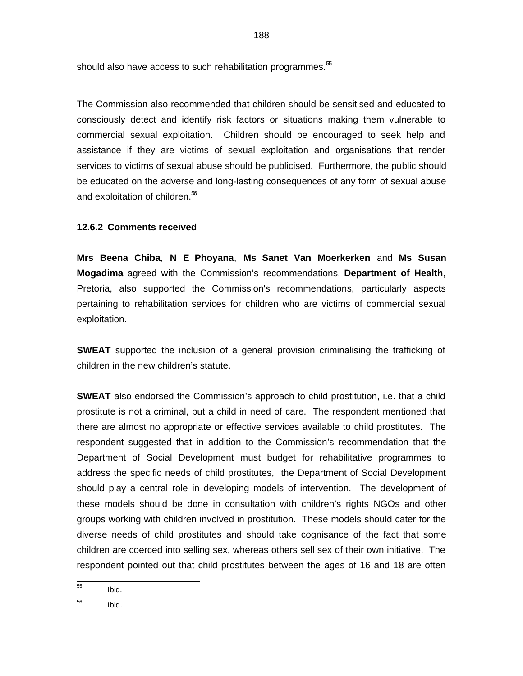should also have access to such rehabilitation programmes. $55$ 

The Commission also recommended that children should be sensitised and educated to consciously detect and identify risk factors or situations making them vulnerable to commercial sexual exploitation. Children should be encouraged to seek help and assistance if they are victims of sexual exploitation and organisations that render services to victims of sexual abuse should be publicised. Furthermore, the public should be educated on the adverse and long-lasting consequences of any form of sexual abuse and exploitation of children.<sup>56</sup>

### **12.6.2 Comments received**

**Mrs Beena Chiba**, **N E Phoyana**, **Ms Sanet Van Moerkerken** and **Ms Susan Mogadima** agreed with the Commission's recommendations. **Department of Health**, Pretoria, also supported the Commission's recommendations, particularly aspects pertaining to rehabilitation services for children who are victims of commercial sexual exploitation.

**SWEAT** supported the inclusion of a general provision criminalising the trafficking of children in the new children's statute.

**SWEAT** also endorsed the Commission's approach to child prostitution, i.e. that a child prostitute is not a criminal, but a child in need of care. The respondent mentioned that there are almost no appropriate or effective services available to child prostitutes. The respondent suggested that in addition to the Commission's recommendation that the Department of Social Development must budget for rehabilitative programmes to address the specific needs of child prostitutes, the Department of Social Development should play a central role in developing models of intervention. The development of these models should be done in consultation with children's rights NGOs and other groups working with children involved in prostitution. These models should cater for the diverse needs of child prostitutes and should take cognisance of the fact that some children are coerced into selling sex, whereas others sell sex of their own initiative. The respondent pointed out that child prostitutes between the ages of 16 and 18 are often

 55 Ibid.

<sup>56</sup> Ibid.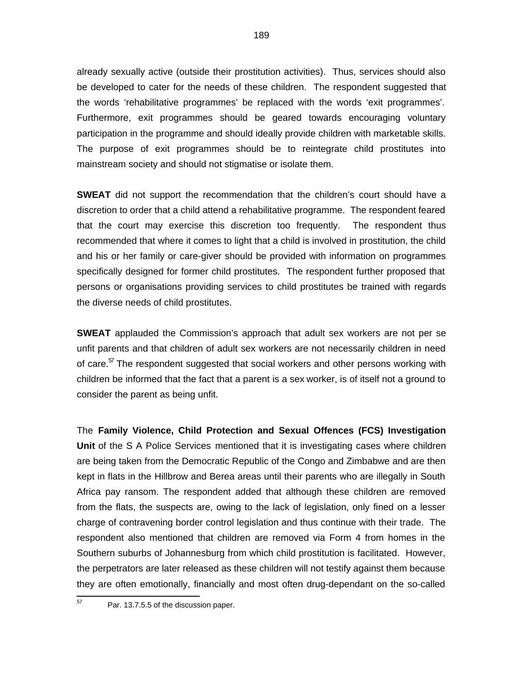already sexually active (outside their prostitution activities). Thus, services should also be developed to cater for the needs of these children. The respondent suggested that the words 'rehabilitative programmes' be replaced with the words 'exit programmes'. Furthermore, exit programmes should be geared towards encouraging voluntary participation in the programme and should ideally provide children with marketable skills. The purpose of exit programmes should be to reintegrate child prostitutes into mainstream society and should not stigmatise or isolate them.

**SWEAT** did not support the recommendation that the children's court should have a discretion to order that a child attend a rehabilitative programme. The respondent feared that the court may exercise this discretion too frequently. The respondent thus recommended that where it comes to light that a child is involved in prostitution, the child and his or her family or care-giver should be provided with information on programmes specifically designed for former child prostitutes. The respondent further proposed that persons or organisations providing services to child prostitutes be trained with regards the diverse needs of child prostitutes.

**SWEAT** applauded the Commission's approach that adult sex workers are not per se unfit parents and that children of adult sex workers are not necessarily children in need of care.<sup>57</sup> The respondent suggested that social workers and other persons working with children be informed that the fact that a parent is a sex worker, is of itself not a ground to consider the parent as being unfit.

The **Family Violence, Child Protection and Sexual Offences (FCS) Investigation Unit** of the S A Police Services mentioned that it is investigating cases where children are being taken from the Democratic Republic of the Congo and Zimbabwe and are then kept in flats in the Hillbrow and Berea areas until their parents who are illegally in South Africa pay ransom. The respondent added that although these children are removed from the flats, the suspects are, owing to the lack of legislation, only fined on a lesser charge of contravening border control legislation and thus continue with their trade. The respondent also mentioned that children are removed via Form 4 from homes in the Southern suburbs of Johannesburg from which child prostitution is facilitated. However, the perpetrators are later released as these children will not testify against them because they are often emotionally, financially and most often drug-dependant on the so-called

—<br>57

Par. 13.7.5.5 of the discussion paper.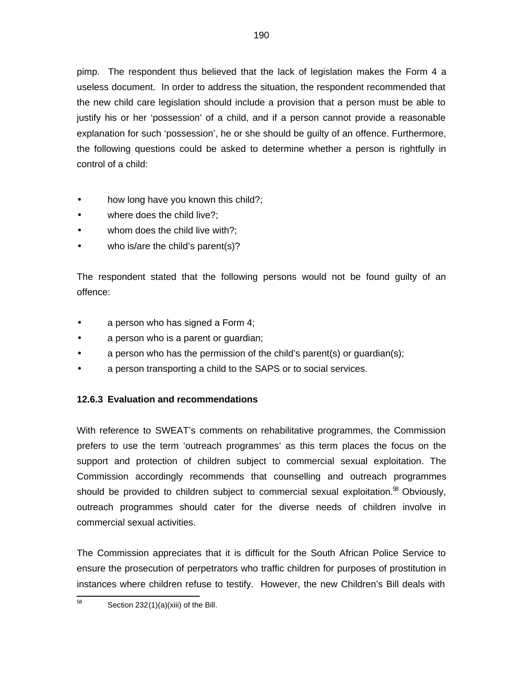pimp. The respondent thus believed that the lack of legislation makes the Form 4 a useless document. In order to address the situation, the respondent recommended that the new child care legislation should include a provision that a person must be able to justify his or her 'possession' of a child, and if a person cannot provide a reasonable explanation for such 'possession', he or she should be guilty of an offence. Furthermore, the following questions could be asked to determine whether a person is rightfully in control of a child:

- how long have you known this child?;
- where does the child live?;
- whom does the child live with?;
- who is/are the child's parent(s)?

The respondent stated that the following persons would not be found guilty of an offence:

- a person who has signed a Form 4;
- a person who is a parent or guardian;
- a person who has the permission of the child's parent(s) or quardian(s);
- a person transporting a child to the SAPS or to social services.

### **12.6.3 Evaluation and recommendations**

With reference to SWEAT's comments on rehabilitative programmes, the Commission prefers to use the term 'outreach programmes' as this term places the focus on the support and protection of children subject to commercial sexual exploitation. The Commission accordingly recommends that counselling and outreach programmes should be provided to children subject to commercial sexual exploitation.<sup>58</sup> Obviously, outreach programmes should cater for the diverse needs of children involve in commercial sexual activities.

The Commission appreciates that it is difficult for the South African Police Service to ensure the prosecution of perpetrators who traffic children for purposes of prostitution in instances where children refuse to testify. However, the new Children's Bill deals with

 58 Section 232(1)(a)(xiii) of the Bill.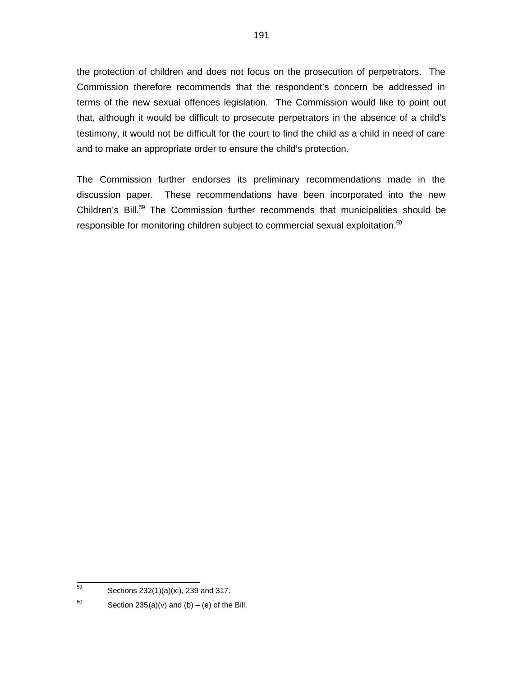the protection of children and does not focus on the prosecution of perpetrators. The Commission therefore recommends that the respondent's concern be addressed in terms of the new sexual offences legislation. The Commission would like to point out that, although it would be difficult to prosecute perpetrators in the absence of a child's testimony, it would not be difficult for the court to find the child as a child in need of care and to make an appropriate order to ensure the child's protection.

The Commission further endorses its preliminary recommendations made in the discussion paper. These recommendations have been incorporated into the new Children's Bill. $59$  The Commission further recommends that municipalities should be responsible for monitoring children subject to commercial sexual exploitation. $<sup>60</sup>$ </sup>

 59 Sections 232(1)(a)(xi), 239 and 317.

<sup>60</sup> Section  $235(a)(v)$  and  $(b) - (e)$  of the Bill.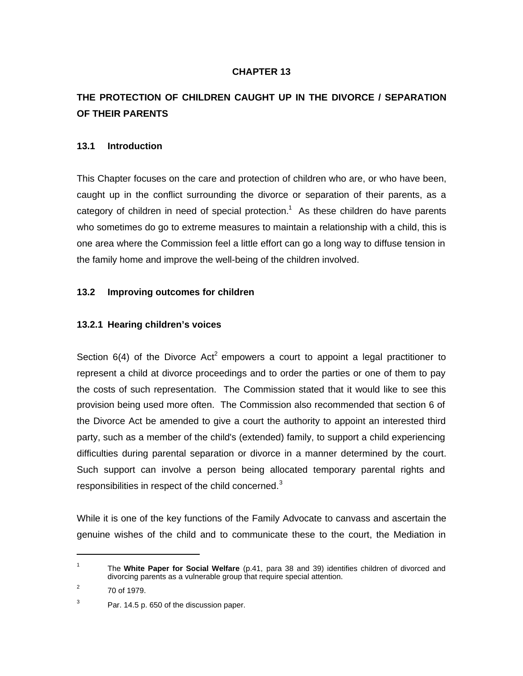# **CHAPTER 13**

# **THE PROTECTION OF CHILDREN CAUGHT UP IN THE DIVORCE / SEPARATION OF THEIR PARENTS**

### **13.1 Introduction**

This Chapter focuses on the care and protection of children who are, or who have been, caught up in the conflict surrounding the divorce or separation of their parents, as a category of children in need of special protection.<sup>1</sup> As these children do have parents who sometimes do go to extreme measures to maintain a relationship with a child, this is one area where the Commission feel a little effort can go a long way to diffuse tension in the family home and improve the well-being of the children involved.

### **13.2 Improving outcomes for children**

### **13.2.1 Hearing children's voices**

Section  $6(4)$  of the Divorce Act<sup>2</sup> empowers a court to appoint a legal practitioner to represent a child at divorce proceedings and to order the parties or one of them to pay the costs of such representation. The Commission stated that it would like to see this provision being used more often. The Commission also recommended that section 6 of the Divorce Act be amended to give a court the authority to appoint an interested third party, such as a member of the child's (extended) family, to support a child experiencing difficulties during parental separation or divorce in a manner determined by the court. Such support can involve a person being allocated temporary parental rights and responsibilities in respect of the child concerned.<sup>3</sup>

While it is one of the key functions of the Family Advocate to canvass and ascertain the genuine wishes of the child and to communicate these to the court, the Mediation in

1

<sup>1</sup> The **White Paper for Social Welfare** (p.41, para 38 and 39) identifies children of divorced and divorcing parents as a vulnerable group that require special attention.

<sup>2</sup> 70 of 1979.

<sup>3</sup> Par. 14.5 p. 650 of the discussion paper.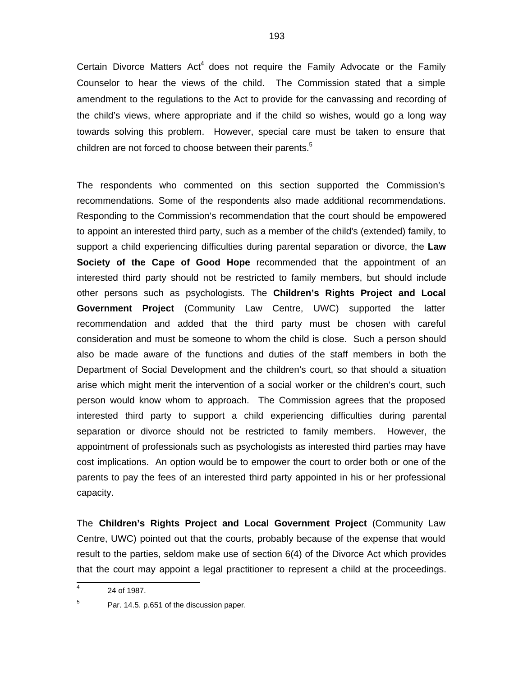Certain Divorce Matters Act<sup>4</sup> does not require the Family Advocate or the Family Counselor to hear the views of the child. The Commission stated that a simple amendment to the regulations to the Act to provide for the canvassing and recording of the child's views, where appropriate and if the child so wishes, would go a long way towards solving this problem. However, special care must be taken to ensure that children are not forced to choose between their parents.<sup>5</sup>

The respondents who commented on this section supported the Commission's recommendations. Some of the respondents also made additional recommendations. Responding to the Commission's recommendation that the court should be empowered to appoint an interested third party, such as a member of the child's (extended) family, to support a child experiencing difficulties during parental separation or divorce, the **Law Society of the Cape of Good Hope** recommended that the appointment of an interested third party should not be restricted to family members, but should include other persons such as psychologists. The **Children's Rights Project and Local Government Project** (Community Law Centre, UWC) supported the latter recommendation and added that the third party must be chosen with careful consideration and must be someone to whom the child is close. Such a person should also be made aware of the functions and duties of the staff members in both the Department of Social Development and the children's court, so that should a situation arise which might merit the intervention of a social worker or the children's court, such person would know whom to approach. The Commission agrees that the proposed interested third party to support a child experiencing difficulties during parental separation or divorce should not be restricted to family members. However, the appointment of professionals such as psychologists as interested third parties may have cost implications. An option would be to empower the court to order both or one of the parents to pay the fees of an interested third party appointed in his or her professional capacity.

The **Children's Rights Project and Local Government Project** (Community Law Centre, UWC) pointed out that the courts, probably because of the expense that would result to the parties, seldom make use of section 6(4) of the Divorce Act which provides that the court may appoint a legal practitioner to represent a child at the proceedings.

<sup>-&</sup>lt;br>4 24 of 1987.

<sup>5</sup> Par. 14.5. p.651 of the discussion paper.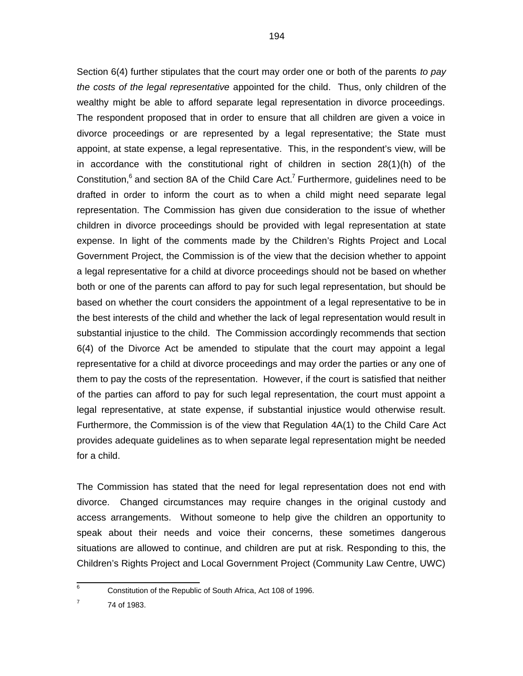Section 6(4) further stipulates that the court may order one or both of the parents to pay the costs of the legal representative appointed for the child. Thus, only children of the wealthy might be able to afford separate legal representation in divorce proceedings. The respondent proposed that in order to ensure that all children are given a voice in divorce proceedings or are represented by a legal representative; the State must appoint, at state expense, a legal representative. This, in the respondent's view, will be in accordance with the constitutional right of children in section 28(1)(h) of the Constitution,<sup>6</sup> and section 8A of the Child Care Act.<sup>7</sup> Furthermore, guidelines need to be drafted in order to inform the court as to when a child might need separate legal representation. The Commission has given due consideration to the issue of whether children in divorce proceedings should be provided with legal representation at state expense. In light of the comments made by the Children's Rights Project and Local Government Project, the Commission is of the view that the decision whether to appoint a legal representative for a child at divorce proceedings should not be based on whether both or one of the parents can afford to pay for such legal representation, but should be based on whether the court considers the appointment of a legal representative to be in the best interests of the child and whether the lack of legal representation would result in substantial injustice to the child. The Commission accordingly recommends that section 6(4) of the Divorce Act be amended to stipulate that the court may appoint a legal representative for a child at divorce proceedings and may order the parties or any one of them to pay the costs of the representation. However, if the court is satisfied that neither of the parties can afford to pay for such legal representation, the court must appoint a legal representative, at state expense, if substantial injustice would otherwise result. Furthermore, the Commission is of the view that Regulation 4A(1) to the Child Care Act provides adequate guidelines as to when separate legal representation might be needed for a child.

The Commission has stated that the need for legal representation does not end with divorce. Changed circumstances may require changes in the original custody and access arrangements. Without someone to help give the children an opportunity to speak about their needs and voice their concerns, these sometimes dangerous situations are allowed to continue, and children are put at risk. Responding to this, the Children's Rights Project and Local Government Project (Community Law Centre, UWC)

 6 Constitution of the Republic of South Africa, Act 108 of 1996.

<sup>7</sup> 74 of 1983.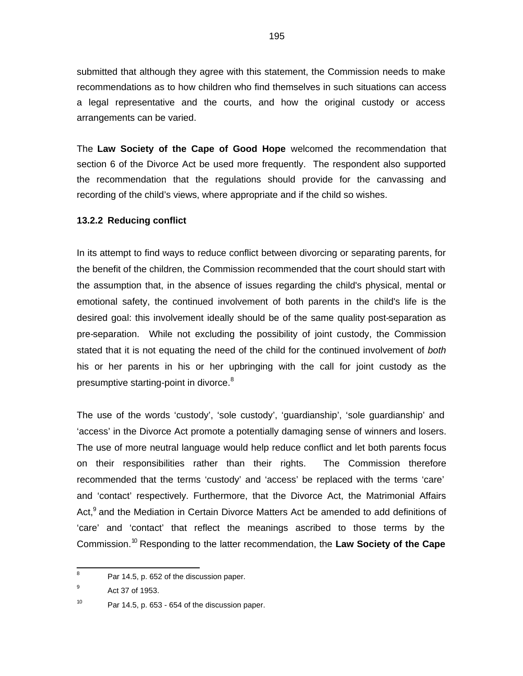submitted that although they agree with this statement, the Commission needs to make recommendations as to how children who find themselves in such situations can access a legal representative and the courts, and how the original custody or access arrangements can be varied.

The **Law Society of the Cape of Good Hope** welcomed the recommendation that section 6 of the Divorce Act be used more frequently. The respondent also supported the recommendation that the regulations should provide for the canvassing and recording of the child's views, where appropriate and if the child so wishes.

### **13.2.2 Reducing conflict**

In its attempt to find ways to reduce conflict between divorcing or separating parents, for the benefit of the children, the Commission recommended that the court should start with the assumption that, in the absence of issues regarding the child's physical, mental or emotional safety, the continued involvement of both parents in the child's life is the desired goal: this involvement ideally should be of the same quality post-separation as pre-separation. While not excluding the possibility of joint custody, the Commission stated that it is not equating the need of the child for the continued involvement of both his or her parents in his or her upbringing with the call for joint custody as the presumptive starting-point in divorce.<sup>8</sup>

The use of the words 'custody', 'sole custody', 'guardianship', 'sole guardianship' and 'access' in the Divorce Act promote a potentially damaging sense of winners and losers. The use of more neutral language would help reduce conflict and let both parents focus on their responsibilities rather than their rights. The Commission therefore recommended that the terms 'custody' and 'access' be replaced with the terms 'care' and 'contact' respectively. Furthermore, that the Divorce Act, the Matrimonial Affairs Act,<sup>9</sup> and the Mediation in Certain Divorce Matters Act be amended to add definitions of 'care' and 'contact' that reflect the meanings ascribed to those terms by the Commission.<sup>10</sup> Responding to the latter recommendation, the **Law Society of the Cape**

 8 Par 14.5, p. 652 of the discussion paper.

<sup>9</sup> Act 37 of 1953.

<sup>10</sup> Par 14.5, p. 653 - 654 of the discussion paper.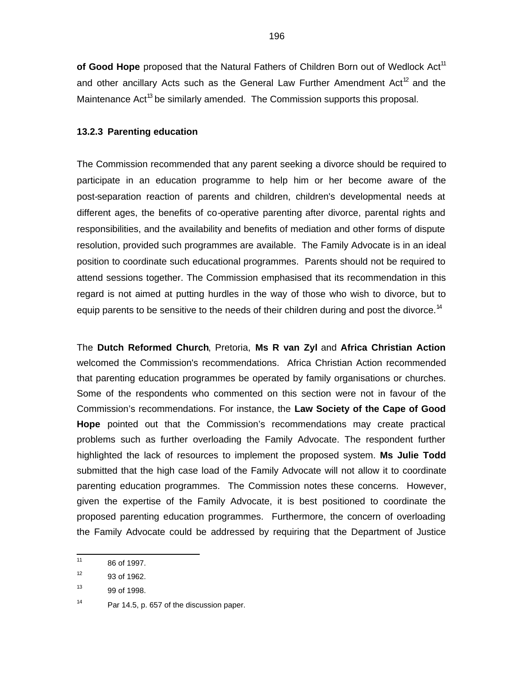of Good Hope proposed that the Natural Fathers of Children Born out of Wedlock Act<sup>11</sup> and other ancillary Acts such as the General Law Further Amendment Act<sup>12</sup> and the Maintenance Act<sup>13</sup> be similarly amended. The Commission supports this proposal.

#### **13.2.3 Parenting education**

The Commission recommended that any parent seeking a divorce should be required to participate in an education programme to help him or her become aware of the post-separation reaction of parents and children, children's developmental needs at different ages, the benefits of co-operative parenting after divorce, parental rights and responsibilities, and the availability and benefits of mediation and other forms of dispute resolution, provided such programmes are available. The Family Advocate is in an ideal position to coordinate such educational programmes. Parents should not be required to attend sessions together. The Commission emphasised that its recommendation in this regard is not aimed at putting hurdles in the way of those who wish to divorce, but to equip parents to be sensitive to the needs of their children during and post the divorce.<sup>14</sup>

The **Dutch Reformed Church**, Pretoria, **Ms R van Zyl** and **Africa Christian Action** welcomed the Commission's recommendations. Africa Christian Action recommended that parenting education programmes be operated by family organisations or churches. Some of the respondents who commented on this section were not in favour of the Commission's recommendations. For instance, the **Law Society of the Cape of Good Hope** pointed out that the Commission's recommendations may create practical problems such as further overloading the Family Advocate. The respondent further highlighted the lack of resources to implement the proposed system. **Ms Julie Todd** submitted that the high case load of the Family Advocate will not allow it to coordinate parenting education programmes. The Commission notes these concerns. However, given the expertise of the Family Advocate, it is best positioned to coordinate the proposed parenting education programmes. Furthermore, the concern of overloading the Family Advocate could be addressed by requiring that the Department of Justice

 $\frac{1}{11}$ 86 of 1997.

<sup>12</sup> 93 of 1962.

<sup>13</sup> 99 of 1998.

<sup>14</sup> Par 14.5, p. 657 of the discussion paper.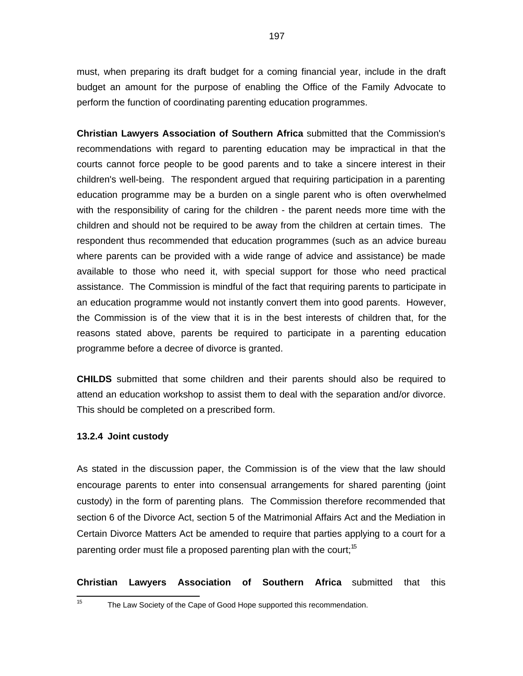must, when preparing its draft budget for a coming financial year, include in the draft budget an amount for the purpose of enabling the Office of the Family Advocate to perform the function of coordinating parenting education programmes.

**Christian Lawyers Association of Southern Africa** submitted that the Commission's recommendations with regard to parenting education may be impractical in that the courts cannot force people to be good parents and to take a sincere interest in their children's well-being. The respondent argued that requiring participation in a parenting education programme may be a burden on a single parent who is often overwhelmed with the responsibility of caring for the children - the parent needs more time with the children and should not be required to be away from the children at certain times. The respondent thus recommended that education programmes (such as an advice bureau where parents can be provided with a wide range of advice and assistance) be made available to those who need it, with special support for those who need practical assistance. The Commission is mindful of the fact that requiring parents to participate in an education programme would not instantly convert them into good parents. However, the Commission is of the view that it is in the best interests of children that, for the reasons stated above, parents be required to participate in a parenting education programme before a decree of divorce is granted.

**CHILDS** submitted that some children and their parents should also be required to attend an education workshop to assist them to deal with the separation and/or divorce. This should be completed on a prescribed form.

#### **13.2.4 Joint custody**

As stated in the discussion paper, the Commission is of the view that the law should encourage parents to enter into consensual arrangements for shared parenting (joint custody) in the form of parenting plans. The Commission therefore recommended that section 6 of the Divorce Act, section 5 of the Matrimonial Affairs Act and the Mediation in Certain Divorce Matters Act be amended to require that parties applying to a court for a parenting order must file a proposed parenting plan with the court;<sup>15</sup>

**Christian Lawyers Association of Southern Africa** submitted that this

 $\frac{1}{15}$ 

The Law Society of the Cape of Good Hope supported this recommendation.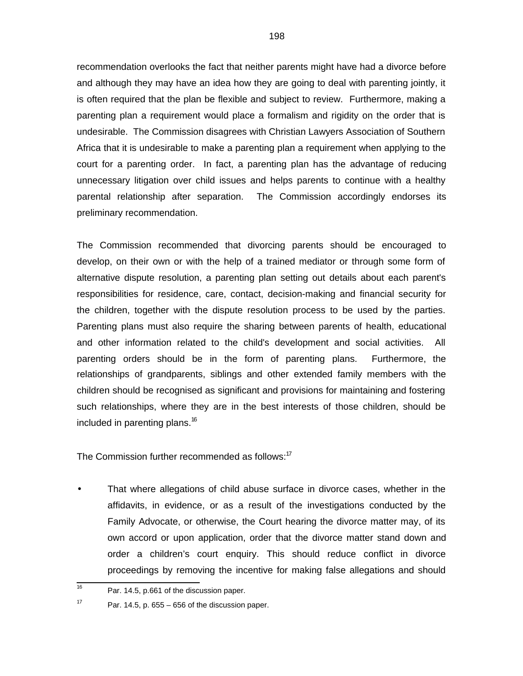recommendation overlooks the fact that neither parents might have had a divorce before and although they may have an idea how they are going to deal with parenting jointly, it is often required that the plan be flexible and subject to review. Furthermore, making a parenting plan a requirement would place a formalism and rigidity on the order that is undesirable. The Commission disagrees with Christian Lawyers Association of Southern Africa that it is undesirable to make a parenting plan a requirement when applying to the court for a parenting order. In fact, a parenting plan has the advantage of reducing unnecessary litigation over child issues and helps parents to continue with a healthy parental relationship after separation. The Commission accordingly endorses its preliminary recommendation.

The Commission recommended that divorcing parents should be encouraged to develop, on their own or with the help of a trained mediator or through some form of alternative dispute resolution, a parenting plan setting out details about each parent's responsibilities for residence, care, contact, decision-making and financial security for the children, together with the dispute resolution process to be used by the parties. Parenting plans must also require the sharing between parents of health, educational and other information related to the child's development and social activities. All parenting orders should be in the form of parenting plans. Furthermore, the relationships of grandparents, siblings and other extended family members with the children should be recognised as significant and provisions for maintaining and fostering such relationships, where they are in the best interests of those children, should be included in parenting plans.<sup>16</sup>

The Commission further recommended as follows:<sup>17</sup>

• That where allegations of child abuse surface in divorce cases, whether in the affidavits, in evidence, or as a result of the investigations conducted by the Family Advocate, or otherwise, the Court hearing the divorce matter may, of its own accord or upon application, order that the divorce matter stand down and order a children's court enquiry. This should reduce conflict in divorce proceedings by removing the incentive for making false allegations and should

 16 Par. 14.5, p.661 of the discussion paper.

<sup>17</sup> Par. 14.5, p. 655 – 656 of the discussion paper.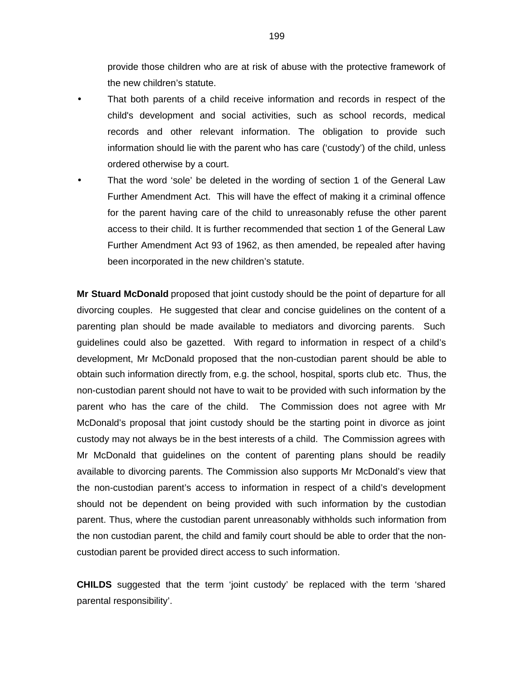provide those children who are at risk of abuse with the protective framework of the new children's statute.

- That both parents of a child receive information and records in respect of the child's development and social activities, such as school records, medical records and other relevant information. The obligation to provide such information should lie with the parent who has care ('custody') of the child, unless ordered otherwise by a court.
- That the word 'sole' be deleted in the wording of section 1 of the General Law Further Amendment Act. This will have the effect of making it a criminal offence for the parent having care of the child to unreasonably refuse the other parent access to their child. It is further recommended that section 1 of the General Law Further Amendment Act 93 of 1962, as then amended, be repealed after having been incorporated in the new children's statute.

**Mr Stuard McDonald** proposed that joint custody should be the point of departure for all divorcing couples. He suggested that clear and concise guidelines on the content of a parenting plan should be made available to mediators and divorcing parents. Such guidelines could also be gazetted. With regard to information in respect of a child's development, Mr McDonald proposed that the non-custodian parent should be able to obtain such information directly from, e.g. the school, hospital, sports club etc. Thus, the non-custodian parent should not have to wait to be provided with such information by the parent who has the care of the child. The Commission does not agree with Mr McDonald's proposal that joint custody should be the starting point in divorce as joint custody may not always be in the best interests of a child. The Commission agrees with Mr McDonald that guidelines on the content of parenting plans should be readily available to divorcing parents. The Commission also supports Mr McDonald's view that the non-custodian parent's access to information in respect of a child's development should not be dependent on being provided with such information by the custodian parent. Thus, where the custodian parent unreasonably withholds such information from the non custodian parent, the child and family court should be able to order that the noncustodian parent be provided direct access to such information.

**CHILDS** suggested that the term 'joint custody' be replaced with the term 'shared parental responsibility'.

199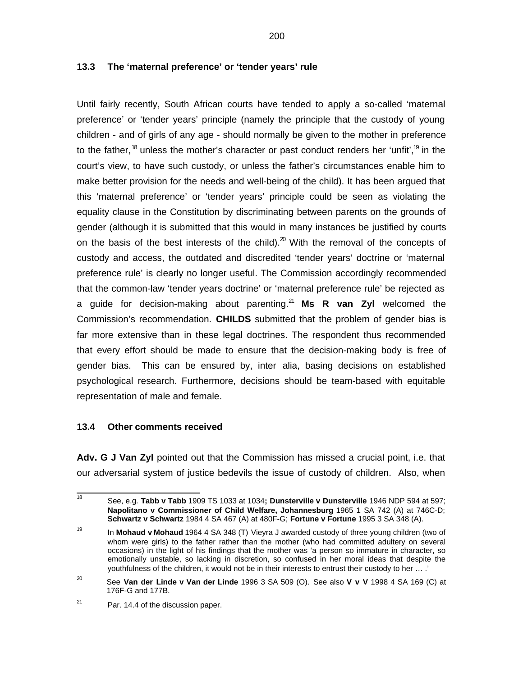### **13.3 The 'maternal preference' or 'tender years' rule**

Until fairly recently, South African courts have tended to apply a so-called 'maternal preference' or 'tender years' principle (namely the principle that the custody of young children - and of girls of any age - should normally be given to the mother in preference to the father, <sup>18</sup> unless the mother's character or past conduct renders her 'unfit', <sup>19</sup> in the court's view, to have such custody, or unless the father's circumstances enable him to make better provision for the needs and well-being of the child). It has been argued that this 'maternal preference' or 'tender years' principle could be seen as violating the equality clause in the Constitution by discriminating between parents on the grounds of gender (although it is submitted that this would in many instances be justified by courts on the basis of the best interests of the child). $20$  With the removal of the concepts of custody and access, the outdated and discredited 'tender years' doctrine or 'maternal preference rule' is clearly no longer useful. The Commission accordingly recommended that the common-law 'tender years doctrine' or 'maternal preference rule' be rejected as a guide for decision-making about parenting.<sup>21</sup> Ms R van Zyl welcomed the Commission's recommendation. **CHILDS** submitted that the problem of gender bias is far more extensive than in these legal doctrines. The respondent thus recommended that every effort should be made to ensure that the decision-making body is free of gender bias. This can be ensured by, inter alia, basing decisions on established psychological research. Furthermore, decisions should be team-based with equitable representation of male and female.

### **13.4 Other comments received**

**Adv. G J Van Zyl** pointed out that the Commission has missed a crucial point, i.e. that our adversarial system of justice bedevils the issue of custody of children. Also, when

<sup>|&</sup>lt;br>18 See, e.g. **Tabb v Tabb** 1909 TS 1033 at 1034**; Dunsterville v Dunsterville** 1946 NDP 594 at 597; **Napolitano v Commissioner of Child Welfare, Johannesburg** 1965 1 SA 742 (A) at 746C-D; **Schwartz v Schwartz** 1984 4 SA 467 (A) at 480F-G; **Fortune v Fortune** 1995 3 SA 348 (A).

<sup>19</sup> In **Mohaud v Mohaud** 1964 4 SA 348 (T) Vieyra J awarded custody of three young children (two of whom were girls) to the father rather than the mother (who had committed adultery on several occasions) in the light of his findings that the mother was 'a person so immature in character, so emotionally unstable, so lacking in discretion, so confused in her moral ideas that despite the youthfulness of the children, it would not be in their interests to entrust their custody to her … .'

<sup>20</sup> See **Van der Linde v Van der Linde** 1996 3 SA 509 (O). See also **V v V** 1998 4 SA 169 (C) at 176F-G and 177B.

<sup>21</sup> Par. 14.4 of the discussion paper.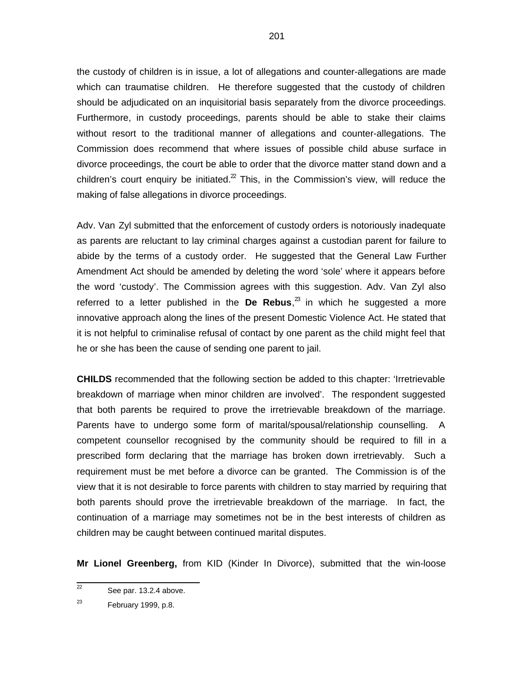the custody of children is in issue, a lot of allegations and counter-allegations are made which can traumatise children. He therefore suggested that the custody of children should be adjudicated on an inquisitorial basis separately from the divorce proceedings. Furthermore, in custody proceedings, parents should be able to stake their claims without resort to the traditional manner of allegations and counter-allegations. The Commission does recommend that where issues of possible child abuse surface in divorce proceedings, the court be able to order that the divorce matter stand down and a children's court enquiry be initiated. $2$  This, in the Commission's view, will reduce the making of false allegations in divorce proceedings.

Adv. Van Zyl submitted that the enforcement of custody orders is notoriously inadequate as parents are reluctant to lay criminal charges against a custodian parent for failure to abide by the terms of a custody order. He suggested that the General Law Further Amendment Act should be amended by deleting the word 'sole' where it appears before the word 'custody'. The Commission agrees with this suggestion. Adv. Van Zyl also referred to a letter published in the De Rebus,<sup>23</sup> in which he suggested a more innovative approach along the lines of the present Domestic Violence Act. He stated that it is not helpful to criminalise refusal of contact by one parent as the child might feel that he or she has been the cause of sending one parent to jail.

**CHILDS** recommended that the following section be added to this chapter: 'Irretrievable breakdown of marriage when minor children are involved'. The respondent suggested that both parents be required to prove the irretrievable breakdown of the marriage. Parents have to undergo some form of marital/spousal/relationship counselling. A competent counsellor recognised by the community should be required to fill in a prescribed form declaring that the marriage has broken down irretrievably. Such a requirement must be met before a divorce can be granted. The Commission is of the view that it is not desirable to force parents with children to stay married by requiring that both parents should prove the irretrievable breakdown of the marriage. In fact, the continuation of a marriage may sometimes not be in the best interests of children as children may be caught between continued marital disputes.

**Mr Lionel Greenberg,** from KID (Kinder In Divorce), submitted that the win-loose

 $\overline{22}$ See par. 13.2.4 above.

<sup>23</sup> February 1999, p.8.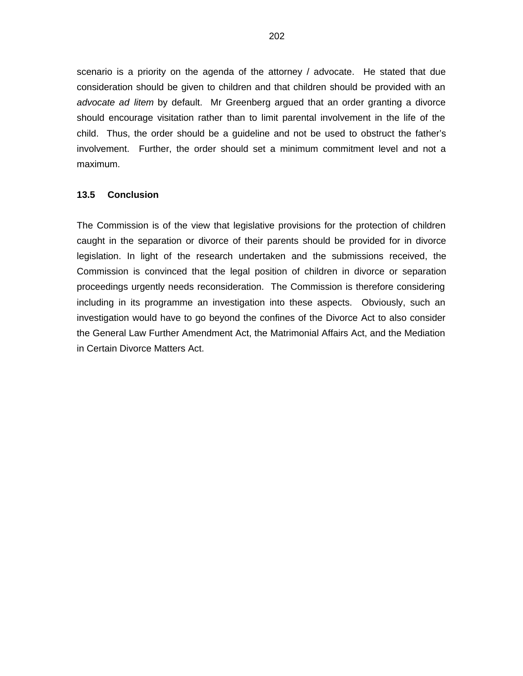scenario is a priority on the agenda of the attorney / advocate. He stated that due consideration should be given to children and that children should be provided with an advocate ad litem by default. Mr Greenberg argued that an order granting a divorce should encourage visitation rather than to limit parental involvement in the life of the child. Thus, the order should be a guideline and not be used to obstruct the father's involvement. Further, the order should set a minimum commitment level and not a maximum.

### **13.5 Conclusion**

The Commission is of the view that legislative provisions for the protection of children caught in the separation or divorce of their parents should be provided for in divorce legislation. In light of the research undertaken and the submissions received, the Commission is convinced that the legal position of children in divorce or separation proceedings urgently needs reconsideration. The Commission is therefore considering including in its programme an investigation into these aspects. Obviously, such an investigation would have to go beyond the confines of the Divorce Act to also consider the General Law Further Amendment Act, the Matrimonial Affairs Act, and the Mediation in Certain Divorce Matters Act.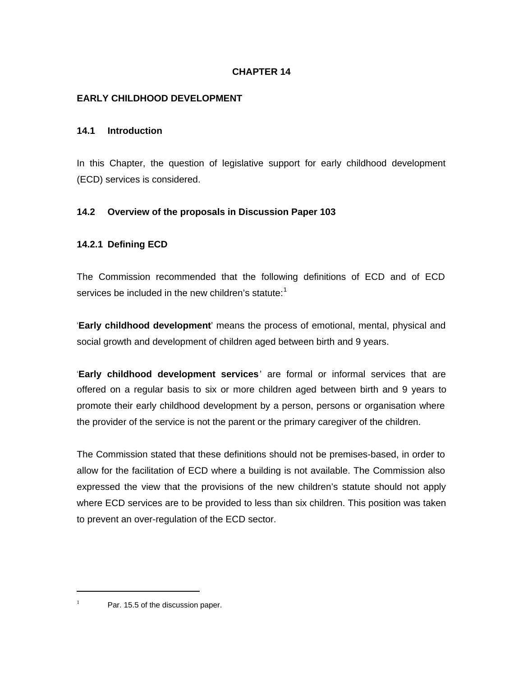# **CHAPTER 14**

### **EARLY CHILDHOOD DEVELOPMENT**

### **14.1 Introduction**

In this Chapter, the question of legislative support for early childhood development (ECD) services is considered.

# **14.2 Overview of the proposals in Discussion Paper 103**

# **14.2.1 Defining ECD**

The Commission recommended that the following definitions of ECD and of ECD services be included in the new children's statute: $<sup>1</sup>$ </sup>

'**Early childhood development**' means the process of emotional, mental, physical and social growth and development of children aged between birth and 9 years.

'**Early childhood development services**' are formal or informal services that are offered on a regular basis to six or more children aged between birth and 9 years to promote their early childhood development by a person, persons or organisation where the provider of the service is not the parent or the primary caregiver of the children.

The Commission stated that these definitions should not be premises-based, in order to allow for the facilitation of ECD where a building is not available. The Commission also expressed the view that the provisions of the new children's statute should not apply where ECD services are to be provided to less than six children. This position was taken to prevent an over-regulation of the ECD sector.

1

 $1$  Par. 15.5 of the discussion paper.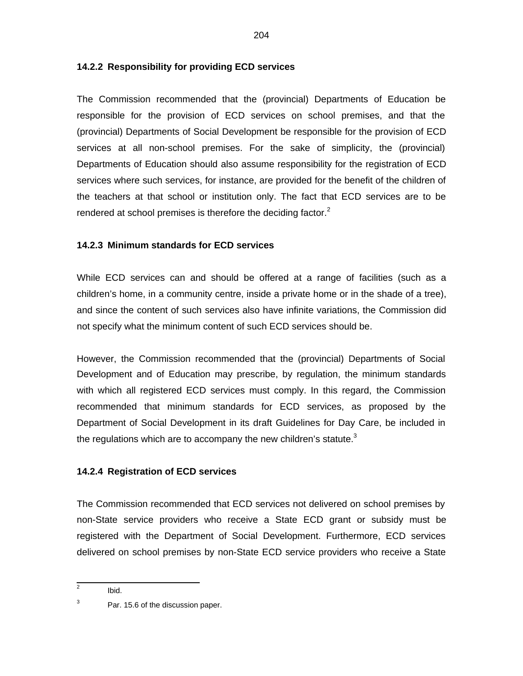### **14.2.2 Responsibility for providing ECD services**

The Commission recommended that the (provincial) Departments of Education be responsible for the provision of ECD services on school premises, and that the (provincial) Departments of Social Development be responsible for the provision of ECD services at all non-school premises. For the sake of simplicity, the (provincial) Departments of Education should also assume responsibility for the registration of ECD services where such services, for instance, are provided for the benefit of the children of the teachers at that school or institution only. The fact that ECD services are to be rendered at school premises is therefore the deciding factor.<sup>2</sup>

### **14.2.3 Minimum standards for ECD services**

While ECD services can and should be offered at a range of facilities (such as a children's home, in a community centre, inside a private home or in the shade of a tree), and since the content of such services also have infinite variations, the Commission did not specify what the minimum content of such ECD services should be.

However, the Commission recommended that the (provincial) Departments of Social Development and of Education may prescribe, by regulation, the minimum standards with which all registered ECD services must comply. In this regard, the Commission recommended that minimum standards for ECD services, as proposed by the Department of Social Development in its draft Guidelines for Day Care, be included in the regulations which are to accompany the new children's statute. $3$ 

### **14.2.4 Registration of ECD services**

The Commission recommended that ECD services not delivered on school premises by non-State service providers who receive a State ECD grant or subsidy must be registered with the Department of Social Development. Furthermore, ECD services delivered on school premises by non-State ECD service providers who receive a State

<sup>&</sup>lt;sup>2</sup> Ibid.

<sup>3</sup> Par. 15.6 of the discussion paper.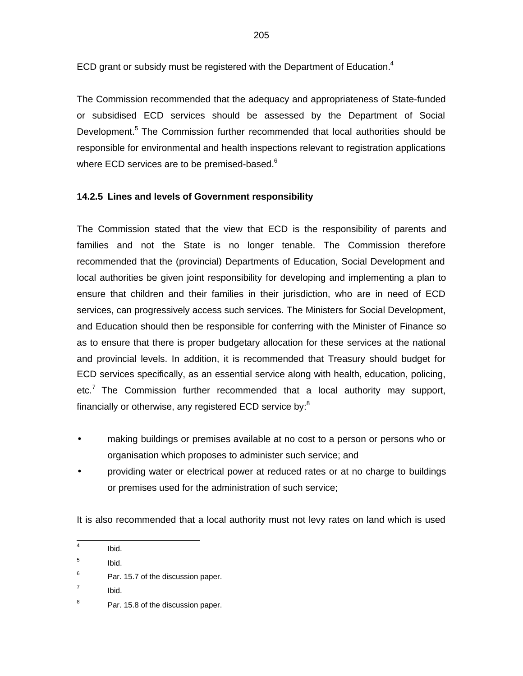ECD grant or subsidy must be registered with the Department of Education. $4$ 

The Commission recommended that the adequacy and appropriateness of State-funded or subsidised ECD services should be assessed by the Department of Social Development.<sup>5</sup> The Commission further recommended that local authorities should be responsible for environmental and health inspections relevant to registration applications where ECD services are to be premised-based.<sup>6</sup>

# **14.2.5 Lines and levels of Government responsibility**

The Commission stated that the view that ECD is the responsibility of parents and families and not the State is no longer tenable. The Commission therefore recommended that the (provincial) Departments of Education, Social Development and local authorities be given joint responsibility for developing and implementing a plan to ensure that children and their families in their jurisdiction, who are in need of ECD services, can progressively access such services. The Ministers for Social Development, and Education should then be responsible for conferring with the Minister of Finance so as to ensure that there is proper budgetary allocation for these services at the national and provincial levels. In addition, it is recommended that Treasury should budget for ECD services specifically, as an essential service along with health, education, policing, etc.<sup>7</sup> The Commission further recommended that a local authority may support, financially or otherwise, any registered ECD service by:<sup>8</sup>

- making buildings or premises available at no cost to a person or persons who or organisation which proposes to administer such service; and
- providing water or electrical power at reduced rates or at no charge to buildings or premises used for the administration of such service;

It is also recommended that a local authority must not levy rates on land which is used

 4 Ibid.

<sup>5</sup> Ibid.

<sup>6</sup> Par. 15.7 of the discussion paper.

<sup>7</sup> Ibid.

<sup>8</sup> Par. 15.8 of the discussion paper.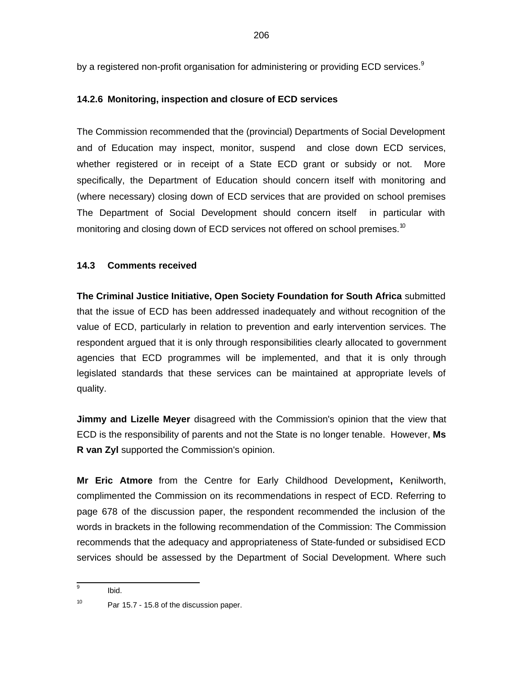by a registered non-profit organisation for administering or providing ECD services. $9$ 

# **14.2.6 Monitoring, inspection and closure of ECD services**

The Commission recommended that the (provincial) Departments of Social Development and of Education may inspect, monitor, suspend and close down ECD services, whether registered or in receipt of a State ECD grant or subsidy or not. More specifically, the Department of Education should concern itself with monitoring and (where necessary) closing down of ECD services that are provided on school premises The Department of Social Development should concern itself in particular with monitoring and closing down of ECD services not offered on school premises.<sup>10</sup>

# **14.3 Comments received**

**The Criminal Justice Initiative, Open Society Foundation for South Africa** submitted that the issue of ECD has been addressed inadequately and without recognition of the value of ECD, particularly in relation to prevention and early intervention services. The respondent argued that it is only through responsibilities clearly allocated to government agencies that ECD programmes will be implemented, and that it is only through legislated standards that these services can be maintained at appropriate levels of quality.

**Jimmy and Lizelle Meyer** disagreed with the Commission's opinion that the view that ECD is the responsibility of parents and not the State is no longer tenable. However, **Ms R van Zyl** supported the Commission's opinion.

**Mr Eric Atmore** from the Centre for Early Childhood Development**,** Kenilworth, complimented the Commission on its recommendations in respect of ECD. Referring to page 678 of the discussion paper, the respondent recommended the inclusion of the words in brackets in the following recommendation of the Commission: The Commission recommends that the adequacy and appropriateness of State-funded or subsidised ECD services should be assessed by the Department of Social Development. Where such

Ibid.

<sup>—&</sup>lt;br>9

<sup>10</sup> Par 15.7 - 15.8 of the discussion paper.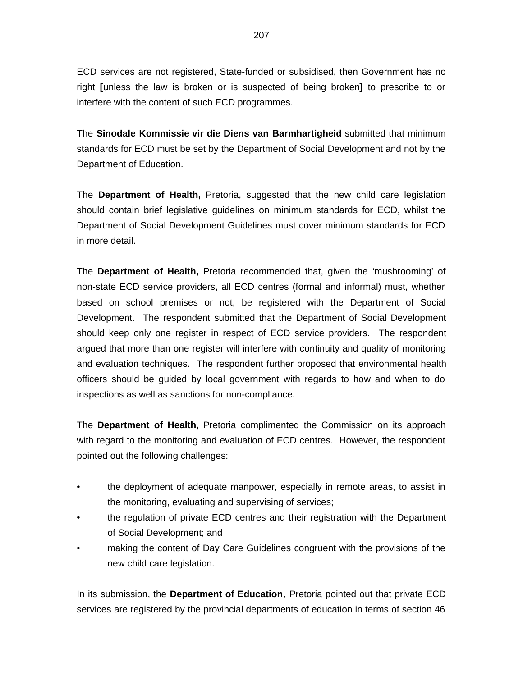ECD services are not registered, State-funded or subsidised, then Government has no right **[**unless the law is broken or is suspected of being broken**]** to prescribe to or interfere with the content of such ECD programmes.

The **Sinodale Kommissie vir die Diens van Barmhartigheid** submitted that minimum standards for ECD must be set by the Department of Social Development and not by the Department of Education.

The **Department of Health,** Pretoria, suggested that the new child care legislation should contain brief legislative guidelines on minimum standards for ECD, whilst the Department of Social Development Guidelines must cover minimum standards for ECD in more detail.

The **Department of Health,** Pretoria recommended that, given the 'mushrooming' of non-state ECD service providers, all ECD centres (formal and informal) must, whether based on school premises or not, be registered with the Department of Social Development. The respondent submitted that the Department of Social Development should keep only one register in respect of ECD service providers. The respondent argued that more than one register will interfere with continuity and quality of monitoring and evaluation techniques. The respondent further proposed that environmental health officers should be guided by local government with regards to how and when to do inspections as well as sanctions for non-compliance.

The **Department of Health,** Pretoria complimented the Commission on its approach with regard to the monitoring and evaluation of ECD centres. However, the respondent pointed out the following challenges:

- the deployment of adequate manpower, especially in remote areas, to assist in the monitoring, evaluating and supervising of services;
- the regulation of private ECD centres and their registration with the Department of Social Development; and
- making the content of Day Care Guidelines congruent with the provisions of the new child care legislation.

In its submission, the **Department of Education**, Pretoria pointed out that private ECD services are registered by the provincial departments of education in terms of section 46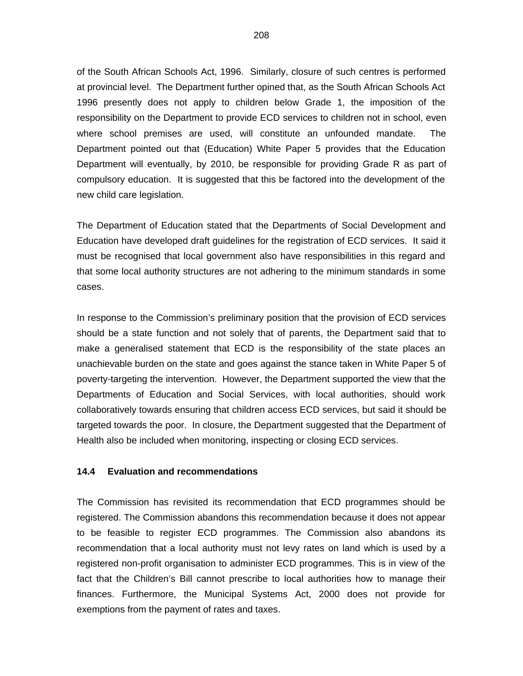of the South African Schools Act, 1996. Similarly, closure of such centres is performed at provincial level. The Department further opined that, as the South African Schools Act 1996 presently does not apply to children below Grade 1, the imposition of the responsibility on the Department to provide ECD services to children not in school, even where school premises are used, will constitute an unfounded mandate. The Department pointed out that (Education) White Paper 5 provides that the Education Department will eventually, by 2010, be responsible for providing Grade R as part of compulsory education. It is suggested that this be factored into the development of the new child care legislation.

The Department of Education stated that the Departments of Social Development and Education have developed draft guidelines for the registration of ECD services. It said it must be recognised that local government also have responsibilities in this regard and that some local authority structures are not adhering to the minimum standards in some cases.

In response to the Commission's preliminary position that the provision of ECD services should be a state function and not solely that of parents, the Department said that to make a generalised statement that ECD is the responsibility of the state places an unachievable burden on the state and goes against the stance taken in White Paper 5 of poverty-targeting the intervention. However, the Department supported the view that the Departments of Education and Social Services, with local authorities, should work collaboratively towards ensuring that children access ECD services, but said it should be targeted towards the poor. In closure, the Department suggested that the Department of Health also be included when monitoring, inspecting or closing ECD services.

#### **14.4 Evaluation and recommendations**

The Commission has revisited its recommendation that ECD programmes should be registered. The Commission abandons this recommendation because it does not appear to be feasible to register ECD programmes. The Commission also abandons its recommendation that a local authority must not levy rates on land which is used by a registered non-profit organisation to administer ECD programmes. This is in view of the fact that the Children's Bill cannot prescribe to local authorities how to manage their finances. Furthermore, the Municipal Systems Act, 2000 does not provide for exemptions from the payment of rates and taxes.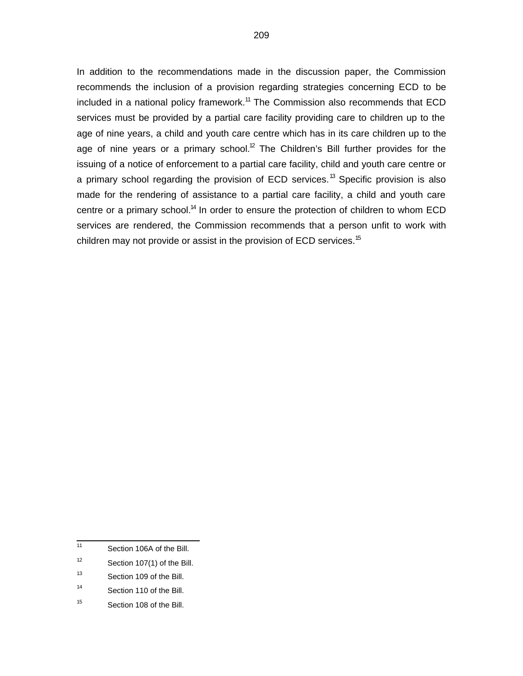In addition to the recommendations made in the discussion paper, the Commission recommends the inclusion of a provision regarding strategies concerning ECD to be included in a national policy framework.<sup>11</sup> The Commission also recommends that ECD services must be provided by a partial care facility providing care to children up to the age of nine years, a child and youth care centre which has in its care children up to the age of nine years or a primary school.<sup>12</sup> The Children's Bill further provides for the issuing of a notice of enforcement to a partial care facility, child and youth care centre or a primary school regarding the provision of ECD services.<sup>13</sup> Specific provision is also made for the rendering of assistance to a partial care facility, a child and youth care centre or a primary school.<sup>14</sup> In order to ensure the protection of children to whom ECD services are rendered, the Commission recommends that a person unfit to work with children may not provide or assist in the provision of ECD services.<sup>15</sup>

- 12 Section 107(1) of the Bill.
- 13 Section 109 of the Bill.
- 14 Section 110 of the Bill.
- 15 Section 108 of the Bill.

 11 Section 106A of the Bill.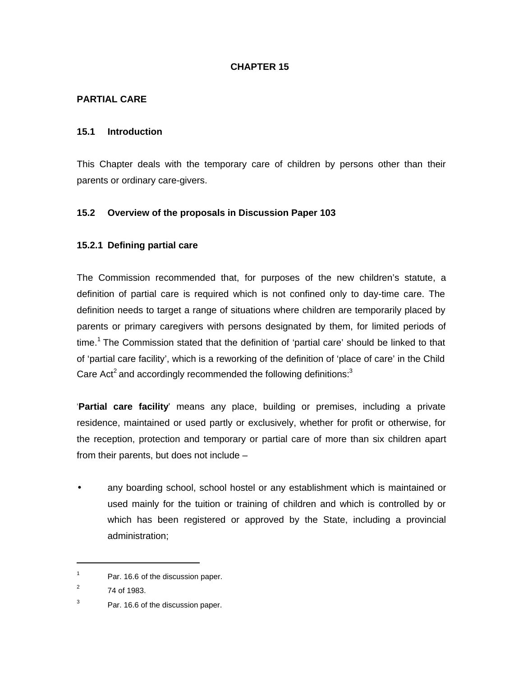### **CHAPTER 15**

### **PARTIAL CARE**

#### **15.1 Introduction**

This Chapter deals with the temporary care of children by persons other than their parents or ordinary care-givers.

### **15.2 Overview of the proposals in Discussion Paper 103**

#### **15.2.1 Defining partial care**

The Commission recommended that, for purposes of the new children's statute, a definition of partial care is required which is not confined only to day-time care. The definition needs to target a range of situations where children are temporarily placed by parents or primary caregivers with persons designated by them, for limited periods of time.<sup>1</sup> The Commission stated that the definition of 'partial care' should be linked to that of 'partial care facility', which is a reworking of the definition of 'place of care' in the Child Care Act<sup>2</sup> and accordingly recommended the following definitions:<sup>3</sup>

'**Partial care facility**' means any place, building or premises, including a private residence, maintained or used partly or exclusively, whether for profit or otherwise, for the reception, protection and temporary or partial care of more than six children apart from their parents, but does not include –

• any boarding school, school hostel or any establishment which is maintained or used mainly for the tuition or training of children and which is controlled by or which has been registered or approved by the State, including a provincial administration;

1

<sup>1</sup> Par. 16.6 of the discussion paper.

<sup>2</sup> 74 of 1983.

<sup>3</sup> Par. 16.6 of the discussion paper.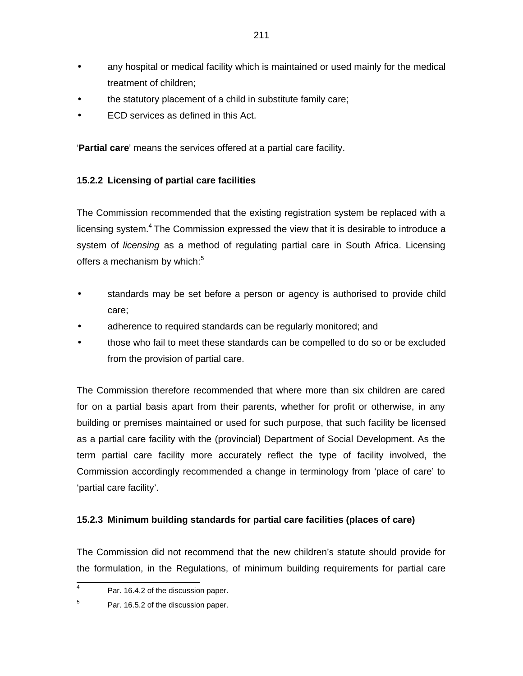- any hospital or medical facility which is maintained or used mainly for the medical treatment of children;
- the statutory placement of a child in substitute family care;
- ECD services as defined in this Act.

'**Partial care**' means the services offered at a partial care facility.

# **15.2.2 Licensing of partial care facilities**

The Commission recommended that the existing registration system be replaced with a licensing system.<sup>4</sup> The Commission expressed the view that it is desirable to introduce a system of *licensing* as a method of regulating partial care in South Africa. Licensing offers a mechanism by which: $5$ 

- standards may be set before a person or agency is authorised to provide child care;
- adherence to required standards can be regularly monitored; and
- those who fail to meet these standards can be compelled to do so or be excluded from the provision of partial care.

The Commission therefore recommended that where more than six children are cared for on a partial basis apart from their parents, whether for profit or otherwise, in any building or premises maintained or used for such purpose, that such facility be licensed as a partial care facility with the (provincial) Department of Social Development. As the term partial care facility more accurately reflect the type of facility involved, the Commission accordingly recommended a change in terminology from 'place of care' to 'partial care facility'.

### **15.2.3 Minimum building standards for partial care facilities (places of care)**

The Commission did not recommend that the new children's statute should provide for the formulation, in the Regulations, of minimum building requirements for partial care

<sup>-&</sup>lt;br>4 Par. 16.4.2 of the discussion paper.

<sup>5</sup> Par. 16.5.2 of the discussion paper.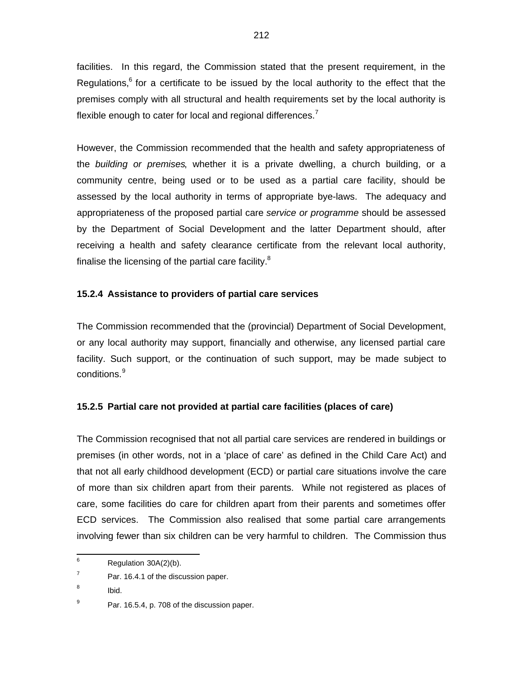facilities. In this regard, the Commission stated that the present requirement, in the Regulations, $6$  for a certificate to be issued by the local authority to the effect that the premises comply with all structural and health requirements set by the local authority is flexible enough to cater for local and regional differences.<sup>7</sup>

However, the Commission recommended that the health and safety appropriateness of the building or premises, whether it is a private dwelling, a church building, or a community centre, being used or to be used as a partial care facility, should be assessed by the local authority in terms of appropriate bye-laws. The adequacy and appropriateness of the proposed partial care service or programme should be assessed by the Department of Social Development and the latter Department should, after receiving a health and safety clearance certificate from the relevant local authority, finalise the licensing of the partial care facility. $8$ 

# **15.2.4 Assistance to providers of partial care services**

The Commission recommended that the (provincial) Department of Social Development, or any local authority may support, financially and otherwise, any licensed partial care facility. Such support, or the continuation of such support, may be made subject to conditions.<sup>9</sup>

# **15.2.5 Partial care not provided at partial care facilities (places of care)**

The Commission recognised that not all partial care services are rendered in buildings or premises (in other words, not in a 'place of care' as defined in the Child Care Act) and that not all early childhood development (ECD) or partial care situations involve the care of more than six children apart from their parents. While not registered as places of care, some facilities do care for children apart from their parents and sometimes offer ECD services. The Commission also realised that some partial care arrangements involving fewer than six children can be very harmful to children. The Commission thus

 6 Regulation 30A(2)(b).

<sup>7</sup> Par. 16.4.1 of the discussion paper.

<sup>8</sup> Ibid.

<sup>9</sup> Par. 16.5.4, p. 708 of the discussion paper.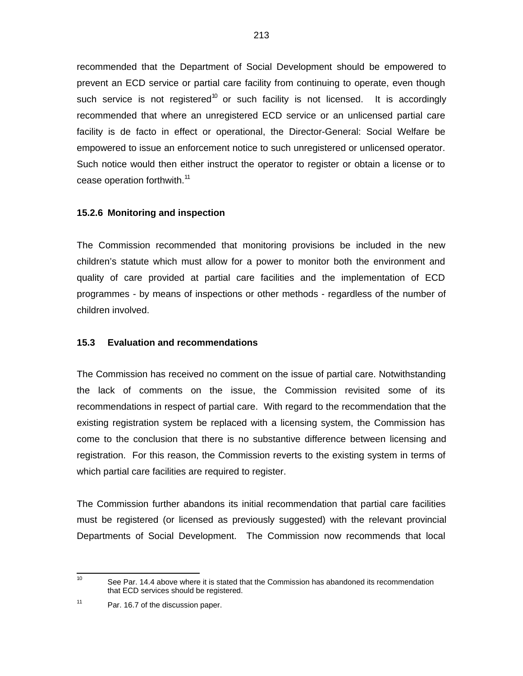recommended that the Department of Social Development should be empowered to prevent an ECD service or partial care facility from continuing to operate, even though such service is not registered<sup>10</sup> or such facility is not licensed. It is accordingly recommended that where an unregistered ECD service or an unlicensed partial care facility is de facto in effect or operational, the Director-General: Social Welfare be empowered to issue an enforcement notice to such unregistered or unlicensed operator. Such notice would then either instruct the operator to register or obtain a license or to cease operation forthwith.<sup>11</sup>

#### **15.2.6 Monitoring and inspection**

The Commission recommended that monitoring provisions be included in the new children's statute which must allow for a power to monitor both the environment and quality of care provided at partial care facilities and the implementation of ECD programmes - by means of inspections or other methods - regardless of the number of children involved.

#### **15.3 Evaluation and recommendations**

The Commission has received no comment on the issue of partial care. Notwithstanding the lack of comments on the issue, the Commission revisited some of its recommendations in respect of partial care. With regard to the recommendation that the existing registration system be replaced with a licensing system, the Commission has come to the conclusion that there is no substantive difference between licensing and registration. For this reason, the Commission reverts to the existing system in terms of which partial care facilities are required to register.

The Commission further abandons its initial recommendation that partial care facilities must be registered (or licensed as previously suggested) with the relevant provincial Departments of Social Development. The Commission now recommends that local

 $\frac{1}{10}$ See Par. 14.4 above where it is stated that the Commission has abandoned its recommendation that ECD services should be registered.

<sup>11</sup> Par. 16.7 of the discussion paper.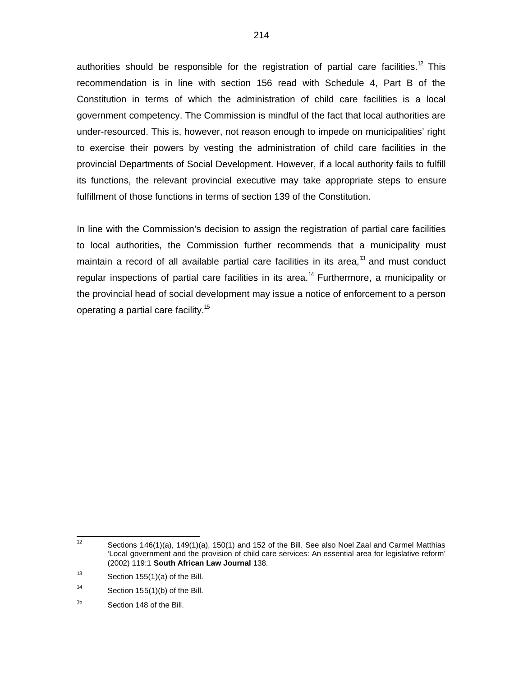authorities should be responsible for the registration of partial care facilities.<sup>12</sup> This recommendation is in line with section 156 read with Schedule 4, Part B of the Constitution in terms of which the administration of child care facilities is a local government competency. The Commission is mindful of the fact that local authorities are under-resourced. This is, however, not reason enough to impede on municipalities' right to exercise their powers by vesting the administration of child care facilities in the provincial Departments of Social Development. However, if a local authority fails to fulfill its functions, the relevant provincial executive may take appropriate steps to ensure fulfillment of those functions in terms of section 139 of the Constitution.

In line with the Commission's decision to assign the registration of partial care facilities to local authorities, the Commission further recommends that a municipality must maintain a record of all available partial care facilities in its area,<sup>13</sup> and must conduct regular inspections of partial care facilities in its area.<sup>14</sup> Furthermore, a municipality or the provincial head of social development may issue a notice of enforcement to a person operating a partial care facility.<sup>15</sup>

 $\frac{1}{12}$ Sections 146(1)(a), 149(1)(a), 150(1) and 152 of the Bill. See also Noel Zaal and Carmel Matthias 'Local government and the provision of child care services: An essential area for legislative reform' (2002) 119:1 **South African Law Journal** 138.

<sup>13</sup> Section 155(1)(a) of the Bill.

<sup>14</sup> Section 155(1)(b) of the Bill.

<sup>15</sup> Section 148 of the Bill.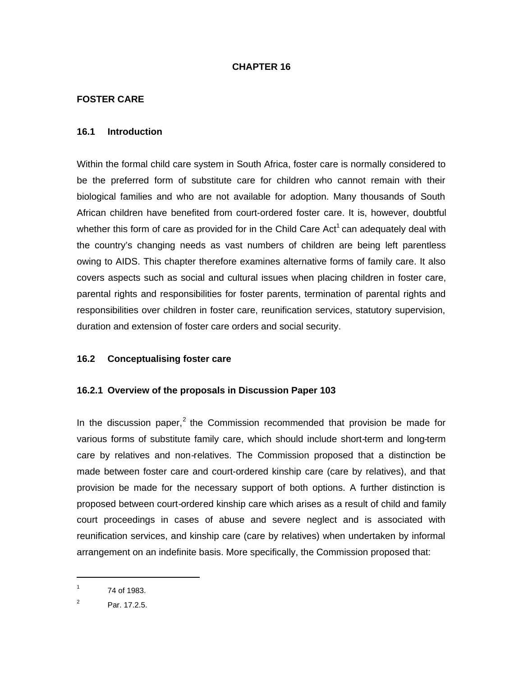### **CHAPTER 16**

### **FOSTER CARE**

### **16.1 Introduction**

Within the formal child care system in South Africa, foster care is normally considered to be the preferred form of substitute care for children who cannot remain with their biological families and who are not available for adoption. Many thousands of South African children have benefited from court-ordered foster care. It is, however, doubtful whether this form of care as provided for in the Child Care Act<sup>1</sup> can adequately deal with the country's changing needs as vast numbers of children are being left parentless owing to AIDS. This chapter therefore examines alternative forms of family care. It also covers aspects such as social and cultural issues when placing children in foster care, parental rights and responsibilities for foster parents, termination of parental rights and responsibilities over children in foster care, reunification services, statutory supervision, duration and extension of foster care orders and social security.

### **16.2 Conceptualising foster care**

### **16.2.1 Overview of the proposals in Discussion Paper 103**

In the discussion paper,<sup>2</sup> the Commission recommended that provision be made for various forms of substitute family care, which should include short-term and long-term care by relatives and non-relatives. The Commission proposed that a distinction be made between foster care and court-ordered kinship care (care by relatives), and that provision be made for the necessary support of both options. A further distinction is proposed between court-ordered kinship care which arises as a result of child and family court proceedings in cases of abuse and severe neglect and is associated with reunification services, and kinship care (care by relatives) when undertaken by informal arrangement on an indefinite basis. More specifically, the Commission proposed that:

1

<sup>1</sup> 74 of 1983.

<sup>2</sup> Par. 17.2.5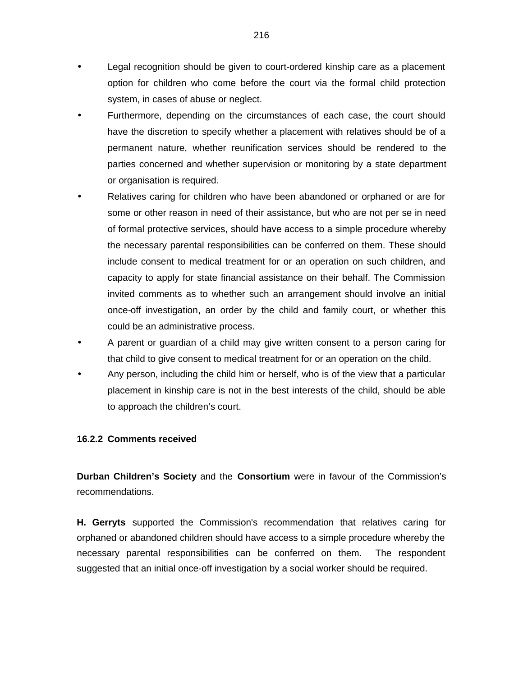- Legal recognition should be given to court-ordered kinship care as a placement option for children who come before the court via the formal child protection system, in cases of abuse or neglect.
- Furthermore, depending on the circumstances of each case, the court should have the discretion to specify whether a placement with relatives should be of a permanent nature, whether reunification services should be rendered to the parties concerned and whether supervision or monitoring by a state department or organisation is required.
- Relatives caring for children who have been abandoned or orphaned or are for some or other reason in need of their assistance, but who are not per se in need of formal protective services, should have access to a simple procedure whereby the necessary parental responsibilities can be conferred on them. These should include consent to medical treatment for or an operation on such children, and capacity to apply for state financial assistance on their behalf. The Commission invited comments as to whether such an arrangement should involve an initial once-off investigation, an order by the child and family court, or whether this could be an administrative process.
- A parent or guardian of a child may give written consent to a person caring for that child to give consent to medical treatment for or an operation on the child.
- Any person, including the child him or herself, who is of the view that a particular placement in kinship care is not in the best interests of the child, should be able to approach the children's court.

### **16.2.2 Comments received**

**Durban Children's Society** and the **Consortium** were in favour of the Commission's recommendations.

**H. Gerryts** supported the Commission's recommendation that relatives caring for orphaned or abandoned children should have access to a simple procedure whereby the necessary parental responsibilities can be conferred on them. The respondent suggested that an initial once-off investigation by a social worker should be required.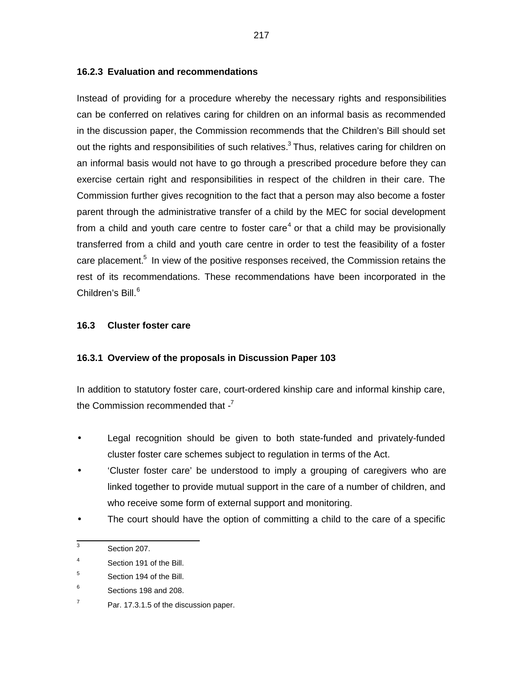### **16.2.3 Evaluation and recommendations**

Instead of providing for a procedure whereby the necessary rights and responsibilities can be conferred on relatives caring for children on an informal basis as recommended in the discussion paper, the Commission recommends that the Children's Bill should set out the rights and responsibilities of such relatives. $3$  Thus, relatives caring for children on an informal basis would not have to go through a prescribed procedure before they can exercise certain right and responsibilities in respect of the children in their care. The Commission further gives recognition to the fact that a person may also become a foster parent through the administrative transfer of a child by the MEC for social development from a child and youth care centre to foster care<sup>4</sup> or that a child may be provisionally transferred from a child and youth care centre in order to test the feasibility of a foster care placement.<sup>5</sup> In view of the positive responses received, the Commission retains the rest of its recommendations. These recommendations have been incorporated in the Children's Bill.<sup>6</sup>

### **16.3 Cluster foster care**

### **16.3.1 Overview of the proposals in Discussion Paper 103**

In addition to statutory foster care, court-ordered kinship care and informal kinship care, the Commission recommended that  $-$ <sup>7</sup>

- Legal recognition should be given to both state-funded and privately-funded cluster foster care schemes subject to regulation in terms of the Act.
- 'Cluster foster care' be understood to imply a grouping of caregivers who are linked together to provide mutual support in the care of a number of children, and who receive some form of external support and monitoring.
- The court should have the option of committing a child to the care of a specific

 3 Section 207.

<sup>4</sup> Section 191 of the Bill.

<sup>5</sup> Section 194 of the Bill.

<sup>6</sup> Sections 198 and 208.

<sup>7</sup> Par. 17.3.1.5 of the discussion paper.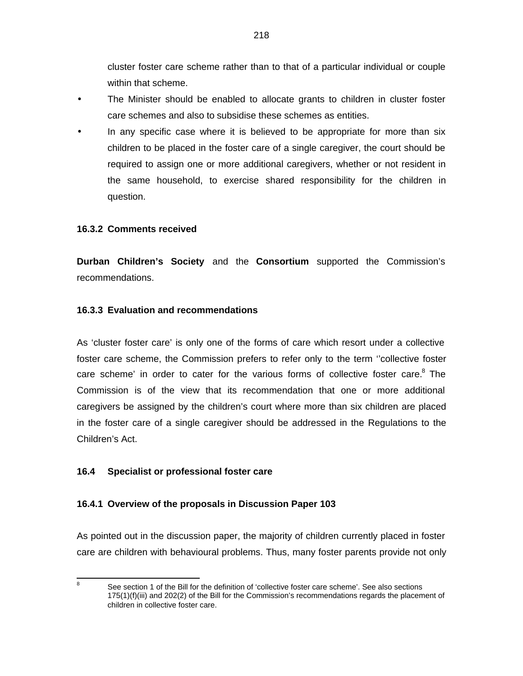cluster foster care scheme rather than to that of a particular individual or couple within that scheme.

- The Minister should be enabled to allocate grants to children in cluster foster care schemes and also to subsidise these schemes as entities.
- In any specific case where it is believed to be appropriate for more than six children to be placed in the foster care of a single caregiver, the court should be required to assign one or more additional caregivers, whether or not resident in the same household, to exercise shared responsibility for the children in question.

# **16.3.2 Comments received**

**Durban Children's Society** and the **Consortium** supported the Commission's recommendations.

# **16.3.3 Evaluation and recommendations**

As 'cluster foster care' is only one of the forms of care which resort under a collective foster care scheme, the Commission prefers to refer only to the term ''collective foster care scheme' in order to cater for the various forms of collective foster care. $8$  The Commission is of the view that its recommendation that one or more additional caregivers be assigned by the children's court where more than six children are placed in the foster care of a single caregiver should be addressed in the Regulations to the Children's Act.

# **16.4 Specialist or professional foster care**

### **16.4.1 Overview of the proposals in Discussion Paper 103**

As pointed out in the discussion paper, the majority of children currently placed in foster care are children with behavioural problems. Thus, many foster parents provide not only

8

See section 1 of the Bill for the definition of 'collective foster care scheme'. See also sections 175(1)(f)(iii) and 202(2) of the Bill for the Commission's recommendations regards the placement of children in collective foster care.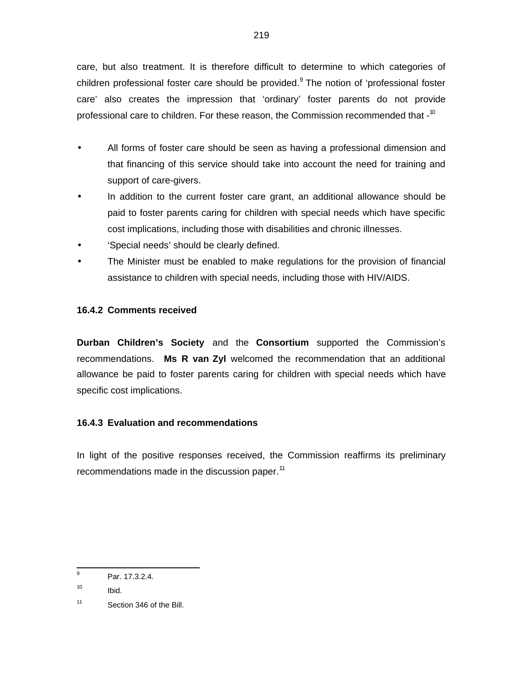care, but also treatment. It is therefore difficult to determine to which categories of children professional foster care should be provided.<sup>9</sup> The notion of 'professional foster care' also creates the impression that 'ordinary' foster parents do not provide professional care to children. For these reason, the Commission recommended that -<sup>10</sup>

- All forms of foster care should be seen as having a professional dimension and that financing of this service should take into account the need for training and support of care-givers.
- In addition to the current foster care grant, an additional allowance should be paid to foster parents caring for children with special needs which have specific cost implications, including those with disabilities and chronic illnesses.
- 'Special needs' should be clearly defined.
- The Minister must be enabled to make regulations for the provision of financial assistance to children with special needs, including those with HIV/AIDS.

# **16.4.2 Comments received**

**Durban Children's Society** and the **Consortium** supported the Commission's recommendations. **Ms R van Zyl** welcomed the recommendation that an additional allowance be paid to foster parents caring for children with special needs which have specific cost implications.

### **16.4.3 Evaluation and recommendations**

In light of the positive responses received, the Commission reaffirms its preliminary recommendations made in the discussion paper.<sup>11</sup>

<sup>-&</sup>lt;br>9 Par. 17.3.2.4.

<sup>10</sup> Ibid.

<sup>11</sup> Section 346 of the Bill.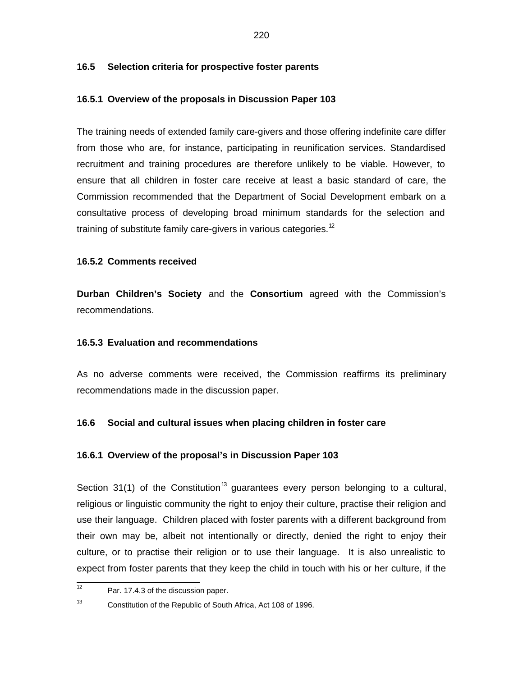#### **16.5 Selection criteria for prospective foster parents**

### **16.5.1 Overview of the proposals in Discussion Paper 103**

The training needs of extended family care-givers and those offering indefinite care differ from those who are, for instance, participating in reunification services. Standardised recruitment and training procedures are therefore unlikely to be viable. However, to ensure that all children in foster care receive at least a basic standard of care, the Commission recommended that the Department of Social Development embark on a consultative process of developing broad minimum standards for the selection and training of substitute family care-givers in various categories.<sup>12</sup>

### **16.5.2 Comments received**

**Durban Children's Society** and the **Consortium** agreed with the Commission's recommendations.

#### **16.5.3 Evaluation and recommendations**

As no adverse comments were received, the Commission reaffirms its preliminary recommendations made in the discussion paper.

### **16.6 Social and cultural issues when placing children in foster care**

#### **16.6.1 Overview of the proposal's in Discussion Paper 103**

Section 31(1) of the Constitution<sup>13</sup> guarantees every person belonging to a cultural, religious or linguistic community the right to enjoy their culture, practise their religion and use their language. Children placed with foster parents with a different background from their own may be, albeit not intentionally or directly, denied the right to enjoy their culture, or to practise their religion or to use their language. It is also unrealistic to expect from foster parents that they keep the child in touch with his or her culture, if the

 $\frac{1}{12}$ Par. 17.4.3 of the discussion paper.

<sup>13</sup> Constitution of the Republic of South Africa, Act 108 of 1996.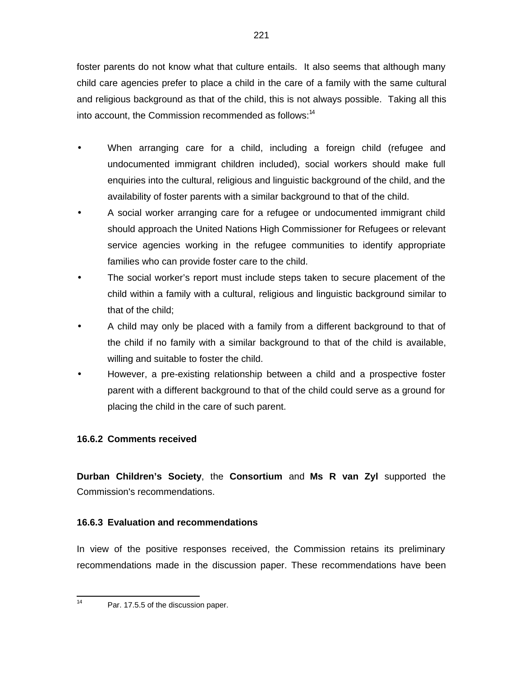foster parents do not know what that culture entails. It also seems that although many child care agencies prefer to place a child in the care of a family with the same cultural and religious background as that of the child, this is not always possible. Taking all this into account, the Commission recommended as follows: $14$ 

- When arranging care for a child, including a foreign child (refugee and undocumented immigrant children included), social workers should make full enquiries into the cultural, religious and linguistic background of the child, and the availability of foster parents with a similar background to that of the child.
- A social worker arranging care for a refugee or undocumented immigrant child should approach the United Nations High Commissioner for Refugees or relevant service agencies working in the refugee communities to identify appropriate families who can provide foster care to the child.
- The social worker's report must include steps taken to secure placement of the child within a family with a cultural, religious and linguistic background similar to that of the child;
- A child may only be placed with a family from a different background to that of the child if no family with a similar background to that of the child is available, willing and suitable to foster the child.
- However, a pre-existing relationship between a child and a prospective foster parent with a different background to that of the child could serve as a ground for placing the child in the care of such parent.

# **16.6.2 Comments received**

**Durban Children's Society**, the **Consortium** and **Ms R van Zyl** supported the Commission's recommendations.

# **16.6.3 Evaluation and recommendations**

In view of the positive responses received, the Commission retains its preliminary recommendations made in the discussion paper. These recommendations have been

 $\frac{1}{14}$ 

Par. 17.5.5 of the discussion paper.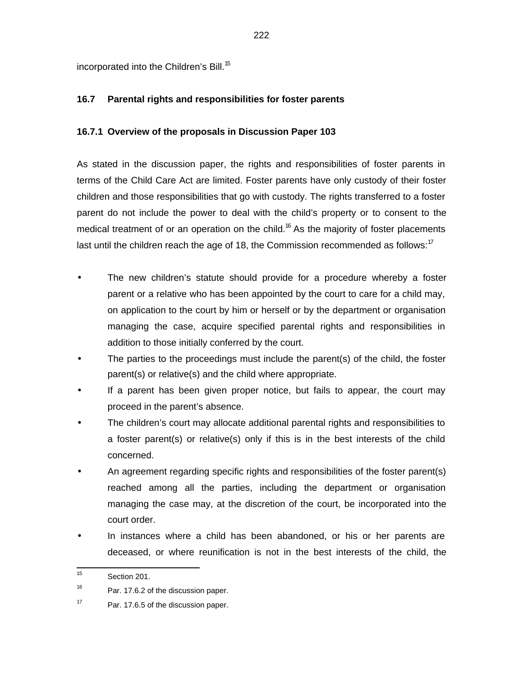incorporated into the Children's Bill.<sup>15</sup>

# **16.7 Parental rights and responsibilities for foster parents**

### **16.7.1 Overview of the proposals in Discussion Paper 103**

As stated in the discussion paper, the rights and responsibilities of foster parents in terms of the Child Care Act are limited. Foster parents have only custody of their foster children and those responsibilities that go with custody. The rights transferred to a foster parent do not include the power to deal with the child's property or to consent to the medical treatment of or an operation on the child.<sup>16</sup> As the majority of foster placements last until the children reach the age of 18, the Commission recommended as follows: $17$ 

- The new children's statute should provide for a procedure whereby a foster parent or a relative who has been appointed by the court to care for a child may, on application to the court by him or herself or by the department or organisation managing the case, acquire specified parental rights and responsibilities in addition to those initially conferred by the court.
- The parties to the proceedings must include the parent(s) of the child, the foster parent(s) or relative(s) and the child where appropriate.
- If a parent has been given proper notice, but fails to appear, the court may proceed in the parent's absence.
- The children's court may allocate additional parental rights and responsibilities to a foster parent(s) or relative(s) only if this is in the best interests of the child concerned.
- An agreement regarding specific rights and responsibilities of the foster parent(s) reached among all the parties, including the department or organisation managing the case may, at the discretion of the court, be incorporated into the court order.
- In instances where a child has been abandoned, or his or her parents are deceased, or where reunification is not in the best interests of the child, the

 $\frac{1}{15}$ Section 201.

<sup>16</sup> Par. 17.6.2 of the discussion paper.

<sup>17</sup> Par. 17.6.5 of the discussion paper.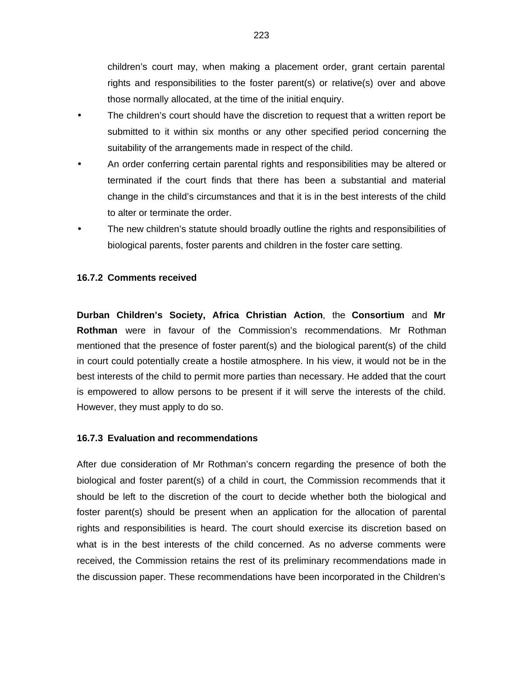children's court may, when making a placement order, grant certain parental rights and responsibilities to the foster parent(s) or relative(s) over and above those normally allocated, at the time of the initial enquiry.

- The children's court should have the discretion to request that a written report be submitted to it within six months or any other specified period concerning the suitability of the arrangements made in respect of the child.
- An order conferring certain parental rights and responsibilities may be altered or terminated if the court finds that there has been a substantial and material change in the child's circumstances and that it is in the best interests of the child to alter or terminate the order.
- The new children's statute should broadly outline the rights and responsibilities of biological parents, foster parents and children in the foster care setting.

#### **16.7.2 Comments received**

**Durban Children's Society, Africa Christian Action**, the **Consortium** and **Mr Rothman** were in favour of the Commission's recommendations. Mr Rothman mentioned that the presence of foster parent(s) and the biological parent(s) of the child in court could potentially create a hostile atmosphere. In his view, it would not be in the best interests of the child to permit more parties than necessary. He added that the court is empowered to allow persons to be present if it will serve the interests of the child. However, they must apply to do so.

#### **16.7.3 Evaluation and recommendations**

After due consideration of Mr Rothman's concern regarding the presence of both the biological and foster parent(s) of a child in court, the Commission recommends that it should be left to the discretion of the court to decide whether both the biological and foster parent(s) should be present when an application for the allocation of parental rights and responsibilities is heard. The court should exercise its discretion based on what is in the best interests of the child concerned. As no adverse comments were received, the Commission retains the rest of its preliminary recommendations made in the discussion paper. These recommendations have been incorporated in the Children's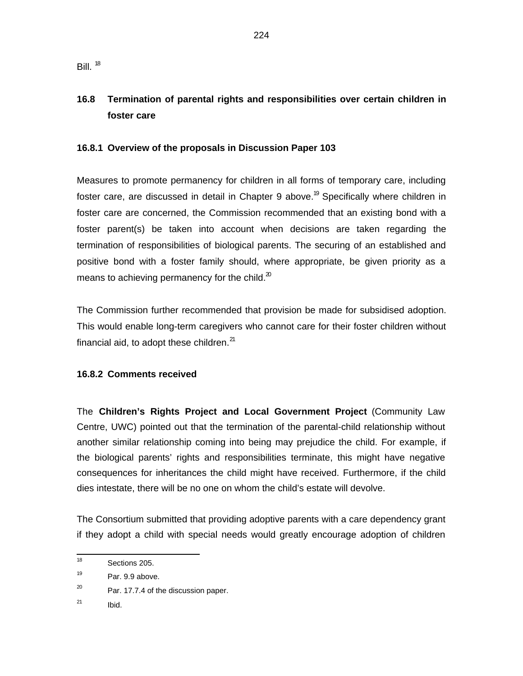# **16.8 Termination of parental rights and responsibilities over certain children in foster care**

### **16.8.1 Overview of the proposals in Discussion Paper 103**

Measures to promote permanency for children in all forms of temporary care, including foster care, are discussed in detail in Chapter 9 above.<sup>19</sup> Specifically where children in foster care are concerned, the Commission recommended that an existing bond with a foster parent(s) be taken into account when decisions are taken regarding the termination of responsibilities of biological parents. The securing of an established and positive bond with a foster family should, where appropriate, be given priority as a means to achieving permanency for the child. $^{20}$ 

The Commission further recommended that provision be made for subsidised adoption. This would enable long-term caregivers who cannot care for their foster children without financial aid, to adopt these children. $^{21}$ 

### **16.8.2 Comments received**

The **Children's Rights Project and Local Government Project** (Community Law Centre, UWC) pointed out that the termination of the parental-child relationship without another similar relationship coming into being may prejudice the child. For example, if the biological parents' rights and responsibilities terminate, this might have negative consequences for inheritances the child might have received. Furthermore, if the child dies intestate, there will be no one on whom the child's estate will devolve.

The Consortium submitted that providing adoptive parents with a care dependency grant if they adopt a child with special needs would greatly encourage adoption of children

21 Ibid.

 $\frac{1}{18}$ Sections 205.

<sup>19</sup> Par. 9.9 above.

<sup>20</sup> Par. 17.7.4 of the discussion paper.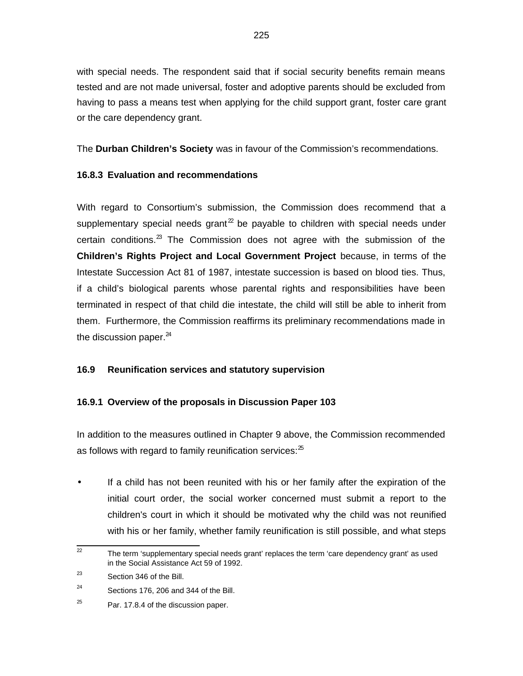with special needs. The respondent said that if social security benefits remain means tested and are not made universal, foster and adoptive parents should be excluded from having to pass a means test when applying for the child support grant, foster care grant or the care dependency grant.

The **Durban Children's Society** was in favour of the Commission's recommendations.

### **16.8.3 Evaluation and recommendations**

With regard to Consortium's submission, the Commission does recommend that a supplementary special needs grant<sup>22</sup> be payable to children with special needs under certain conditions. $^{23}$  The Commission does not agree with the submission of the **Children's Rights Project and Local Government Project** because, in terms of the Intestate Succession Act 81 of 1987, intestate succession is based on blood ties. Thus, if a child's biological parents whose parental rights and responsibilities have been terminated in respect of that child die intestate, the child will still be able to inherit from them. Furthermore, the Commission reaffirms its preliminary recommendations made in the discussion paper. $^{24}$ 

# **16.9 Reunification services and statutory supervision**

# **16.9.1 Overview of the proposals in Discussion Paper 103**

In addition to the measures outlined in Chapter 9 above, the Commission recommended as follows with regard to family reunification services: $25$ 

- If a child has not been reunited with his or her family after the expiration of the initial court order, the social worker concerned must submit a report to the children's court in which it should be motivated why the child was not reunified with his or her family, whether family reunification is still possible, and what steps
- 22<br>22 The term 'supplementary special needs grant' replaces the term 'care dependency grant' as used in the Social Assistance Act 59 of 1992.

<sup>23</sup> Section 346 of the Bill.

<sup>24</sup> Sections 176, 206 and 344 of the Bill.

<sup>25</sup> Par. 17.8.4 of the discussion paper.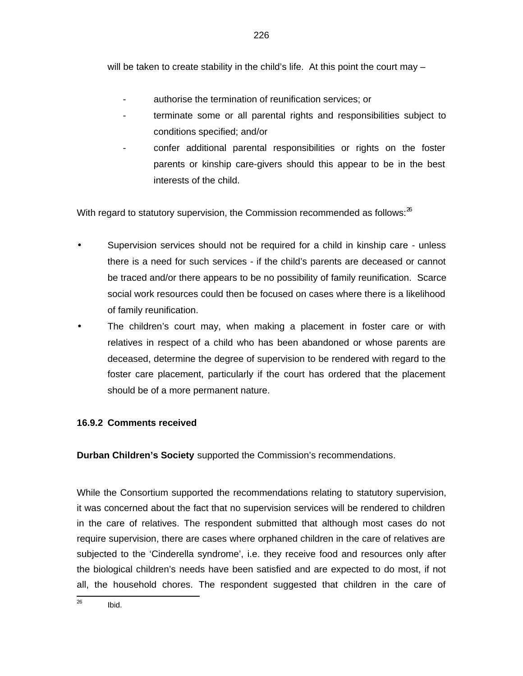will be taken to create stability in the child's life. At this point the court may -

- authorise the termination of reunification services; or
- terminate some or all parental rights and responsibilities subject to conditions specified; and/or
- confer additional parental responsibilities or rights on the foster parents or kinship care-givers should this appear to be in the best interests of the child.

With regard to statutory supervision, the Commission recommended as follows: $^{26}$ 

- Supervision services should not be required for a child in kinship care unless there is a need for such services - if the child's parents are deceased or cannot be traced and/or there appears to be no possibility of family reunification. Scarce social work resources could then be focused on cases where there is a likelihood of family reunification.
- The children's court may, when making a placement in foster care or with relatives in respect of a child who has been abandoned or whose parents are deceased, determine the degree of supervision to be rendered with regard to the foster care placement, particularly if the court has ordered that the placement should be of a more permanent nature.

# **16.9.2 Comments received**

**Durban Children's Society** supported the Commission's recommendations.

While the Consortium supported the recommendations relating to statutory supervision, it was concerned about the fact that no supervision services will be rendered to children in the care of relatives. The respondent submitted that although most cases do not require supervision, there are cases where orphaned children in the care of relatives are subjected to the 'Cinderella syndrome', i.e. they receive food and resources only after the biological children's needs have been satisfied and are expected to do most, if not all, the household chores. The respondent suggested that children in the care of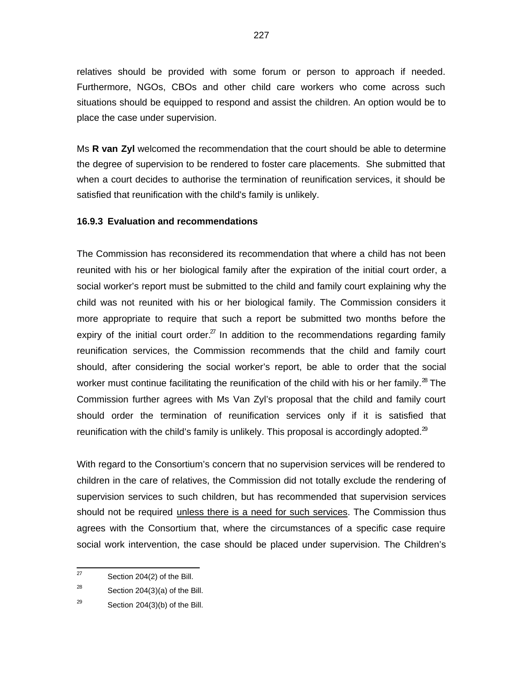relatives should be provided with some forum or person to approach if needed. Furthermore, NGOs, CBOs and other child care workers who come across such situations should be equipped to respond and assist the children. An option would be to place the case under supervision.

Ms **R van Zyl** welcomed the recommendation that the court should be able to determine the degree of supervision to be rendered to foster care placements. She submitted that when a court decides to authorise the termination of reunification services, it should be satisfied that reunification with the child's family is unlikely.

#### **16.9.3 Evaluation and recommendations**

The Commission has reconsidered its recommendation that where a child has not been reunited with his or her biological family after the expiration of the initial court order, a social worker's report must be submitted to the child and family court explaining why the child was not reunited with his or her biological family. The Commission considers it more appropriate to require that such a report be submitted two months before the expiry of the initial court order. $^{27}$  In addition to the recommendations regarding family reunification services, the Commission recommends that the child and family court should, after considering the social worker's report, be able to order that the social worker must continue facilitating the reunification of the child with his or her family.<sup>28</sup> The Commission further agrees with Ms Van Zyl's proposal that the child and family court should order the termination of reunification services only if it is satisfied that reunification with the child's family is unlikely. This proposal is accordingly adopted. $^{29}$ 

With regard to the Consortium's concern that no supervision services will be rendered to children in the care of relatives, the Commission did not totally exclude the rendering of supervision services to such children, but has recommended that supervision services should not be required unless there is a need for such services. The Commission thus agrees with the Consortium that, where the circumstances of a specific case require social work intervention, the case should be placed under supervision. The Children's

<sup>—&</sup>lt;br>27 Section 204(2) of the Bill.

<sup>28</sup> Section 204(3)(a) of the Bill.

<sup>29</sup> Section 204(3)(b) of the Bill.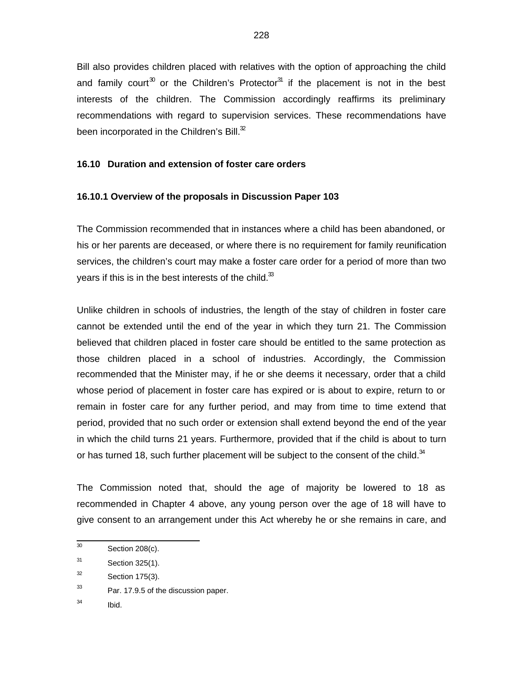Bill also provides children placed with relatives with the option of approaching the child and family court<sup>30</sup> or the Children's Protector<sup>31</sup> if the placement is not in the best interests of the children. The Commission accordingly reaffirms its preliminary recommendations with regard to supervision services. These recommendations have been incorporated in the Children's Bill. $32$ 

### **16.10 Duration and extension of foster care orders**

#### **16.10.1 Overview of the proposals in Discussion Paper 103**

The Commission recommended that in instances where a child has been abandoned, or his or her parents are deceased, or where there is no requirement for family reunification services, the children's court may make a foster care order for a period of more than two years if this is in the best interests of the child. $33$ 

Unlike children in schools of industries, the length of the stay of children in foster care cannot be extended until the end of the year in which they turn 21. The Commission believed that children placed in foster care should be entitled to the same protection as those children placed in a school of industries. Accordingly, the Commission recommended that the Minister may, if he or she deems it necessary, order that a child whose period of placement in foster care has expired or is about to expire, return to or remain in foster care for any further period, and may from time to time extend that period, provided that no such order or extension shall extend beyond the end of the year in which the child turns 21 years. Furthermore, provided that if the child is about to turn or has turned 18, such further placement will be subject to the consent of the child. $34$ 

The Commission noted that, should the age of majority be lowered to 18 as recommended in Chapter 4 above, any young person over the age of 18 will have to give consent to an arrangement under this Act whereby he or she remains in care, and

34 Ibid.

 30 Section 208(c).

<sup>31</sup> Section 325(1).

<sup>32</sup> Section 175(3).

<sup>33</sup> Par. 17.9.5 of the discussion paper.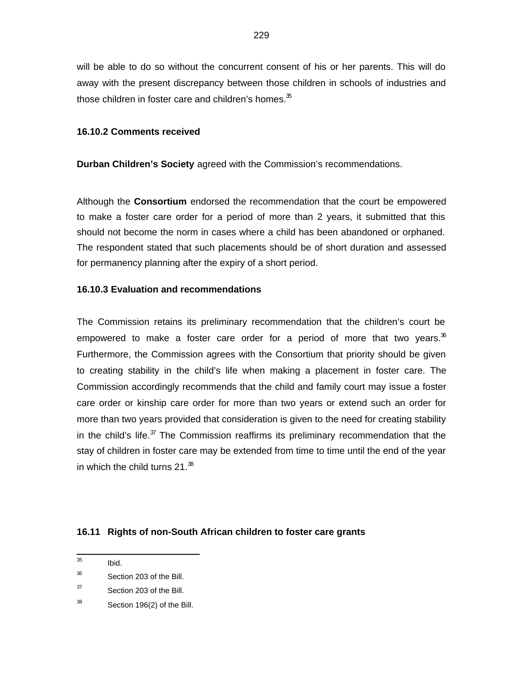will be able to do so without the concurrent consent of his or her parents. This will do away with the present discrepancy between those children in schools of industries and those children in foster care and children's homes. $35$ 

### **16.10.2 Comments received**

**Durban Children's Society** agreed with the Commission's recommendations.

Although the **Consortium** endorsed the recommendation that the court be empowered to make a foster care order for a period of more than 2 years, it submitted that this should not become the norm in cases where a child has been abandoned or orphaned. The respondent stated that such placements should be of short duration and assessed for permanency planning after the expiry of a short period.

#### **16.10.3 Evaluation and recommendations**

The Commission retains its preliminary recommendation that the children's court be empowered to make a foster care order for a period of more that two years.<sup>36</sup> Furthermore, the Commission agrees with the Consortium that priority should be given to creating stability in the child's life when making a placement in foster care. The Commission accordingly recommends that the child and family court may issue a foster care order or kinship care order for more than two years or extend such an order for more than two years provided that consideration is given to the need for creating stability in the child's life. $37$  The Commission reaffirms its preliminary recommendation that the stay of children in foster care may be extended from time to time until the end of the year in which the child turns  $21.^{38}$ 

### **16.11 Rights of non-South African children to foster care grants**

—<br>35 Ibid.

<sup>36</sup> Section 203 of the Bill.

<sup>37</sup> Section 203 of the Bill.

<sup>38</sup> Section 196(2) of the Bill.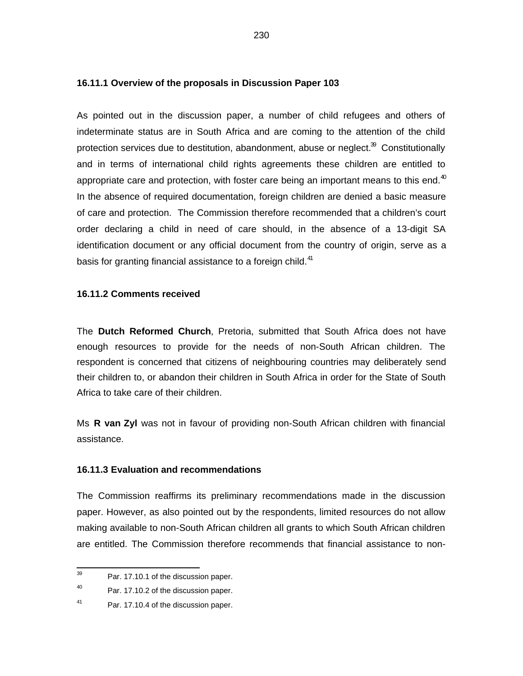#### **16.11.1 Overview of the proposals in Discussion Paper 103**

As pointed out in the discussion paper, a number of child refugees and others of indeterminate status are in South Africa and are coming to the attention of the child protection services due to destitution, abandonment, abuse or neglect.<sup>39</sup> Constitutionally and in terms of international child rights agreements these children are entitled to appropriate care and protection, with foster care being an important means to this end. $40$ In the absence of required documentation, foreign children are denied a basic measure of care and protection. The Commission therefore recommended that a children's court order declaring a child in need of care should, in the absence of a 13-digit SA identification document or any official document from the country of origin, serve as a basis for granting financial assistance to a foreign child.<sup>41</sup>

#### **16.11.2 Comments received**

The **Dutch Reformed Church**, Pretoria, submitted that South Africa does not have enough resources to provide for the needs of non-South African children. The respondent is concerned that citizens of neighbouring countries may deliberately send their children to, or abandon their children in South Africa in order for the State of South Africa to take care of their children.

Ms **R van Zyl** was not in favour of providing non-South African children with financial assistance.

#### **16.11.3 Evaluation and recommendations**

The Commission reaffirms its preliminary recommendations made in the discussion paper. However, as also pointed out by the respondents, limited resources do not allow making available to non-South African children all grants to which South African children are entitled. The Commission therefore recommends that financial assistance to non-

<sup>-&</sup>lt;br>39 Par. 17.10.1 of the discussion paper.

<sup>40</sup> Par. 17.10.2 of the discussion paper.

<sup>41</sup> Par. 17.10.4 of the discussion paper.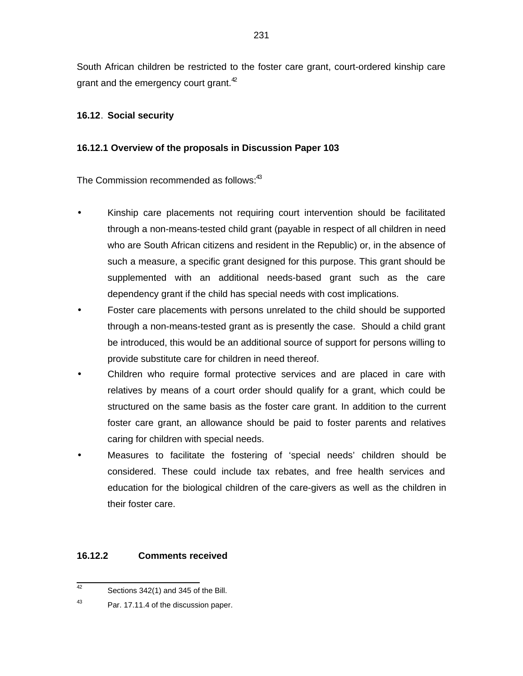South African children be restricted to the foster care grant, court-ordered kinship care grant and the emergency court grant. $42$ 

### **16.12**. **Social security**

### **16.12.1 Overview of the proposals in Discussion Paper 103**

The Commission recommended as follows:<sup>43</sup>

- Kinship care placements not requiring court intervention should be facilitated through a non-means-tested child grant (payable in respect of all children in need who are South African citizens and resident in the Republic) or, in the absence of such a measure, a specific grant designed for this purpose. This grant should be supplemented with an additional needs-based grant such as the care dependency grant if the child has special needs with cost implications.
- Foster care placements with persons unrelated to the child should be supported through a non-means-tested grant as is presently the case. Should a child grant be introduced, this would be an additional source of support for persons willing to provide substitute care for children in need thereof.
- Children who require formal protective services and are placed in care with relatives by means of a court order should qualify for a grant, which could be structured on the same basis as the foster care grant. In addition to the current foster care grant, an allowance should be paid to foster parents and relatives caring for children with special needs.
- Measures to facilitate the fostering of 'special needs' children should be considered. These could include tax rebates, and free health services and education for the biological children of the care-givers as well as the children in their foster care.

### **16.12.2 Comments received**

 42 Sections 342(1) and 345 of the Bill.

<sup>43</sup> Par. 17.11.4 of the discussion paper.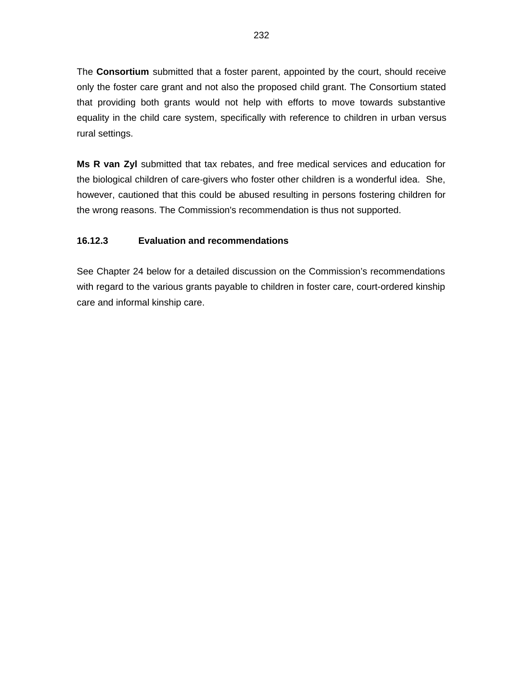The **Consortium** submitted that a foster parent, appointed by the court, should receive only the foster care grant and not also the proposed child grant. The Consortium stated that providing both grants would not help with efforts to move towards substantive equality in the child care system, specifically with reference to children in urban versus rural settings.

**Ms R van Zyl** submitted that tax rebates, and free medical services and education for the biological children of care-givers who foster other children is a wonderful idea. She, however, cautioned that this could be abused resulting in persons fostering children for the wrong reasons. The Commission's recommendation is thus not supported.

# **16.12.3 Evaluation and recommendations**

See Chapter 24 below for a detailed discussion on the Commission's recommendations with regard to the various grants payable to children in foster care, court-ordered kinship care and informal kinship care.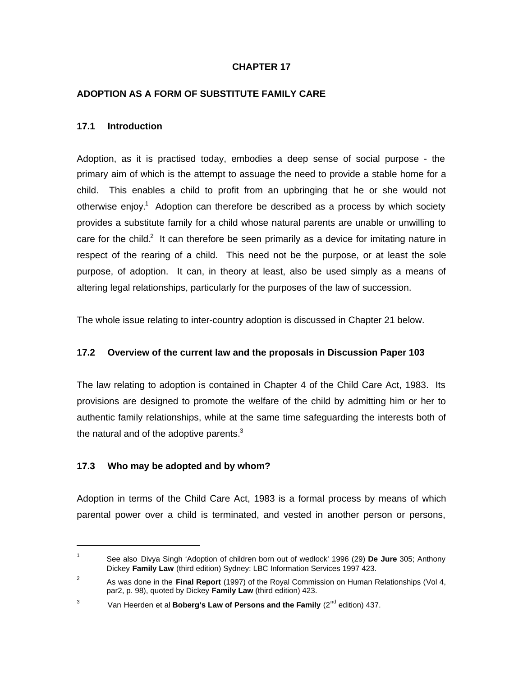### **CHAPTER 17**

### **ADOPTION AS A FORM OF SUBSTITUTE FAMILY CARE**

### **17.1 Introduction**

Adoption, as it is practised today, embodies a deep sense of social purpose - the primary aim of which is the attempt to assuage the need to provide a stable home for a child. This enables a child to profit from an upbringing that he or she would not otherwise enjoy.<sup>1</sup> Adoption can therefore be described as a process by which society provides a substitute family for a child whose natural parents are unable or unwilling to care for the child.<sup>2</sup> It can therefore be seen primarily as a device for imitating nature in respect of the rearing of a child. This need not be the purpose, or at least the sole purpose, of adoption. It can, in theory at least, also be used simply as a means of altering legal relationships, particularly for the purposes of the law of succession.

The whole issue relating to inter-country adoption is discussed in Chapter 21 below.

### **17.2 Overview of the current law and the proposals in Discussion Paper 103**

The law relating to adoption is contained in Chapter 4 of the Child Care Act, 1983. Its provisions are designed to promote the welfare of the child by admitting him or her to authentic family relationships, while at the same time safeguarding the interests both of the natural and of the adoptive parents. $3$ 

### **17.3 Who may be adopted and by whom?**

j

Adoption in terms of the Child Care Act, 1983 is a formal process by means of which parental power over a child is terminated, and vested in another person or persons,

<sup>1</sup> See also Divya Singh 'Adoption of children born out of wedlock' 1996 (29) **De Jure** 305; Anthony Dickey **Family Law** (third edition) Sydney: LBC Information Services 1997 423.

<sup>2</sup> As was done in the **Final Report** (1997) of the Royal Commission on Human Relationships (Vol 4, par2, p. 98), quoted by Dickey **Family Law** (third edition) 423.

<sup>3</sup> Van Heerden et al **Boberg's Law of Persons and the Family** (2<sup>nd</sup> edition) 437.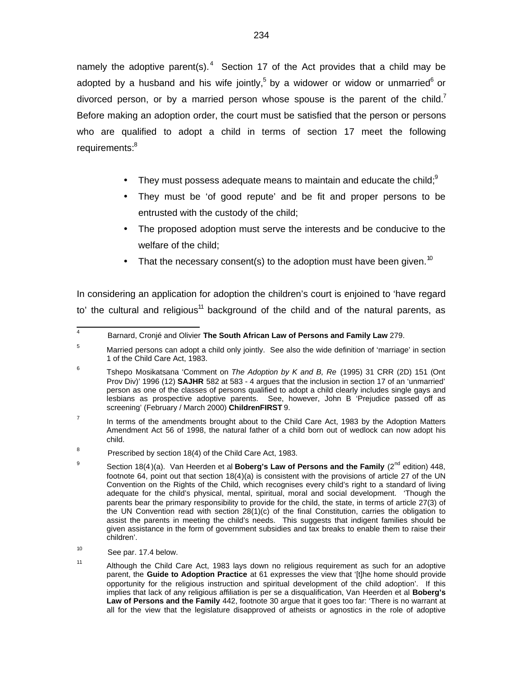namely the adoptive parent(s).<sup>4</sup> Section 17 of the Act provides that a child may be adopted by a husband and his wife jointly,<sup>5</sup> by a widower or widow or unmarried<sup>6</sup> or divorced person, or by a married person whose spouse is the parent of the child.<sup>7</sup> Before making an adoption order, the court must be satisfied that the person or persons who are qualified to adopt a child in terms of section 17 meet the following requirements:<sup>8</sup>

- They must possess adequate means to maintain and educate the child; $9$
- They must be 'of good repute' and be fit and proper persons to be entrusted with the custody of the child;
- The proposed adoption must serve the interests and be conducive to the welfare of the child;
- That the necessary consent(s) to the adoption must have been given.<sup>10</sup>

In considering an application for adoption the children's court is enjoined to 'have regard to' the cultural and religious<sup>11</sup> background of the child and of the natural parents, as

10 See par. 17.4 below.

 4 Barnard, Cronjé and Olivier **The South African Law of Persons and Family Law** 279.

<sup>&</sup>lt;sup>5</sup> Married persons can adopt a child only jointly. See also the wide definition of 'marriage' in section 1 of the Child Care Act, 1983.

<sup>6</sup> Tshepo Mosikatsana 'Comment on The Adoption by K and B, Re (1995) 31 CRR (2D) 151 (Ont Prov Div)' 1996 (12) **SAJHR** 582 at 583 - 4 argues that the inclusion in section 17 of an 'unmarried' person as one of the classes of persons qualified to adopt a child clearly includes single gays and lesbians as prospective adoptive parents. See, however, John B 'Prejudice passed off as screening' (February / March 2000) **ChildrenFIRST** 9.

<sup>7</sup> In terms of the amendments brought about to the Child Care Act, 1983 by the Adoption Matters Amendment Act 56 of 1998, the natural father of a child born out of wedlock can now adopt his child.

<sup>8</sup> Prescribed by section 18(4) of the Child Care Act, 1983.

<sup>9</sup> Section 18(4)(a). Van Heerden et al **Boberg's Law of Persons and the Family** (2<sup>nd</sup> edition) 448, footnote 64, point out that section 18(4)(a) is consistent with the provisions of article 27 of the UN Convention on the Rights of the Child, which recognises every child's right to a standard of living adequate for the child's physical, mental, spiritual, moral and social development. 'Though the parents bear the primary responsibility to provide for the child, the state, in terms of article 27(3) of the UN Convention read with section 28(1)(c) of the final Constitution, carries the obligation to assist the parents in meeting the child's needs. This suggests that indigent families should be given assistance in the form of government subsidies and tax breaks to enable them to raise their children'.

<sup>11</sup> Although the Child Care Act, 1983 lays down no religious requirement as such for an adoptive parent, the **Guide to Adoption Practice** at 61 expresses the view that '[t]he home should provide opportunity for the religious instruction and spiritual development of the child adoption'. If this implies that lack of any religious affiliation is per se a disqualification, Van Heerden et al **Boberg's Law of Persons and the Family** 442, footnote 30 argue that it goes too far: 'There is no warrant at all for the view that the legislature disapproved of atheists or agnostics in the role of adoptive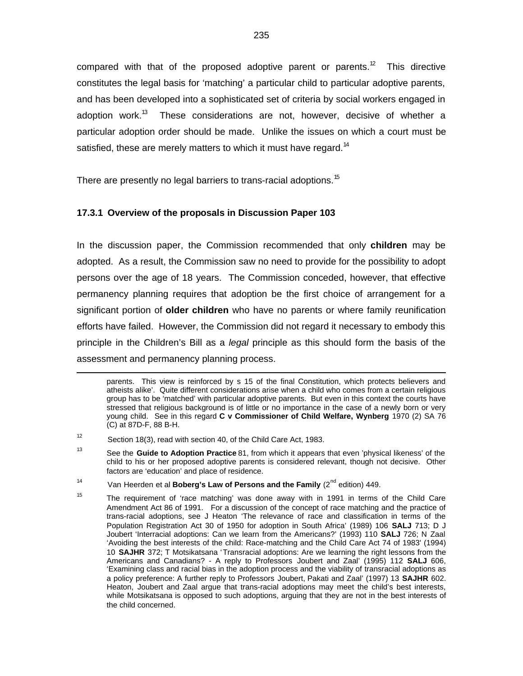compared with that of the proposed adoptive parent or parents.<sup>12</sup> This directive constitutes the legal basis for 'matching' a particular child to particular adoptive parents, and has been developed into a sophisticated set of criteria by social workers engaged in adoption work.<sup>13</sup> These considerations are not, however, decisive of whether a particular adoption order should be made. Unlike the issues on which a court must be satisfied, these are merely matters to which it must have regard.<sup>14</sup>

There are presently no legal barriers to trans-racial adoptions.<sup>15</sup>

### **17.3.1 Overview of the proposals in Discussion Paper 103**

In the discussion paper, the Commission recommended that only **children** may be adopted. As a result, the Commission saw no need to provide for the possibility to adopt persons over the age of 18 years. The Commission conceded, however, that effective permanency planning requires that adoption be the first choice of arrangement for a significant portion of **older children** who have no parents or where family reunification efforts have failed. However, the Commission did not regard it necessary to embody this principle in the Children's Bill as a legal principle as this should form the basis of the assessment and permanency planning process.

1

parents. This view is reinforced by s 15 of the final Constitution, which protects believers and atheists alike'. Quite different considerations arise when a child who comes from a certain religious group has to be 'matched' with particular adoptive parents. But even in this context the courts have stressed that religious background is of little or no importance in the case of a newly born or very young child. See in this regard **C v Commissioner of Child Welfare, Wynberg** 1970 (2) SA 76 (C) at 87D-F, 88 B-H.

<sup>12</sup> Section 18(3), read with section 40, of the Child Care Act, 1983.

<sup>13</sup> See the **Guide to Adoption Practice** 81, from which it appears that even 'physical likeness' of the child to his or her proposed adoptive parents is considered relevant, though not decisive. Other factors are 'education' and place of residence.

<sup>14</sup> Van Heerden et al **Boberg's Law of Persons and the Family** (2<sup>nd</sup> edition) 449.

<sup>15</sup> The requirement of 'race matching' was done away with in 1991 in terms of the Child Care Amendment Act 86 of 1991. For a discussion of the concept of race matching and the practice of trans-racial adoptions, see J Heaton 'The relevance of race and classification in terms of the Population Registration Act 30 of 1950 for adoption in South Africa' (1989) 106 **SALJ** 713; D J Joubert 'Interracial adoptions: Can we learn from the Americans?' (1993) 110 **SALJ** 726; N Zaal 'Avoiding the best interests of the child: Race-matching and the Child Care Act 74 of 1983' (1994) 10 **SAJHR** 372; T Motsikatsana 'Transracial adoptions: Are we learning the right lessons from the Americans and Canadians? - A reply to Professors Joubert and Zaal' (1995) 112 **SALJ** 606, 'Examining class and racial bias in the adoption process and the viability of transracial adoptions as a policy preference: A further reply to Professors Joubert, Pakati and Zaal' (1997) 13 **SAJHR** 602. Heaton, Joubert and Zaal argue that trans-racial adoptions may meet the child's best interests, while Motsikatsana is opposed to such adoptions, arguing that they are not in the best interests of the child concerned.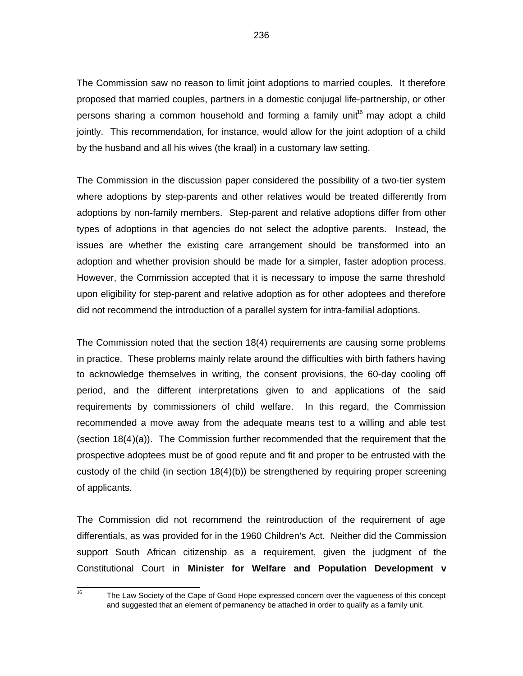The Commission saw no reason to limit joint adoptions to married couples. It therefore proposed that married couples, partners in a domestic conjugal life-partnership, or other persons sharing a common household and forming a family unit<sup>16</sup> may adopt a child jointly. This recommendation, for instance, would allow for the joint adoption of a child by the husband and all his wives (the kraal) in a customary law setting.

The Commission in the discussion paper considered the possibility of a two-tier system where adoptions by step-parents and other relatives would be treated differently from adoptions by non-family members. Step-parent and relative adoptions differ from other types of adoptions in that agencies do not select the adoptive parents. Instead, the issues are whether the existing care arrangement should be transformed into an adoption and whether provision should be made for a simpler, faster adoption process. However, the Commission accepted that it is necessary to impose the same threshold upon eligibility for step-parent and relative adoption as for other adoptees and therefore did not recommend the introduction of a parallel system for intra-familial adoptions.

The Commission noted that the section 18(4) requirements are causing some problems in practice. These problems mainly relate around the difficulties with birth fathers having to acknowledge themselves in writing, the consent provisions, the 60-day cooling off period, and the different interpretations given to and applications of the said requirements by commissioners of child welfare. In this regard, the Commission recommended a move away from the adequate means test to a willing and able test (section 18(4)(a)). The Commission further recommended that the requirement that the prospective adoptees must be of good repute and fit and proper to be entrusted with the custody of the child (in section 18(4)(b)) be strengthened by requiring proper screening of applicants.

The Commission did not recommend the reintroduction of the requirement of age differentials, as was provided for in the 1960 Children's Act. Neither did the Commission support South African citizenship as a requirement, given the judgment of the Constitutional Court in **Minister for Welfare and Population Development v**

16

The Law Society of the Cape of Good Hope expressed concern over the vagueness of this concept and suggested that an element of permanency be attached in order to qualify as a family unit.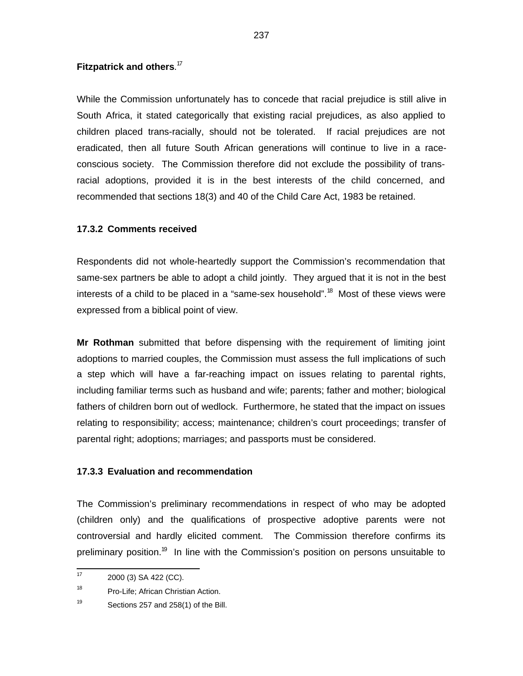### **Fitzpatrick and others**. 17

While the Commission unfortunately has to concede that racial prejudice is still alive in South Africa, it stated categorically that existing racial prejudices, as also applied to children placed trans-racially, should not be tolerated. If racial prejudices are not eradicated, then all future South African generations will continue to live in a raceconscious society. The Commission therefore did not exclude the possibility of transracial adoptions, provided it is in the best interests of the child concerned, and recommended that sections 18(3) and 40 of the Child Care Act, 1983 be retained.

#### **17.3.2 Comments received**

Respondents did not whole-heartedly support the Commission's recommendation that same-sex partners be able to adopt a child jointly. They argued that it is not in the best interests of a child to be placed in a "same-sex household".<sup>18</sup> Most of these views were expressed from a biblical point of view.

**Mr Rothman** submitted that before dispensing with the requirement of limiting joint adoptions to married couples, the Commission must assess the full implications of such a step which will have a far-reaching impact on issues relating to parental rights, including familiar terms such as husband and wife; parents; father and mother; biological fathers of children born out of wedlock. Furthermore, he stated that the impact on issues relating to responsibility; access; maintenance; children's court proceedings; transfer of parental right; adoptions; marriages; and passports must be considered.

#### **17.3.3 Evaluation and recommendation**

The Commission's preliminary recommendations in respect of who may be adopted (children only) and the qualifications of prospective adoptive parents were not controversial and hardly elicited comment. The Commission therefore confirms its preliminary position.<sup>19</sup> In line with the Commission's position on persons unsuitable to

 $\frac{1}{17}$ 2000 (3) SA 422 (CC).

<sup>18</sup> Pro-Life; African Christian Action.

<sup>19</sup> Sections 257 and 258(1) of the Bill.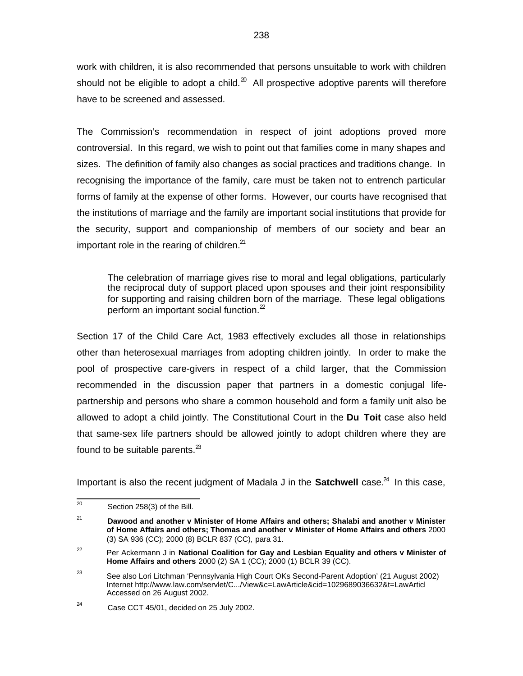work with children, it is also recommended that persons unsuitable to work with children should not be eligible to adopt a child.<sup>20</sup> All prospective adoptive parents will therefore have to be screened and assessed.

The Commission's recommendation in respect of joint adoptions proved more controversial. In this regard, we wish to point out that families come in many shapes and sizes. The definition of family also changes as social practices and traditions change. In recognising the importance of the family, care must be taken not to entrench particular forms of family at the expense of other forms. However, our courts have recognised that the institutions of marriage and the family are important social institutions that provide for the security, support and companionship of members of our society and bear an important role in the rearing of children. $21$ 

The celebration of marriage gives rise to moral and legal obligations, particularly the reciprocal duty of support placed upon spouses and their joint responsibility for supporting and raising children born of the marriage. These legal obligations perform an important social function. $2^2$ 

Section 17 of the Child Care Act, 1983 effectively excludes all those in relationships other than heterosexual marriages from adopting children jointly. In order to make the pool of prospective care-givers in respect of a child larger, that the Commission recommended in the discussion paper that partners in a domestic conjugal lifepartnership and persons who share a common household and form a family unit also be allowed to adopt a child jointly. The Constitutional Court in the **Du Toit** case also held that same-sex life partners should be allowed jointly to adopt children where they are found to be suitable parents. $^{23}$ 

Important is also the recent judgment of Madala J in the **Satchwell** case.<sup>24</sup> In this case,

<sup>-&</sup>lt;br>20 Section 258(3) of the Bill.

<sup>21</sup> **Dawood and another v Minister of Home Affairs and others; Shalabi and another v Minister of Home Affairs and others; Thomas and another v Minister of Home Affairs and others** 2000 (3) SA 936 (CC); 2000 (8) BCLR 837 (CC), para 31.

<sup>22</sup> Per Ackermann J in **National Coalition for Gay and Lesbian Equality and others v Minister of Home Affairs and others** 2000 (2) SA 1 (CC); 2000 (1) BCLR 39 (CC).

<sup>23</sup> See also Lori Litchman 'Pennsylvania High Court OKs Second-Parent Adoption' (21 August 2002) Internet<http://www.law.com/servlet/C.../View&c=LawArticle&cid=1029689036632&t=>LawArticl Accessed on 26 August 2002.

<sup>24</sup> Case CCT 45/01, decided on 25 July 2002.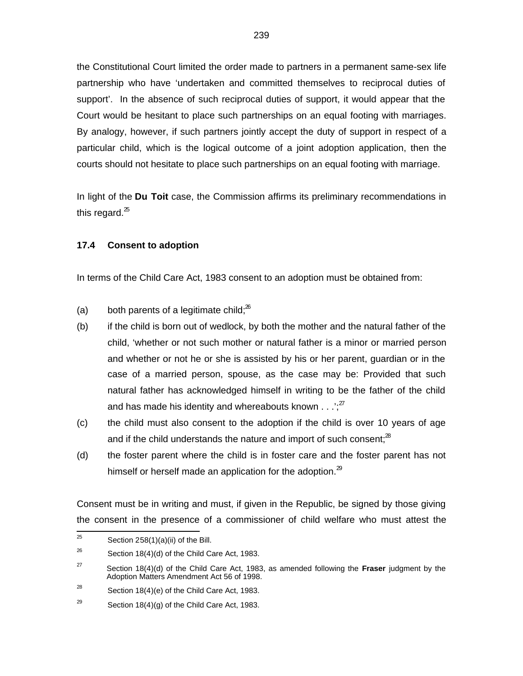the Constitutional Court limited the order made to partners in a permanent same-sex life partnership who have 'undertaken and committed themselves to reciprocal duties of support'. In the absence of such reciprocal duties of support, it would appear that the Court would be hesitant to place such partnerships on an equal footing with marriages. By analogy, however, if such partners jointly accept the duty of support in respect of a particular child, which is the logical outcome of a joint adoption application, then the courts should not hesitate to place such partnerships on an equal footing with marriage.

In light of the **Du Toit** case, the Commission affirms its preliminary recommendations in this regard. $^{25}$ 

### **17.4 Consent to adoption**

In terms of the Child Care Act, 1983 consent to an adoption must be obtained from:

- (a) both parents of a legitimate child; $^{26}$
- (b) if the child is born out of wedlock, by both the mother and the natural father of the child, 'whether or not such mother or natural father is a minor or married person and whether or not he or she is assisted by his or her parent, guardian or in the case of a married person, spouse, as the case may be: Provided that such natural father has acknowledged himself in writing to be the father of the child and has made his identity and whereabouts known  $\ldots$ :<sup>27</sup>
- (c) the child must also consent to the adoption if the child is over 10 years of age and if the child understands the nature and import of such consent; $^{28}$
- (d) the foster parent where the child is in foster care and the foster parent has not himself or herself made an application for the adoption. $^{29}$

Consent must be in writing and must, if given in the Republic, be signed by those giving the consent in the presence of a commissioner of child welfare who must attest the

<sup>—&</sup>lt;br>25 Section 258(1)(a)(ii) of the Bill.

<sup>26</sup> Section 18(4)(d) of the Child Care Act, 1983.

<sup>27</sup> Section 18(4)(d) of the Child Care Act, 1983, as amended following the **Fraser** judgment by the Adoption Matters Amendment Act 56 of 1998.

<sup>28</sup> Section 18(4)(e) of the Child Care Act, 1983.

<sup>29</sup> Section 18(4)(g) of the Child Care Act, 1983.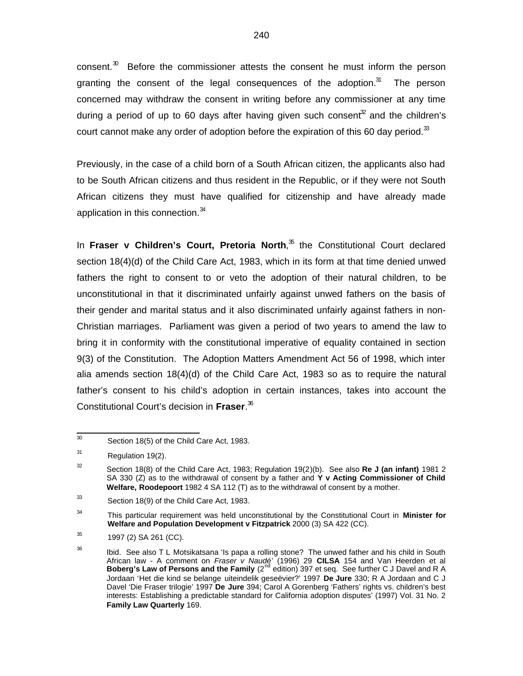consent.<sup>30</sup> Before the commissioner attests the consent he must inform the person granting the consent of the legal consequences of the adoption.<sup>31</sup> The person concerned may withdraw the consent in writing before any commissioner at any time during a period of up to 60 days after having given such consent $^{\mathfrak{X}}$  and the children's court cannot make any order of adoption before the expiration of this 60 day period. $33$ 

Previously, in the case of a child born of a South African citizen, the applicants also had to be South African citizens and thus resident in the Republic, or if they were not South African citizens they must have qualified for citizenship and have already made application in this connection.<sup>34</sup>

In Fraser v Children's Court, Pretoria North,<sup>35</sup> the Constitutional Court declared section 18(4)(d) of the Child Care Act, 1983, which in its form at that time denied unwed fathers the right to consent to or veto the adoption of their natural children, to be unconstitutional in that it discriminated unfairly against unwed fathers on the basis of their gender and marital status and it also discriminated unfairly against fathers in non-Christian marriages. Parliament was given a period of two years to amend the law to bring it in conformity with the constitutional imperative of equality contained in section 9(3) of the Constitution. The Adoption Matters Amendment Act 56 of 1998, which inter alia amends section 18(4)(d) of the Child Care Act, 1983 so as to require the natural father's consent to his child's adoption in certain instances, takes into account the Constitutional Court's decision in **Fraser**. 36

 30 Section 18(5) of the Child Care Act, 1983.

<sup>31</sup> Regulation 19(2).

<sup>32</sup> Section 18(8) of the Child Care Act, 1983; Regulation 19(2)(b). See also **Re J (an infant)** 1981 2 SA 330 (Z) as to the withdrawal of consent by a father and **Y v Acting Commissioner of Child Welfare, Roodepoort** 1982 4 SA 112 (T) as to the withdrawal of consent by a mother.

<sup>33</sup> Section 18(9) of the Child Care Act, 1983.

<sup>34</sup> This particular requirement was held unconstitutional by the Constitutional Court in **Minister for Welfare and Population Development v Fitzpatrick** 2000 (3) SA 422 (CC).

<sup>35</sup> 1997 (2) SA 261 (CC).

<sup>36</sup> Ibid. See also T L Motsikatsana 'Is papa a rolling stone? The unwed father and his child in South African law - A comment on *Fraser v Naudé*' (1996) 29 **CILSA** 154 and Van Heerden et al<br>**Boberg's Law of Persons and the Family** (2<sup>nd</sup> edition) 397 et seq. See further C J Davel and R A Jordaan 'Het die kind se belange uiteindelik geseëvier?' 1997 **De Jure** 330; R A Jordaan and C J Davel 'Die Fraser trilogie' 1997 **De Jure** 394; Carol A Gorenberg 'Fathers' rights vs. children's best interests: Establishing a predictable standard for California adoption disputes' (1997) Vol. 31 No. 2 **Family Law Quarterly** 169.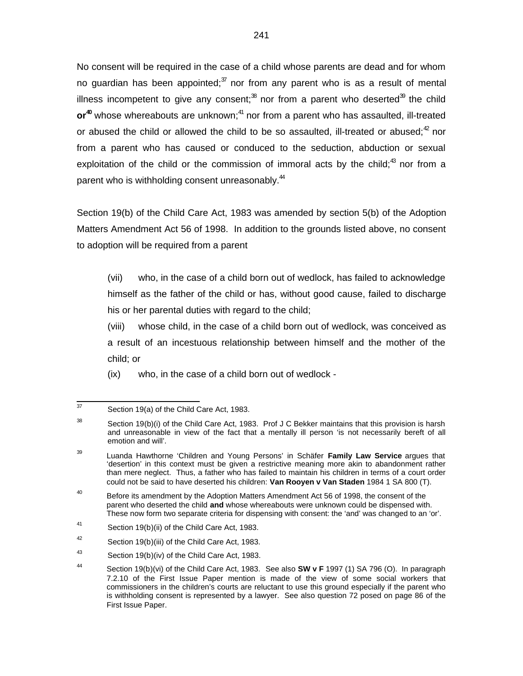No consent will be required in the case of a child whose parents are dead and for whom no guardian has been appointed; $\frac{37}{1}$  nor from any parent who is as a result of mental illness incompetent to give any consent;<sup>38</sup> nor from a parent who deserted<sup>39</sup> the child **or<sup>40</sup>** whose whereabouts are unknown;<sup>41</sup> nor from a parent who has assaulted, ill-treated or abused the child or allowed the child to be so assaulted, ill-treated or abused; $^{42}$  nor from a parent who has caused or conduced to the seduction, abduction or sexual exploitation of the child or the commission of immoral acts by the child; $^{43}$  nor from a parent who is withholding consent unreasonably.<sup>44</sup>

Section 19(b) of the Child Care Act, 1983 was amended by section 5(b) of the Adoption Matters Amendment Act 56 of 1998. In addition to the grounds listed above, no consent to adoption will be required from a parent

(vii) who, in the case of a child born out of wedlock, has failed to acknowledge himself as the father of the child or has, without good cause, failed to discharge his or her parental duties with regard to the child;

(viii) whose child, in the case of a child born out of wedlock, was conceived as a result of an incestuous relationship between himself and the mother of the child; or

(ix) who, in the case of a child born out of wedlock -

<sup>-&</sup>lt;br>37 Section 19(a) of the Child Care Act, 1983.

<sup>38</sup> Section 19(b)(i) of the Child Care Act, 1983. Prof J C Bekker maintains that this provision is harsh and unreasonable in view of the fact that a mentally ill person 'is not necessarily bereft of all emotion and will'.

<sup>39</sup> Luanda Hawthorne 'Children and Young Persons' in Schäfer **Family Law Service** argues that 'desertion' in this context must be given a restrictive meaning more akin to abandonment rather than mere neglect. Thus, a father who has failed to maintain his children in terms of a court order could not be said to have deserted his children: **Van Rooyen v Van Staden** 1984 1 SA 800 (T).

<sup>40</sup> Before its amendment by the Adoption Matters Amendment Act 56 of 1998, the consent of the parent who deserted the child **and** whose whereabouts were unknown could be dispensed with. These now form two separate criteria for dispensing with consent: the 'and' was changed to an 'or'.

<sup>41</sup> Section 19(b)(ii) of the Child Care Act, 1983.

<sup>42</sup> Section 19(b)(iii) of the Child Care Act, 1983.

<sup>43</sup> Section 19(b)(iv) of the Child Care Act, 1983.

<sup>44</sup> Section 19(b)(vi) of the Child Care Act, 1983. See also **SW v F** 1997 (1) SA 796 (O). In paragraph 7.2.10 of the First Issue Paper mention is made of the view of some social workers that commissioners in the children's courts are reluctant to use this ground especially if the parent who is withholding consent is represented by a lawyer. See also question 72 posed on page 86 of the First Issue Paper.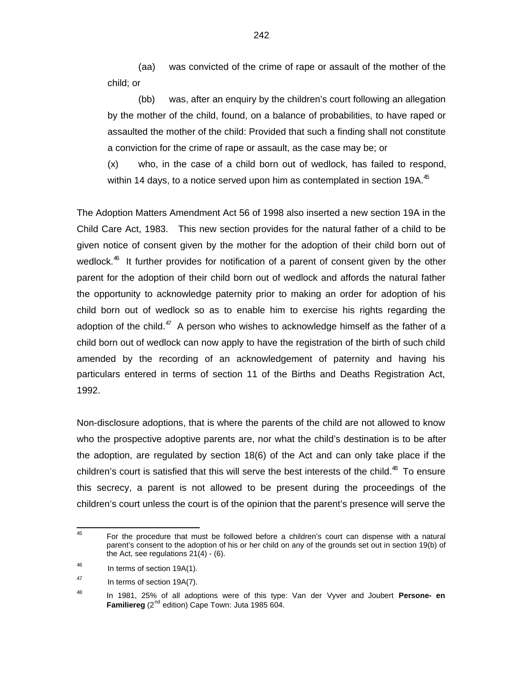(aa) was convicted of the crime of rape or assault of the mother of the child; or

(bb) was, after an enquiry by the children's court following an allegation by the mother of the child, found, on a balance of probabilities, to have raped or assaulted the mother of the child: Provided that such a finding shall not constitute a conviction for the crime of rape or assault, as the case may be; or

(x) who, in the case of a child born out of wedlock, has failed to respond, within 14 days, to a notice served upon him as contemplated in section 19A. $45$ 

The Adoption Matters Amendment Act 56 of 1998 also inserted a new section 19A in the Child Care Act, 1983. This new section provides for the natural father of a child to be given notice of consent given by the mother for the adoption of their child born out of wedlock.<sup>46</sup> It further provides for notification of a parent of consent given by the other parent for the adoption of their child born out of wedlock and affords the natural father the opportunity to acknowledge paternity prior to making an order for adoption of his child born out of wedlock so as to enable him to exercise his rights regarding the adoption of the child. $47$  A person who wishes to acknowledge himself as the father of a child born out of wedlock can now apply to have the registration of the birth of such child amended by the recording of an acknowledgement of paternity and having his particulars entered in terms of section 11 of the Births and Deaths Registration Act, 1992.

Non-disclosure adoptions, that is where the parents of the child are not allowed to know who the prospective adoptive parents are, nor what the child's destination is to be after the adoption, are regulated by section 18(6) of the Act and can only take place if the children's court is satisfied that this will serve the best interests of the child.<sup>48</sup> To ensure this secrecy, a parent is not allowed to be present during the proceedings of the children's court unless the court is of the opinion that the parent's presence will serve the

<sup>—&</sup>lt;br>45 For the procedure that must be followed before a children's court can dispense with a natural parent's consent to the adoption of his or her child on any of the grounds set out in section 19(b) of the Act, see regulations  $21(4) - (6)$ .

<sup>46</sup> In terms of section 19A(1).

<sup>47</sup> In terms of section 19A(7).

<sup>48</sup> In 1981, 25% of all adoptions were of this type: Van der Vyver and Joubert **Persone- en Familiereg** (2<sup>nd</sup> edition) Cape Town: Juta 1985 604.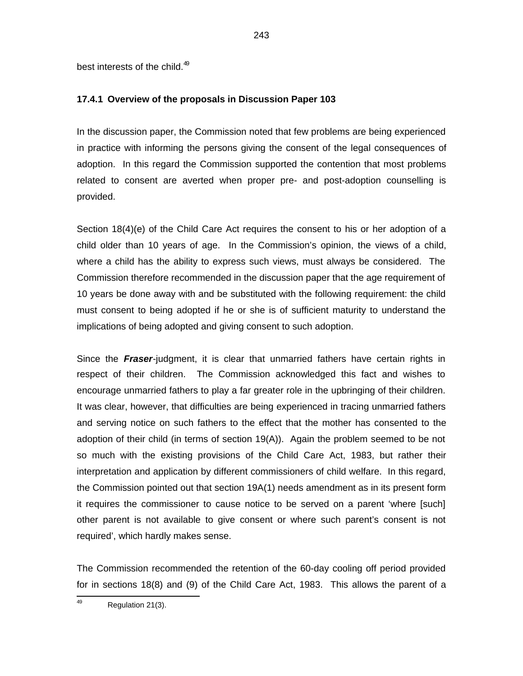best interests of the child.<sup>49</sup>

### **17.4.1 Overview of the proposals in Discussion Paper 103**

In the discussion paper, the Commission noted that few problems are being experienced in practice with informing the persons giving the consent of the legal consequences of adoption. In this regard the Commission supported the contention that most problems related to consent are averted when proper pre- and post-adoption counselling is provided.

Section 18(4)(e) of the Child Care Act requires the consent to his or her adoption of a child older than 10 years of age. In the Commission's opinion, the views of a child, where a child has the ability to express such views, must always be considered. The Commission therefore recommended in the discussion paper that the age requirement of 10 years be done away with and be substituted with the following requirement: the child must consent to being adopted if he or she is of sufficient maturity to understand the implications of being adopted and giving consent to such adoption.

Since the **Fraser**-judgment, it is clear that unmarried fathers have certain rights in respect of their children. The Commission acknowledged this fact and wishes to encourage unmarried fathers to play a far greater role in the upbringing of their children. It was clear, however, that difficulties are being experienced in tracing unmarried fathers and serving notice on such fathers to the effect that the mother has consented to the adoption of their child (in terms of section 19(A)). Again the problem seemed to be not so much with the existing provisions of the Child Care Act, 1983, but rather their interpretation and application by different commissioners of child welfare. In this regard, the Commission pointed out that section 19A(1) needs amendment as in its present form it requires the commissioner to cause notice to be served on a parent 'where [such] other parent is not available to give consent or where such parent's consent is not required', which hardly makes sense.

The Commission recommended the retention of the 60-day cooling off period provided for in sections 18(8) and (9) of the Child Care Act, 1983. This allows the parent of a

<sup>—&</sup>lt;br>49 Regulation 21(3).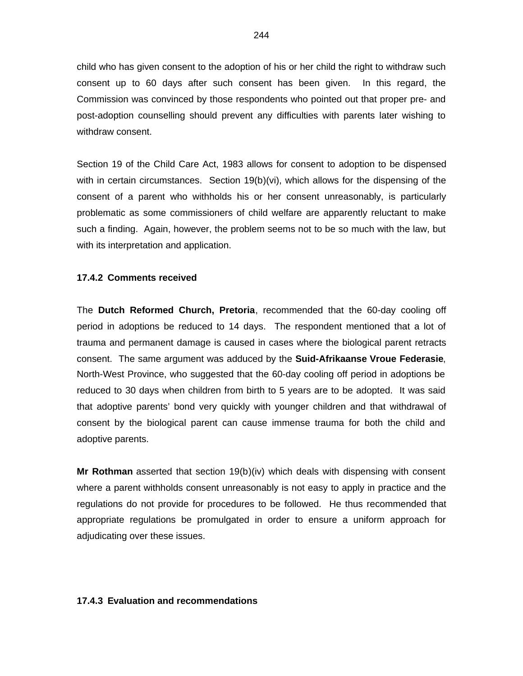child who has given consent to the adoption of his or her child the right to withdraw such consent up to 60 days after such consent has been given. In this regard, the Commission was convinced by those respondents who pointed out that proper pre- and post-adoption counselling should prevent any difficulties with parents later wishing to withdraw consent.

Section 19 of the Child Care Act, 1983 allows for consent to adoption to be dispensed with in certain circumstances. Section 19(b)(vi), which allows for the dispensing of the consent of a parent who withholds his or her consent unreasonably, is particularly problematic as some commissioners of child welfare are apparently reluctant to make such a finding. Again, however, the problem seems not to be so much with the law, but with its interpretation and application.

#### **17.4.2 Comments received**

The **Dutch Reformed Church, Pretoria**, recommended that the 60-day cooling off period in adoptions be reduced to 14 days. The respondent mentioned that a lot of trauma and permanent damage is caused in cases where the biological parent retracts consent. The same argument was adduced by the **Suid-Afrikaanse Vroue Federasie**, North-West Province, who suggested that the 60-day cooling off period in adoptions be reduced to 30 days when children from birth to 5 years are to be adopted. It was said that adoptive parents' bond very quickly with younger children and that withdrawal of consent by the biological parent can cause immense trauma for both the child and adoptive parents.

**Mr Rothman** asserted that section 19(b)(iv) which deals with dispensing with consent where a parent withholds consent unreasonably is not easy to apply in practice and the regulations do not provide for procedures to be followed. He thus recommended that appropriate regulations be promulgated in order to ensure a uniform approach for adjudicating over these issues.

#### **17.4.3 Evaluation and recommendations**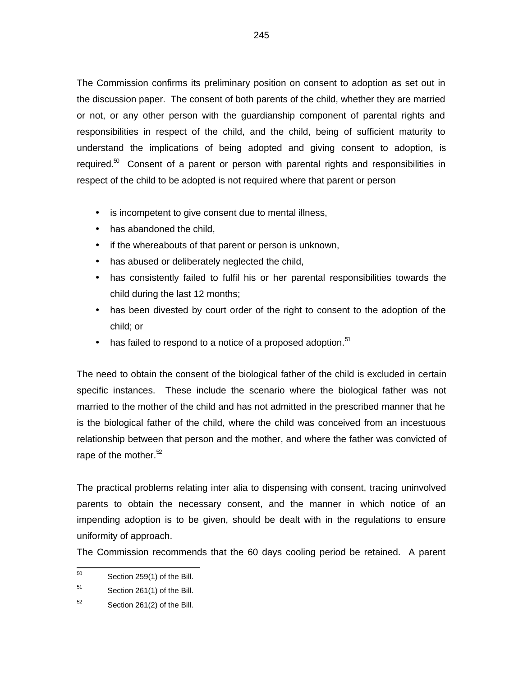The Commission confirms its preliminary position on consent to adoption as set out in the discussion paper. The consent of both parents of the child, whether they are married or not, or any other person with the guardianship component of parental rights and responsibilities in respect of the child, and the child, being of sufficient maturity to understand the implications of being adopted and giving consent to adoption, is required. $^{50}$  Consent of a parent or person with parental rights and responsibilities in respect of the child to be adopted is not required where that parent or person

- is incompetent to give consent due to mental illness,
- has abandoned the child,
- if the whereabouts of that parent or person is unknown,
- has abused or deliberately neglected the child,
- has consistently failed to fulfil his or her parental responsibilities towards the child during the last 12 months;
- has been divested by court order of the right to consent to the adoption of the child; or
- $\bullet$  has failed to respond to a notice of a proposed adoption.  $51$

The need to obtain the consent of the biological father of the child is excluded in certain specific instances. These include the scenario where the biological father was not married to the mother of the child and has not admitted in the prescribed manner that he is the biological father of the child, where the child was conceived from an incestuous relationship between that person and the mother, and where the father was convicted of rape of the mother. $52$ 

The practical problems relating inter alia to dispensing with consent, tracing uninvolved parents to obtain the necessary consent, and the manner in which notice of an impending adoption is to be given, should be dealt with in the regulations to ensure uniformity of approach.

The Commission recommends that the 60 days cooling period be retained. A parent

 50 Section 259(1) of the Bill.

<sup>51</sup> Section 261(1) of the Bill.

<sup>52</sup> Section 261(2) of the Bill.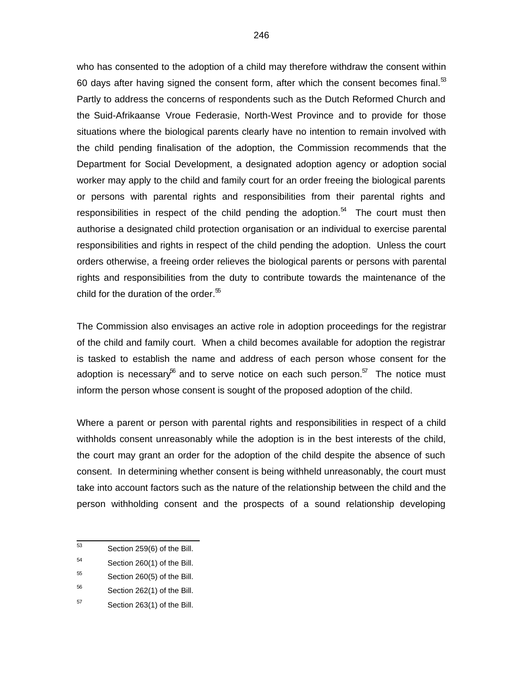who has consented to the adoption of a child may therefore withdraw the consent within 60 days after having signed the consent form, after which the consent becomes final. $53$ Partly to address the concerns of respondents such as the Dutch Reformed Church and the Suid-Afrikaanse Vroue Federasie, North-West Province and to provide for those situations where the biological parents clearly have no intention to remain involved with the child pending finalisation of the adoption, the Commission recommends that the Department for Social Development, a designated adoption agency or adoption social worker may apply to the child and family court for an order freeing the biological parents or persons with parental rights and responsibilities from their parental rights and responsibilities in respect of the child pending the adoption. $54$  The court must then authorise a designated child protection organisation or an individual to exercise parental responsibilities and rights in respect of the child pending the adoption. Unless the court orders otherwise, a freeing order relieves the biological parents or persons with parental rights and responsibilities from the duty to contribute towards the maintenance of the child for the duration of the order. $55$ 

The Commission also envisages an active role in adoption proceedings for the registrar of the child and family court. When a child becomes available for adoption the registrar is tasked to establish the name and address of each person whose consent for the adoption is necessary<sup>56</sup> and to serve notice on each such person.<sup>57</sup> The notice must inform the person whose consent is sought of the proposed adoption of the child.

Where a parent or person with parental rights and responsibilities in respect of a child withholds consent unreasonably while the adoption is in the best interests of the child, the court may grant an order for the adoption of the child despite the absence of such consent. In determining whether consent is being withheld unreasonably, the court must take into account factors such as the nature of the relationship between the child and the person withholding consent and the prospects of a sound relationship developing

<sup>—&</sup>lt;br>53 Section 259(6) of the Bill.

<sup>54</sup> Section 260(1) of the Bill.

<sup>55</sup> Section 260(5) of the Bill.

<sup>56</sup> Section 262(1) of the Bill.

<sup>57</sup> Section 263(1) of the Bill.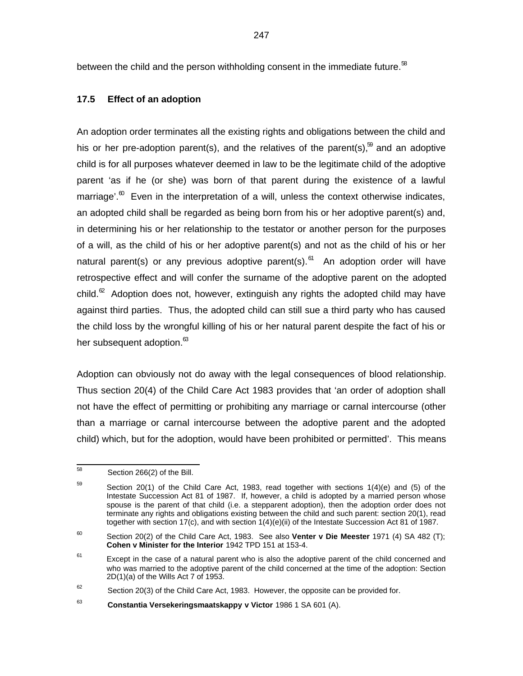between the child and the person withholding consent in the immediate future. $58$ 

## **17.5 Effect of an adoption**

An adoption order terminates all the existing rights and obligations between the child and his or her pre-adoption parent(s), and the relatives of the parent(s), $59$  and an adoptive child is for all purposes whatever deemed in law to be the legitimate child of the adoptive parent 'as if he (or she) was born of that parent during the existence of a lawful marriage'. $^{\omega}$  Even in the interpretation of a will, unless the context otherwise indicates, an adopted child shall be regarded as being born from his or her adoptive parent(s) and, in determining his or her relationship to the testator or another person for the purposes of a will, as the child of his or her adoptive parent(s) and not as the child of his or her natural parent(s) or any previous adoptive parent(s).<sup>61</sup> An adoption order will have retrospective effect and will confer the surname of the adoptive parent on the adopted child. ${}^{\infty}$  Adoption does not, however, extinguish any rights the adopted child may have against third parties. Thus, the adopted child can still sue a third party who has caused the child loss by the wrongful killing of his or her natural parent despite the fact of his or her subsequent adoption.<sup>63</sup>

Adoption can obviously not do away with the legal consequences of blood relationship. Thus section 20(4) of the Child Care Act 1983 provides that 'an order of adoption shall not have the effect of permitting or prohibiting any marriage or carnal intercourse (other than a marriage or carnal intercourse between the adoptive parent and the adopted child) which, but for the adoption, would have been prohibited or permitted'. This means

 58 Section 266(2) of the Bill.

<sup>59</sup> Section 20(1) of the Child Care Act, 1983, read together with sections 1(4)(e) and (5) of the Intestate Succession Act 81 of 1987. If, however, a child is adopted by a married person whose spouse is the parent of that child (i.e. a stepparent adoption), then the adoption order does not terminate any rights and obligations existing between the child and such parent: section 20(1), read together with section 17(c), and with section 1(4)(e)(ii) of the Intestate Succession Act 81 of 1987.

<sup>60</sup> Section 20(2) of the Child Care Act, 1983. See also **Venter v Die Meester** 1971 (4) SA 482 (T); **Cohen v Minister for the Interior** 1942 TPD 151 at 153-4.

<sup>61</sup> Except in the case of a natural parent who is also the adoptive parent of the child concerned and who was married to the adoptive parent of the child concerned at the time of the adoption: Section 2D(1)(a) of the Wills Act 7 of 1953.

<sup>62</sup> Section 20(3) of the Child Care Act, 1983. However, the opposite can be provided for.

<sup>63</sup> **Constantia Versekeringsmaatskappy v Victor** 1986 1 SA 601 (A).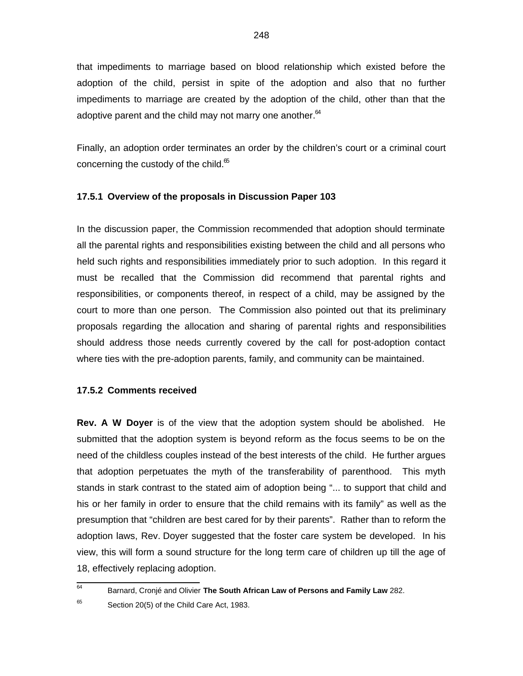that impediments to marriage based on blood relationship which existed before the adoption of the child, persist in spite of the adoption and also that no further impediments to marriage are created by the adoption of the child, other than that the adoptive parent and the child may not marry one another. $64$ 

Finally, an adoption order terminates an order by the children's court or a criminal court concerning the custody of the child. $65$ 

### **17.5.1 Overview of the proposals in Discussion Paper 103**

In the discussion paper, the Commission recommended that adoption should terminate all the parental rights and responsibilities existing between the child and all persons who held such rights and responsibilities immediately prior to such adoption. In this regard it must be recalled that the Commission did recommend that parental rights and responsibilities, or components thereof, in respect of a child, may be assigned by the court to more than one person. The Commission also pointed out that its preliminary proposals regarding the allocation and sharing of parental rights and responsibilities should address those needs currently covered by the call for post-adoption contact where ties with the pre-adoption parents, family, and community can be maintained.

#### **17.5.2 Comments received**

**Rev. A W Doyer** is of the view that the adoption system should be abolished. He submitted that the adoption system is beyond reform as the focus seems to be on the need of the childless couples instead of the best interests of the child. He further argues that adoption perpetuates the myth of the transferability of parenthood. This myth stands in stark contrast to the stated aim of adoption being "... to support that child and his or her family in order to ensure that the child remains with its family" as well as the presumption that "children are best cared for by their parents". Rather than to reform the adoption laws, Rev. Doyer suggested that the foster care system be developed. In his view, this will form a sound structure for the long term care of children up till the age of 18, effectively replacing adoption.

 64 Barnard, Cronjé and Olivier **The South African Law of Persons and Family Law** 282.

65 Section 20(5) of the Child Care Act, 1983.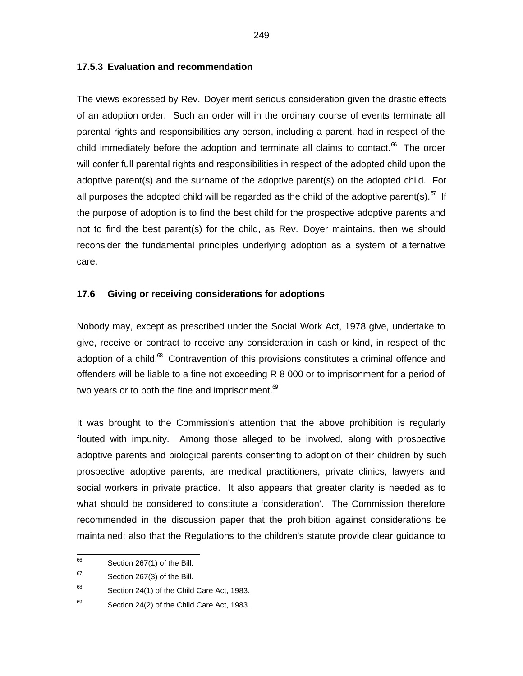### **17.5.3 Evaluation and recommendation**

The views expressed by Rev. Doyer merit serious consideration given the drastic effects of an adoption order. Such an order will in the ordinary course of events terminate all parental rights and responsibilities any person, including a parent, had in respect of the child immediately before the adoption and terminate all claims to contact. $^{\circ\circ}$  The order will confer full parental rights and responsibilities in respect of the adopted child upon the adoptive parent(s) and the surname of the adoptive parent(s) on the adopted child. For all purposes the adopted child will be regarded as the child of the adoptive parent(s).<sup>67</sup> If the purpose of adoption is to find the best child for the prospective adoptive parents and not to find the best parent(s) for the child, as Rev. Doyer maintains, then we should reconsider the fundamental principles underlying adoption as a system of alternative care.

#### **17.6 Giving or receiving considerations for adoptions**

Nobody may, except as prescribed under the Social Work Act, 1978 give, undertake to give, receive or contract to receive any consideration in cash or kind, in respect of the adoption of a child.<sup>68</sup> Contravention of this provisions constitutes a criminal offence and offenders will be liable to a fine not exceeding R 8 000 or to imprisonment for a period of two years or to both the fine and imprisonment. $\infty$ 

It was brought to the Commission's attention that the above prohibition is regularly flouted with impunity. Among those alleged to be involved, along with prospective adoptive parents and biological parents consenting to adoption of their children by such prospective adoptive parents, are medical practitioners, private clinics, lawyers and social workers in private practice. It also appears that greater clarity is needed as to what should be considered to constitute a 'consideration'. The Commission therefore recommended in the discussion paper that the prohibition against considerations be maintained; also that the Regulations to the children's statute provide clear guidance to

 66 Section 267(1) of the Bill.

<sup>67</sup> Section 267(3) of the Bill.

<sup>68</sup> Section 24(1) of the Child Care Act, 1983.

<sup>69</sup> Section 24(2) of the Child Care Act, 1983.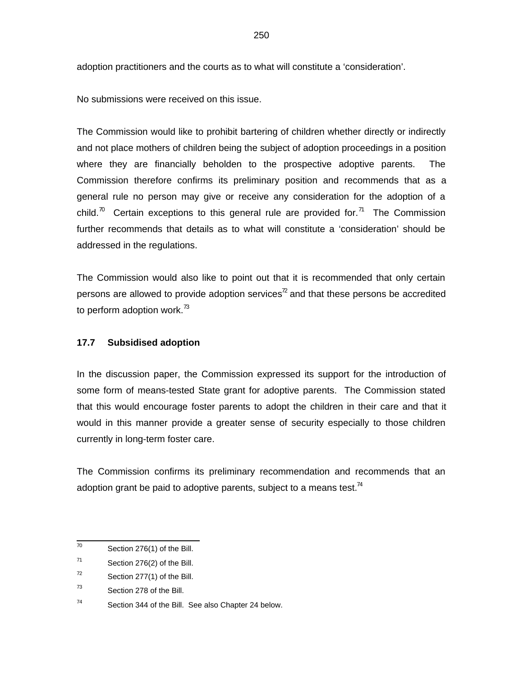adoption practitioners and the courts as to what will constitute a 'consideration'.

No submissions were received on this issue.

The Commission would like to prohibit bartering of children whether directly or indirectly and not place mothers of children being the subject of adoption proceedings in a position where they are financially beholden to the prospective adoptive parents. The Commission therefore confirms its preliminary position and recommends that as a general rule no person may give or receive any consideration for the adoption of a child.<sup>70</sup> Certain exceptions to this general rule are provided for.<sup>71</sup> The Commission further recommends that details as to what will constitute a 'consideration' should be addressed in the regulations.

The Commission would also like to point out that it is recommended that only certain persons are allowed to provide adoption services<sup>72</sup> and that these persons be accredited to perform adoption work.<sup>73</sup>

### **17.7 Subsidised adoption**

In the discussion paper, the Commission expressed its support for the introduction of some form of means-tested State grant for adoptive parents. The Commission stated that this would encourage foster parents to adopt the children in their care and that it would in this manner provide a greater sense of security especially to those children currently in long-term foster care.

The Commission confirms its preliminary recommendation and recommends that an adoption grant be paid to adoptive parents, subject to a means test.<sup>74</sup>

 70 Section 276(1) of the Bill.

<sup>71</sup> Section 276(2) of the Bill.

<sup>72</sup> Section 277(1) of the Bill.

<sup>73</sup> Section 278 of the Bill.

<sup>74</sup> Section 344 of the Bill. See also Chapter 24 below.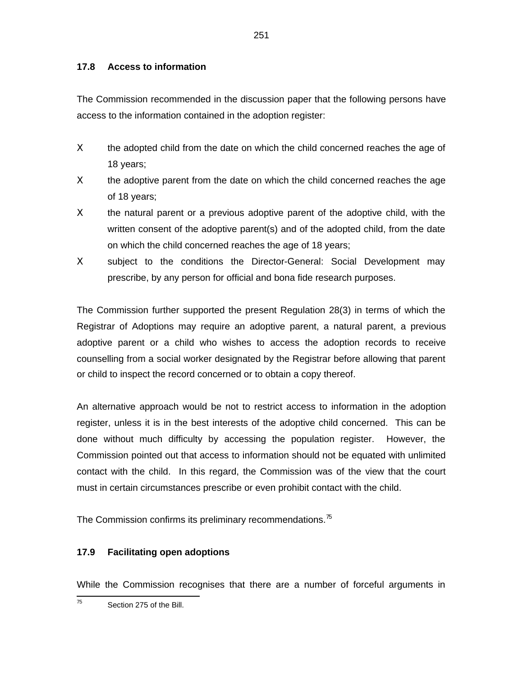# **17.8 Access to information**

The Commission recommended in the discussion paper that the following persons have access to the information contained in the adoption register:

- Χ the adopted child from the date on which the child concerned reaches the age of 18 years;
- $X$  the adoptive parent from the date on which the child concerned reaches the age of 18 years;
- $X$  the natural parent or a previous adoptive parent of the adoptive child, with the written consent of the adoptive parent(s) and of the adopted child, from the date on which the child concerned reaches the age of 18 years;
- Χ subject to the conditions the Director-General: Social Development may prescribe, by any person for official and bona fide research purposes.

The Commission further supported the present Regulation 28(3) in terms of which the Registrar of Adoptions may require an adoptive parent, a natural parent, a previous adoptive parent or a child who wishes to access the adoption records to receive counselling from a social worker designated by the Registrar before allowing that parent or child to inspect the record concerned or to obtain a copy thereof.

An alternative approach would be not to restrict access to information in the adoption register, unless it is in the best interests of the adoptive child concerned. This can be done without much difficulty by accessing the population register. However, the Commission pointed out that access to information should not be equated with unlimited contact with the child. In this regard, the Commission was of the view that the court must in certain circumstances prescribe or even prohibit contact with the child.

The Commission confirms its preliminary recommendations.<sup>75</sup>

# **17.9 Facilitating open adoptions**

While the Commission recognises that there are a number of forceful arguments in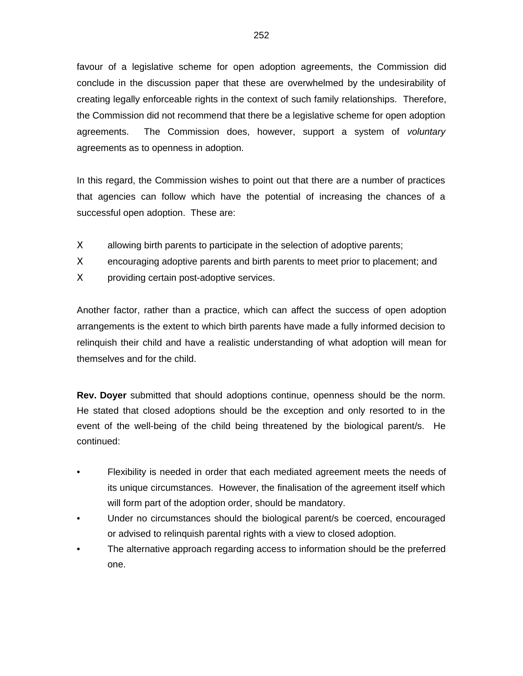favour of a legislative scheme for open adoption agreements, the Commission did conclude in the discussion paper that these are overwhelmed by the undesirability of creating legally enforceable rights in the context of such family relationships. Therefore, the Commission did not recommend that there be a legislative scheme for open adoption agreements. The Commission does, however, support a system of voluntary agreements as to openness in adoption.

In this regard, the Commission wishes to point out that there are a number of practices that agencies can follow which have the potential of increasing the chances of a successful open adoption. These are:

- Χ allowing birth parents to participate in the selection of adoptive parents;
- Χ encouraging adoptive parents and birth parents to meet prior to placement; and
- Χ providing certain post-adoptive services.

Another factor, rather than a practice, which can affect the success of open adoption arrangements is the extent to which birth parents have made a fully informed decision to relinquish their child and have a realistic understanding of what adoption will mean for themselves and for the child.

**Rev. Doyer** submitted that should adoptions continue, openness should be the norm. He stated that closed adoptions should be the exception and only resorted to in the event of the well-being of the child being threatened by the biological parent/s. He continued:

- Flexibility is needed in order that each mediated agreement meets the needs of its unique circumstances. However, the finalisation of the agreement itself which will form part of the adoption order, should be mandatory.
- Under no circumstances should the biological parent/s be coerced, encouraged or advised to relinquish parental rights with a view to closed adoption.
- The alternative approach regarding access to information should be the preferred one.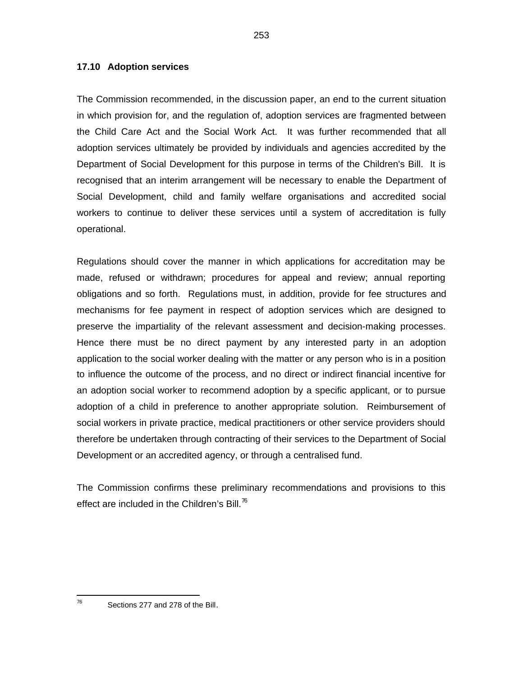#### **17.10 Adoption services**

The Commission recommended, in the discussion paper, an end to the current situation in which provision for, and the regulation of, adoption services are fragmented between the Child Care Act and the Social Work Act. It was further recommended that all adoption services ultimately be provided by individuals and agencies accredited by the Department of Social Development for this purpose in terms of the Children's Bill. It is recognised that an interim arrangement will be necessary to enable the Department of Social Development, child and family welfare organisations and accredited social workers to continue to deliver these services until a system of accreditation is fully operational.

Regulations should cover the manner in which applications for accreditation may be made, refused or withdrawn; procedures for appeal and review; annual reporting obligations and so forth. Regulations must, in addition, provide for fee structures and mechanisms for fee payment in respect of adoption services which are designed to preserve the impartiality of the relevant assessment and decision-making processes. Hence there must be no direct payment by any interested party in an adoption application to the social worker dealing with the matter or any person who is in a position to influence the outcome of the process, and no direct or indirect financial incentive for an adoption social worker to recommend adoption by a specific applicant, or to pursue adoption of a child in preference to another appropriate solution. Reimbursement of social workers in private practice, medical practitioners or other service providers should therefore be undertaken through contracting of their services to the Department of Social Development or an accredited agency, or through a centralised fund.

The Commission confirms these preliminary recommendations and provisions to this effect are included in the Children's Bill. $\frac{76}{6}$ 

<sup>—&</sup>lt;br>76

Sections 277 and 278 of the Bill.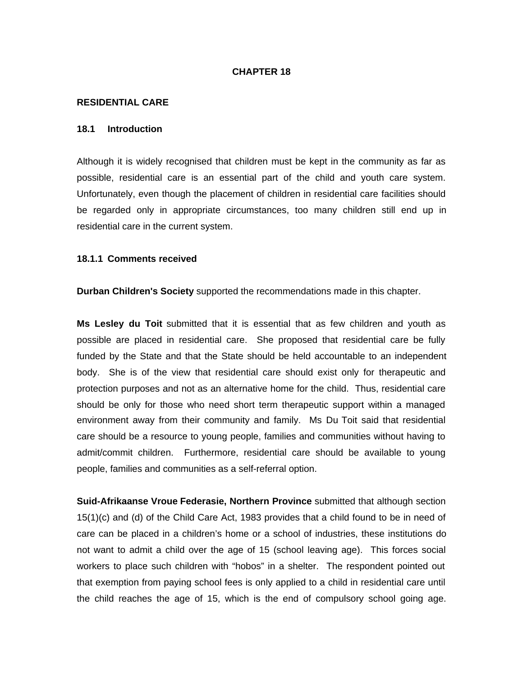#### **CHAPTER 18**

#### **RESIDENTIAL CARE**

#### **18.1 Introduction**

Although it is widely recognised that children must be kept in the community as far as possible, residential care is an essential part of the child and youth care system. Unfortunately, even though the placement of children in residential care facilities should be regarded only in appropriate circumstances, too many children still end up in residential care in the current system.

#### **18.1.1 Comments received**

**Durban Children's Society** supported the recommendations made in this chapter.

**Ms Lesley du Toit** submitted that it is essential that as few children and youth as possible are placed in residential care. She proposed that residential care be fully funded by the State and that the State should be held accountable to an independent body. She is of the view that residential care should exist only for therapeutic and protection purposes and not as an alternative home for the child. Thus, residential care should be only for those who need short term therapeutic support within a managed environment away from their community and family. Ms Du Toit said that residential care should be a resource to young people, families and communities without having to admit/commit children. Furthermore, residential care should be available to young people, families and communities as a self-referral option.

**Suid-Afrikaanse Vroue Federasie, Northern Province** submitted that although section 15(1)(c) and (d) of the Child Care Act, 1983 provides that a child found to be in need of care can be placed in a children's home or a school of industries, these institutions do not want to admit a child over the age of 15 (school leaving age). This forces social workers to place such children with "hobos" in a shelter. The respondent pointed out that exemption from paying school fees is only applied to a child in residential care until the child reaches the age of 15, which is the end of compulsory school going age.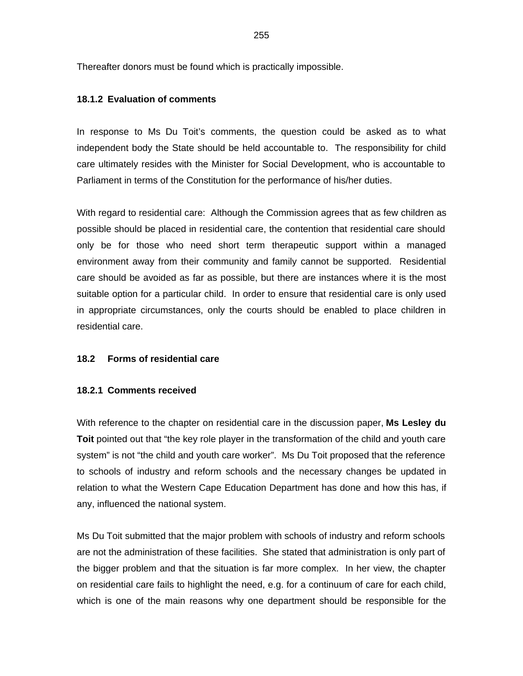Thereafter donors must be found which is practically impossible.

### **18.1.2 Evaluation of comments**

In response to Ms Du Toit's comments, the question could be asked as to what independent body the State should be held accountable to. The responsibility for child care ultimately resides with the Minister for Social Development, who is accountable to Parliament in terms of the Constitution for the performance of his/her duties.

With regard to residential care: Although the Commission agrees that as few children as possible should be placed in residential care, the contention that residential care should only be for those who need short term therapeutic support within a managed environment away from their community and family cannot be supported. Residential care should be avoided as far as possible, but there are instances where it is the most suitable option for a particular child. In order to ensure that residential care is only used in appropriate circumstances, only the courts should be enabled to place children in residential care.

#### **18.2 Forms of residential care**

#### **18.2.1 Comments received**

With reference to the chapter on residential care in the discussion paper, **Ms Lesley du Toit** pointed out that "the key role player in the transformation of the child and youth care system" is not "the child and youth care worker". Ms Du Toit proposed that the reference to schools of industry and reform schools and the necessary changes be updated in relation to what the Western Cape Education Department has done and how this has, if any, influenced the national system.

Ms Du Toit submitted that the major problem with schools of industry and reform schools are not the administration of these facilities. She stated that administration is only part of the bigger problem and that the situation is far more complex. In her view, the chapter on residential care fails to highlight the need, e.g. for a continuum of care for each child, which is one of the main reasons why one department should be responsible for the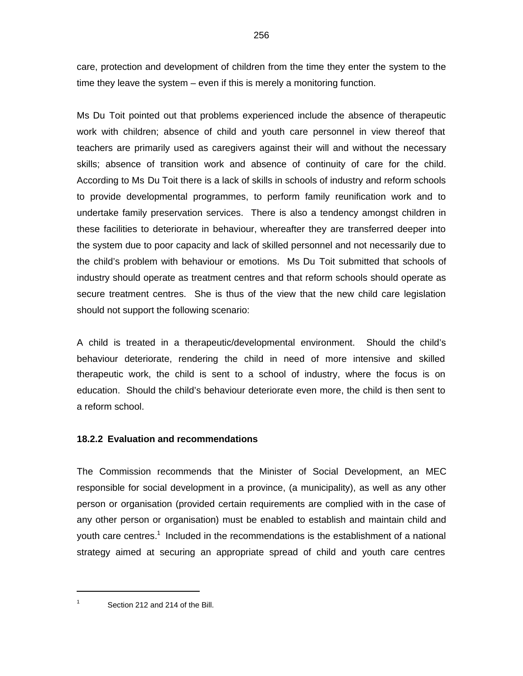care, protection and development of children from the time they enter the system to the time they leave the system – even if this is merely a monitoring function.

Ms Du Toit pointed out that problems experienced include the absence of therapeutic work with children; absence of child and youth care personnel in view thereof that teachers are primarily used as caregivers against their will and without the necessary skills; absence of transition work and absence of continuity of care for the child. According to Ms Du Toit there is a lack of skills in schools of industry and reform schools to provide developmental programmes, to perform family reunification work and to undertake family preservation services. There is also a tendency amongst children in these facilities to deteriorate in behaviour, whereafter they are transferred deeper into the system due to poor capacity and lack of skilled personnel and not necessarily due to the child's problem with behaviour or emotions. Ms Du Toit submitted that schools of industry should operate as treatment centres and that reform schools should operate as secure treatment centres. She is thus of the view that the new child care legislation should not support the following scenario:

A child is treated in a therapeutic/developmental environment. Should the child's behaviour deteriorate, rendering the child in need of more intensive and skilled therapeutic work, the child is sent to a school of industry, where the focus is on education. Should the child's behaviour deteriorate even more, the child is then sent to a reform school.

### **18.2.2 Evaluation and recommendations**

The Commission recommends that the Minister of Social Development, an MEC responsible for social development in a province, (a municipality), as well as any other person or organisation (provided certain requirements are complied with in the case of any other person or organisation) must be enabled to establish and maintain child and youth care centres.<sup>1</sup> Included in the recommendations is the establishment of a national strategy aimed at securing an appropriate spread of child and youth care centres

1 1

Section 212 and 214 of the Bill.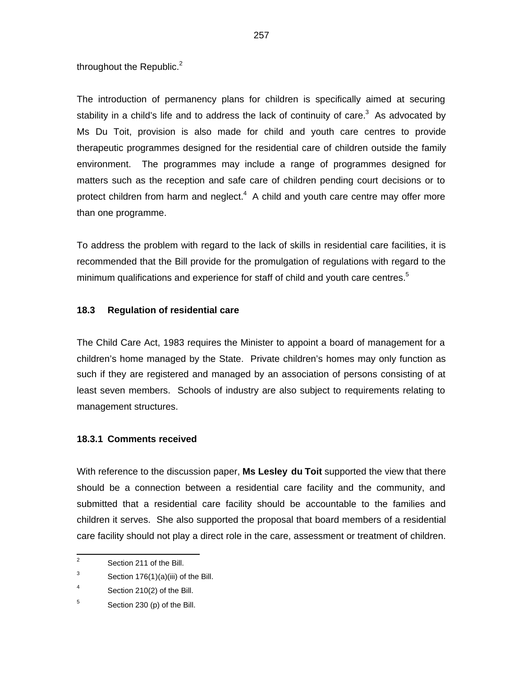throughout the Republic. $2$ 

The introduction of permanency plans for children is specifically aimed at securing stability in a child's life and to address the lack of continuity of care.<sup>3</sup> As advocated by Ms Du Toit, provision is also made for child and youth care centres to provide therapeutic programmes designed for the residential care of children outside the family environment. The programmes may include a range of programmes designed for matters such as the reception and safe care of children pending court decisions or to protect children from harm and neglect. $4\,$  A child and youth care centre may offer more than one programme.

To address the problem with regard to the lack of skills in residential care facilities, it is recommended that the Bill provide for the promulgation of regulations with regard to the minimum qualifications and experience for staff of child and youth care centres.<sup>5</sup>

### **18.3 Regulation of residential care**

The Child Care Act, 1983 requires the Minister to appoint a board of management for a children's home managed by the State. Private children's homes may only function as such if they are registered and managed by an association of persons consisting of at least seven members. Schools of industry are also subject to requirements relating to management structures.

### **18.3.1 Comments received**

With reference to the discussion paper, **Ms Lesley du Toit** supported the view that there should be a connection between a residential care facility and the community, and submitted that a residential care facility should be accountable to the families and children it serves. She also supported the proposal that board members of a residential care facility should not play a direct role in the care, assessment or treatment of children.

<sup>&</sup>lt;sup>2</sup> Section 211 of the Bill.

<sup>3</sup> Section 176(1)(a)(iii) of the Bill.

<sup>4</sup> Section 210(2) of the Bill.

<sup>5</sup> Section 230 (p) of the Bill.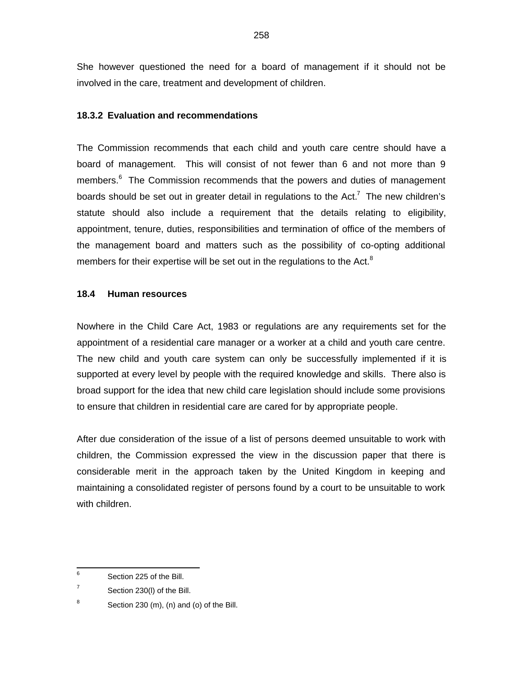She however questioned the need for a board of management if it should not be involved in the care, treatment and development of children.

### **18.3.2 Evaluation and recommendations**

The Commission recommends that each child and youth care centre should have a board of management. This will consist of not fewer than 6 and not more than 9 members.<sup>6</sup> The Commission recommends that the powers and duties of management boards should be set out in greater detail in regulations to the Act.<sup>7</sup> The new children's statute should also include a requirement that the details relating to eligibility, appointment, tenure, duties, responsibilities and termination of office of the members of the management board and matters such as the possibility of co-opting additional members for their expertise will be set out in the regulations to the Act. $8$ 

#### **18.4 Human resources**

Nowhere in the Child Care Act, 1983 or regulations are any requirements set for the appointment of a residential care manager or a worker at a child and youth care centre. The new child and youth care system can only be successfully implemented if it is supported at every level by people with the required knowledge and skills. There also is broad support for the idea that new child care legislation should include some provisions to ensure that children in residential care are cared for by appropriate people.

After due consideration of the issue of a list of persons deemed unsuitable to work with children, the Commission expressed the view in the discussion paper that there is considerable merit in the approach taken by the United Kingdom in keeping and maintaining a consolidated register of persons found by a court to be unsuitable to work with children.

 6 Section 225 of the Bill.

<sup>7</sup> Section 230(l) of the Bill.

<sup>8</sup> Section 230 (m), (n) and (o) of the Bill.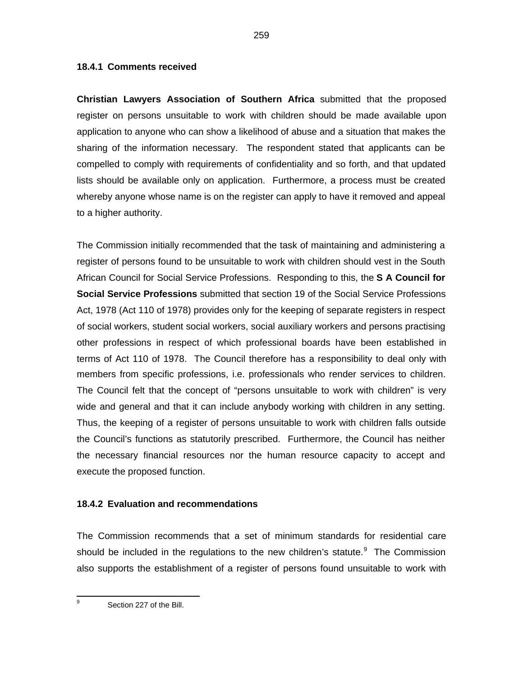**Christian Lawyers Association of Southern Africa** submitted that the proposed register on persons unsuitable to work with children should be made available upon application to anyone who can show a likelihood of abuse and a situation that makes the sharing of the information necessary. The respondent stated that applicants can be compelled to comply with requirements of confidentiality and so forth, and that updated lists should be available only on application. Furthermore, a process must be created whereby anyone whose name is on the register can apply to have it removed and appeal to a higher authority.

The Commission initially recommended that the task of maintaining and administering a register of persons found to be unsuitable to work with children should vest in the South African Council for Social Service Professions. Responding to this, the **S A Council for Social Service Professions** submitted that section 19 of the Social Service Professions Act, 1978 (Act 110 of 1978) provides only for the keeping of separate registers in respect of social workers, student social workers, social auxiliary workers and persons practising other professions in respect of which professional boards have been established in terms of Act 110 of 1978. The Council therefore has a responsibility to deal only with members from specific professions, i.e. professionals who render services to children. The Council felt that the concept of "persons unsuitable to work with children" is very wide and general and that it can include anybody working with children in any setting. Thus, the keeping of a register of persons unsuitable to work with children falls outside the Council's functions as statutorily prescribed. Furthermore, the Council has neither the necessary financial resources nor the human resource capacity to accept and execute the proposed function.

### **18.4.2 Evaluation and recommendations**

The Commission recommends that a set of minimum standards for residential care should be included in the regulations to the new children's statute. $9$  The Commission also supports the establishment of a register of persons found unsuitable to work with

—<br>9

Section 227 of the Bill.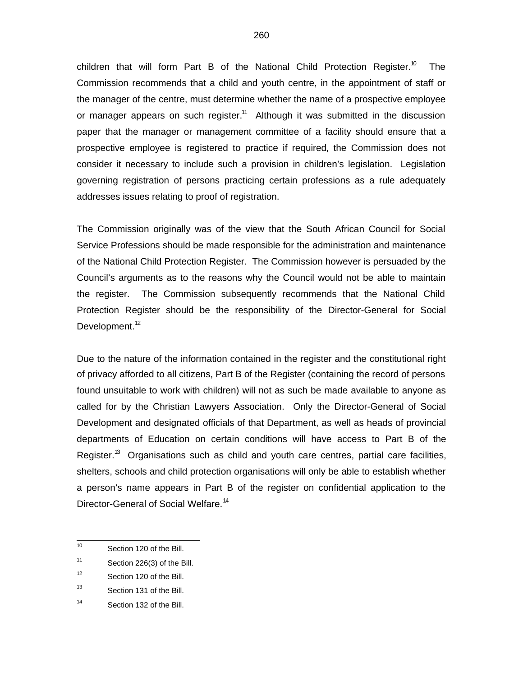children that will form Part B of the National Child Protection Register.<sup>10</sup> The Commission recommends that a child and youth centre, in the appointment of staff or the manager of the centre, must determine whether the name of a prospective employee or manager appears on such register. $11$  Although it was submitted in the discussion paper that the manager or management committee of a facility should ensure that a prospective employee is registered to practice if required, the Commission does not consider it necessary to include such a provision in children's legislation. Legislation governing registration of persons practicing certain professions as a rule adequately addresses issues relating to proof of registration.

The Commission originally was of the view that the South African Council for Social Service Professions should be made responsible for the administration and maintenance of the National Child Protection Register. The Commission however is persuaded by the Council's arguments as to the reasons why the Council would not be able to maintain the register. The Commission subsequently recommends that the National Child Protection Register should be the responsibility of the Director-General for Social Development.<sup>12</sup>

Due to the nature of the information contained in the register and the constitutional right of privacy afforded to all citizens, Part B of the Register (containing the record of persons found unsuitable to work with children) will not as such be made available to anyone as called for by the Christian Lawyers Association. Only the Director-General of Social Development and designated officials of that Department, as well as heads of provincial departments of Education on certain conditions will have access to Part B of the Register.<sup>13</sup> Organisations such as child and youth care centres, partial care facilities, shelters, schools and child protection organisations will only be able to establish whether a person's name appears in Part B of the register on confidential application to the Director-General of Social Welfare.<sup>14</sup>

 $\frac{1}{10}$ Section 120 of the Bill.

<sup>11</sup> Section 226(3) of the Bill.

<sup>12</sup> Section 120 of the Bill.

<sup>13</sup> Section 131 of the Bill.

<sup>14</sup> Section 132 of the Bill.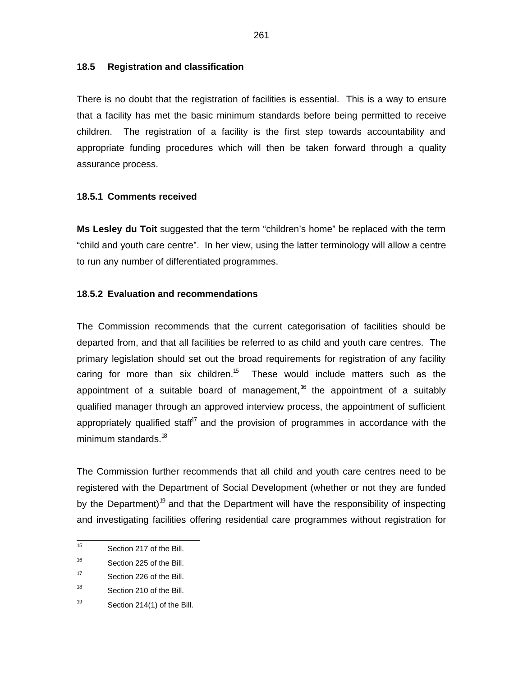#### **18.5 Registration and classification**

There is no doubt that the registration of facilities is essential. This is a way to ensure that a facility has met the basic minimum standards before being permitted to receive children. The registration of a facility is the first step towards accountability and appropriate funding procedures which will then be taken forward through a quality assurance process.

### **18.5.1 Comments received**

**Ms Lesley du Toit** suggested that the term "children's home" be replaced with the term "child and youth care centre". In her view, using the latter terminology will allow a centre to run any number of differentiated programmes.

#### **18.5.2 Evaluation and recommendations**

The Commission recommends that the current categorisation of facilities should be departed from, and that all facilities be referred to as child and youth care centres. The primary legislation should set out the broad requirements for registration of any facility caring for more than six children.<sup>15</sup> These would include matters such as the appointment of a suitable board of management,  $6$  the appointment of a suitably qualified manager through an approved interview process, the appointment of sufficient appropriately qualified staff<sup>17</sup> and the provision of programmes in accordance with the minimum standards.<sup>18</sup>

The Commission further recommends that all child and youth care centres need to be registered with the Department of Social Development (whether or not they are funded by the Department)<sup>19</sup> and that the Department will have the responsibility of inspecting and investigating facilities offering residential care programmes without registration for

 15 Section 217 of the Bill.

<sup>16</sup> Section 225 of the Bill.

<sup>17</sup> Section 226 of the Bill.

<sup>18</sup> Section 210 of the Bill.

<sup>19</sup> Section 214(1) of the Bill.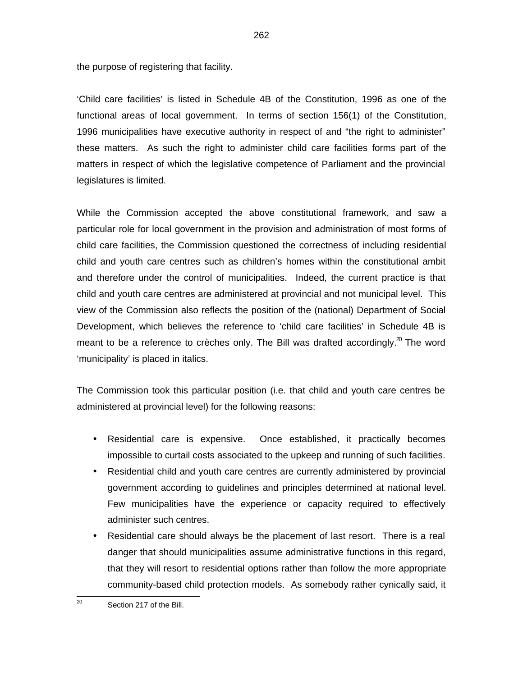the purpose of registering that facility.

'Child care facilities' is listed in Schedule 4B of the Constitution, 1996 as one of the functional areas of local government. In terms of section 156(1) of the Constitution, 1996 municipalities have executive authority in respect of and "the right to administer" these matters. As such the right to administer child care facilities forms part of the matters in respect of which the legislative competence of Parliament and the provincial legislatures is limited.

While the Commission accepted the above constitutional framework, and saw a particular role for local government in the provision and administration of most forms of child care facilities, the Commission questioned the correctness of including residential child and youth care centres such as children's homes within the constitutional ambit and therefore under the control of municipalities. Indeed, the current practice is that child and youth care centres are administered at provincial and not municipal level. This view of the Commission also reflects the position of the (national) Department of Social Development, which believes the reference to 'child care facilities' in Schedule 4B is meant to be a reference to crèches only. The Bill was drafted accordingly. $^{20}$  The word 'municipality' is placed in italics.

The Commission took this particular position (i.e. that child and youth care centres be administered at provincial level) for the following reasons:

- Residential care is expensive. Once established, it practically becomes impossible to curtail costs associated to the upkeep and running of such facilities.
- Residential child and youth care centres are currently administered by provincial government according to guidelines and principles determined at national level. Few municipalities have the experience or capacity required to effectively administer such centres.
- Residential care should always be the placement of last resort. There is a real danger that should municipalities assume administrative functions in this regard, that they will resort to residential options rather than follow the more appropriate community-based child protection models. As somebody rather cynically said, it

 $\frac{1}{20}$ Section 217 of the Bill.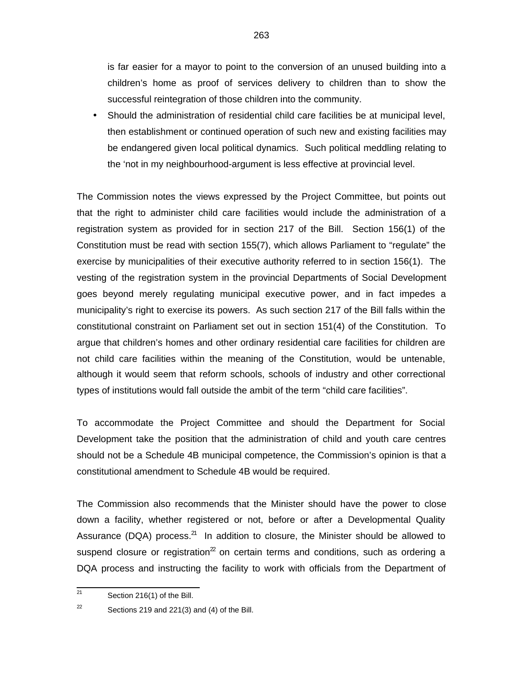is far easier for a mayor to point to the conversion of an unused building into a children's home as proof of services delivery to children than to show the successful reintegration of those children into the community.

• Should the administration of residential child care facilities be at municipal level, then establishment or continued operation of such new and existing facilities may be endangered given local political dynamics. Such political meddling relating to the 'not in my neighbourhood-argument is less effective at provincial level.

The Commission notes the views expressed by the Project Committee, but points out that the right to administer child care facilities would include the administration of a registration system as provided for in section 217 of the Bill. Section 156(1) of the Constitution must be read with section 155(7), which allows Parliament to "regulate" the exercise by municipalities of their executive authority referred to in section 156(1). The vesting of the registration system in the provincial Departments of Social Development goes beyond merely regulating municipal executive power, and in fact impedes a municipality's right to exercise its powers. As such section 217 of the Bill falls within the constitutional constraint on Parliament set out in section 151(4) of the Constitution. To argue that children's homes and other ordinary residential care facilities for children are not child care facilities within the meaning of the Constitution, would be untenable, although it would seem that reform schools, schools of industry and other correctional types of institutions would fall outside the ambit of the term "child care facilities".

To accommodate the Project Committee and should the Department for Social Development take the position that the administration of child and youth care centres should not be a Schedule 4B municipal competence, the Commission's opinion is that a constitutional amendment to Schedule 4B would be required.

The Commission also recommends that the Minister should have the power to close down a facility, whether registered or not, before or after a Developmental Quality Assurance (DQA) process. $^{21}$  In addition to closure, the Minister should be allowed to suspend closure or registration $^2$  on certain terms and conditions, such as ordering a DQA process and instructing the facility to work with officials from the Department of

<sup>—&</sup>lt;br>21 Section 216(1) of the Bill.

<sup>22</sup> Sections 219 and 221(3) and (4) of the Bill.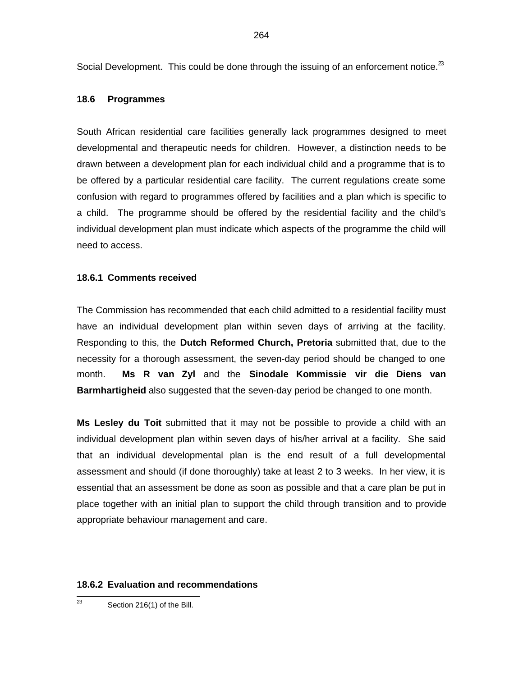Social Development. This could be done through the issuing of an enforcement notice. $^{23}$ 

#### **18.6 Programmes**

South African residential care facilities generally lack programmes designed to meet developmental and therapeutic needs for children. However, a distinction needs to be drawn between a development plan for each individual child and a programme that is to be offered by a particular residential care facility. The current regulations create some confusion with regard to programmes offered by facilities and a plan which is specific to a child. The programme should be offered by the residential facility and the child's individual development plan must indicate which aspects of the programme the child will need to access.

#### **18.6.1 Comments received**

The Commission has recommended that each child admitted to a residential facility must have an individual development plan within seven days of arriving at the facility. Responding to this, the **Dutch Reformed Church, Pretoria** submitted that, due to the necessity for a thorough assessment, the seven-day period should be changed to one month. **Ms R van Zyl** and the **Sinodale Kommissie vir die Diens van Barmhartigheid** also suggested that the seven-day period be changed to one month.

**Ms Lesley du Toit** submitted that it may not be possible to provide a child with an individual development plan within seven days of his/her arrival at a facility. She said that an individual developmental plan is the end result of a full developmental assessment and should (if done thoroughly) take at least 2 to 3 weeks. In her view, it is essential that an assessment be done as soon as possible and that a care plan be put in place together with an initial plan to support the child through transition and to provide appropriate behaviour management and care.

#### **18.6.2 Evaluation and recommendations**

 23 Section 216(1) of the Bill.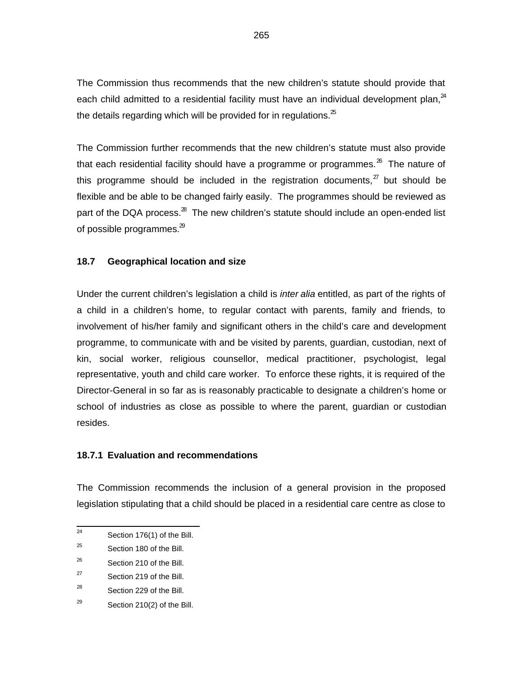The Commission thus recommends that the new children's statute should provide that each child admitted to a residential facility must have an individual development plan, $^{24}$ the details regarding which will be provided for in regulations. $^{25}$ 

The Commission further recommends that the new children's statute must also provide that each residential facility should have a programme or programmes. $^{26}$  The nature of this programme should be included in the registration documents,  $z^2$  but should be flexible and be able to be changed fairly easily. The programmes should be reviewed as part of the DQA process.<sup>28</sup> The new children's statute should include an open-ended list of possible programmes. $^{29}$ 

### **18.7 Geographical location and size**

Under the current children's legislation a child is *inter alia* entitled, as part of the rights of a child in a children's home, to regular contact with parents, family and friends, to involvement of his/her family and significant others in the child's care and development programme, to communicate with and be visited by parents, guardian, custodian, next of kin, social worker, religious counsellor, medical practitioner, psychologist, legal representative, youth and child care worker. To enforce these rights, it is required of the Director-General in so far as is reasonably practicable to designate a children's home or school of industries as close as possible to where the parent, guardian or custodian resides.

#### **18.7.1 Evaluation and recommendations**

The Commission recommends the inclusion of a general provision in the proposed legislation stipulating that a child should be placed in a residential care centre as close to

 $\frac{1}{24}$ Section 176(1) of the Bill.

<sup>25</sup> Section 180 of the Bill.

<sup>26</sup> Section 210 of the Bill.

<sup>27</sup> Section 219 of the Bill.

<sup>28</sup> Section 229 of the Bill.

<sup>29</sup> Section 210(2) of the Bill.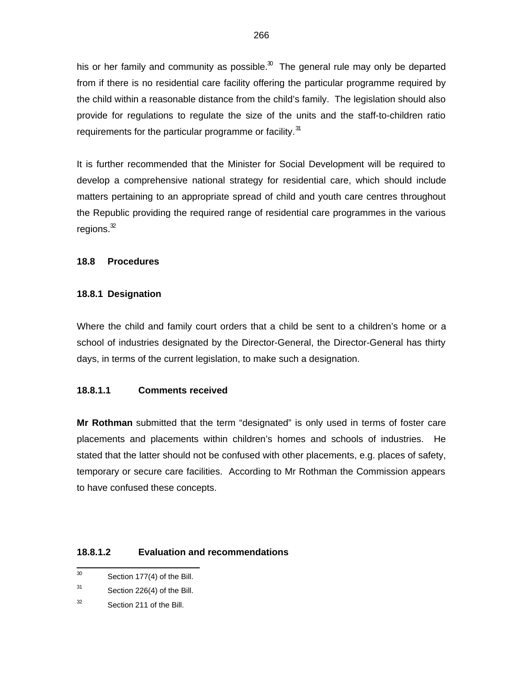his or her family and community as possible. $30$  The general rule may only be departed from if there is no residential care facility offering the particular programme required by the child within a reasonable distance from the child's family. The legislation should also provide for regulations to regulate the size of the units and the staff-to-children ratio requirements for the particular programme or facility.<sup>31</sup>

It is further recommended that the Minister for Social Development will be required to develop a comprehensive national strategy for residential care, which should include matters pertaining to an appropriate spread of child and youth care centres throughout the Republic providing the required range of residential care programmes in the various regions. $^{\mathfrak{D}}$ 

## **18.8 Procedures**

## **18.8.1 Designation**

Where the child and family court orders that a child be sent to a children's home or a school of industries designated by the Director-General, the Director-General has thirty days, in terms of the current legislation, to make such a designation.

# **18.8.1.1 Comments received**

**Mr Rothman** submitted that the term "designated" is only used in terms of foster care placements and placements within children's homes and schools of industries. He stated that the latter should not be confused with other placements, e.g. places of safety, temporary or secure care facilities. According to Mr Rothman the Commission appears to have confused these concepts.

### **18.8.1.2 Evaluation and recommendations**

- 30 Section 177(4) of the Bill.
- 31 Section 226(4) of the Bill.
- 32 Section 211 of the Bill.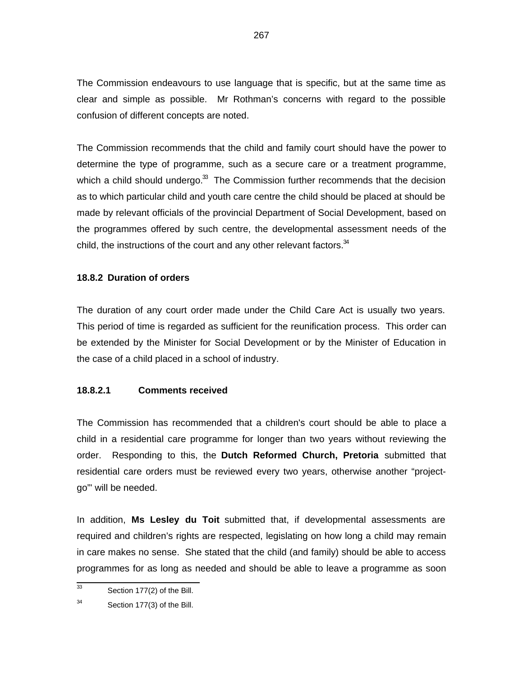The Commission endeavours to use language that is specific, but at the same time as clear and simple as possible. Mr Rothman's concerns with regard to the possible confusion of different concepts are noted.

The Commission recommends that the child and family court should have the power to determine the type of programme, such as a secure care or a treatment programme, which a child should undergo. $33$  The Commission further recommends that the decision as to which particular child and youth care centre the child should be placed at should be made by relevant officials of the provincial Department of Social Development, based on the programmes offered by such centre, the developmental assessment needs of the child, the instructions of the court and any other relevant factors. $34$ 

### **18.8.2 Duration of orders**

The duration of any court order made under the Child Care Act is usually two years. This period of time is regarded as sufficient for the reunification process. This order can be extended by the Minister for Social Development or by the Minister of Education in the case of a child placed in a school of industry.

### **18.8.2.1 Comments received**

The Commission has recommended that a children's court should be able to place a child in a residential care programme for longer than two years without reviewing the order. Responding to this, the **Dutch Reformed Church, Pretoria** submitted that residential care orders must be reviewed every two years, otherwise another "projectgo"' will be needed.

In addition, **Ms Lesley du Toit** submitted that, if developmental assessments are required and children's rights are respected, legislating on how long a child may remain in care makes no sense. She stated that the child (and family) should be able to access programmes for as long as needed and should be able to leave a programme as soon

 33 Section 177(2) of the Bill.

<sup>34</sup> Section 177(3) of the Bill.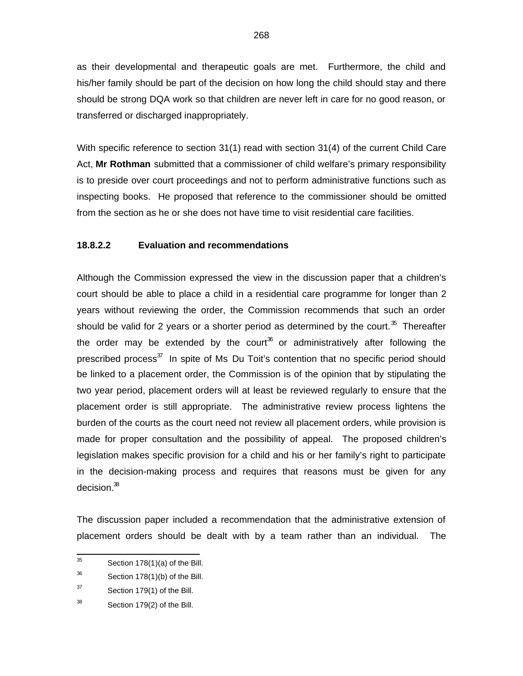as their developmental and therapeutic goals are met. Furthermore, the child and his/her family should be part of the decision on how long the child should stay and there should be strong DQA work so that children are never left in care for no good reason, or transferred or discharged inappropriately.

With specific reference to section 31(1) read with section 31(4) of the current Child Care Act, **Mr Rothman** submitted that a commissioner of child welfare's primary responsibility is to preside over court proceedings and not to perform administrative functions such as inspecting books. He proposed that reference to the commissioner should be omitted from the section as he or she does not have time to visit residential care facilities.

### **18.8.2.2 Evaluation and recommendations**

Although the Commission expressed the view in the discussion paper that a children's court should be able to place a child in a residential care programme for longer than 2 years without reviewing the order, the Commission recommends that such an order should be valid for 2 years or a shorter period as determined by the court.<sup>35</sup> Thereafter the order may be extended by the court<sup>36</sup> or administratively after following the prescribed process<sup>37</sup> In spite of Ms Du Toit's contention that no specific period should be linked to a placement order, the Commission is of the opinion that by stipulating the two year period, placement orders will at least be reviewed regularly to ensure that the placement order is still appropriate. The administrative review process lightens the burden of the courts as the court need not review all placement orders, while provision is made for proper consultation and the possibility of appeal. The proposed children's legislation makes specific provision for a child and his or her family's right to participate in the decision-making process and requires that reasons must be given for any decision.<sup>38</sup>

The discussion paper included a recommendation that the administrative extension of placement orders should be dealt with by a team rather than an individual. The

<sup>—&</sup>lt;br>35 Section 178(1)(a) of the Bill.

<sup>36</sup> Section 178(1)(b) of the Bill.

<sup>37</sup> Section 179(1) of the Bill.

<sup>38</sup> Section 179(2) of the Bill.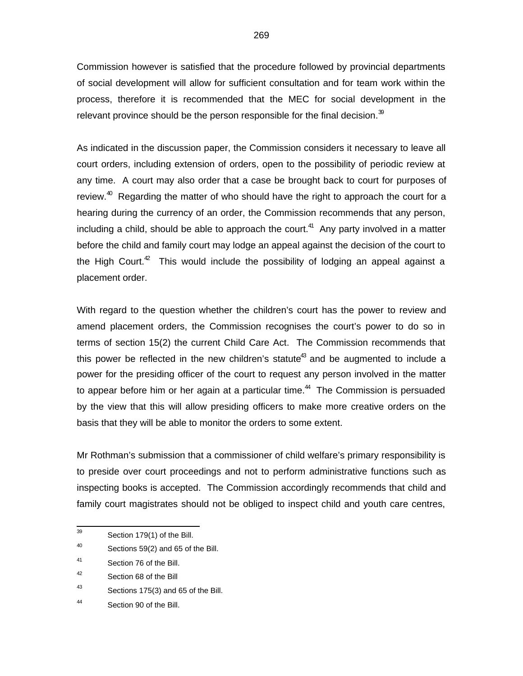Commission however is satisfied that the procedure followed by provincial departments of social development will allow for sufficient consultation and for team work within the process, therefore it is recommended that the MEC for social development in the relevant province should be the person responsible for the final decision. $39$ 

As indicated in the discussion paper, the Commission considers it necessary to leave all court orders, including extension of orders, open to the possibility of periodic review at any time. A court may also order that a case be brought back to court for purposes of review.<sup>40</sup> Regarding the matter of who should have the right to approach the court for a hearing during the currency of an order, the Commission recommends that any person, including a child, should be able to approach the court. $41$  Any party involved in a matter before the child and family court may lodge an appeal against the decision of the court to the High Court. $42$  This would include the possibility of lodging an appeal against a placement order.

With regard to the question whether the children's court has the power to review and amend placement orders, the Commission recognises the court's power to do so in terms of section 15(2) the current Child Care Act. The Commission recommends that this power be reflected in the new children's statute<sup>43</sup> and be augmented to include a power for the presiding officer of the court to request any person involved in the matter to appear before him or her again at a particular time.<sup>44</sup> The Commission is persuaded by the view that this will allow presiding officers to make more creative orders on the basis that they will be able to monitor the orders to some extent.

Mr Rothman's submission that a commissioner of child welfare's primary responsibility is to preside over court proceedings and not to perform administrative functions such as inspecting books is accepted. The Commission accordingly recommends that child and family court magistrates should not be obliged to inspect child and youth care centres,

<sup>—&</sup>lt;br>39 Section 179(1) of the Bill.

<sup>40</sup> Sections 59(2) and 65 of the Bill.

<sup>41</sup> Section 76 of the Bill.

<sup>42</sup> Section 68 of the Bill

<sup>43</sup> Sections 175(3) and 65 of the Bill.

<sup>44</sup> Section 90 of the Bill.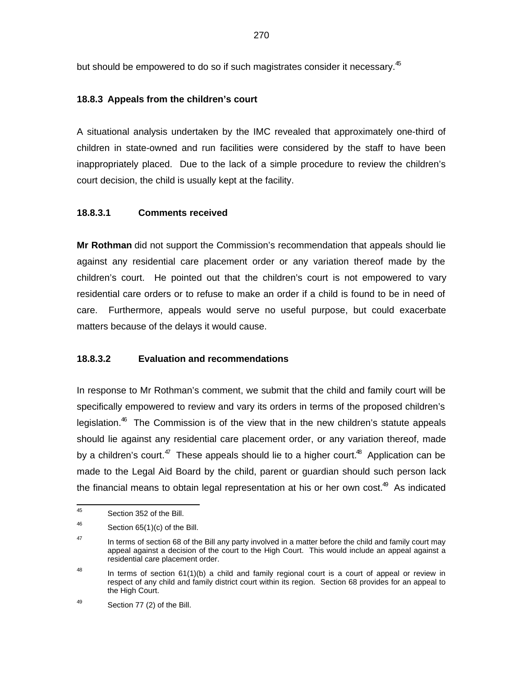but should be empowered to do so if such magistrates consider it necessary.<sup>45</sup>

# **18.8.3 Appeals from the children's court**

A situational analysis undertaken by the IMC revealed that approximately one-third of children in state-owned and run facilities were considered by the staff to have been inappropriately placed. Due to the lack of a simple procedure to review the children's court decision, the child is usually kept at the facility.

# **18.8.3.1 Comments received**

**Mr Rothman** did not support the Commission's recommendation that appeals should lie against any residential care placement order or any variation thereof made by the children's court. He pointed out that the children's court is not empowered to vary residential care orders or to refuse to make an order if a child is found to be in need of care. Furthermore, appeals would serve no useful purpose, but could exacerbate matters because of the delays it would cause.

# **18.8.3.2 Evaluation and recommendations**

In response to Mr Rothman's comment, we submit that the child and family court will be specifically empowered to review and vary its orders in terms of the proposed children's legislation.<sup>46</sup> The Commission is of the view that in the new children's statute appeals should lie against any residential care placement order, or any variation thereof, made by a children's court.<sup>47</sup> These appeals should lie to a higher court.<sup>48</sup> Application can be made to the Legal Aid Board by the child, parent or guardian should such person lack the financial means to obtain legal representation at his or her own cost.<sup>49</sup> As indicated

<sup>—&</sup>lt;br>45 Section 352 of the Bill.

<sup>46</sup> Section 65(1)(c) of the Bill.

<sup>47</sup> In terms of section 68 of the Bill any party involved in a matter before the child and family court may appeal against a decision of the court to the High Court. This would include an appeal against a residential care placement order.

<sup>48</sup> In terms of section 61(1)(b) a child and family regional court is a court of appeal or review in respect of any child and family district court within its region. Section 68 provides for an appeal to the High Court.

<sup>49</sup> Section 77 (2) of the Bill.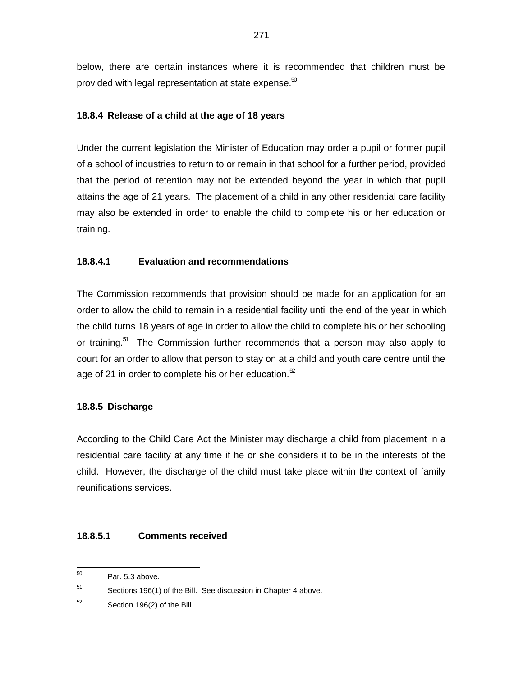below, there are certain instances where it is recommended that children must be provided with legal representation at state expense.<sup>50</sup>

## **18.8.4 Release of a child at the age of 18 years**

Under the current legislation the Minister of Education may order a pupil or former pupil of a school of industries to return to or remain in that school for a further period, provided that the period of retention may not be extended beyond the year in which that pupil attains the age of 21 years. The placement of a child in any other residential care facility may also be extended in order to enable the child to complete his or her education or training.

## **18.8.4.1 Evaluation and recommendations**

The Commission recommends that provision should be made for an application for an order to allow the child to remain in a residential facility until the end of the year in which the child turns 18 years of age in order to allow the child to complete his or her schooling or training.<sup>51</sup> The Commission further recommends that a person may also apply to court for an order to allow that person to stay on at a child and youth care centre until the age of 21 in order to complete his or her education. $52$ 

### **18.8.5 Discharge**

According to the Child Care Act the Minister may discharge a child from placement in a residential care facility at any time if he or she considers it to be in the interests of the child. However, the discharge of the child must take place within the context of family reunifications services.

### **18.8.5.1 Comments received**

 50 Par. 5.3 above.

<sup>51</sup> Sections 196(1) of the Bill. See discussion in Chapter 4 above.

<sup>52</sup> Section 196(2) of the Bill.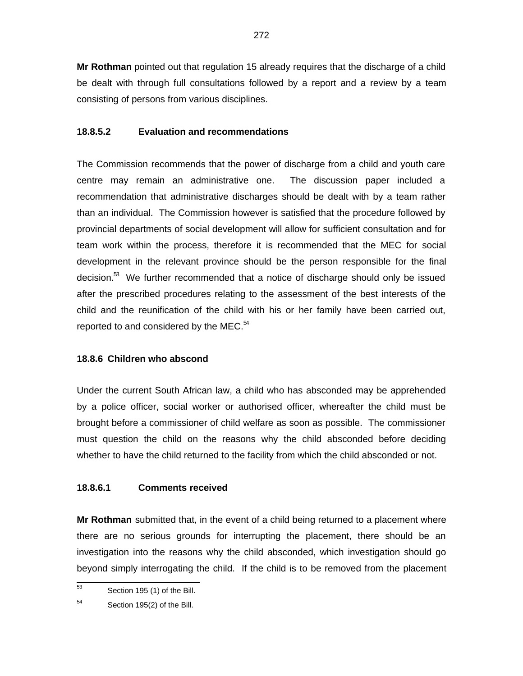**Mr Rothman** pointed out that regulation 15 already requires that the discharge of a child be dealt with through full consultations followed by a report and a review by a team consisting of persons from various disciplines.

# **18.8.5.2 Evaluation and recommendations**

The Commission recommends that the power of discharge from a child and youth care centre may remain an administrative one. The discussion paper included a recommendation that administrative discharges should be dealt with by a team rather than an individual. The Commission however is satisfied that the procedure followed by provincial departments of social development will allow for sufficient consultation and for team work within the process, therefore it is recommended that the MEC for social development in the relevant province should be the person responsible for the final decision.<sup>53</sup> We further recommended that a notice of discharge should only be issued after the prescribed procedures relating to the assessment of the best interests of the child and the reunification of the child with his or her family have been carried out, reported to and considered by the MEC. $54$ 

# **18.8.6 Children who abscond**

Under the current South African law, a child who has absconded may be apprehended by a police officer, social worker or authorised officer, whereafter the child must be brought before a commissioner of child welfare as soon as possible. The commissioner must question the child on the reasons why the child absconded before deciding whether to have the child returned to the facility from which the child absconded or not.

# **18.8.6.1 Comments received**

**Mr Rothman** submitted that, in the event of a child being returned to a placement where there are no serious grounds for interrupting the placement, there should be an investigation into the reasons why the child absconded, which investigation should go beyond simply interrogating the child. If the child is to be removed from the placement

 53 Section 195 (1) of the Bill.

<sup>54</sup> Section 195(2) of the Bill.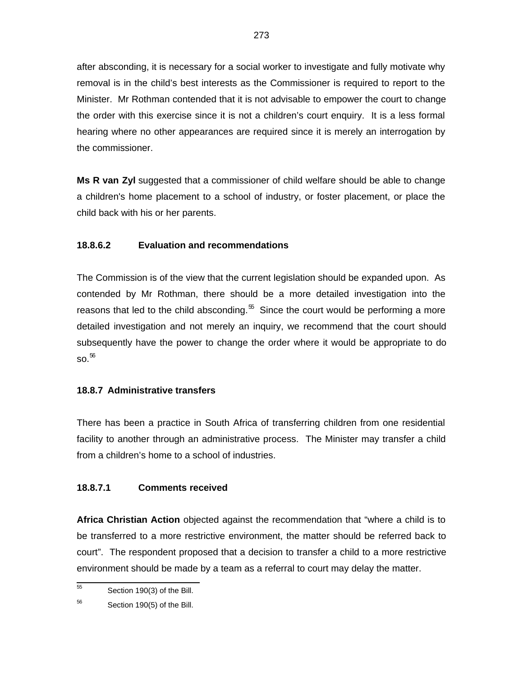after absconding, it is necessary for a social worker to investigate and fully motivate why removal is in the child's best interests as the Commissioner is required to report to the Minister. Mr Rothman contended that it is not advisable to empower the court to change the order with this exercise since it is not a children's court enquiry. It is a less formal hearing where no other appearances are required since it is merely an interrogation by the commissioner.

**Ms R van Zyl** suggested that a commissioner of child welfare should be able to change a children's home placement to a school of industry, or foster placement, or place the child back with his or her parents.

# **18.8.6.2 Evaluation and recommendations**

The Commission is of the view that the current legislation should be expanded upon. As contended by Mr Rothman, there should be a more detailed investigation into the reasons that led to the child absconding.<sup> $55$ </sup> Since the court would be performing a more detailed investigation and not merely an inquiry, we recommend that the court should subsequently have the power to change the order where it would be appropriate to do  $\mathrm{so}^{56}$ 

# **18.8.7 Administrative transfers**

There has been a practice in South Africa of transferring children from one residential facility to another through an administrative process. The Minister may transfer a child from a children's home to a school of industries.

# **18.8.7.1 Comments received**

**Africa Christian Action** objected against the recommendation that "where a child is to be transferred to a more restrictive environment, the matter should be referred back to court". The respondent proposed that a decision to transfer a child to a more restrictive environment should be made by a team as a referral to court may delay the matter.

 55 Section 190(3) of the Bill.

<sup>56</sup> Section 190(5) of the Bill.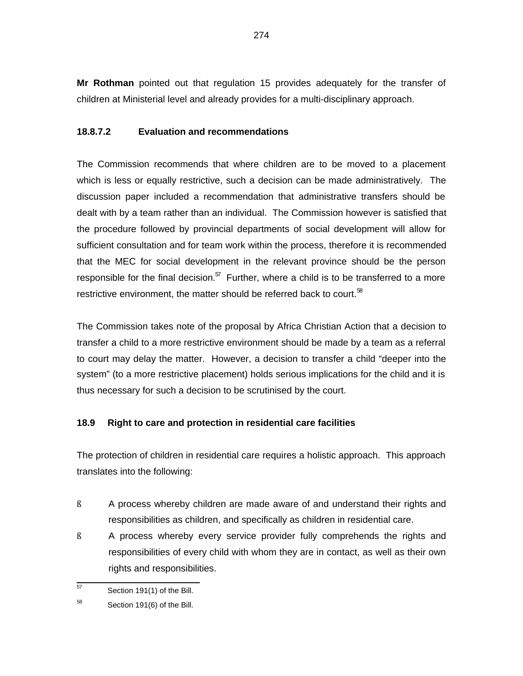**Mr Rothman** pointed out that regulation 15 provides adequately for the transfer of children at Ministerial level and already provides for a multi-disciplinary approach.

# **18.8.7.2 Evaluation and recommendations**

The Commission recommends that where children are to be moved to a placement which is less or equally restrictive, such a decision can be made administratively. The discussion paper included a recommendation that administrative transfers should be dealt with by a team rather than an individual. The Commission however is satisfied that the procedure followed by provincial departments of social development will allow for sufficient consultation and for team work within the process, therefore it is recommended that the MEC for social development in the relevant province should be the person responsible for the final decision. $57$  Further, where a child is to be transferred to a more restrictive environment, the matter should be referred back to court. $58$ 

The Commission takes note of the proposal by Africa Christian Action that a decision to transfer a child to a more restrictive environment should be made by a team as a referral to court may delay the matter. However, a decision to transfer a child "deeper into the system" (to a more restrictive placement) holds serious implications for the child and it is thus necessary for such a decision to be scrutinised by the court.

# **18.9 Right to care and protection in residential care facilities**

The protection of children in residential care requires a holistic approach. This approach translates into the following:

- ß A process whereby children are made aware of and understand their rights and responsibilities as children, and specifically as children in residential care.
- ß A process whereby every service provider fully comprehends the rights and responsibilities of every child with whom they are in contact, as well as their own rights and responsibilities.

 57 Section 191(1) of the Bill.

<sup>58</sup> Section 191(6) of the Bill.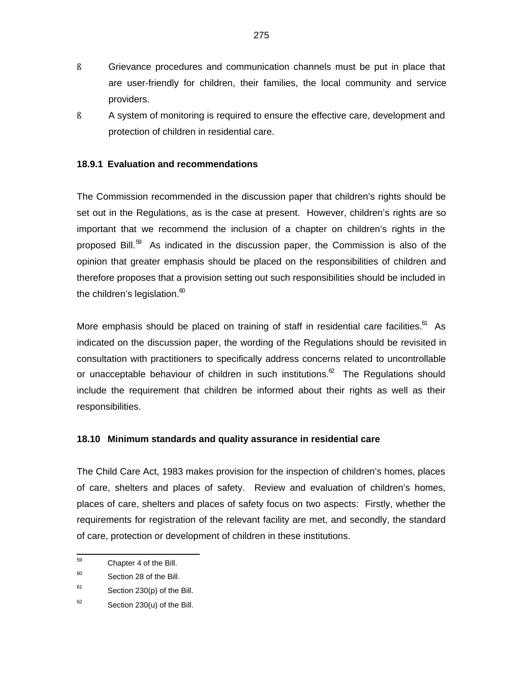- ß Grievance procedures and communication channels must be put in place that are user-friendly for children, their families, the local community and service providers.
- ß A system of monitoring is required to ensure the effective care, development and protection of children in residential care.

## **18.9.1 Evaluation and recommendations**

The Commission recommended in the discussion paper that children's rights should be set out in the Regulations, as is the case at present. However, children's rights are so important that we recommend the inclusion of a chapter on children's rights in the proposed Bill. $^{59}$  As indicated in the discussion paper, the Commission is also of the opinion that greater emphasis should be placed on the responsibilities of children and therefore proposes that a provision setting out such responsibilities should be included in the children's legislation. $^{\text{60}}$ 

More emphasis should be placed on training of staff in residential care facilities.<sup>61</sup> As indicated on the discussion paper, the wording of the Regulations should be revisited in consultation with practitioners to specifically address concerns related to uncontrollable or unacceptable behaviour of children in such institutions. $^{\infty}$  The Regulations should include the requirement that children be informed about their rights as well as their responsibilities.

### **18.10 Minimum standards and quality assurance in residential care**

The Child Care Act, 1983 makes provision for the inspection of children's homes, places of care, shelters and places of safety. Review and evaluation of children's homes, places of care, shelters and places of safety focus on two aspects: Firstly, whether the requirements for registration of the relevant facility are met, and secondly, the standard of care, protection or development of children in these institutions.

<sup>—&</sup>lt;br>59 Chapter 4 of the Bill.

<sup>60</sup> Section 28 of the Bill.

<sup>61</sup> Section 230(p) of the Bill.

<sup>62</sup> Section 230(u) of the Bill.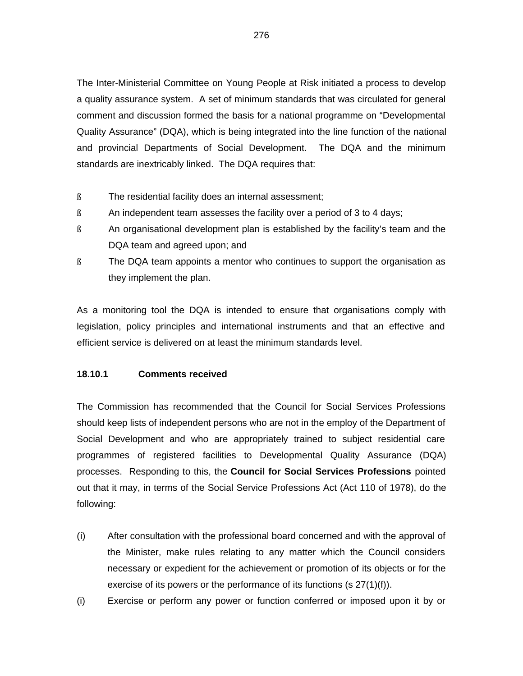The Inter-Ministerial Committee on Young People at Risk initiated a process to develop a quality assurance system. A set of minimum standards that was circulated for general comment and discussion formed the basis for a national programme on "Developmental Quality Assurance" (DQA), which is being integrated into the line function of the national and provincial Departments of Social Development. The DQA and the minimum standards are inextricably linked. The DQA requires that:

- ß The residential facility does an internal assessment;
- ß An independent team assesses the facility over a period of 3 to 4 days;
- ß An organisational development plan is established by the facility's team and the DQA team and agreed upon; and
- ß The DQA team appoints a mentor who continues to support the organisation as they implement the plan.

As a monitoring tool the DQA is intended to ensure that organisations comply with legislation, policy principles and international instruments and that an effective and efficient service is delivered on at least the minimum standards level.

### **18.10.1 Comments received**

The Commission has recommended that the Council for Social Services Professions should keep lists of independent persons who are not in the employ of the Department of Social Development and who are appropriately trained to subject residential care programmes of registered facilities to Developmental Quality Assurance (DQA) processes. Responding to this, the **Council for Social Services Professions** pointed out that it may, in terms of the Social Service Professions Act (Act 110 of 1978), do the following:

- (i) After consultation with the professional board concerned and with the approval of the Minister, make rules relating to any matter which the Council considers necessary or expedient for the achievement or promotion of its objects or for the exercise of its powers or the performance of its functions (s 27(1)(f)).
- (i) Exercise or perform any power or function conferred or imposed upon it by or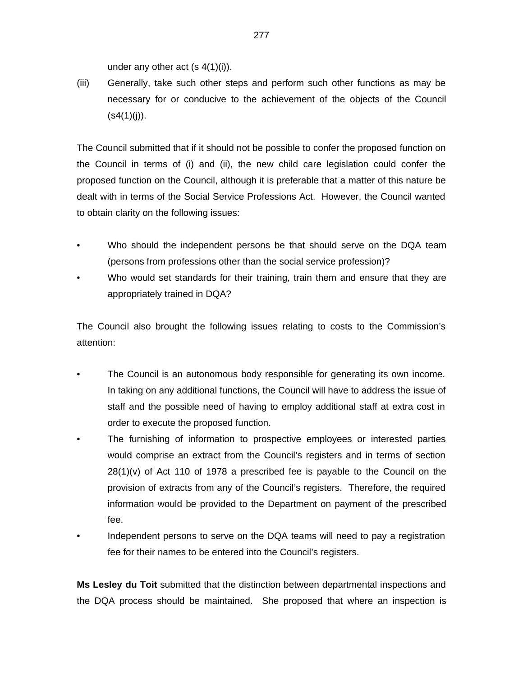under any other act  $(s 4(1)(i))$ .

(iii) Generally, take such other steps and perform such other functions as may be necessary for or conducive to the achievement of the objects of the Council  $(s4(1)(i))$ .

The Council submitted that if it should not be possible to confer the proposed function on the Council in terms of (i) and (ii), the new child care legislation could confer the proposed function on the Council, although it is preferable that a matter of this nature be dealt with in terms of the Social Service Professions Act. However, the Council wanted to obtain clarity on the following issues:

- Who should the independent persons be that should serve on the DQA team (persons from professions other than the social service profession)?
- Who would set standards for their training, train them and ensure that they are appropriately trained in DQA?

The Council also brought the following issues relating to costs to the Commission's attention:

- The Council is an autonomous body responsible for generating its own income. In taking on any additional functions, the Council will have to address the issue of staff and the possible need of having to employ additional staff at extra cost in order to execute the proposed function.
- The furnishing of information to prospective employees or interested parties would comprise an extract from the Council's registers and in terms of section 28(1)(v) of Act 110 of 1978 a prescribed fee is payable to the Council on the provision of extracts from any of the Council's registers. Therefore, the required information would be provided to the Department on payment of the prescribed fee.
- Independent persons to serve on the DQA teams will need to pay a registration fee for their names to be entered into the Council's registers.

**Ms Lesley du Toit** submitted that the distinction between departmental inspections and the DQA process should be maintained. She proposed that where an inspection is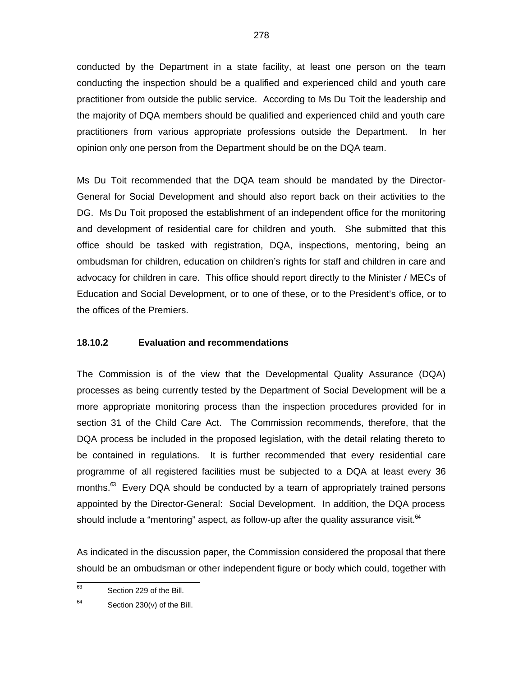conducted by the Department in a state facility, at least one person on the team conducting the inspection should be a qualified and experienced child and youth care practitioner from outside the public service. According to Ms Du Toit the leadership and the majority of DQA members should be qualified and experienced child and youth care practitioners from various appropriate professions outside the Department. In her opinion only one person from the Department should be on the DQA team.

Ms Du Toit recommended that the DQA team should be mandated by the Director-General for Social Development and should also report back on their activities to the DG. Ms Du Toit proposed the establishment of an independent office for the monitoring and development of residential care for children and youth. She submitted that this office should be tasked with registration, DQA, inspections, mentoring, being an ombudsman for children, education on children's rights for staff and children in care and advocacy for children in care. This office should report directly to the Minister / MECs of Education and Social Development, or to one of these, or to the President's office, or to the offices of the Premiers.

### **18.10.2 Evaluation and recommendations**

The Commission is of the view that the Developmental Quality Assurance (DQA) processes as being currently tested by the Department of Social Development will be a more appropriate monitoring process than the inspection procedures provided for in section 31 of the Child Care Act. The Commission recommends, therefore, that the DQA process be included in the proposed legislation, with the detail relating thereto to be contained in regulations. It is further recommended that every residential care programme of all registered facilities must be subjected to a DQA at least every 36 months.<sup>63</sup> Every DQA should be conducted by a team of appropriately trained persons appointed by the Director-General: Social Development. In addition, the DQA process should include a "mentoring" aspect, as follow-up after the quality assurance visit. $64$ 

As indicated in the discussion paper, the Commission considered the proposal that there should be an ombudsman or other independent figure or body which could, together with

 63 Section 229 of the Bill.

<sup>64</sup> Section 230(v) of the Bill.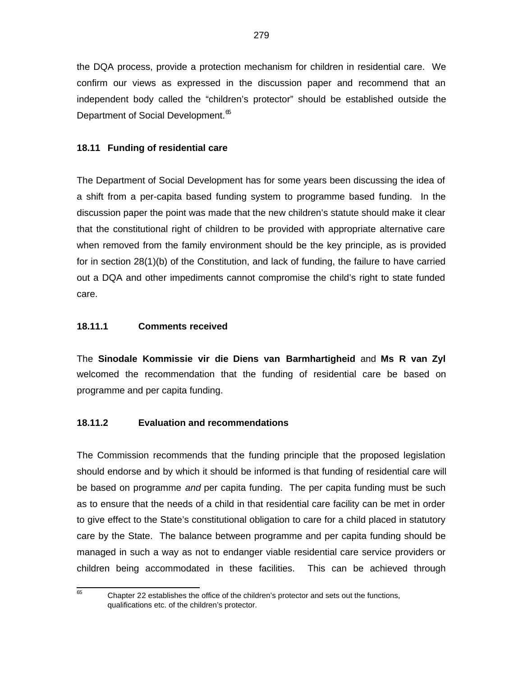the DQA process, provide a protection mechanism for children in residential care. We confirm our views as expressed in the discussion paper and recommend that an independent body called the "children's protector" should be established outside the Department of Social Development.<sup>65</sup>

# **18.11 Funding of residential care**

The Department of Social Development has for some years been discussing the idea of a shift from a per-capita based funding system to programme based funding. In the discussion paper the point was made that the new children's statute should make it clear that the constitutional right of children to be provided with appropriate alternative care when removed from the family environment should be the key principle, as is provided for in section 28(1)(b) of the Constitution, and lack of funding, the failure to have carried out a DQA and other impediments cannot compromise the child's right to state funded care.

## **18.11.1 Comments received**

The **Sinodale Kommissie vir die Diens van Barmhartigheid** and **Ms R van Zyl** welcomed the recommendation that the funding of residential care be based on programme and per capita funding.

# **18.11.2 Evaluation and recommendations**

The Commission recommends that the funding principle that the proposed legislation should endorse and by which it should be informed is that funding of residential care will be based on programme and per capita funding. The per capita funding must be such as to ensure that the needs of a child in that residential care facility can be met in order to give effect to the State's constitutional obligation to care for a child placed in statutory care by the State. The balance between programme and per capita funding should be managed in such a way as not to endanger viable residential care service providers or children being accommodated in these facilities. This can be achieved through

65

Chapter 22 establishes the office of the children's protector and sets out the functions, qualifications etc. of the children's protector.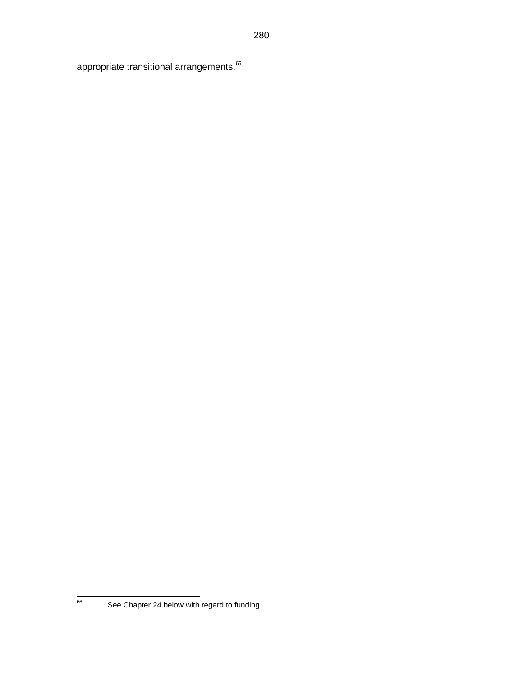appropriate transitional arrangements. $66$ 

66

See Chapter 24 below with regard to funding.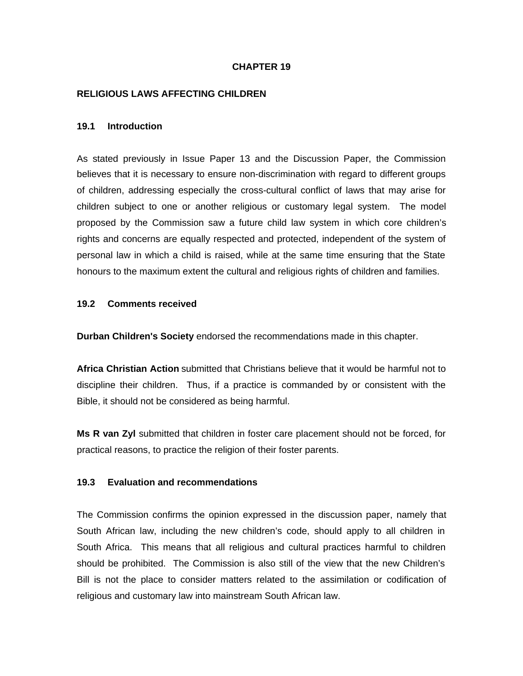### **CHAPTER 19**

#### **RELIGIOUS LAWS AFFECTING CHILDREN**

#### **19.1 Introduction**

As stated previously in Issue Paper 13 and the Discussion Paper, the Commission believes that it is necessary to ensure non-discrimination with regard to different groups of children, addressing especially the cross-cultural conflict of laws that may arise for children subject to one or another religious or customary legal system. The model proposed by the Commission saw a future child law system in which core children's rights and concerns are equally respected and protected, independent of the system of personal law in which a child is raised, while at the same time ensuring that the State honours to the maximum extent the cultural and religious rights of children and families.

#### **19.2 Comments received**

**Durban Children's Society** endorsed the recommendations made in this chapter.

**Africa Christian Action** submitted that Christians believe that it would be harmful not to discipline their children. Thus, if a practice is commanded by or consistent with the Bible, it should not be considered as being harmful.

**Ms R van Zyl** submitted that children in foster care placement should not be forced, for practical reasons, to practice the religion of their foster parents.

#### **19.3 Evaluation and recommendations**

The Commission confirms the opinion expressed in the discussion paper, namely that South African law, including the new children's code, should apply to all children in South Africa. This means that all religious and cultural practices harmful to children should be prohibited. The Commission is also still of the view that the new Children's Bill is not the place to consider matters related to the assimilation or codification of religious and customary law into mainstream South African law.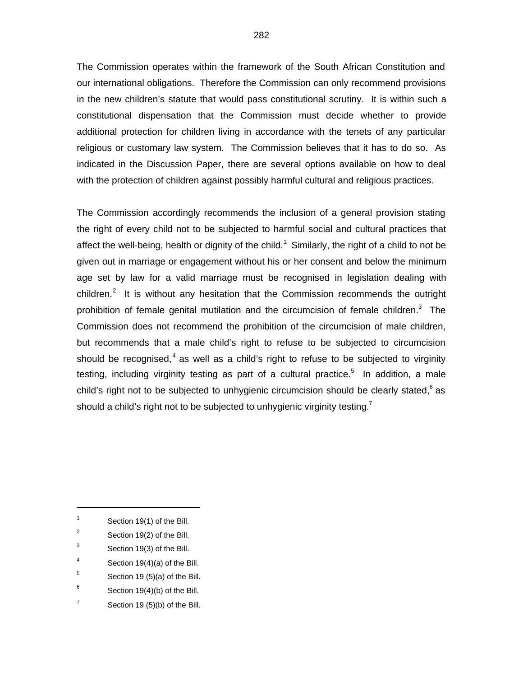The Commission operates within the framework of the South African Constitution and our international obligations. Therefore the Commission can only recommend provisions in the new children's statute that would pass constitutional scrutiny. It is within such a constitutional dispensation that the Commission must decide whether to provide additional protection for children living in accordance with the tenets of any particular religious or customary law system. The Commission believes that it has to do so. As indicated in the Discussion Paper, there are several options available on how to deal with the protection of children against possibly harmful cultural and religious practices.

The Commission accordingly recommends the inclusion of a general provision stating the right of every child not to be subjected to harmful social and cultural practices that affect the well-being, health or dignity of the child.<sup>1</sup> Similarly, the right of a child to not be given out in marriage or engagement without his or her consent and below the minimum age set by law for a valid marriage must be recognised in legislation dealing with children.<sup>2</sup> It is without any hesitation that the Commission recommends the outright prohibition of female genital mutilation and the circumcision of female children.<sup>3</sup> The Commission does not recommend the prohibition of the circumcision of male children, but recommends that a male child's right to refuse to be subjected to circumcision should be recognised,<sup>4</sup> as well as a child's right to refuse to be subjected to virginity testing, including virginity testing as part of a cultural practice.<sup>5</sup> In addition, a male child's right not to be subjected to unhygienic circumcision should be clearly stated,  $6$  as should a child's right not to be subjected to unhygienic virginity testing.<sup>7</sup>

 $\overline{a}$ 

- 2 Section 19(2) of the Bill.
- 3 Section 19(3) of the Bill.
- 4 Section 19(4)(a) of the Bill.
- 5 Section 19 (5)(a) of the Bill.
- 6 Section 19(4)(b) of the Bill.
- 7 Section 19 (5)(b) of the Bill.

<sup>1</sup> Section 19(1) of the Bill.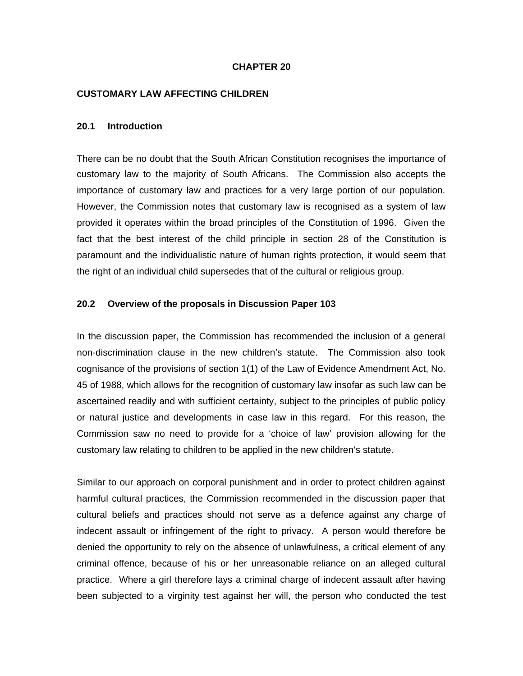#### **CHAPTER 20**

#### **CUSTOMARY LAW AFFECTING CHILDREN**

#### **20.1 Introduction**

There can be no doubt that the South African Constitution recognises the importance of customary law to the majority of South Africans. The Commission also accepts the importance of customary law and practices for a very large portion of our population. However, the Commission notes that customary law is recognised as a system of law provided it operates within the broad principles of the Constitution of 1996. Given the fact that the best interest of the child principle in section 28 of the Constitution is paramount and the individualistic nature of human rights protection, it would seem that the right of an individual child supersedes that of the cultural or religious group.

#### **20.2 Overview of the proposals in Discussion Paper 103**

In the discussion paper, the Commission has recommended the inclusion of a general non-discrimination clause in the new children's statute. The Commission also took cognisance of the provisions of section 1(1) of the Law of Evidence Amendment Act, No. 45 of 1988, which allows for the recognition of customary law insofar as such law can be ascertained readily and with sufficient certainty, subject to the principles of public policy or natural justice and developments in case law in this regard. For this reason, the Commission saw no need to provide for a 'choice of law' provision allowing for the customary law relating to children to be applied in the new children's statute.

Similar to our approach on corporal punishment and in order to protect children against harmful cultural practices, the Commission recommended in the discussion paper that cultural beliefs and practices should not serve as a defence against any charge of indecent assault or infringement of the right to privacy. A person would therefore be denied the opportunity to rely on the absence of unlawfulness, a critical element of any criminal offence, because of his or her unreasonable reliance on an alleged cultural practice. Where a girl therefore lays a criminal charge of indecent assault after having been subjected to a virginity test against her will, the person who conducted the test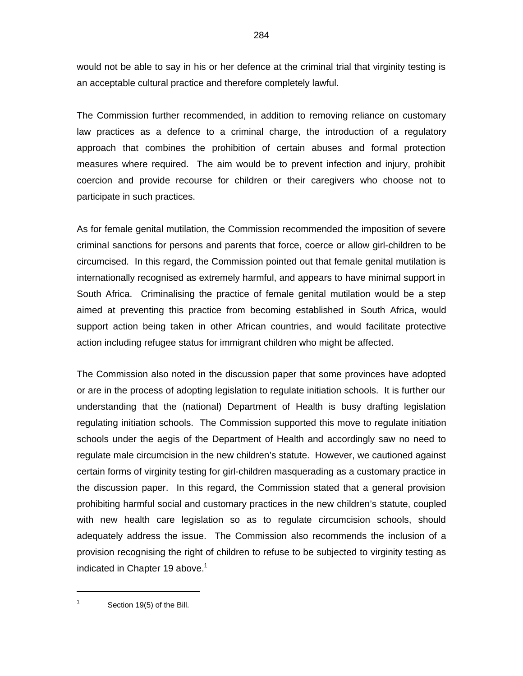would not be able to say in his or her defence at the criminal trial that virginity testing is an acceptable cultural practice and therefore completely lawful.

The Commission further recommended, in addition to removing reliance on customary law practices as a defence to a criminal charge, the introduction of a regulatory approach that combines the prohibition of certain abuses and formal protection measures where required. The aim would be to prevent infection and injury, prohibit coercion and provide recourse for children or their caregivers who choose not to participate in such practices.

As for female genital mutilation, the Commission recommended the imposition of severe criminal sanctions for persons and parents that force, coerce or allow girl-children to be circumcised. In this regard, the Commission pointed out that female genital mutilation is internationally recognised as extremely harmful, and appears to have minimal support in South Africa. Criminalising the practice of female genital mutilation would be a step aimed at preventing this practice from becoming established in South Africa, would support action being taken in other African countries, and would facilitate protective action including refugee status for immigrant children who might be affected.

The Commission also noted in the discussion paper that some provinces have adopted or are in the process of adopting legislation to regulate initiation schools. It is further our understanding that the (national) Department of Health is busy drafting legislation regulating initiation schools. The Commission supported this move to regulate initiation schools under the aegis of the Department of Health and accordingly saw no need to regulate male circumcision in the new children's statute. However, we cautioned against certain forms of virginity testing for girl-children masquerading as a customary practice in the discussion paper. In this regard, the Commission stated that a general provision prohibiting harmful social and customary practices in the new children's statute, coupled with new health care legislation so as to regulate circumcision schools, should adequately address the issue. The Commission also recommends the inclusion of a provision recognising the right of children to refuse to be subjected to virginity testing as indicated in Chapter 19 above. $1$ 

1 Section 19(5) of the Bill.

1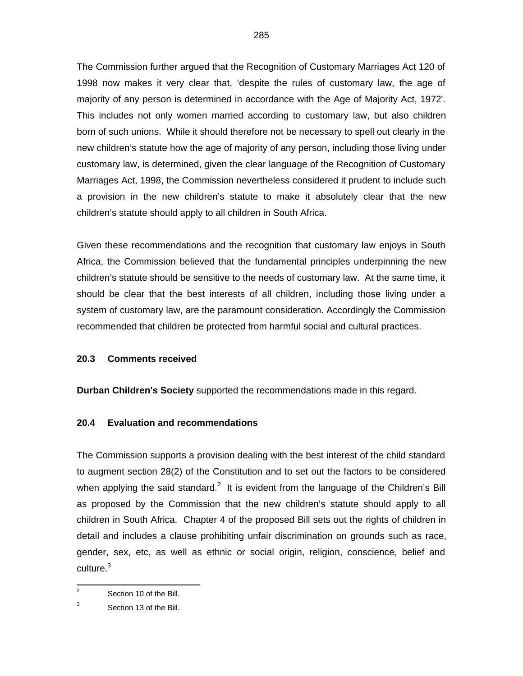The Commission further argued that the Recognition of Customary Marriages Act 120 of 1998 now makes it very clear that, 'despite the rules of customary law, the age of majority of any person is determined in accordance with the Age of Majority Act, 1972'. This includes not only women married according to customary law, but also children born of such unions. While it should therefore not be necessary to spell out clearly in the new children's statute how the age of majority of any person, including those living under customary law, is determined, given the clear language of the Recognition of Customary Marriages Act, 1998, the Commission nevertheless considered it prudent to include such a provision in the new children's statute to make it absolutely clear that the new children's statute should apply to all children in South Africa.

Given these recommendations and the recognition that customary law enjoys in South Africa, the Commission believed that the fundamental principles underpinning the new children's statute should be sensitive to the needs of customary law. At the same time, it should be clear that the best interests of all children, including those living under a system of customary law, are the paramount consideration. Accordingly the Commission recommended that children be protected from harmful social and cultural practices.

#### **20.3 Comments received**

**Durban Children's Society** supported the recommendations made in this regard.

### **20.4 Evaluation and recommendations**

The Commission supports a provision dealing with the best interest of the child standard to augment section 28(2) of the Constitution and to set out the factors to be considered when applying the said standard.<sup>2</sup> It is evident from the language of the Children's Bill as proposed by the Commission that the new children's statute should apply to all children in South Africa. Chapter 4 of the proposed Bill sets out the rights of children in detail and includes a clause prohibiting unfair discrimination on grounds such as race, gender, sex, etc, as well as ethnic or social origin, religion, conscience, belief and culture.<sup>3</sup>

<sup>&</sup>lt;sup>2</sup> Section 10 of the Bill.

<sup>3</sup> Section 13 of the Bill.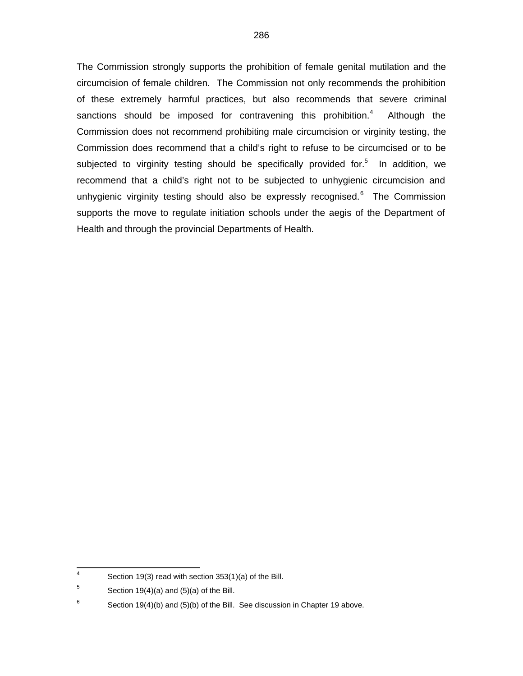The Commission strongly supports the prohibition of female genital mutilation and the circumcision of female children. The Commission not only recommends the prohibition of these extremely harmful practices, but also recommends that severe criminal sanctions should be imposed for contravening this prohibition. $4$  Although the Commission does not recommend prohibiting male circumcision or virginity testing, the Commission does recommend that a child's right to refuse to be circumcised or to be subjected to virginity testing should be specifically provided for.<sup>5</sup> In addition, we recommend that a child's right not to be subjected to unhygienic circumcision and unhygienic virginity testing should also be expressly recognised.<sup>6</sup> The Commission supports the move to regulate initiation schools under the aegis of the Department of Health and through the provincial Departments of Health.

 4 Section 19(3) read with section 353(1)(a) of the Bill.

<sup>5</sup> Section 19(4)(a) and (5)(a) of the Bill.

<sup>6</sup> Section 19(4)(b) and (5)(b) of the Bill. See discussion in Chapter 19 above.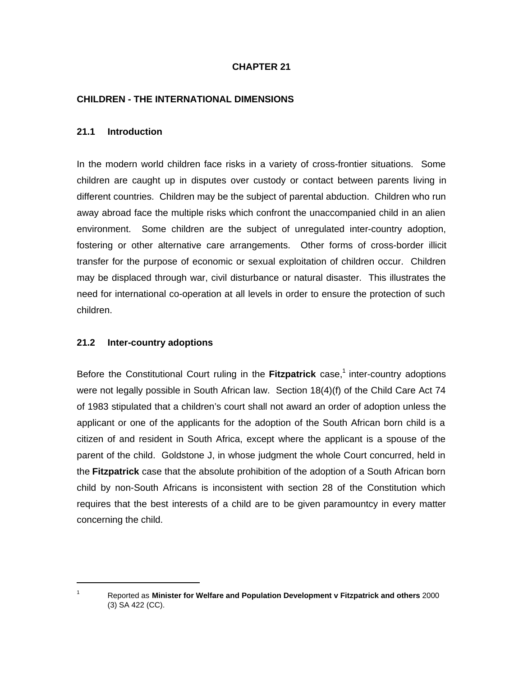### **CHAPTER 21**

#### **CHILDREN - THE INTERNATIONAL DIMENSIONS**

#### **21.1 Introduction**

In the modern world children face risks in a variety of cross-frontier situations. Some children are caught up in disputes over custody or contact between parents living in different countries. Children may be the subject of parental abduction. Children who run away abroad face the multiple risks which confront the unaccompanied child in an alien environment. Some children are the subject of unregulated inter-country adoption, fostering or other alternative care arrangements. Other forms of cross-border illicit transfer for the purpose of economic or sexual exploitation of children occur. Children may be displaced through war, civil disturbance or natural disaster. This illustrates the need for international co-operation at all levels in order to ensure the protection of such children.

#### **21.2 Inter-country adoptions**

Before the Constitutional Court ruling in the Fitzpatrick case,<sup>1</sup> inter-country adoptions were not legally possible in South African law. Section 18(4)(f) of the Child Care Act 74 of 1983 stipulated that a children's court shall not award an order of adoption unless the applicant or one of the applicants for the adoption of the South African born child is a citizen of and resident in South Africa, except where the applicant is a spouse of the parent of the child. Goldstone J, in whose judgment the whole Court concurred, held in the **Fitzpatrick** case that the absolute prohibition of the adoption of a South African born child by non-South Africans is inconsistent with section 28 of the Constitution which requires that the best interests of a child are to be given paramountcy in every matter concerning the child.

<sup>1</sup> 1

Reported as **Minister for Welfare and Population Development v Fitzpatrick and others** 2000 (3) SA 422 (CC).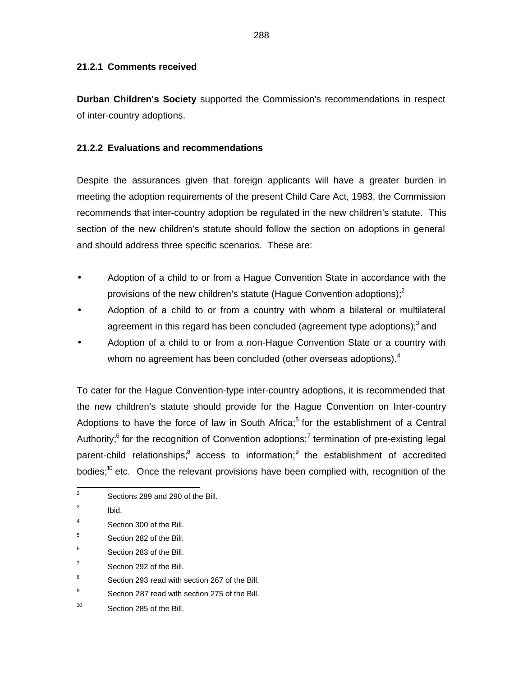### **21.2.1 Comments received**

**Durban Children's Society** supported the Commission's recommendations in respect of inter-country adoptions.

# **21.2.2 Evaluations and recommendations**

Despite the assurances given that foreign applicants will have a greater burden in meeting the adoption requirements of the present Child Care Act, 1983, the Commission recommends that inter-country adoption be regulated in the new children's statute. This section of the new children's statute should follow the section on adoptions in general and should address three specific scenarios. These are:

- Adoption of a child to or from a Hague Convention State in accordance with the provisions of the new children's statute (Hague Convention adoptions); $^{2}$
- Adoption of a child to or from a country with whom a bilateral or multilateral agreement in this regard has been concluded (agreement type adoptions);<sup>3</sup> and
- Adoption of a child to or from a non-Hague Convention State or a country with whom no agreement has been concluded (other overseas adoptions).<sup>4</sup>

To cater for the Hague Convention-type inter-country adoptions, it is recommended that the new children's statute should provide for the Hague Convention on Inter-country Adoptions to have the force of law in South Africa;<sup>5</sup> for the establishment of a Central Authority;<sup>6</sup> for the recognition of Convention adoptions;<sup>7</sup> termination of pre-existing legal parent-child relationships;<sup>8</sup> access to information;<sup>9</sup> the establishment of accredited bodies;<sup>10</sup> etc. Once the relevant provisions have been complied with, recognition of the

- 4 Section 300 of the Bill.
- 5 Section 282 of the Bill.
- 6 Section 283 of the Bill.
- 7 Section 292 of the Bill.
- 8 Section 293 read with section 267 of the Bill.
- 9 Section 287 read with section 275 of the Bill.
- 10 Section 285 of the Bill.

<sup>&</sup>lt;sup>2</sup> Sections 289 and 290 of the Bill.

<sup>3</sup> Ibid.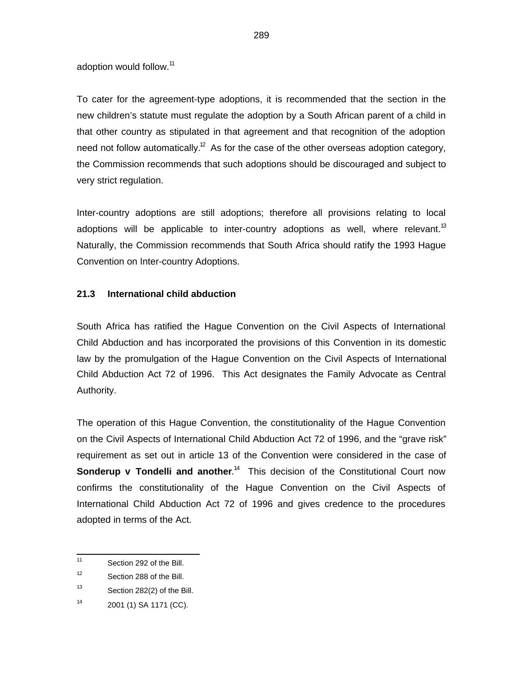adoption would follow.<sup>11</sup>

To cater for the agreement-type adoptions, it is recommended that the section in the new children's statute must regulate the adoption by a South African parent of a child in that other country as stipulated in that agreement and that recognition of the adoption need not follow automatically.<sup>12</sup> As for the case of the other overseas adoption category, the Commission recommends that such adoptions should be discouraged and subject to very strict regulation.

Inter-country adoptions are still adoptions; therefore all provisions relating to local adoptions will be applicable to inter-country adoptions as well, where relevant.<sup>13</sup> Naturally, the Commission recommends that South Africa should ratify the 1993 Hague Convention on Inter-country Adoptions.

### **21.3 International child abduction**

South Africa has ratified the Hague Convention on the Civil Aspects of International Child Abduction and has incorporated the provisions of this Convention in its domestic law by the promulgation of the Hague Convention on the Civil Aspects of International Child Abduction Act 72 of 1996. This Act designates the Family Advocate as Central Authority.

The operation of this Hague Convention, the constitutionality of the Hague Convention on the Civil Aspects of International Child Abduction Act 72 of 1996, and the "grave risk" requirement as set out in article 13 of the Convention were considered in the case of **Sonderup v Tondelli and another.**<sup>14</sup> This decision of the Constitutional Court now confirms the constitutionality of the Hague Convention on the Civil Aspects of International Child Abduction Act 72 of 1996 and gives credence to the procedures adopted in terms of the Act.

14

 $\frac{1}{11}$ Section 292 of the Bill.

<sup>12</sup> Section 288 of the Bill.

<sup>13</sup> Section 282(2) of the Bill.

<sup>2001 (1)</sup> SA 1171 (CC).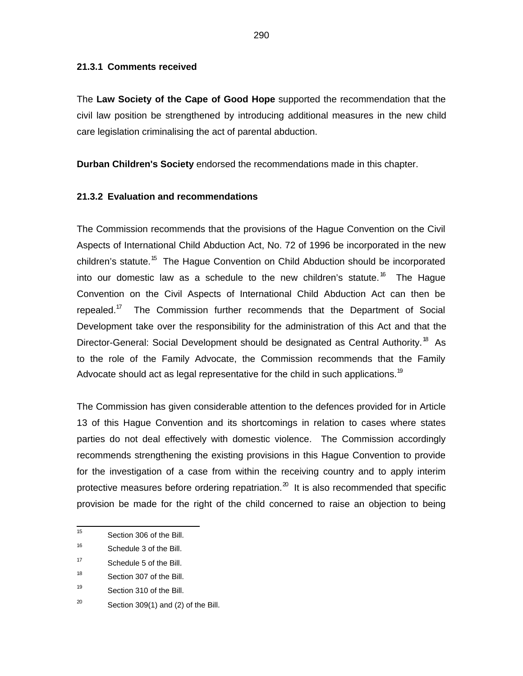#### **21.3.1 Comments received**

The **Law Society of the Cape of Good Hope** supported the recommendation that the civil law position be strengthened by introducing additional measures in the new child care legislation criminalising the act of parental abduction.

**Durban Children's Society** endorsed the recommendations made in this chapter.

### **21.3.2 Evaluation and recommendations**

The Commission recommends that the provisions of the Hague Convention on the Civil Aspects of International Child Abduction Act, No. 72 of 1996 be incorporated in the new children's statute.<sup>15</sup> The Hague Convention on Child Abduction should be incorporated into our domestic law as a schedule to the new children's statute.<sup>16</sup> The Hague Convention on the Civil Aspects of International Child Abduction Act can then be repealed.<sup>17</sup> The Commission further recommends that the Department of Social Development take over the responsibility for the administration of this Act and that the Director-General: Social Development should be designated as Central Authority.<sup>18</sup> As to the role of the Family Advocate, the Commission recommends that the Family Advocate should act as legal representative for the child in such applications.<sup>19</sup>

The Commission has given considerable attention to the defences provided for in Article 13 of this Hague Convention and its shortcomings in relation to cases where states parties do not deal effectively with domestic violence. The Commission accordingly recommends strengthening the existing provisions in this Hague Convention to provide for the investigation of a case from within the receiving country and to apply interim protective measures before ordering repatriation. $^{20}$  It is also recommended that specific provision be made for the right of the child concerned to raise an objection to being

 $\frac{1}{15}$ Section 306 of the Bill.

<sup>16</sup> Schedule 3 of the Bill.

<sup>17</sup> Schedule 5 of the Bill.

<sup>18</sup> Section 307 of the Bill.

<sup>19</sup> Section 310 of the Bill.

<sup>20</sup> Section 309(1) and (2) of the Bill.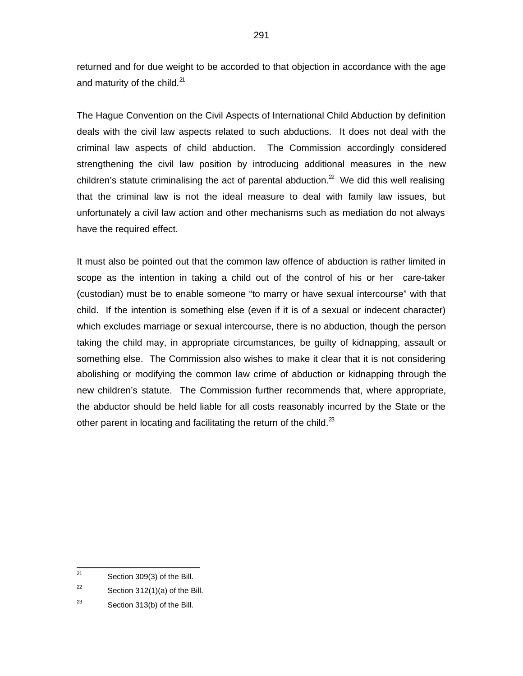returned and for due weight to be accorded to that objection in accordance with the age and maturity of the child. $^{21}$ 

The Hague Convention on the Civil Aspects of International Child Abduction by definition deals with the civil law aspects related to such abductions. It does not deal with the criminal law aspects of child abduction. The Commission accordingly considered strengthening the civil law position by introducing additional measures in the new children's statute criminalising the act of parental abduction.<sup>22</sup> We did this well realising that the criminal law is not the ideal measure to deal with family law issues, but unfortunately a civil law action and other mechanisms such as mediation do not always have the required effect.

It must also be pointed out that the common law offence of abduction is rather limited in scope as the intention in taking a child out of the control of his or her care-taker (custodian) must be to enable someone "to marry or have sexual intercourse" with that child. If the intention is something else (even if it is of a sexual or indecent character) which excludes marriage or sexual intercourse, there is no abduction, though the person taking the child may, in appropriate circumstances, be guilty of kidnapping, assault or something else. The Commission also wishes to make it clear that it is not considering abolishing or modifying the common law crime of abduction or kidnapping through the new children's statute. The Commission further recommends that, where appropriate, the abductor should be held liable for all costs reasonably incurred by the State or the other parent in locating and facilitating the return of the child. $^{23}$ 

 $\overline{21}$ Section 309(3) of the Bill.

<sup>22</sup> Section 312(1)(a) of the Bill.

<sup>23</sup> Section 313(b) of the Bill.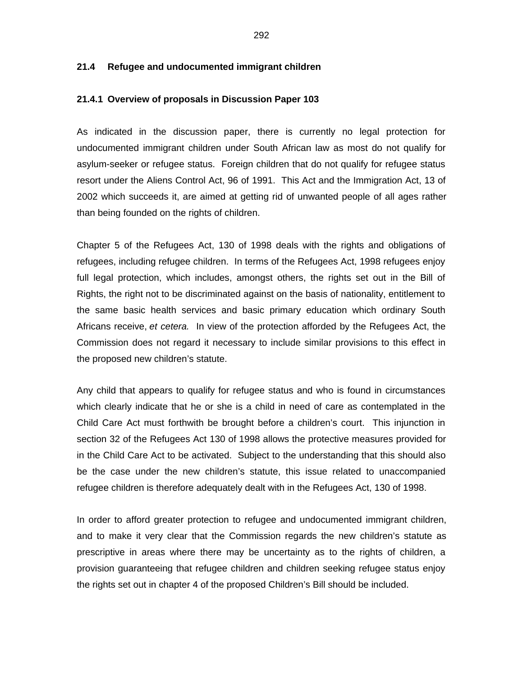#### **21.4 Refugee and undocumented immigrant children**

#### **21.4.1 Overview of proposals in Discussion Paper 103**

As indicated in the discussion paper, there is currently no legal protection for undocumented immigrant children under South African law as most do not qualify for asylum-seeker or refugee status. Foreign children that do not qualify for refugee status resort under the Aliens Control Act, 96 of 1991. This Act and the Immigration Act, 13 of 2002 which succeeds it, are aimed at getting rid of unwanted people of all ages rather than being founded on the rights of children.

Chapter 5 of the Refugees Act, 130 of 1998 deals with the rights and obligations of refugees, including refugee children. In terms of the Refugees Act, 1998 refugees enjoy full legal protection, which includes, amongst others, the rights set out in the Bill of Rights, the right not to be discriminated against on the basis of nationality, entitlement to the same basic health services and basic primary education which ordinary South Africans receive, et cetera. In view of the protection afforded by the Refugees Act, the Commission does not regard it necessary to include similar provisions to this effect in the proposed new children's statute.

Any child that appears to qualify for refugee status and who is found in circumstances which clearly indicate that he or she is a child in need of care as contemplated in the Child Care Act must forthwith be brought before a children's court. This injunction in section 32 of the Refugees Act 130 of 1998 allows the protective measures provided for in the Child Care Act to be activated. Subject to the understanding that this should also be the case under the new children's statute, this issue related to unaccompanied refugee children is therefore adequately dealt with in the Refugees Act, 130 of 1998.

In order to afford greater protection to refugee and undocumented immigrant children, and to make it very clear that the Commission regards the new children's statute as prescriptive in areas where there may be uncertainty as to the rights of children, a provision guaranteeing that refugee children and children seeking refugee status enjoy the rights set out in chapter 4 of the proposed Children's Bill should be included.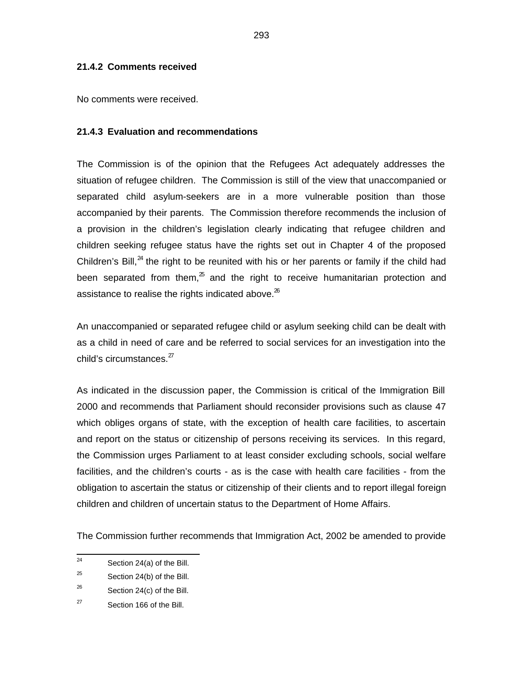### **21.4.2 Comments received**

No comments were received.

### **21.4.3 Evaluation and recommendations**

The Commission is of the opinion that the Refugees Act adequately addresses the situation of refugee children. The Commission is still of the view that unaccompanied or separated child asylum-seekers are in a more vulnerable position than those accompanied by their parents. The Commission therefore recommends the inclusion of a provision in the children's legislation clearly indicating that refugee children and children seeking refugee status have the rights set out in Chapter 4 of the proposed Children's Bill, $^{24}$  the right to be reunited with his or her parents or family if the child had been separated from them, $25$  and the right to receive humanitarian protection and assistance to realise the rights indicated above. $^{26}$ 

An unaccompanied or separated refugee child or asylum seeking child can be dealt with as a child in need of care and be referred to social services for an investigation into the child's circumstances.<sup>27</sup>

As indicated in the discussion paper, the Commission is critical of the Immigration Bill 2000 and recommends that Parliament should reconsider provisions such as clause 47 which obliges organs of state, with the exception of health care facilities, to ascertain and report on the status or citizenship of persons receiving its services. In this regard, the Commission urges Parliament to at least consider excluding schools, social welfare facilities, and the children's courts - as is the case with health care facilities - from the obligation to ascertain the status or citizenship of their clients and to report illegal foreign children and children of uncertain status to the Department of Home Affairs.

The Commission further recommends that Immigration Act, 2002 be amended to provide

 $\frac{1}{24}$ Section 24(a) of the Bill.

<sup>25</sup> Section 24(b) of the Bill.

<sup>26</sup> Section 24(c) of the Bill.

<sup>27</sup> Section 166 of the Bill.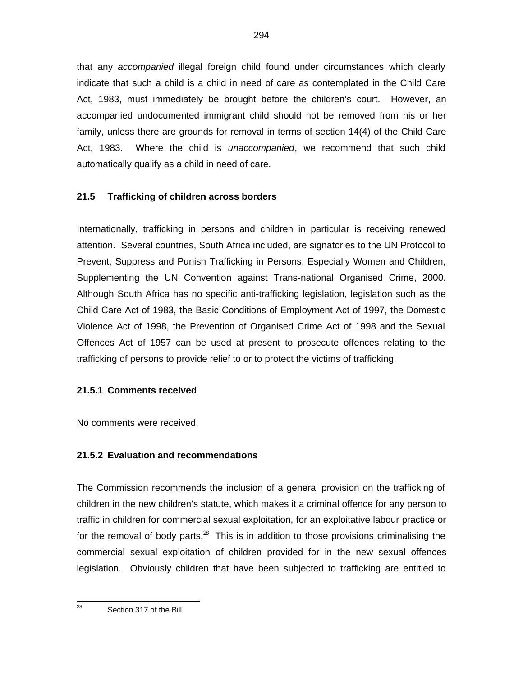that any *accompanied* illegal foreign child found under circumstances which clearly indicate that such a child is a child in need of care as contemplated in the Child Care Act, 1983, must immediately be brought before the children's court. However, an accompanied undocumented immigrant child should not be removed from his or her family, unless there are grounds for removal in terms of section 14(4) of the Child Care Act, 1983. Where the child is *unaccompanied*, we recommend that such child automatically qualify as a child in need of care.

## **21.5 Trafficking of children across borders**

Internationally, trafficking in persons and children in particular is receiving renewed attention. Several countries, South Africa included, are signatories to the UN Protocol to Prevent, Suppress and Punish Trafficking in Persons, Especially Women and Children, Supplementing the UN Convention against Trans-national Organised Crime, 2000. Although South Africa has no specific anti-trafficking legislation, legislation such as the Child Care Act of 1983, the Basic Conditions of Employment Act of 1997, the Domestic Violence Act of 1998, the Prevention of Organised Crime Act of 1998 and the Sexual Offences Act of 1957 can be used at present to prosecute offences relating to the trafficking of persons to provide relief to or to protect the victims of trafficking.

### **21.5.1 Comments received**

No comments were received.

# **21.5.2 Evaluation and recommendations**

The Commission recommends the inclusion of a general provision on the trafficking of children in the new children's statute, which makes it a criminal offence for any person to traffic in children for commercial sexual exploitation, for an exploitative labour practice or for the removal of body parts. $^{28}$  This is in addition to those provisions criminalising the commercial sexual exploitation of children provided for in the new sexual offences legislation. Obviously children that have been subjected to trafficking are entitled to

—<br>28

Section 317 of the Bill.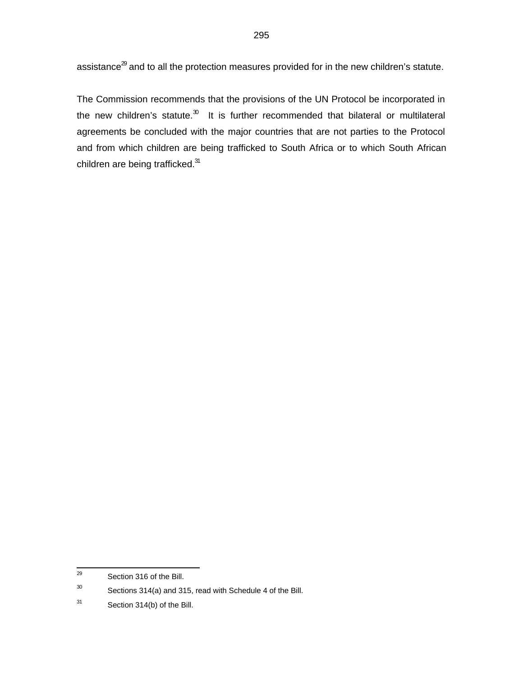The Commission recommends that the provisions of the UN Protocol be incorporated in the new children's statute. $30$  It is further recommended that bilateral or multilateral agreements be concluded with the major countries that are not parties to the Protocol and from which children are being trafficked to South Africa or to which South African children are being trafficked. $31$ 

<sup>—&</sup>lt;br>29 Section 316 of the Bill.

<sup>30</sup> Sections 314(a) and 315, read with Schedule 4 of the Bill.

<sup>31</sup> Section 314(b) of the Bill.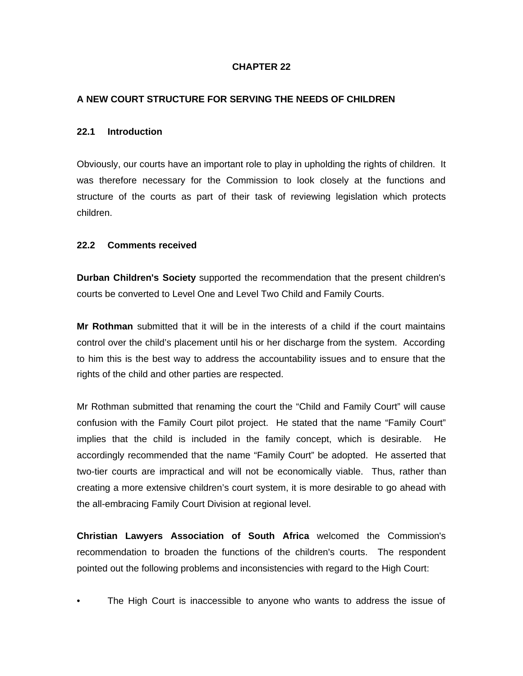## **CHAPTER 22**

## **A NEW COURT STRUCTURE FOR SERVING THE NEEDS OF CHILDREN**

#### **22.1 Introduction**

Obviously, our courts have an important role to play in upholding the rights of children. It was therefore necessary for the Commission to look closely at the functions and structure of the courts as part of their task of reviewing legislation which protects children.

#### **22.2 Comments received**

**Durban Children's Society** supported the recommendation that the present children's courts be converted to Level One and Level Two Child and Family Courts.

**Mr Rothman** submitted that it will be in the interests of a child if the court maintains control over the child's placement until his or her discharge from the system. According to him this is the best way to address the accountability issues and to ensure that the rights of the child and other parties are respected.

Mr Rothman submitted that renaming the court the "Child and Family Court" will cause confusion with the Family Court pilot project. He stated that the name "Family Court" implies that the child is included in the family concept, which is desirable. He accordingly recommended that the name "Family Court" be adopted. He asserted that two-tier courts are impractical and will not be economically viable. Thus, rather than creating a more extensive children's court system, it is more desirable to go ahead with the all-embracing Family Court Division at regional level.

**Christian Lawyers Association of South Africa** welcomed the Commission's recommendation to broaden the functions of the children's courts. The respondent pointed out the following problems and inconsistencies with regard to the High Court:

The High Court is inaccessible to anyone who wants to address the issue of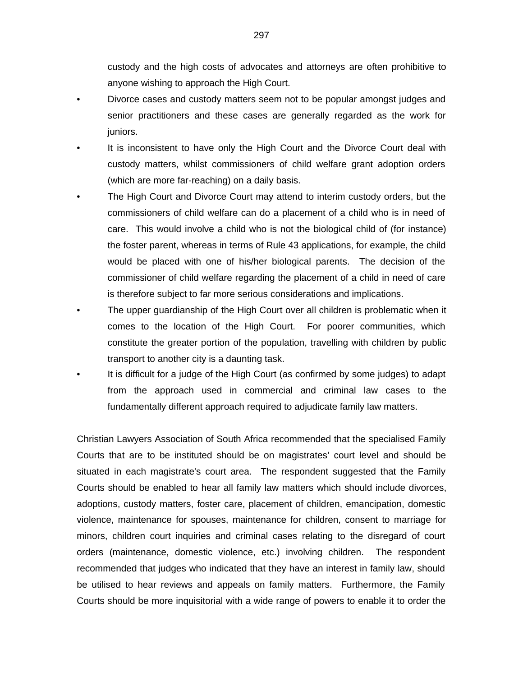custody and the high costs of advocates and attorneys are often prohibitive to anyone wishing to approach the High Court.

- Divorce cases and custody matters seem not to be popular amongst judges and senior practitioners and these cases are generally regarded as the work for juniors.
- It is inconsistent to have only the High Court and the Divorce Court deal with custody matters, whilst commissioners of child welfare grant adoption orders (which are more far-reaching) on a daily basis.
- The High Court and Divorce Court may attend to interim custody orders, but the commissioners of child welfare can do a placement of a child who is in need of care. This would involve a child who is not the biological child of (for instance) the foster parent, whereas in terms of Rule 43 applications, for example, the child would be placed with one of his/her biological parents. The decision of the commissioner of child welfare regarding the placement of a child in need of care is therefore subject to far more serious considerations and implications.
- The upper guardianship of the High Court over all children is problematic when it comes to the location of the High Court. For poorer communities, which constitute the greater portion of the population, travelling with children by public transport to another city is a daunting task.
- It is difficult for a judge of the High Court (as confirmed by some judges) to adapt from the approach used in commercial and criminal law cases to the fundamentally different approach required to adjudicate family law matters.

Christian Lawyers Association of South Africa recommended that the specialised Family Courts that are to be instituted should be on magistrates' court level and should be situated in each magistrate's court area. The respondent suggested that the Family Courts should be enabled to hear all family law matters which should include divorces, adoptions, custody matters, foster care, placement of children, emancipation, domestic violence, maintenance for spouses, maintenance for children, consent to marriage for minors, children court inquiries and criminal cases relating to the disregard of court orders (maintenance, domestic violence, etc.) involving children. The respondent recommended that judges who indicated that they have an interest in family law, should be utilised to hear reviews and appeals on family matters. Furthermore, the Family Courts should be more inquisitorial with a wide range of powers to enable it to order the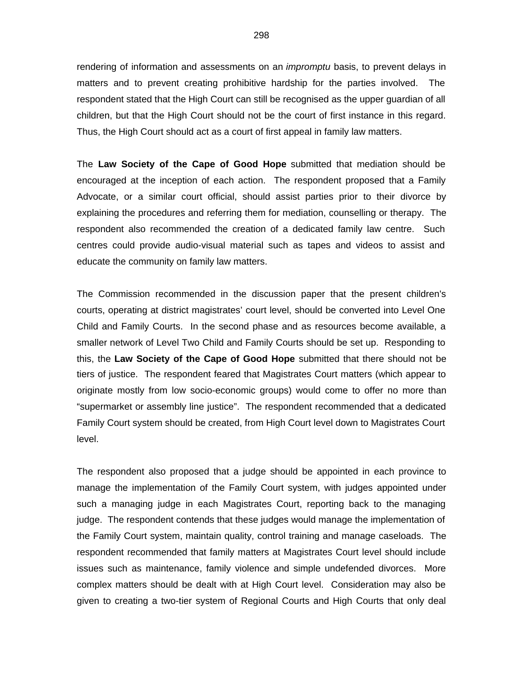rendering of information and assessments on an *impromptu* basis, to prevent delays in matters and to prevent creating prohibitive hardship for the parties involved. The respondent stated that the High Court can still be recognised as the upper guardian of all children, but that the High Court should not be the court of first instance in this regard. Thus, the High Court should act as a court of first appeal in family law matters.

The **Law Society of the Cape of Good Hope** submitted that mediation should be encouraged at the inception of each action. The respondent proposed that a Family Advocate, or a similar court official, should assist parties prior to their divorce by explaining the procedures and referring them for mediation, counselling or therapy. The respondent also recommended the creation of a dedicated family law centre. Such centres could provide audio-visual material such as tapes and videos to assist and educate the community on family law matters.

The Commission recommended in the discussion paper that the present children's courts, operating at district magistrates' court level, should be converted into Level One Child and Family Courts. In the second phase and as resources become available, a smaller network of Level Two Child and Family Courts should be set up. Responding to this, the **Law Society of the Cape of Good Hope** submitted that there should not be tiers of justice. The respondent feared that Magistrates Court matters (which appear to originate mostly from low socio-economic groups) would come to offer no more than "supermarket or assembly line justice". The respondent recommended that a dedicated Family Court system should be created, from High Court level down to Magistrates Court level.

The respondent also proposed that a judge should be appointed in each province to manage the implementation of the Family Court system, with judges appointed under such a managing judge in each Magistrates Court, reporting back to the managing judge. The respondent contends that these judges would manage the implementation of the Family Court system, maintain quality, control training and manage caseloads. The respondent recommended that family matters at Magistrates Court level should include issues such as maintenance, family violence and simple undefended divorces. More complex matters should be dealt with at High Court level. Consideration may also be given to creating a two-tier system of Regional Courts and High Courts that only deal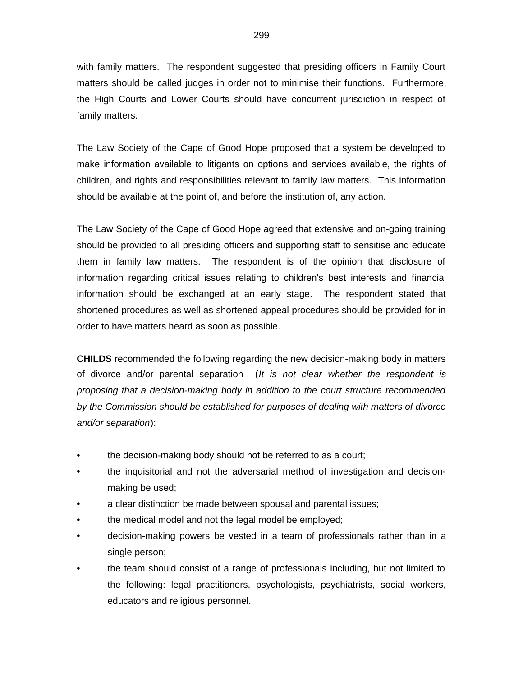with family matters. The respondent suggested that presiding officers in Family Court matters should be called judges in order not to minimise their functions. Furthermore, the High Courts and Lower Courts should have concurrent jurisdiction in respect of family matters.

The Law Society of the Cape of Good Hope proposed that a system be developed to make information available to litigants on options and services available, the rights of children, and rights and responsibilities relevant to family law matters. This information should be available at the point of, and before the institution of, any action.

The Law Society of the Cape of Good Hope agreed that extensive and on-going training should be provided to all presiding officers and supporting staff to sensitise and educate them in family law matters. The respondent is of the opinion that disclosure of information regarding critical issues relating to children's best interests and financial information should be exchanged at an early stage. The respondent stated that shortened procedures as well as shortened appeal procedures should be provided for in order to have matters heard as soon as possible.

**CHILDS** recommended the following regarding the new decision-making body in matters of divorce and/or parental separation (It is not clear whether the respondent is proposing that a decision-making body in addition to the court structure recommended by the Commission should be established for purposes of dealing with matters of divorce and/or separation):

- the decision-making body should not be referred to as a court;
- the inquisitorial and not the adversarial method of investigation and decisionmaking be used;
- a clear distinction be made between spousal and parental issues;
- the medical model and not the legal model be employed;
- decision-making powers be vested in a team of professionals rather than in a single person;
- the team should consist of a range of professionals including, but not limited to the following: legal practitioners, psychologists, psychiatrists, social workers, educators and religious personnel.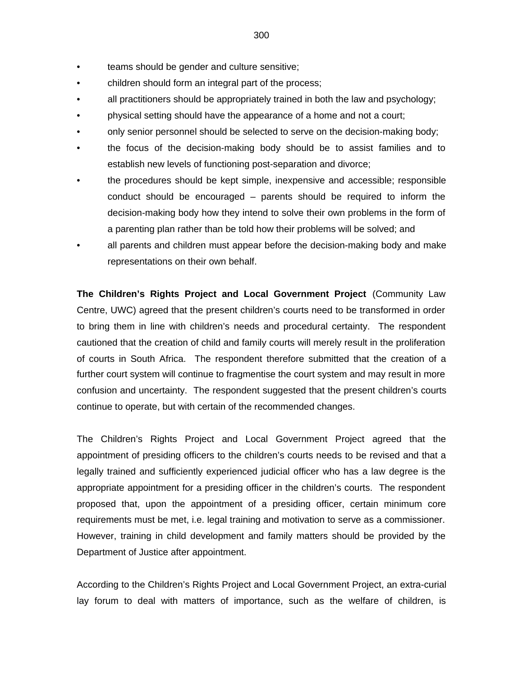- teams should be gender and culture sensitive;
- children should form an integral part of the process;
- all practitioners should be appropriately trained in both the law and psychology;
- physical setting should have the appearance of a home and not a court;
- only senior personnel should be selected to serve on the decision-making body;
- the focus of the decision-making body should be to assist families and to establish new levels of functioning post-separation and divorce;
- the procedures should be kept simple, inexpensive and accessible; responsible conduct should be encouraged – parents should be required to inform the decision-making body how they intend to solve their own problems in the form of a parenting plan rather than be told how their problems will be solved; and
- all parents and children must appear before the decision-making body and make representations on their own behalf.

**The Children's Rights Project and Local Government Project** (Community Law Centre, UWC) agreed that the present children's courts need to be transformed in order to bring them in line with children's needs and procedural certainty. The respondent cautioned that the creation of child and family courts will merely result in the proliferation of courts in South Africa. The respondent therefore submitted that the creation of a further court system will continue to fragmentise the court system and may result in more confusion and uncertainty. The respondent suggested that the present children's courts continue to operate, but with certain of the recommended changes.

The Children's Rights Project and Local Government Project agreed that the appointment of presiding officers to the children's courts needs to be revised and that a legally trained and sufficiently experienced judicial officer who has a law degree is the appropriate appointment for a presiding officer in the children's courts. The respondent proposed that, upon the appointment of a presiding officer, certain minimum core requirements must be met, i.e. legal training and motivation to serve as a commissioner. However, training in child development and family matters should be provided by the Department of Justice after appointment.

According to the Children's Rights Project and Local Government Project, an extra-curial lay forum to deal with matters of importance, such as the welfare of children, is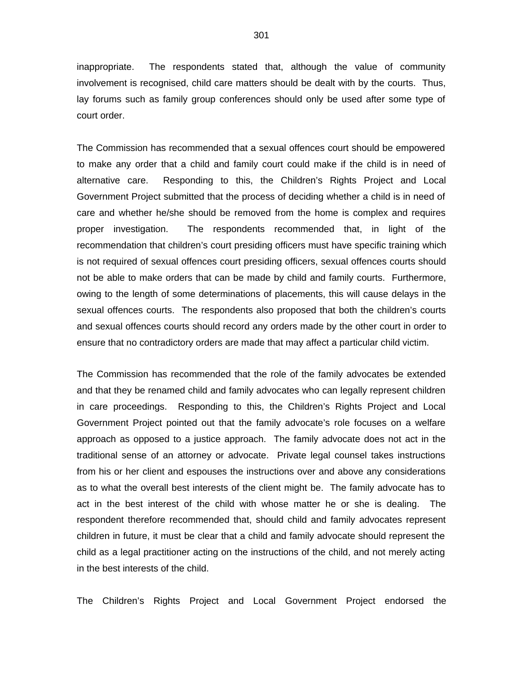inappropriate. The respondents stated that, although the value of community involvement is recognised, child care matters should be dealt with by the courts. Thus, lay forums such as family group conferences should only be used after some type of court order.

The Commission has recommended that a sexual offences court should be empowered to make any order that a child and family court could make if the child is in need of alternative care. Responding to this, the Children's Rights Project and Local Government Project submitted that the process of deciding whether a child is in need of care and whether he/she should be removed from the home is complex and requires proper investigation. The respondents recommended that, in light of the recommendation that children's court presiding officers must have specific training which is not required of sexual offences court presiding officers, sexual offences courts should not be able to make orders that can be made by child and family courts. Furthermore, owing to the length of some determinations of placements, this will cause delays in the sexual offences courts. The respondents also proposed that both the children's courts and sexual offences courts should record any orders made by the other court in order to ensure that no contradictory orders are made that may affect a particular child victim.

The Commission has recommended that the role of the family advocates be extended and that they be renamed child and family advocates who can legally represent children in care proceedings. Responding to this, the Children's Rights Project and Local Government Project pointed out that the family advocate's role focuses on a welfare approach as opposed to a justice approach. The family advocate does not act in the traditional sense of an attorney or advocate. Private legal counsel takes instructions from his or her client and espouses the instructions over and above any considerations as to what the overall best interests of the client might be. The family advocate has to act in the best interest of the child with whose matter he or she is dealing. The respondent therefore recommended that, should child and family advocates represent children in future, it must be clear that a child and family advocate should represent the child as a legal practitioner acting on the instructions of the child, and not merely acting in the best interests of the child.

The Children's Rights Project and Local Government Project endorsed the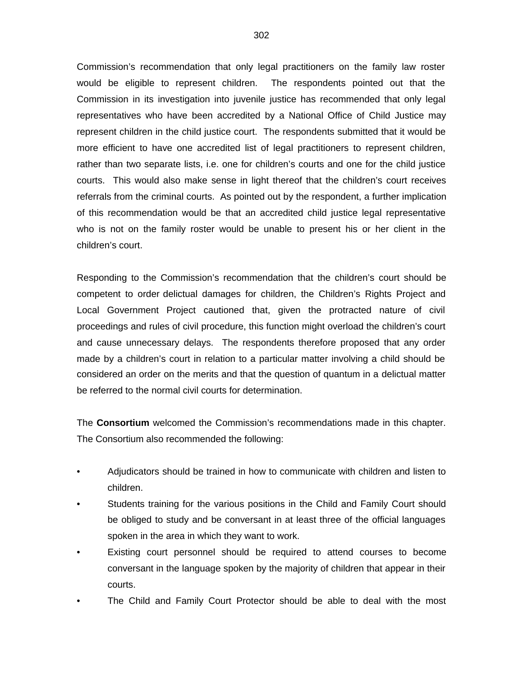Commission's recommendation that only legal practitioners on the family law roster would be eligible to represent children. The respondents pointed out that the Commission in its investigation into juvenile justice has recommended that only legal representatives who have been accredited by a National Office of Child Justice may represent children in the child justice court. The respondents submitted that it would be more efficient to have one accredited list of legal practitioners to represent children, rather than two separate lists, i.e. one for children's courts and one for the child justice courts. This would also make sense in light thereof that the children's court receives referrals from the criminal courts. As pointed out by the respondent, a further implication of this recommendation would be that an accredited child justice legal representative who is not on the family roster would be unable to present his or her client in the children's court.

Responding to the Commission's recommendation that the children's court should be competent to order delictual damages for children, the Children's Rights Project and Local Government Project cautioned that, given the protracted nature of civil proceedings and rules of civil procedure, this function might overload the children's court and cause unnecessary delays. The respondents therefore proposed that any order made by a children's court in relation to a particular matter involving a child should be considered an order on the merits and that the question of quantum in a delictual matter be referred to the normal civil courts for determination.

The **Consortium** welcomed the Commission's recommendations made in this chapter. The Consortium also recommended the following:

- Adjudicators should be trained in how to communicate with children and listen to children.
- Students training for the various positions in the Child and Family Court should be obliged to study and be conversant in at least three of the official languages spoken in the area in which they want to work.
- Existing court personnel should be required to attend courses to become conversant in the language spoken by the majority of children that appear in their courts.
- The Child and Family Court Protector should be able to deal with the most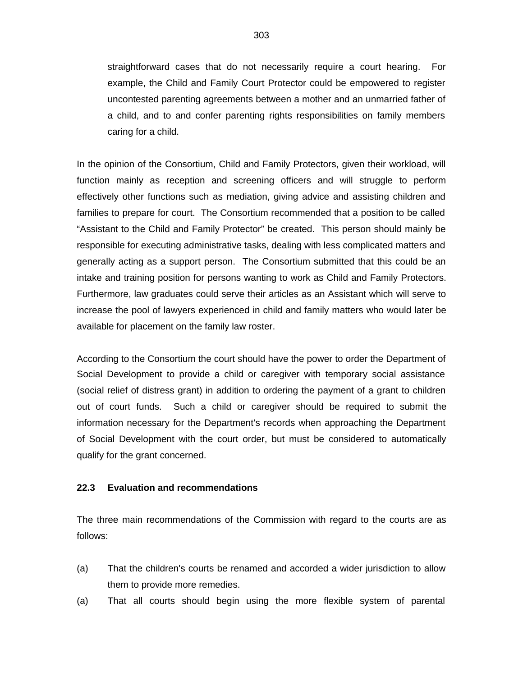straightforward cases that do not necessarily require a court hearing. For example, the Child and Family Court Protector could be empowered to register uncontested parenting agreements between a mother and an unmarried father of a child, and to and confer parenting rights responsibilities on family members caring for a child.

In the opinion of the Consortium, Child and Family Protectors, given their workload, will function mainly as reception and screening officers and will struggle to perform effectively other functions such as mediation, giving advice and assisting children and families to prepare for court. The Consortium recommended that a position to be called "Assistant to the Child and Family Protector" be created. This person should mainly be responsible for executing administrative tasks, dealing with less complicated matters and generally acting as a support person. The Consortium submitted that this could be an intake and training position for persons wanting to work as Child and Family Protectors. Furthermore, law graduates could serve their articles as an Assistant which will serve to increase the pool of lawyers experienced in child and family matters who would later be available for placement on the family law roster.

According to the Consortium the court should have the power to order the Department of Social Development to provide a child or caregiver with temporary social assistance (social relief of distress grant) in addition to ordering the payment of a grant to children out of court funds. Such a child or caregiver should be required to submit the information necessary for the Department's records when approaching the Department of Social Development with the court order, but must be considered to automatically qualify for the grant concerned.

#### **22.3 Evaluation and recommendations**

The three main recommendations of the Commission with regard to the courts are as follows:

- (a) That the children's courts be renamed and accorded a wider jurisdiction to allow them to provide more remedies.
- (a) That all courts should begin using the more flexible system of parental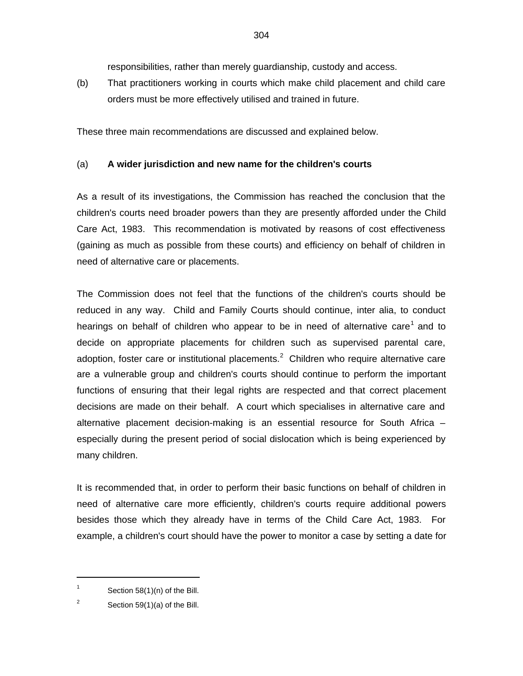responsibilities, rather than merely guardianship, custody and access.

(b) That practitioners working in courts which make child placement and child care orders must be more effectively utilised and trained in future.

These three main recommendations are discussed and explained below.

# (a) **A wider jurisdiction and new name for the children's courts**

As a result of its investigations, the Commission has reached the conclusion that the children's courts need broader powers than they are presently afforded under the Child Care Act, 1983. This recommendation is motivated by reasons of cost effectiveness (gaining as much as possible from these courts) and efficiency on behalf of children in need of alternative care or placements.

The Commission does not feel that the functions of the children's courts should be reduced in any way. Child and Family Courts should continue, inter alia, to conduct hearings on behalf of children who appear to be in need of alternative care<sup>1</sup> and to decide on appropriate placements for children such as supervised parental care, adoption, foster care or institutional placements.<sup>2</sup> Children who require alternative care are a vulnerable group and children's courts should continue to perform the important functions of ensuring that their legal rights are respected and that correct placement decisions are made on their behalf. A court which specialises in alternative care and alternative placement decision-making is an essential resource for South Africa – especially during the present period of social dislocation which is being experienced by many children.

It is recommended that, in order to perform their basic functions on behalf of children in need of alternative care more efficiently, children's courts require additional powers besides those which they already have in terms of the Child Care Act, 1983. For example, a children's court should have the power to monitor a case by setting a date for

1

<sup>1</sup> Section 58(1)(n) of the Bill.

<sup>2</sup> Section 59(1)(a) of the Bill.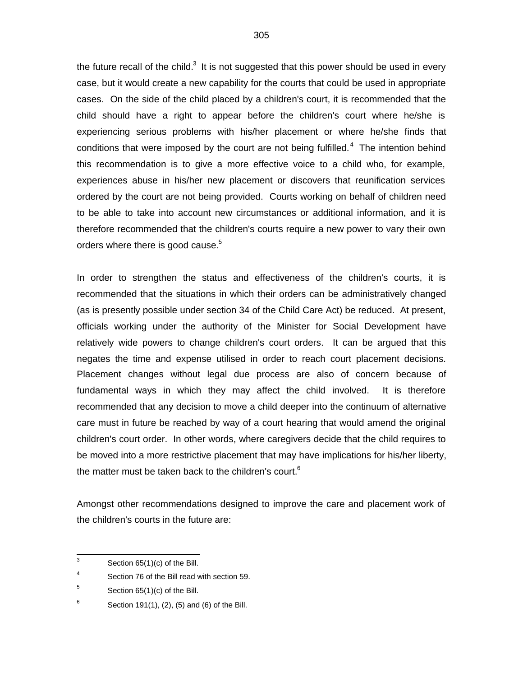the future recall of the child.<sup>3</sup> It is not suggested that this power should be used in every case, but it would create a new capability for the courts that could be used in appropriate cases. On the side of the child placed by a children's court, it is recommended that the child should have a right to appear before the children's court where he/she is experiencing serious problems with his/her placement or where he/she finds that conditions that were imposed by the court are not being fulfilled.<sup>4</sup> The intention behind this recommendation is to give a more effective voice to a child who, for example, experiences abuse in his/her new placement or discovers that reunification services ordered by the court are not being provided. Courts working on behalf of children need to be able to take into account new circumstances or additional information, and it is therefore recommended that the children's courts require a new power to vary their own orders where there is good cause.<sup>5</sup>

In order to strengthen the status and effectiveness of the children's courts, it is recommended that the situations in which their orders can be administratively changed (as is presently possible under section 34 of the Child Care Act) be reduced. At present, officials working under the authority of the Minister for Social Development have relatively wide powers to change children's court orders. It can be argued that this negates the time and expense utilised in order to reach court placement decisions. Placement changes without legal due process are also of concern because of fundamental ways in which they may affect the child involved. It is therefore recommended that any decision to move a child deeper into the continuum of alternative care must in future be reached by way of a court hearing that would amend the original children's court order. In other words, where caregivers decide that the child requires to be moved into a more restrictive placement that may have implications for his/her liberty, the matter must be taken back to the children's court.<sup>6</sup>

Amongst other recommendations designed to improve the care and placement work of the children's courts in the future are:

<sup>-&</sup>lt;br>3 Section 65(1)(c) of the Bill.

<sup>4</sup> Section 76 of the Bill read with section 59.

<sup>5</sup> Section 65(1)(c) of the Bill.

<sup>6</sup> Section 191(1), (2), (5) and (6) of the Bill.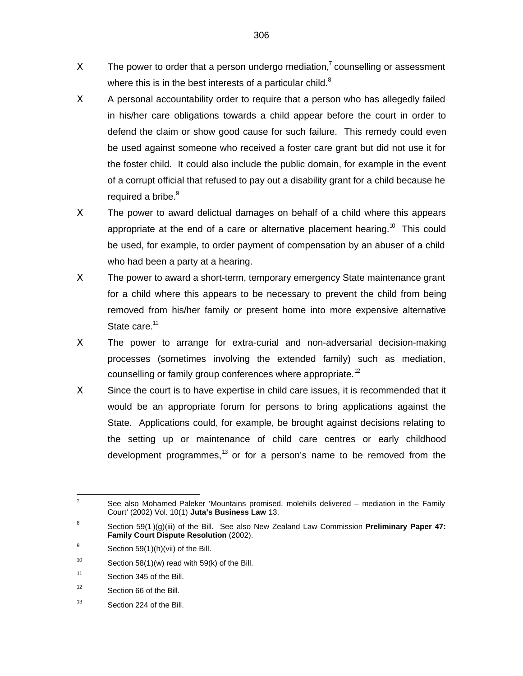- $X$  The power to order that a person undergo mediation,<sup>7</sup> counselling or assessment where this is in the best interests of a particular child. $8$
- X A personal accountability order to require that a person who has allegedly failed in his/her care obligations towards a child appear before the court in order to defend the claim or show good cause for such failure. This remedy could even be used against someone who received a foster care grant but did not use it for the foster child. It could also include the public domain, for example in the event of a corrupt official that refused to pay out a disability grant for a child because he required a bribe.<sup>9</sup>
- Χ The power to award delictual damages on behalf of a child where this appears appropriate at the end of a care or alternative placement hearing.<sup>10</sup> This could be used, for example, to order payment of compensation by an abuser of a child who had been a party at a hearing.
- Χ The power to award a short-term, temporary emergency State maintenance grant for a child where this appears to be necessary to prevent the child from being removed from his/her family or present home into more expensive alternative State care.<sup>11</sup>
- X The power to arrange for extra-curial and non-adversarial decision-making processes (sometimes involving the extended family) such as mediation, counselling or family group conferences where appropriate.<sup>12</sup>
- Χ Since the court is to have expertise in child care issues, it is recommended that it would be an appropriate forum for persons to bring applications against the State. Applications could, for example, be brought against decisions relating to the setting up or maintenance of child care centres or early childhood development programmes,<sup>13</sup> or for a person's name to be removed from the

13 Section 224 of the Bill.

 $\overline{7}$ See also Mohamed Paleker 'Mountains promised, molehills delivered – mediation in the Family Court' (2002) Vol. 10(1) **Juta's Business Law** 13.

<sup>8</sup> Section 59(1 )(g)(iii) of the Bill. See also New Zealand Law Commission **Preliminary Paper 47: Family Court Dispute Resolution** (2002).

<sup>9</sup> Section 59(1)(h)(vii) of the Bill.

<sup>10</sup> Section 58(1)(w) read with 59(k) of the Bill.

<sup>11</sup> Section 345 of the Bill.

<sup>12</sup> Section 66 of the Bill.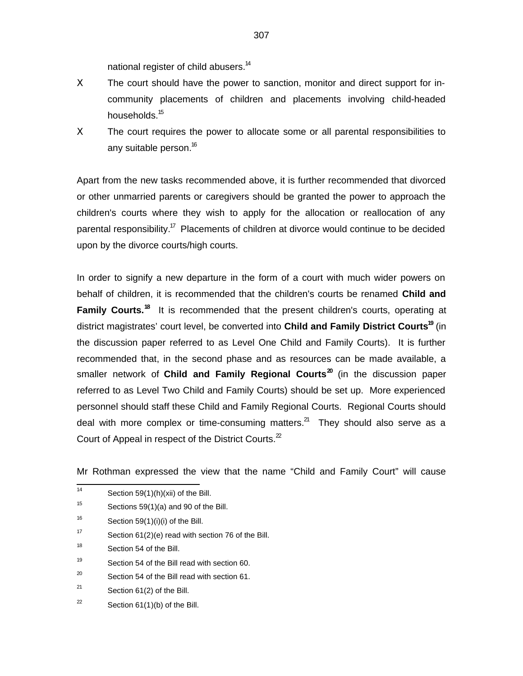national register of child abusers.<sup>14</sup>

- Χ The court should have the power to sanction, monitor and direct support for incommunity placements of children and placements involving child-headed households.<sup>15</sup>
- Χ The court requires the power to allocate some or all parental responsibilities to any suitable person.<sup>16</sup>

Apart from the new tasks recommended above, it is further recommended that divorced or other unmarried parents or caregivers should be granted the power to approach the children's courts where they wish to apply for the allocation or reallocation of any parental responsibility.<sup>17</sup> Placements of children at divorce would continue to be decided upon by the divorce courts/high courts.

In order to signify a new departure in the form of a court with much wider powers on behalf of children, it is recommended that the children's courts be renamed **Child and Family Courts.<sup>18</sup>** It is recommended that the present children's courts, operating at district magistrates' court level, be converted into **Child and Family District Courts<sup>19</sup>** (in the discussion paper referred to as Level One Child and Family Courts). It is further recommended that, in the second phase and as resources can be made available, a smaller network of **Child and Family Regional Courts<sup>20</sup>** (in the discussion paper referred to as Level Two Child and Family Courts) should be set up. More experienced personnel should staff these Child and Family Regional Courts. Regional Courts should deal with more complex or time-consuming matters. $^{21}$  They should also serve as a Court of Appeal in respect of the District Courts. $2^2$ 

Mr Rothman expressed the view that the name "Child and Family Court" will cause

- $\frac{1}{14}$ Section 59(1)(h)(xii) of the Bill.
- 15 Sections 59(1)(a) and 90 of the Bill.
- 16 Section  $59(1)(i)(i)$  of the Bill.
- 17 Section 61(2)(e) read with section 76 of the Bill.
- 18 Section 54 of the Bill.
- 19 Section 54 of the Bill read with section 60.
- 20 Section 54 of the Bill read with section 61.
- 21 Section 61(2) of the Bill.
- 22 Section 61(1)(b) of the Bill.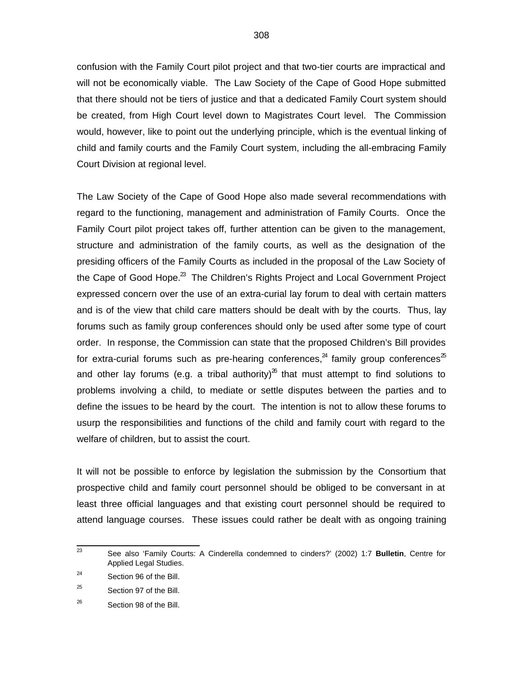confusion with the Family Court pilot project and that two-tier courts are impractical and will not be economically viable. The Law Society of the Cape of Good Hope submitted that there should not be tiers of justice and that a dedicated Family Court system should be created, from High Court level down to Magistrates Court level. The Commission would, however, like to point out the underlying principle, which is the eventual linking of child and family courts and the Family Court system, including the all-embracing Family Court Division at regional level.

The Law Society of the Cape of Good Hope also made several recommendations with regard to the functioning, management and administration of Family Courts. Once the Family Court pilot project takes off, further attention can be given to the management, structure and administration of the family courts, as well as the designation of the presiding officers of the Family Courts as included in the proposal of the Law Society of the Cape of Good Hope.<sup>23</sup> The Children's Rights Project and Local Government Project expressed concern over the use of an extra-curial lay forum to deal with certain matters and is of the view that child care matters should be dealt with by the courts. Thus, lay forums such as family group conferences should only be used after some type of court order. In response, the Commission can state that the proposed Children's Bill provides for extra-curial forums such as pre-hearing conferences,<sup>24</sup> family group conferences<sup>25</sup> and other lay forums (e.g. a tribal authority)<sup>26</sup> that must attempt to find solutions to problems involving a child, to mediate or settle disputes between the parties and to define the issues to be heard by the court. The intention is not to allow these forums to usurp the responsibilities and functions of the child and family court with regard to the welfare of children, but to assist the court.

It will not be possible to enforce by legislation the submission by the Consortium that prospective child and family court personnel should be obliged to be conversant in at least three official languages and that existing court personnel should be required to attend language courses. These issues could rather be dealt with as ongoing training

 23 See also 'Family Courts: A Cinderella condemned to cinders?' (2002) 1:7 **Bulletin**, Centre for Applied Legal Studies.

<sup>24</sup> Section 96 of the Bill.

<sup>25</sup> Section 97 of the Bill.

<sup>26</sup> Section 98 of the Bill.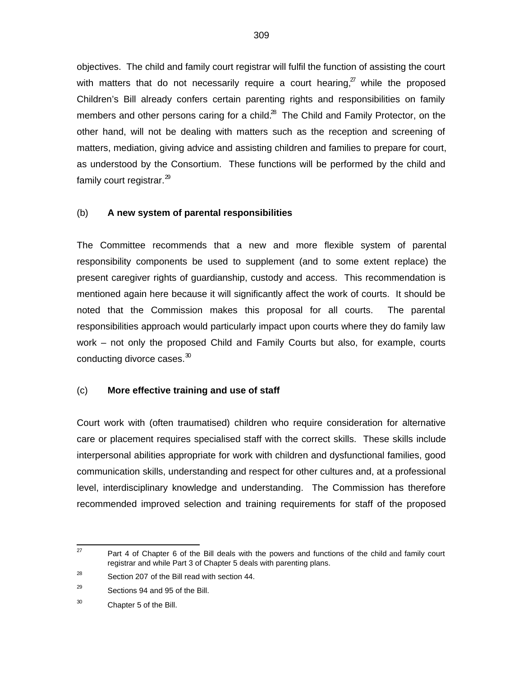objectives. The child and family court registrar will fulfil the function of assisting the court with matters that do not necessarily require a court hearing, $^{\gamma}$  while the proposed Children's Bill already confers certain parenting rights and responsibilities on family members and other persons caring for a child. $^{28}$  The Child and Family Protector, on the other hand, will not be dealing with matters such as the reception and screening of matters, mediation, giving advice and assisting children and families to prepare for court, as understood by the Consortium. These functions will be performed by the child and family court registrar. $^{29}$ 

#### (b) **A new system of parental responsibilities**

The Committee recommends that a new and more flexible system of parental responsibility components be used to supplement (and to some extent replace) the present caregiver rights of guardianship, custody and access. This recommendation is mentioned again here because it will significantly affect the work of courts. It should be noted that the Commission makes this proposal for all courts. The parental responsibilities approach would particularly impact upon courts where they do family law work – not only the proposed Child and Family Courts but also, for example, courts conducting divorce cases.<sup>30</sup>

## (c) **More effective training and use of staff**

Court work with (often traumatised) children who require consideration for alternative care or placement requires specialised staff with the correct skills. These skills include interpersonal abilities appropriate for work with children and dysfunctional families, good communication skills, understanding and respect for other cultures and, at a professional level, interdisciplinary knowledge and understanding. The Commission has therefore recommended improved selection and training requirements for staff of the proposed

<sup>—&</sup>lt;br>27 Part 4 of Chapter 6 of the Bill deals with the powers and functions of the child and family court registrar and while Part 3 of Chapter 5 deals with parenting plans.

<sup>28</sup> Section 207 of the Bill read with section 44.

<sup>29</sup> Sections 94 and 95 of the Bill.

<sup>30</sup> Chapter 5 of the Bill.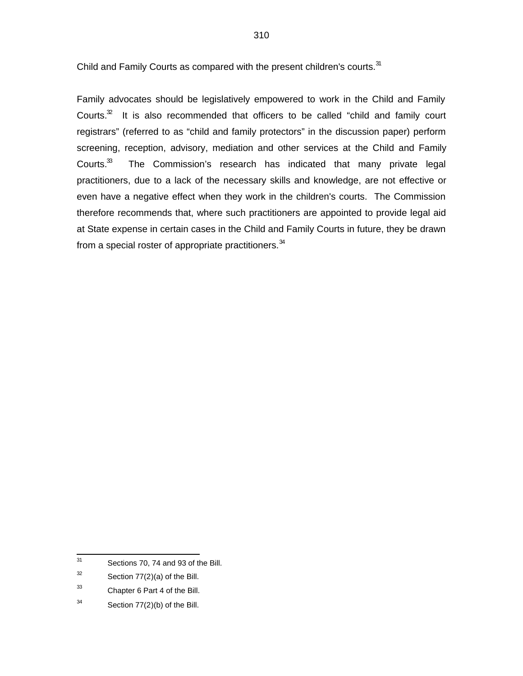Child and Family Courts as compared with the present children's courts.<sup>31</sup>

Family advocates should be legislatively empowered to work in the Child and Family Courts. $32$  It is also recommended that officers to be called "child and family court registrars" (referred to as "child and family protectors" in the discussion paper) perform screening, reception, advisory, mediation and other services at the Child and Family Courts.<sup>33</sup> The Commission's research has indicated that many private legal practitioners, due to a lack of the necessary skills and knowledge, are not effective or even have a negative effect when they work in the children's courts. The Commission therefore recommends that, where such practitioners are appointed to provide legal aid at State expense in certain cases in the Child and Family Courts in future, they be drawn from a special roster of appropriate practitioners.<sup>34</sup>

<sup>—&</sup>lt;br>31 Sections 70, 74 and 93 of the Bill.

<sup>32</sup> Section 77(2)(a) of the Bill.

<sup>33</sup> Chapter 6 Part 4 of the Bill.

<sup>34</sup> Section 77(2)(b) of the Bill.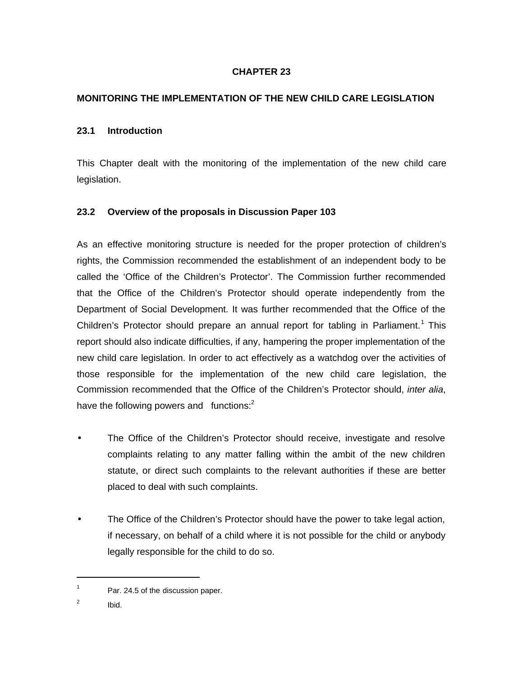# **CHAPTER 23**

# **MONITORING THE IMPLEMENTATION OF THE NEW CHILD CARE LEGISLATION**

#### **23.1 Introduction**

This Chapter dealt with the monitoring of the implementation of the new child care legislation.

## **23.2 Overview of the proposals in Discussion Paper 103**

As an effective monitoring structure is needed for the proper protection of children's rights, the Commission recommended the establishment of an independent body to be called the 'Office of the Children's Protector'. The Commission further recommended that the Office of the Children's Protector should operate independently from the Department of Social Development. It was further recommended that the Office of the Children's Protector should prepare an annual report for tabling in Parliament.<sup>1</sup> This report should also indicate difficulties, if any, hampering the proper implementation of the new child care legislation. In order to act effectively as a watchdog over the activities of those responsible for the implementation of the new child care legislation, the Commission recommended that the Office of the Children's Protector should, inter alia, have the following powers and functions: $<sup>2</sup>$ </sup>

- The Office of the Children's Protector should receive, investigate and resolve complaints relating to any matter falling within the ambit of the new children statute, or direct such complaints to the relevant authorities if these are better placed to deal with such complaints.
- The Office of the Children's Protector should have the power to take legal action, if necessary, on behalf of a child where it is not possible for the child or anybody legally responsible for the child to do so.

1

<sup>1</sup> Par. 24.5 of the discussion paper.

<sup>2</sup> Ibid.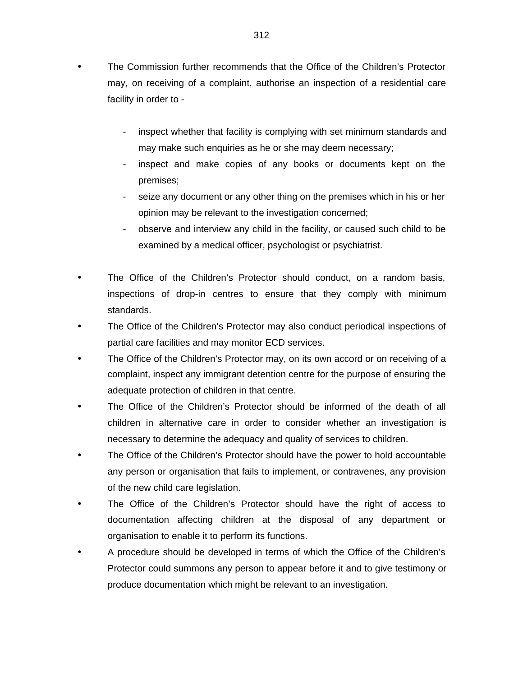- The Commission further recommends that the Office of the Children's Protector may, on receiving of a complaint, authorise an inspection of a residential care facility in order to
	- inspect whether that facility is complying with set minimum standards and may make such enquiries as he or she may deem necessary;
	- inspect and make copies of any books or documents kept on the premises;
	- seize any document or any other thing on the premises which in his or her opinion may be relevant to the investigation concerned;
	- observe and interview any child in the facility, or caused such child to be examined by a medical officer, psychologist or psychiatrist.
- The Office of the Children's Protector should conduct, on a random basis, inspections of drop-in centres to ensure that they comply with minimum standards.
- The Office of the Children's Protector may also conduct periodical inspections of partial care facilities and may monitor ECD services.
- The Office of the Children's Protector may, on its own accord or on receiving of a complaint, inspect any immigrant detention centre for the purpose of ensuring the adequate protection of children in that centre.
- The Office of the Children's Protector should be informed of the death of all children in alternative care in order to consider whether an investigation is necessary to determine the adequacy and quality of services to children.
- The Office of the Children's Protector should have the power to hold accountable any person or organisation that fails to implement, or contravenes, any provision of the new child care legislation.
- The Office of the Children's Protector should have the right of access to documentation affecting children at the disposal of any department or organisation to enable it to perform its functions.
- A procedure should be developed in terms of which the Office of the Children's Protector could summons any person to appear before it and to give testimony or produce documentation which might be relevant to an investigation.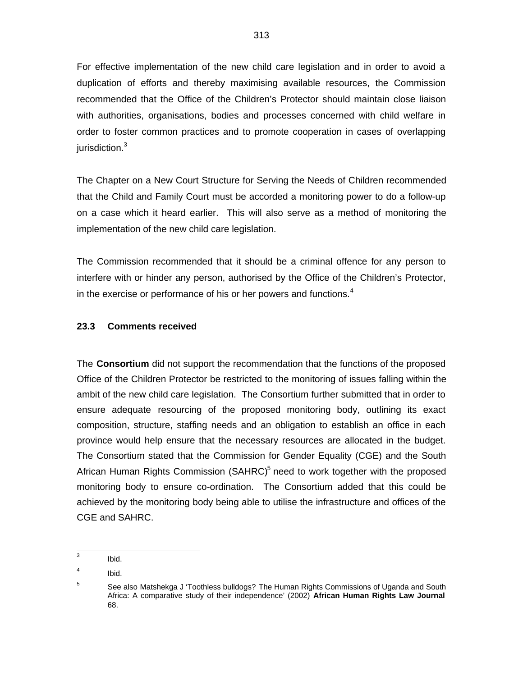For effective implementation of the new child care legislation and in order to avoid a duplication of efforts and thereby maximising available resources, the Commission recommended that the Office of the Children's Protector should maintain close liaison with authorities, organisations, bodies and processes concerned with child welfare in order to foster common practices and to promote cooperation in cases of overlapping jurisdiction.<sup>3</sup>

The Chapter on a New Court Structure for Serving the Needs of Children recommended that the Child and Family Court must be accorded a monitoring power to do a follow-up on a case which it heard earlier. This will also serve as a method of monitoring the implementation of the new child care legislation.

The Commission recommended that it should be a criminal offence for any person to interfere with or hinder any person, authorised by the Office of the Children's Protector, in the exercise or performance of his or her powers and functions.<sup>4</sup>

## **23.3 Comments received**

The **Consortium** did not support the recommendation that the functions of the proposed Office of the Children Protector be restricted to the monitoring of issues falling within the ambit of the new child care legislation. The Consortium further submitted that in order to ensure adequate resourcing of the proposed monitoring body, outlining its exact composition, structure, staffing needs and an obligation to establish an office in each province would help ensure that the necessary resources are allocated in the budget. The Consortium stated that the Commission for Gender Equality (CGE) and the South African Human Rights Commission (SAHRC)<sup>5</sup> need to work together with the proposed monitoring body to ensure co-ordination. The Consortium added that this could be achieved by the monitoring body being able to utilise the infrastructure and offices of the CGE and SAHRC.

 3 Ibid.

<sup>4</sup> Ibid.

<sup>5</sup> See also Matshekga J 'Toothless bulldogs? The Human Rights Commissions of Uganda and South Africa: A comparative study of their independence' (2002) **African Human Rights Law Journal** 68.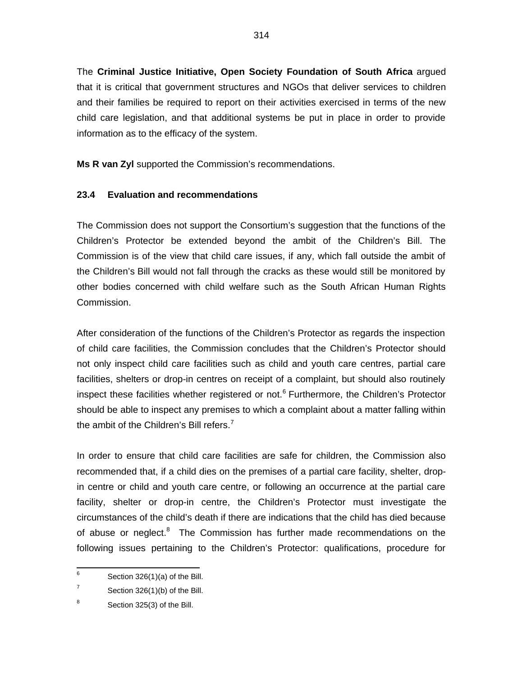The **Criminal Justice Initiative, Open Society Foundation of South Africa** argued that it is critical that government structures and NGOs that deliver services to children and their families be required to report on their activities exercised in terms of the new child care legislation, and that additional systems be put in place in order to provide information as to the efficacy of the system.

**Ms R van Zyl** supported the Commission's recommendations.

# **23.4 Evaluation and recommendations**

The Commission does not support the Consortium's suggestion that the functions of the Children's Protector be extended beyond the ambit of the Children's Bill. The Commission is of the view that child care issues, if any, which fall outside the ambit of the Children's Bill would not fall through the cracks as these would still be monitored by other bodies concerned with child welfare such as the South African Human Rights Commission.

After consideration of the functions of the Children's Protector as regards the inspection of child care facilities, the Commission concludes that the Children's Protector should not only inspect child care facilities such as child and youth care centres, partial care facilities, shelters or drop-in centres on receipt of a complaint, but should also routinely inspect these facilities whether registered or not.<sup>6</sup> Furthermore, the Children's Protector should be able to inspect any premises to which a complaint about a matter falling within the ambit of the Children's Bill refers.<sup>7</sup>

In order to ensure that child care facilities are safe for children, the Commission also recommended that, if a child dies on the premises of a partial care facility, shelter, dropin centre or child and youth care centre, or following an occurrence at the partial care facility, shelter or drop-in centre, the Children's Protector must investigate the circumstances of the child's death if there are indications that the child has died because of abuse or neglect.<sup>8</sup> The Commission has further made recommendations on the following issues pertaining to the Children's Protector: qualifications, procedure for

 6 Section 326(1)(a) of the Bill.

<sup>7</sup> Section 326(1)(b) of the Bill.

<sup>8</sup> Section 325(3) of the Bill.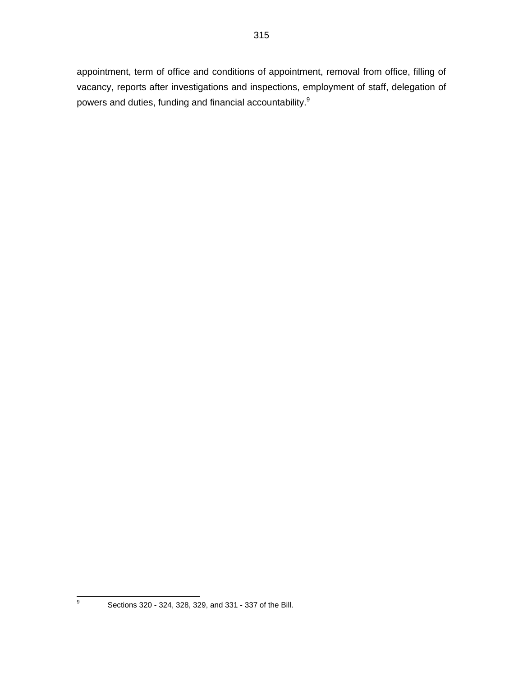appointment, term of office and conditions of appointment, removal from office, filling of vacancy, reports after investigations and inspections, employment of staff, delegation of powers and duties, funding and financial accountability.<sup>9</sup>

-<br>9

Sections 320 - 324, 328, 329, and 331 - 337 of the Bill.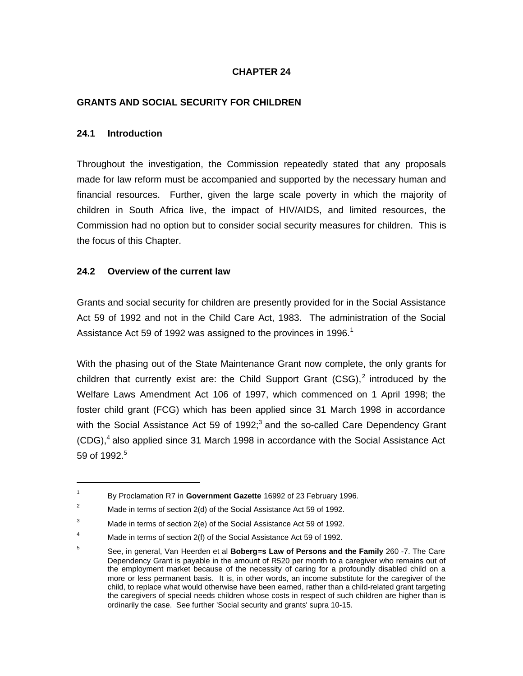## **CHAPTER 24**

## **GRANTS AND SOCIAL SECURITY FOR CHILDREN**

#### **24.1 Introduction**

1

Throughout the investigation, the Commission repeatedly stated that any proposals made for law reform must be accompanied and supported by the necessary human and financial resources. Further, given the large scale poverty in which the majority of children in South Africa live, the impact of HIV/AIDS, and limited resources, the Commission had no option but to consider social security measures for children. This is the focus of this Chapter.

## **24.2 Overview of the current law**

Grants and social security for children are presently provided for in the Social Assistance Act 59 of 1992 and not in the Child Care Act, 1983. The administration of the Social Assistance Act 59 of 1992 was assigned to the provinces in 1996.<sup>1</sup>

With the phasing out of the State Maintenance Grant now complete, the only grants for children that currently exist are: the Child Support Grant  $(CSG)<sup>2</sup>$  introduced by the Welfare Laws Amendment Act 106 of 1997, which commenced on 1 April 1998; the foster child grant (FCG) which has been applied since 31 March 1998 in accordance with the Social Assistance Act 59 of 1992; $3$  and the so-called Care Dependency Grant (CDG), $4$  also applied since 31 March 1998 in accordance with the Social Assistance Act 59 of 1992.<sup>5</sup>

<sup>1</sup> By Proclamation R7 in **Government Gazette** 16992 of 23 February 1996.

<sup>&</sup>lt;sup>2</sup> Made in terms of section  $2(d)$  of the Social Assistance Act 59 of 1992.

 $3$  Made in terms of section 2(e) of the Social Assistance Act 59 of 1992.

<sup>&</sup>lt;sup>4</sup> Made in terms of section 2(f) of the Social Assistance Act 59 of 1992.

<sup>5</sup> See, in general, Van Heerden et al **Boberg=s Law of Persons and the Family** 260 -7. The Care Dependency Grant is payable in the amount of R520 per month to a caregiver who remains out of the employment market because of the necessity of caring for a profoundly disabled child on a more or less permanent basis. It is, in other words, an income substitute for the caregiver of the child, to replace what would otherwise have been earned, rather than a child-related grant targeting the caregivers of special needs children whose costs in respect of such children are higher than is ordinarily the case. See further 'Social security and grants' supra 10-15.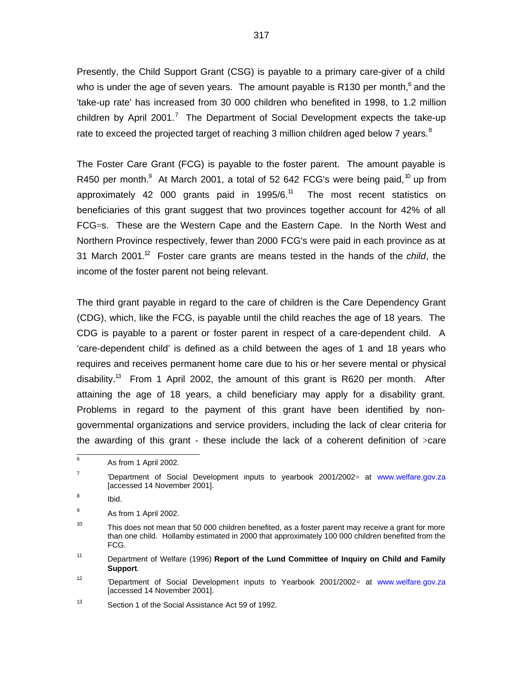Presently, the Child Support Grant (CSG) is payable to a primary care-giver of a child who is under the age of seven years. The amount payable is R130 per month,  $6$  and the 'take-up rate' has increased from 30 000 children who benefited in 1998, to 1.2 million children by April 2001.<sup>7</sup> The Department of Social Development expects the take-up rate to exceed the projected target of reaching 3 million children aged below 7 years. $8$ 

The Foster Care Grant (FCG) is payable to the foster parent. The amount payable is R450 per month. $^9$  At March 2001, a total of 52 642 FCG's were being paid,  $^{10}$  up from approximately 42 000 grants paid in 1995/6.<sup>11</sup> The most recent statistics on beneficiaries of this grant suggest that two provinces together account for 42% of all FCG=s. These are the Western Cape and the Eastern Cape. In the North West and Northern Province respectively, fewer than 2000 FCG's were paid in each province as at 31 March 2001.<sup>12</sup> Foster care grants are means tested in the hands of the child, the income of the foster parent not being relevant.

The third grant payable in regard to the care of children is the Care Dependency Grant (CDG), which, like the FCG, is payable until the child reaches the age of 18 years. The CDG is payable to a parent or foster parent in respect of a care-dependent child. A 'care-dependent child' is defined as a child between the ages of 1 and 18 years who requires and receives permanent home care due to his or her severe mental or physical disability.<sup>13</sup> From 1 April 2002, the amount of this grant is R620 per month. After attaining the age of 18 years, a child beneficiary may apply for a disability grant. Problems in regard to the payment of this grant have been identified by nongovernmental organizations and service providers, including the lack of clear criteria for the awarding of this grant - these include the lack of a coherent definition of >care

11 Department of Welfare (1996) **Report of the Lund Committee of Inquiry on Child and Family Support**.

12 'Department of Social Development inputs to Yearbook 2001/2002= at www.welfare.gov.za [accessed 14 November 2001].

 6 As from 1 April 2002.

<sup>7</sup> 'Department of Social Development inputs to yearbook 2001/2002= at www.welfare.gov.za [accessed 14 November 2001].

<sup>8</sup> Ibid.

<sup>9</sup> As from 1 April 2002.

<sup>10</sup> This does not mean that 50 000 children benefited, as a foster parent may receive a grant for more than one child. Hollamby estimated in 2000 that approximately 100 000 children benefited from the FCG.

<sup>13</sup> Section 1 of the Social Assistance Act 59 of 1992.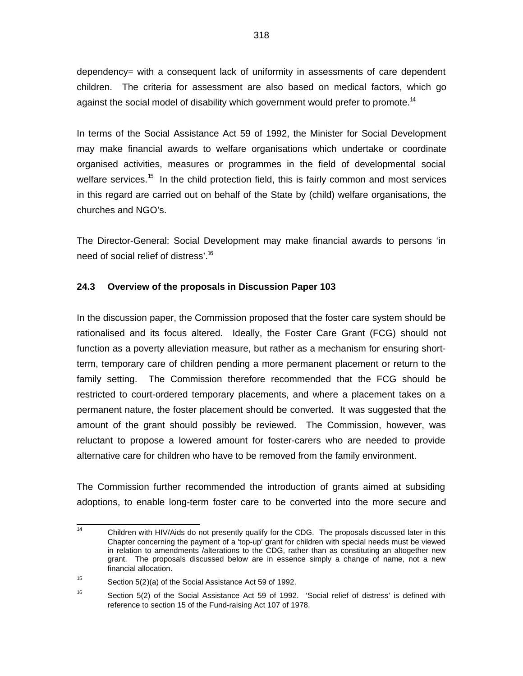dependency= with a consequent lack of uniformity in assessments of care dependent children. The criteria for assessment are also based on medical factors, which go against the social model of disability which government would prefer to promote.<sup>14</sup>

In terms of the Social Assistance Act 59 of 1992, the Minister for Social Development may make financial awards to welfare organisations which undertake or coordinate organised activities, measures or programmes in the field of developmental social welfare services.<sup>15</sup> In the child protection field, this is fairly common and most services in this regard are carried out on behalf of the State by (child) welfare organisations, the churches and NGO's.

The Director-General: Social Development may make financial awards to persons 'in need of social relief of distress'.<sup>16</sup>

## **24.3 Overview of the proposals in Discussion Paper 103**

In the discussion paper, the Commission proposed that the foster care system should be rationalised and its focus altered. Ideally, the Foster Care Grant (FCG) should not function as a poverty alleviation measure, but rather as a mechanism for ensuring shortterm, temporary care of children pending a more permanent placement or return to the family setting. The Commission therefore recommended that the FCG should be restricted to court-ordered temporary placements, and where a placement takes on a permanent nature, the foster placement should be converted. It was suggested that the amount of the grant should possibly be reviewed. The Commission, however, was reluctant to propose a lowered amount for foster-carers who are needed to provide alternative care for children who have to be removed from the family environment.

The Commission further recommended the introduction of grants aimed at subsiding adoptions, to enable long-term foster care to be converted into the more secure and

 14 Children with HIV/Aids do not presently qualify for the CDG. The proposals discussed later in this Chapter concerning the payment of a 'top-up' grant for children with special needs must be viewed in relation to amendments /alterations to the CDG, rather than as constituting an altogether new grant. The proposals discussed below are in essence simply a change of name, not a new financial allocation.

<sup>15</sup> Section 5(2)(a) of the Social Assistance Act 59 of 1992.

<sup>16</sup> Section 5(2) of the Social Assistance Act 59 of 1992. 'Social relief of distress' is defined with reference to section 15 of the Fund-raising Act 107 of 1978.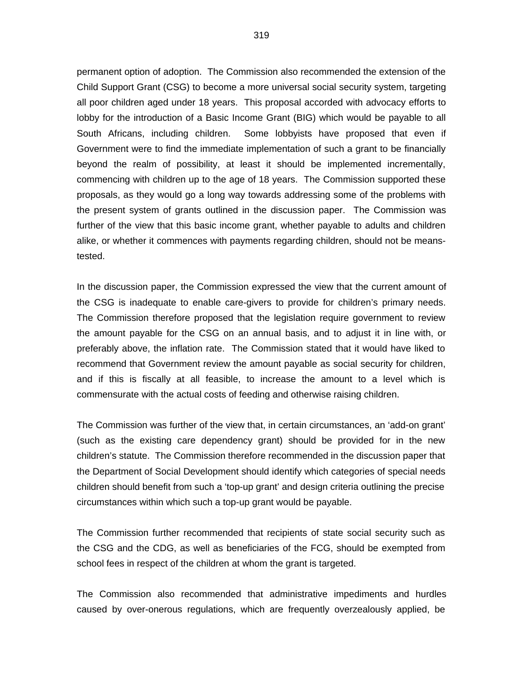permanent option of adoption. The Commission also recommended the extension of the Child Support Grant (CSG) to become a more universal social security system, targeting all poor children aged under 18 years. This proposal accorded with advocacy efforts to lobby for the introduction of a Basic Income Grant (BIG) which would be payable to all South Africans, including children. Some lobbyists have proposed that even if Government were to find the immediate implementation of such a grant to be financially beyond the realm of possibility, at least it should be implemented incrementally, commencing with children up to the age of 18 years. The Commission supported these proposals, as they would go a long way towards addressing some of the problems with the present system of grants outlined in the discussion paper. The Commission was further of the view that this basic income grant, whether payable to adults and children alike, or whether it commences with payments regarding children, should not be meanstested.

In the discussion paper, the Commission expressed the view that the current amount of the CSG is inadequate to enable care-givers to provide for children's primary needs. The Commission therefore proposed that the legislation require government to review the amount payable for the CSG on an annual basis, and to adjust it in line with, or preferably above, the inflation rate. The Commission stated that it would have liked to recommend that Government review the amount payable as social security for children, and if this is fiscally at all feasible, to increase the amount to a level which is commensurate with the actual costs of feeding and otherwise raising children.

The Commission was further of the view that, in certain circumstances, an 'add-on grant' (such as the existing care dependency grant) should be provided for in the new children's statute. The Commission therefore recommended in the discussion paper that the Department of Social Development should identify which categories of special needs children should benefit from such a 'top-up grant' and design criteria outlining the precise circumstances within which such a top-up grant would be payable.

The Commission further recommended that recipients of state social security such as the CSG and the CDG, as well as beneficiaries of the FCG, should be exempted from school fees in respect of the children at whom the grant is targeted.

The Commission also recommended that administrative impediments and hurdles caused by over-onerous regulations, which are frequently overzealously applied, be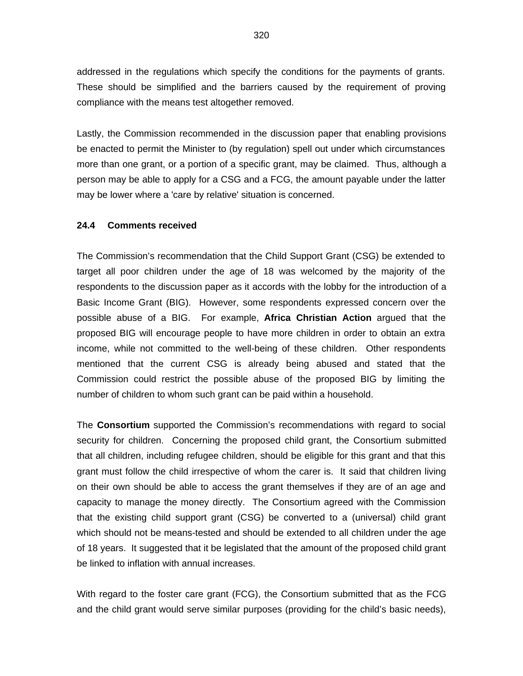addressed in the regulations which specify the conditions for the payments of grants. These should be simplified and the barriers caused by the requirement of proving compliance with the means test altogether removed.

Lastly, the Commission recommended in the discussion paper that enabling provisions be enacted to permit the Minister to (by regulation) spell out under which circumstances more than one grant, or a portion of a specific grant, may be claimed. Thus, although a person may be able to apply for a CSG and a FCG, the amount payable under the latter may be lower where a 'care by relative' situation is concerned.

#### **24.4 Comments received**

The Commission's recommendation that the Child Support Grant (CSG) be extended to target all poor children under the age of 18 was welcomed by the majority of the respondents to the discussion paper as it accords with the lobby for the introduction of a Basic Income Grant (BIG). However, some respondents expressed concern over the possible abuse of a BIG. For example, **Africa Christian Action** argued that the proposed BIG will encourage people to have more children in order to obtain an extra income, while not committed to the well-being of these children. Other respondents mentioned that the current CSG is already being abused and stated that the Commission could restrict the possible abuse of the proposed BIG by limiting the number of children to whom such grant can be paid within a household.

The **Consortium** supported the Commission's recommendations with regard to social security for children. Concerning the proposed child grant, the Consortium submitted that all children, including refugee children, should be eligible for this grant and that this grant must follow the child irrespective of whom the carer is. It said that children living on their own should be able to access the grant themselves if they are of an age and capacity to manage the money directly. The Consortium agreed with the Commission that the existing child support grant (CSG) be converted to a (universal) child grant which should not be means-tested and should be extended to all children under the age of 18 years. It suggested that it be legislated that the amount of the proposed child grant be linked to inflation with annual increases.

With regard to the foster care grant (FCG), the Consortium submitted that as the FCG and the child grant would serve similar purposes (providing for the child's basic needs),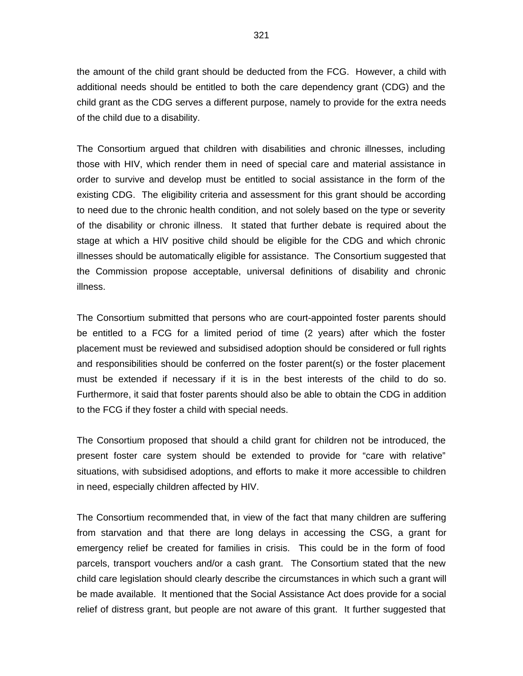the amount of the child grant should be deducted from the FCG. However, a child with additional needs should be entitled to both the care dependency grant (CDG) and the child grant as the CDG serves a different purpose, namely to provide for the extra needs of the child due to a disability.

The Consortium argued that children with disabilities and chronic illnesses, including those with HIV, which render them in need of special care and material assistance in order to survive and develop must be entitled to social assistance in the form of the existing CDG. The eligibility criteria and assessment for this grant should be according to need due to the chronic health condition, and not solely based on the type or severity of the disability or chronic illness. It stated that further debate is required about the stage at which a HIV positive child should be eligible for the CDG and which chronic illnesses should be automatically eligible for assistance. The Consortium suggested that the Commission propose acceptable, universal definitions of disability and chronic illness.

The Consortium submitted that persons who are court-appointed foster parents should be entitled to a FCG for a limited period of time (2 years) after which the foster placement must be reviewed and subsidised adoption should be considered or full rights and responsibilities should be conferred on the foster parent(s) or the foster placement must be extended if necessary if it is in the best interests of the child to do so. Furthermore, it said that foster parents should also be able to obtain the CDG in addition to the FCG if they foster a child with special needs.

The Consortium proposed that should a child grant for children not be introduced, the present foster care system should be extended to provide for "care with relative" situations, with subsidised adoptions, and efforts to make it more accessible to children in need, especially children affected by HIV.

The Consortium recommended that, in view of the fact that many children are suffering from starvation and that there are long delays in accessing the CSG, a grant for emergency relief be created for families in crisis. This could be in the form of food parcels, transport vouchers and/or a cash grant. The Consortium stated that the new child care legislation should clearly describe the circumstances in which such a grant will be made available. It mentioned that the Social Assistance Act does provide for a social relief of distress grant, but people are not aware of this grant. It further suggested that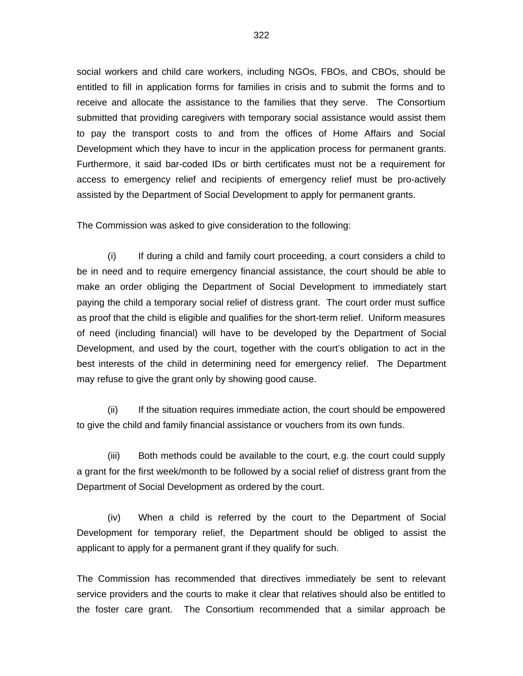social workers and child care workers, including NGOs, FBOs, and CBOs, should be entitled to fill in application forms for families in crisis and to submit the forms and to receive and allocate the assistance to the families that they serve. The Consortium submitted that providing caregivers with temporary social assistance would assist them to pay the transport costs to and from the offices of Home Affairs and Social Development which they have to incur in the application process for permanent grants. Furthermore, it said bar-coded IDs or birth certificates must not be a requirement for access to emergency relief and recipients of emergency relief must be pro-actively assisted by the Department of Social Development to apply for permanent grants.

The Commission was asked to give consideration to the following:

(i) If during a child and family court proceeding, a court considers a child to be in need and to require emergency financial assistance, the court should be able to make an order obliging the Department of Social Development to immediately start paying the child a temporary social relief of distress grant. The court order must suffice as proof that the child is eligible and qualifies for the short-term relief. Uniform measures of need (including financial) will have to be developed by the Department of Social Development, and used by the court, together with the court's obligation to act in the best interests of the child in determining need for emergency relief. The Department may refuse to give the grant only by showing good cause.

(ii) If the situation requires immediate action, the court should be empowered to give the child and family financial assistance or vouchers from its own funds.

(iii) Both methods could be available to the court, e.g. the court could supply a grant for the first week/month to be followed by a social relief of distress grant from the Department of Social Development as ordered by the court.

(iv) When a child is referred by the court to the Department of Social Development for temporary relief, the Department should be obliged to assist the applicant to apply for a permanent grant if they qualify for such.

The Commission has recommended that directives immediately be sent to relevant service providers and the courts to make it clear that relatives should also be entitled to the foster care grant. The Consortium recommended that a similar approach be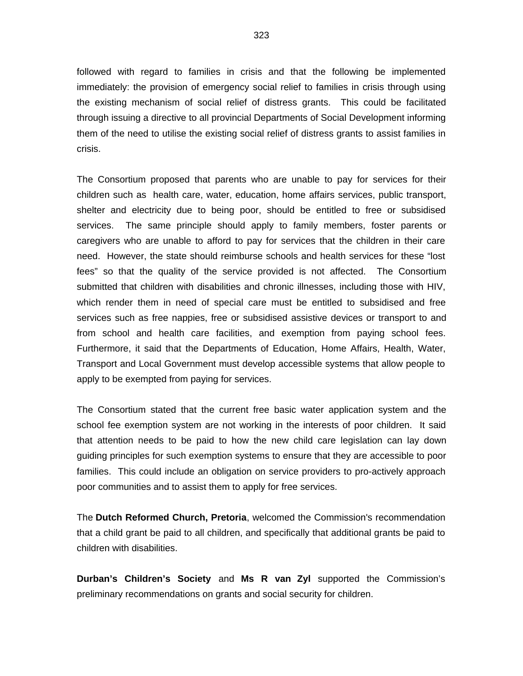followed with regard to families in crisis and that the following be implemented immediately: the provision of emergency social relief to families in crisis through using the existing mechanism of social relief of distress grants. This could be facilitated through issuing a directive to all provincial Departments of Social Development informing them of the need to utilise the existing social relief of distress grants to assist families in crisis.

The Consortium proposed that parents who are unable to pay for services for their children such as health care, water, education, home affairs services, public transport, shelter and electricity due to being poor, should be entitled to free or subsidised services. The same principle should apply to family members, foster parents or caregivers who are unable to afford to pay for services that the children in their care need. However, the state should reimburse schools and health services for these "lost fees" so that the quality of the service provided is not affected. The Consortium submitted that children with disabilities and chronic illnesses, including those with HIV, which render them in need of special care must be entitled to subsidised and free services such as free nappies, free or subsidised assistive devices or transport to and from school and health care facilities, and exemption from paying school fees. Furthermore, it said that the Departments of Education, Home Affairs, Health, Water, Transport and Local Government must develop accessible systems that allow people to apply to be exempted from paying for services.

The Consortium stated that the current free basic water application system and the school fee exemption system are not working in the interests of poor children. It said that attention needs to be paid to how the new child care legislation can lay down guiding principles for such exemption systems to ensure that they are accessible to poor families. This could include an obligation on service providers to pro-actively approach poor communities and to assist them to apply for free services.

The **Dutch Reformed Church, Pretoria**, welcomed the Commission's recommendation that a child grant be paid to all children, and specifically that additional grants be paid to children with disabilities.

**Durban's Children's Society** and **Ms R van Zyl** supported the Commission's preliminary recommendations on grants and social security for children.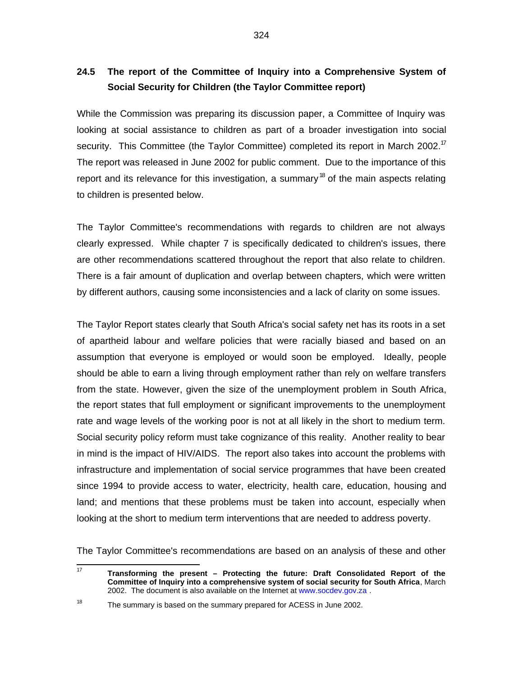# **24.5 The report of the Committee of Inquiry into a Comprehensive System of Social Security for Children (the Taylor Committee report)**

While the Commission was preparing its discussion paper, a Committee of Inquiry was looking at social assistance to children as part of a broader investigation into social security. This Committee (the Taylor Committee) completed its report in March 2002.<sup>17</sup> The report was released in June 2002 for public comment. Due to the importance of this report and its relevance for this investigation, a summary  $^{18}$  of the main aspects relating to children is presented below.

The Taylor Committee's recommendations with regards to children are not always clearly expressed. While chapter 7 is specifically dedicated to children's issues, there are other recommendations scattered throughout the report that also relate to children. There is a fair amount of duplication and overlap between chapters, which were written by different authors, causing some inconsistencies and a lack of clarity on some issues.

The Taylor Report states clearly that South Africa's social safety net has its roots in a set of apartheid labour and welfare policies that were racially biased and based on an assumption that everyone is employed or would soon be employed. Ideally, people should be able to earn a living through employment rather than rely on welfare transfers from the state. However, given the size of the unemployment problem in South Africa, the report states that full employment or significant improvements to the unemployment rate and wage levels of the working poor is not at all likely in the short to medium term. Social security policy reform must take cognizance of this reality. Another reality to bear in mind is the impact of HIV/AIDS. The report also takes into account the problems with infrastructure and implementation of social service programmes that have been created since 1994 to provide access to water, electricity, health care, education, housing and land; and mentions that these problems must be taken into account, especially when looking at the short to medium term interventions that are needed to address poverty.

The Taylor Committee's recommendations are based on an analysis of these and other

 $\frac{1}{17}$ **Transforming the present – Protecting the future: Draft Consolidated Report of the Committee of Inquiry into a comprehensive system of social security for South Africa**, March 2002. The document is also available on the Internet at www.socdev.gov.za .

<sup>18</sup> The summary is based on the summary prepared for ACESS in June 2002.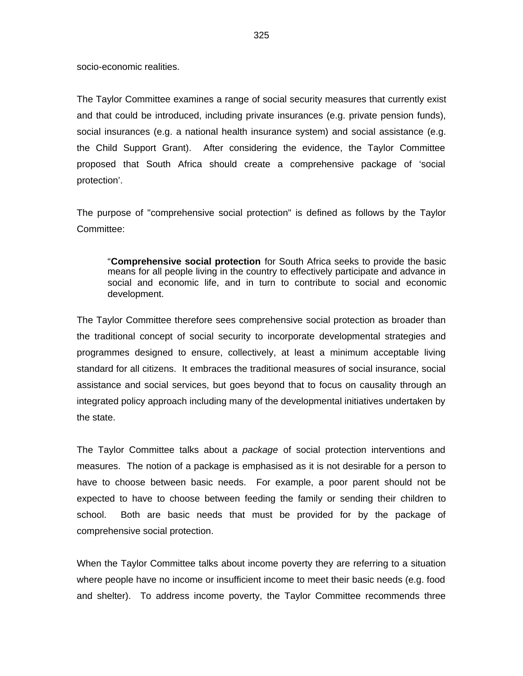socio-economic realities.

The Taylor Committee examines a range of social security measures that currently exist and that could be introduced, including private insurances (e.g. private pension funds), social insurances (e.g. a national health insurance system) and social assistance (e.g. the Child Support Grant). After considering the evidence, the Taylor Committee proposed that South Africa should create a comprehensive package of 'social protection'.

The purpose of "comprehensive social protection" is defined as follows by the Taylor Committee:

"**Comprehensive social protection** for South Africa seeks to provide the basic means for all people living in the country to effectively participate and advance in social and economic life, and in turn to contribute to social and economic development.

The Taylor Committee therefore sees comprehensive social protection as broader than the traditional concept of social security to incorporate developmental strategies and programmes designed to ensure, collectively, at least a minimum acceptable living standard for all citizens. It embraces the traditional measures of social insurance, social assistance and social services, but goes beyond that to focus on causality through an integrated policy approach including many of the developmental initiatives undertaken by the state.

The Taylor Committee talks about a package of social protection interventions and measures. The notion of a package is emphasised as it is not desirable for a person to have to choose between basic needs. For example, a poor parent should not be expected to have to choose between feeding the family or sending their children to school. Both are basic needs that must be provided for by the package of comprehensive social protection.

When the Taylor Committee talks about income poverty they are referring to a situation where people have no income or insufficient income to meet their basic needs (e.g. food and shelter). To address income poverty, the Taylor Committee recommends three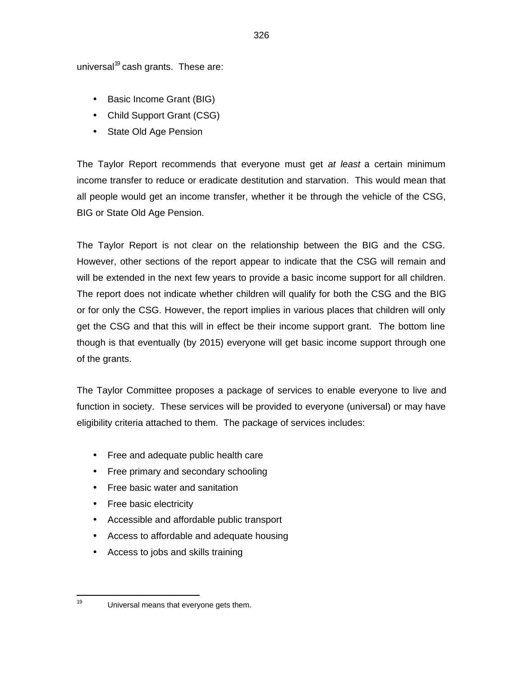universal<sup>19</sup> cash grants. These are:

- Basic Income Grant (BIG)
- Child Support Grant (CSG)
- State Old Age Pension

The Taylor Report recommends that everyone must get at least a certain minimum income transfer to reduce or eradicate destitution and starvation. This would mean that all people would get an income transfer, whether it be through the vehicle of the CSG, BIG or State Old Age Pension.

The Taylor Report is not clear on the relationship between the BIG and the CSG. However, other sections of the report appear to indicate that the CSG will remain and will be extended in the next few years to provide a basic income support for all children. The report does not indicate whether children will qualify for both the CSG and the BIG or for only the CSG. However, the report implies in various places that children will only get the CSG and that this will in effect be their income support grant. The bottom line though is that eventually (by 2015) everyone will get basic income support through one of the grants.

The Taylor Committee proposes a package of services to enable everyone to live and function in society. These services will be provided to everyone (universal) or may have eligibility criteria attached to them. The package of services includes:

- Free and adequate public health care
- Free primary and secondary schooling
- Free basic water and sanitation
- Free basic electricity

—<br>19

- Accessible and affordable public transport
- Access to affordable and adequate housing
- Access to jobs and skills training

Universal means that everyone gets them.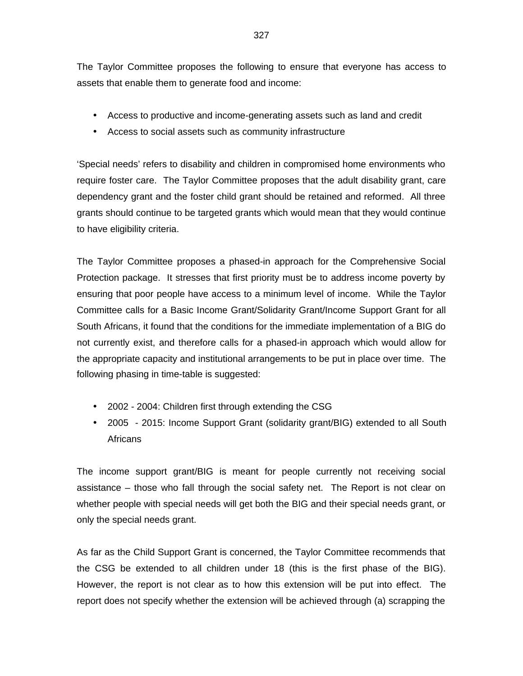The Taylor Committee proposes the following to ensure that everyone has access to assets that enable them to generate food and income:

- Access to productive and income-generating assets such as land and credit
- Access to social assets such as community infrastructure

'Special needs' refers to disability and children in compromised home environments who require foster care. The Taylor Committee proposes that the adult disability grant, care dependency grant and the foster child grant should be retained and reformed. All three grants should continue to be targeted grants which would mean that they would continue to have eligibility criteria.

The Taylor Committee proposes a phased-in approach for the Comprehensive Social Protection package. It stresses that first priority must be to address income poverty by ensuring that poor people have access to a minimum level of income. While the Taylor Committee calls for a Basic Income Grant/Solidarity Grant/Income Support Grant for all South Africans, it found that the conditions for the immediate implementation of a BIG do not currently exist, and therefore calls for a phased-in approach which would allow for the appropriate capacity and institutional arrangements to be put in place over time. The following phasing in time-table is suggested:

- 2002 2004: Children first through extending the CSG
- 2005 2015: Income Support Grant (solidarity grant/BIG) extended to all South **Africans**

The income support grant/BIG is meant for people currently not receiving social assistance – those who fall through the social safety net. The Report is not clear on whether people with special needs will get both the BIG and their special needs grant, or only the special needs grant.

As far as the Child Support Grant is concerned, the Taylor Committee recommends that the CSG be extended to all children under 18 (this is the first phase of the BIG). However, the report is not clear as to how this extension will be put into effect. The report does not specify whether the extension will be achieved through (a) scrapping the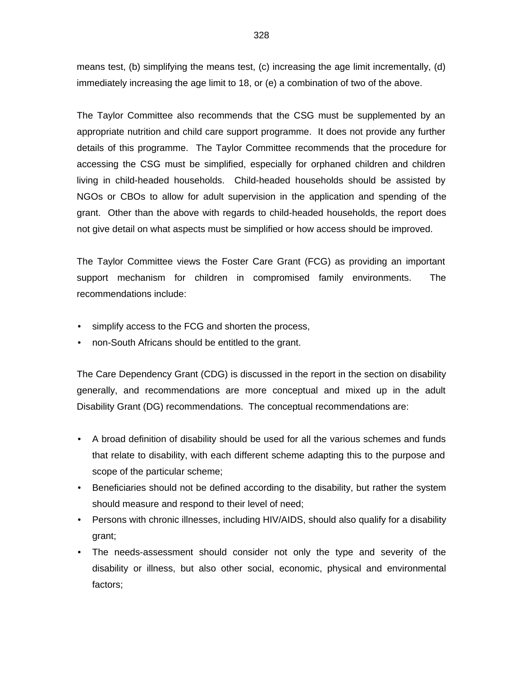means test, (b) simplifying the means test, (c) increasing the age limit incrementally, (d) immediately increasing the age limit to 18, or (e) a combination of two of the above.

The Taylor Committee also recommends that the CSG must be supplemented by an appropriate nutrition and child care support programme. It does not provide any further details of this programme. The Taylor Committee recommends that the procedure for accessing the CSG must be simplified, especially for orphaned children and children living in child-headed households. Child-headed households should be assisted by NGOs or CBOs to allow for adult supervision in the application and spending of the grant. Other than the above with regards to child-headed households, the report does not give detail on what aspects must be simplified or how access should be improved.

The Taylor Committee views the Foster Care Grant (FCG) as providing an important support mechanism for children in compromised family environments. The recommendations include:

- simplify access to the FCG and shorten the process,
- non-South Africans should be entitled to the grant.

The Care Dependency Grant (CDG) is discussed in the report in the section on disability generally, and recommendations are more conceptual and mixed up in the adult Disability Grant (DG) recommendations. The conceptual recommendations are:

- A broad definition of disability should be used for all the various schemes and funds that relate to disability, with each different scheme adapting this to the purpose and scope of the particular scheme;
- Beneficiaries should not be defined according to the disability, but rather the system should measure and respond to their level of need;
- Persons with chronic illnesses, including HIV/AIDS, should also qualify for a disability grant;
- The needs-assessment should consider not only the type and severity of the disability or illness, but also other social, economic, physical and environmental factors;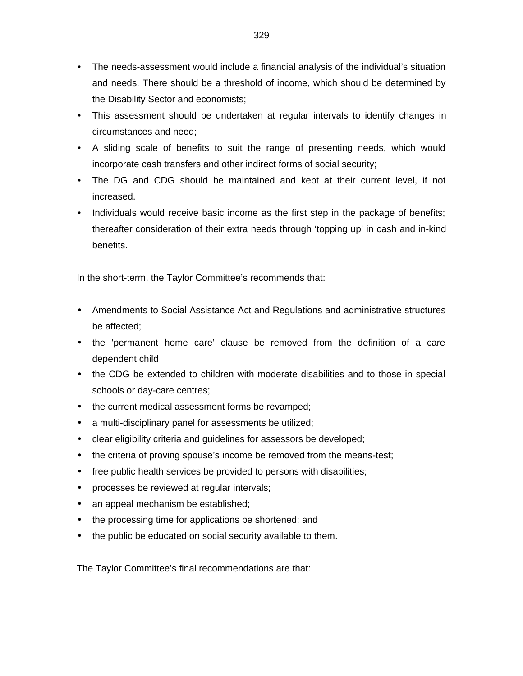- The needs-assessment would include a financial analysis of the individual's situation and needs. There should be a threshold of income, which should be determined by the Disability Sector and economists;
- This assessment should be undertaken at regular intervals to identify changes in circumstances and need;
- A sliding scale of benefits to suit the range of presenting needs, which would incorporate cash transfers and other indirect forms of social security;
- The DG and CDG should be maintained and kept at their current level, if not increased.
- Individuals would receive basic income as the first step in the package of benefits; thereafter consideration of their extra needs through 'topping up' in cash and in-kind benefits.

In the short-term, the Taylor Committee's recommends that:

- Amendments to Social Assistance Act and Regulations and administrative structures be affected;
- the 'permanent home care' clause be removed from the definition of a care dependent child
- the CDG be extended to children with moderate disabilities and to those in special schools or day-care centres;
- the current medical assessment forms be revamped;
- a multi-disciplinary panel for assessments be utilized;
- clear eligibility criteria and guidelines for assessors be developed;
- the criteria of proving spouse's income be removed from the means-test;
- free public health services be provided to persons with disabilities;
- processes be reviewed at regular intervals;
- an appeal mechanism be established;
- the processing time for applications be shortened; and
- the public be educated on social security available to them.

The Taylor Committee's final recommendations are that: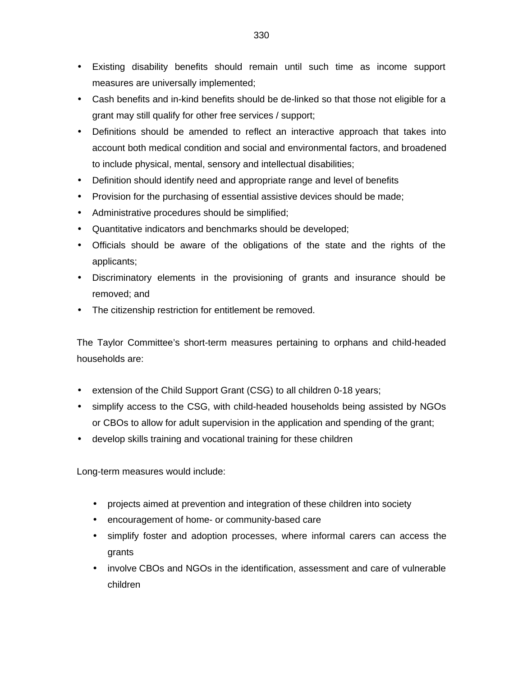- Existing disability benefits should remain until such time as income support measures are universally implemented;
- Cash benefits and in-kind benefits should be de-linked so that those not eligible for a grant may still qualify for other free services / support;
- Definitions should be amended to reflect an interactive approach that takes into account both medical condition and social and environmental factors, and broadened to include physical, mental, sensory and intellectual disabilities;
- Definition should identify need and appropriate range and level of benefits
- Provision for the purchasing of essential assistive devices should be made;
- Administrative procedures should be simplified;
- Quantitative indicators and benchmarks should be developed;
- Officials should be aware of the obligations of the state and the rights of the applicants;
- Discriminatory elements in the provisioning of grants and insurance should be removed; and
- The citizenship restriction for entitlement be removed.

The Taylor Committee's short-term measures pertaining to orphans and child-headed households are:

- extension of the Child Support Grant (CSG) to all children 0-18 years;
- simplify access to the CSG, with child-headed households being assisted by NGOs or CBOs to allow for adult supervision in the application and spending of the grant;
- develop skills training and vocational training for these children

Long-term measures would include:

- projects aimed at prevention and integration of these children into society
- encouragement of home- or community-based care
- simplify foster and adoption processes, where informal carers can access the grants
- involve CBOs and NGOs in the identification, assessment and care of vulnerable children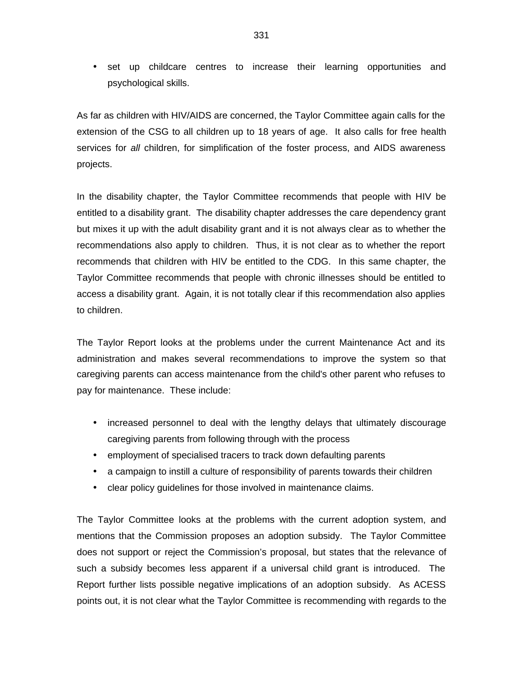• set up childcare centres to increase their learning opportunities and psychological skills.

As far as children with HIV/AIDS are concerned, the Taylor Committee again calls for the extension of the CSG to all children up to 18 years of age. It also calls for free health services for all children, for simplification of the foster process, and AIDS awareness projects.

In the disability chapter, the Taylor Committee recommends that people with HIV be entitled to a disability grant. The disability chapter addresses the care dependency grant but mixes it up with the adult disability grant and it is not always clear as to whether the recommendations also apply to children. Thus, it is not clear as to whether the report recommends that children with HIV be entitled to the CDG. In this same chapter, the Taylor Committee recommends that people with chronic illnesses should be entitled to access a disability grant. Again, it is not totally clear if this recommendation also applies to children.

The Taylor Report looks at the problems under the current Maintenance Act and its administration and makes several recommendations to improve the system so that caregiving parents can access maintenance from the child's other parent who refuses to pay for maintenance. These include:

- increased personnel to deal with the lengthy delays that ultimately discourage caregiving parents from following through with the process
- employment of specialised tracers to track down defaulting parents
- a campaign to instill a culture of responsibility of parents towards their children
- clear policy guidelines for those involved in maintenance claims.

The Taylor Committee looks at the problems with the current adoption system, and mentions that the Commission proposes an adoption subsidy. The Taylor Committee does not support or reject the Commission's proposal, but states that the relevance of such a subsidy becomes less apparent if a universal child grant is introduced. The Report further lists possible negative implications of an adoption subsidy. As ACESS points out, it is not clear what the Taylor Committee is recommending with regards to the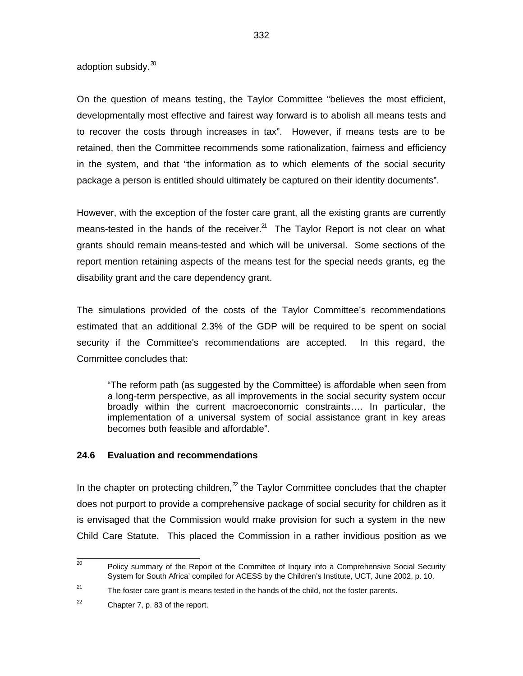adoption subsidy.<sup>20</sup>

On the question of means testing, the Taylor Committee "believes the most efficient, developmentally most effective and fairest way forward is to abolish all means tests and to recover the costs through increases in tax". However, if means tests are to be retained, then the Committee recommends some rationalization, fairness and efficiency in the system, and that "the information as to which elements of the social security package a person is entitled should ultimately be captured on their identity documents".

However, with the exception of the foster care grant, all the existing grants are currently means-tested in the hands of the receiver.<sup>21</sup> The Taylor Report is not clear on what grants should remain means-tested and which will be universal. Some sections of the report mention retaining aspects of the means test for the special needs grants, eg the disability grant and the care dependency grant.

The simulations provided of the costs of the Taylor Committee's recommendations estimated that an additional 2.3% of the GDP will be required to be spent on social security if the Committee's recommendations are accepted. In this regard, the Committee concludes that:

"The reform path (as suggested by the Committee) is affordable when seen from a long-term perspective, as all improvements in the social security system occur broadly within the current macroeconomic constraints…. In particular, the implementation of a universal system of social assistance grant in key areas becomes both feasible and affordable".

#### **24.6 Evaluation and recommendations**

In the chapter on protecting children, $<sup>2</sup>$  the Taylor Committee concludes that the chapter</sup> does not purport to provide a comprehensive package of social security for children as it is envisaged that the Commission would make provision for such a system in the new Child Care Statute. This placed the Commission in a rather invidious position as we

 20 Policy summary of the Report of the Committee of Inquiry into a Comprehensive Social Security System for South Africa' compiled for ACESS by the Children's Institute, UCT, June 2002, p. 10.

<sup>21</sup> The foster care grant is means tested in the hands of the child, not the foster parents.

<sup>22</sup> Chapter 7, p. 83 of the report.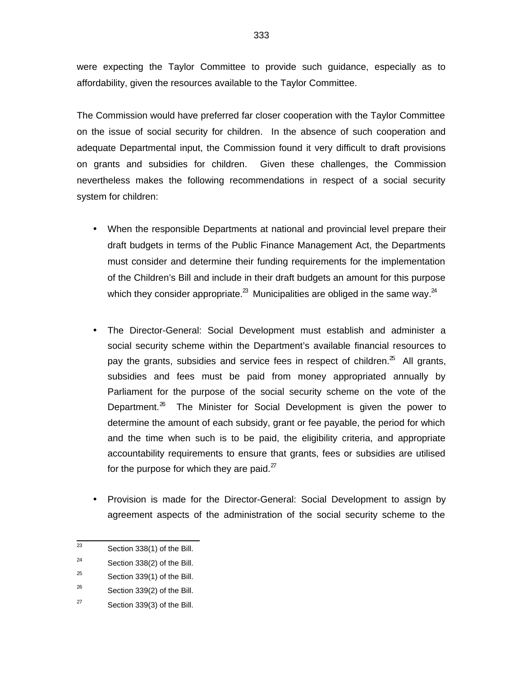were expecting the Taylor Committee to provide such guidance, especially as to affordability, given the resources available to the Taylor Committee.

The Commission would have preferred far closer cooperation with the Taylor Committee on the issue of social security for children. In the absence of such cooperation and adequate Departmental input, the Commission found it very difficult to draft provisions on grants and subsidies for children. Given these challenges, the Commission nevertheless makes the following recommendations in respect of a social security system for children:

- When the responsible Departments at national and provincial level prepare their draft budgets in terms of the Public Finance Management Act, the Departments must consider and determine their funding requirements for the implementation of the Children's Bill and include in their draft budgets an amount for this purpose which they consider appropriate.<sup>23</sup> Municipalities are obliged in the same way.<sup>24</sup>
- The Director-General: Social Development must establish and administer a social security scheme within the Department's available financial resources to pay the grants, subsidies and service fees in respect of children.<sup>25</sup> All grants, subsidies and fees must be paid from money appropriated annually by Parliament for the purpose of the social security scheme on the vote of the Department.<sup>26</sup> The Minister for Social Development is given the power to determine the amount of each subsidy, grant or fee payable, the period for which and the time when such is to be paid, the eligibility criteria, and appropriate accountability requirements to ensure that grants, fees or subsidies are utilised for the purpose for which they are paid. $27$
- Provision is made for the Director-General: Social Development to assign by agreement aspects of the administration of the social security scheme to the

 23 Section 338(1) of the Bill.

<sup>24</sup> Section 338(2) of the Bill.

<sup>25</sup> Section 339(1) of the Bill.

<sup>26</sup> Section 339(2) of the Bill.

<sup>27</sup> Section 339(3) of the Bill.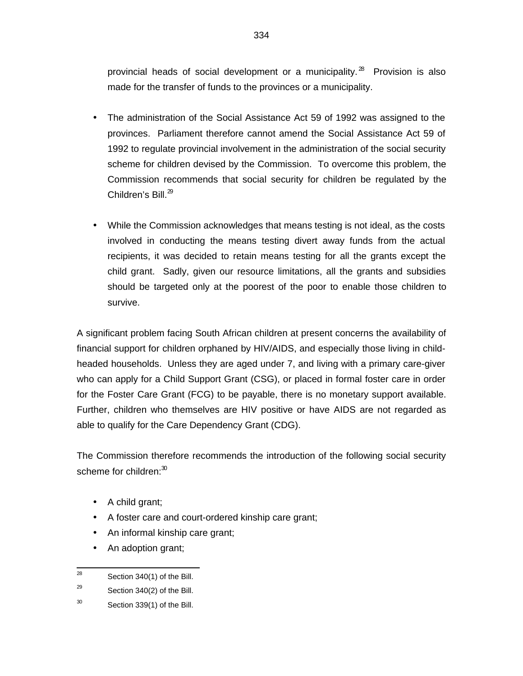provincial heads of social development or a municipality. $^{28}$  Provision is also made for the transfer of funds to the provinces or a municipality.

- The administration of the Social Assistance Act 59 of 1992 was assigned to the provinces. Parliament therefore cannot amend the Social Assistance Act 59 of 1992 to regulate provincial involvement in the administration of the social security scheme for children devised by the Commission. To overcome this problem, the Commission recommends that social security for children be regulated by the Children's Bill. $^{29}$
- While the Commission acknowledges that means testing is not ideal, as the costs involved in conducting the means testing divert away funds from the actual recipients, it was decided to retain means testing for all the grants except the child grant. Sadly, given our resource limitations, all the grants and subsidies should be targeted only at the poorest of the poor to enable those children to survive.

A significant problem facing South African children at present concerns the availability of financial support for children orphaned by HIV/AIDS, and especially those living in childheaded households. Unless they are aged under 7, and living with a primary care-giver who can apply for a Child Support Grant (CSG), or placed in formal foster care in order for the Foster Care Grant (FCG) to be payable, there is no monetary support available. Further, children who themselves are HIV positive or have AIDS are not regarded as able to qualify for the Care Dependency Grant (CDG).

The Commission therefore recommends the introduction of the following social security scheme for children: $^{30}$ 

- A child grant;
- A foster care and court-ordered kinship care grant;
- An informal kinship care grant;
- An adoption grant;

- 29 Section 340(2) of the Bill.
- 30 Section 339(1) of the Bill.

<sup>—&</sup>lt;br>28 Section 340(1) of the Bill.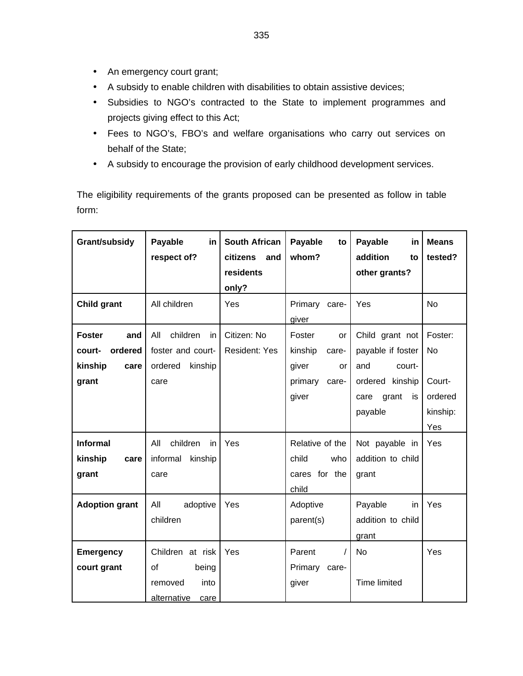- An emergency court grant;
- A subsidy to enable children with disabilities to obtain assistive devices;
- Subsidies to NGO's contracted to the State to implement programmes and projects giving effect to this Act;
- Fees to NGO's, FBO's and welfare organisations who carry out services on behalf of the State;
- A subsidy to encourage the provision of early childhood development services.

The eligibility requirements of the grants proposed can be presented as follow in table form:

| Grant/subsidy         | Payable<br>in          | <b>South African</b> | Payable<br>to       | Payable<br>in       | <b>Means</b> |
|-----------------------|------------------------|----------------------|---------------------|---------------------|--------------|
|                       | respect of?            | citizens<br>and      | whom?               | addition<br>to      | tested?      |
|                       |                        | residents            |                     | other grants?       |              |
|                       |                        | only?                |                     |                     |              |
| <b>Child grant</b>    | All children           | Yes                  | Primary<br>care-    | Yes                 | <b>No</b>    |
|                       |                        |                      | giver               |                     |              |
| <b>Foster</b><br>and  | children<br>All<br>in. | Citizen: No          | Foster<br><b>or</b> | Child grant not     | Foster:      |
| ordered<br>court-     | foster and court-      | <b>Resident: Yes</b> | kinship<br>care-    | payable if foster   | No           |
| kinship<br>care       | ordered<br>kinship     |                      | giver<br>or         | and<br>court-       |              |
| grant                 | care                   |                      | primary<br>care-    | ordered<br>kinship  | Court-       |
|                       |                        |                      | giver               | grant<br>is<br>care | ordered      |
|                       |                        |                      |                     | payable             | kinship:     |
|                       |                        |                      |                     |                     | Yes          |
| <b>Informal</b>       | children<br>All<br>in. | Yes                  | Relative of the     | Not payable in      | <b>Yes</b>   |
| kinship<br>care       | informal<br>kinship    |                      | child<br>who        | addition to child   |              |
| grant                 | care                   |                      | cares for the       | grant               |              |
|                       |                        |                      | child               |                     |              |
| <b>Adoption grant</b> | All<br>adoptive        | Yes                  | Adoptive            | Payable<br>in.      | Yes          |
|                       | children               |                      | parent(s)           | addition to child   |              |
|                       |                        |                      |                     | grant               |              |
| <b>Emergency</b>      | Children at risk       | Yes                  | Parent              | No                  | Yes          |
| court grant           | οf<br>being            |                      | Primary<br>care-    |                     |              |
|                       | into<br>removed        |                      | giver               | <b>Time limited</b> |              |
|                       | alternative<br>care    |                      |                     |                     |              |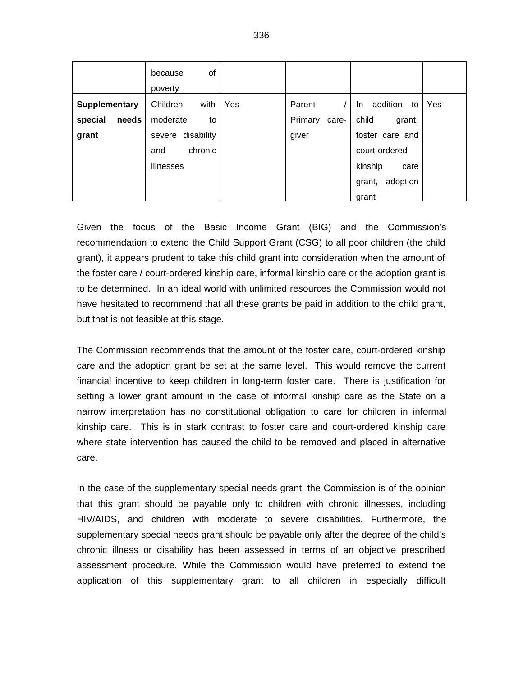|                  | of<br>because<br>poverty |     |                  |                       |     |
|------------------|--------------------------|-----|------------------|-----------------------|-----|
| Supplementary    | Children<br>with         | Yes | Parent           | addition<br>to<br>In. | Yes |
| special<br>needs | moderate<br>to           |     | Primary<br>care- | child<br>grant,       |     |
| grant            | disability<br>severe     |     | giver            | foster care and       |     |
|                  | chronic<br>and           |     |                  | court-ordered         |     |
|                  | illnesses                |     |                  | kinship<br>care       |     |
|                  |                          |     |                  | adoption<br>grant,    |     |
|                  |                          |     |                  | grant                 |     |

Given the focus of the Basic Income Grant (BIG) and the Commission's recommendation to extend the Child Support Grant (CSG) to all poor children (the child grant), it appears prudent to take this child grant into consideration when the amount of the foster care / court-ordered kinship care, informal kinship care or the adoption grant is to be determined. In an ideal world with unlimited resources the Commission would not have hesitated to recommend that all these grants be paid in addition to the child grant, but that is not feasible at this stage.

The Commission recommends that the amount of the foster care, court-ordered kinship care and the adoption grant be set at the same level. This would remove the current financial incentive to keep children in long-term foster care. There is justification for setting a lower grant amount in the case of informal kinship care as the State on a narrow interpretation has no constitutional obligation to care for children in informal kinship care. This is in stark contrast to foster care and court-ordered kinship care where state intervention has caused the child to be removed and placed in alternative care.

In the case of the supplementary special needs grant, the Commission is of the opinion that this grant should be payable only to children with chronic illnesses, including HIV/AIDS, and children with moderate to severe disabilities. Furthermore, the supplementary special needs grant should be payable only after the degree of the child's chronic illness or disability has been assessed in terms of an objective prescribed assessment procedure. While the Commission would have preferred to extend the application of this supplementary grant to all children in especially difficult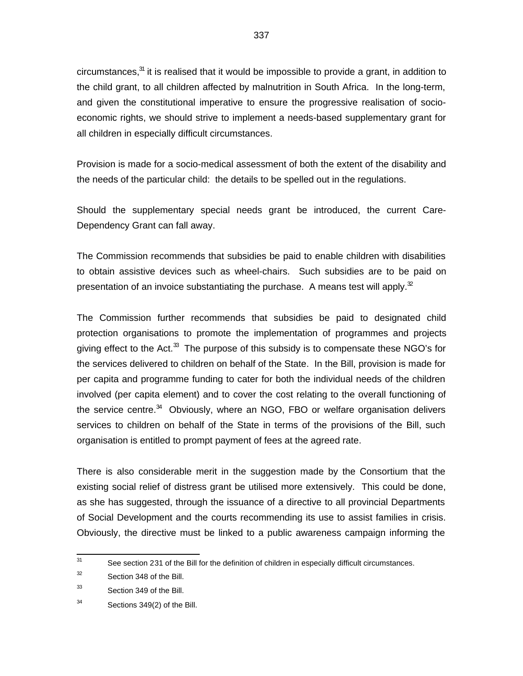circumstances,<sup>31</sup> it is realised that it would be impossible to provide a grant, in addition to the child grant, to all children affected by malnutrition in South Africa. In the long-term, and given the constitutional imperative to ensure the progressive realisation of socioeconomic rights, we should strive to implement a needs-based supplementary grant for all children in especially difficult circumstances.

Provision is made for a socio-medical assessment of both the extent of the disability and the needs of the particular child: the details to be spelled out in the regulations.

Should the supplementary special needs grant be introduced, the current Care-Dependency Grant can fall away.

The Commission recommends that subsidies be paid to enable children with disabilities to obtain assistive devices such as wheel-chairs. Such subsidies are to be paid on presentation of an invoice substantiating the purchase. A means test will apply. $\mathbb{Z}$ 

The Commission further recommends that subsidies be paid to designated child protection organisations to promote the implementation of programmes and projects giving effect to the Act.<sup>33</sup> The purpose of this subsidy is to compensate these NGO's for the services delivered to children on behalf of the State. In the Bill, provision is made for per capita and programme funding to cater for both the individual needs of the children involved (per capita element) and to cover the cost relating to the overall functioning of the service centre.<sup>34</sup> Obviously, where an NGO, FBO or welfare organisation delivers services to children on behalf of the State in terms of the provisions of the Bill, such organisation is entitled to prompt payment of fees at the agreed rate.

There is also considerable merit in the suggestion made by the Consortium that the existing social relief of distress grant be utilised more extensively. This could be done, as she has suggested, through the issuance of a directive to all provincial Departments of Social Development and the courts recommending its use to assist families in crisis. Obviously, the directive must be linked to a public awareness campaign informing the

<sup>—&</sup>lt;br>31 See section 231 of the Bill for the definition of children in especially difficult circumstances.

<sup>32</sup> Section 348 of the Bill.

<sup>33</sup> Section 349 of the Bill.

<sup>34</sup> Sections 349(2) of the Bill.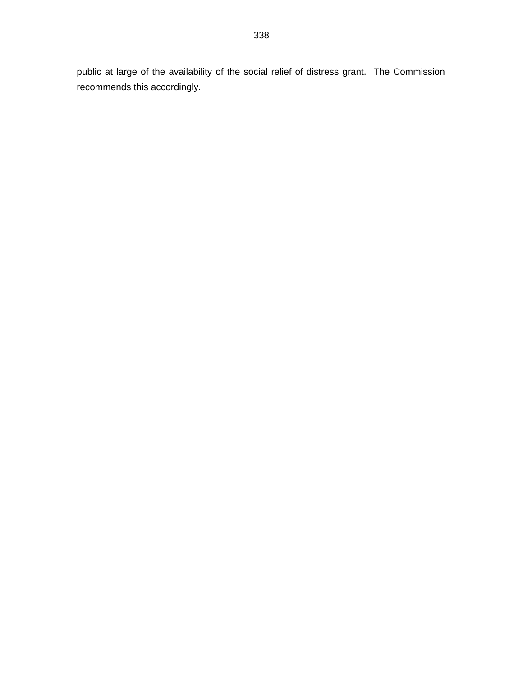public at large of the availability of the social relief of distress grant. The Commission recommends this accordingly.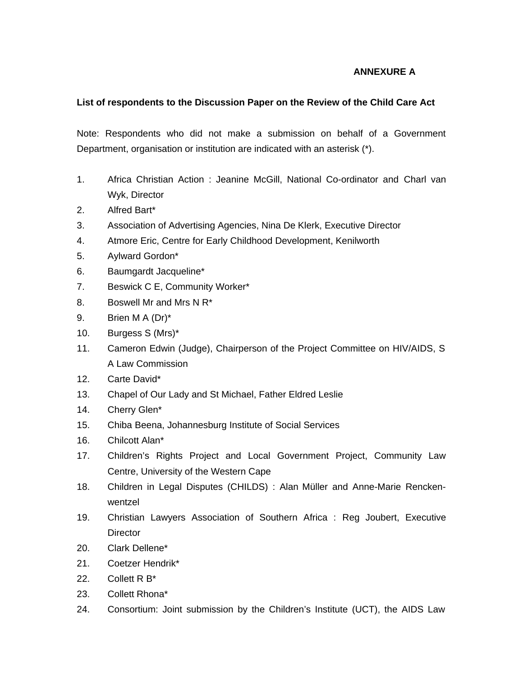### **ANNEXURE A**

### **List of respondents to the Discussion Paper on the Review of the Child Care Act**

Note: Respondents who did not make a submission on behalf of a Government Department, organisation or institution are indicated with an asterisk (\*).

- 1. Africa Christian Action : Jeanine McGill, National Co-ordinator and Charl van Wyk, Director
- 2. Alfred Bart\*
- 3. Association of Advertising Agencies, Nina De Klerk, Executive Director
- 4. Atmore Eric, Centre for Early Childhood Development, Kenilworth
- 5. Aylward Gordon\*
- 6. Baumgardt Jacqueline\*
- 7. Beswick C E, Community Worker\*
- 8. Boswell Mr and Mrs N R\*
- 9. Brien M A (Dr)\*
- 10. Burgess S (Mrs)\*
- 11. Cameron Edwin (Judge), Chairperson of the Project Committee on HIV/AIDS, S A Law Commission
- 12. Carte David\*
- 13. Chapel of Our Lady and St Michael, Father Eldred Leslie
- 14. Cherry Glen\*
- 15. Chiba Beena, Johannesburg Institute of Social Services
- 16. Chilcott Alan\*
- 17. Children's Rights Project and Local Government Project, Community Law Centre, University of the Western Cape
- 18. Children in Legal Disputes (CHILDS) : Alan Müller and Anne-Marie Renckenwentzel
- 19. Christian Lawyers Association of Southern Africa : Reg Joubert, Executive **Director**
- 20. Clark Dellene\*
- 21. Coetzer Hendrik\*
- 22. Collett R B\*
- 23. Collett Rhona\*
- 24. Consortium: Joint submission by the Children's Institute (UCT), the AIDS Law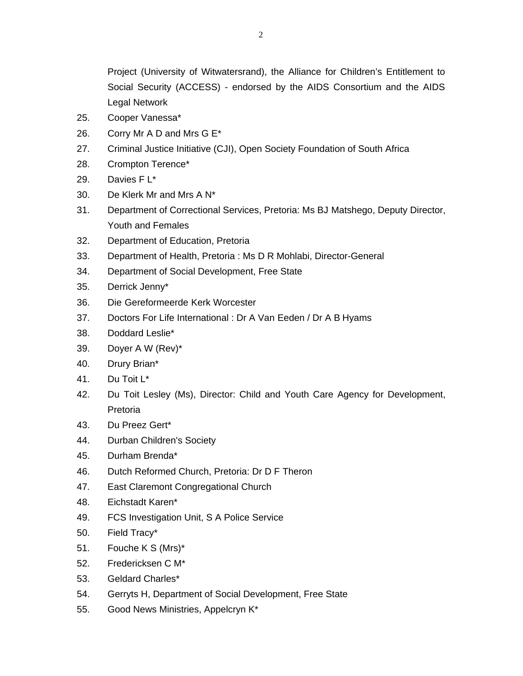Project (University of Witwatersrand), the Alliance for Children's Entitlement to Social Security (ACCESS) - endorsed by the AIDS Consortium and the AIDS Legal Network

- 25. Cooper Vanessa\*
- 26. Corry Mr A D and Mrs G E\*
- 27. Criminal Justice Initiative (CJI), Open Society Foundation of South Africa
- 28. Crompton Terence\*
- 29. Davies F L\*
- 30. De Klerk Mr and Mrs A N\*
- 31. Department of Correctional Services, Pretoria: Ms BJ Matshego, Deputy Director, Youth and Females
- 32. Department of Education, Pretoria
- 33. Department of Health, Pretoria : Ms D R Mohlabi, Director-General
- 34. Department of Social Development, Free State
- 35. Derrick Jenny\*
- 36. Die Gereformeerde Kerk Worcester
- 37. Doctors For Life International : Dr A Van Eeden / Dr A B Hyams
- 38. Doddard Leslie\*
- 39. Doyer A W (Rev)\*
- 40. Drury Brian\*
- 41. Du Toit L\*
- 42. Du Toit Lesley (Ms), Director: Child and Youth Care Agency for Development, Pretoria
- 43. Du Preez Gert\*
- 44. Durban Children's Society
- 45. Durham Brenda\*
- 46. Dutch Reformed Church, Pretoria: Dr D F Theron
- 47. East Claremont Congregational Church
- 48. Eichstadt Karen\*
- 49. FCS Investigation Unit, S A Police Service
- 50. Field Tracy\*
- 51. Fouche K S (Mrs)\*
- 52. Fredericksen C M\*
- 53. Geldard Charles\*
- 54. Gerryts H, Department of Social Development, Free State
- 55. Good News Ministries, Appelcryn K\*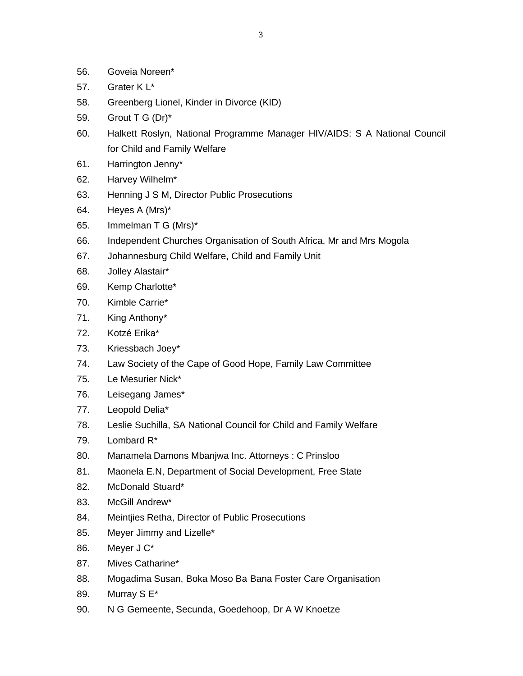- 56. Goveia Noreen\*
- 57. Grater K L\*
- 58. Greenberg Lionel, Kinder in Divorce (KID)
- 59. Grout T G (Dr)\*
- 60. Halkett Roslyn, National Programme Manager HIV/AIDS: S A National Council for Child and Family Welfare
- 61. Harrington Jenny\*
- 62. Harvey Wilhelm\*
- 63. Henning J S M, Director Public Prosecutions
- 64. Heyes A (Mrs)\*
- 65. Immelman T G (Mrs)\*
- 66. Independent Churches Organisation of South Africa, Mr and Mrs Mogola
- 67. Johannesburg Child Welfare, Child and Family Unit
- 68. Jolley Alastair\*
- 69. Kemp Charlotte\*
- 70. Kimble Carrie\*
- 71. King Anthony\*
- 72. Kotzé Erika\*
- 73. Kriessbach Joey\*
- 74. Law Society of the Cape of Good Hope, Family Law Committee
- 75. Le Mesurier Nick\*
- 76. Leisegang James\*
- 77. Leopold Delia\*
- 78. Leslie Suchilla, SA National Council for Child and Family Welfare
- 79. Lombard R\*
- 80. Manamela Damons Mbanjwa Inc. Attorneys : C Prinsloo
- 81. Maonela E.N, Department of Social Development, Free State
- 82. McDonald Stuard\*
- 83. McGill Andrew\*
- 84. Meintjies Retha, Director of Public Prosecutions
- 85. Meyer Jimmy and Lizelle\*
- 86. Meyer J C\*
- 87. Mives Catharine\*
- 88. Mogadima Susan, Boka Moso Ba Bana Foster Care Organisation
- 89. Murray S E\*
- 90. N G Gemeente, Secunda, Goedehoop, Dr A W Knoetze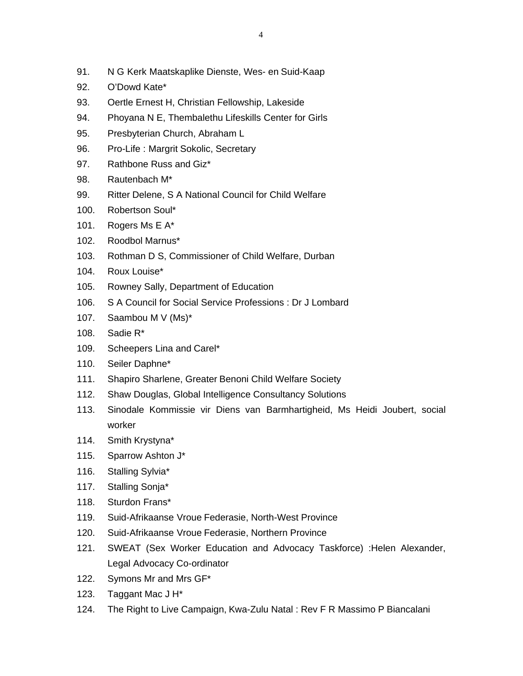- 91. N G Kerk Maatskaplike Dienste, Wes- en Suid-Kaap
- 92. O'Dowd Kate\*
- 93. Oertle Ernest H, Christian Fellowship, Lakeside
- 94. Phoyana N E, Thembalethu Lifeskills Center for Girls
- 95. Presbyterian Church, Abraham L
- 96. Pro-Life : Margrit Sokolic, Secretary
- 97. Rathbone Russ and Giz\*
- 98. Rautenbach M\*
- 99. Ritter Delene, S A National Council for Child Welfare
- 100. Robertson Soul\*
- 101. Rogers Ms E A\*
- 102. Roodbol Marnus\*
- 103. Rothman D S, Commissioner of Child Welfare, Durban
- 104. Roux Louise\*
- 105. Rowney Sally, Department of Education
- 106. S A Council for Social Service Professions : Dr J Lombard
- 107. Saambou M V (Ms)\*
- 108. Sadie R\*
- 109. Scheepers Lina and Carel\*
- 110. Seiler Daphne\*
- 111. Shapiro Sharlene, Greater Benoni Child Welfare Society
- 112. Shaw Douglas, Global Intelligence Consultancy Solutions
- 113. Sinodale Kommissie vir Diens van Barmhartigheid, Ms Heidi Joubert, social worker
- 114. Smith Krystyna\*
- 115. Sparrow Ashton J\*
- 116. Stalling Sylvia\*
- 117. Stalling Sonja\*
- 118. Sturdon Frans\*
- 119. Suid-Afrikaanse Vroue Federasie, North-West Province
- 120. Suid-Afrikaanse Vroue Federasie, Northern Province
- 121. SWEAT (Sex Worker Education and Advocacy Taskforce) :Helen Alexander, Legal Advocacy Co-ordinator
- 122. Symons Mr and Mrs GF\*
- 123. Taggant Mac J H\*
- 124. The Right to Live Campaign, Kwa-Zulu Natal : Rev F R Massimo P Biancalani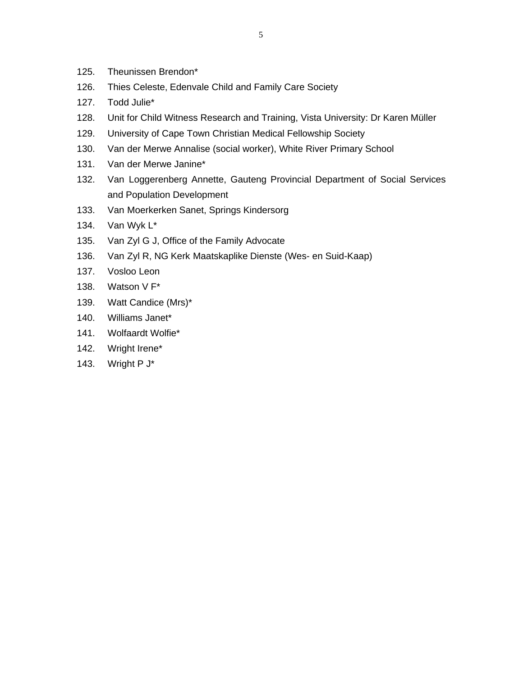- 125. Theunissen Brendon\*
- 126. Thies Celeste, Edenvale Child and Family Care Society
- 127. Todd Julie\*
- 128. Unit for Child Witness Research and Training, Vista University: Dr Karen Müller
- 129. University of Cape Town Christian Medical Fellowship Society
- 130. Van der Merwe Annalise (social worker), White River Primary School
- 131. Van der Merwe Janine\*
- 132. Van Loggerenberg Annette, Gauteng Provincial Department of Social Services and Population Development
- 133. Van Moerkerken Sanet, Springs Kindersorg
- 134. Van Wyk L\*
- 135. Van Zyl G J, Office of the Family Advocate
- 136. Van Zyl R, NG Kerk Maatskaplike Dienste (Wes- en Suid-Kaap)
- 137. Vosloo Leon
- 138. Watson V F\*
- 139. Watt Candice (Mrs)\*
- 140. Williams Janet\*
- 141. Wolfaardt Wolfie\*
- 142. Wright Irene\*
- 143. Wright P J\*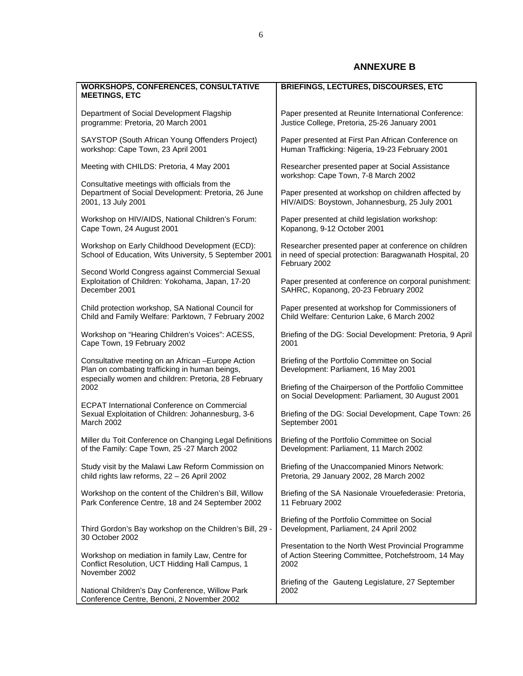## **ANNEXURE B**

| <b>WORKSHOPS, CONFERENCES, CONSULTATIVE</b><br><b>MEETINGS, ETC</b>                                                                                          | <b>BRIEFINGS, LECTURES, DISCOURSES, ETC</b>                                                                                      |  |  |
|--------------------------------------------------------------------------------------------------------------------------------------------------------------|----------------------------------------------------------------------------------------------------------------------------------|--|--|
| Department of Social Development Flagship                                                                                                                    | Paper presented at Reunite International Conference:                                                                             |  |  |
| programme: Pretoria, 20 March 2001                                                                                                                           | Justice College, Pretoria, 25-26 January 2001                                                                                    |  |  |
| SAYSTOP (South African Young Offenders Project)                                                                                                              | Paper presented at First Pan African Conference on                                                                               |  |  |
| workshop: Cape Town, 23 April 2001                                                                                                                           | Human Trafficking: Nigeria, 19-23 February 2001                                                                                  |  |  |
| Meeting with CHILDS: Pretoria, 4 May 2001                                                                                                                    | Researcher presented paper at Social Assistance<br>workshop: Cape Town, 7-8 March 2002                                           |  |  |
| Consultative meetings with officials from the<br>Department of Social Development: Pretoria, 26 June<br>2001, 13 July 2001                                   | Paper presented at workshop on children affected by<br>HIV/AIDS: Boystown, Johannesburg, 25 July 2001                            |  |  |
| Workshop on HIV/AIDS, National Children's Forum:                                                                                                             | Paper presented at child legislation workshop:                                                                                   |  |  |
| Cape Town, 24 August 2001                                                                                                                                    | Kopanong, 9-12 October 2001                                                                                                      |  |  |
| Workshop on Early Childhood Development (ECD):<br>School of Education, Wits University, 5 September 2001                                                     | Researcher presented paper at conference on children<br>in need of special protection: Baragwanath Hospital, 20<br>February 2002 |  |  |
| Second World Congress against Commercial Sexual<br>Exploitation of Children: Yokohama, Japan, 17-20<br>December 2001                                         | Paper presented at conference on corporal punishment:<br>SAHRC, Kopanong, 20-23 February 2002                                    |  |  |
| Child protection workshop, SA National Council for                                                                                                           | Paper presented at workshop for Commissioners of                                                                                 |  |  |
| Child and Family Welfare: Parktown, 7 February 2002                                                                                                          | Child Welfare: Centurion Lake, 6 March 2002                                                                                      |  |  |
| Workshop on "Hearing Children's Voices": ACESS,                                                                                                              | Briefing of the DG: Social Development: Pretoria, 9 April                                                                        |  |  |
| Cape Town, 19 February 2002                                                                                                                                  | 2001                                                                                                                             |  |  |
| Consultative meeting on an African - Europe Action<br>Plan on combating trafficking in human beings,<br>especially women and children: Pretoria, 28 February | Briefing of the Portfolio Committee on Social<br>Development: Parliament, 16 May 2001                                            |  |  |
| 2002                                                                                                                                                         | Briefing of the Chairperson of the Portfolio Committee<br>on Social Development: Parliament, 30 August 2001                      |  |  |
| <b>ECPAT International Conference on Commercial</b><br>Sexual Exploitation of Children: Johannesburg, 3-6<br>March 2002                                      | Briefing of the DG: Social Development, Cape Town: 26<br>September 2001                                                          |  |  |
| Miller du Toit Conference on Changing Legal Definitions                                                                                                      | Briefing of the Portfolio Committee on Social                                                                                    |  |  |
| of the Family: Cape Town, 25 -27 March 2002                                                                                                                  | Development: Parliament, 11 March 2002                                                                                           |  |  |
| Study visit by the Malawi Law Reform Commission on                                                                                                           | Briefing of the Unaccompanied Minors Network:                                                                                    |  |  |
| child rights law reforms, $22 - 26$ April 2002                                                                                                               | Pretoria, 29 January 2002, 28 March 2002                                                                                         |  |  |
| Workshop on the content of the Children's Bill, Willow                                                                                                       | Briefing of the SA Nasionale Vrouefederasie: Pretoria,                                                                           |  |  |
| Park Conference Centre, 18 and 24 September 2002                                                                                                             | 11 February 2002                                                                                                                 |  |  |
| Third Gordon's Bay workshop on the Children's Bill, 29 -                                                                                                     | Briefing of the Portfolio Committee on Social                                                                                    |  |  |
| 30 October 2002                                                                                                                                              | Development, Parliament, 24 April 2002                                                                                           |  |  |
| Workshop on mediation in family Law, Centre for                                                                                                              | Presentation to the North West Provincial Programme                                                                              |  |  |
| Conflict Resolution, UCT Hidding Hall Campus, 1                                                                                                              | of Action Steering Committee, Potchefstroom, 14 May                                                                              |  |  |
| November 2002                                                                                                                                                | 2002                                                                                                                             |  |  |
| National Children's Day Conference, Willow Park                                                                                                              | Briefing of the Gauteng Legislature, 27 September                                                                                |  |  |
| Conference Centre, Benoni, 2 November 2002                                                                                                                   | 2002                                                                                                                             |  |  |